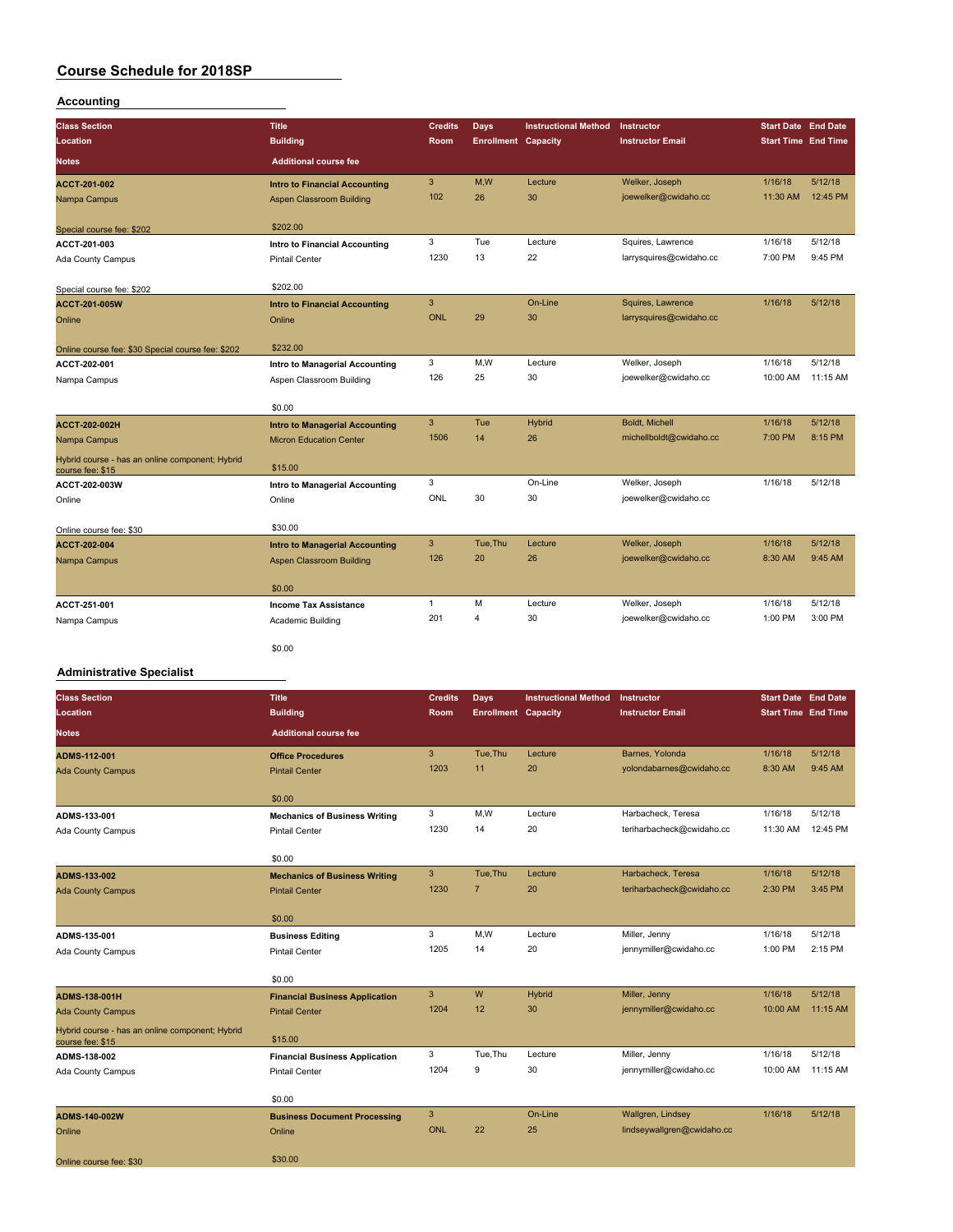## **Accounting**

| <b>Class Section</b>                                                | <b>Title</b><br><b>Building</b>       | <b>Credits</b><br><b>Room</b> | <b>Days</b><br><b>Enrollment Capacity</b> | <b>Instructional Method</b> | <b>Instructor</b><br><b>Instructor Email</b> | <b>Start Date End Date</b><br><b>Start Time End Time</b> |          |
|---------------------------------------------------------------------|---------------------------------------|-------------------------------|-------------------------------------------|-----------------------------|----------------------------------------------|----------------------------------------------------------|----------|
| Location                                                            |                                       |                               |                                           |                             |                                              |                                                          |          |
| <b>Notes</b>                                                        | <b>Additional course fee</b>          |                               |                                           |                             |                                              |                                                          |          |
| ACCT-201-002                                                        | <b>Intro to Financial Accounting</b>  | 3                             | M,W                                       | Lecture                     | Welker, Joseph                               | 1/16/18                                                  | 5/12/18  |
| Nampa Campus                                                        | Aspen Classroom Building              | 102                           | 26                                        | 30                          | joewelker@cwidaho.cc                         | 11:30 AM                                                 | 12:45 PM |
| Special course fee: \$202                                           | \$202.00                              |                               |                                           |                             |                                              |                                                          |          |
| ACCT-201-003                                                        | Intro to Financial Accounting         | 3                             | Tue                                       | Lecture                     | Squires, Lawrence                            | 1/16/18                                                  | 5/12/18  |
| Ada County Campus                                                   | <b>Pintail Center</b>                 | 1230                          | 13                                        | 22                          | larrysquires@cwidaho.cc                      | 7:00 PM                                                  | 9:45 PM  |
|                                                                     |                                       |                               |                                           |                             |                                              |                                                          |          |
| Special course fee: \$202                                           | \$202.00                              |                               |                                           |                             |                                              |                                                          |          |
| <b>ACCT-201-005W</b>                                                | <b>Intro to Financial Accounting</b>  | 3                             |                                           | On-Line                     | Squires, Lawrence                            | 1/16/18                                                  | 5/12/18  |
| Online                                                              | Online                                | <b>ONL</b>                    | 29                                        | 30                          | larrysquires@cwidaho.cc                      |                                                          |          |
|                                                                     |                                       |                               |                                           |                             |                                              |                                                          |          |
| Online course fee: \$30 Special course fee: \$202                   | \$232.00                              | 3                             | M,W                                       | Lecture                     | Welker, Joseph                               | 1/16/18                                                  | 5/12/18  |
| ACCT-202-001                                                        | Intro to Managerial Accounting        | 126                           | 25                                        | 30                          | joewelker@cwidaho.cc                         | 10:00 AM                                                 | 11:15 AM |
| Nampa Campus                                                        | Aspen Classroom Building              |                               |                                           |                             |                                              |                                                          |          |
|                                                                     | \$0.00                                |                               |                                           |                             |                                              |                                                          |          |
| <b>ACCT-202-002H</b>                                                | <b>Intro to Managerial Accounting</b> | 3                             | Tue                                       | <b>Hybrid</b>               | <b>Boldt. Michell</b>                        | 1/16/18                                                  | 5/12/18  |
| Nampa Campus                                                        | <b>Micron Education Center</b>        | 1506                          | 14                                        | 26                          | michellboldt@cwidaho.cc                      | 7:00 PM                                                  | 8:15 PM  |
| Hybrid course - has an online component; Hybrid<br>course fee: \$15 | \$15.00                               |                               |                                           |                             |                                              |                                                          |          |
| ACCT-202-003W                                                       | Intro to Managerial Accounting        | 3                             |                                           | On-Line                     | Welker, Joseph                               | 1/16/18                                                  | 5/12/18  |
| Online                                                              | Online                                | ONL                           | 30                                        | 30                          | joewelker@cwidaho.cc                         |                                                          |          |
|                                                                     | \$30.00                               |                               |                                           |                             |                                              |                                                          |          |
| Online course fee: \$30                                             |                                       | 3                             | Tue, Thu                                  | Lecture                     | Welker, Joseph                               | 1/16/18                                                  | 5/12/18  |
| ACCT-202-004                                                        | <b>Intro to Managerial Accounting</b> | 126                           | 20                                        | 26                          | joewelker@cwidaho.cc                         | 8:30 AM                                                  | 9:45 AM  |
| Nampa Campus                                                        | <b>Aspen Classroom Building</b>       |                               |                                           |                             |                                              |                                                          |          |
|                                                                     | \$0.00                                |                               |                                           |                             |                                              |                                                          |          |
| ACCT-251-001                                                        | <b>Income Tax Assistance</b>          | 1                             | M                                         | Lecture                     | Welker, Joseph                               | 1/16/18                                                  | 5/12/18  |
| Nampa Campus                                                        | Academic Building                     | 201                           | 4                                         | 30                          | joewelker@cwidaho.cc                         | 1:00 PM                                                  | 3:00 PM  |
|                                                                     | \$0.00                                |                               |                                           |                             |                                              |                                                          |          |

#### **Administrative Specialist**

| <b>Class Section</b>                                                | <b>Title</b>                          | <b>Credits</b> | Days                       | <b>Instructional Method</b> | <b>Instructor</b>          | <b>Start Date End Date</b> |          |
|---------------------------------------------------------------------|---------------------------------------|----------------|----------------------------|-----------------------------|----------------------------|----------------------------|----------|
| Location                                                            | <b>Building</b>                       | Room           | <b>Enrollment</b> Capacity |                             | <b>Instructor Email</b>    | <b>Start Time</b> End Time |          |
| <b>Notes</b>                                                        | <b>Additional course fee</b>          |                |                            |                             |                            |                            |          |
| ADMS-112-001                                                        | <b>Office Procedures</b>              | 3              | Tue, Thu                   | Lecture                     | Barnes, Yolonda            | 1/16/18                    | 5/12/18  |
| <b>Ada County Campus</b>                                            | <b>Pintail Center</b>                 | 1203           | 11                         | 20                          | yolondabarnes@cwidaho.cc   | 8:30 AM                    | 9:45 AM  |
|                                                                     | \$0.00                                |                |                            |                             |                            |                            |          |
| ADMS-133-001                                                        | <b>Mechanics of Business Writing</b>  | 3              | M, W                       | Lecture                     | Harbacheck, Teresa         | 1/16/18                    | 5/12/18  |
| Ada County Campus                                                   | <b>Pintail Center</b>                 | 1230           | 14                         | 20                          | teriharbacheck@cwidaho.cc  | 11:30 AM                   | 12:45 PM |
|                                                                     | \$0.00                                |                |                            |                             |                            |                            |          |
| ADMS-133-002                                                        | <b>Mechanics of Business Writing</b>  | 3              | Tue, Thu                   | Lecture                     | Harbacheck, Teresa         | 1/16/18                    | 5/12/18  |
| <b>Ada County Campus</b>                                            | <b>Pintail Center</b>                 | 1230           | $\overline{7}$             | 20                          | teriharbacheck@cwidaho.cc  | 2:30 PM                    | 3:45 PM  |
|                                                                     | \$0.00                                |                |                            |                             |                            |                            |          |
| ADMS-135-001                                                        | <b>Business Editing</b>               | 3              | M, W                       | Lecture                     | Miller, Jenny              | 1/16/18                    | 5/12/18  |
| Ada County Campus                                                   | Pintail Center                        | 1205           | 14                         | 20                          | jennymiller@cwidaho.cc     | 1:00 PM                    | 2:15 PM  |
|                                                                     | \$0.00                                |                |                            |                             |                            |                            |          |
| <b>ADMS-138-001H</b>                                                | <b>Financial Business Application</b> | 3              | W                          | Hybrid                      | Miller, Jenny              | 1/16/18                    | 5/12/18  |
| <b>Ada County Campus</b>                                            | <b>Pintail Center</b>                 | 1204           | 12                         | 30                          | jennymiller@cwidaho.cc     | 10:00 AM                   | 11:15 AM |
| Hybrid course - has an online component; Hybrid<br>course fee: \$15 | \$15.00                               |                |                            |                             |                            |                            |          |
| ADMS-138-002                                                        | <b>Financial Business Application</b> | 3              | Tue, Thu                   | Lecture                     | Miller, Jenny              | 1/16/18                    | 5/12/18  |
| Ada County Campus                                                   | <b>Pintail Center</b>                 | 1204           | 9                          | 30                          | jennymiller@cwidaho.cc     | 10:00 AM                   | 11:15 AM |
|                                                                     | \$0.00                                |                |                            |                             |                            |                            |          |
| ADMS-140-002W                                                       | <b>Business Document Processing</b>   | 3              |                            | On-Line                     | Wallgren, Lindsey          | 1/16/18                    | 5/12/18  |
| Online                                                              | Online                                | <b>ONL</b>     | 22                         | 25                          | lindseywallgren@cwidaho.cc |                            |          |
| Online course fee: \$30                                             | \$30.00                               |                |                            |                             |                            |                            |          |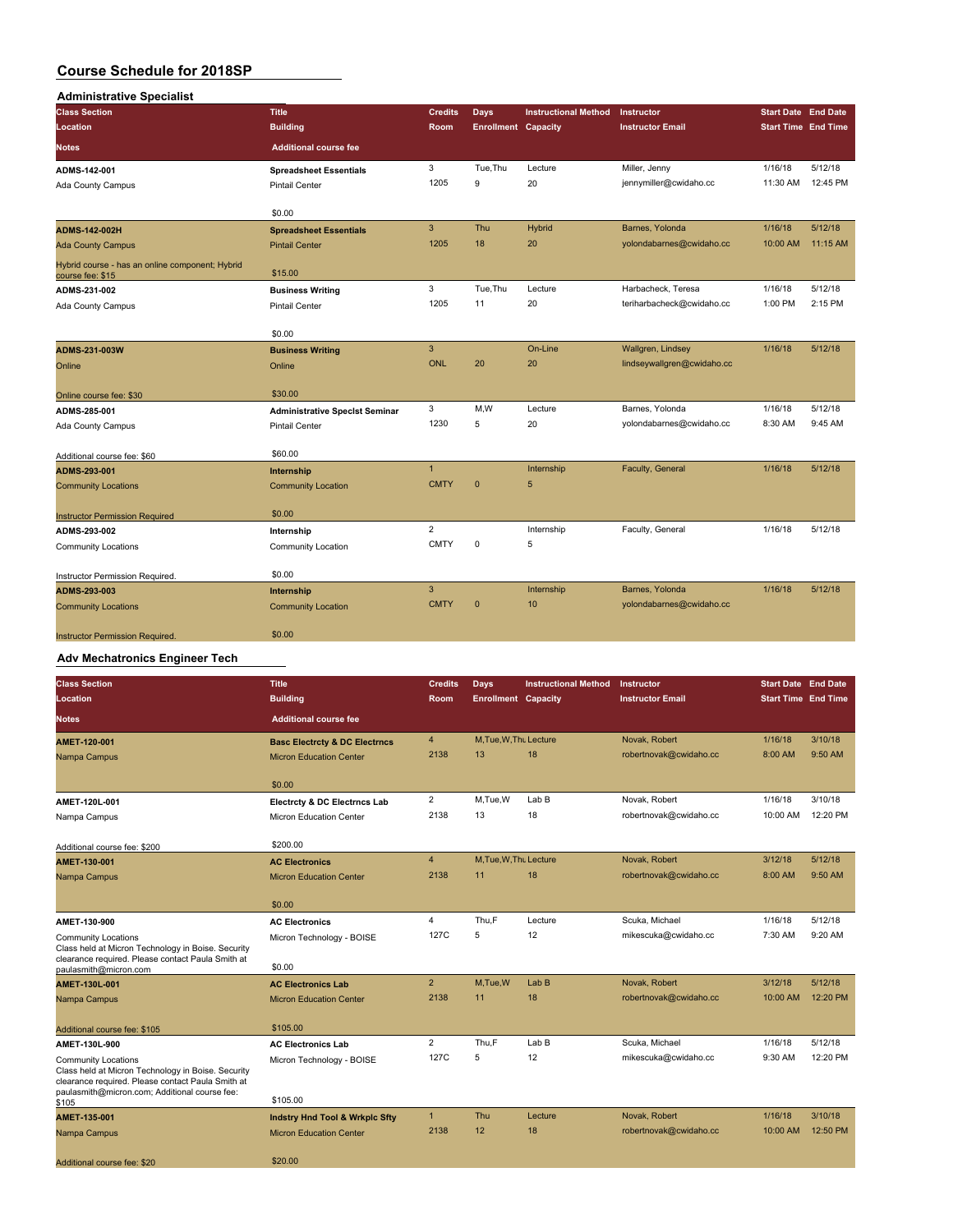| <b>Administrative Specialist</b>                                    |                                       |                |                            |                             |                            |                            |          |
|---------------------------------------------------------------------|---------------------------------------|----------------|----------------------------|-----------------------------|----------------------------|----------------------------|----------|
| <b>Class Section</b>                                                | <b>Title</b>                          | <b>Credits</b> | <b>Days</b>                | <b>Instructional Method</b> | Instructor                 | Start Date End Date        |          |
| Location                                                            | <b>Building</b>                       | Room           | <b>Enrollment Capacity</b> |                             | <b>Instructor Email</b>    | <b>Start Time End Time</b> |          |
| <b>Notes</b>                                                        | <b>Additional course fee</b>          |                |                            |                             |                            |                            |          |
| ADMS-142-001                                                        | <b>Spreadsheet Essentials</b>         | 3              | Tue, Thu                   | Lecture                     | Miller, Jenny              | 1/16/18                    | 5/12/18  |
| Ada County Campus                                                   | <b>Pintail Center</b>                 | 1205           | 9                          | 20                          | jennymiller@cwidaho.cc     | 11:30 AM                   | 12:45 PM |
|                                                                     | \$0.00                                |                |                            |                             |                            |                            |          |
| <b>ADMS-142-002H</b>                                                | <b>Spreadsheet Essentials</b>         | $\mathbf{3}$   | Thu                        | Hybrid                      | Barnes, Yolonda            | 1/16/18                    | 5/12/18  |
| <b>Ada County Campus</b>                                            | <b>Pintail Center</b>                 | 1205           | 18                         | 20                          | yolondabarnes@cwidaho.cc   | 10:00 AM                   | 11:15 AM |
| Hybrid course - has an online component; Hybrid<br>course fee: \$15 | \$15.00                               |                |                            |                             |                            |                            |          |
| ADMS-231-002                                                        | <b>Business Writing</b>               | 3              | Tue.Thu                    | Lecture                     | Harbacheck, Teresa         | 1/16/18                    | 5/12/18  |
| Ada County Campus                                                   | Pintail Center                        | 1205           | 11                         | 20                          | teriharbacheck@cwidaho.cc  | 1:00 PM                    | 2:15 PM  |
|                                                                     | \$0.00                                |                |                            |                             |                            |                            |          |
| ADMS-231-003W                                                       | <b>Business Writing</b>               | 3              |                            | On-Line                     | Wallgren, Lindsey          | 1/16/18                    | 5/12/18  |
| Online                                                              | Online                                | <b>ONL</b>     | 20                         | 20                          | lindseywallgren@cwidaho.cc |                            |          |
| Online course fee: \$30                                             | \$30.00                               |                |                            |                             |                            |                            |          |
| ADMS-285-001                                                        | <b>Administrative Specist Seminar</b> | 3              | M,W                        | Lecture                     | Barnes, Yolonda            | 1/16/18                    | 5/12/18  |
| <b>Ada County Campus</b>                                            | Pintail Center                        | 1230           | 5                          | 20                          | yolondabarnes@cwidaho.cc   | 8:30 AM                    | 9:45 AM  |
| Additional course fee: \$60                                         | \$60.00                               |                |                            |                             |                            |                            |          |
| ADMS-293-001                                                        | Internship                            | $\overline{1}$ |                            | Internship                  | Faculty, General           | 1/16/18                    | 5/12/18  |
| <b>Community Locations</b>                                          | <b>Community Location</b>             | <b>CMTY</b>    | $\mathbf{0}$               | 5                           |                            |                            |          |
| <b>Instructor Permission Required</b>                               | \$0.00                                |                |                            |                             |                            |                            |          |
| ADMS-293-002                                                        | Internship                            | $\overline{2}$ |                            | Internship                  | Faculty, General           | 1/16/18                    | 5/12/18  |
| <b>Community Locations</b>                                          | <b>Community Location</b>             | <b>CMTY</b>    | 0                          | 5                           |                            |                            |          |
| Instructor Permission Required.                                     | \$0.00                                |                |                            |                             |                            |                            |          |
| ADMS-293-003                                                        | Internship                            | $\overline{3}$ |                            | Internship                  | Barnes, Yolonda            | 1/16/18                    | 5/12/18  |
| <b>Community Locations</b>                                          | <b>Community Location</b>             | <b>CMTY</b>    | $\mathbf{0}$               | 10                          | yolondabarnes@cwidaho.cc   |                            |          |
| <b>Instructor Permission Required.</b>                              | \$0.00                                |                |                            |                             |                            |                            |          |

## **Adv Mechatronics Engineer Tech**

| <b>Class Section</b>                                                                                                                                                                   | <b>Title</b>                              | <b>Credits</b> | Days                       | <b>Instructional Method</b> | Instructor              | <b>Start Date End Date</b> |          |
|----------------------------------------------------------------------------------------------------------------------------------------------------------------------------------------|-------------------------------------------|----------------|----------------------------|-----------------------------|-------------------------|----------------------------|----------|
| Location                                                                                                                                                                               | <b>Building</b>                           | Room           | <b>Enrollment Capacity</b> |                             | <b>Instructor Email</b> | <b>Start Time End Time</b> |          |
| <b>Notes</b>                                                                                                                                                                           | <b>Additional course fee</b>              |                |                            |                             |                         |                            |          |
| AMET-120-001                                                                                                                                                                           | <b>Basc Electrcty &amp; DC Electrncs</b>  | $\overline{4}$ | M, Tue, W, Thu Lecture     |                             | Novak, Robert           | 1/16/18                    | 3/10/18  |
| Nampa Campus                                                                                                                                                                           | <b>Micron Education Center</b>            | 2138           | 13                         | 18                          | robertnovak@cwidaho.cc  | 8:00 AM                    | 9:50 AM  |
|                                                                                                                                                                                        | \$0.00                                    |                |                            |                             |                         |                            |          |
| AMET-120L-001                                                                                                                                                                          | Electrcty & DC Electrncs Lab              | $\overline{2}$ | M,Tue,W                    | LabB                        | Novak, Robert           | 1/16/18                    | 3/10/18  |
| Nampa Campus                                                                                                                                                                           | Micron Education Center                   | 2138           | 13                         | 18                          | robertnovak@cwidaho.cc  | 10:00 AM                   | 12:20 PM |
| Additional course fee: \$200                                                                                                                                                           | \$200.00                                  |                |                            |                             |                         |                            |          |
| AMET-130-001                                                                                                                                                                           | <b>AC Electronics</b>                     | $\overline{4}$ | M, Tue, W, Thu Lecture     |                             | Novak, Robert           | 3/12/18                    | 5/12/18  |
| Nampa Campus                                                                                                                                                                           | <b>Micron Education Center</b>            | 2138           | 11                         | 18                          | robertnovak@cwidaho.cc  | 8:00 AM                    | 9:50 AM  |
|                                                                                                                                                                                        | \$0.00                                    |                |                            |                             |                         |                            |          |
| AMET-130-900                                                                                                                                                                           | <b>AC Electronics</b>                     | $\overline{4}$ | Thu,F                      | Lecture                     | Scuka, Michael          | 1/16/18                    | 5/12/18  |
| <b>Community Locations</b><br>Class held at Micron Technology in Boise. Security<br>clearance required. Please contact Paula Smith at                                                  | Micron Technology - BOISE                 | 127C           | 5                          | 12                          | mikescuka@cwidaho.cc    | 7:30 AM                    | 9:20 AM  |
| paulasmith@micron.com                                                                                                                                                                  | \$0.00                                    |                |                            |                             |                         |                            |          |
| AMET-130L-001                                                                                                                                                                          | <b>AC Electronics Lab</b>                 | $\overline{2}$ | M.Tue.W                    | Lab <sub>B</sub>            | Novak, Robert           | 3/12/18                    | 5/12/18  |
| Nampa Campus                                                                                                                                                                           | <b>Micron Education Center</b>            | 2138           | 11                         | 18                          | robertnovak@cwidaho.cc  | 10:00 AM                   | 12:20 PM |
| Additional course fee: \$105                                                                                                                                                           | \$105.00                                  |                |                            |                             |                         |                            |          |
| AMET-130L-900                                                                                                                                                                          | <b>AC Electronics Lab</b>                 | $\overline{2}$ | Thu.F                      | LabB                        | Scuka, Michael          | 1/16/18                    | 5/12/18  |
| <b>Community Locations</b><br>Class held at Micron Technology in Boise. Security<br>clearance required. Please contact Paula Smith at<br>paulasmith@micron.com; Additional course fee: | Micron Technology - BOISE                 | 127C           | 5                          | 12                          | mikescuka@cwidaho.cc    | 9:30 AM                    | 12:20 PM |
| \$105                                                                                                                                                                                  | \$105.00                                  |                |                            |                             |                         |                            |          |
| AMET-135-001                                                                                                                                                                           | <b>Indstry Hnd Tool &amp; Wrkplc Sfty</b> | $\mathbf{1}$   | Thu                        | Lecture                     | Novak, Robert           | 1/16/18                    | 3/10/18  |
| Nampa Campus                                                                                                                                                                           | <b>Micron Education Center</b>            | 2138           | 12                         | 18                          | robertnovak@cwidaho.cc  | 10:00 AM                   | 12:50 PM |
| Additional course fee: \$20                                                                                                                                                            | \$20.00                                   |                |                            |                             |                         |                            |          |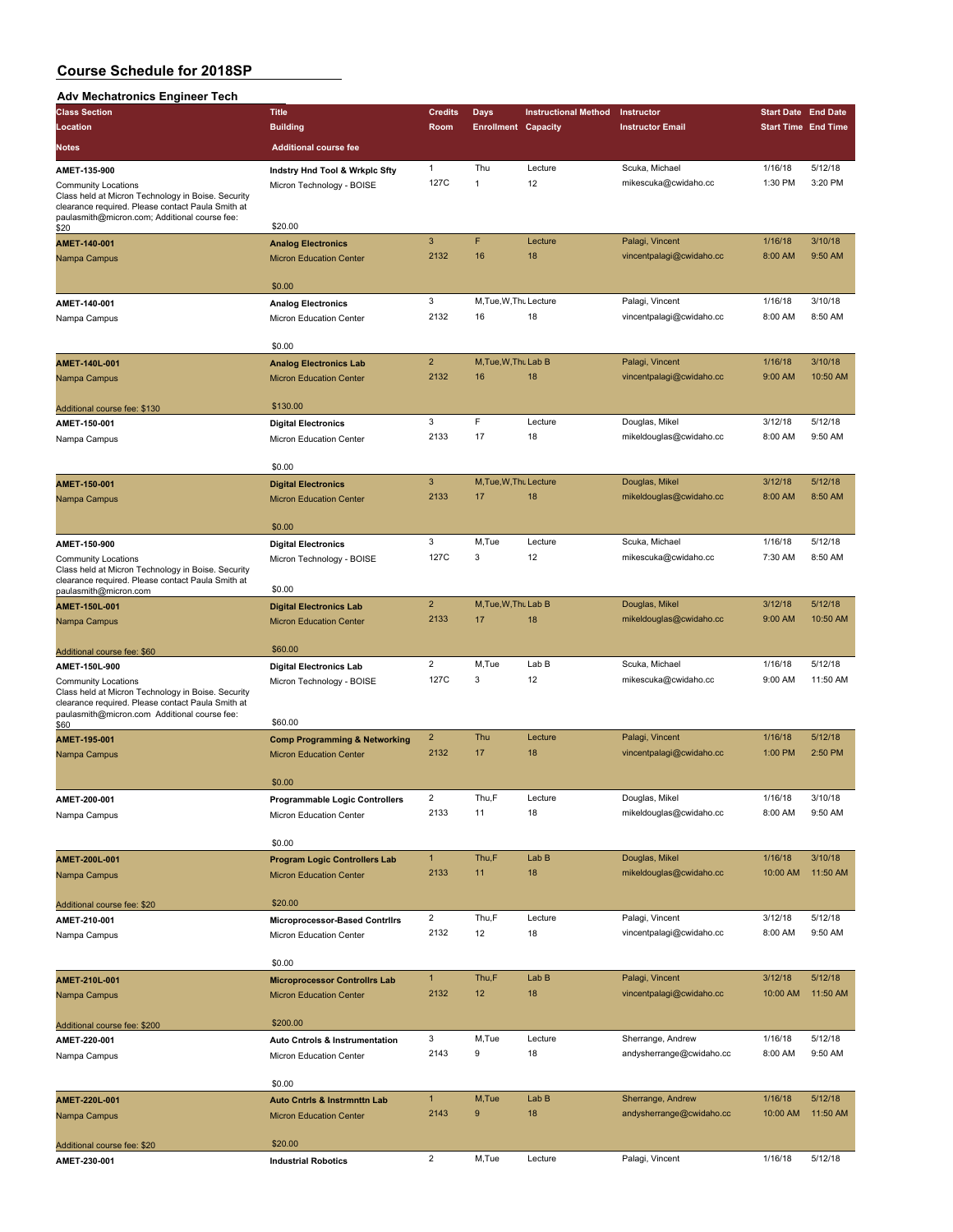# **Adv Mechatronics Engineer Tech**

| Auv Mechatronics Engineer Tech                                                                                                                                                        |                                          |                         |                            |                             |                          |                            |          |
|---------------------------------------------------------------------------------------------------------------------------------------------------------------------------------------|------------------------------------------|-------------------------|----------------------------|-----------------------------|--------------------------|----------------------------|----------|
| <b>Class Section</b>                                                                                                                                                                  | <b>Title</b>                             | <b>Credits</b>          | <b>Days</b>                | <b>Instructional Method</b> | Instructor               | <b>Start Date End Date</b> |          |
| Location                                                                                                                                                                              | <b>Building</b>                          | Room                    | <b>Enrollment Capacity</b> |                             | <b>Instructor Email</b>  | <b>Start Time End Time</b> |          |
| <b>Notes</b>                                                                                                                                                                          | <b>Additional course fee</b>             |                         |                            |                             |                          |                            |          |
| AMET-135-900                                                                                                                                                                          | Indstry Hnd Tool & Wrkplc Sfty           | 1                       | Thu                        | Lecture                     | Scuka, Michael           | 1/16/18                    | 5/12/18  |
| <b>Community Locations</b><br>Class held at Micron Technology in Boise. Security<br>clearance required. Please contact Paula Smith at                                                 | Micron Technology - BOISE                | 127C                    | 1                          | 12                          | mikescuka@cwidaho.cc     | 1:30 PM                    | 3:20 PM  |
| paulasmith@micron.com; Additional course fee:<br>\$20                                                                                                                                 | \$20.00                                  |                         |                            |                             |                          |                            |          |
| AMET-140-001                                                                                                                                                                          | <b>Analog Electronics</b>                | 3                       | F                          | Lecture                     | Palagi, Vincent          | 1/16/18                    | 3/10/18  |
| Nampa Campus                                                                                                                                                                          | <b>Micron Education Center</b>           | 2132                    | 16                         | 18                          | vincentpalagi@cwidaho.cc | 8:00 AM                    | 9:50 AM  |
|                                                                                                                                                                                       | \$0.00                                   |                         |                            |                             |                          |                            |          |
| AMET-140-001                                                                                                                                                                          | <b>Analog Electronics</b>                | 3                       | M.Tue, W.Th. Lecture       |                             | Palagi, Vincent          | 1/16/18                    | 3/10/18  |
| Nampa Campus                                                                                                                                                                          | Micron Education Center                  | 2132                    | 16                         | 18                          | vincentpalagi@cwidaho.cc | 8:00 AM                    | 8:50 AM  |
|                                                                                                                                                                                       | \$0.00                                   |                         |                            |                             |                          |                            |          |
| AMET-140L-001                                                                                                                                                                         | <b>Analog Electronics Lab</b>            | $\overline{c}$          | M, Tue, W, Thu Lab B       |                             | Palagi, Vincent          | 1/16/18                    | 3/10/18  |
| Nampa Campus                                                                                                                                                                          | <b>Micron Education Center</b>           | 2132                    | 16                         | 18                          | vincentpalagi@cwidaho.cc | 9:00 AM                    | 10:50 AM |
| Additional course fee: \$130                                                                                                                                                          | \$130.00                                 |                         |                            |                             |                          |                            |          |
| AMET-150-001                                                                                                                                                                          | <b>Digital Electronics</b>               | 3                       | F                          | Lecture                     | Douglas, Mikel           | 3/12/18                    | 5/12/18  |
| Nampa Campus                                                                                                                                                                          | Micron Education Center                  | 2133                    | 17                         | 18                          | mikeldouglas@cwidaho.cc  | 8:00 AM                    | 9:50 AM  |
|                                                                                                                                                                                       | \$0.00                                   |                         |                            |                             |                          |                            |          |
| AMET-150-001                                                                                                                                                                          | <b>Digital Electronics</b>               | 3                       | M, Tue, W, Thu Lecture     |                             | Douglas, Mikel           | 3/12/18                    | 5/12/18  |
| Nampa Campus                                                                                                                                                                          | <b>Micron Education Center</b>           | 2133                    | 17                         | 18                          | mikeldouglas@cwidaho.cc  | 8:00 AM                    | 8:50 AM  |
|                                                                                                                                                                                       | \$0.00                                   |                         |                            |                             |                          |                            |          |
| AMET-150-900                                                                                                                                                                          | <b>Digital Electronics</b>               | 3                       | M,Tue                      | Lecture                     | Scuka, Michael           | 1/16/18                    | 5/12/18  |
| <b>Community Locations</b><br>Class held at Micron Technology in Boise. Security<br>clearance required. Please contact Paula Smith at                                                 | Micron Technology - BOISE                | 127C                    | 3                          | 12                          | mikescuka@cwidaho.cc     | 7:30 AM                    | 8:50 AM  |
| paulasmith@micron.com                                                                                                                                                                 | \$0.00                                   |                         |                            |                             |                          |                            |          |
| AMET-150L-001                                                                                                                                                                         | <b>Digital Electronics Lab</b>           | $\overline{c}$          | M, Tue, W, Thu Lab B       |                             | Douglas, Mikel           | 3/12/18                    | 5/12/18  |
| Nampa Campus                                                                                                                                                                          | <b>Micron Education Center</b>           | 2133                    | 17                         | 18                          | mikeldouglas@cwidaho.cc  | 9:00 AM                    | 10:50 AM |
| Additional course fee: \$60                                                                                                                                                           | \$60.00                                  |                         |                            |                             |                          |                            |          |
| AMET-150L-900                                                                                                                                                                         | <b>Digital Electronics Lab</b>           | $\overline{c}$          | M,Tue                      | Lab B                       | Scuka, Michael           | 1/16/18                    | 5/12/18  |
| <b>Community Locations</b><br>Class held at Micron Technology in Boise. Security<br>clearance required. Please contact Paula Smith at<br>paulasmith@micron.com Additional course fee: | Micron Technology - BOISE<br>\$60.00     | 127C                    | 3                          | 12                          | mikescuka@cwidaho.cc     | 9:00 AM                    | 11:50 AM |
| \$60<br>AMET-195-001                                                                                                                                                                  | <b>Comp Programming &amp; Networking</b> | $\overline{\mathbf{c}}$ | Thu                        | Lecture                     | Palagi, Vincent          | 1/16/18                    | 5/12/18  |
| Nampa Campus                                                                                                                                                                          | <b>Micron Education Center</b>           | 2132                    | 17                         | 18                          | vincentpalagi@cwidaho.cc | 1:00 PM                    | 2:50 PM  |
|                                                                                                                                                                                       | \$0.00                                   |                         |                            |                             |                          |                            |          |
| AMET-200-001                                                                                                                                                                          | <b>Programmable Logic Controllers</b>    |                         | Thu,F                      | Lecture                     | Douglas, Mikel           | 1/16/18                    | 3/10/18  |
| Nampa Campus                                                                                                                                                                          | Micron Education Center                  | 2133                    | 11                         | 18                          | mikeldouglas@cwidaho.cc  | 8:00 AM                    | 9:50 AM  |
|                                                                                                                                                                                       | \$0.00                                   |                         |                            |                             |                          |                            |          |
| AMET-200L-001                                                                                                                                                                         | <b>Program Logic Controllers Lab</b>     | $\mathbf{1}$            | Thu,F                      | Lab B                       | Douglas, Mikel           | 1/16/18                    | 3/10/18  |
| Nampa Campus                                                                                                                                                                          | <b>Micron Education Center</b>           | 2133                    | 11                         | 18                          | mikeldouglas@cwidaho.cc  | 10:00 AM                   | 11:50 AM |
| Additional course fee: \$20                                                                                                                                                           | \$20.00                                  |                         |                            |                             |                          |                            |          |
| AMET-210-001                                                                                                                                                                          | Microprocessor-Based Contrilrs           | $\overline{\mathbf{c}}$ | Thu,F                      | Lecture                     | Palagi, Vincent          | 3/12/18                    | 5/12/18  |
| Nampa Campus                                                                                                                                                                          | Micron Education Center                  | 2132                    | 12                         | 18                          | vincentpalagi@cwidaho.cc | 8:00 AM                    | 9:50 AM  |
|                                                                                                                                                                                       | \$0.00                                   |                         |                            |                             |                          |                            |          |
| AMET-210L-001                                                                                                                                                                         | <b>Microprocessor Controllrs Lab</b>     | $\mathbf{1}$            | Thu,F                      | Lab B                       | Palagi, Vincent          | 3/12/18                    | 5/12/18  |
| Nampa Campus                                                                                                                                                                          | <b>Micron Education Center</b>           | 2132                    | 12                         | 18                          | vincentpalagi@cwidaho.cc | 10:00 AM                   | 11:50 AM |
| Additional course fee: \$200                                                                                                                                                          | \$200.00                                 |                         |                            |                             |                          |                            |          |
| AMET-220-001                                                                                                                                                                          | Auto Cntrols & Instrumentation           | 3                       | M,Tue                      | Lecture                     | Sherrange, Andrew        | 1/16/18                    | 5/12/18  |
| Nampa Campus                                                                                                                                                                          | Micron Education Center                  | 2143                    | 9                          | 18                          | andysherrange@cwidaho.cc | 8:00 AM                    | 9:50 AM  |
|                                                                                                                                                                                       | \$0.00                                   |                         |                            |                             |                          |                            |          |
| AMET-220L-001                                                                                                                                                                         | <b>Auto Cntrls &amp; Instrmnttn Lab</b>  | $\mathbf{1}$            | M,Tue                      | Lab B                       | Sherrange, Andrew        | 1/16/18                    | 5/12/18  |
| Nampa Campus                                                                                                                                                                          | <b>Micron Education Center</b>           | 2143                    | 9                          | 18                          | andysherrange@cwidaho.cc | 10:00 AM                   | 11:50 AM |
| Additional course fee: \$20                                                                                                                                                           | \$20.00                                  |                         |                            |                             |                          |                            |          |
| AMET-230-001                                                                                                                                                                          | <b>Industrial Robotics</b>               | $\overline{2}$          | M,Tue                      | Lecture                     | Palagi, Vincent          | 1/16/18                    | 5/12/18  |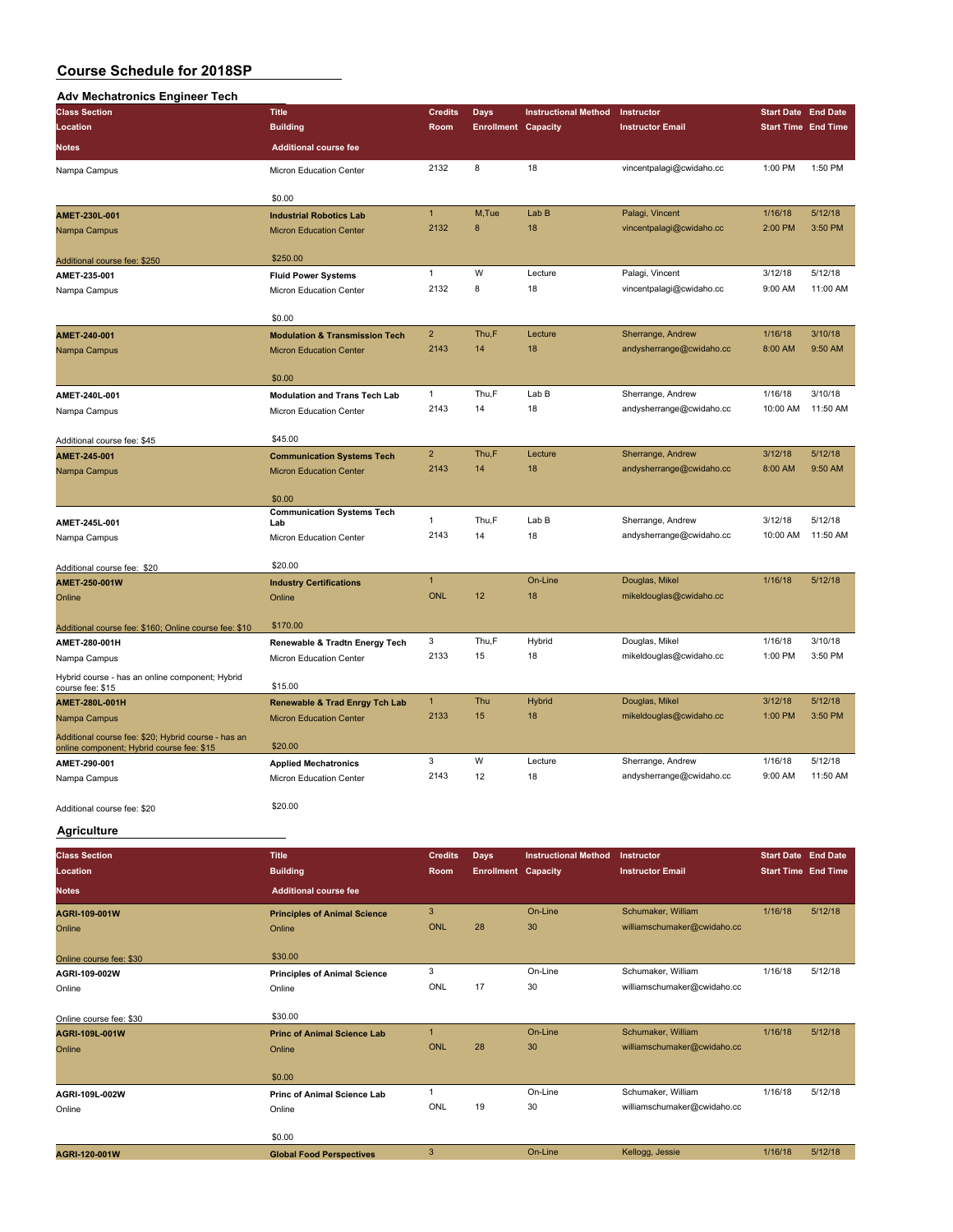#### **Adv Mechatronics Engineer Tech**

| Adv mcchauomcs Engineer<br><b>Class Section</b>           | <b>Title</b>                                           | <b>Credits</b>             | Days                       | <b>Instructional Method</b> | Instructor                                        | <b>Start Date End Date</b> |          |
|-----------------------------------------------------------|--------------------------------------------------------|----------------------------|----------------------------|-----------------------------|---------------------------------------------------|----------------------------|----------|
| Location                                                  | <b>Building</b>                                        | Room                       | <b>Enrollment Capacity</b> |                             | <b>Instructor Email</b>                           | <b>Start Time End Time</b> |          |
|                                                           |                                                        |                            |                            |                             |                                                   |                            |          |
| <b>Notes</b>                                              | <b>Additional course fee</b>                           |                            |                            |                             |                                                   |                            |          |
| Nampa Campus                                              | Micron Education Center                                | 2132                       | 8                          | 18                          | vincentpalagi@cwidaho.cc                          | 1:00 PM                    | 1:50 PM  |
|                                                           |                                                        |                            |                            |                             |                                                   |                            |          |
|                                                           | \$0.00                                                 | $\mathbf{1}$               | M,Tue                      | Lab B                       |                                                   |                            | 5/12/18  |
| AMET-230L-001                                             | <b>Industrial Robotics Lab</b>                         | 2132                       | 8                          | 18                          | Palagi, Vincent<br>vincentpalagi@cwidaho.cc       | 1/16/18<br>2:00 PM         | 3:50 PM  |
| Nampa Campus                                              | <b>Micron Education Center</b>                         |                            |                            |                             |                                                   |                            |          |
| Additional course fee: \$250                              | \$250.00                                               |                            |                            |                             |                                                   |                            |          |
| AMET-235-001                                              | <b>Fluid Power Systems</b>                             | $\mathbf{1}$               | W                          | Lecture                     | Palagi, Vincent                                   | 3/12/18                    | 5/12/18  |
| Nampa Campus                                              | Micron Education Center                                | 2132                       | 8                          | 18                          | vincentpalagi@cwidaho.cc                          | 9:00 AM                    | 11:00 AM |
|                                                           |                                                        |                            |                            |                             |                                                   |                            |          |
|                                                           | \$0.00                                                 |                            |                            |                             |                                                   |                            |          |
| AMET-240-001                                              | <b>Modulation &amp; Transmission Tech</b>              | $\overline{c}$             | Thu,F                      | Lecture                     | Sherrange, Andrew                                 | 1/16/18                    | 3/10/18  |
| Nampa Campus                                              | <b>Micron Education Center</b>                         | 2143                       | 14                         | 18                          | andysherrange@cwidaho.cc                          | 8:00 AM                    | 9:50 AM  |
|                                                           | \$0.00                                                 |                            |                            |                             |                                                   |                            |          |
| AMET-240L-001                                             | <b>Modulation and Trans Tech Lab</b>                   | $\mathbf{1}$               | Thu,F                      | Lab B                       | Sherrange, Andrew                                 | 1/16/18                    | 3/10/18  |
| Nampa Campus                                              | Micron Education Center                                | 2143                       | 14                         | 18                          | andysherrange@cwidaho.cc                          | 10:00 AM                   | 11:50 AM |
|                                                           |                                                        |                            |                            |                             |                                                   |                            |          |
| Additional course fee: \$45                               | \$45.00                                                |                            |                            |                             |                                                   |                            |          |
| AMET-245-001                                              | <b>Communication Systems Tech</b>                      | $\overline{2}$             | Thu,F                      | Lecture                     | Sherrange, Andrew                                 | 3/12/18                    | 5/12/18  |
| Nampa Campus                                              | <b>Micron Education Center</b>                         | 2143                       | 14                         | 18                          | andysherrange@cwidaho.cc                          | 8:00 AM                    | 9:50 AM  |
|                                                           |                                                        |                            |                            |                             |                                                   |                            |          |
|                                                           | \$0.00<br><b>Communication Systems Tech</b>            |                            |                            |                             |                                                   |                            |          |
| AMET-245L-001                                             | Lab                                                    | 1                          | Thu,F                      | Lab B                       | Sherrange, Andrew                                 | 3/12/18                    | 5/12/18  |
| Nampa Campus                                              | Micron Education Center                                | 2143                       | 14                         | 18                          | andysherrange@cwidaho.cc                          | 10:00 AM                   | 11:50 AM |
|                                                           |                                                        |                            |                            |                             |                                                   |                            |          |
| Additional course fee: \$20                               | \$20.00                                                |                            |                            |                             |                                                   |                            |          |
| AMET-250-001W                                             | <b>Industry Certifications</b>                         | $\mathbf{1}$<br><b>ONL</b> | 12                         | On-Line<br>18               | Douglas, Mikel<br>mikeldouglas@cwidaho.cc         | 1/16/18                    | 5/12/18  |
| Online                                                    | Online                                                 |                            |                            |                             |                                                   |                            |          |
| Additional course fee: \$160; Online course fee: \$10     | \$170.00                                               |                            |                            |                             |                                                   |                            |          |
| AMET-280-001H                                             | Renewable & Tradtn Energy Tech                         | 3                          | Thu,F                      | Hybrid                      | Douglas, Mikel                                    | 1/16/18                    | 3/10/18  |
| Nampa Campus                                              | Micron Education Center                                | 2133                       | 15                         | 18                          | mikeldouglas@cwidaho.cc                           | 1:00 PM                    | 3:50 PM  |
| Hybrid course - has an online component; Hybrid           |                                                        |                            |                            |                             |                                                   |                            |          |
| course fee: \$15                                          | \$15.00                                                |                            |                            |                             |                                                   |                            |          |
| AMET-280L-001H                                            | <b>Renewable &amp; Trad Enrgy Tch Lab</b>              | $\mathbf{1}$               | Thu                        | Hybrid                      | Douglas, Mikel                                    | 3/12/18                    | 5/12/18  |
| Nampa Campus                                              | <b>Micron Education Center</b>                         | 2133                       | 15                         | 18                          | mikeldouglas@cwidaho.cc                           | 1:00 PM                    | 3:50 PM  |
| Additional course fee: \$20; Hybrid course - has an       |                                                        |                            |                            |                             |                                                   |                            |          |
| online component; Hybrid course fee: \$15<br>AMET-290-001 | \$20.00                                                | 3                          | W                          | Lecture                     | Sherrange, Andrew                                 | 1/16/18                    | 5/12/18  |
| Nampa Campus                                              | <b>Applied Mechatronics</b><br>Micron Education Center | 2143                       | 12                         | 18                          | andysherrange@cwidaho.cc                          | 9:00 AM                    | 11:50 AM |
|                                                           |                                                        |                            |                            |                             |                                                   |                            |          |
| Additional course fee: \$20                               | \$20.00                                                |                            |                            |                             |                                                   |                            |          |
|                                                           |                                                        |                            |                            |                             |                                                   |                            |          |
| <b>Agriculture</b>                                        |                                                        |                            |                            |                             |                                                   |                            |          |
| <b>Class Section</b>                                      | <b>Title</b>                                           | <b>Credits</b>             | <b>Days</b>                | <b>Instructional Method</b> | Instructor                                        | <b>Start Date End Date</b> |          |
| Location                                                  | <b>Building</b>                                        | Room                       | <b>Enrollment Capacity</b> |                             | <b>Instructor Email</b>                           | <b>Start Time End Time</b> |          |
| <b>Notes</b>                                              | <b>Additional course fee</b>                           |                            |                            |                             |                                                   |                            |          |
| AGRI-109-001W                                             | <b>Principles of Animal Science</b>                    | 3                          |                            | On-Line                     | Schumaker, William                                | 1/16/18                    | 5/12/18  |
| Online                                                    | Online                                                 | <b>ONL</b>                 | 28                         | 30                          | williamschumaker@cwidaho.cc                       |                            |          |
|                                                           |                                                        |                            |                            |                             |                                                   |                            |          |
| Online course fee: \$30                                   | \$30.00                                                |                            |                            |                             |                                                   |                            |          |
| AGRI-109-002W                                             | <b>Principles of Animal Science</b>                    | 3                          |                            | On-Line                     | Schumaker, William                                | 1/16/18                    | 5/12/18  |
| Online                                                    | Online                                                 | ONL                        | 17                         | 30                          | williamschumaker@cwidaho.cc                       |                            |          |
|                                                           |                                                        |                            |                            |                             |                                                   |                            |          |
| Online course fee: \$30                                   | \$30.00                                                |                            |                            |                             |                                                   |                            |          |
| AGRI-109L-001W                                            | <b>Princ of Animal Science Lab</b>                     | $\mathbf{1}$<br><b>ONL</b> | 28                         | On-Line<br>30               | Schumaker, William<br>williamschumaker@cwidaho.cc | 1/16/18                    | 5/12/18  |
| Online                                                    | Online                                                 |                            |                            |                             |                                                   |                            |          |
|                                                           | \$0.00                                                 |                            |                            |                             |                                                   |                            |          |
| AGRI-109L-002W                                            | Princ of Animal Science Lab                            | $\mathbf{1}$               |                            | On-Line                     | Schumaker, William                                | 1/16/18                    | 5/12/18  |
| Online                                                    | Online                                                 | ONL                        | 19                         | 30                          | williamschumaker@cwidaho.cc                       |                            |          |
|                                                           |                                                        |                            |                            |                             |                                                   |                            |          |
|                                                           | \$0.00                                                 |                            |                            |                             |                                                   |                            |          |
| AGRI-120-001W                                             | <b>Global Food Perspectives</b>                        | $\mathbf{3}$               |                            | On-Line                     | Kellogg, Jessie                                   | 1/16/18                    | 5/12/18  |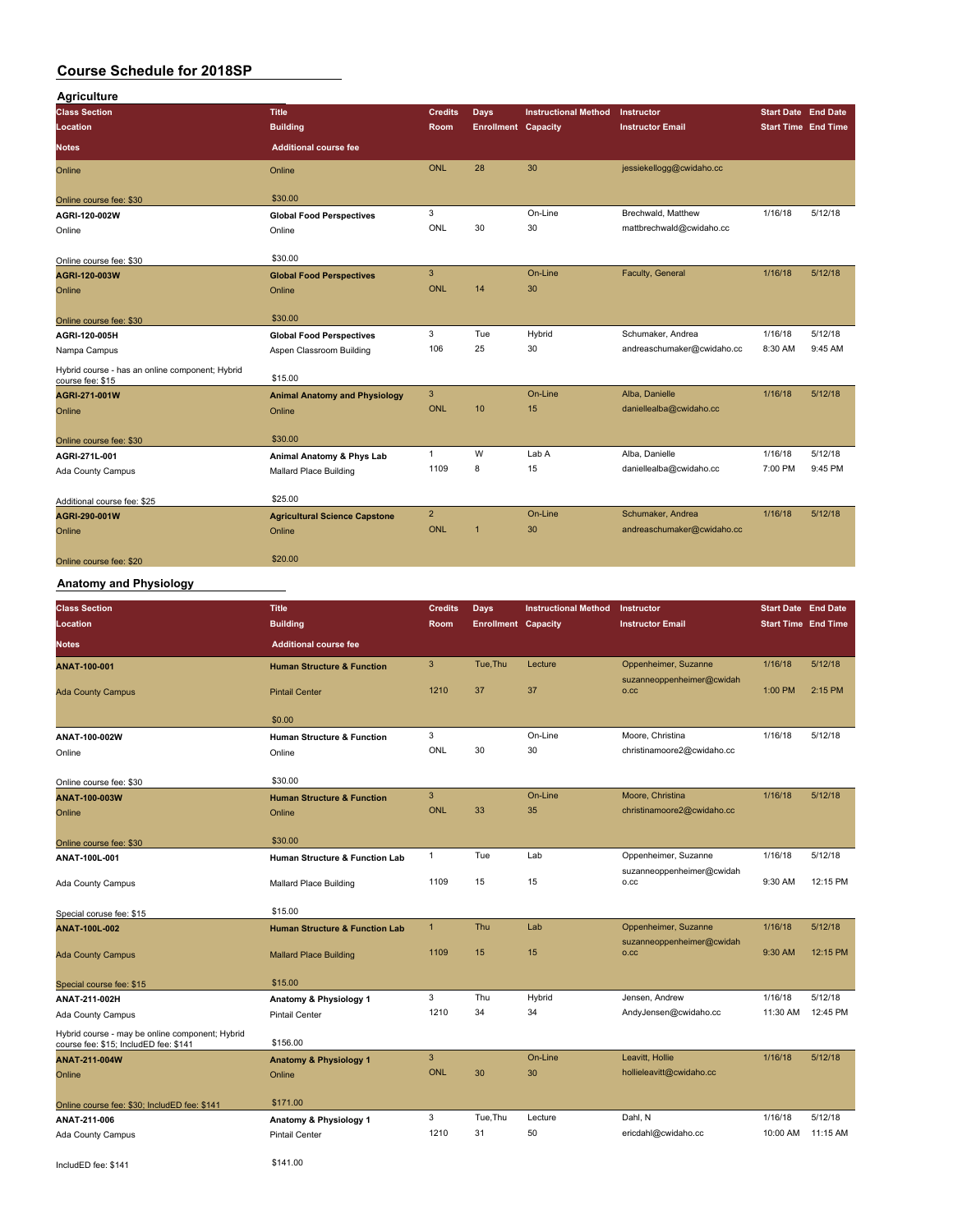| <b>Agriculture</b>                                                  |                                      |                |                            |                             |                            |                            |         |
|---------------------------------------------------------------------|--------------------------------------|----------------|----------------------------|-----------------------------|----------------------------|----------------------------|---------|
| <b>Class Section</b>                                                | <b>Title</b>                         | <b>Credits</b> | <b>Days</b>                | <b>Instructional Method</b> | Instructor                 | <b>Start Date End Date</b> |         |
| Location                                                            | <b>Building</b>                      | <b>Room</b>    | <b>Enrollment Capacity</b> |                             | <b>Instructor Email</b>    | <b>Start Time End Time</b> |         |
| <b>Notes</b>                                                        | <b>Additional course fee</b>         |                |                            |                             |                            |                            |         |
| Online                                                              | Online                               | <b>ONL</b>     | 28                         | 30                          | jessiekellogg@cwidaho.cc   |                            |         |
| Online course fee: \$30                                             | \$30.00                              |                |                            |                             |                            |                            |         |
| AGRI-120-002W                                                       | <b>Global Food Perspectives</b>      | 3              |                            | On-Line                     | Brechwald, Matthew         | 1/16/18                    | 5/12/18 |
| Online                                                              | Online                               | ONL            | 30                         | 30                          | mattbrechwald@cwidaho.cc   |                            |         |
| Online course fee: \$30                                             | \$30.00                              |                |                            |                             |                            |                            |         |
| AGRI-120-003W                                                       | <b>Global Food Perspectives</b>      | 3              |                            | On-Line                     | Faculty, General           | 1/16/18                    | 5/12/18 |
| Online                                                              | Online                               | <b>ONL</b>     | 14                         | 30                          |                            |                            |         |
| Online course fee: \$30                                             | \$30.00                              |                |                            |                             |                            |                            |         |
| AGRI-120-005H                                                       | <b>Global Food Perspectives</b>      | 3              | Tue                        | Hybrid                      | Schumaker, Andrea          | 1/16/18                    | 5/12/18 |
| Nampa Campus                                                        | Aspen Classroom Building             | 106            | 25                         | 30                          | andreaschumaker@cwidaho.cc | 8:30 AM                    | 9:45 AM |
| Hybrid course - has an online component; Hybrid<br>course fee: \$15 | \$15.00                              |                |                            |                             |                            |                            |         |
| AGRI-271-001W                                                       | <b>Animal Anatomy and Physiology</b> | 3              |                            | On-Line                     | Alba, Danielle             | 1/16/18                    | 5/12/18 |
| Online                                                              | Online                               | <b>ONL</b>     | 10                         | 15                          | daniellealba@cwidaho.cc    |                            |         |
| Online course fee: \$30                                             | \$30.00                              |                |                            |                             |                            |                            |         |
| AGRI-271L-001                                                       | Animal Anatomy & Phys Lab            | $\mathbf{1}$   | W                          | Lab A                       | Alba, Danielle             | 1/16/18                    | 5/12/18 |
| Ada County Campus                                                   | Mallard Place Building               | 1109           | 8                          | 15                          | daniellealba@cwidaho.cc    | 7:00 PM                    | 9:45 PM |
| Additional course fee: \$25                                         | \$25.00                              |                |                            |                             |                            |                            |         |
| AGRI-290-001W                                                       | <b>Agricultural Science Capstone</b> | $\overline{2}$ |                            | On-Line                     | Schumaker, Andrea          | 1/16/18                    | 5/12/18 |
| Online                                                              | Online                               | <b>ONL</b>     | $\overline{1}$             | 30                          | andreaschumaker@cwidaho.cc |                            |         |
| Online course fee: \$20                                             | \$20.00                              |                |                            |                             |                            |                            |         |

## **Anatomy and Physiology**

| <b>Class Section</b><br>Location                                                         | <b>Title</b><br><b>Building</b>           | <b>Credits</b><br><b>Room</b> | <b>Days</b><br><b>Enrollment Capacity</b> | <b>Instructional Method</b> | Instructor<br><b>Instructor Email</b> | <b>Start Date End Date</b><br><b>Start Time End Time</b> |          |
|------------------------------------------------------------------------------------------|-------------------------------------------|-------------------------------|-------------------------------------------|-----------------------------|---------------------------------------|----------------------------------------------------------|----------|
| <b>Notes</b>                                                                             | <b>Additional course fee</b>              |                               |                                           |                             |                                       |                                                          |          |
| ANAT-100-001                                                                             | <b>Human Structure &amp; Function</b>     | 3                             | Tue, Thu                                  | Lecture                     | Oppenheimer, Suzanne                  | 1/16/18                                                  | 5/12/18  |
| <b>Ada County Campus</b>                                                                 | <b>Pintail Center</b>                     | 1210                          | 37                                        | 37                          | suzanneoppenheimer@cwidah<br>O.CC     | 1:00 PM                                                  | 2:15 PM  |
|                                                                                          | \$0.00                                    |                               |                                           |                             |                                       |                                                          |          |
| ANAT-100-002W                                                                            | <b>Human Structure &amp; Function</b>     | 3                             |                                           | On-Line                     | Moore, Christina                      | 1/16/18                                                  | 5/12/18  |
| Online                                                                                   | Online                                    | ONL                           | 30                                        | 30                          | christinamoore2@cwidaho.cc            |                                                          |          |
| Online course fee: \$30                                                                  | \$30.00                                   |                               |                                           |                             |                                       |                                                          |          |
| ANAT-100-003W                                                                            | <b>Human Structure &amp; Function</b>     | 3                             |                                           | On-Line                     | Moore, Christina                      | 1/16/18                                                  | 5/12/18  |
| Online                                                                                   | Online                                    | <b>ONL</b>                    | 33                                        | 35                          | christinamoore2@cwidaho.cc            |                                                          |          |
| Online course fee: \$30                                                                  | \$30.00                                   |                               |                                           |                             |                                       |                                                          |          |
| ANAT-100L-001                                                                            | <b>Human Structure &amp; Function Lab</b> | 1                             | Tue                                       | Lab                         | Oppenheimer, Suzanne                  | 1/16/18                                                  | 5/12/18  |
| Ada County Campus                                                                        | Mallard Place Building                    | 1109                          | 15                                        | 15                          | suzanneoppenheimer@cwidah<br>o.cc     | 9:30 AM                                                  | 12:15 PM |
| Special coruse fee: \$15                                                                 | \$15.00                                   |                               |                                           |                             |                                       |                                                          |          |
| <b>ANAT-100L-002</b>                                                                     | <b>Human Structure &amp; Function Lab</b> | $\mathbf{1}$                  | Thu                                       | Lab                         | Oppenheimer, Suzanne                  | 1/16/18                                                  | 5/12/18  |
| <b>Ada County Campus</b>                                                                 | <b>Mallard Place Building</b>             | 1109                          | 15                                        | 15                          | suzanneoppenheimer@cwidah<br>0.CC     | 9:30 AM                                                  | 12:15 PM |
| Special course fee: \$15                                                                 | \$15.00                                   |                               |                                           |                             |                                       |                                                          |          |
| ANAT-211-002H                                                                            | Anatomy & Physiology 1                    | 3                             | Thu                                       | Hybrid                      | Jensen, Andrew                        | 1/16/18                                                  | 5/12/18  |
| Ada County Campus                                                                        | Pintail Center                            | 1210                          | 34                                        | 34                          | AndyJensen@cwidaho.cc                 | 11:30 AM                                                 | 12:45 PM |
| Hybrid course - may be online component; Hybrid<br>course fee: \$15; IncludED fee: \$141 | \$156.00                                  |                               |                                           |                             |                                       |                                                          |          |
| ANAT-211-004W                                                                            | <b>Anatomy &amp; Physiology 1</b>         | 3                             |                                           | On-Line                     | Leavitt, Hollie                       | 1/16/18                                                  | 5/12/18  |
| Online                                                                                   | Online                                    | <b>ONL</b>                    | 30                                        | 30                          | hollieleavitt@cwidaho.cc              |                                                          |          |
| Online course fee: \$30; IncludED fee: \$141                                             | \$171.00                                  |                               |                                           |                             |                                       |                                                          |          |
| ANAT-211-006                                                                             | Anatomy & Physiology 1                    | 3                             | Tue, Thu                                  | Lecture                     | Dahl, N                               | 1/16/18                                                  | 5/12/18  |
| Ada County Campus                                                                        | <b>Pintail Center</b>                     | 1210                          | 31                                        | 50                          | ericdahl@cwidaho.cc                   | 10:00 AM                                                 | 11:15 AM |
| IncludED fee: \$141                                                                      | \$141.00                                  |                               |                                           |                             |                                       |                                                          |          |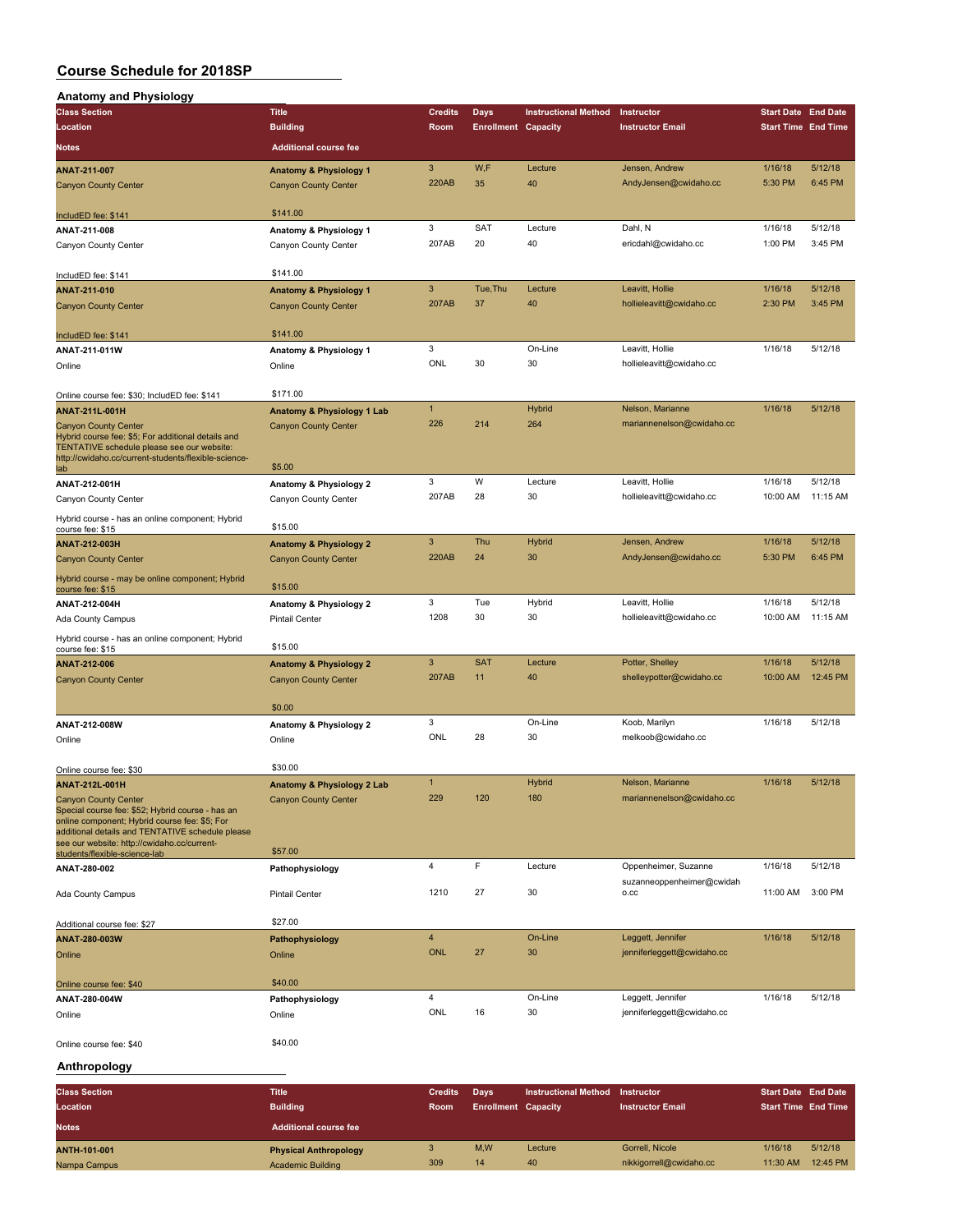| <b>Anatomy and Physiology</b>                                                                                                                                                                                                       |                                                |                |                            |                             |                                                   |                            |          |
|-------------------------------------------------------------------------------------------------------------------------------------------------------------------------------------------------------------------------------------|------------------------------------------------|----------------|----------------------------|-----------------------------|---------------------------------------------------|----------------------------|----------|
| <b>Class Section</b>                                                                                                                                                                                                                | <b>Title</b>                                   | <b>Credits</b> | Days                       | <b>Instructional Method</b> | Instructor                                        | <b>Start Date End Date</b> |          |
| Location                                                                                                                                                                                                                            | <b>Building</b>                                | Room           | <b>Enrollment Capacity</b> |                             | <b>Instructor Email</b>                           | <b>Start Time End Time</b> |          |
| <b>Notes</b>                                                                                                                                                                                                                        | <b>Additional course fee</b>                   |                |                            |                             |                                                   |                            |          |
| ANAT-211-007                                                                                                                                                                                                                        | <b>Anatomy &amp; Physiology 1</b>              | 3              | W,F                        | Lecture                     | Jensen, Andrew                                    | 1/16/18                    | 5/12/18  |
| <b>Canyon County Center</b>                                                                                                                                                                                                         | <b>Canyon County Center</b>                    | 220AB          | 35                         | 40                          | AndyJensen@cwidaho.cc                             | 5:30 PM                    | 6:45 PM  |
| IncludED fee: \$141                                                                                                                                                                                                                 | \$141.00                                       |                |                            |                             |                                                   |                            |          |
| ANAT-211-008                                                                                                                                                                                                                        | Anatomy & Physiology 1                         | 3              | <b>SAT</b>                 | Lecture                     | Dahl, N                                           | 1/16/18                    | 5/12/18  |
| Canyon County Center                                                                                                                                                                                                                | Canyon County Center                           | 207AB          | 20                         | 40                          | ericdahl@cwidaho.cc                               | 1:00 PM                    | 3:45 PM  |
| IncludED fee: \$141                                                                                                                                                                                                                 | \$141.00                                       |                |                            |                             |                                                   |                            |          |
| ANAT-211-010                                                                                                                                                                                                                        | <b>Anatomy &amp; Physiology 1</b>              | $\mathbf{3}$   | Tue, Thu                   | Lecture                     | Leavitt, Hollie                                   | 1/16/18                    | 5/12/18  |
| <b>Canyon County Center</b>                                                                                                                                                                                                         | <b>Canyon County Center</b>                    | 207AB          | 37                         | 40                          | hollieleavitt@cwidaho.cc                          | 2:30 PM                    | 3:45 PM  |
| IncludED fee: \$141                                                                                                                                                                                                                 | \$141.00                                       |                |                            |                             |                                                   |                            |          |
| ANAT-211-011W                                                                                                                                                                                                                       | Anatomy & Physiology 1                         | 3              |                            | On-Line                     | Leavitt, Hollie                                   | 1/16/18                    | 5/12/18  |
| Online                                                                                                                                                                                                                              | Online                                         | ONL            | 30                         | 30                          | hollieleavitt@cwidaho.cc                          |                            |          |
| Online course fee: \$30; IncludED fee: \$141                                                                                                                                                                                        | \$171.00                                       |                |                            |                             |                                                   |                            |          |
| ANAT-211L-001H                                                                                                                                                                                                                      | Anatomy & Physiology 1 Lab                     | $\mathbf{1}$   |                            | Hybrid                      | Nelson, Marianne                                  | 1/16/18                    | 5/12/18  |
| <b>Canyon County Center</b><br>Hybrid course fee: \$5; For additional details and<br>TENTATIVE schedule please see our website:<br>http://cwidaho.cc/current-students/flexible-science-                                             | <b>Canyon County Center</b><br>\$5.00          | 226            | 214                        | 264                         | mariannenelson@cwidaho.cc                         |                            |          |
| lab                                                                                                                                                                                                                                 |                                                | 3              | W                          | Lecture                     | Leavitt, Hollie                                   | 1/16/18                    | 5/12/18  |
| ANAT-212-001H<br>Canyon County Center                                                                                                                                                                                               | Anatomy & Physiology 2<br>Canyon County Center | 207AB          | 28                         | 30                          | hollieleavitt@cwidaho.cc                          | 10:00 AM                   | 11:15 AM |
| Hybrid course - has an online component; Hybrid<br>course fee: \$15                                                                                                                                                                 | \$15.00                                        |                |                            |                             |                                                   |                            |          |
| ANAT-212-003H                                                                                                                                                                                                                       | <b>Anatomy &amp; Physiology 2</b>              | 3              | Thu                        | Hybrid                      | Jensen, Andrew                                    | 1/16/18                    | 5/12/18  |
| <b>Canyon County Center</b>                                                                                                                                                                                                         | <b>Canyon County Center</b>                    | 220AB          | 24                         | 30                          | AndyJensen@cwidaho.cc                             | 5:30 PM                    | 6:45 PM  |
| Hybrid course - may be online component; Hybrid<br>course fee: \$15                                                                                                                                                                 | \$15.00                                        |                |                            |                             |                                                   |                            |          |
| ANAT-212-004H                                                                                                                                                                                                                       | Anatomy & Physiology 2                         | 3              | Tue                        | Hybrid                      | Leavitt, Hollie                                   | 1/16/18                    | 5/12/18  |
| Ada County Campus                                                                                                                                                                                                                   | <b>Pintail Center</b>                          | 1208           | 30                         | 30                          | hollieleavitt@cwidaho.cc                          | 10:00 AM                   | 11:15 AM |
| Hybrid course - has an online component; Hybrid<br>course fee: \$15                                                                                                                                                                 | \$15.00                                        |                |                            |                             |                                                   |                            |          |
| ANAT-212-006                                                                                                                                                                                                                        | <b>Anatomy &amp; Physiology 2</b>              | 3              | <b>SAT</b>                 | Lecture                     | Potter, Shelley                                   | 1/16/18                    | 5/12/18  |
| <b>Canyon County Center</b>                                                                                                                                                                                                         | <b>Canyon County Center</b>                    | 207AB          | 11                         | 40                          | shelleypotter@cwidaho.cc                          | 10:00 AM                   | 12:45 PM |
|                                                                                                                                                                                                                                     | \$0.00                                         |                |                            |                             |                                                   |                            |          |
| ANAT-212-008W                                                                                                                                                                                                                       | Anatomy & Physiology 2                         | 3              |                            | On-Line                     | Koob, Marilyn                                     | 1/16/18                    | 5/12/18  |
| Online                                                                                                                                                                                                                              | Online                                         | ONL            | 28                         | 30                          | melkoob@cwidaho.cc                                |                            |          |
| Online course fee: \$30                                                                                                                                                                                                             | \$30.00                                        |                |                            |                             |                                                   |                            |          |
| ANAT-212L-001H                                                                                                                                                                                                                      | Anatomy & Physiology 2 Lab                     | $\mathbf{1}$   |                            | Hybrid                      | Nelson, Marianne                                  | 1/16/18                    | 5/12/18  |
| <b>Canyon County Center</b><br>Special course fee: \$52; Hybrid course - has an<br>online component; Hybrid course fee: \$5; For<br>additional details and TENTATIVE schedule please<br>see our website: http://cwidaho.cc/current- | <b>Canyon County Center</b>                    | 229            | 120                        | 180                         | mariannenelson@cwidaho.cc                         |                            |          |
| students/flexible-science-lab                                                                                                                                                                                                       | \$57.00                                        |                |                            |                             |                                                   |                            |          |
| ANAT-280-002                                                                                                                                                                                                                        | Pathophysiology                                | $\overline{4}$ | F                          | Lecture                     | Oppenheimer, Suzanne<br>suzanneoppenheimer@cwidah | 1/16/18                    | 5/12/18  |
| Ada County Campus                                                                                                                                                                                                                   | <b>Pintail Center</b>                          | 1210           | 27                         | 30                          | 0.CC                                              | 11:00 AM                   | 3:00 PM  |
| Additional course fee: \$27                                                                                                                                                                                                         | \$27.00                                        |                |                            |                             |                                                   |                            |          |
| ANAT-280-003W                                                                                                                                                                                                                       | Pathophysiology                                | $\overline{4}$ |                            | On-Line                     | Leggett, Jennifer                                 | 1/16/18                    | 5/12/18  |
| Online                                                                                                                                                                                                                              | Online                                         | <b>ONL</b>     | 27                         | 30                          | jenniferleggett@cwidaho.cc                        |                            |          |
| Online course fee: \$40                                                                                                                                                                                                             | \$40.00                                        |                |                            |                             |                                                   |                            |          |
| ANAT-280-004W                                                                                                                                                                                                                       | Pathophysiology                                | 4              |                            | On-Line                     | Leggett, Jennifer                                 | 1/16/18                    | 5/12/18  |
| Online                                                                                                                                                                                                                              | Online                                         | ONL            | 16                         | 30                          | jenniferleggett@cwidaho.cc                        |                            |          |
| Online course fee: \$40                                                                                                                                                                                                             | \$40.00                                        |                |                            |                             |                                                   |                            |          |

#### **Anthropology**

| <b>Class Section</b><br>Location<br><b>Notes</b> | Title<br><b>Building</b><br><b>Additional course fee</b> | <b>Credits</b><br><b>Room</b> | Days<br><b>Enrollment Capacity</b> | <b>Instructional Method</b> | Instructor<br><b>Instructor Email</b> | <b>Start Date End Date</b><br><b>Start Time End Time</b> |          |
|--------------------------------------------------|----------------------------------------------------------|-------------------------------|------------------------------------|-----------------------------|---------------------------------------|----------------------------------------------------------|----------|
| <b>ANTH-101-001</b>                              | <b>Physical Anthropology</b>                             | 309                           | M.W                                | Lecture                     | Gorrell, Nicole                       | 1/16/18                                                  | 5/12/18  |
| Nampa Campus                                     | <b>Academic Building</b>                                 |                               | 14                                 | 40                          | nikkigorrell@cwidaho.cc               | 11:30 AM                                                 | 12:45 PM |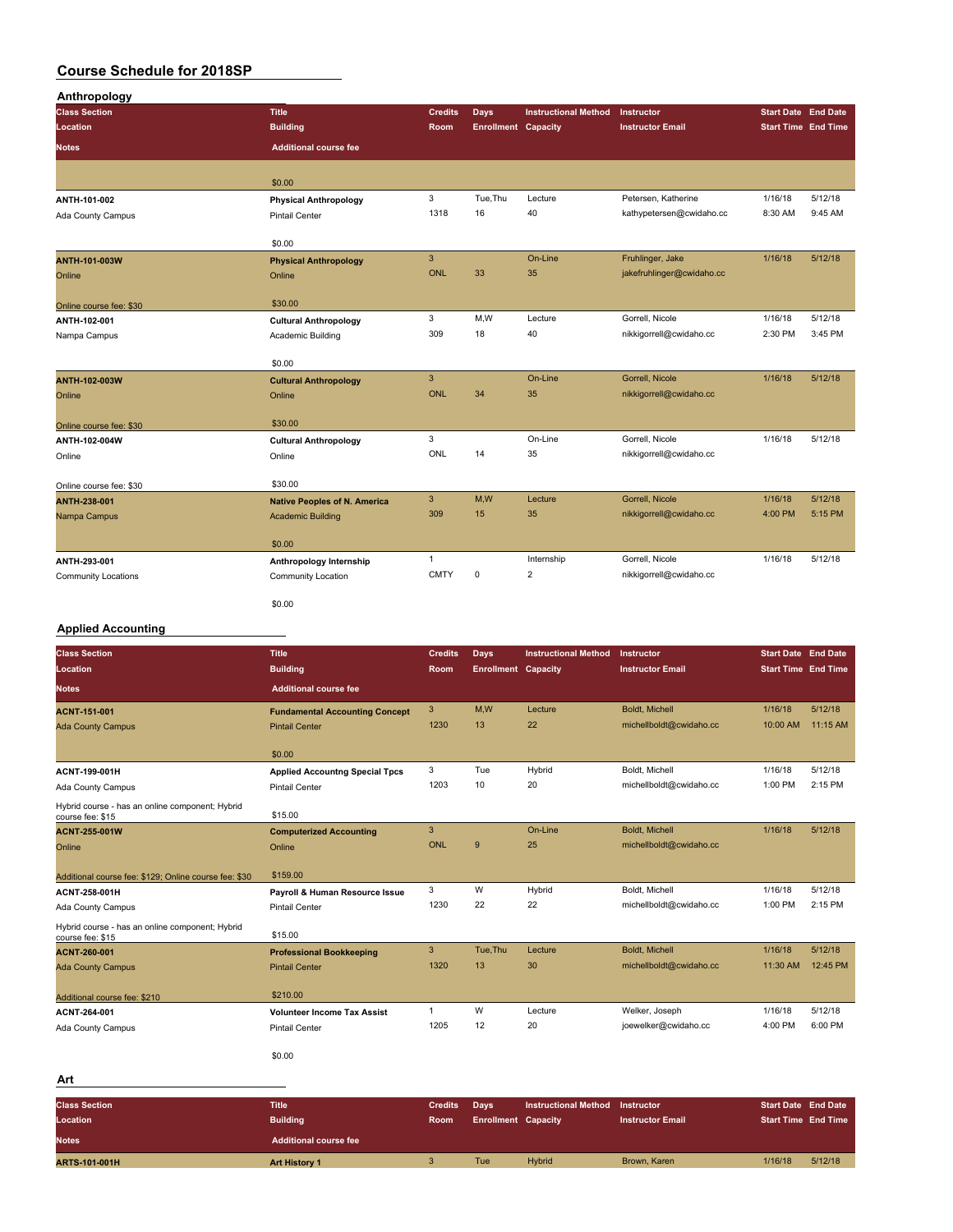| Anthropology               |                                     |                |                            |                             |                           |                            |         |
|----------------------------|-------------------------------------|----------------|----------------------------|-----------------------------|---------------------------|----------------------------|---------|
| <b>Class Section</b>       | <b>Title</b>                        | <b>Credits</b> | <b>Days</b>                | <b>Instructional Method</b> | Instructor                | Start Date End Date        |         |
| Location                   | <b>Building</b>                     | Room           | <b>Enrollment Capacity</b> |                             | <b>Instructor Email</b>   | <b>Start Time End Time</b> |         |
| <b>Notes</b>               | <b>Additional course fee</b>        |                |                            |                             |                           |                            |         |
|                            |                                     |                |                            |                             |                           |                            |         |
|                            | \$0.00                              |                |                            |                             |                           |                            |         |
| ANTH-101-002               | <b>Physical Anthropology</b>        | 3              | Tue, Thu                   | Lecture                     | Petersen, Katherine       | 1/16/18                    | 5/12/18 |
| Ada County Campus          | Pintail Center                      | 1318           | 16                         | 40                          | kathypetersen@cwidaho.cc  | 8:30 AM                    | 9:45 AM |
|                            | \$0.00                              |                |                            |                             |                           |                            |         |
| <b>ANTH-101-003W</b>       | <b>Physical Anthropology</b>        | $\overline{3}$ |                            | On-Line                     | Fruhlinger, Jake          | 1/16/18                    | 5/12/18 |
| Online                     | Online                              | <b>ONL</b>     | 33                         | 35                          | jakefruhlinger@cwidaho.cc |                            |         |
| Online course fee: \$30    | \$30.00                             |                |                            |                             |                           |                            |         |
| ANTH-102-001               | <b>Cultural Anthropology</b>        | 3              | M, W                       | Lecture                     | Gorrell, Nicole           | 1/16/18                    | 5/12/18 |
| Nampa Campus               | Academic Building                   | 309            | 18                         | 40                          | nikkigorrell@cwidaho.cc   | 2:30 PM                    | 3:45 PM |
|                            | \$0.00                              |                |                            |                             |                           |                            |         |
| <b>ANTH-102-003W</b>       | <b>Cultural Anthropology</b>        | 3              |                            | On-Line                     | Gorrell, Nicole           | 1/16/18                    | 5/12/18 |
| Online                     | Online                              | ONL            | 34                         | 35                          | nikkigorrell@cwidaho.cc   |                            |         |
| Online course fee: \$30    | \$30.00                             |                |                            |                             |                           |                            |         |
| ANTH-102-004W              | <b>Cultural Anthropology</b>        | 3              |                            | On-Line                     | Gorrell, Nicole           | 1/16/18                    | 5/12/18 |
| Online                     | Online                              | <b>ONL</b>     | 14                         | 35                          | nikkigorrell@cwidaho.cc   |                            |         |
| Online course fee: \$30    | \$30.00                             |                |                            |                             |                           |                            |         |
| <b>ANTH-238-001</b>        | <b>Native Peoples of N. America</b> | $\mathbf{3}$   | M,W                        | Lecture                     | Gorrell, Nicole           | 1/16/18                    | 5/12/18 |
| Nampa Campus               | <b>Academic Building</b>            | 309            | 15                         | 35                          | nikkigorrell@cwidaho.cc   | 4:00 PM                    | 5:15 PM |
|                            | \$0.00                              |                |                            |                             |                           |                            |         |
| ANTH-293-001               | Anthropology Internship             | $\mathbf{1}$   |                            | Internship                  | Gorrell, Nicole           | 1/16/18                    | 5/12/18 |
| <b>Community Locations</b> | Community Location                  | <b>CMTY</b>    | $\mathsf 0$                | $\overline{\mathbf{2}}$     | nikkigorrell@cwidaho.cc   |                            |         |
|                            | \$0.00                              |                |                            |                             |                           |                            |         |

## **Applied Accounting**

| <b>Class Section</b>                                                | <b>Title</b>                          | <b>Credits</b> | Days                       | <b>Instructional Method</b> | Instructor              | <b>Start Date End Date</b><br><b>Start Time End Time</b> |          |
|---------------------------------------------------------------------|---------------------------------------|----------------|----------------------------|-----------------------------|-------------------------|----------------------------------------------------------|----------|
| Location                                                            | <b>Building</b>                       | <b>Room</b>    | <b>Enrollment</b> Capacity |                             | <b>Instructor Email</b> |                                                          |          |
| <b>Notes</b>                                                        | <b>Additional course fee</b>          |                |                            |                             |                         |                                                          |          |
| <b>ACNT-151-001</b>                                                 | <b>Fundamental Accounting Concept</b> | 3              | M.W                        | Lecture                     | Boldt. Michell          | 1/16/18                                                  | 5/12/18  |
| <b>Ada County Campus</b>                                            | <b>Pintail Center</b>                 | 1230           | 13                         | 22                          | michellboldt@cwidaho.cc | 10:00 AM                                                 | 11:15 AM |
|                                                                     |                                       |                |                            |                             |                         |                                                          |          |
|                                                                     | \$0.00                                |                |                            |                             |                         |                                                          |          |
| ACNT-199-001H                                                       | <b>Applied Accountng Special Tpcs</b> | 3              | Tue                        | Hybrid                      | Boldt, Michell          | 1/16/18                                                  | 5/12/18  |
| Ada County Campus                                                   | <b>Pintail Center</b>                 | 1203           | 10                         | 20                          | michellboldt@cwidaho.cc | 1:00 PM                                                  | 2:15 PM  |
| Hybrid course - has an online component; Hybrid<br>course fee: \$15 | \$15.00                               |                |                            |                             |                         |                                                          |          |
| <b>ACNT-255-001W</b>                                                | <b>Computerized Accounting</b>        | 3              |                            | On-Line                     | Boldt. Michell          | 1/16/18                                                  | 5/12/18  |
| Online                                                              | Online                                | <b>ONL</b>     | 9                          | 25                          | michellboldt@cwidaho.cc |                                                          |          |
|                                                                     | \$159.00                              |                |                            |                             |                         |                                                          |          |
| Additional course fee: \$129; Online course fee: \$30               |                                       | 3              | W                          | Hybrid                      | Boldt, Michell          | 1/16/18                                                  | 5/12/18  |
| ACNT-258-001H                                                       | Payroll & Human Resource Issue        | 1230           | 22                         |                             |                         | 1:00 PM                                                  | 2:15 PM  |
| Ada County Campus                                                   | <b>Pintail Center</b>                 |                |                            | 22                          | michellboldt@cwidaho.cc |                                                          |          |
| Hybrid course - has an online component; Hybrid<br>course fee: \$15 | \$15.00                               |                |                            |                             |                         |                                                          |          |
| ACNT-260-001                                                        | <b>Professional Bookkeeping</b>       | 3              | Tue.Thu                    | Lecture                     | Boldt. Michell          | 1/16/18                                                  | 5/12/18  |
| <b>Ada County Campus</b>                                            | <b>Pintail Center</b>                 | 1320           | 13                         | 30                          | michellboldt@cwidaho.cc | 11:30 AM                                                 | 12:45 PM |
| Additional course fee: \$210                                        | \$210.00                              |                |                            |                             |                         |                                                          |          |
| ACNT-264-001                                                        | <b>Volunteer Income Tax Assist</b>    | $\mathbf{1}$   | W                          | Lecture                     | Welker, Joseph          | 1/16/18                                                  | 5/12/18  |
| Ada County Campus                                                   | <b>Pintail Center</b>                 | 1205           | 12                         | 20                          | joewelker@cwidaho.cc    | 4:00 PM                                                  | 6:00 PM  |
|                                                                     | \$0.00                                |                |                            |                             |                         |                                                          |          |
| Art                                                                 |                                       |                |                            |                             |                         |                                                          |          |
| <b>Class Section</b>                                                | <b>Title</b>                          | <b>Credits</b> | Days,                      | <b>Instructional Method</b> | Instructor              | <b>Start Date End Date</b>                               |          |

| <b>Class Section</b> | <b>Title</b>                 | <b>Credits</b> | Davs                       | <b>Instructional Method</b> | Instructor              | <b>Start Date End Date</b> |                            |
|----------------------|------------------------------|----------------|----------------------------|-----------------------------|-------------------------|----------------------------|----------------------------|
| Location             | <b>Building</b>              | <b>Room</b>    | <b>Enrollment Capacity</b> |                             | <b>Instructor Email</b> |                            | <b>Start Time End Time</b> |
| <b>Notes</b>         | <b>Additional course fee</b> |                |                            |                             |                         |                            |                            |
| <b>ARTS-101-001H</b> | <b>Art History 1</b>         |                | Tue                        | <b>Hybrid</b>               | Brown, Karen            | 1/16/18                    | 5/12/18                    |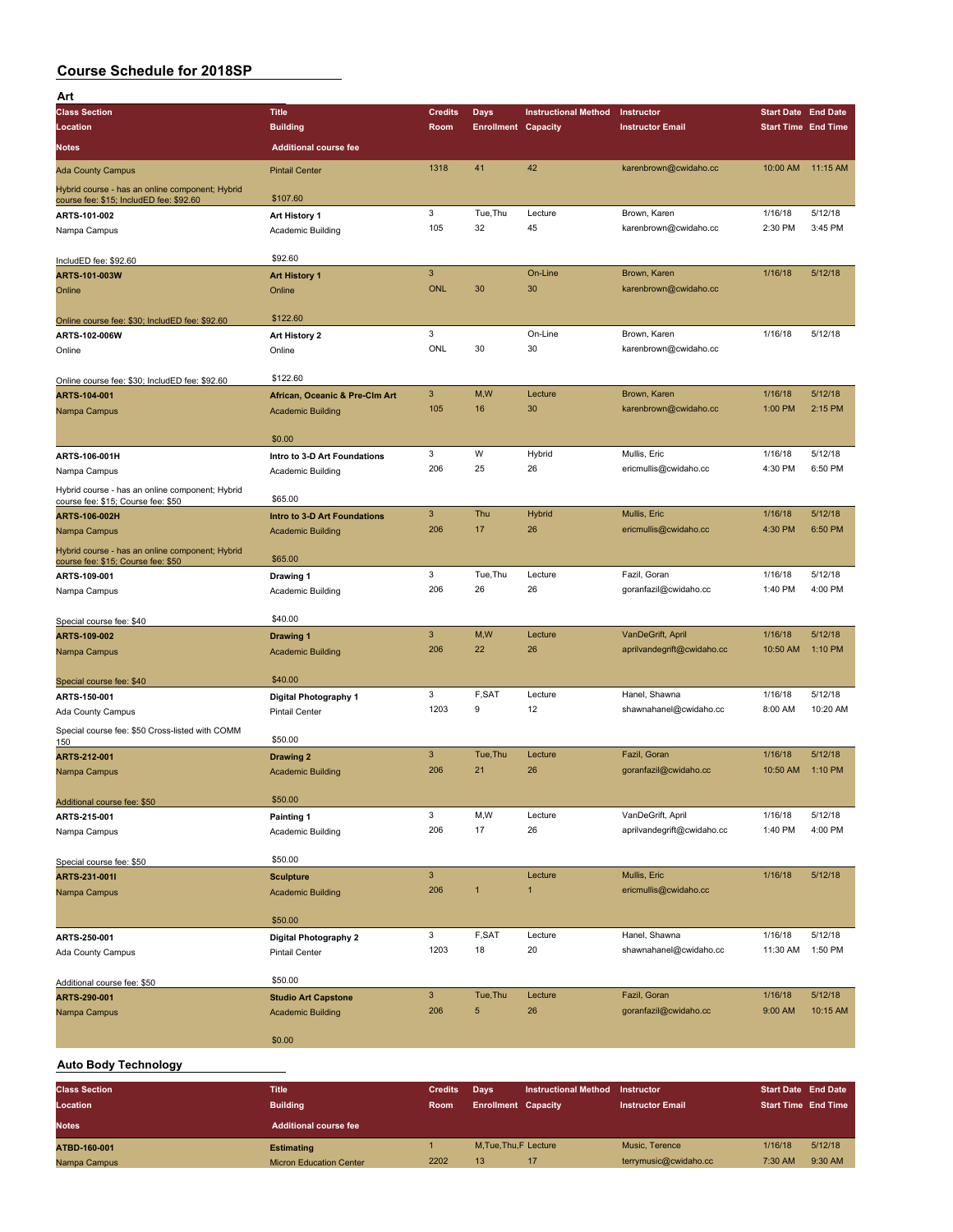| Art                                                                                        |                                                        |                           |                            |                             |                            |                            |          |
|--------------------------------------------------------------------------------------------|--------------------------------------------------------|---------------------------|----------------------------|-----------------------------|----------------------------|----------------------------|----------|
| <b>Class Section</b>                                                                       | <b>Title</b>                                           | <b>Credits</b>            | Days                       | <b>Instructional Method</b> | Instructor                 | <b>Start Date End Date</b> |          |
| Location                                                                                   | <b>Building</b>                                        | Room                      | <b>Enrollment Capacity</b> |                             | <b>Instructor Email</b>    | <b>Start Time End Time</b> |          |
| Notes                                                                                      | <b>Additional course fee</b>                           |                           |                            |                             |                            |                            |          |
| <b>Ada County Campus</b>                                                                   | <b>Pintail Center</b>                                  | 1318                      | 41                         | 42                          | karenbrown@cwidaho.cc      | 10:00 AM                   | 11:15 AM |
| Hybrid course - has an online component; Hybrid<br>course fee: \$15; IncludED fee: \$92.60 | \$107.60                                               |                           |                            |                             |                            |                            |          |
| ARTS-101-002                                                                               | Art History 1                                          | 3                         | Tue, Thu                   | Lecture                     | Brown, Karen               | 1/16/18                    | 5/12/18  |
| Nampa Campus                                                                               | Academic Building                                      | 105                       | 32                         | 45                          | karenbrown@cwidaho.cc      | 2:30 PM                    | 3:45 PM  |
| IncludED fee: \$92.60                                                                      | \$92.60                                                |                           |                            |                             |                            |                            |          |
| ARTS-101-003W                                                                              | <b>Art History 1</b>                                   | $\ensuremath{\mathsf{3}}$ |                            | On-Line                     | Brown, Karen               | 1/16/18                    | 5/12/18  |
| Online                                                                                     | Online                                                 | <b>ONL</b>                | 30                         | 30                          | karenbrown@cwidaho.cc      |                            |          |
| Online course fee: \$30; IncludED fee: \$92.60                                             | \$122.60                                               |                           |                            |                             |                            |                            |          |
| ARTS-102-006W                                                                              | Art History 2                                          | 3                         |                            | On-Line                     | Brown, Karen               | 1/16/18                    | 5/12/18  |
| Online                                                                                     | Online                                                 | ONL                       | 30                         | 30                          | karenbrown@cwidaho.cc      |                            |          |
| Online course fee: \$30; IncludED fee: \$92.60                                             | \$122.60                                               |                           |                            |                             |                            |                            |          |
| ARTS-104-001                                                                               | African, Oceanic & Pre-Clm Art                         | $\mathbf{3}$              | M,W                        | Lecture                     | Brown, Karen               | 1/16/18                    | 5/12/18  |
| Nampa Campus                                                                               | <b>Academic Building</b>                               | 105                       | 16                         | 30                          | karenbrown@cwidaho.cc      | 1:00 PM                    | 2:15 PM  |
|                                                                                            | \$0.00                                                 |                           |                            |                             |                            |                            |          |
| ARTS-106-001H                                                                              | Intro to 3-D Art Foundations                           | 3                         | W                          | Hybrid                      | Mullis, Eric               | 1/16/18                    | 5/12/18  |
| Nampa Campus                                                                               | Academic Building                                      | 206                       | 25                         | 26                          | ericmullis@cwidaho.cc      | 4:30 PM                    | 6:50 PM  |
| Hybrid course - has an online component; Hybrid                                            | \$65.00                                                |                           |                            |                             |                            |                            |          |
| course fee: \$15; Course fee: \$50<br>ARTS-106-002H                                        | Intro to 3-D Art Foundations                           | $\mathbf{3}$              | Thu                        | Hybrid                      | Mullis, Eric               | 1/16/18                    | 5/12/18  |
| Nampa Campus                                                                               | <b>Academic Building</b>                               | 206                       | 17                         | 26                          | ericmullis@cwidaho.cc      | 4:30 PM                    | 6:50 PM  |
| Hybrid course - has an online component; Hybrid                                            |                                                        |                           |                            |                             |                            |                            |          |
| course fee: \$15; Course fee: \$50<br>ARTS-109-001                                         | \$65.00                                                | 3                         | Tue, Thu                   | Lecture                     | Fazil, Goran               | 1/16/18                    | 5/12/18  |
| Nampa Campus                                                                               | Drawing 1<br>Academic Building                         | 206                       | 26                         | 26                          | goranfazil@cwidaho.cc      | 1:40 PM                    | 4:00 PM  |
|                                                                                            |                                                        |                           |                            |                             |                            |                            |          |
| Special course fee: \$40                                                                   | \$40.00                                                |                           |                            |                             |                            |                            |          |
| ARTS-109-002                                                                               | <b>Drawing 1</b>                                       | $\mathbf{3}$              | M,W                        | Lecture                     | VanDeGrift, April          | 1/16/18                    | 5/12/18  |
| Nampa Campus                                                                               | <b>Academic Building</b>                               | 206                       | 22                         | 26                          | aprilvandegrift@cwidaho.cc | 10:50 AM                   | 1:10 PM  |
| Special course fee: \$40                                                                   | \$40.00                                                |                           |                            |                             |                            |                            |          |
| ARTS-150-001                                                                               | <b>Digital Photography 1</b>                           | 3                         | F,SAT                      | Lecture                     | Hanel, Shawna              | 1/16/18                    | 5/12/18  |
| Ada County Campus                                                                          | <b>Pintail Center</b>                                  | 1203                      | 9                          | 12                          | shawnahanel@cwidaho.cc     | 8:00 AM                    | 10:20 AM |
| Special course fee: \$50 Cross-listed with COMM<br>150                                     | \$50.00                                                |                           |                            |                             |                            |                            |          |
| ARTS-212-001                                                                               | Drawing 2                                              | $\mathbf{3}$              | Tue, Thu                   | Lecture                     | Fazil, Goran               | 1/16/18                    | 5/12/18  |
| Nampa Campus                                                                               | <b>Academic Building</b>                               | 206                       | 21                         | 26                          | goranfazil@cwidaho.cc      | 10:50 AM                   | 1:10 PM  |
| Additional course fee: \$50                                                                | \$50.00                                                |                           |                            |                             |                            |                            |          |
| ARTS-215-001                                                                               | Painting 1                                             | 3                         | M,W                        | Lecture                     | VanDeGrift, April          | 1/16/18                    | 5/12/18  |
| Nampa Campus                                                                               | Academic Building                                      | 206                       | 17                         | 26                          | aprilvandegrift@cwidaho.cc | 1:40 PM                    | 4:00 PM  |
| Special course fee: \$50                                                                   | \$50.00                                                |                           |                            |                             |                            |                            |          |
| ARTS-231-001I                                                                              | <b>Sculpture</b>                                       | $\ensuremath{\mathsf{3}}$ |                            | Lecture                     | Mullis, Eric               | 1/16/18                    | 5/12/18  |
| Nampa Campus                                                                               | <b>Academic Building</b>                               | 206                       | $\mathbf{1}$               | $\mathbf{1}$                | ericmullis@cwidaho.cc      |                            |          |
|                                                                                            | \$50.00                                                |                           |                            |                             |                            |                            |          |
| ARTS-250-001                                                                               | Digital Photography 2                                  | 3                         | F,SAT                      | Lecture                     | Hanel, Shawna              | 1/16/18                    | 5/12/18  |
| Ada County Campus                                                                          | <b>Pintail Center</b>                                  | 1203                      | 18                         | 20                          | shawnahanel@cwidaho.cc     | 11:30 AM                   | 1:50 PM  |
|                                                                                            |                                                        |                           |                            |                             |                            |                            |          |
| Additional course fee: \$50                                                                | \$50.00                                                | $\mathbf{3}$              | Tue, Thu                   | Lecture                     | Fazil, Goran               | 1/16/18                    | 5/12/18  |
| ARTS-290-001<br>Nampa Campus                                                               | <b>Studio Art Capstone</b><br><b>Academic Building</b> | 206                       | 5                          | 26                          | goranfazil@cwidaho.cc      | 9:00 AM                    | 10:15 AM |
|                                                                                            |                                                        |                           |                            |                             |                            |                            |          |
|                                                                                            | \$0.00                                                 |                           |                            |                             |                            |                            |          |
| <b>Auto Body Technology</b>                                                                |                                                        |                           |                            |                             |                            |                            |          |

**Class Section Title Credits Days Instructional Method Instructor Start Date End Date Location Building Room Enrollment Capacity Instructor Email Start Time End Time Notes Additional course fee ATBD-160-001 Estimating Extincting 1** M,Tue,Thu,F Lecture Music, Terence 1/16/18 5/12/18 Nampa Campus Micron Education Center 2202 13 17 terrymusic@cwidaho.cc 7:30 AM 9:30 AM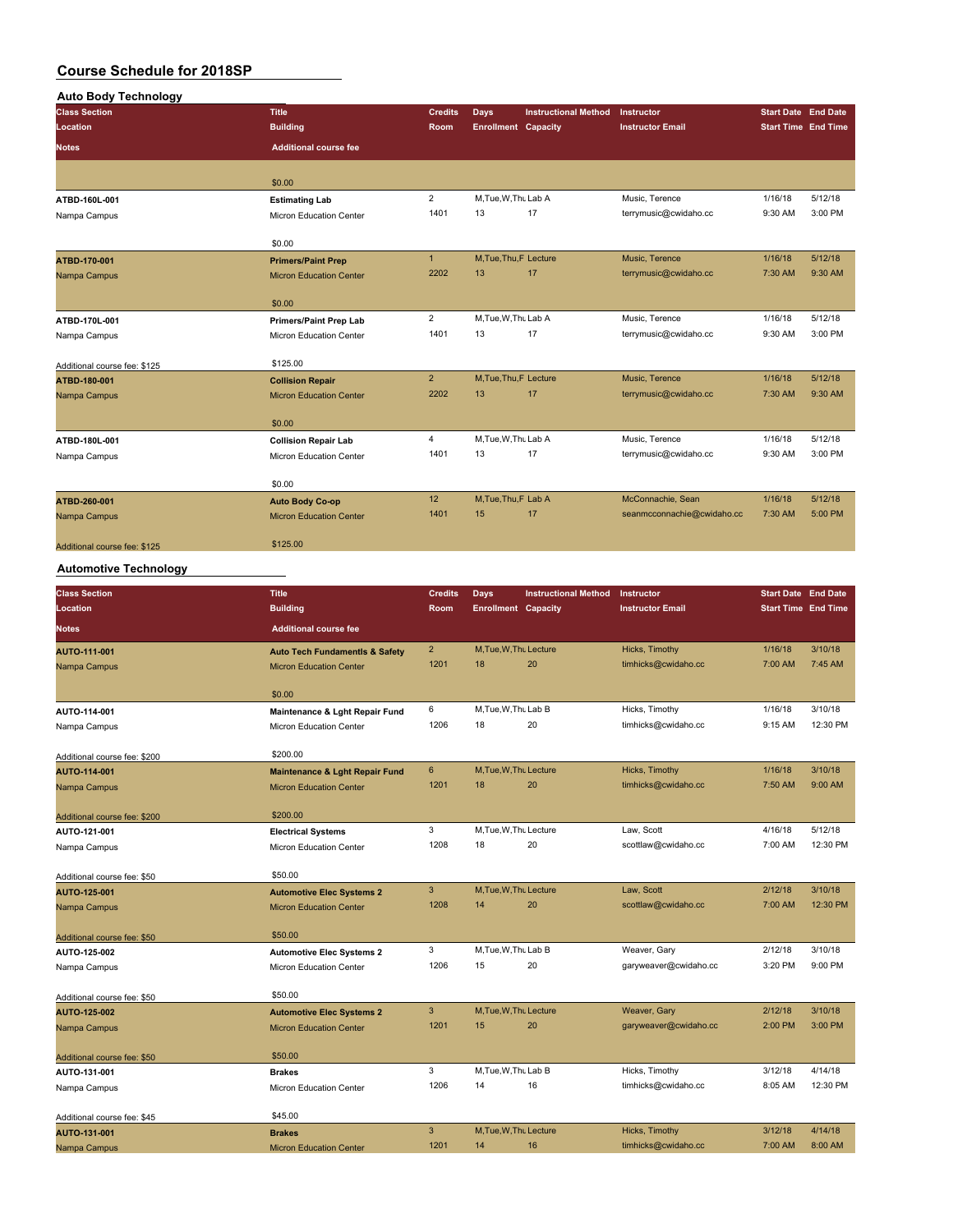| <b>Auto Body Technology</b>  |                                |                |                            |                             |                            |                                                                                                                 |         |
|------------------------------|--------------------------------|----------------|----------------------------|-----------------------------|----------------------------|-----------------------------------------------------------------------------------------------------------------|---------|
| <b>Class Section</b>         | <b>Title</b>                   | <b>Credits</b> | Days                       | <b>Instructional Method</b> | Instructor                 |                                                                                                                 |         |
| Location                     | <b>Building</b>                | Room           | <b>Enrollment Capacity</b> |                             | <b>Instructor Email</b>    |                                                                                                                 |         |
| <b>Notes</b>                 | <b>Additional course fee</b>   |                |                            |                             |                            |                                                                                                                 |         |
|                              | \$0.00                         |                |                            |                             |                            |                                                                                                                 |         |
| ATBD-160L-001                | <b>Estimating Lab</b>          | $\overline{2}$ | M.Tue, W.Thu Lab A         |                             | Music, Terence             | 1/16/18                                                                                                         | 5/12/18 |
| Nampa Campus                 | Micron Education Center        | 1401           | 13                         | 17                          | terrymusic@cwidaho.cc      | 9:30 AM                                                                                                         | 3:00 PM |
|                              | \$0.00                         |                |                            |                             |                            |                                                                                                                 |         |
| ATBD-170-001                 | <b>Primers/Paint Prep</b>      | $\mathbf{1}$   | M, Tue, Thu, F Lecture     |                             | Music, Terence             | 1/16/18                                                                                                         | 5/12/18 |
| Nampa Campus                 | <b>Micron Education Center</b> | 2202           | 13                         | 17                          | terrymusic@cwidaho.cc      | 7:30 AM                                                                                                         | 9:30 AM |
|                              | \$0.00                         |                |                            |                             |                            |                                                                                                                 |         |
| ATBD-170L-001                | <b>Primers/Paint Prep Lab</b>  | $\overline{2}$ | M, Tue, W, Thu Lab A       |                             | Music, Terence             | 1/16/18                                                                                                         | 5/12/18 |
| Nampa Campus                 | Micron Education Center        | 1401           | 13                         | 17                          | terrymusic@cwidaho.cc      | 9:30 AM                                                                                                         | 3:00 PM |
| Additional course fee: \$125 | \$125.00                       |                |                            |                             |                            |                                                                                                                 |         |
| ATBD-180-001                 | <b>Collision Repair</b>        | $\overline{2}$ | M.Tue.Thu.F Lecture        |                             | Music, Terence             | 1/16/18                                                                                                         | 5/12/18 |
| Nampa Campus                 | <b>Micron Education Center</b> | 2202           | 13                         | 17                          | terrymusic@cwidaho.cc      | <b>Start Date End Date</b><br><b>Start Time End Time</b><br>7:30 AM<br>1/16/18<br>9:30 AM<br>1/16/18<br>7:30 AM | 9:30 AM |
|                              | \$0.00                         |                |                            |                             |                            |                                                                                                                 |         |
| ATBD-180L-001                | <b>Collision Repair Lab</b>    | $\overline{4}$ | M, Tue, W, Thu Lab A       |                             | Music, Terence             |                                                                                                                 | 5/12/18 |
| Nampa Campus                 | Micron Education Center        | 1401           | 13                         | 17                          | terrymusic@cwidaho.cc      |                                                                                                                 | 3:00 PM |
|                              | \$0.00                         |                |                            |                             |                            |                                                                                                                 |         |
| ATBD-260-001                 | <b>Auto Body Co-op</b>         | 12             | M.Tue.Thu.F Lab A          |                             | McConnachie, Sean          |                                                                                                                 | 5/12/18 |
| Nampa Campus                 | <b>Micron Education Center</b> | 1401           | 15                         | 17                          | seanmcconnachie@cwidaho.cc |                                                                                                                 | 5:00 PM |
| Additional course fee: \$125 | \$125.00                       |                |                            |                             |                            |                                                                                                                 |         |

## **Automotive Technology**

| <b>Class Section</b>         | <b>Title</b>                              | <b>Credits</b> | <b>Days</b>                | <b>Instructional Method</b> | Instructor              | <b>Start Date End Date</b> |          |
|------------------------------|-------------------------------------------|----------------|----------------------------|-----------------------------|-------------------------|----------------------------|----------|
| Location                     | <b>Building</b>                           | Room           | <b>Enrollment Capacity</b> |                             | <b>Instructor Email</b> | <b>Start Time End Time</b> |          |
| <b>Notes</b>                 | <b>Additional course fee</b>              |                |                            |                             |                         |                            |          |
| AUTO-111-001                 | <b>Auto Tech Fundamentls &amp; Safety</b> | $\overline{2}$ | M.Tue.W.Thu Lecture        |                             | Hicks, Timothy          | 1/16/18                    | 3/10/18  |
| Nampa Campus                 | <b>Micron Education Center</b>            | 1201           | 18                         | 20                          | timhicks@cwidaho.cc     | 7:00 AM                    | 7:45 AM  |
|                              |                                           |                |                            |                             |                         |                            |          |
| AUTO-114-001                 | \$0.00                                    | 6              | M, Tue, W, Thu Lab B       |                             | Hicks, Timothy          | 1/16/18                    | 3/10/18  |
|                              | Maintenance & Lght Repair Fund            | 1206           | 18                         | 20                          | timhicks@cwidaho.cc     | 9:15 AM                    | 12:30 PM |
| Nampa Campus                 | Micron Education Center                   |                |                            |                             |                         |                            |          |
| Additional course fee: \$200 | \$200.00                                  |                |                            |                             |                         |                            |          |
| AUTO-114-001                 | <b>Maintenance &amp; Lght Repair Fund</b> | $6\phantom{a}$ | M.Tue.W.Thu Lecture        |                             | Hicks, Timothy          | 1/16/18                    | 3/10/18  |
| Nampa Campus                 | <b>Micron Education Center</b>            | 1201           | 18                         | 20                          | timhicks@cwidaho.cc     | 7:50 AM                    | 9:00 AM  |
|                              |                                           |                |                            |                             |                         |                            |          |
| Additional course fee: \$200 | \$200.00                                  |                |                            |                             |                         |                            |          |
| AUTO-121-001                 | <b>Electrical Systems</b>                 | 3              | M, Tue, W, Thu Lecture     |                             | Law, Scott              | 4/16/18                    | 5/12/18  |
| Nampa Campus                 | Micron Education Center                   | 1208           | 18                         | 20                          | scottlaw@cwidaho.cc     | 7:00 AM                    | 12:30 PM |
| Additional course fee: \$50  | \$50.00                                   |                |                            |                             |                         |                            |          |
| AUTO-125-001                 | <b>Automotive Elec Systems 2</b>          | 3              | M, Tue, W, Thu Lecture     |                             | Law, Scott              | 2/12/18                    | 3/10/18  |
| Nampa Campus                 | <b>Micron Education Center</b>            | 1208           | 14                         | 20                          | scottlaw@cwidaho.cc     | 7:00 AM                    | 12:30 PM |
|                              |                                           |                |                            |                             |                         |                            |          |
| Additional course fee: \$50  | \$50.00                                   |                |                            |                             |                         |                            |          |
| AUTO-125-002                 | <b>Automotive Elec Systems 2</b>          | 3              | M.Tue, W.Thu Lab B         |                             | Weaver, Gary            | 2/12/18                    | 3/10/18  |
| Nampa Campus                 | Micron Education Center                   | 1206           | 15                         | 20                          | garyweaver@cwidaho.cc   | 3:20 PM                    | 9:00 PM  |
| Additional course fee: \$50  | \$50.00                                   |                |                            |                             |                         |                            |          |
| AUTO-125-002                 | <b>Automotive Elec Systems 2</b>          | 3              | M, Tue, W, Thu Lecture     |                             | Weaver, Gary            | 2/12/18                    | 3/10/18  |
| Nampa Campus                 | <b>Micron Education Center</b>            | 1201           | 15                         | 20                          | garyweaver@cwidaho.cc   | 2:00 PM                    | 3:00 PM  |
|                              |                                           |                |                            |                             |                         |                            |          |
| Additional course fee: \$50  | \$50.00                                   |                |                            |                             |                         |                            |          |
| AUTO-131-001                 | <b>Brakes</b>                             | 3              | M.Tue, W.Thu Lab B         |                             | Hicks, Timothy          | 3/12/18                    | 4/14/18  |
| Nampa Campus                 | Micron Education Center                   | 1206           | 14                         | 16                          | timhicks@cwidaho.cc     | 8:05 AM                    | 12:30 PM |
| Additional course fee: \$45  | \$45.00                                   |                |                            |                             |                         |                            |          |
| AUTO-131-001                 | <b>Brakes</b>                             | 3              | M.Tue.W.Thu Lecture        |                             | Hicks, Timothy          | 3/12/18                    | 4/14/18  |
| Nampa Campus                 | <b>Micron Education Center</b>            | 1201           | 14                         | 16                          | timhicks@cwidaho.cc     | 7:00 AM                    | 8:00 AM  |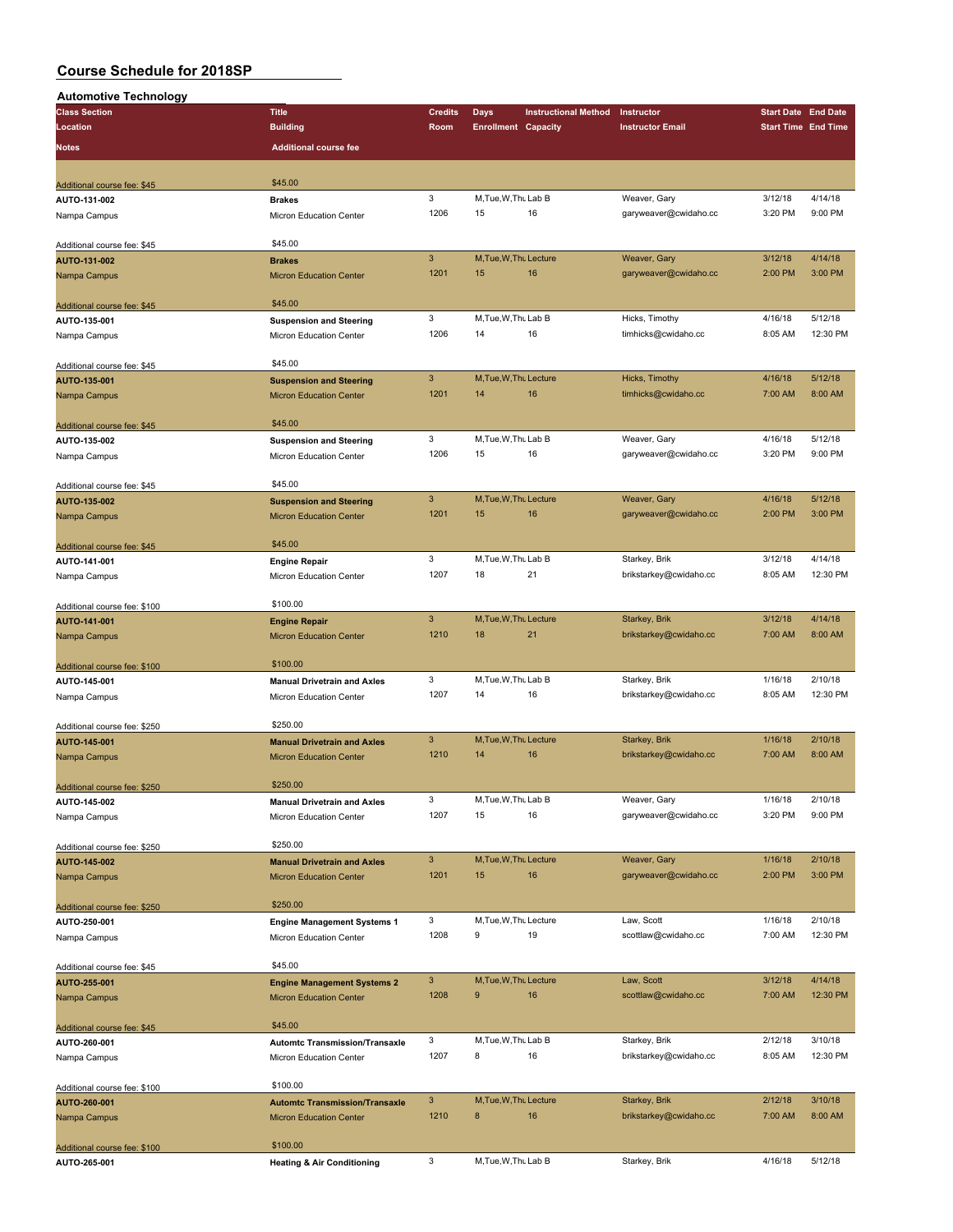| <b>Automotive Technology</b>                |                                       |                           |                            |                             |                         |         |                            |
|---------------------------------------------|---------------------------------------|---------------------------|----------------------------|-----------------------------|-------------------------|---------|----------------------------|
| <b>Class Section</b>                        | <b>Title</b>                          | <b>Credits</b>            | <b>Days</b>                | <b>Instructional Method</b> | Instructor              |         | <b>Start Date End Date</b> |
| Location                                    | <b>Building</b>                       | Room                      | <b>Enrollment Capacity</b> |                             | <b>Instructor Email</b> |         | <b>Start Time End Time</b> |
| Notes                                       | <b>Additional course fee</b>          |                           |                            |                             |                         |         |                            |
|                                             |                                       |                           |                            |                             |                         |         |                            |
|                                             |                                       |                           |                            |                             |                         |         |                            |
| Additional course fee: \$45                 | \$45.00                               | 3                         | M, Tue, W, Thu Lab B       |                             | Weaver, Gary            | 3/12/18 | 4/14/18                    |
| AUTO-131-002                                | <b>Brakes</b>                         | 1206                      | 15                         | 16                          | garyweaver@cwidaho.cc   | 3:20 PM | 9:00 PM                    |
| Nampa Campus                                | Micron Education Center               |                           |                            |                             |                         |         |                            |
| Additional course fee: \$45                 | \$45.00                               |                           |                            |                             |                         |         |                            |
| AUTO-131-002                                | <b>Brakes</b>                         | $\mathbf{3}$              | M, Tue, W, Thu Lecture     |                             | Weaver, Gary            | 3/12/18 | 4/14/18                    |
| Nampa Campus                                | <b>Micron Education Center</b>        | 1201                      | 15                         | 16                          | garyweaver@cwidaho.cc   | 2:00 PM | 3:00 PM                    |
|                                             |                                       |                           |                            |                             |                         |         |                            |
| Additional course fee: \$45                 | \$45.00                               |                           |                            |                             |                         |         |                            |
| AUTO-135-001                                | <b>Suspension and Steering</b>        | 3                         | M, Tue, W, Thu Lab B       |                             | Hicks, Timothy          | 4/16/18 | 5/12/18                    |
| Nampa Campus                                | Micron Education Center               | 1206                      | 14                         | 16                          | timhicks@cwidaho.cc     | 8:05 AM | 12:30 PM                   |
|                                             |                                       |                           |                            |                             |                         |         |                            |
| Additional course fee: \$45                 | \$45.00                               |                           |                            |                             |                         |         | 5/12/18                    |
| AUTO-135-001                                | <b>Suspension and Steering</b>        | $\mathbf{3}$              | M, Tue, W, Thu Lecture     |                             | Hicks, Timothy          | 4/16/18 |                            |
| Nampa Campus                                | <b>Micron Education Center</b>        | 1201                      | 14                         | 16                          | timhicks@cwidaho.cc     | 7:00 AM | 8:00 AM                    |
|                                             | \$45.00                               |                           |                            |                             |                         |         |                            |
| Additional course fee: \$45<br>AUTO-135-002 | <b>Suspension and Steering</b>        | 3                         | M, Tue, W, Thu Lab B       |                             | Weaver, Gary            | 4/16/18 | 5/12/18                    |
| Nampa Campus                                | Micron Education Center               | 1206                      | 15                         | 16                          | garyweaver@cwidaho.cc   | 3:20 PM | 9:00 PM                    |
|                                             |                                       |                           |                            |                             |                         |         |                            |
| Additional course fee: \$45                 | \$45.00                               |                           |                            |                             |                         |         |                            |
| AUTO-135-002                                | <b>Suspension and Steering</b>        | $\mathbf{3}$              | M.Tue.W.Thu Lecture        |                             | Weaver, Gary            | 4/16/18 | 5/12/18                    |
| Nampa Campus                                | <b>Micron Education Center</b>        | 1201                      | 15                         | 16                          | garyweaver@cwidaho.cc   | 2:00 PM | 3:00 PM                    |
|                                             |                                       |                           |                            |                             |                         |         |                            |
| Additional course fee: \$45                 | \$45.00                               |                           |                            |                             |                         |         |                            |
| AUTO-141-001                                | <b>Engine Repair</b>                  | 3                         | M, Tue, W, Thu Lab B       |                             | Starkey, Brik           | 3/12/18 | 4/14/18                    |
| Nampa Campus                                | Micron Education Center               | 1207                      | 18                         | 21                          | brikstarkey@cwidaho.cc  | 8:05 AM | 12:30 PM                   |
|                                             |                                       |                           |                            |                             |                         |         |                            |
| Additional course fee: \$100                | \$100.00                              |                           |                            |                             |                         |         |                            |
| AUTO-141-001                                | <b>Engine Repair</b>                  | $\mathbf{3}$              | M, Tue, W, Thu Lecture     |                             | Starkey, Brik           | 3/12/18 | 4/14/18                    |
| Nampa Campus                                | <b>Micron Education Center</b>        | 1210                      | 18                         | 21                          | brikstarkey@cwidaho.cc  | 7:00 AM | 8:00 AM                    |
|                                             | \$100.00                              |                           |                            |                             |                         |         |                            |
| Additional course fee: \$100                |                                       | 3                         | M, Tue, W, Thu Lab B       |                             | Starkey, Brik           | 1/16/18 | 2/10/18                    |
| AUTO-145-001                                | <b>Manual Drivetrain and Axles</b>    | 1207                      | 14                         | 16                          | brikstarkey@cwidaho.cc  | 8:05 AM | 12:30 PM                   |
| Nampa Campus                                | Micron Education Center               |                           |                            |                             |                         |         |                            |
| Additional course fee: \$250                | \$250.00                              |                           |                            |                             |                         |         |                            |
| AUTO-145-001                                | <b>Manual Drivetrain and Axles</b>    | 3                         | M, Tue, W, Thu Lecture     |                             | Starkey, Brik           | 1/16/18 | 2/10/18                    |
| Nampa Campus                                | <b>Micron Education Center</b>        | 1210                      | 14                         | 16                          | brikstarkey@cwidaho.cc  | 7:00 AM | 8:00 AM                    |
|                                             |                                       |                           |                            |                             |                         |         |                            |
| Additional course fee: \$250                | \$250.00                              |                           |                            |                             |                         |         |                            |
| AUTO-145-002                                | <b>Manual Drivetrain and Axles</b>    | 3                         | M, Tue, W, Thu Lab B       |                             | Weaver, Gary            | 1/16/18 | 2/10/18                    |
| Nampa Campus                                | <b>Micron Education Center</b>        | 1207                      | 15                         | 16                          | garyweaver@cwidaho.cc   | 3:20 PM | 9:00 PM                    |
|                                             |                                       |                           |                            |                             |                         |         |                            |
| Additional course fee: \$250                | \$250.00                              |                           |                            |                             |                         |         |                            |
| AUTO-145-002                                | <b>Manual Drivetrain and Axles</b>    | $\mathbf{3}$              | M, Tue, W, Thu Lecture     |                             | Weaver, Gary            | 1/16/18 | 2/10/18                    |
| Nampa Campus                                | <b>Micron Education Center</b>        | 1201                      | 15                         | 16                          | garyweaver@cwidaho.cc   | 2:00 PM | 3:00 PM                    |
|                                             |                                       |                           |                            |                             |                         |         |                            |
| Additional course fee: \$250                | \$250.00                              | 3                         | M, Tue, W, Thu Lecture     |                             | Law, Scott              | 1/16/18 | 2/10/18                    |
| AUTO-250-001                                | <b>Engine Management Systems 1</b>    | 1208                      | 9                          | 19                          | scottlaw@cwidaho.cc     | 7:00 AM | 12:30 PM                   |
| Nampa Campus                                | Micron Education Center               |                           |                            |                             |                         |         |                            |
| Additional course fee: \$45                 | \$45.00                               |                           |                            |                             |                         |         |                            |
| AUTO-255-001                                | <b>Engine Management Systems 2</b>    | $\ensuremath{\mathsf{3}}$ | M, Tue, W, Thu Lecture     |                             | Law, Scott              | 3/12/18 | 4/14/18                    |
| Nampa Campus                                | <b>Micron Education Center</b>        | 1208                      | $\boldsymbol{9}$           | 16                          | scottlaw@cwidaho.cc     | 7:00 AM | 12:30 PM                   |
|                                             |                                       |                           |                            |                             |                         |         |                            |
| Additional course fee: \$45                 | \$45.00                               |                           |                            |                             |                         |         |                            |
| AUTO-260-001                                | <b>Automtc Transmission/Transaxle</b> | 3                         | M, Tue, W, Thu Lab B       |                             | Starkey, Brik           | 2/12/18 | 3/10/18                    |
| Nampa Campus                                | Micron Education Center               | 1207                      | 8                          | 16                          | brikstarkey@cwidaho.cc  | 8:05 AM | 12:30 PM                   |
|                                             |                                       |                           |                            |                             |                         |         |                            |
| Additional course fee: \$100                | \$100.00                              |                           |                            |                             |                         |         |                            |
| AUTO-260-001                                | <b>Automtc Transmission/Transaxle</b> | $\mathbf{3}$              | M, Tue, W, Thu Lecture     |                             | Starkey, Brik           | 2/12/18 | 3/10/18                    |
| Nampa Campus                                | <b>Micron Education Center</b>        | 1210                      | 8                          | 16                          | brikstarkey@cwidaho.cc  | 7:00 AM | 8:00 AM                    |
|                                             |                                       |                           |                            |                             |                         |         |                            |
| Additional course fee: \$100                | \$100.00                              | 3                         | M, Tue, W, Thu Lab B       |                             | Starkey, Brik           | 4/16/18 | 5/12/18                    |
| AUTO-265-001                                | <b>Heating &amp; Air Conditioning</b> |                           |                            |                             |                         |         |                            |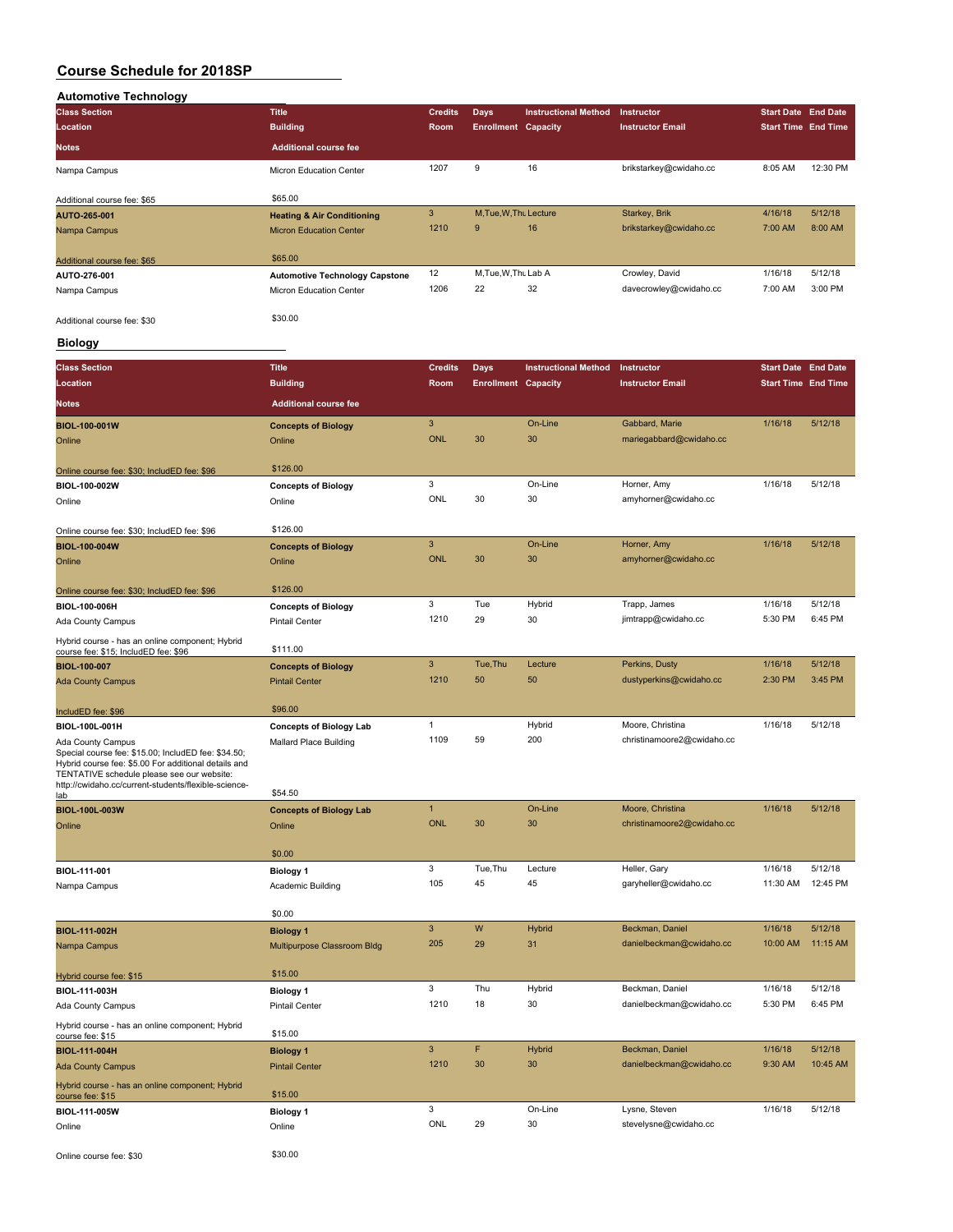| <b>Automotive Technology</b> |                                       |                |                            |                             |                         |                            |          |
|------------------------------|---------------------------------------|----------------|----------------------------|-----------------------------|-------------------------|----------------------------|----------|
| <b>Class Section</b>         | <b>Title</b>                          | <b>Credits</b> | <b>Days</b>                | <b>Instructional Method</b> | <b>Instructor</b>       | Start Date End Date        |          |
| Location                     | <b>Building</b>                       | <b>Room</b>    | <b>Enrollment Capacity</b> |                             | <b>Instructor Email</b> | <b>Start Time End Time</b> |          |
| <b>Notes</b>                 | <b>Additional course fee</b>          |                |                            |                             |                         |                            |          |
| Nampa Campus                 | Micron Education Center               | 1207           | 9                          | 16                          | brikstarkey@cwidaho.cc  | 8:05 AM                    | 12:30 PM |
| Additional course fee: \$65  | \$65.00                               |                |                            |                             |                         |                            |          |
| AUTO-265-001                 | <b>Heating &amp; Air Conditioning</b> | 3              | M.Tue.W.Tht Lecture        |                             | Starkey, Brik           | 4/16/18                    | 5/12/18  |
| Nampa Campus                 | <b>Micron Education Center</b>        | 1210           | 9                          | 16                          | brikstarkey@cwidaho.cc  | 7:00 AM                    | 8:00 AM  |
| Additional course fee: \$65  | \$65.00                               |                |                            |                             |                         |                            |          |
| AUTO-276-001                 | <b>Automotive Technology Capstone</b> | 12             | M, Tue, W, Thu Lab A       |                             | Crowley, David          | 1/16/18                    | 5/12/18  |
| Nampa Campus                 | Micron Education Center               | 1206           | 22                         | 32                          | davecrowley@cwidaho.cc  | 7:00 AM                    | 3:00 PM  |
| Additional course fee: \$30  | \$30.00                               |                |                            |                             |                         |                            |          |

### **Biology**

г

|                                                                                                                                                                                                                                                                                                                                                                                                                                                                                                                                                                                                                                                                                                                                                                                                                                                                                                                                                                                                                                                                                                                                                                                                                                                                                                                                                                                                                                                                                                                                                                                                                                                                                                                                                             |                              |              |    |         |                         | <b>Start Date End Date</b> |          |
|-------------------------------------------------------------------------------------------------------------------------------------------------------------------------------------------------------------------------------------------------------------------------------------------------------------------------------------------------------------------------------------------------------------------------------------------------------------------------------------------------------------------------------------------------------------------------------------------------------------------------------------------------------------------------------------------------------------------------------------------------------------------------------------------------------------------------------------------------------------------------------------------------------------------------------------------------------------------------------------------------------------------------------------------------------------------------------------------------------------------------------------------------------------------------------------------------------------------------------------------------------------------------------------------------------------------------------------------------------------------------------------------------------------------------------------------------------------------------------------------------------------------------------------------------------------------------------------------------------------------------------------------------------------------------------------------------------------------------------------------------------------|------------------------------|--------------|----|---------|-------------------------|----------------------------|----------|
| Location                                                                                                                                                                                                                                                                                                                                                                                                                                                                                                                                                                                                                                                                                                                                                                                                                                                                                                                                                                                                                                                                                                                                                                                                                                                                                                                                                                                                                                                                                                                                                                                                                                                                                                                                                    | <b>Building</b>              | Room         |    |         | <b>Instructor Email</b> | <b>Start Time End Time</b> |          |
| <b>Notes</b>                                                                                                                                                                                                                                                                                                                                                                                                                                                                                                                                                                                                                                                                                                                                                                                                                                                                                                                                                                                                                                                                                                                                                                                                                                                                                                                                                                                                                                                                                                                                                                                                                                                                                                                                                | <b>Additional course fee</b> |              |    |         |                         |                            |          |
| BIOL-100-001W                                                                                                                                                                                                                                                                                                                                                                                                                                                                                                                                                                                                                                                                                                                                                                                                                                                                                                                                                                                                                                                                                                                                                                                                                                                                                                                                                                                                                                                                                                                                                                                                                                                                                                                                               | <b>Concepts of Biology</b>   | 3            |    | On-Line | Gabbard, Marie          | 1/16/18                    | 5/12/18  |
| Online                                                                                                                                                                                                                                                                                                                                                                                                                                                                                                                                                                                                                                                                                                                                                                                                                                                                                                                                                                                                                                                                                                                                                                                                                                                                                                                                                                                                                                                                                                                                                                                                                                                                                                                                                      | Online                       | <b>ONL</b>   | 30 | 30      | mariegabbard@cwidaho.cc |                            |          |
| Online course fee: \$30; IncludED fee: \$96                                                                                                                                                                                                                                                                                                                                                                                                                                                                                                                                                                                                                                                                                                                                                                                                                                                                                                                                                                                                                                                                                                                                                                                                                                                                                                                                                                                                                                                                                                                                                                                                                                                                                                                 | \$126.00                     |              |    |         |                         |                            |          |
| BIOL-100-002W                                                                                                                                                                                                                                                                                                                                                                                                                                                                                                                                                                                                                                                                                                                                                                                                                                                                                                                                                                                                                                                                                                                                                                                                                                                                                                                                                                                                                                                                                                                                                                                                                                                                                                                                               | <b>Concepts of Biology</b>   |              |    |         | Horner, Amy             |                            | 5/12/18  |
| Online                                                                                                                                                                                                                                                                                                                                                                                                                                                                                                                                                                                                                                                                                                                                                                                                                                                                                                                                                                                                                                                                                                                                                                                                                                                                                                                                                                                                                                                                                                                                                                                                                                                                                                                                                      | Online                       | ONL          | 30 | 30      | amyhorner@cwidaho.cc    |                            |          |
| Online course fee: \$30; IncludED fee: \$96                                                                                                                                                                                                                                                                                                                                                                                                                                                                                                                                                                                                                                                                                                                                                                                                                                                                                                                                                                                                                                                                                                                                                                                                                                                                                                                                                                                                                                                                                                                                                                                                                                                                                                                 | \$126.00                     |              |    |         |                         |                            |          |
| <b>BIOL-100-004W</b>                                                                                                                                                                                                                                                                                                                                                                                                                                                                                                                                                                                                                                                                                                                                                                                                                                                                                                                                                                                                                                                                                                                                                                                                                                                                                                                                                                                                                                                                                                                                                                                                                                                                                                                                        | <b>Concepts of Biology</b>   | $\mathbf{3}$ |    | On-Line | Horner, Amy             | 1/16/18                    | 5/12/18  |
| Online                                                                                                                                                                                                                                                                                                                                                                                                                                                                                                                                                                                                                                                                                                                                                                                                                                                                                                                                                                                                                                                                                                                                                                                                                                                                                                                                                                                                                                                                                                                                                                                                                                                                                                                                                      | Online                       | <b>ONL</b>   | 30 | 30      | amyhorner@cwidaho.cc    |                            |          |
| Online course fee: \$30; IncludED fee: \$96                                                                                                                                                                                                                                                                                                                                                                                                                                                                                                                                                                                                                                                                                                                                                                                                                                                                                                                                                                                                                                                                                                                                                                                                                                                                                                                                                                                                                                                                                                                                                                                                                                                                                                                 | \$126.00                     |              |    |         |                         |                            |          |
| <b>Class Section</b><br>Title<br><b>Credits</b><br>Days<br><b>Instructional Method</b><br>Instructor<br><b>Enrollment Capacity</b><br>3<br>On-Line<br>1/16/18<br>3<br>Tue<br>Hybrid<br>Trapp, James<br>1/16/18<br>BIOL-100-006H<br><b>Concepts of Biology</b><br>1210<br>29<br>30<br>5:30 PM<br>jimtrapp@cwidaho.cc<br><b>Pintail Center</b><br>\$111.00<br>course fee: \$15; IncludED fee: \$96<br>3<br>Tue, Thu<br>Lecture<br>Perkins, Dusty<br>1/16/18<br><b>Concepts of Biology</b><br>1210<br>50<br>50<br>dustyperkins@cwidaho.cc<br>2:30 PM<br><b>Pintail Center</b><br>\$96.00<br>$\mathbf{1}$<br>Hybrid<br>Moore, Christina<br>1/16/18<br><b>Concepts of Biology Lab</b><br>1109<br>200<br>59<br>christinamoore2@cwidaho.cc<br><b>Mallard Place Building</b><br>http://cwidaho.cc/current-students/flexible-science-<br>\$54.50<br>$\mathbf{1}$<br>On-Line<br>Moore, Christina<br>1/16/18<br><b>Concepts of Biology Lab</b><br><b>ONL</b><br>30<br>30<br>christinamoore2@cwidaho.cc<br>Online<br>\$0.00<br>3<br>Tue, Thu<br>Lecture<br>Heller, Gary<br>1/16/18<br><b>Biology 1</b><br>105<br>45<br>45<br>garyheller@cwidaho.cc<br>Academic Building<br>\$0.00<br>W<br>$\mathbf{3}$<br>Hybrid<br>Beckman, Daniel<br>1/16/18<br><b>Biology 1</b><br>205<br>29<br>31<br>danielbeckman@cwidaho.cc<br>Multipurpose Classroom Bldg<br>\$15.00<br>3<br>Thu<br>Hybrid<br>Beckman, Daniel<br>1/16/18<br><b>Biology 1</b><br>1210<br>30<br>18<br>danielbeckman@cwidaho.cc<br>5:30 PM<br><b>Pintail Center</b><br>\$15.00<br>3<br>F<br>Hybrid<br>Beckman, Daniel<br>1/16/18<br><b>Biology 1</b><br>30<br>30<br>1210<br>danielbeckman@cwidaho.cc<br>9:30 AM<br><b>Pintail Center</b><br>\$15.00<br>3<br>On-Line<br>Lysne, Steven<br>1/16/18<br><b>Biology 1</b> |                              | 5/12/18      |    |         |                         |                            |          |
| Ada County Campus                                                                                                                                                                                                                                                                                                                                                                                                                                                                                                                                                                                                                                                                                                                                                                                                                                                                                                                                                                                                                                                                                                                                                                                                                                                                                                                                                                                                                                                                                                                                                                                                                                                                                                                                           |                              |              |    |         |                         |                            | 6:45 PM  |
| Hybrid course - has an online component; Hybrid                                                                                                                                                                                                                                                                                                                                                                                                                                                                                                                                                                                                                                                                                                                                                                                                                                                                                                                                                                                                                                                                                                                                                                                                                                                                                                                                                                                                                                                                                                                                                                                                                                                                                                             |                              |              |    |         |                         |                            |          |
| <b>BIOL-100-007</b>                                                                                                                                                                                                                                                                                                                                                                                                                                                                                                                                                                                                                                                                                                                                                                                                                                                                                                                                                                                                                                                                                                                                                                                                                                                                                                                                                                                                                                                                                                                                                                                                                                                                                                                                         |                              |              |    |         |                         |                            | 5/12/18  |
| <b>Ada County Campus</b>                                                                                                                                                                                                                                                                                                                                                                                                                                                                                                                                                                                                                                                                                                                                                                                                                                                                                                                                                                                                                                                                                                                                                                                                                                                                                                                                                                                                                                                                                                                                                                                                                                                                                                                                    |                              |              |    |         |                         |                            | 3:45 PM  |
| IncludED fee: \$96                                                                                                                                                                                                                                                                                                                                                                                                                                                                                                                                                                                                                                                                                                                                                                                                                                                                                                                                                                                                                                                                                                                                                                                                                                                                                                                                                                                                                                                                                                                                                                                                                                                                                                                                          |                              |              |    |         |                         |                            |          |
| BIOL-100L-001H                                                                                                                                                                                                                                                                                                                                                                                                                                                                                                                                                                                                                                                                                                                                                                                                                                                                                                                                                                                                                                                                                                                                                                                                                                                                                                                                                                                                                                                                                                                                                                                                                                                                                                                                              |                              |              |    |         |                         |                            | 5/12/18  |
| Ada County Campus<br>Special course fee: \$15.00; IncludED fee: \$34.50;<br>Hybrid course fee: \$5.00 For additional details and<br>TENTATIVE schedule please see our website:                                                                                                                                                                                                                                                                                                                                                                                                                                                                                                                                                                                                                                                                                                                                                                                                                                                                                                                                                                                                                                                                                                                                                                                                                                                                                                                                                                                                                                                                                                                                                                              |                              |              |    |         |                         |                            |          |
| <u>lab</u>                                                                                                                                                                                                                                                                                                                                                                                                                                                                                                                                                                                                                                                                                                                                                                                                                                                                                                                                                                                                                                                                                                                                                                                                                                                                                                                                                                                                                                                                                                                                                                                                                                                                                                                                                  |                              |              |    |         |                         |                            |          |
| BIOL-100L-003W                                                                                                                                                                                                                                                                                                                                                                                                                                                                                                                                                                                                                                                                                                                                                                                                                                                                                                                                                                                                                                                                                                                                                                                                                                                                                                                                                                                                                                                                                                                                                                                                                                                                                                                                              |                              |              |    |         |                         |                            | 5/12/18  |
| Online                                                                                                                                                                                                                                                                                                                                                                                                                                                                                                                                                                                                                                                                                                                                                                                                                                                                                                                                                                                                                                                                                                                                                                                                                                                                                                                                                                                                                                                                                                                                                                                                                                                                                                                                                      |                              |              |    |         |                         |                            |          |
|                                                                                                                                                                                                                                                                                                                                                                                                                                                                                                                                                                                                                                                                                                                                                                                                                                                                                                                                                                                                                                                                                                                                                                                                                                                                                                                                                                                                                                                                                                                                                                                                                                                                                                                                                             |                              |              |    |         |                         |                            |          |
| BIOL-111-001                                                                                                                                                                                                                                                                                                                                                                                                                                                                                                                                                                                                                                                                                                                                                                                                                                                                                                                                                                                                                                                                                                                                                                                                                                                                                                                                                                                                                                                                                                                                                                                                                                                                                                                                                |                              |              |    |         |                         |                            | 5/12/18  |
| Nampa Campus                                                                                                                                                                                                                                                                                                                                                                                                                                                                                                                                                                                                                                                                                                                                                                                                                                                                                                                                                                                                                                                                                                                                                                                                                                                                                                                                                                                                                                                                                                                                                                                                                                                                                                                                                |                              |              |    |         |                         | 11:30 AM                   | 12:45 PM |
|                                                                                                                                                                                                                                                                                                                                                                                                                                                                                                                                                                                                                                                                                                                                                                                                                                                                                                                                                                                                                                                                                                                                                                                                                                                                                                                                                                                                                                                                                                                                                                                                                                                                                                                                                             |                              |              |    |         |                         |                            |          |
| <b>BIOL-111-002H</b>                                                                                                                                                                                                                                                                                                                                                                                                                                                                                                                                                                                                                                                                                                                                                                                                                                                                                                                                                                                                                                                                                                                                                                                                                                                                                                                                                                                                                                                                                                                                                                                                                                                                                                                                        |                              |              |    |         |                         |                            | 5/12/18  |
| Nampa Campus                                                                                                                                                                                                                                                                                                                                                                                                                                                                                                                                                                                                                                                                                                                                                                                                                                                                                                                                                                                                                                                                                                                                                                                                                                                                                                                                                                                                                                                                                                                                                                                                                                                                                                                                                |                              |              |    |         |                         | 10:00 AM                   | 11:15 AM |
| Hybrid course fee: \$15                                                                                                                                                                                                                                                                                                                                                                                                                                                                                                                                                                                                                                                                                                                                                                                                                                                                                                                                                                                                                                                                                                                                                                                                                                                                                                                                                                                                                                                                                                                                                                                                                                                                                                                                     |                              |              |    |         |                         |                            |          |
| BIOL-111-003H                                                                                                                                                                                                                                                                                                                                                                                                                                                                                                                                                                                                                                                                                                                                                                                                                                                                                                                                                                                                                                                                                                                                                                                                                                                                                                                                                                                                                                                                                                                                                                                                                                                                                                                                               |                              |              |    |         |                         |                            | 5/12/18  |
| Ada County Campus                                                                                                                                                                                                                                                                                                                                                                                                                                                                                                                                                                                                                                                                                                                                                                                                                                                                                                                                                                                                                                                                                                                                                                                                                                                                                                                                                                                                                                                                                                                                                                                                                                                                                                                                           |                              |              |    |         |                         |                            | 6:45 PM  |
| Hybrid course - has an online component; Hybrid<br>course fee: \$15                                                                                                                                                                                                                                                                                                                                                                                                                                                                                                                                                                                                                                                                                                                                                                                                                                                                                                                                                                                                                                                                                                                                                                                                                                                                                                                                                                                                                                                                                                                                                                                                                                                                                         |                              |              |    |         |                         |                            |          |
| <b>BIOL-111-004H</b>                                                                                                                                                                                                                                                                                                                                                                                                                                                                                                                                                                                                                                                                                                                                                                                                                                                                                                                                                                                                                                                                                                                                                                                                                                                                                                                                                                                                                                                                                                                                                                                                                                                                                                                                        |                              |              |    |         |                         |                            | 5/12/18  |
| <b>Ada County Campus</b>                                                                                                                                                                                                                                                                                                                                                                                                                                                                                                                                                                                                                                                                                                                                                                                                                                                                                                                                                                                                                                                                                                                                                                                                                                                                                                                                                                                                                                                                                                                                                                                                                                                                                                                                    |                              |              |    |         |                         |                            | 10:45 AM |
| Hybrid course - has an online component; Hybrid<br>course fee: \$15                                                                                                                                                                                                                                                                                                                                                                                                                                                                                                                                                                                                                                                                                                                                                                                                                                                                                                                                                                                                                                                                                                                                                                                                                                                                                                                                                                                                                                                                                                                                                                                                                                                                                         |                              |              |    |         |                         |                            |          |
| BIOL-111-005W                                                                                                                                                                                                                                                                                                                                                                                                                                                                                                                                                                                                                                                                                                                                                                                                                                                                                                                                                                                                                                                                                                                                                                                                                                                                                                                                                                                                                                                                                                                                                                                                                                                                                                                                               |                              |              |    |         |                         |                            | 5/12/18  |
| Online                                                                                                                                                                                                                                                                                                                                                                                                                                                                                                                                                                                                                                                                                                                                                                                                                                                                                                                                                                                                                                                                                                                                                                                                                                                                                                                                                                                                                                                                                                                                                                                                                                                                                                                                                      | Online                       | <b>ONL</b>   | 29 | 30      | stevelysne@cwidaho.cc   |                            |          |
| Online course fee: \$30                                                                                                                                                                                                                                                                                                                                                                                                                                                                                                                                                                                                                                                                                                                                                                                                                                                                                                                                                                                                                                                                                                                                                                                                                                                                                                                                                                                                                                                                                                                                                                                                                                                                                                                                     | \$30.00                      |              |    |         |                         |                            |          |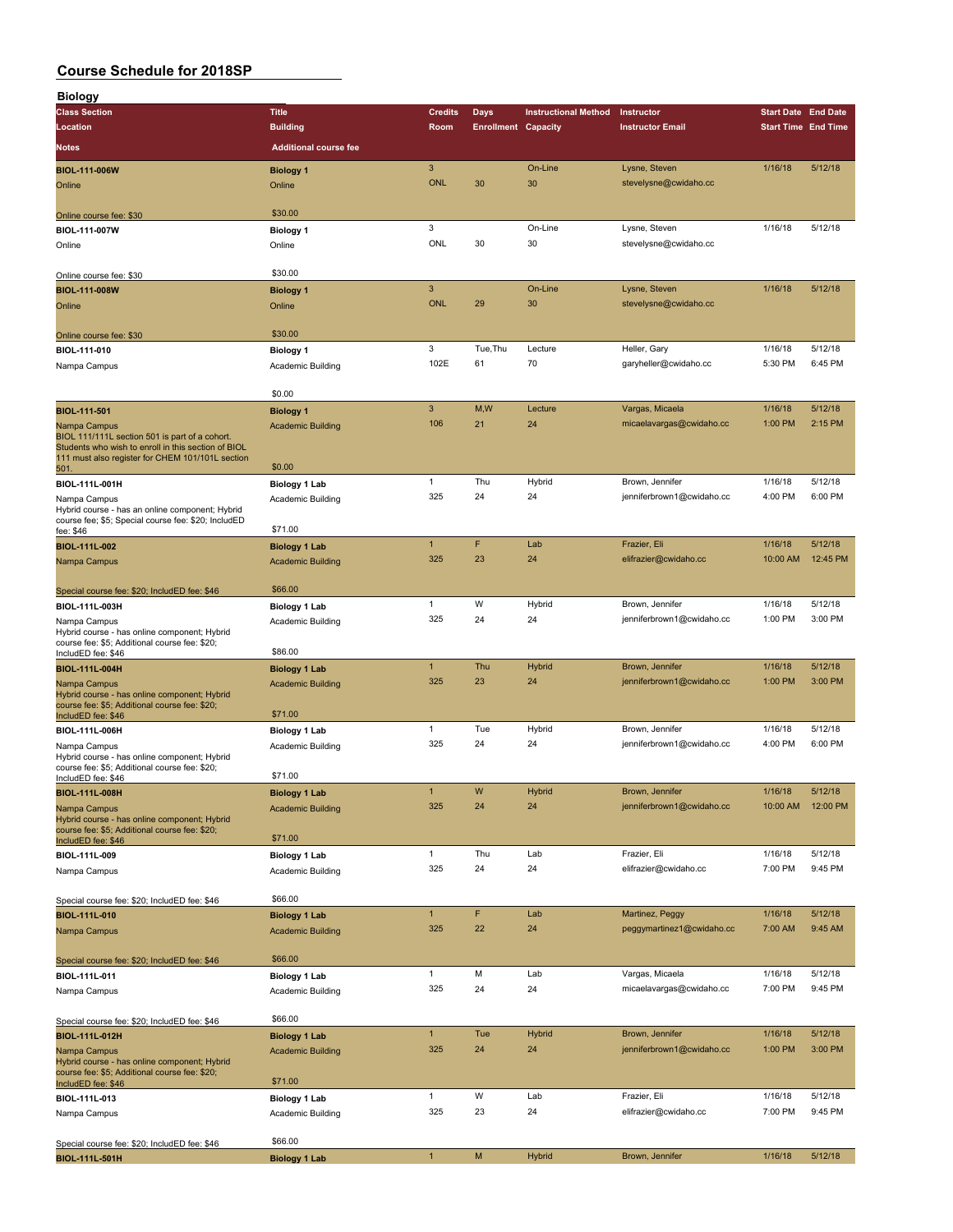| <b>Biology</b>                                                                                          |                              |                          |                            |                             |                           |                            |                   |
|---------------------------------------------------------------------------------------------------------|------------------------------|--------------------------|----------------------------|-----------------------------|---------------------------|----------------------------|-------------------|
| <b>Class Section</b>                                                                                    | <b>Title</b>                 | <b>Credits</b>           | <b>Days</b>                | <b>Instructional Method</b> | Instructor                | <b>Start Date End Date</b> |                   |
| Location                                                                                                | <b>Building</b>              | Room                     | <b>Enrollment Capacity</b> |                             | <b>Instructor Email</b>   | <b>Start Time End Time</b> |                   |
| Notes                                                                                                   | <b>Additional course fee</b> |                          |                            |                             |                           |                            |                   |
|                                                                                                         |                              |                          |                            |                             |                           |                            |                   |
| <b>BIOL-111-006W</b>                                                                                    | <b>Biology 1</b>             | $\sqrt{3}$<br><b>ONL</b> | 30                         | On-Line<br>30               | Lysne, Steven             | 1/16/18                    | 5/12/18           |
| Online                                                                                                  | Online                       |                          |                            |                             | stevelysne@cwidaho.cc     |                            |                   |
|                                                                                                         | \$30.00                      |                          |                            |                             |                           |                            |                   |
| Online course fee: \$30                                                                                 |                              | 3                        |                            | On-Line                     | Lysne, Steven             | 1/16/18                    | 5/12/18           |
| BIOL-111-007W                                                                                           | <b>Biology 1</b>             | ONL                      | 30                         | 30                          | stevelysne@cwidaho.cc     |                            |                   |
| Online                                                                                                  | Online                       |                          |                            |                             |                           |                            |                   |
|                                                                                                         | \$30.00                      |                          |                            |                             |                           |                            |                   |
| Online course fee: \$30<br><b>BIOL-111-008W</b>                                                         | <b>Biology 1</b>             | $\mathbf{3}$             |                            | On-Line                     | Lysne, Steven             | 1/16/18                    | 5/12/18           |
| Online                                                                                                  | Online                       | <b>ONL</b>               | 29                         | 30                          | stevelysne@cwidaho.cc     |                            |                   |
|                                                                                                         |                              |                          |                            |                             |                           |                            |                   |
| Online course fee: \$30                                                                                 | \$30.00                      |                          |                            |                             |                           |                            |                   |
| BIOL-111-010                                                                                            | <b>Biology 1</b>             | 3                        | Tue, Thu                   | Lecture                     | Heller, Gary              | 1/16/18                    | 5/12/18           |
| Nampa Campus                                                                                            | Academic Building            | 102E                     | 61                         | 70                          | garyheller@cwidaho.cc     | 5:30 PM                    | 6:45 PM           |
|                                                                                                         |                              |                          |                            |                             |                           |                            |                   |
|                                                                                                         | \$0.00                       |                          |                            |                             |                           |                            |                   |
| <b>BIOL-111-501</b>                                                                                     | <b>Biology 1</b>             | $\mathbf{3}$             | M, W                       | Lecture                     | Vargas, Micaela           | 1/16/18                    | 5/12/18           |
| Nampa Campus                                                                                            | <b>Academic Building</b>     | 106                      | 21                         | 24                          | micaelavargas@cwidaho.cc  | 1:00 PM                    | 2:15 PM           |
| BIOL 111/111L section 501 is part of a cohort.                                                          |                              |                          |                            |                             |                           |                            |                   |
| Students who wish to enroll in this section of BIOL<br>111 must also register for CHEM 101/101L section |                              |                          |                            |                             |                           |                            |                   |
| 501.                                                                                                    | \$0.00                       |                          |                            |                             |                           |                            |                   |
| BIOL-111L-001H                                                                                          | <b>Biology 1 Lab</b>         | $\mathbf{1}$             | Thu                        | Hybrid                      | Brown, Jennifer           | 1/16/18                    | 5/12/18           |
| Nampa Campus                                                                                            | Academic Building            | 325                      | 24                         | 24                          | jenniferbrown1@cwidaho.cc | 4:00 PM                    | 6:00 PM           |
| Hybrid course - has an online component; Hybrid                                                         |                              |                          |                            |                             |                           |                            |                   |
| course fee; \$5; Special course fee: \$20; IncludED<br>fee: \$46                                        | \$71.00                      |                          |                            |                             |                           |                            |                   |
| BIOL-111L-002                                                                                           | <b>Biology 1 Lab</b>         | $\mathbf{1}$             | F                          | Lab                         | Frazier, Eli              | 1/16/18                    | 5/12/18           |
| Nampa Campus                                                                                            | <b>Academic Building</b>     | 325                      | 23                         | 24                          | elifrazier@cwidaho.cc     | 10:00 AM                   | 12:45 PM          |
|                                                                                                         |                              |                          |                            |                             |                           |                            |                   |
| Special course fee: \$20; IncludED fee: \$46                                                            | \$66.00                      |                          |                            |                             |                           |                            |                   |
| BIOL-111L-003H                                                                                          | <b>Biology 1 Lab</b>         | $\mathbf{1}$             | W                          | Hybrid                      | Brown, Jennifer           | 1/16/18                    | 5/12/18           |
| Nampa Campus                                                                                            | Academic Building            | 325                      | 24                         | 24                          | jenniferbrown1@cwidaho.cc | 1:00 PM                    | 3:00 PM           |
| Hybrid course - has online component; Hybrid                                                            |                              |                          |                            |                             |                           |                            |                   |
| course fee: \$5; Additional course fee: \$20;<br>IncludED fee: \$46                                     | \$86.00                      |                          |                            |                             |                           |                            |                   |
| <b>BIOL-111L-004H</b>                                                                                   | <b>Biology 1 Lab</b>         | $\mathbf{1}$             | Thu                        | <b>Hybrid</b>               | Brown, Jennifer           | 1/16/18                    | 5/12/18           |
| Nampa Campus                                                                                            | <b>Academic Building</b>     | 325                      | 23                         | 24                          | jenniferbrown1@cwidaho.cc | 1:00 PM                    | 3:00 PM           |
| Hybrid course - has online component; Hybrid                                                            |                              |                          |                            |                             |                           |                            |                   |
| course fee: \$5; Additional course fee: \$20;<br>IncludED fee: \$46                                     | \$71.00                      |                          |                            |                             |                           |                            |                   |
| BIOL-111L-006H                                                                                          | <b>Biology 1 Lab</b>         | 1                        | Tue                        | Hybrid                      | Brown, Jennifer           | 1/16/18                    | 5/12/18           |
| Nampa Campus                                                                                            | Academic Building            | 325                      | 24                         | 24                          | jenniferbrown1@cwidaho.cc | 4:00 PM                    | 6:00 PM           |
| Hybrid course - has online component; Hybrid                                                            |                              |                          |                            |                             |                           |                            |                   |
| course fee: \$5; Additional course fee: \$20;<br>IncludED fee: \$46                                     | \$71.00                      |                          |                            |                             |                           |                            |                   |
| <b>BIOL-111L-008H</b>                                                                                   | Biology 1 Lab                | $\overline{1}$           | W                          | Hybrid                      | Brown, Jennifer           | 1/16/18                    | 5/12/18           |
| Nampa Campus                                                                                            | <b>Academic Building</b>     | 325                      | 24                         | 24                          | jenniferbrown1@cwidaho.cc |                            | 10:00 AM 12:00 PM |
| Hybrid course - has online component; Hybrid                                                            |                              |                          |                            |                             |                           |                            |                   |
| course fee: \$5; Additional course fee: \$20;<br>IncludED fee: \$46                                     | \$71.00                      |                          |                            |                             |                           |                            |                   |
| BIOL-111L-009                                                                                           | <b>Biology 1 Lab</b>         | $\mathbf{1}$             | Thu                        | Lab                         | Frazier, Eli              | 1/16/18                    | 5/12/18           |
| Nampa Campus                                                                                            | Academic Building            | 325                      | 24                         | 24                          | elifrazier@cwidaho.cc     | 7:00 PM                    | 9:45 PM           |
|                                                                                                         |                              |                          |                            |                             |                           |                            |                   |
| Special course fee: \$20; IncludED fee: \$46                                                            | \$66.00                      |                          |                            |                             |                           |                            |                   |
| BIOL-111L-010                                                                                           | <b>Biology 1 Lab</b>         | $\mathbf{1}$             | F                          | Lab                         | Martinez, Peggy           | 1/16/18                    | 5/12/18           |
| Nampa Campus                                                                                            | <b>Academic Building</b>     | 325                      | 22                         | 24                          | peggymartinez1@cwidaho.cc | 7:00 AM                    | 9:45 AM           |
|                                                                                                         |                              |                          |                            |                             |                           |                            |                   |
| Special course fee: \$20; IncludED fee: \$46                                                            | \$66.00                      |                          |                            |                             |                           |                            |                   |
| BIOL-111L-011                                                                                           | <b>Biology 1 Lab</b>         | $\mathbf{1}$             | M                          | Lab                         | Vargas, Micaela           | 1/16/18                    | 5/12/18           |
| Nampa Campus                                                                                            | Academic Building            | 325                      | 24                         | 24                          | micaelavargas@cwidaho.cc  | 7:00 PM                    | 9:45 PM           |
|                                                                                                         |                              |                          |                            |                             |                           |                            |                   |
| Special course fee: \$20; IncludED fee: \$46                                                            | \$66.00                      |                          |                            |                             |                           |                            |                   |
| BIOL-111L-012H                                                                                          | <b>Biology 1 Lab</b>         | $\mathbf{1}$             | Tue                        | <b>Hybrid</b>               | Brown, Jennifer           | 1/16/18                    | 5/12/18           |
| Nampa Campus                                                                                            | <b>Academic Building</b>     | 325                      | 24                         | 24                          | jenniferbrown1@cwidaho.cc | 1:00 PM                    | 3:00 PM           |
| Hybrid course - has online component; Hybrid                                                            |                              |                          |                            |                             |                           |                            |                   |
| course fee: \$5; Additional course fee: \$20;<br>IncludED fee: \$46                                     | \$71.00                      |                          |                            |                             |                           |                            |                   |
| BIOL-111L-013                                                                                           | <b>Biology 1 Lab</b>         | $\mathbf{1}$             | W                          | Lab                         | Frazier, Eli              | 1/16/18                    | 5/12/18           |
| Nampa Campus                                                                                            | Academic Building            | 325                      | 23                         | 24                          | elifrazier@cwidaho.cc     | 7:00 PM                    | 9:45 PM           |
|                                                                                                         |                              |                          |                            |                             |                           |                            |                   |
| Special course fee: \$20; IncludED fee: \$46                                                            | \$66.00                      |                          |                            |                             |                           |                            |                   |
| BIOL-111L-501H                                                                                          | <b>Biology 1 Lab</b>         | $\mathbf{1}$             | ${\sf M}$                  | <b>Hybrid</b>               | Brown, Jennifer           | 1/16/18                    | 5/12/18           |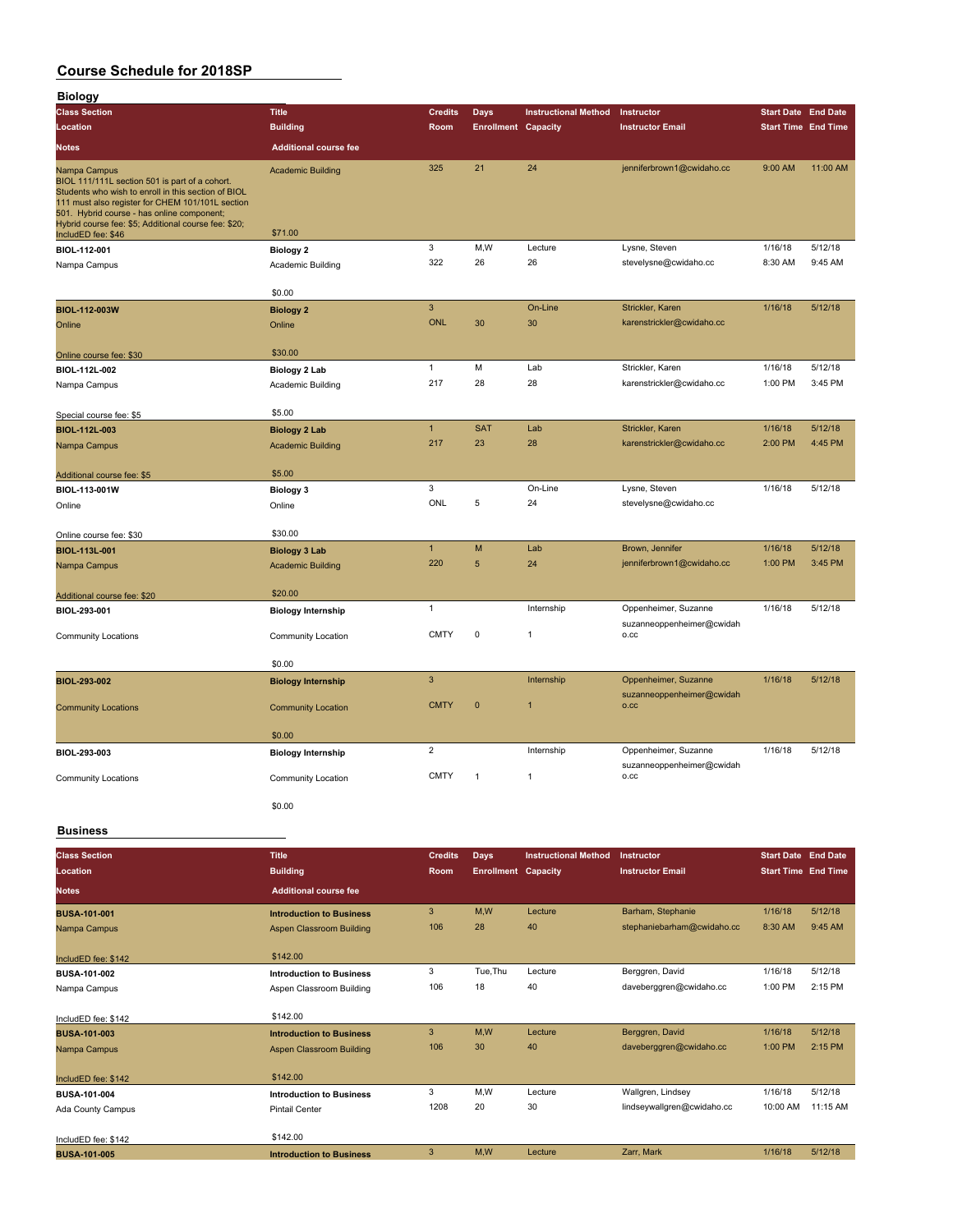| <b>Biology</b>                                                                                                                                                                                          |                                 |                |                            |                             |                                                 |                            |          |
|---------------------------------------------------------------------------------------------------------------------------------------------------------------------------------------------------------|---------------------------------|----------------|----------------------------|-----------------------------|-------------------------------------------------|----------------------------|----------|
| <b>Class Section</b>                                                                                                                                                                                    | <b>Title</b>                    | <b>Credits</b> | Days                       | <b>Instructional Method</b> | Instructor                                      | <b>Start Date End Date</b> |          |
| Location                                                                                                                                                                                                | <b>Building</b>                 | Room           | <b>Enrollment Capacity</b> |                             | <b>Instructor Email</b>                         | <b>Start Time End Time</b> |          |
| Notes                                                                                                                                                                                                   | <b>Additional course fee</b>    |                |                            |                             |                                                 |                            |          |
| Nampa Campus                                                                                                                                                                                            | <b>Academic Building</b>        | 325            | 21                         | 24                          | jenniferbrown1@cwidaho.cc                       | 9:00 AM                    | 11:00 AM |
| BIOL 111/111L section 501 is part of a cohort.<br>Students who wish to enroll in this section of BIOL<br>111 must also register for CHEM 101/101L section<br>501. Hybrid course - has online component; |                                 |                |                            |                             |                                                 |                            |          |
| Hybrid course fee: \$5; Additional course fee: \$20;<br>IncludED fee: \$46                                                                                                                              | \$71.00                         |                |                            |                             |                                                 |                            |          |
| BIOL-112-001                                                                                                                                                                                            | <b>Biology 2</b>                | 3              | M, W                       | Lecture                     | Lysne, Steven                                   | 1/16/18                    | 5/12/18  |
| Nampa Campus                                                                                                                                                                                            | Academic Building               | 322            | 26                         | 26                          | stevelysne@cwidaho.cc                           | 8:30 AM                    | 9:45 AM  |
|                                                                                                                                                                                                         |                                 |                |                            |                             |                                                 |                            |          |
|                                                                                                                                                                                                         | \$0.00                          |                |                            |                             |                                                 |                            |          |
| BIOL-112-003W                                                                                                                                                                                           | <b>Biology 2</b>                | 3              |                            | On-Line                     | Strickler, Karen                                | 1/16/18                    | 5/12/18  |
| Online                                                                                                                                                                                                  | Online                          | <b>ONL</b>     | 30                         | 30                          | karenstrickler@cwidaho.cc                       |                            |          |
|                                                                                                                                                                                                         | \$30.00                         |                |                            |                             |                                                 |                            |          |
| Online course fee: \$30                                                                                                                                                                                 |                                 | 1              | M                          | Lab                         | Strickler, Karen                                | 1/16/18                    | 5/12/18  |
| BIOL-112L-002                                                                                                                                                                                           | Biology 2 Lab                   | 217            | 28                         | 28                          | karenstrickler@cwidaho.cc                       | 1:00 PM                    | 3:45 PM  |
| Nampa Campus                                                                                                                                                                                            | Academic Building               |                |                            |                             |                                                 |                            |          |
| Special course fee: \$5                                                                                                                                                                                 | \$5.00                          |                |                            |                             |                                                 |                            |          |
| BIOL-112L-003                                                                                                                                                                                           | <b>Biology 2 Lab</b>            | $\mathbf{1}$   | <b>SAT</b>                 | Lab                         | Strickler, Karen                                | 1/16/18                    | 5/12/18  |
| Nampa Campus                                                                                                                                                                                            | <b>Academic Building</b>        | 217            | 23                         | 28                          | karenstrickler@cwidaho.cc                       | 2:00 PM                    | 4:45 PM  |
|                                                                                                                                                                                                         |                                 |                |                            |                             |                                                 |                            |          |
| Additional course fee: \$5                                                                                                                                                                              | \$5.00                          |                |                            |                             |                                                 |                            |          |
| BIOL-113-001W                                                                                                                                                                                           | <b>Biology 3</b>                | 3              |                            | On-Line                     | Lysne, Steven                                   | 1/16/18                    | 5/12/18  |
| Online                                                                                                                                                                                                  | Online                          | ONL            | 5                          | 24                          | stevelysne@cwidaho.cc                           |                            |          |
|                                                                                                                                                                                                         |                                 |                |                            |                             |                                                 |                            |          |
| Online course fee: \$30                                                                                                                                                                                 | \$30.00                         |                |                            |                             |                                                 |                            |          |
| BIOL-113L-001                                                                                                                                                                                           | <b>Biology 3 Lab</b>            | $\mathbf{1}$   | M                          | Lab                         | Brown, Jennifer                                 | 1/16/18                    | 5/12/18  |
| Nampa Campus                                                                                                                                                                                            | <b>Academic Building</b>        | 220            | 5                          | 24                          | jenniferbrown1@cwidaho.cc                       | 1:00 PM                    | 3:45 PM  |
|                                                                                                                                                                                                         |                                 |                |                            |                             |                                                 |                            |          |
| Additional course fee: \$20                                                                                                                                                                             | \$20.00                         | $\mathbf{1}$   |                            | Internship                  | Oppenheimer, Suzanne                            | 1/16/18                    | 5/12/18  |
| BIOL-293-001                                                                                                                                                                                            | <b>Biology Internship</b>       |                |                            |                             | suzanneoppenheimer@cwidah                       |                            |          |
| Community Locations                                                                                                                                                                                     | Community Location              | <b>CMTY</b>    | $\mathbf 0$                | $\mathbf{1}$                | o.cc                                            |                            |          |
|                                                                                                                                                                                                         |                                 |                |                            |                             |                                                 |                            |          |
|                                                                                                                                                                                                         | \$0.00                          |                |                            |                             |                                                 |                            |          |
| BIOL-293-002                                                                                                                                                                                            | <b>Biology Internship</b>       | 3              |                            | Internship                  | Oppenheimer, Suzanne                            | 1/16/18                    | 5/12/18  |
|                                                                                                                                                                                                         |                                 | <b>CMTY</b>    | $\mathbf 0$                | $\mathbf{1}$                | suzanneoppenheimer@cwidah<br>O.CC               |                            |          |
| <b>Community Locations</b>                                                                                                                                                                              | <b>Community Location</b>       |                |                            |                             |                                                 |                            |          |
|                                                                                                                                                                                                         | \$0.00                          |                |                            |                             |                                                 |                            |          |
| BIOL-293-003                                                                                                                                                                                            | <b>Biology Internship</b>       | 2              |                            | Internship                  | Oppenheimer, Suzanne                            | 1/16/18                    | 5/12/18  |
|                                                                                                                                                                                                         |                                 |                |                            |                             | suzanneoppenheimer@cwidah                       |                            |          |
| <b>Community Locations</b>                                                                                                                                                                              | Community Location              | <b>CMTY</b>    | 1                          | $\mathbf{1}$                | o.cc                                            |                            |          |
|                                                                                                                                                                                                         |                                 |                |                            |                             |                                                 |                            |          |
|                                                                                                                                                                                                         | \$0.00                          |                |                            |                             |                                                 |                            |          |
| <b>Business</b>                                                                                                                                                                                         |                                 |                |                            |                             |                                                 |                            |          |
|                                                                                                                                                                                                         |                                 |                |                            |                             |                                                 |                            |          |
| <b>Class Section</b>                                                                                                                                                                                    | <b>Title</b>                    | <b>Credits</b> | <b>Days</b>                | <b>Instructional Method</b> | Instructor                                      | <b>Start Date End Date</b> |          |
| Location                                                                                                                                                                                                | <b>Building</b>                 | Room           | <b>Enrollment Capacity</b> |                             | <b>Instructor Email</b>                         | <b>Start Time End Time</b> |          |
| <b>Notes</b>                                                                                                                                                                                            | <b>Additional course fee</b>    |                |                            |                             |                                                 |                            |          |
| <b>BUSA-101-001</b>                                                                                                                                                                                     | <b>Introduction to Business</b> | $\overline{3}$ | M,W                        | Lecture                     | Barham, Stephanie                               | 1/16/18                    | 5/12/18  |
| Nampa Campus                                                                                                                                                                                            | Aspen Classroom Building        | 106            | 28                         | 40                          | stephaniebarham@cwidaho.cc                      | 8:30 AM                    | 9:45 AM  |
|                                                                                                                                                                                                         |                                 |                |                            |                             |                                                 |                            |          |
| IncludED fee: \$142                                                                                                                                                                                     | \$142.00                        |                |                            |                             |                                                 |                            |          |
| BUSA-101-002                                                                                                                                                                                            | <b>Introduction to Business</b> | 3              | Tue, Thu                   | Lecture                     | Berggren, David                                 | 1/16/18                    | 5/12/18  |
| Nampa Campus                                                                                                                                                                                            | Aspen Classroom Building        | 106            | 18                         | 40                          | daveberggren@cwidaho.cc                         | 1:00 PM                    | 2:15 PM  |
|                                                                                                                                                                                                         |                                 |                |                            |                             |                                                 |                            |          |
| IncludED fee: \$142                                                                                                                                                                                     | \$142.00                        |                |                            |                             |                                                 |                            |          |
| <b>BUSA-101-003</b>                                                                                                                                                                                     | <b>Introduction to Business</b> | $\mathbf{3}$   | M, W                       | Lecture                     | Berggren, David                                 | 1/16/18                    | 5/12/18  |
| Nampa Campus                                                                                                                                                                                            | Aspen Classroom Building        | 106            | 30                         | 40                          | daveberggren@cwidaho.cc                         | 1:00 PM                    | 2:15 PM  |
|                                                                                                                                                                                                         |                                 |                |                            |                             |                                                 |                            |          |
| IncludED fee: \$142                                                                                                                                                                                     | \$142.00                        |                |                            |                             |                                                 |                            | 5/12/18  |
| BUSA-101-004                                                                                                                                                                                            | <b>Introduction to Business</b> | 3<br>1208      | M,W<br>20                  | Lecture<br>30               | Wallgren, Lindsey<br>lindseywallgren@cwidaho.cc | 1/16/18<br>10:00 AM        | 11:15 AM |
| Ada County Campus                                                                                                                                                                                       | <b>Pintail Center</b>           |                |                            |                             |                                                 |                            |          |
| IncludED fee: \$142                                                                                                                                                                                     | \$142.00                        |                |                            |                             |                                                 |                            |          |
| <b>BUSA-101-005</b>                                                                                                                                                                                     | <b>Introduction to Business</b> | 3              | M,W                        | Lecture                     | Zarr, Mark                                      | 1/16/18                    | 5/12/18  |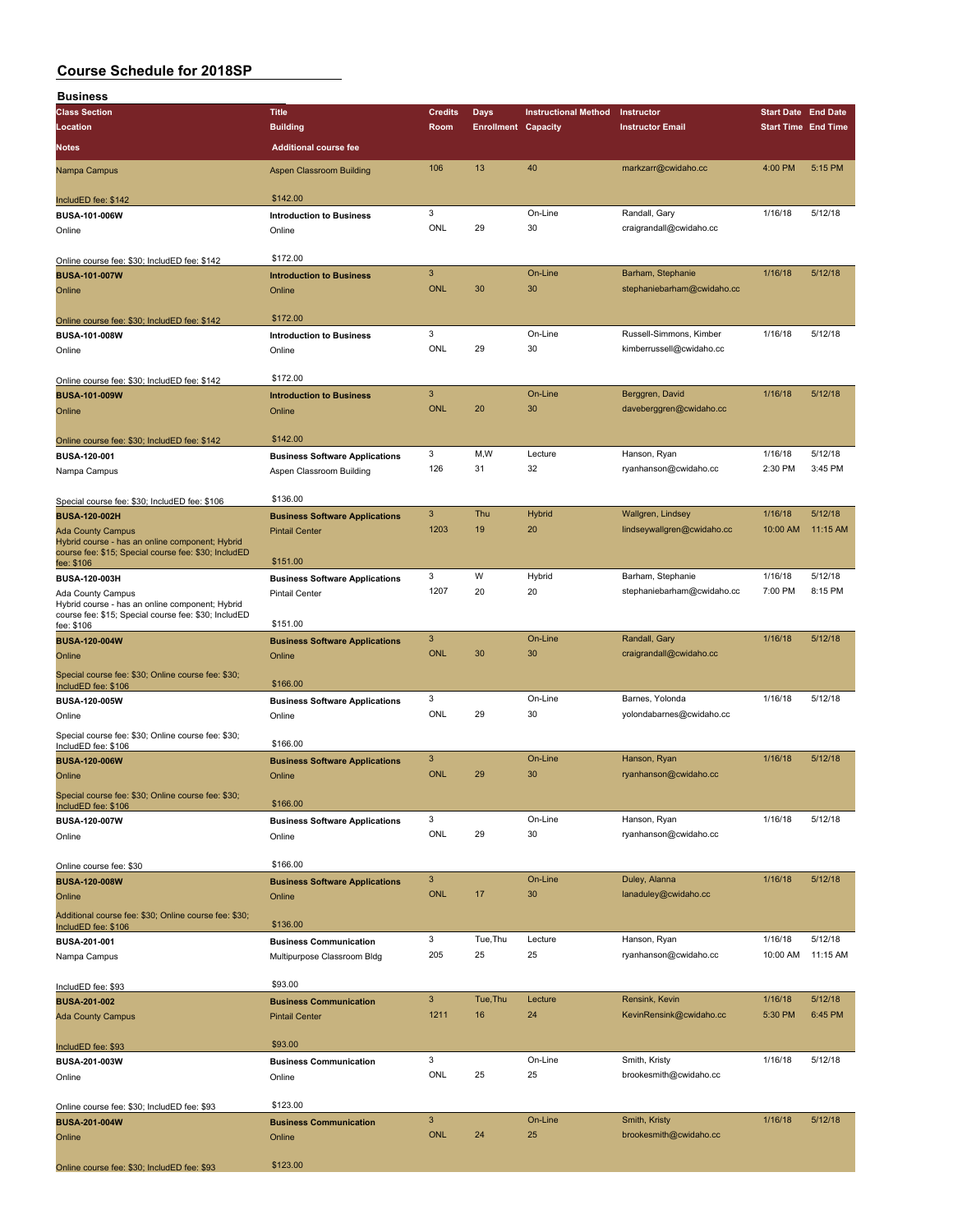| <b>Business</b>                                                                                         |                                       |                |                            |                             |                            |                            |          |
|---------------------------------------------------------------------------------------------------------|---------------------------------------|----------------|----------------------------|-----------------------------|----------------------------|----------------------------|----------|
| <b>Class Section</b>                                                                                    | <b>Title</b>                          | <b>Credits</b> | <b>Days</b>                | <b>Instructional Method</b> | Instructor                 | <b>Start Date End Date</b> |          |
| Location                                                                                                | <b>Building</b>                       | Room           | <b>Enrollment Capacity</b> |                             | <b>Instructor Email</b>    | <b>Start Time End Time</b> |          |
|                                                                                                         |                                       |                |                            |                             |                            |                            |          |
| Notes                                                                                                   | <b>Additional course fee</b>          |                |                            |                             |                            |                            |          |
| Nampa Campus                                                                                            | <b>Aspen Classroom Building</b>       | 106            | 13                         | 40                          | markzarr@cwidaho.cc        | 4:00 PM                    | 5:15 PM  |
|                                                                                                         |                                       |                |                            |                             |                            |                            |          |
| IncludED fee: \$142                                                                                     | \$142.00                              |                |                            |                             |                            |                            |          |
| BUSA-101-006W                                                                                           | <b>Introduction to Business</b>       | 3              |                            | On-Line                     | Randall, Gary              | 1/16/18                    | 5/12/18  |
| Online                                                                                                  | Online                                | ONL            | 29                         | 30                          | craigrandall@cwidaho.cc    |                            |          |
|                                                                                                         |                                       |                |                            |                             |                            |                            |          |
| Online course fee: \$30; IncludED fee: \$142                                                            | \$172.00                              |                |                            |                             |                            |                            |          |
| <b>BUSA-101-007W</b>                                                                                    | <b>Introduction to Business</b>       | $\mathbf{3}$   |                            | On-Line                     | Barham, Stephanie          | 1/16/18                    | 5/12/18  |
| Online                                                                                                  | Online                                | <b>ONL</b>     | 30                         | 30                          | stephaniebarham@cwidaho.cc |                            |          |
|                                                                                                         |                                       |                |                            |                             |                            |                            |          |
|                                                                                                         | \$172.00                              |                |                            |                             |                            |                            |          |
| Online course fee: \$30; IncludED fee: \$142                                                            |                                       | 3              |                            | On-Line                     |                            | 1/16/18                    | 5/12/18  |
| BUSA-101-008W                                                                                           | <b>Introduction to Business</b>       |                |                            |                             | Russell-Simmons, Kimber    |                            |          |
| Online                                                                                                  | Online                                | ONL            | 29                         | 30                          | kimberrussell@cwidaho.cc   |                            |          |
|                                                                                                         |                                       |                |                            |                             |                            |                            |          |
| Online course fee: \$30; IncludED fee: \$142                                                            | \$172.00                              |                |                            |                             |                            |                            |          |
| <b>BUSA-101-009W</b>                                                                                    | <b>Introduction to Business</b>       | $\mathbf{3}$   |                            | On-Line                     | Berggren, David            | 1/16/18                    | 5/12/18  |
| Online                                                                                                  | Online                                | <b>ONL</b>     | 20                         | 30                          | daveberggren@cwidaho.cc    |                            |          |
|                                                                                                         |                                       |                |                            |                             |                            |                            |          |
| Online course fee: \$30; IncludED fee: \$142                                                            | \$142.00                              |                |                            |                             |                            |                            |          |
| BUSA-120-001                                                                                            | <b>Business Software Applications</b> | 3              | M,W                        | Lecture                     | Hanson, Ryan               | 1/16/18                    | 5/12/18  |
| Nampa Campus                                                                                            | Aspen Classroom Building              | 126            | 31                         | 32                          | ryanhanson@cwidaho.cc      | 2:30 PM                    | 3:45 PM  |
|                                                                                                         |                                       |                |                            |                             |                            |                            |          |
| Special course fee: \$30; IncludED fee: \$106                                                           | \$136.00                              |                |                            |                             |                            |                            |          |
| <b>BUSA-120-002H</b>                                                                                    | <b>Business Software Applications</b> | $\mathbf{3}$   | Thu                        | Hybrid                      | Wallgren, Lindsey          | 1/16/18                    | 5/12/18  |
|                                                                                                         |                                       | 1203           | 19                         | 20                          | lindseywallgren@cwidaho.cc | 10:00 AM                   | 11:15 AM |
| <b>Ada County Campus</b><br>Hybrid course - has an online component; Hybrid                             | <b>Pintail Center</b>                 |                |                            |                             |                            |                            |          |
| course fee: \$15; Special course fee: \$30; IncludED                                                    |                                       |                |                            |                             |                            |                            |          |
| fee: \$106                                                                                              | \$151.00                              |                |                            |                             |                            |                            |          |
| BUSA-120-003H                                                                                           | <b>Business Software Applications</b> | 3              | W                          | Hybrid                      | Barham, Stephanie          | 1/16/18                    | 5/12/18  |
| Ada County Campus                                                                                       | <b>Pintail Center</b>                 | 1207           | 20                         | 20                          | stephaniebarham@cwidaho.cc | 7:00 PM                    | 8:15 PM  |
| Hybrid course - has an online component; Hybrid<br>course fee: \$15; Special course fee: \$30; IncludED |                                       |                |                            |                             |                            |                            |          |
| fee: \$106                                                                                              | \$151.00                              |                |                            |                             |                            |                            |          |
| <b>BUSA-120-004W</b>                                                                                    | <b>Business Software Applications</b> | 3              |                            | On-Line                     | Randall, Gary              | 1/16/18                    | 5/12/18  |
| Online                                                                                                  | Online                                | <b>ONL</b>     | 30                         | 30                          | craigrandall@cwidaho.cc    |                            |          |
|                                                                                                         |                                       |                |                            |                             |                            |                            |          |
| Special course fee: \$30; Online course fee: \$30;                                                      | \$166.00                              |                |                            |                             |                            |                            |          |
| IncludED fee: \$106                                                                                     |                                       | 3              |                            | On-Line                     | Barnes, Yolonda            | 1/16/18                    | 5/12/18  |
| BUSA-120-005W                                                                                           | <b>Business Software Applications</b> | ONL            | 29                         | 30                          |                            |                            |          |
| Online                                                                                                  | Online                                |                |                            |                             | yolondabarnes@cwidaho.cc   |                            |          |
| Special course fee: \$30; Online course fee: \$30;                                                      |                                       |                |                            |                             |                            |                            |          |
| IncludED fee: \$106                                                                                     | \$166.00                              |                |                            |                             |                            |                            |          |
| <b>BUSA-120-006W</b>                                                                                    | <b>Business Software Applications</b> | $\mathbf{3}$   |                            | On-Line                     | Hanson, Ryan               | 1/16/18                    | 5/12/18  |
| Online                                                                                                  | Online                                | <b>ONL</b>     | 29                         | 30                          | ryanhanson@cwidaho.cc      |                            |          |
| Special course fee: \$30; Online course fee: \$30;                                                      |                                       |                |                            |                             |                            |                            |          |
| IncludED fee: \$106                                                                                     | \$166.00                              |                |                            |                             |                            |                            |          |
| BUSA-120-007W                                                                                           | <b>Business Software Applications</b> | 3              |                            | On-Line                     | Hanson, Ryan               | 1/16/18                    | 5/12/18  |
| Online                                                                                                  | Online                                | ONL            | 29                         | 30                          | ryanhanson@cwidaho.cc      |                            |          |
|                                                                                                         |                                       |                |                            |                             |                            |                            |          |
| Online course fee: \$30                                                                                 | \$166.00                              |                |                            |                             |                            |                            |          |
| <b>BUSA-120-008W</b>                                                                                    | <b>Business Software Applications</b> | $\mathsf 3$    |                            | On-Line                     | Duley, Alanna              | 1/16/18                    | 5/12/18  |
| Online                                                                                                  | Online                                | <b>ONL</b>     | 17                         | 30                          | lanaduley@cwidaho.cc       |                            |          |
|                                                                                                         |                                       |                |                            |                             |                            |                            |          |
| Additional course fee: \$30; Online course fee: \$30;                                                   | \$136.00                              |                |                            |                             |                            |                            |          |
| IncludED fee: \$106                                                                                     |                                       | 3              | Tue, Thu                   | Lecture                     | Hanson, Ryan               | 1/16/18                    | 5/12/18  |
| BUSA-201-001                                                                                            | <b>Business Communication</b>         |                |                            |                             | ryanhanson@cwidaho.cc      |                            | 11:15 AM |
| Nampa Campus                                                                                            | Multipurpose Classroom Bldg           | 205            | 25                         | 25                          |                            | 10:00 AM                   |          |
|                                                                                                         |                                       |                |                            |                             |                            |                            |          |
| IncludED fee: \$93                                                                                      | \$93.00                               |                |                            |                             |                            |                            |          |
| <b>BUSA-201-002</b>                                                                                     | <b>Business Communication</b>         | $\mathbf{3}$   | Tue, Thu                   | Lecture                     | Rensink, Kevin             | 1/16/18                    | 5/12/18  |
| <b>Ada County Campus</b>                                                                                | <b>Pintail Center</b>                 | 1211           | 16                         | 24                          | KevinRensink@cwidaho.cc    | 5:30 PM                    | 6:45 PM  |
|                                                                                                         |                                       |                |                            |                             |                            |                            |          |
| IncludED fee: \$93                                                                                      | \$93.00                               |                |                            |                             |                            |                            |          |
| BUSA-201-003W                                                                                           | <b>Business Communication</b>         | 3              |                            | On-Line                     | Smith, Kristy              | 1/16/18                    | 5/12/18  |
| Online                                                                                                  | Online                                | ONL            | 25                         | 25                          | brookesmith@cwidaho.cc     |                            |          |
|                                                                                                         |                                       |                |                            |                             |                            |                            |          |
| Online course fee: \$30; IncludED fee: \$93                                                             | \$123.00                              |                |                            |                             |                            |                            |          |
| <b>BUSA-201-004W</b>                                                                                    | <b>Business Communication</b>         | $\mathbf{3}$   |                            | On-Line                     | Smith, Kristy              | 1/16/18                    | 5/12/18  |
| Online                                                                                                  | Online                                | <b>ONL</b>     | 24                         | 25                          | brookesmith@cwidaho.cc     |                            |          |
|                                                                                                         |                                       |                |                            |                             |                            |                            |          |
|                                                                                                         | \$123.00                              |                |                            |                             |                            |                            |          |
| Online course fee: \$30; IncludED fee: \$93                                                             |                                       |                |                            |                             |                            |                            |          |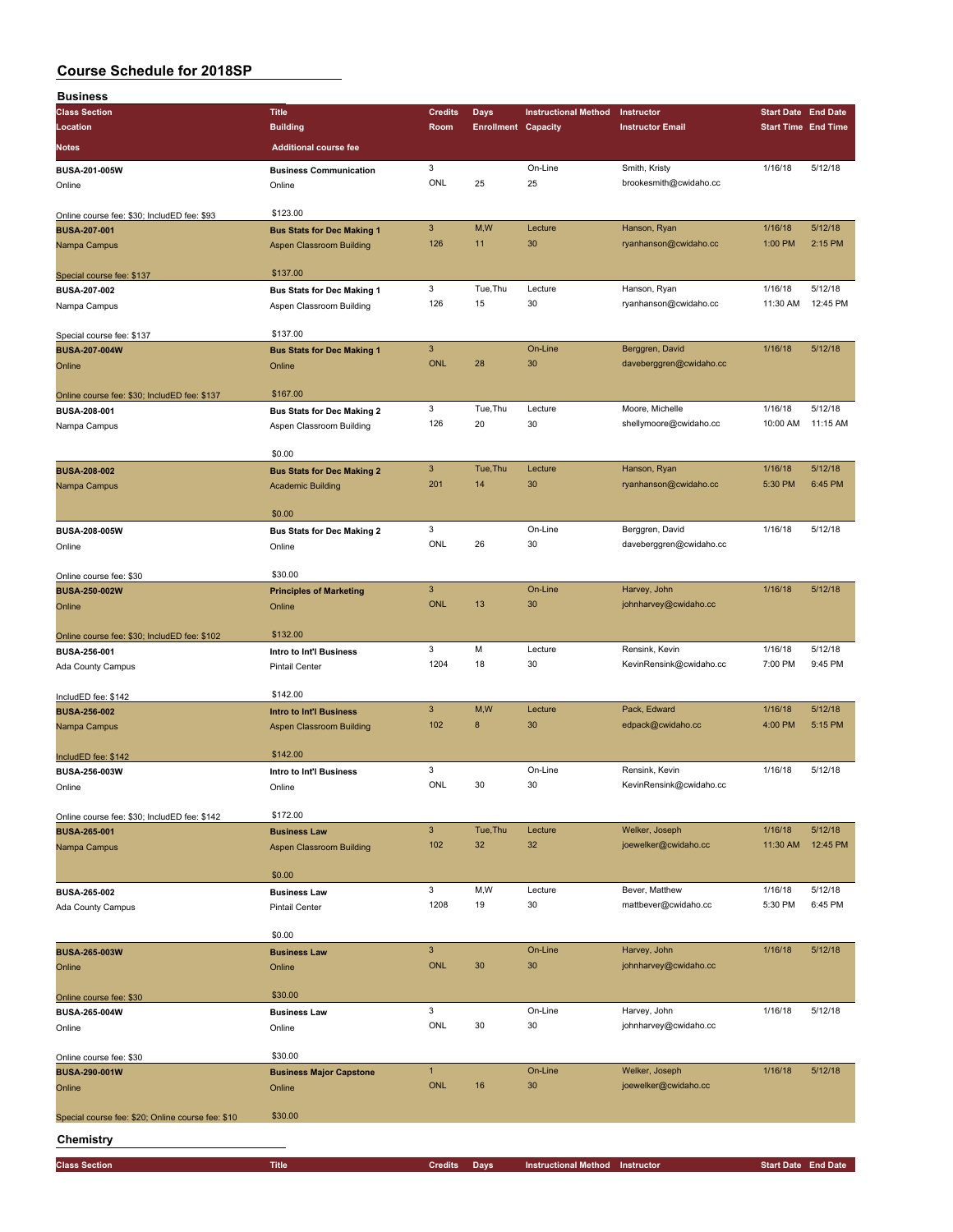| <b>Business</b>                                   |                                   |                           |                            |                                 |                                         |                            |                            |
|---------------------------------------------------|-----------------------------------|---------------------------|----------------------------|---------------------------------|-----------------------------------------|----------------------------|----------------------------|
| <b>Class Section</b>                              | <b>Title</b>                      | <b>Credits</b>            | <b>Days</b>                | <b>Instructional Method</b>     | Instructor                              | <b>Start Date End Date</b> |                            |
| Location                                          | <b>Building</b>                   | Room                      | <b>Enrollment Capacity</b> |                                 | <b>Instructor Email</b>                 | <b>Start Time End Time</b> |                            |
| Notes                                             | <b>Additional course fee</b>      |                           |                            |                                 |                                         |                            |                            |
|                                                   |                                   | 3                         |                            | On-Line                         |                                         | 1/16/18                    | 5/12/18                    |
| BUSA-201-005W                                     | <b>Business Communication</b>     | ONL                       | 25                         | 25                              | Smith, Kristy<br>brookesmith@cwidaho.cc |                            |                            |
| Online                                            | Online                            |                           |                            |                                 |                                         |                            |                            |
| Online course fee: \$30; IncludED fee: \$93       | \$123.00                          |                           |                            |                                 |                                         |                            |                            |
| <b>BUSA-207-001</b>                               | <b>Bus Stats for Dec Making 1</b> | $\mathbf{3}$              | M,W                        | Lecture                         | Hanson, Ryan                            | 1/16/18                    | 5/12/18                    |
| Nampa Campus                                      | <b>Aspen Classroom Building</b>   | 126                       | 11                         | 30                              | ryanhanson@cwidaho.cc                   | 1:00 PM                    | 2:15 PM                    |
|                                                   |                                   |                           |                            |                                 |                                         |                            |                            |
| Special course fee: \$137                         | \$137.00                          |                           |                            |                                 |                                         |                            |                            |
| <b>BUSA-207-002</b>                               | <b>Bus Stats for Dec Making 1</b> | 3                         | Tue, Thu                   | Lecture                         | Hanson, Ryan                            | 1/16/18                    | 5/12/18                    |
| Nampa Campus                                      | Aspen Classroom Building          | 126                       | 15                         | 30                              | ryanhanson@cwidaho.cc                   | 11:30 AM                   | 12:45 PM                   |
|                                                   |                                   |                           |                            |                                 |                                         |                            |                            |
| Special course fee: \$137                         | \$137.00                          |                           |                            |                                 |                                         |                            |                            |
| <b>BUSA-207-004W</b>                              | <b>Bus Stats for Dec Making 1</b> | $\ensuremath{\mathsf{3}}$ |                            | On-Line                         | Berggren, David                         | 1/16/18                    | 5/12/18                    |
| Online                                            | Online                            | <b>ONL</b>                | 28                         | 30                              | daveberggren@cwidaho.cc                 |                            |                            |
|                                                   |                                   |                           |                            |                                 |                                         |                            |                            |
| Online course fee: \$30; IncludED fee: \$137      | \$167.00                          |                           |                            |                                 |                                         |                            |                            |
| BUSA-208-001                                      | <b>Bus Stats for Dec Making 2</b> | 3<br>126                  | Tue, Thu<br>20             | Lecture<br>30                   | Moore, Michelle                         | 1/16/18                    | 5/12/18<br>11:15 AM        |
| Nampa Campus                                      | Aspen Classroom Building          |                           |                            |                                 | shellymoore@cwidaho.cc                  | 10:00 AM                   |                            |
|                                                   | \$0.00                            |                           |                            |                                 |                                         |                            |                            |
| <b>BUSA-208-002</b>                               | <b>Bus Stats for Dec Making 2</b> | $\mathbf{3}$              | Tue, Thu                   | Lecture                         | Hanson, Ryan                            | 1/16/18                    | 5/12/18                    |
| Nampa Campus                                      | <b>Academic Building</b>          | 201                       | 14                         | 30                              | ryanhanson@cwidaho.cc                   | 5:30 PM                    | 6:45 PM                    |
|                                                   |                                   |                           |                            |                                 |                                         |                            |                            |
|                                                   | \$0.00                            |                           |                            |                                 |                                         |                            |                            |
| <b>BUSA-208-005W</b>                              | <b>Bus Stats for Dec Making 2</b> | 3                         |                            | On-Line                         | Berggren, David                         | 1/16/18                    | 5/12/18                    |
| Online                                            | Online                            | ONL                       | 26                         | 30                              | daveberggren@cwidaho.cc                 |                            |                            |
|                                                   |                                   |                           |                            |                                 |                                         |                            |                            |
| Online course fee: \$30                           | \$30.00                           |                           |                            |                                 |                                         |                            |                            |
| <b>BUSA-250-002W</b>                              | <b>Principles of Marketing</b>    | $\mathbf{3}$              |                            | On-Line                         | Harvey, John                            | 1/16/18                    | 5/12/18                    |
| Online                                            | Online                            | <b>ONL</b>                | 13                         | 30                              | johnharvey@cwidaho.cc                   |                            |                            |
|                                                   |                                   |                           |                            |                                 |                                         |                            |                            |
| Online course fee: \$30; IncludED fee: \$102      | \$132.00                          |                           |                            |                                 |                                         |                            |                            |
| BUSA-256-001                                      | Intro to Int'l Business           | 3                         | M                          | Lecture                         | Rensink, Kevin                          | 1/16/18                    | 5/12/18                    |
| Ada County Campus                                 | <b>Pintail Center</b>             | 1204                      | 18                         | 30                              | KevinRensink@cwidaho.cc                 | 7:00 PM                    | 9:45 PM                    |
|                                                   |                                   |                           |                            |                                 |                                         |                            |                            |
| IncludED fee: \$142                               | \$142.00                          |                           |                            |                                 |                                         |                            |                            |
| <b>BUSA-256-002</b>                               | <b>Intro to Int'l Business</b>    | $\mathbf{3}$              | M,W                        | Lecture                         | Pack, Edward                            | 1/16/18                    | 5/12/18                    |
| Nampa Campus                                      | <b>Aspen Classroom Building</b>   | 102                       | 8                          | 30                              | edpack@cwidaho.cc                       | 4:00 PM                    | 5:15 PM                    |
|                                                   |                                   |                           |                            |                                 |                                         |                            |                            |
| IncludED fee: \$142                               | \$142.00                          | 3                         |                            | On-Line                         | Rensink, Kevin                          | 1/16/18                    | 5/12/18                    |
| BUSA-256-003W                                     | Intro to Int'l Business           | ONL                       | 30                         | 30                              | KevinRensink@cwidaho.cc                 |                            |                            |
| Online                                            | Online                            |                           |                            |                                 |                                         |                            |                            |
| Online course fee: \$30; IncludED fee: \$142      | \$172.00                          |                           |                            |                                 |                                         |                            |                            |
| <b>BUSA-265-001</b>                               | <b>Business Law</b>               | $\mathbf{3}$              | Tue, Thu                   | Lecture                         | Welker, Joseph                          | 1/16/18                    | 5/12/18                    |
| Nampa Campus                                      | <b>Aspen Classroom Building</b>   | 102                       | 32                         | 32                              | joewelker@cwidaho.cc                    | 11:30 AM                   | 12:45 PM                   |
|                                                   |                                   |                           |                            |                                 |                                         |                            |                            |
|                                                   | \$0.00                            |                           |                            |                                 |                                         |                            |                            |
| <b>BUSA-265-002</b>                               | <b>Business Law</b>               | 3                         | M,W                        | Lecture                         | Bever, Matthew                          | 1/16/18                    | 5/12/18                    |
| Ada County Campus                                 | <b>Pintail Center</b>             | 1208                      | 19                         | 30                              | mattbever@cwidaho.cc                    | 5:30 PM                    | 6:45 PM                    |
|                                                   |                                   |                           |                            |                                 |                                         |                            |                            |
|                                                   | \$0.00                            |                           |                            |                                 |                                         |                            |                            |
| <b>BUSA-265-003W</b>                              | <b>Business Law</b>               | $\mathbf{3}$              |                            | On-Line                         | Harvey, John                            | 1/16/18                    | 5/12/18                    |
| Online                                            | Online                            | <b>ONL</b>                | 30                         | 30                              | johnharvey@cwidaho.cc                   |                            |                            |
|                                                   |                                   |                           |                            |                                 |                                         |                            |                            |
| Online course fee: \$30                           | \$30.00                           |                           |                            |                                 |                                         |                            |                            |
| <b>BUSA-265-004W</b>                              | <b>Business Law</b>               | 3                         |                            | On-Line                         | Harvey, John                            | 1/16/18                    | 5/12/18                    |
| Online                                            | Online                            | ONL                       | 30                         | 30                              | johnharvey@cwidaho.cc                   |                            |                            |
|                                                   | \$30.00                           |                           |                            |                                 |                                         |                            |                            |
| Online course fee: \$30                           |                                   | $\mathbf{1}$              |                            |                                 |                                         | 1/16/18                    | 5/12/18                    |
| <b>BUSA-290-001W</b>                              | <b>Business Major Capstone</b>    | <b>ONL</b>                | 16                         | On-Line<br>30                   | Welker, Joseph<br>joewelker@cwidaho.cc  |                            |                            |
| Online                                            | Online                            |                           |                            |                                 |                                         |                            |                            |
| Special course fee: \$20; Online course fee: \$10 | \$30.00                           |                           |                            |                                 |                                         |                            |                            |
|                                                   |                                   |                           |                            |                                 |                                         |                            |                            |
| Chemistry                                         |                                   |                           |                            |                                 |                                         |                            |                            |
| <b>Class Section</b>                              | <b>Title</b>                      | <b>Credits</b>            | <b>Days</b>                | Instructional Method Instructor |                                         |                            | <b>Start Date End Date</b> |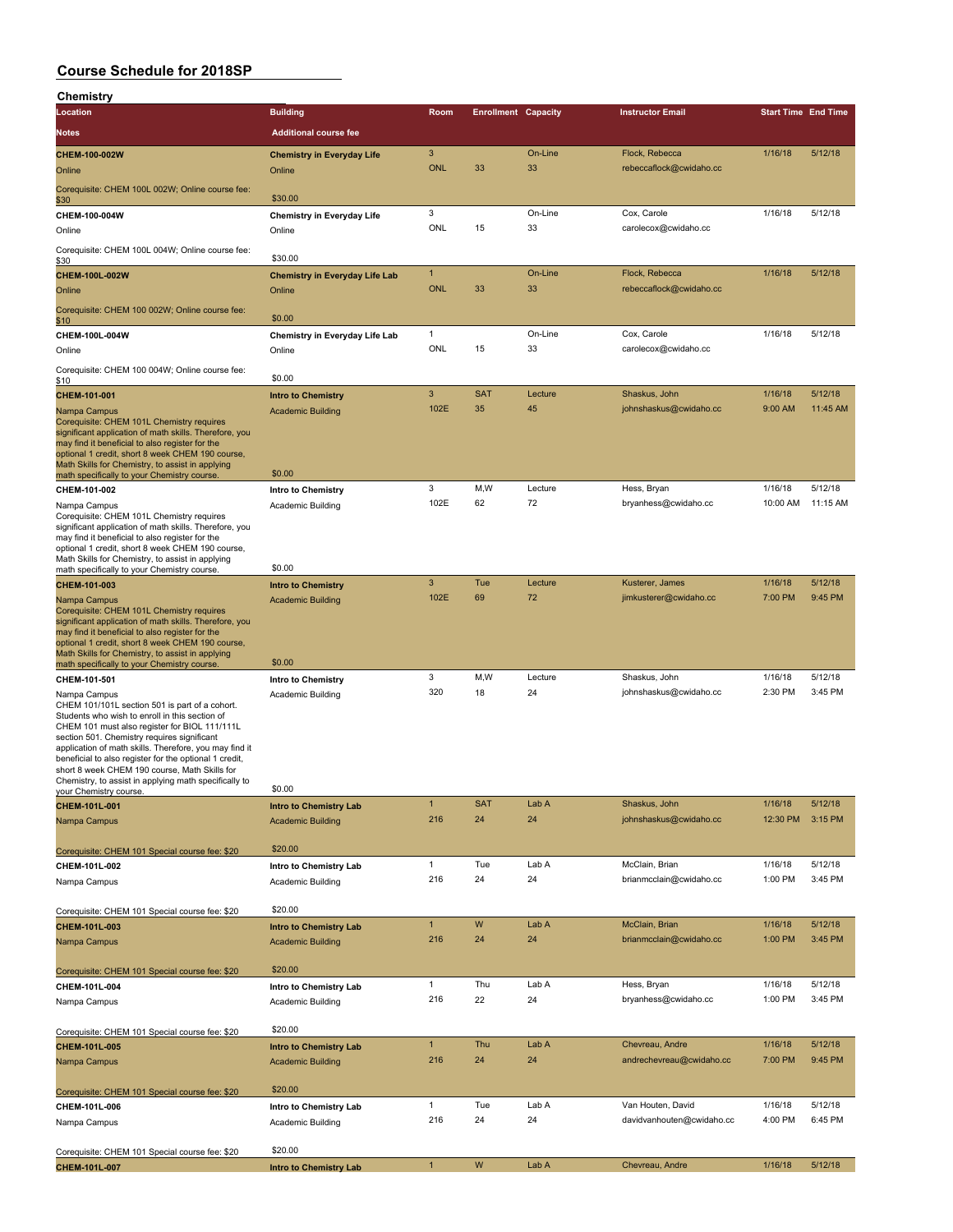| Chemistry                                                                                                                                                                                                                                                                                                                                                                                                                                                                |                                                           |                     |            |                            |                                             |                    |                            |
|--------------------------------------------------------------------------------------------------------------------------------------------------------------------------------------------------------------------------------------------------------------------------------------------------------------------------------------------------------------------------------------------------------------------------------------------------------------------------|-----------------------------------------------------------|---------------------|------------|----------------------------|---------------------------------------------|--------------------|----------------------------|
| Location                                                                                                                                                                                                                                                                                                                                                                                                                                                                 | <b>Building</b>                                           | Room                |            | <b>Enrollment Capacity</b> | <b>Instructor Email</b>                     |                    | <b>Start Time End Time</b> |
| Notes                                                                                                                                                                                                                                                                                                                                                                                                                                                                    | <b>Additional course fee</b>                              |                     |            |                            |                                             |                    |                            |
|                                                                                                                                                                                                                                                                                                                                                                                                                                                                          |                                                           |                     |            |                            |                                             |                    |                            |
| CHEM-100-002W<br>Online                                                                                                                                                                                                                                                                                                                                                                                                                                                  | <b>Chemistry in Everyday Life</b><br>Online               | 3<br><b>ONL</b>     | 33         | On-Line<br>33              | Flock, Rebecca<br>rebeccaflock@cwidaho.cc   | 1/16/18            | 5/12/18                    |
| Corequisite: CHEM 100L 002W; Online course fee:<br>\$30                                                                                                                                                                                                                                                                                                                                                                                                                  | \$30.00                                                   |                     |            |                            |                                             |                    |                            |
| CHEM-100-004W<br>Online                                                                                                                                                                                                                                                                                                                                                                                                                                                  | <b>Chemistry in Everyday Life</b><br>Online               | 3<br>ONL            | 15         | On-Line<br>33              | Cox, Carole<br>carolecox@cwidaho.cc         | 1/16/18            | 5/12/18                    |
| Corequisite: CHEM 100L 004W; Online course fee:                                                                                                                                                                                                                                                                                                                                                                                                                          | \$30.00                                                   |                     |            |                            |                                             |                    |                            |
| <u>\$30</u>                                                                                                                                                                                                                                                                                                                                                                                                                                                              |                                                           |                     |            |                            |                                             | 1/16/18            | 5/12/18                    |
| CHEM-100L-002W<br>Online                                                                                                                                                                                                                                                                                                                                                                                                                                                 | <b>Chemistry in Everyday Life Lab</b><br>Online           | 1<br><b>ONL</b>     | 33         | On-Line<br>33              | Flock, Rebecca<br>rebeccaflock@cwidaho.cc   |                    |                            |
| Corequisite: CHEM 100 002W; Online course fee:<br><u>\$10</u>                                                                                                                                                                                                                                                                                                                                                                                                            | \$0.00                                                    |                     |            |                            |                                             |                    |                            |
| CHEM-100L-004W                                                                                                                                                                                                                                                                                                                                                                                                                                                           | Chemistry in Everyday Life Lab                            | $\mathbf{1}$        |            | On-Line                    | Cox, Carole                                 | 1/16/18            | 5/12/18                    |
| Online                                                                                                                                                                                                                                                                                                                                                                                                                                                                   | Online                                                    | ONL                 | 15         | 33                         | carolecox@cwidaho.cc                        |                    |                            |
| Corequisite: CHEM 100 004W; Online course fee:<br>\$10                                                                                                                                                                                                                                                                                                                                                                                                                   | \$0.00                                                    |                     |            |                            |                                             |                    |                            |
| CHEM-101-001                                                                                                                                                                                                                                                                                                                                                                                                                                                             | <b>Intro to Chemistry</b>                                 | 3                   | <b>SAT</b> | Lecture                    | Shaskus, John                               | 1/16/18            | 5/12/18                    |
| Nampa Campus<br>Corequisite: CHEM 101L Chemistry requires<br>significant application of math skills. Therefore, you<br>may find it beneficial to also register for the<br>optional 1 credit, short 8 week CHEM 190 course,<br>Math Skills for Chemistry, to assist in applying<br>math specifically to your Chemistry course                                                                                                                                             | <b>Academic Building</b><br>\$0.00                        | 102E                | 35         | 45                         | johnshaskus@cwidaho.cc                      | 9:00 AM            | 11:45 AM                   |
| CHEM-101-002                                                                                                                                                                                                                                                                                                                                                                                                                                                             | Intro to Chemistry                                        | 3                   | M, W       | Lecture                    | Hess, Bryan                                 | 1/16/18            | 5/12/18                    |
| Nampa Campus<br>Corequisite: CHEM 101L Chemistry requires<br>significant application of math skills. Therefore, you<br>may find it beneficial to also register for the<br>optional 1 credit, short 8 week CHEM 190 course,<br>Math Skills for Chemistry, to assist in applying                                                                                                                                                                                           | Academic Building                                         | 102E                | 62         | 72                         | bryanhess@cwidaho.cc                        | 10:00 AM           | 11:15 AM                   |
| math specifically to your Chemistry course.                                                                                                                                                                                                                                                                                                                                                                                                                              | \$0.00                                                    |                     |            |                            |                                             |                    |                            |
| CHEM-101-003                                                                                                                                                                                                                                                                                                                                                                                                                                                             | <b>Intro to Chemistry</b>                                 | 3<br>102E           | Tue<br>69  | Lecture                    | Kusterer, James                             | 1/16/18            | 5/12/18<br>9:45 PM         |
| Nampa Campus<br>Corequisite: CHEM 101L Chemistry requires<br>significant application of math skills. Therefore, you<br>may find it beneficial to also register for the<br>optional 1 credit, short 8 week CHEM 190 course,<br>Math Skills for Chemistry, to assist in applying                                                                                                                                                                                           | <b>Academic Building</b><br>\$0.00                        |                     |            | 72                         | jimkusterer@cwidaho.cc                      | 7:00 PM            |                            |
| math specifically to your Chemistry course<br>CHEM-101-501                                                                                                                                                                                                                                                                                                                                                                                                               |                                                           | 3                   | M,W        | Lecture                    | Shaskus, John                               | 1/16/18            | 5/12/18                    |
| Nampa Campus<br>CHEM 101/101L section 501 is part of a cohort.<br>Students who wish to enroll in this section of<br>CHEM 101 must also register for BIOL 111/111L<br>section 501. Chemistry requires significant<br>application of math skills. Therefore, you may find it<br>beneficial to also register for the optional 1 credit,<br>short 8 week CHEM 190 course, Math Skills for<br>Chemistry, to assist in applying math specifically to<br>your Chemistry course. | Intro to Chemistry<br><b>Academic Building</b><br>\$0.00  | 320                 | 18         | 24                         | johnshaskus@cwidaho.cc                      | 2:30 PM            | 3:45 PM                    |
| CHEM-101L-001                                                                                                                                                                                                                                                                                                                                                                                                                                                            | Intro to Chemistry Lab                                    | $\mathbf{1}$        | <b>SAT</b> | Lab A                      | Shaskus, John                               | 1/16/18            | 5/12/18                    |
| Nampa Campus                                                                                                                                                                                                                                                                                                                                                                                                                                                             | <b>Academic Building</b>                                  | 216                 | 24         | 24                         | johnshaskus@cwidaho.cc                      | 12:30 PM           | 3:15 PM                    |
| Corequisite: CHEM 101 Special course fee: \$20                                                                                                                                                                                                                                                                                                                                                                                                                           | \$20.00                                                   |                     |            |                            |                                             |                    |                            |
| CHEM-101L-002<br>Nampa Campus                                                                                                                                                                                                                                                                                                                                                                                                                                            | Intro to Chemistry Lab<br>Academic Building               | 1<br>216            | Tue<br>24  | Lab A<br>24                | McClain, Brian<br>brianmcclain@cwidaho.cc   | 1/16/18<br>1:00 PM | 5/12/18<br>3:45 PM         |
| Corequisite: CHEM 101 Special course fee: \$20                                                                                                                                                                                                                                                                                                                                                                                                                           | \$20.00                                                   |                     |            |                            |                                             |                    |                            |
| CHEM-101L-003                                                                                                                                                                                                                                                                                                                                                                                                                                                            | <b>Intro to Chemistry Lab</b>                             | $\mathbf{1}$        | W          | Lab A                      | McClain, Brian                              | 1/16/18            | 5/12/18                    |
| Nampa Campus                                                                                                                                                                                                                                                                                                                                                                                                                                                             | <b>Academic Building</b>                                  | 216                 | 24         | 24                         | brianmcclain@cwidaho.cc                     | 1:00 PM            | 3:45 PM                    |
| Corequisite: CHEM 101 Special course fee: \$20                                                                                                                                                                                                                                                                                                                                                                                                                           | \$20.00                                                   |                     |            |                            |                                             |                    |                            |
| CHEM-101L-004                                                                                                                                                                                                                                                                                                                                                                                                                                                            | Intro to Chemistry Lab                                    | $\mathbf{1}$        | Thu        | Lab A                      | Hess, Bryan                                 | 1/16/18            | 5/12/18                    |
| Nampa Campus                                                                                                                                                                                                                                                                                                                                                                                                                                                             | Academic Building                                         | 216                 | 22         | 24                         | bryanhess@cwidaho.cc                        | 1:00 PM            | 3:45 PM                    |
| Corequisite: CHEM 101 Special course fee: \$20                                                                                                                                                                                                                                                                                                                                                                                                                           | \$20.00                                                   |                     |            |                            |                                             |                    |                            |
| CHEM-101L-005<br>Nampa Campus                                                                                                                                                                                                                                                                                                                                                                                                                                            | <b>Intro to Chemistry Lab</b><br><b>Academic Building</b> | $\mathbf{1}$<br>216 | Thu<br>24  | Lab A<br>24                | Chevreau, Andre<br>andrechevreau@cwidaho.cc | 1/16/18<br>7:00 PM | 5/12/18<br>9:45 PM         |
| Corequisite: CHEM 101 Special course fee: \$20                                                                                                                                                                                                                                                                                                                                                                                                                           | \$20.00                                                   |                     |            |                            |                                             |                    |                            |
| CHEM-101L-006                                                                                                                                                                                                                                                                                                                                                                                                                                                            | Intro to Chemistry Lab                                    | $\mathbf{1}$        | Tue        | Lab A                      | Van Houten, David                           | 1/16/18            | 5/12/18                    |
| Nampa Campus                                                                                                                                                                                                                                                                                                                                                                                                                                                             | Academic Building                                         | 216                 | 24         | 24                         | davidvanhouten@cwidaho.cc                   | 4:00 PM            | 6:45 PM                    |
| Corequisite: CHEM 101 Special course fee: \$20                                                                                                                                                                                                                                                                                                                                                                                                                           | \$20.00                                                   |                     |            |                            |                                             |                    |                            |
| CHEM-101L-007                                                                                                                                                                                                                                                                                                                                                                                                                                                            | <b>Intro to Chemistry Lab</b>                             | $\mathbf{1}$        | W          | Lab A                      | Chevreau, Andre                             | 1/16/18            | 5/12/18                    |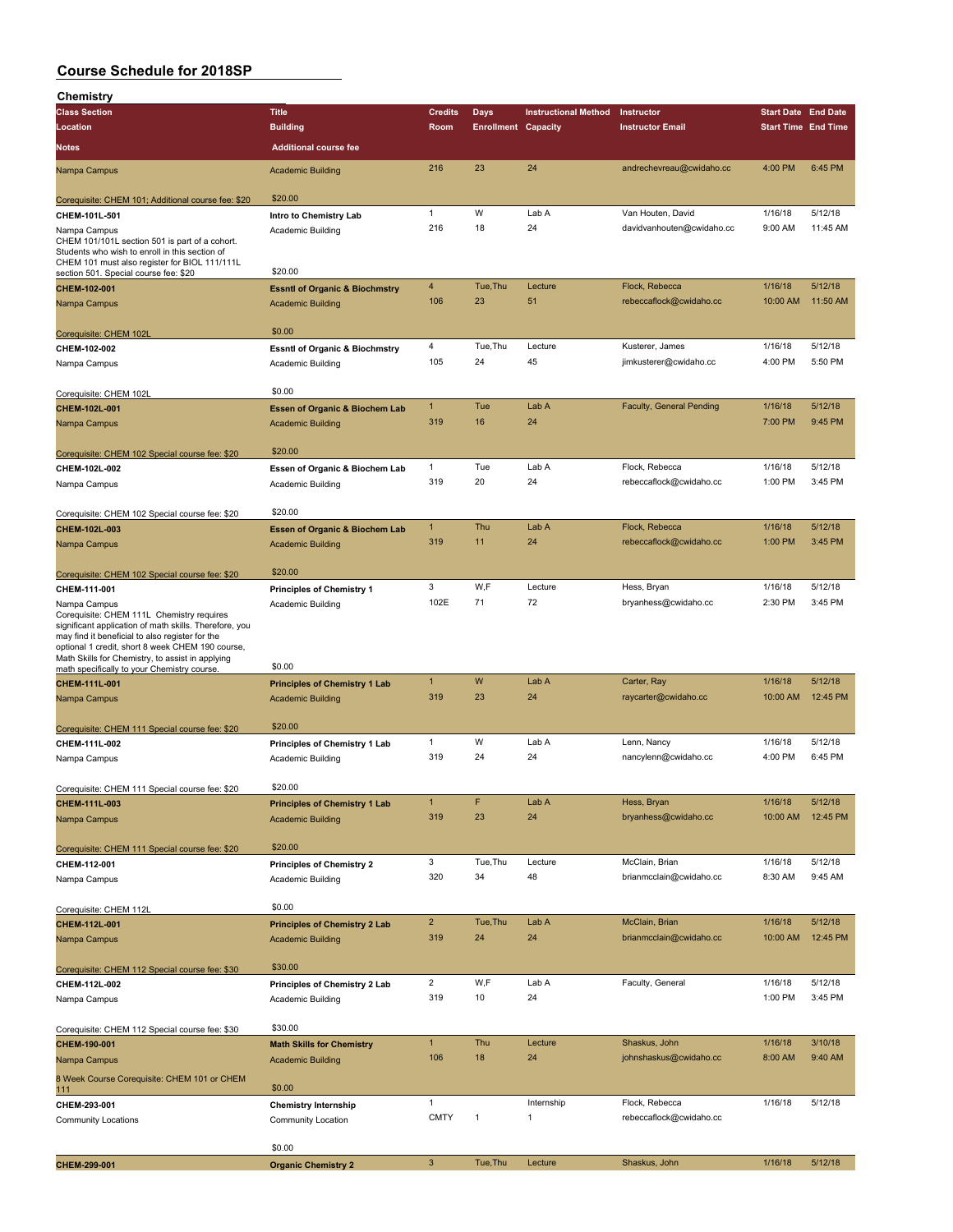| Chemistry                                                                                                                                                                                                                  |                                             |                       |                            |                             |                                           |                            |                     |
|----------------------------------------------------------------------------------------------------------------------------------------------------------------------------------------------------------------------------|---------------------------------------------|-----------------------|----------------------------|-----------------------------|-------------------------------------------|----------------------------|---------------------|
| <b>Class Section</b>                                                                                                                                                                                                       | <b>Title</b>                                | <b>Credits</b>        | <b>Days</b>                | <b>Instructional Method</b> | Instructor                                | <b>Start Date End Date</b> |                     |
| Location                                                                                                                                                                                                                   | <b>Building</b>                             | Room                  | <b>Enrollment Capacity</b> |                             | <b>Instructor Email</b>                   | <b>Start Time End Time</b> |                     |
| Notes                                                                                                                                                                                                                      | <b>Additional course fee</b>                |                       |                            |                             |                                           |                            |                     |
| Nampa Campus                                                                                                                                                                                                               | <b>Academic Building</b>                    | 216                   | 23                         | 24                          | andrechevreau@cwidaho.cc                  | 4:00 PM                    | 6:45 PM             |
|                                                                                                                                                                                                                            | \$20.00                                     |                       |                            |                             |                                           |                            |                     |
| Corequisite: CHEM 101; Additional course fee: \$20                                                                                                                                                                         |                                             | $\mathbf{1}$          | W                          | Lab A                       | Van Houten, David                         | 1/16/18                    | 5/12/18             |
| CHEM-101L-501<br>Nampa Campus                                                                                                                                                                                              | Intro to Chemistry Lab<br>Academic Building | 216                   | 18                         | 24                          | davidvanhouten@cwidaho.cc                 | 9:00 AM                    | 11:45 AM            |
| CHEM 101/101L section 501 is part of a cohort.<br>Students who wish to enroll in this section of<br>CHEM 101 must also register for BIOL 111/111L                                                                          |                                             |                       |                            |                             |                                           |                            |                     |
| section 501. Special course fee: \$20                                                                                                                                                                                      | \$20.00                                     |                       |                            |                             |                                           |                            |                     |
| CHEM-102-001                                                                                                                                                                                                               | <b>Essntl of Organic &amp; Biochmstry</b>   | 4<br>106              | Tue, Thu<br>23             | Lecture<br>51               | Flock, Rebecca<br>rebeccaflock@cwidaho.cc | 1/16/18<br>10:00 AM        | 5/12/18<br>11:50 AM |
| Nampa Campus                                                                                                                                                                                                               | <b>Academic Building</b>                    |                       |                            |                             |                                           |                            |                     |
| Corequisite: CHEM 102L                                                                                                                                                                                                     | \$0.00                                      |                       |                            |                             |                                           |                            |                     |
| CHEM-102-002                                                                                                                                                                                                               | <b>Essntl of Organic &amp; Biochmstry</b>   | 4                     | Tue, Thu                   | Lecture                     | Kusterer, James                           | 1/16/18                    | 5/12/18             |
| Nampa Campus                                                                                                                                                                                                               | Academic Building                           | 105                   | 24                         | 45                          | jimkusterer@cwidaho.cc                    | 4:00 PM                    | 5:50 PM             |
|                                                                                                                                                                                                                            |                                             |                       |                            |                             |                                           |                            |                     |
| Corequisite: CHEM 102L                                                                                                                                                                                                     | \$0.00                                      |                       |                            |                             |                                           |                            |                     |
| CHEM-102L-001                                                                                                                                                                                                              | <b>Essen of Organic &amp; Biochem Lab</b>   | $\mathbf{1}$          | Tue                        | Lab A                       | <b>Faculty, General Pending</b>           | 1/16/18                    | 5/12/18             |
| Nampa Campus                                                                                                                                                                                                               | <b>Academic Building</b>                    | 319                   | 16                         | 24                          |                                           | 7:00 PM                    | 9:45 PM             |
|                                                                                                                                                                                                                            |                                             |                       |                            |                             |                                           |                            |                     |
| Corequisite: CHEM 102 Special course fee: \$20                                                                                                                                                                             | \$20.00                                     |                       |                            |                             |                                           |                            |                     |
| CHEM-102L-002                                                                                                                                                                                                              | Essen of Organic & Biochem Lab              | 1                     | Tue                        | Lab A                       | Flock, Rebecca                            | 1/16/18                    | 5/12/18             |
| Nampa Campus                                                                                                                                                                                                               | Academic Building                           | 319                   | 20                         | 24                          | rebeccaflock@cwidaho.cc                   | 1:00 PM                    | 3:45 PM             |
|                                                                                                                                                                                                                            |                                             |                       |                            |                             |                                           |                            |                     |
| Corequisite: CHEM 102 Special course fee: \$20                                                                                                                                                                             | \$20.00                                     |                       |                            |                             |                                           |                            |                     |
| CHEM-102L-003                                                                                                                                                                                                              | <b>Essen of Organic &amp; Biochem Lab</b>   | $\mathbf{1}$          | Thu                        | Lab A                       | Flock, Rebecca                            | 1/16/18                    | 5/12/18             |
| Nampa Campus                                                                                                                                                                                                               | <b>Academic Building</b>                    | 319                   | 11                         | 24                          | rebeccaflock@cwidaho.cc                   | 1:00 PM                    | 3:45 PM             |
|                                                                                                                                                                                                                            |                                             |                       |                            |                             |                                           |                            |                     |
| Corequisite: CHEM 102 Special course fee: \$20                                                                                                                                                                             | \$20.00                                     | 3                     | W,F                        | Lecture                     | Hess, Bryan                               | 1/16/18                    | 5/12/18             |
| CHEM-111-001                                                                                                                                                                                                               | <b>Principles of Chemistry 1</b>            | 102E                  | 71                         | 72                          | bryanhess@cwidaho.cc                      | 2:30 PM                    | 3:45 PM             |
| Nampa Campus<br>Corequisite: CHEM 111L Chemistry requires<br>significant application of math skills. Therefore, you<br>may find it beneficial to also register for the<br>optional 1 credit, short 8 week CHEM 190 course, | Academic Building                           |                       |                            |                             |                                           |                            |                     |
| Math Skills for Chemistry, to assist in applying                                                                                                                                                                           | \$0.00                                      |                       |                            |                             |                                           |                            |                     |
| math specifically to your Chemistry course.                                                                                                                                                                                |                                             | $\mathbf{1}$          | W                          | Lab A                       | Carter, Ray                               | 1/16/18                    | 5/12/18             |
| CHEM-111L-001                                                                                                                                                                                                              | <b>Principles of Chemistry 1 Lab</b>        | 319                   | 23                         | 24                          | raycarter@cwidaho.cc                      | 10:00 AM                   | 12:45 PM            |
| Nampa Campus                                                                                                                                                                                                               | <b>Academic Building</b>                    |                       |                            |                             |                                           |                            |                     |
| Corequisite: CHEM 111 Special course fee: \$20                                                                                                                                                                             | \$20.00                                     |                       |                            |                             |                                           |                            |                     |
| CHEM-111L-002                                                                                                                                                                                                              | Principles of Chemistry 1 Lab               | 1                     | W                          | Lab A                       | Lenn, Nancy                               | 1/16/18                    | 5/12/18             |
| Nampa Campus                                                                                                                                                                                                               | Academic Building                           | 319                   | 24                         | 24                          | nancylenn@cwidaho.cc                      | 4:00 PM                    | 6:45 PM             |
|                                                                                                                                                                                                                            |                                             |                       |                            |                             |                                           |                            |                     |
| Corequisite: CHEM 111 Special course fee: \$20                                                                                                                                                                             | \$20.00                                     |                       |                            |                             |                                           |                            |                     |
| CHEM-111L-003                                                                                                                                                                                                              | <b>Principles of Chemistry 1 Lab</b>        | $\mathbf{1}$          | F                          | Lab A                       | Hess, Bryan                               | 1/16/18                    | 5/12/18             |
| Nampa Campus                                                                                                                                                                                                               | <b>Academic Building</b>                    | 319                   | 23                         | 24                          | bryanhess@cwidaho.cc                      | 10:00 AM                   | 12:45 PM            |
|                                                                                                                                                                                                                            |                                             |                       |                            |                             |                                           |                            |                     |
| Corequisite: CHEM 111 Special course fee: \$20                                                                                                                                                                             | \$20.00                                     |                       |                            |                             |                                           |                            |                     |
| CHEM-112-001                                                                                                                                                                                                               | <b>Principles of Chemistry 2</b>            | 3                     | Tue, Thu                   | Lecture                     | McClain, Brian                            | 1/16/18                    | 5/12/18             |
| Nampa Campus                                                                                                                                                                                                               | Academic Building                           | 320                   | 34                         | 48                          | brianmcclain@cwidaho.cc                   | 8:30 AM                    | 9:45 AM             |
|                                                                                                                                                                                                                            |                                             |                       |                            |                             |                                           |                            |                     |
| Corequisite: CHEM 112L                                                                                                                                                                                                     | \$0.00                                      |                       |                            |                             |                                           |                            |                     |
| CHEM-112L-001                                                                                                                                                                                                              | <b>Principles of Chemistry 2 Lab</b>        | $\overline{2}$<br>319 | Tue, Thu<br>24             | Lab A<br>24                 | McClain, Brian                            | 1/16/18                    | 5/12/18<br>12:45 PM |
| Nampa Campus                                                                                                                                                                                                               | <b>Academic Building</b>                    |                       |                            |                             | brianmcclain@cwidaho.cc                   | 10:00 AM                   |                     |
| Corequisite: CHEM 112 Special course fee: \$30                                                                                                                                                                             | \$30.00                                     |                       |                            |                             |                                           |                            |                     |
| CHEM-112L-002                                                                                                                                                                                                              | Principles of Chemistry 2 Lab               | $\overline{c}$        | W,F                        | Lab A                       | Faculty, General                          | 1/16/18                    | 5/12/18             |
| Nampa Campus                                                                                                                                                                                                               | Academic Building                           | 319                   | 10                         | 24                          |                                           | 1:00 PM                    | 3:45 PM             |
|                                                                                                                                                                                                                            |                                             |                       |                            |                             |                                           |                            |                     |
| Corequisite: CHEM 112 Special course fee: \$30                                                                                                                                                                             | \$30.00                                     |                       |                            |                             |                                           |                            |                     |
| CHEM-190-001                                                                                                                                                                                                               | <b>Math Skills for Chemistry</b>            | $\mathbf{1}$          | Thu                        | Lecture                     | Shaskus, John                             | 1/16/18                    | 3/10/18             |
| Nampa Campus                                                                                                                                                                                                               | <b>Academic Building</b>                    | 106                   | 18                         | 24                          | johnshaskus@cwidaho.cc                    | 8:00 AM                    | 9:40 AM             |
|                                                                                                                                                                                                                            |                                             |                       |                            |                             |                                           |                            |                     |
| 8 Week Course Corequisite: CHEM 101 or CHEM<br>111                                                                                                                                                                         | \$0.00                                      |                       |                            |                             |                                           |                            |                     |
| CHEM-293-001                                                                                                                                                                                                               | <b>Chemistry Internship</b>                 | $\mathbf{1}$          |                            | Internship                  | Flock, Rebecca                            | 1/16/18                    | 5/12/18             |
| <b>Community Locations</b>                                                                                                                                                                                                 | Community Location                          | <b>CMTY</b>           | 1                          | 1                           | rebeccaflock@cwidaho.cc                   |                            |                     |
|                                                                                                                                                                                                                            |                                             |                       |                            |                             |                                           |                            |                     |
|                                                                                                                                                                                                                            | \$0.00                                      |                       |                            |                             |                                           |                            |                     |
| CHEM-299-001                                                                                                                                                                                                               | <b>Organic Chemistry 2</b>                  | 3                     | Tue, Thu                   | Lecture                     | Shaskus, John                             | 1/16/18                    | 5/12/18             |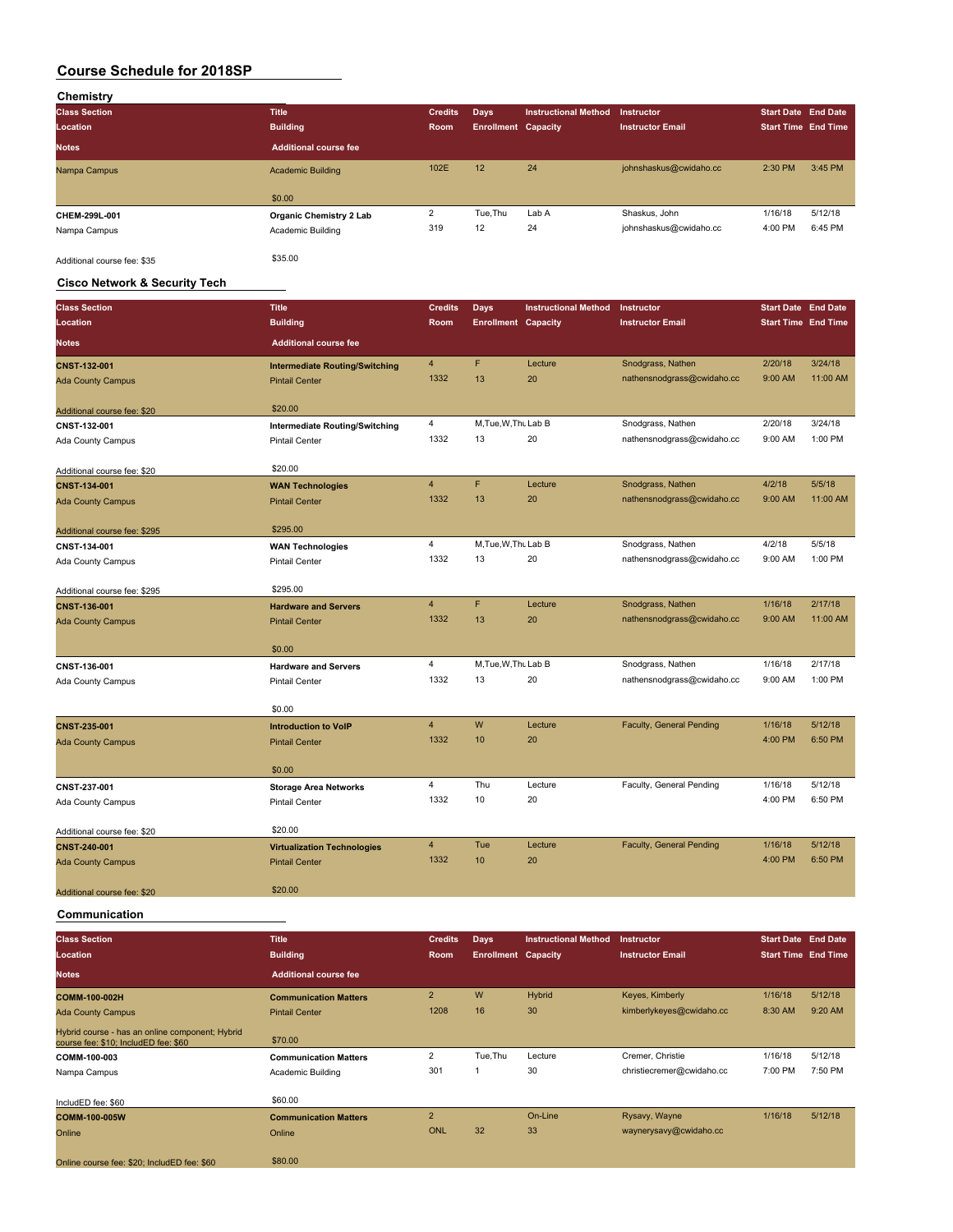| Chemistry                   |                              |                |                            |                             |                         |                            |         |
|-----------------------------|------------------------------|----------------|----------------------------|-----------------------------|-------------------------|----------------------------|---------|
| <b>Class Section</b>        | <b>Title</b>                 | <b>Credits</b> | <b>Days</b>                | <b>Instructional Method</b> | Instructor              | <b>Start Date End Date</b> |         |
| Location                    | <b>Building</b>              | Room           | <b>Enrollment Capacity</b> |                             | <b>Instructor Email</b> | <b>Start Time End Time</b> |         |
| <b>Notes</b>                | <b>Additional course fee</b> |                |                            |                             |                         |                            |         |
| Nampa Campus                | <b>Academic Building</b>     | 102E           | 12                         | 24                          | johnshaskus@cwidaho.cc  | 2:30 PM                    | 3:45 PM |
|                             |                              |                |                            |                             |                         |                            |         |
|                             | \$0.00                       |                |                            |                             |                         |                            |         |
| CHEM-299L-001               | Organic Chemistry 2 Lab      | 2              | Tue, Thu                   | Lab A                       | Shaskus, John           | 1/16/18                    | 5/12/18 |
| Nampa Campus                | Academic Building            | 319            | 12                         | 24                          | johnshaskus@cwidaho.cc  | 4:00 PM                    | 6:45 PM |
| Additional course fee: \$35 | \$35.00                      |                |                            |                             |                         |                            |         |

### **Cisco Network & Security Tech**

| <b>Class Section</b>         | <b>Title</b>                          | <b>Credits</b> | <b>Days</b>                | <b>Instructional Method</b> | Instructor                      | <b>Start Date End Date</b> |          |
|------------------------------|---------------------------------------|----------------|----------------------------|-----------------------------|---------------------------------|----------------------------|----------|
| Location                     | <b>Building</b>                       | Room           | <b>Enrollment Capacity</b> |                             | <b>Instructor Email</b>         | <b>Start Time End Time</b> |          |
| <b>Notes</b>                 | <b>Additional course fee</b>          |                |                            |                             |                                 |                            |          |
| <b>CNST-132-001</b>          | <b>Intermediate Routing/Switching</b> | 4              | F                          | Lecture                     | Snodgrass, Nathen               | 2/20/18                    | 3/24/18  |
| <b>Ada County Campus</b>     | <b>Pintail Center</b>                 | 1332           | 13                         | 20                          | nathensnodgrass@cwidaho.cc      | 9:00 AM                    | 11:00 AM |
| Additional course fee: \$20  | \$20.00                               |                |                            |                             |                                 |                            |          |
| CNST-132-001                 | <b>Intermediate Routing/Switching</b> | 4              | M.Tue.W.Thu Lab B          |                             | Snodgrass, Nathen               | 2/20/18                    | 3/24/18  |
| Ada County Campus            | <b>Pintail Center</b>                 | 1332           | 13                         | 20                          | nathensnodgrass@cwidaho.cc      | 9:00 AM                    | 1:00 PM  |
| Additional course fee: \$20  | \$20.00                               |                |                            |                             |                                 |                            |          |
| CNST-134-001                 | <b>WAN Technologies</b>               | $\overline{4}$ | F                          | Lecture                     | Snodgrass, Nathen               | 4/2/18                     | 5/5/18   |
| <b>Ada County Campus</b>     | <b>Pintail Center</b>                 | 1332           | 13                         | 20                          | nathensnodgrass@cwidaho.cc      | 9:00 AM                    | 11:00 AM |
| Additional course fee: \$295 | \$295.00                              |                |                            |                             |                                 |                            |          |
| CNST-134-001                 | <b>WAN Technologies</b>               | 4              | M.Tue.W.Thu Lab B          |                             | Snodgrass, Nathen               | 4/2/18                     | 5/5/18   |
| Ada County Campus            | <b>Pintail Center</b>                 | 1332           | 13                         | 20                          | nathensnodgrass@cwidaho.cc      | 9:00 AM                    | 1:00 PM  |
| Additional course fee: \$295 | \$295.00                              |                |                            |                             |                                 |                            |          |
| CNST-136-001                 | <b>Hardware and Servers</b>           | $\overline{4}$ | F                          | Lecture                     | Snodgrass, Nathen               | 1/16/18                    | 2/17/18  |
| <b>Ada County Campus</b>     | <b>Pintail Center</b>                 | 1332           | 13                         | 20                          | nathensnodgrass@cwidaho.cc      | 9:00 AM                    | 11:00 AM |
|                              | \$0.00                                |                |                            |                             |                                 |                            |          |
| CNST-136-001                 | <b>Hardware and Servers</b>           | 4              | M.Tue, W.Thu Lab B         |                             | Snodgrass, Nathen               | 1/16/18                    | 2/17/18  |
| Ada County Campus            | <b>Pintail Center</b>                 | 1332           | 13                         | 20                          | nathensnodgrass@cwidaho.cc      | 9:00 AM                    | 1:00 PM  |
|                              | \$0.00                                |                |                            |                             |                                 |                            |          |
| <b>CNST-235-001</b>          | <b>Introduction to VoIP</b>           | $\overline{4}$ | W                          | Lecture                     | Faculty, General Pending        | 1/16/18                    | 5/12/18  |
| <b>Ada County Campus</b>     | <b>Pintail Center</b>                 | 1332           | 10                         | 20                          |                                 | 4:00 PM                    | 6:50 PM  |
|                              | \$0.00                                |                |                            |                             |                                 |                            |          |
| CNST-237-001                 | <b>Storage Area Networks</b>          | 4              | Thu                        | Lecture                     | Faculty, General Pending        | 1/16/18                    | 5/12/18  |
| Ada County Campus            | <b>Pintail Center</b>                 | 1332           | 10                         | 20                          |                                 | 4:00 PM                    | 6:50 PM  |
| Additional course fee: \$20  | \$20.00                               |                |                            |                             |                                 |                            |          |
| <b>CNST-240-001</b>          | <b>Virtualization Technologies</b>    | 4              | Tue                        | Lecture                     | <b>Faculty, General Pending</b> | 1/16/18                    | 5/12/18  |
| <b>Ada County Campus</b>     | <b>Pintail Center</b>                 | 1332           | 10                         | 20                          |                                 | 4:00 PM                    | 6:50 PM  |
| Additional course fee: \$20  | \$20.00                               |                |                            |                             |                                 |                            |          |

**Communication**

| <b>Class Section</b>                                                                    | <b>Title</b>                 | <b>Credits</b> | Days                       | <b>Instructional Method</b> | <b>Instructor</b>         | <b>Start Date End Date</b> |         |
|-----------------------------------------------------------------------------------------|------------------------------|----------------|----------------------------|-----------------------------|---------------------------|----------------------------|---------|
| Location                                                                                | <b>Building</b>              | <b>Room</b>    | <b>Enrollment Capacity</b> |                             | <b>Instructor Email</b>   | <b>Start Time End Time</b> |         |
| <b>Notes</b>                                                                            | <b>Additional course fee</b> |                |                            |                             |                           |                            |         |
| COMM-100-002H                                                                           | <b>Communication Matters</b> | $\overline{2}$ | W                          | Hybrid                      | Keyes, Kimberly           | 1/16/18                    | 5/12/18 |
| <b>Ada County Campus</b>                                                                | <b>Pintail Center</b>        | 1208           | 16                         | 30                          | kimberlykeyes@cwidaho.cc  | 8:30 AM                    | 9:20 AM |
| Hybrid course - has an online component; Hybrid<br>course fee: \$10; IncludED fee: \$60 | \$70.00                      |                |                            |                             |                           |                            |         |
| COMM-100-003                                                                            | <b>Communication Matters</b> | 2              | Tue, Thu                   | Lecture                     | Cremer, Christie          | 1/16/18                    | 5/12/18 |
| Nampa Campus                                                                            | Academic Building            | 301            |                            | 30                          | christiecremer@cwidaho.cc | 7:00 PM                    | 7:50 PM |
| IncludED fee: \$60                                                                      | \$60.00                      |                |                            |                             |                           |                            |         |
| <b>COMM-100-005W</b>                                                                    | <b>Communication Matters</b> | $\overline{2}$ |                            | On-Line                     | Rysavy, Wayne             | 1/16/18                    | 5/12/18 |
| Online                                                                                  | Online                       | ONL            | 32                         | 33                          | waynerysavy@cwidaho.cc    |                            |         |
| Online course fee: \$20; IncludED fee: \$60                                             | \$80.00                      |                |                            |                             |                           |                            |         |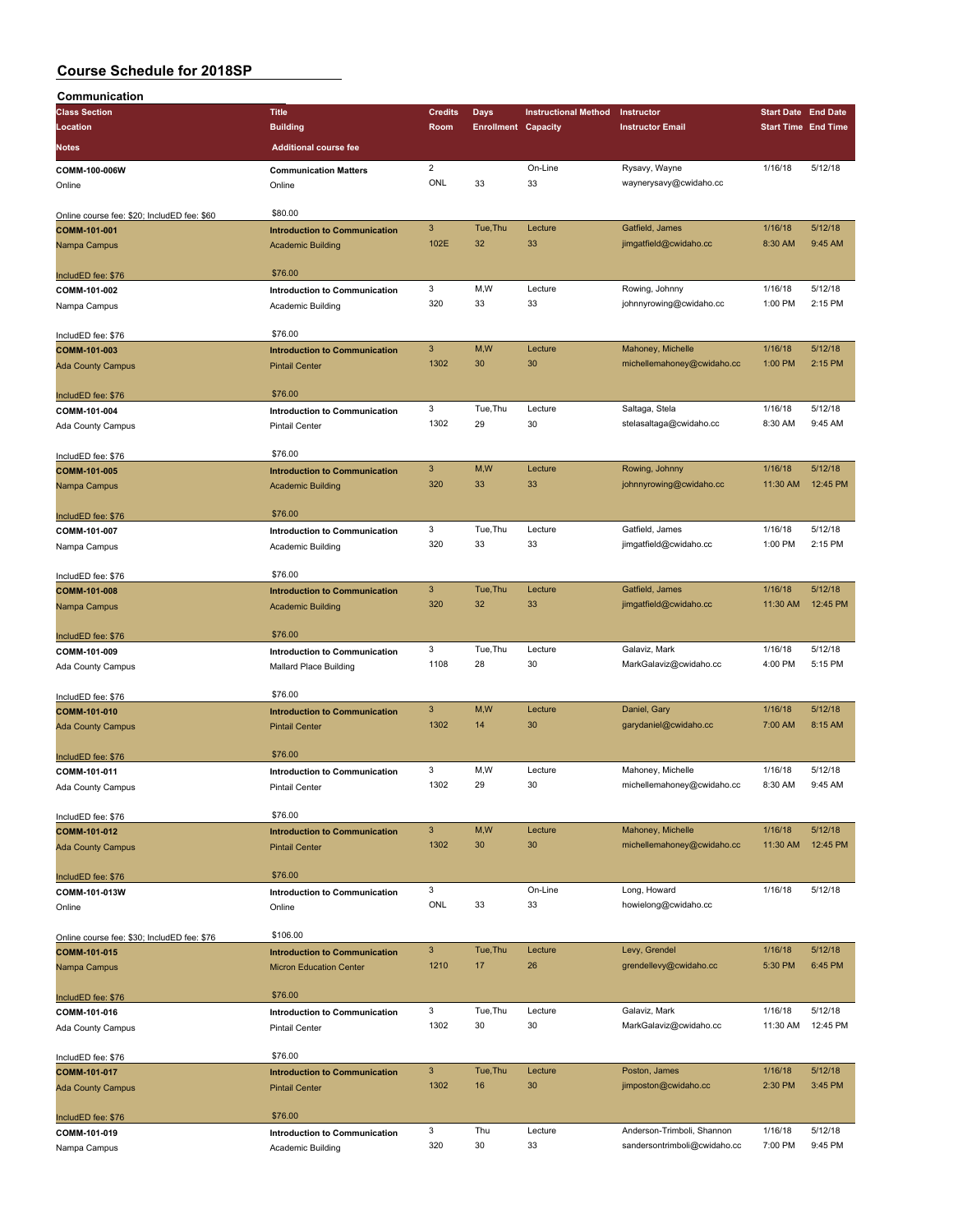| Communication                               |                                      |                           |                            |                             |                              |                            |          |
|---------------------------------------------|--------------------------------------|---------------------------|----------------------------|-----------------------------|------------------------------|----------------------------|----------|
| <b>Class Section</b>                        | <b>Title</b>                         | <b>Credits</b>            | Days                       | <b>Instructional Method</b> | Instructor                   | <b>Start Date End Date</b> |          |
| Location                                    | <b>Building</b>                      | Room                      | <b>Enrollment Capacity</b> |                             | <b>Instructor Email</b>      | <b>Start Time End Time</b> |          |
| Notes                                       | <b>Additional course fee</b>         |                           |                            |                             |                              |                            |          |
|                                             |                                      |                           |                            |                             |                              |                            |          |
| COMM-100-006W                               | <b>Communication Matters</b>         | $\overline{2}$            |                            | On-Line                     | Rysavy, Wayne                | 1/16/18                    | 5/12/18  |
| Online                                      | Online                               | ONL                       | 33                         | 33                          | waynerysavy@cwidaho.cc       |                            |          |
|                                             |                                      |                           |                            |                             |                              |                            |          |
| Online course fee: \$20; IncludED fee: \$60 | \$80.00                              |                           |                            |                             |                              |                            |          |
| COMM-101-001                                | <b>Introduction to Communication</b> | $\mathbf{3}$              | Tue, Thu                   | Lecture                     | Gatfield, James              | 1/16/18                    | 5/12/18  |
| Nampa Campus                                | <b>Academic Building</b>             | 102E                      | 32                         | 33                          | jimgatfield@cwidaho.cc       | 8:30 AM                    | 9:45 AM  |
|                                             | \$76.00                              |                           |                            |                             |                              |                            |          |
| IncludED fee: \$76                          |                                      |                           | M,W                        |                             |                              |                            | 5/12/18  |
| COMM-101-002                                | Introduction to Communication        | 3<br>320                  | 33                         | Lecture<br>33               | Rowing, Johnny               | 1/16/18<br>1:00 PM         | 2:15 PM  |
| Nampa Campus                                | Academic Building                    |                           |                            |                             | johnnyrowing@cwidaho.cc      |                            |          |
| IncludED fee: \$76                          | \$76.00                              |                           |                            |                             |                              |                            |          |
| COMM-101-003                                | <b>Introduction to Communication</b> | $\ensuremath{\mathsf{3}}$ | M,W                        | Lecture                     | Mahoney, Michelle            | 1/16/18                    | 5/12/18  |
| <b>Ada County Campus</b>                    | <b>Pintail Center</b>                | 1302                      | 30                         | 30                          | michellemahoney@cwidaho.cc   | 1:00 PM                    | 2:15 PM  |
|                                             |                                      |                           |                            |                             |                              |                            |          |
| IncludED fee: \$76                          | \$76.00                              |                           |                            |                             |                              |                            |          |
| COMM-101-004                                | Introduction to Communication        | 3                         | Tue, Thu                   | Lecture                     | Saltaga, Stela               | 1/16/18                    | 5/12/18  |
| <b>Ada County Campus</b>                    | <b>Pintail Center</b>                | 1302                      | 29                         | 30                          | stelasaltaga@cwidaho.cc      | 8:30 AM                    | 9:45 AM  |
|                                             |                                      |                           |                            |                             |                              |                            |          |
| IncludED fee: \$76                          | \$76.00                              |                           |                            |                             |                              |                            |          |
| COMM-101-005                                | <b>Introduction to Communication</b> | $\mathbf{3}$              | M,W                        | Lecture                     | Rowing, Johnny               | 1/16/18                    | 5/12/18  |
| Nampa Campus                                | <b>Academic Building</b>             | 320                       | 33                         | 33                          | johnnyrowing@cwidaho.cc      | 11:30 AM                   | 12:45 PM |
|                                             |                                      |                           |                            |                             |                              |                            |          |
| IncludED fee: \$76                          | \$76.00                              |                           |                            |                             |                              |                            |          |
| COMM-101-007                                | <b>Introduction to Communication</b> | 3                         | Tue, Thu                   | Lecture                     | Gatfield, James              | 1/16/18                    | 5/12/18  |
| Nampa Campus                                | Academic Building                    | 320                       | 33                         | 33                          | jimgatfield@cwidaho.cc       | 1:00 PM                    | 2:15 PM  |
|                                             |                                      |                           |                            |                             |                              |                            |          |
| IncludED fee: \$76                          | \$76.00                              |                           |                            |                             |                              |                            |          |
| COMM-101-008                                | <b>Introduction to Communication</b> | $\mathbf{3}$              | Tue, Thu                   | Lecture                     | Gatfield, James              | 1/16/18                    | 5/12/18  |
| Nampa Campus                                | <b>Academic Building</b>             | 320                       | 32                         | 33                          | jimgatfield@cwidaho.cc       | 11:30 AM                   | 12:45 PM |
|                                             |                                      |                           |                            |                             |                              |                            |          |
| IncludED fee: \$76                          | \$76.00                              |                           |                            |                             |                              |                            |          |
| COMM-101-009                                | Introduction to Communication        | 3                         | Tue, Thu                   | Lecture                     | Galaviz, Mark                | 1/16/18                    | 5/12/18  |
| Ada County Campus                           | Mallard Place Building               | 1108                      | 28                         | 30                          | MarkGalaviz@cwidaho.cc       | 4:00 PM                    | 5:15 PM  |
|                                             |                                      |                           |                            |                             |                              |                            |          |
| IncludED fee: \$76                          | \$76.00                              | $\mathbf{3}$              |                            | Lecture                     |                              |                            | 5/12/18  |
| COMM-101-010                                | <b>Introduction to Communication</b> |                           | M, W                       |                             | Daniel, Gary                 | 1/16/18                    |          |
| Ada County Campus                           | <b>Pintail Center</b>                | 1302                      | 14                         | 30                          | garydaniel@cwidaho.cc        | 7:00 AM                    | 8:15 AM  |
|                                             | \$76.00                              |                           |                            |                             |                              |                            |          |
| IncludED fee: \$76                          |                                      | 3                         | M,W                        | Lecture                     | Mahoney, Michelle            | 1/16/18                    | 5/12/18  |
| COMM-101-011                                | Introduction to Communication        | 1302                      | 29                         | 30                          | michellemahoney@cwidaho.cc   | 8:30 AM                    | 9:45 AM  |
| Ada County Campus                           | Pintail Center                       |                           |                            |                             |                              |                            |          |
| IncludED fee: \$76                          | \$76.00                              |                           |                            |                             |                              |                            |          |
| COMM-101-012                                | <b>Introduction to Communication</b> | $\ensuremath{\mathsf{3}}$ | M,W                        | Lecture                     | Mahoney, Michelle            | 1/16/18                    | 5/12/18  |
| <b>Ada County Campus</b>                    | <b>Pintail Center</b>                | 1302                      | 30                         | 30                          | michellemahoney@cwidaho.cc   | 11:30 AM                   | 12:45 PM |
|                                             |                                      |                           |                            |                             |                              |                            |          |
| IncludED fee: \$76                          | \$76.00                              |                           |                            |                             |                              |                            |          |
| COMM-101-013W                               | Introduction to Communication        | 3                         |                            | On-Line                     | Long, Howard                 | 1/16/18                    | 5/12/18  |
| Online                                      | Online                               | ONL                       | 33                         | 33                          | howielong@cwidaho.cc         |                            |          |
|                                             |                                      |                           |                            |                             |                              |                            |          |
| Online course fee: \$30; IncludED fee: \$76 | \$106.00                             |                           |                            |                             |                              |                            |          |
| COMM-101-015                                | <b>Introduction to Communication</b> | 3 <sup>2</sup>            | Tue, Thu                   | Lecture                     | Levy, Grendel                | 1/16/18                    | 5/12/18  |
| Nampa Campus                                | <b>Micron Education Center</b>       | 1210                      | 17                         | 26                          | grendellevy@cwidaho.cc       | 5:30 PM                    | 6:45 PM  |
|                                             |                                      |                           |                            |                             |                              |                            |          |
| IncludED fee: \$76                          | \$76.00                              |                           |                            |                             |                              |                            |          |
| COMM-101-016                                | <b>Introduction to Communication</b> | 3                         | Tue, Thu                   | Lecture                     | Galaviz, Mark                | 1/16/18                    | 5/12/18  |
| Ada County Campus                           | Pintail Center                       | 1302                      | 30                         | 30                          | MarkGalaviz@cwidaho.cc       | 11:30 AM                   | 12:45 PM |
|                                             |                                      |                           |                            |                             |                              |                            |          |
| IncludED fee: \$76                          | \$76.00                              |                           |                            |                             |                              |                            |          |
| COMM-101-017                                | <b>Introduction to Communication</b> | $\mathbf{3}$              | Tue, Thu                   | Lecture                     | Poston, James                | 1/16/18                    | 5/12/18  |
| <b>Ada County Campus</b>                    | <b>Pintail Center</b>                | 1302                      | 16                         | 30                          | jimposton@cwidaho.cc         | 2:30 PM                    | 3:45 PM  |
|                                             | \$76.00                              |                           |                            |                             |                              |                            |          |
| IncludED fee: \$76                          |                                      | 3                         | Thu                        | Lecture                     | Anderson-Trimboli, Shannon   | 1/16/18                    | 5/12/18  |
| COMM-101-019                                | Introduction to Communication        | 320                       | 30                         | 33                          | sandersontrimboli@cwidaho.cc | 7:00 PM                    | 9:45 PM  |
| Nampa Campus                                | Academic Building                    |                           |                            |                             |                              |                            |          |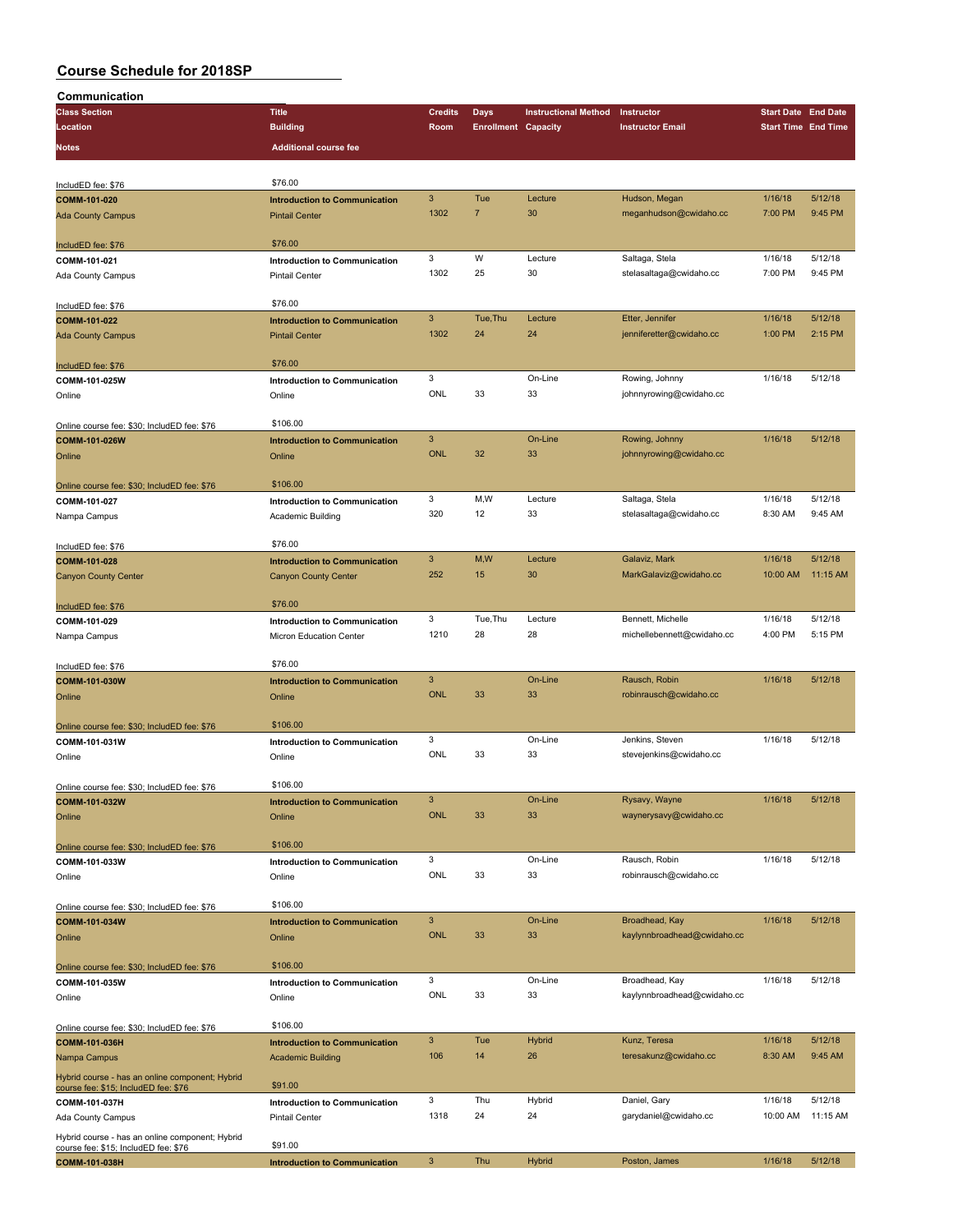| Communication                                                                           |                                      |                |                            |                             |                             |                            |          |
|-----------------------------------------------------------------------------------------|--------------------------------------|----------------|----------------------------|-----------------------------|-----------------------------|----------------------------|----------|
| <b>Class Section</b>                                                                    | <b>Title</b>                         | <b>Credits</b> | Days                       | <b>Instructional Method</b> | Instructor                  | <b>Start Date End Date</b> |          |
| Location                                                                                | <b>Building</b>                      | Room           | <b>Enrollment Capacity</b> |                             | <b>Instructor Email</b>     | <b>Start Time End Time</b> |          |
|                                                                                         |                                      |                |                            |                             |                             |                            |          |
| <b>Notes</b>                                                                            | <b>Additional course fee</b>         |                |                            |                             |                             |                            |          |
|                                                                                         |                                      |                |                            |                             |                             |                            |          |
| IncludED fee: \$76                                                                      | \$76.00                              |                |                            |                             |                             |                            |          |
| COMM-101-020                                                                            | <b>Introduction to Communication</b> | 3              | Tue                        | Lecture                     | Hudson, Megan               | 1/16/18                    | 5/12/18  |
| <b>Ada County Campus</b>                                                                | <b>Pintail Center</b>                | 1302           | $\overline{7}$             | 30                          | meganhudson@cwidaho.cc      | 7:00 PM                    | 9:45 PM  |
|                                                                                         |                                      |                |                            |                             |                             |                            |          |
| IncludED fee: \$76                                                                      | \$76.00                              |                |                            |                             |                             |                            |          |
| COMM-101-021                                                                            | Introduction to Communication        | 3              | W                          | Lecture                     | Saltaga, Stela              | 1/16/18                    | 5/12/18  |
| Ada County Campus                                                                       | <b>Pintail Center</b>                | 1302           | 25                         | 30                          | stelasaltaga@cwidaho.cc     | 7:00 PM                    | 9:45 PM  |
|                                                                                         |                                      |                |                            |                             |                             |                            |          |
| IncludED fee: \$76                                                                      | \$76.00                              |                |                            |                             |                             |                            |          |
| COMM-101-022                                                                            | <b>Introduction to Communication</b> | 3              | Tue, Thu                   | Lecture                     | Etter, Jennifer             | 1/16/18                    | 5/12/18  |
|                                                                                         |                                      | 1302           | 24                         | 24                          | jenniferetter@cwidaho.cc    | 1:00 PM                    | 2:15 PM  |
| <b>Ada County Campus</b>                                                                | <b>Pintail Center</b>                |                |                            |                             |                             |                            |          |
|                                                                                         | \$76.00                              |                |                            |                             |                             |                            |          |
| IncludED fee: \$76                                                                      |                                      | 3              |                            | On-Line                     |                             |                            | 5/12/18  |
| COMM-101-025W                                                                           | Introduction to Communication        |                |                            |                             | Rowing, Johnny              | 1/16/18                    |          |
| Online                                                                                  | Online                               | ONL            | 33                         | 33                          | johnnyrowing@cwidaho.cc     |                            |          |
|                                                                                         |                                      |                |                            |                             |                             |                            |          |
| Online course fee: \$30; IncludED fee: \$76                                             | \$106.00                             |                |                            |                             |                             |                            |          |
| COMM-101-026W                                                                           | <b>Introduction to Communication</b> | 3              |                            | On-Line                     | Rowing, Johnny              | 1/16/18                    | 5/12/18  |
| Online                                                                                  | Online                               | <b>ONL</b>     | 32                         | 33                          | johnnyrowing@cwidaho.cc     |                            |          |
|                                                                                         |                                      |                |                            |                             |                             |                            |          |
| Online course fee: \$30; IncludED fee: \$76                                             | \$106.00                             |                |                            |                             |                             |                            |          |
| COMM-101-027                                                                            | Introduction to Communication        | 3              | M, W                       | Lecture                     | Saltaga, Stela              | 1/16/18                    | 5/12/18  |
| Nampa Campus                                                                            | Academic Building                    | 320            | 12                         | 33                          | stelasaltaga@cwidaho.cc     | 8:30 AM                    | 9:45 AM  |
|                                                                                         |                                      |                |                            |                             |                             |                            |          |
| IncludED fee: \$76                                                                      | \$76.00                              |                |                            |                             |                             |                            |          |
| COMM-101-028                                                                            | <b>Introduction to Communication</b> | 3              | M,W                        | Lecture                     | Galaviz, Mark               | 1/16/18                    | 5/12/18  |
| <b>Canyon County Center</b>                                                             | <b>Canyon County Center</b>          | 252            | 15                         | 30                          | MarkGalaviz@cwidaho.cc      | 10:00 AM                   | 11:15 AM |
|                                                                                         |                                      |                |                            |                             |                             |                            |          |
|                                                                                         | \$76.00                              |                |                            |                             |                             |                            |          |
| IncludED fee: \$76                                                                      |                                      | 3              | Tue, Thu                   | Lecture                     | Bennett, Michelle           | 1/16/18                    | 5/12/18  |
| COMM-101-029                                                                            | Introduction to Communication        | 1210           | 28                         |                             |                             | 4:00 PM                    | 5:15 PM  |
| Nampa Campus                                                                            | Micron Education Center              |                |                            | 28                          | michellebennett@cwidaho.cc  |                            |          |
|                                                                                         |                                      |                |                            |                             |                             |                            |          |
| IncludED fee: \$76                                                                      | \$76.00                              |                |                            |                             |                             |                            |          |
| COMM-101-030W                                                                           | <b>Introduction to Communication</b> | 3              |                            | On-Line                     | Rausch, Robin               | 1/16/18                    | 5/12/18  |
| Online                                                                                  | Online                               | <b>ONL</b>     | 33                         | 33                          | robinrausch@cwidaho.cc      |                            |          |
|                                                                                         |                                      |                |                            |                             |                             |                            |          |
| Online course fee: \$30; IncludED fee: \$76                                             | \$106.00                             |                |                            |                             |                             |                            |          |
| COMM-101-031W                                                                           | Introduction to Communication        | 3              |                            | On-Line                     | Jenkins, Steven             | 1/16/18                    | 5/12/18  |
| Online                                                                                  | Online                               | ONL            | 33                         | 33                          | stevejenkins@cwidaho.cc     |                            |          |
|                                                                                         |                                      |                |                            |                             |                             |                            |          |
| Online course fee: \$30; IncludED fee: \$76                                             | \$106.00                             |                |                            |                             |                             |                            |          |
| COMM-101-032W                                                                           | <b>Introduction to Communication</b> | 3              |                            | On-Line                     | Rysavy, Wayne               | 1/16/18                    | 5/12/18  |
| Online                                                                                  | Online                               | <b>ONL</b>     | 33                         | 33                          | waynerysavy@cwidaho.cc      |                            |          |
|                                                                                         |                                      |                |                            |                             |                             |                            |          |
| Online course fee: \$30; IncludED fee: \$76                                             | \$106.00                             |                |                            |                             |                             |                            |          |
| COMM-101-033W                                                                           | Introduction to Communication        | 3              |                            | On-Line                     | Rausch, Robin               | 1/16/18                    | 5/12/18  |
| Online                                                                                  | Online                               | ONL            | 33                         | 33                          | robinrausch@cwidaho.cc      |                            |          |
|                                                                                         |                                      |                |                            |                             |                             |                            |          |
|                                                                                         | \$106.00                             |                |                            |                             |                             |                            |          |
| Online course fee: \$30; IncludED fee: \$76                                             |                                      |                |                            |                             |                             |                            |          |
| COMM-101-034W                                                                           | <b>Introduction to Communication</b> | 3              |                            | On-Line                     | Broadhead, Kay              | 1/16/18                    | 5/12/18  |
| Online                                                                                  | Online                               | <b>ONL</b>     | 33                         | 33                          | kaylynnbroadhead@cwidaho.cc |                            |          |
|                                                                                         |                                      |                |                            |                             |                             |                            |          |
| Online course fee: \$30; IncludED fee: \$76                                             | \$106.00                             |                |                            |                             |                             |                            |          |
| COMM-101-035W                                                                           | Introduction to Communication        | 3              |                            | On-Line                     | Broadhead, Kay              | 1/16/18                    | 5/12/18  |
| Online                                                                                  | Online                               | ONL            | 33                         | 33                          | kaylynnbroadhead@cwidaho.cc |                            |          |
|                                                                                         |                                      |                |                            |                             |                             |                            |          |
| Online course fee: \$30; IncludED fee: \$76                                             | \$106.00                             |                |                            |                             |                             |                            |          |
| COMM-101-036H                                                                           | <b>Introduction to Communication</b> | $\mathbf{3}$   | Tue                        | <b>Hybrid</b>               | Kunz, Teresa                | 1/16/18                    | 5/12/18  |
| Nampa Campus                                                                            | <b>Academic Building</b>             | 106            | 14                         | 26                          | teresakunz@cwidaho.cc       | 8:30 AM                    | 9:45 AM  |
|                                                                                         |                                      |                |                            |                             |                             |                            |          |
| Hybrid course - has an online component; Hybrid<br>course fee: \$15; IncludED fee: \$76 | \$91.00                              |                |                            |                             |                             |                            |          |
| COMM-101-037H                                                                           | Introduction to Communication        | 3              | Thu                        | Hybrid                      | Daniel, Gary                | 1/16/18                    | 5/12/18  |
|                                                                                         | <b>Pintail Center</b>                | 1318           | 24                         | 24                          | garydaniel@cwidaho.cc       | 10:00 AM                   | 11:15 AM |
| Ada County Campus                                                                       |                                      |                |                            |                             |                             |                            |          |
| Hybrid course - has an online component; Hybrid                                         | \$91.00                              |                |                            |                             |                             |                            |          |
| course fee: \$15; IncludED fee: \$76                                                    |                                      | $\mathsf 3$    | Thu                        | <b>Hybrid</b>               | Poston, James               | 1/16/18                    | 5/12/18  |
| COMM-101-038H                                                                           | <b>Introduction to Communication</b> |                |                            |                             |                             |                            |          |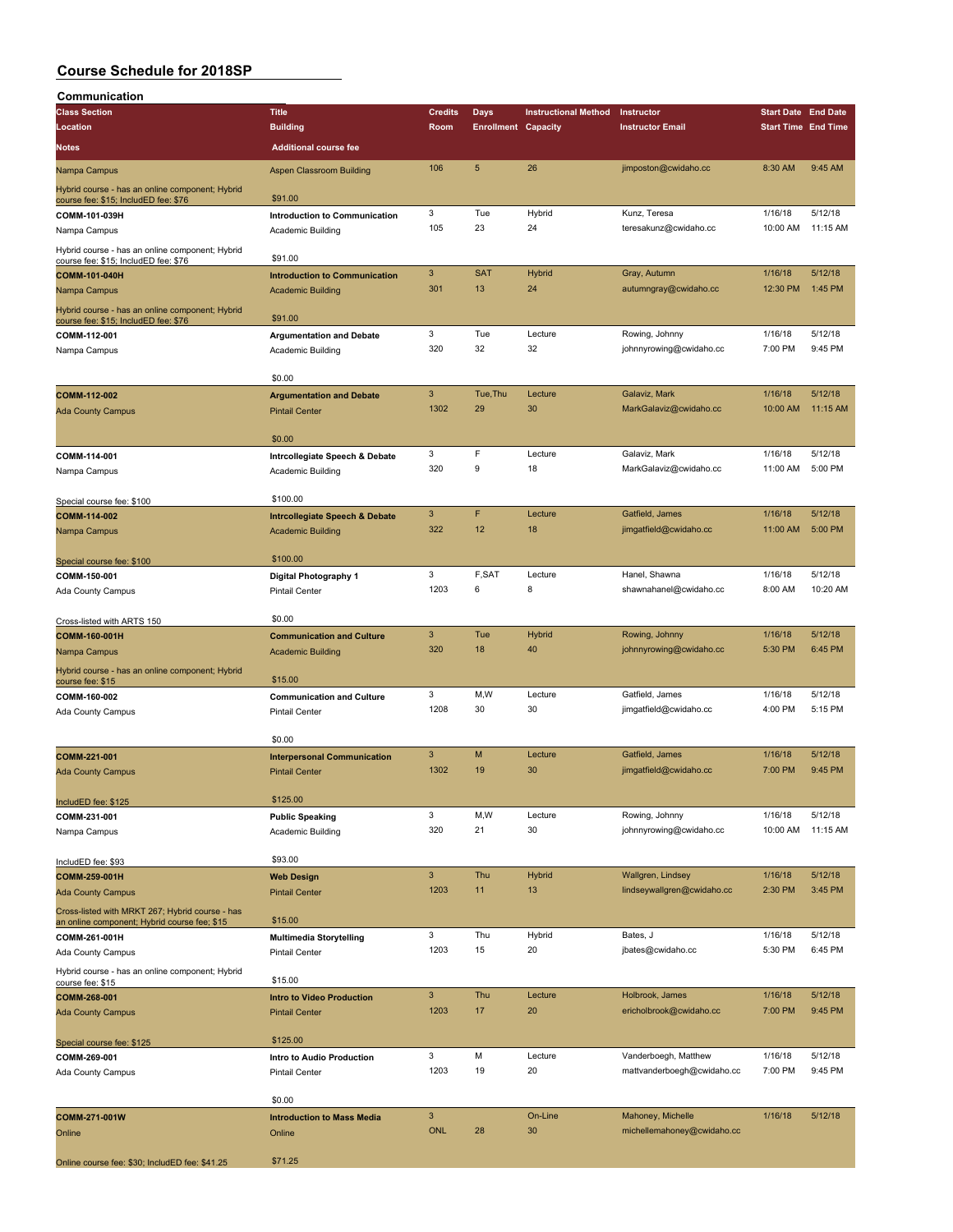| Communication                                                                                   |                                                           |                           |                            |                             |                            |                            |            |
|-------------------------------------------------------------------------------------------------|-----------------------------------------------------------|---------------------------|----------------------------|-----------------------------|----------------------------|----------------------------|------------|
| <b>Class Section</b>                                                                            | <b>Title</b>                                              | <b>Credits</b>            | Days                       | <b>Instructional Method</b> | Instructor                 | <b>Start Date End Date</b> |            |
| Location                                                                                        | <b>Building</b>                                           | Room                      | <b>Enrollment Capacity</b> |                             | <b>Instructor Email</b>    | <b>Start Time End Time</b> |            |
| <b>Notes</b>                                                                                    | <b>Additional course fee</b>                              |                           |                            |                             |                            |                            |            |
| Nampa Campus                                                                                    | <b>Aspen Classroom Building</b>                           | 106                       | 5                          | 26                          | jimposton@cwidaho.cc       | 8:30 AM                    | 9:45 AM    |
| Hybrid course - has an online component; Hybrid                                                 | \$91.00                                                   |                           |                            |                             |                            |                            |            |
| course fee: \$15; IncludED fee: \$76                                                            |                                                           | 3                         | Tue                        |                             | Kunz, Teresa               | 1/16/18                    | 5/12/18    |
| COMM-101-039H                                                                                   | <b>Introduction to Communication</b>                      |                           |                            | Hybrid                      |                            |                            |            |
| Nampa Campus                                                                                    | Academic Building                                         | 105                       | 23                         | 24                          | teresakunz@cwidaho.cc      | 10:00 AM                   | 11:15 AM   |
| Hybrid course - has an online component; Hybrid<br>course fee: \$15; IncludED fee: \$76         | \$91.00                                                   |                           |                            |                             |                            |                            |            |
| <b>COMM-101-040H</b>                                                                            | <b>Introduction to Communication</b>                      | 3                         | <b>SAT</b>                 | <b>Hybrid</b>               | Gray, Autumn               | 1/16/18                    | 5/12/18    |
| Nampa Campus                                                                                    | <b>Academic Building</b>                                  | 301                       | 13                         | 24                          | autumngray@cwidaho.cc      | 12:30 PM                   | 1:45 PM    |
| Hybrid course - has an online component; Hybrid<br>course fee: \$15; IncludED fee: \$76         | \$91.00                                                   |                           |                            |                             |                            |                            |            |
| COMM-112-001                                                                                    | <b>Argumentation and Debate</b>                           | 3                         | Tue                        | Lecture                     | Rowing, Johnny             | 1/16/18                    | 5/12/18    |
|                                                                                                 |                                                           | 320                       | 32                         | 32                          | johnnyrowing@cwidaho.cc    | 7:00 PM                    | 9:45 PM    |
| Nampa Campus                                                                                    | Academic Building                                         |                           |                            |                             |                            |                            |            |
|                                                                                                 | \$0.00                                                    |                           |                            |                             |                            |                            |            |
| COMM-112-002                                                                                    | <b>Argumentation and Debate</b>                           | $\sqrt{3}$                | Tue, Thu                   | Lecture                     | Galaviz, Mark              | 1/16/18                    | 5/12/18    |
| <b>Ada County Campus</b>                                                                        | <b>Pintail Center</b>                                     | 1302                      | 29                         | 30                          | MarkGalaviz@cwidaho.cc     | 10:00 AM                   | $11:15$ AM |
|                                                                                                 | \$0.00                                                    |                           |                            |                             |                            |                            |            |
| COMM-114-001                                                                                    | Intrcollegiate Speech & Debate                            | 3                         | F                          | Lecture                     | Galaviz, Mark              | 1/16/18                    | 5/12/18    |
| Nampa Campus                                                                                    | Academic Building                                         | 320                       | 9                          | 18                          | MarkGalaviz@cwidaho.cc     | 11:00 AM                   | 5:00 PM    |
| Special course fee: \$100                                                                       | \$100.00                                                  |                           |                            |                             |                            |                            |            |
|                                                                                                 |                                                           | $\overline{3}$            | F                          | Lecture                     | Gatfield, James            | 1/16/18                    | 5/12/18    |
| COMM-114-002                                                                                    | <b>Intrcollegiate Speech &amp; Debate</b>                 | 322                       | 12                         |                             |                            |                            | 5:00 PM    |
| Nampa Campus                                                                                    | <b>Academic Building</b>                                  |                           |                            | 18                          | jimgatfield@cwidaho.cc     | 11:00 AM                   |            |
| Special course fee: \$100                                                                       | \$100.00                                                  |                           |                            |                             |                            |                            |            |
| COMM-150-001                                                                                    | Digital Photography 1                                     | 3                         | F,SAT                      | Lecture                     | Hanel, Shawna              | 1/16/18                    | 5/12/18    |
| Ada County Campus                                                                               | <b>Pintail Center</b>                                     | 1203                      | 6                          | 8                           | shawnahanel@cwidaho.cc     | 8:00 AM                    | 10:20 AM   |
| Cross-listed with ARTS 150                                                                      | \$0.00                                                    |                           |                            |                             |                            |                            |            |
| COMM-160-001H                                                                                   | <b>Communication and Culture</b>                          | $\mathbf{3}$              | Tue                        | Hybrid                      | Rowing, Johnny             | 1/16/18                    | 5/12/18    |
| Nampa Campus                                                                                    | <b>Academic Building</b>                                  | 320                       | 18                         | 40                          | johnnyrowing@cwidaho.cc    | 5:30 PM                    | 6:45 PM    |
| Hybrid course - has an online component; Hybrid<br>course fee: \$15                             | \$15.00                                                   |                           |                            |                             |                            |                            |            |
| COMM-160-002                                                                                    | <b>Communication and Culture</b>                          | 3                         | M, W                       | Lecture                     | Gatfield, James            | 1/16/18                    | 5/12/18    |
|                                                                                                 | <b>Pintail Center</b>                                     | 1208                      | 30                         | 30                          | jimgatfield@cwidaho.cc     | 4:00 PM                    | 5:15 PM    |
| Ada County Campus                                                                               |                                                           |                           |                            |                             |                            |                            |            |
|                                                                                                 | \$0.00                                                    |                           |                            |                             |                            |                            |            |
| COMM-221-001                                                                                    | <b>Interpersonal Communication</b>                        | 3                         | M                          | Lecture                     | Gatfield, James            | 1/16/18                    | 5/12/18    |
| <b>Ada County Campus</b>                                                                        | <b>Pintail Center</b>                                     | 1302                      | 19                         | 30                          | jimgatfield@cwidaho.cc     | 7:00 PM                    | 9:45 PM    |
| IncludED fee: \$125                                                                             | \$125.00                                                  |                           |                            |                             |                            |                            |            |
| COMM-231-001                                                                                    | <b>Public Speaking</b>                                    | 3                         | M, W                       | Lecture                     | Rowing, Johnny             | 1/16/18                    | 5/12/18    |
| Nampa Campus                                                                                    | Academic Building                                         | 320                       | 21                         | 30                          | johnnyrowing@cwidaho.cc    | 10:00 AM                   | 11:15 AM   |
|                                                                                                 | \$93.00                                                   |                           |                            |                             |                            |                            |            |
| IncludED fee: \$93                                                                              |                                                           | 3                         | Thu                        | Hybrid                      | Wallgren, Lindsey          | 1/16/18                    | 5/12/18    |
| COMM-259-001H                                                                                   | <b>Web Design</b>                                         |                           | 11                         |                             |                            |                            | 3:45 PM    |
| <b>Ada County Campus</b>                                                                        | <b>Pintail Center</b>                                     | 1203                      |                            | 13                          | lindseywallgren@cwidaho.cc | 2:30 PM                    |            |
| Cross-listed with MRKT 267; Hybrid course - has<br>an online component; Hybrid course fee; \$15 | \$15.00                                                   |                           |                            |                             |                            |                            |            |
| COMM-261-001H                                                                                   | <b>Multimedia Storytelling</b>                            | 3                         | Thu                        | Hybrid                      | Bates, J                   | 1/16/18                    | 5/12/18    |
| Ada County Campus                                                                               | Pintail Center                                            | 1203                      | 15                         | 20                          | jbates@cwidaho.cc          | 5:30 PM                    | 6:45 PM    |
| Hybrid course - has an online component; Hybrid<br>course fee: \$15                             | \$15.00                                                   |                           |                            |                             |                            |                            |            |
|                                                                                                 |                                                           | 3                         | Thu                        | Lecture                     | Holbrook, James            | 1/16/18                    | 5/12/18    |
| COMM-268-001<br><b>Ada County Campus</b>                                                        | <b>Intro to Video Production</b><br><b>Pintail Center</b> | 1203                      | 17                         | 20                          | ericholbrook@cwidaho.cc    | 7:00 PM                    | 9:45 PM    |
|                                                                                                 | \$125.00                                                  |                           |                            |                             |                            |                            |            |
| Special course fee: \$125                                                                       |                                                           | 3                         | М                          | Lecture                     | Vanderboegh, Matthew       | 1/16/18                    | 5/12/18    |
| COMM-269-001                                                                                    | Intro to Audio Production                                 |                           |                            |                             |                            |                            |            |
| Ada County Campus                                                                               | <b>Pintail Center</b>                                     | 1203                      | 19                         | 20                          | mattvanderboegh@cwidaho.cc | 7:00 PM                    | 9:45 PM    |
|                                                                                                 | \$0.00                                                    |                           |                            |                             |                            |                            |            |
| COMM-271-001W                                                                                   | <b>Introduction to Mass Media</b>                         | $\ensuremath{\mathsf{3}}$ |                            | On-Line                     | Mahoney, Michelle          | 1/16/18                    | 5/12/18    |
| Online                                                                                          | Online                                                    | <b>ONL</b>                | 28                         | 30                          | michellemahoney@cwidaho.cc |                            |            |
| Online course fee: \$30; IncludED fee: \$41.25                                                  | \$71.25                                                   |                           |                            |                             |                            |                            |            |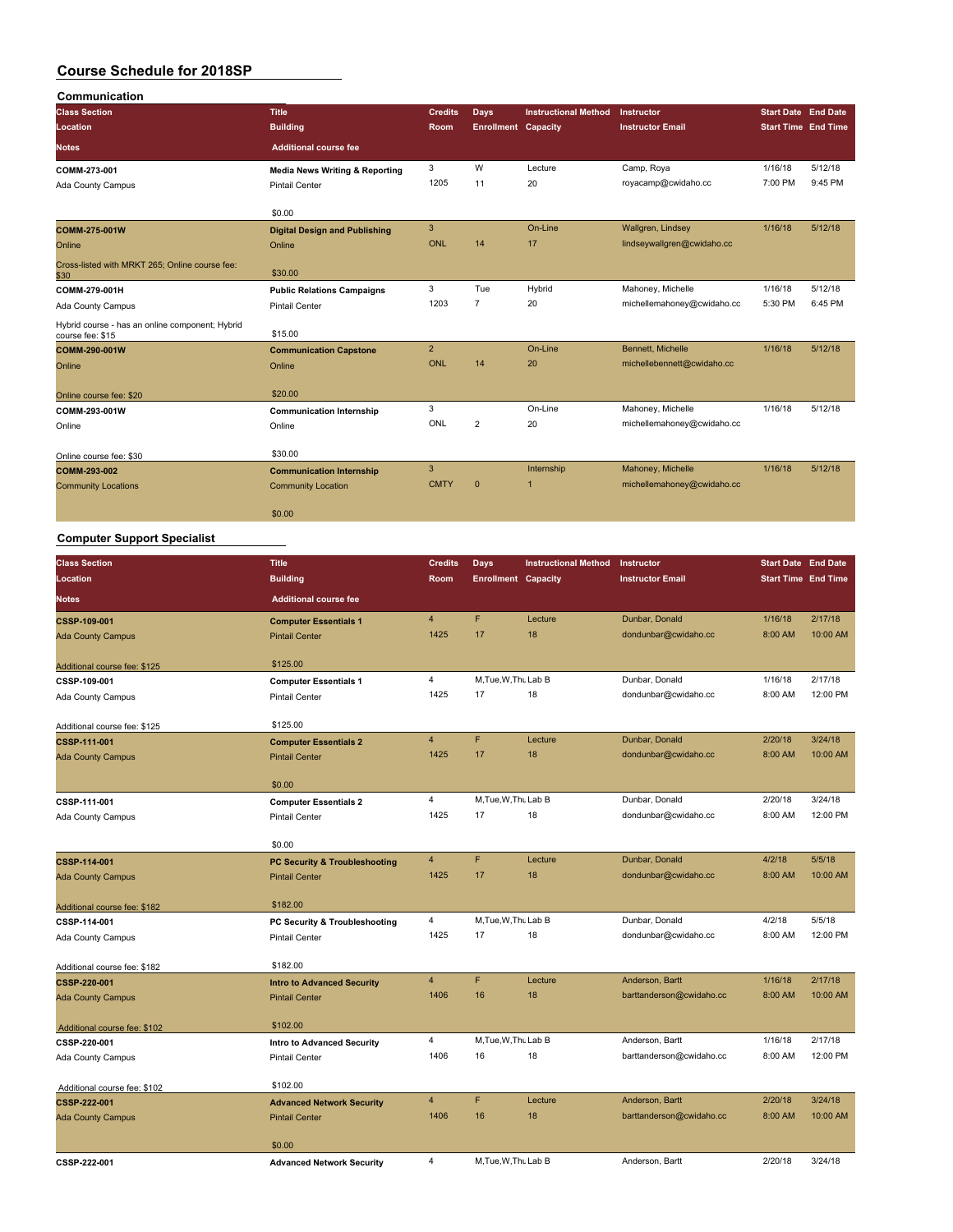| Communication                                                       |                                           |                |                            |                             |                            |                            |         |
|---------------------------------------------------------------------|-------------------------------------------|----------------|----------------------------|-----------------------------|----------------------------|----------------------------|---------|
| <b>Class Section</b>                                                | <b>Title</b>                              | <b>Credits</b> | Days                       | <b>Instructional Method</b> | Instructor                 | <b>Start Date End Date</b> |         |
| Location                                                            | <b>Building</b>                           | Room           | <b>Enrollment Capacity</b> |                             | <b>Instructor Email</b>    | <b>Start Time</b> End Time |         |
| <b>Notes</b>                                                        | <b>Additional course fee</b>              |                |                            |                             |                            |                            |         |
| COMM-273-001                                                        | <b>Media News Writing &amp; Reporting</b> | 3              | W                          | Lecture                     | Camp, Roya                 | 1/16/18                    | 5/12/18 |
| Ada County Campus                                                   | <b>Pintail Center</b>                     | 1205           | 11                         | 20                          | royacamp@cwidaho.cc        | 7:00 PM                    | 9:45 PM |
|                                                                     | \$0.00                                    |                |                            |                             |                            |                            |         |
| COMM-275-001W                                                       | <b>Digital Design and Publishing</b>      | 3              |                            | On-Line                     | Wallgren, Lindsey          | 1/16/18                    | 5/12/18 |
| Online                                                              | Online                                    | ONL            | 14                         | 17                          | lindseywallgren@cwidaho.cc |                            |         |
| Cross-listed with MRKT 265; Online course fee:<br>\$30              | \$30.00                                   |                |                            |                             |                            |                            |         |
| COMM-279-001H                                                       | <b>Public Relations Campaigns</b>         | 3              | Tue                        | Hybrid                      | Mahoney, Michelle          | 1/16/18                    | 5/12/18 |
| Ada County Campus                                                   | <b>Pintail Center</b>                     | 1203           | $\overline{7}$             | 20                          | michellemahoney@cwidaho.cc | 5:30 PM                    | 6:45 PM |
| Hybrid course - has an online component; Hybrid<br>course fee: \$15 | \$15.00                                   |                |                            |                             |                            |                            |         |
| COMM-290-001W                                                       | <b>Communication Capstone</b>             | $\overline{2}$ |                            | On-Line                     | Bennett, Michelle          | 1/16/18                    | 5/12/18 |
| Online                                                              | Online                                    | ONL            | 14                         | 20                          | michellebennett@cwidaho.cc |                            |         |
| Online course fee: \$20                                             | \$20.00                                   |                |                            |                             |                            |                            |         |
| COMM-293-001W                                                       | <b>Communication Internship</b>           | 3              |                            | On-Line                     | Mahoney, Michelle          | 1/16/18                    | 5/12/18 |
| Online                                                              | Online                                    | ONL            | $\overline{2}$             | 20                          | michellemahoney@cwidaho.cc |                            |         |
| Online course fee: \$30                                             | \$30.00                                   |                |                            |                             |                            |                            |         |
| COMM-293-002                                                        | <b>Communication Internship</b>           | 3              |                            | Internship                  | Mahoney, Michelle          | 1/16/18                    | 5/12/18 |
| <b>Community Locations</b>                                          | <b>Community Location</b>                 | <b>CMTY</b>    | $\mathbf{0}$               |                             | michellemahoney@cwidaho.cc |                            |         |
|                                                                     | \$0.00                                    |                |                            |                             |                            |                            |         |

## **Computer Support Specialist**

| <b>Class Section</b>                         | <b>Title</b>                             | <b>Credits</b> | <b>Days</b>                | <b>Instructional Method</b> | Instructor               | <b>Start Date End Date</b> |          |
|----------------------------------------------|------------------------------------------|----------------|----------------------------|-----------------------------|--------------------------|----------------------------|----------|
| <b>Location</b>                              | <b>Building</b>                          | <b>Room</b>    | <b>Enrollment Capacity</b> |                             | <b>Instructor Email</b>  | <b>Start Time End Time</b> |          |
| <b>Notes</b>                                 | <b>Additional course fee</b>             |                |                            |                             |                          |                            |          |
| CSSP-109-001                                 | <b>Computer Essentials 1</b>             | $\overline{4}$ | F                          | Lecture                     | Dunbar, Donald           | 1/16/18                    | 2/17/18  |
| <b>Ada County Campus</b>                     | <b>Pintail Center</b>                    | 1425           | 17                         | 18                          | dondunbar@cwidaho.cc     | 8:00 AM                    | 10:00 AM |
| Additional course fee: \$125                 | \$125.00                                 |                |                            |                             |                          |                            |          |
| CSSP-109-001                                 | <b>Computer Essentials 1</b>             | $\overline{4}$ | M.Tue, W.Thu Lab B         |                             | Dunbar, Donald           | 1/16/18                    | 2/17/18  |
| Ada County Campus                            | Pintail Center                           | 1425           | 17                         | 18                          | dondunbar@cwidaho.cc     | 8:00 AM                    | 12:00 PM |
| Additional course fee: \$125                 | \$125.00                                 |                |                            |                             |                          |                            |          |
| CSSP-111-001                                 | <b>Computer Essentials 2</b>             | $\overline{4}$ | F                          | Lecture                     | Dunbar, Donald           | 2/20/18                    | 3/24/18  |
| <b>Ada County Campus</b>                     | <b>Pintail Center</b>                    | 1425           | 17                         | 18                          | dondunbar@cwidaho.cc     | 8:00 AM                    | 10:00 AM |
|                                              | \$0.00                                   |                |                            |                             |                          |                            |          |
| CSSP-111-001                                 | <b>Computer Essentials 2</b>             | 4              | M, Tue, W, Thu Lab B       |                             | Dunbar, Donald           | 2/20/18                    | 3/24/18  |
| Ada County Campus                            | <b>Pintail Center</b>                    | 1425           | 17                         | 18                          | dondunbar@cwidaho.cc     | 8:00 AM                    | 12:00 PM |
|                                              | \$0.00                                   |                |                            |                             |                          |                            |          |
| CSSP-114-001                                 | <b>PC Security &amp; Troubleshooting</b> | $\overline{4}$ | F                          | Lecture                     | Dunbar, Donald           | 4/2/18                     | 5/5/18   |
| <b>Ada County Campus</b>                     | <b>Pintail Center</b>                    | 1425           | 17                         | 18                          | dondunbar@cwidaho.cc     | 8:00 AM                    | 10:00 AM |
| Additional course fee: \$182                 | \$182.00                                 |                |                            |                             |                          |                            |          |
| CSSP-114-001                                 | PC Security & Troubleshooting            | $\overline{4}$ | M.Tue, W.Thu Lab B         |                             | Dunbar, Donald           | 4/2/18                     | 5/5/18   |
| Ada County Campus                            | <b>Pintail Center</b>                    | 1425           | 17                         | 18                          | dondunbar@cwidaho.cc     | 8:00 AM                    | 12:00 PM |
|                                              |                                          |                |                            |                             |                          |                            |          |
| Additional course fee: \$182                 | \$182.00                                 |                |                            |                             |                          |                            |          |
| <b>CSSP-220-001</b>                          | <b>Intro to Advanced Security</b>        | $\overline{4}$ | F                          | Lecture                     | Anderson, Bartt          | 1/16/18                    | 2/17/18  |
| <b>Ada County Campus</b>                     | <b>Pintail Center</b>                    | 1406           | 16                         | 18                          | barttanderson@cwidaho.cc | 8:00 AM                    | 10:00 AM |
|                                              | \$102.00                                 |                |                            |                             |                          |                            |          |
| Additional course fee: \$102<br>CSSP-220-001 | <b>Intro to Advanced Security</b>        | $\overline{4}$ | M, Tue, W, Thu Lab B       |                             | Anderson, Bartt          | 1/16/18                    | 2/17/18  |
| Ada County Campus                            | <b>Pintail Center</b>                    | 1406           | 16                         | 18                          | barttanderson@cwidaho.cc | 8:00 AM                    | 12:00 PM |
|                                              |                                          |                |                            |                             |                          |                            |          |
| Additional course fee: \$102                 | \$102.00                                 |                |                            |                             |                          |                            |          |
| CSSP-222-001                                 | <b>Advanced Network Security</b>         | $\overline{4}$ | F                          | Lecture                     | Anderson, Bartt          | 2/20/18                    | 3/24/18  |
| <b>Ada County Campus</b>                     | <b>Pintail Center</b>                    | 1406           | 16                         | 18                          | barttanderson@cwidaho.cc | 8:00 AM                    | 10:00 AM |
|                                              | \$0.00                                   |                |                            |                             |                          |                            |          |
| CSSP-222-001                                 | <b>Advanced Network Security</b>         | $\overline{4}$ | M.Tue.W.Thu Lab B          |                             | Anderson, Bartt          | 2/20/18                    | 3/24/18  |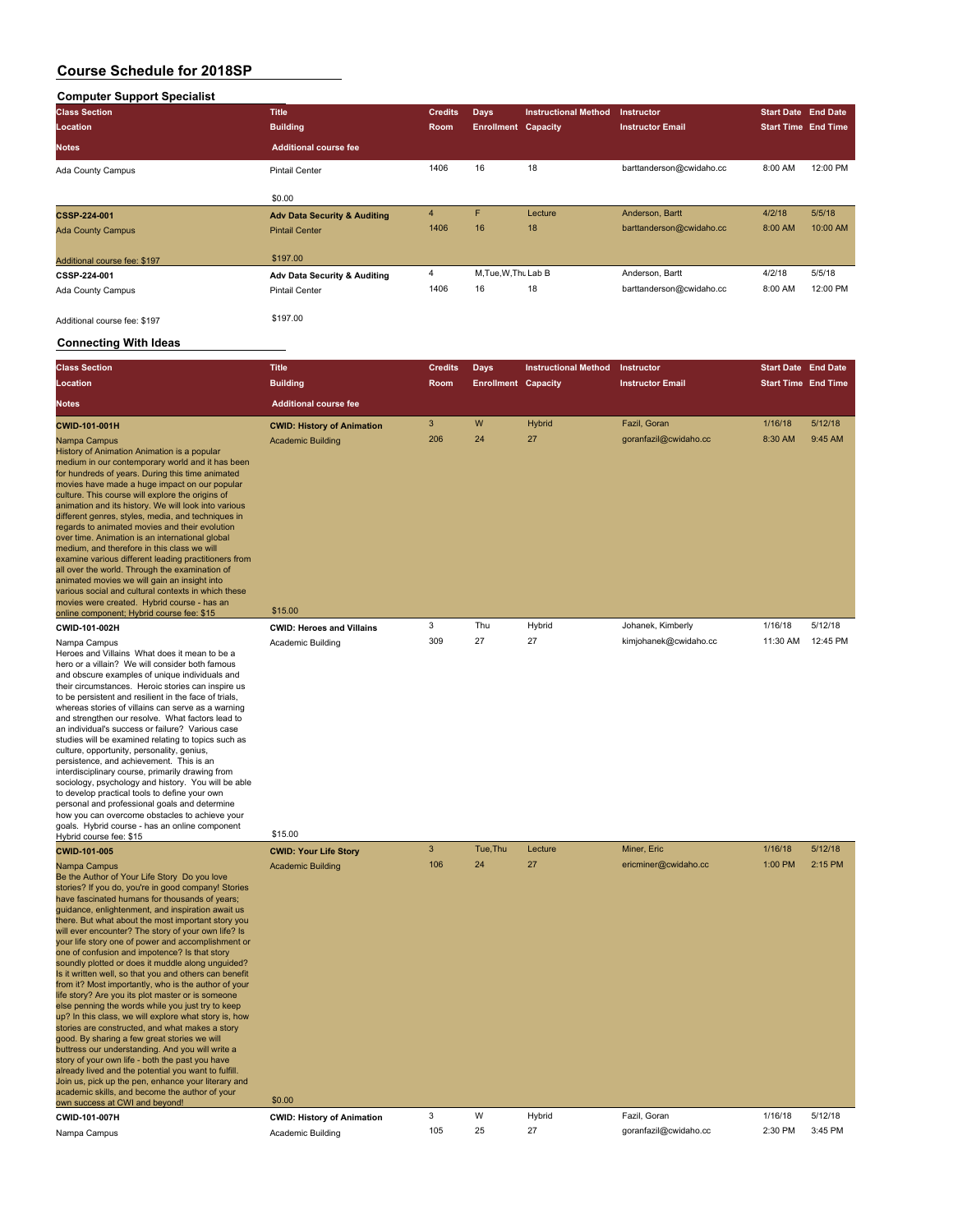## **Computer Support Specialist**

| <b>Class Section</b>         | <b>Title</b>                            | <b>Credits</b> | <b>Days</b>                | <b>Instructional Method</b> | <b>Instructor</b>        | <b>Start Date End Date</b> |          |
|------------------------------|-----------------------------------------|----------------|----------------------------|-----------------------------|--------------------------|----------------------------|----------|
| <b>Location</b>              | <b>Building</b>                         | <b>Room</b>    | <b>Enrollment Capacity</b> |                             | <b>Instructor Email</b>  | <b>Start Time End Time</b> |          |
| <b>Notes</b>                 | <b>Additional course fee</b>            |                |                            |                             |                          |                            |          |
| Ada County Campus            | <b>Pintail Center</b>                   | 1406           | 16                         | 18                          | barttanderson@cwidaho.cc | 8:00 AM                    | 12:00 PM |
|                              | \$0.00                                  |                |                            |                             |                          |                            |          |
| <b>CSSP-224-001</b>          | <b>Adv Data Security &amp; Auditing</b> | $\overline{4}$ | F.                         | Lecture                     | Anderson, Bartt          | 4/2/18                     | 5/5/18   |
| <b>Ada County Campus</b>     | <b>Pintail Center</b>                   | 1406           | 16                         | 18                          | barttanderson@cwidaho.cc | 8:00 AM                    | 10:00 AM |
| Additional course fee: \$197 | \$197.00                                |                |                            |                             |                          |                            |          |
| CSSP-224-001                 | Adv Data Security & Auditing            | 4              | M, Tue, W, Thu Lab B       |                             | Anderson, Bartt          | 4/2/18                     | 5/5/18   |
| Ada County Campus            | <b>Pintail Center</b>                   | 1406           | 16                         | 18                          | barttanderson@cwidaho.cc | 8:00 AM                    | 12:00 PM |
| Additional course fee: \$197 | \$197.00                                |                |                            |                             |                          |                            |          |

#### **Connecting With Ideas**

various movies<br>online

| <b>Class Section</b><br>Location                                                                                                                                                                                                                                                                                                                                                                                                                                                                                                                                                                                                                                                                                                                                                                                                                                         | <b>Title</b><br><b>Building</b>                                          | <b>Credits</b><br>Room | <b>Days</b><br><b>Enrollment Capacity</b> | <b>Instructional Method</b> | Instructor<br><b>Instructor Email</b> | <b>Start Date End Date</b><br><b>Start Time End Time</b> |                    |
|--------------------------------------------------------------------------------------------------------------------------------------------------------------------------------------------------------------------------------------------------------------------------------------------------------------------------------------------------------------------------------------------------------------------------------------------------------------------------------------------------------------------------------------------------------------------------------------------------------------------------------------------------------------------------------------------------------------------------------------------------------------------------------------------------------------------------------------------------------------------------|--------------------------------------------------------------------------|------------------------|-------------------------------------------|-----------------------------|---------------------------------------|----------------------------------------------------------|--------------------|
| <b>Notes</b>                                                                                                                                                                                                                                                                                                                                                                                                                                                                                                                                                                                                                                                                                                                                                                                                                                                             | <b>Additional course fee</b>                                             |                        |                                           |                             |                                       |                                                          |                    |
| CWID-101-001H<br>Nampa Campus<br>History of Animation Animation is a popular<br>medium in our contemporary world and it has been<br>for hundreds of years. During this time animated<br>movies have made a huge impact on our popular<br>culture. This course will explore the origins of<br>animation and its history. We will look into various<br>different genres, styles, media, and techniques in<br>regards to animated movies and their evolution<br>over time. Animation is an international global<br>medium, and therefore in this class we will<br>examine various different leading practitioners from<br>all over the world. Through the examination of<br>animated movies we will gain an insight into<br>various social and cultural contexts in which these<br>movies were created. Hybrid course - has an<br>online component; Hybrid course fee: \$15 | <b>CWID: History of Animation</b><br><b>Academic Building</b><br>\$15.00 | 3<br>206               | W<br>24                                   | <b>Hybrid</b><br>27         | Fazil, Goran<br>goranfazil@cwidaho.cc | 1/16/18<br>8:30 AM                                       | 5/12/18<br>9:45 AM |
| <b>CWID-101-002H</b>                                                                                                                                                                                                                                                                                                                                                                                                                                                                                                                                                                                                                                                                                                                                                                                                                                                     | <b>CWID: Heroes and Villains</b>                                         | 3                      | Thu                                       | Hybrid                      | Johanek, Kimberly                     | 1/16/18                                                  | 5/12/18            |
| Nampa Campus<br>Heroes and Villains What does it mean to be a                                                                                                                                                                                                                                                                                                                                                                                                                                                                                                                                                                                                                                                                                                                                                                                                            | Academic Building                                                        | 309                    | 27                                        | 27                          | kimjohanek@cwidaho.cc                 | 11:30 AM                                                 | 12:45 PM           |

### Heroes and Villains What does it mean to be a hero or a villain? We will consider both famous and obscure examples of unique individuals and their circumstances. Heroic stories can inspire us to be persistent and resilient in the face of trials, whereas stories of villains can serve as a warning and strengthen our resolve. What factors lead to an individual's success or failure? Various case studies will be examined relating to topics such as culture, opportunity, personality, genius, persistence, and achievement. This is an interdisciplinary course, primarily drawing from sociology, psychology and history. You will be able to develop practical tools to define your own personal and professional goals and determine how you can overcome obstacles to achieve your goals. Hybrid course - has an online component goals. Trybrid course - has an online component<br>Hybrid course fee: \$15

| CWID-101-005                                                                                                                                                                                                                                                                                                                                                                                                                                                                                                                                                                                                                                                                                                                                                                                                                                                                                                                                                                                                                                                                                                                                                                                          | <b>CWID: Your Life Story</b>       | 3        | Tue, Thu | Lecture      | Miner, Eric                          | 1/16/18            | 5/12/18            |
|-------------------------------------------------------------------------------------------------------------------------------------------------------------------------------------------------------------------------------------------------------------------------------------------------------------------------------------------------------------------------------------------------------------------------------------------------------------------------------------------------------------------------------------------------------------------------------------------------------------------------------------------------------------------------------------------------------------------------------------------------------------------------------------------------------------------------------------------------------------------------------------------------------------------------------------------------------------------------------------------------------------------------------------------------------------------------------------------------------------------------------------------------------------------------------------------------------|------------------------------------|----------|----------|--------------|--------------------------------------|--------------------|--------------------|
| Nampa Campus<br>Be the Author of Your Life Story Do you love<br>stories? If you do, you're in good company! Stories<br>have fascinated humans for thousands of years;<br>quidance, enlightenment, and inspiration await us<br>there. But what about the most important story you<br>will ever encounter? The story of your own life? Is<br>your life story one of power and accomplishment or<br>one of confusion and impotence? Is that story<br>soundly plotted or does it muddle along unquided?<br>Is it written well, so that you and others can benefit<br>from it? Most importantly, who is the author of your<br>life story? Are you its plot master or is someone<br>else penning the words while you just try to keep<br>up? In this class, we will explore what story is, how<br>stories are constructed, and what makes a story<br>good. By sharing a few great stories we will<br>buttress our understanding. And you will write a<br>story of your own life - both the past you have<br>already lived and the potential you want to fulfill.<br>Join us, pick up the pen, enhance your literary and<br>academic skills, and become the author of your<br>own success at CWI and beyond! | <b>Academic Building</b><br>\$0.00 | 106<br>3 | 24<br>W  | 27<br>Hybrid | ericminer@cwidaho.cc<br>Fazil, Goran | 1:00 PM<br>1/16/18 | 2:15 PM<br>5/12/18 |
| CWID-101-007H                                                                                                                                                                                                                                                                                                                                                                                                                                                                                                                                                                                                                                                                                                                                                                                                                                                                                                                                                                                                                                                                                                                                                                                         | <b>CWID: History of Animation</b>  |          |          |              |                                      |                    |                    |
| Nampa Campus                                                                                                                                                                                                                                                                                                                                                                                                                                                                                                                                                                                                                                                                                                                                                                                                                                                                                                                                                                                                                                                                                                                                                                                          | Academic Building                  | 105      | 25       | 27           | goranfazil@cwidaho.cc                | 2:30 PM            | 3:45 PM            |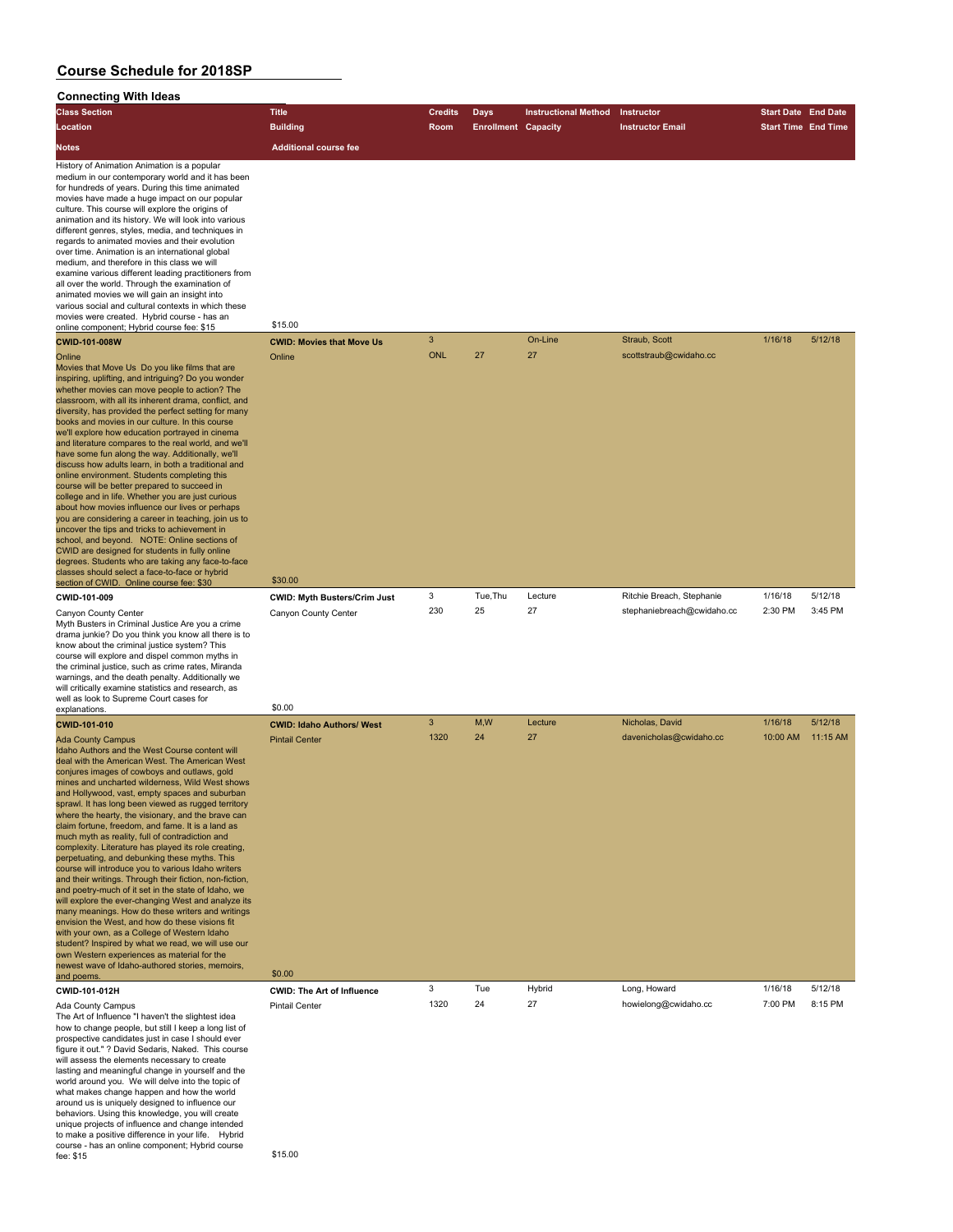## **Connecting With Ideas**

| oonneeung wun ideas                                                                                                                                                                                                                                                                                                                                                                                                                                                                                                                                                                                                                                                                                                                                                                                                                                                                                                                                                                                                                                                                                                              |                                     |                |                            |                             |                            |                            |         |
|----------------------------------------------------------------------------------------------------------------------------------------------------------------------------------------------------------------------------------------------------------------------------------------------------------------------------------------------------------------------------------------------------------------------------------------------------------------------------------------------------------------------------------------------------------------------------------------------------------------------------------------------------------------------------------------------------------------------------------------------------------------------------------------------------------------------------------------------------------------------------------------------------------------------------------------------------------------------------------------------------------------------------------------------------------------------------------------------------------------------------------|-------------------------------------|----------------|----------------------------|-----------------------------|----------------------------|----------------------------|---------|
| <b>Class Section</b>                                                                                                                                                                                                                                                                                                                                                                                                                                                                                                                                                                                                                                                                                                                                                                                                                                                                                                                                                                                                                                                                                                             | <b>Title</b>                        | <b>Credits</b> | <b>Days</b>                | <b>Instructional Method</b> | <b>Instructor</b>          | <b>Start Date End Date</b> |         |
| Location                                                                                                                                                                                                                                                                                                                                                                                                                                                                                                                                                                                                                                                                                                                                                                                                                                                                                                                                                                                                                                                                                                                         | <b>Building</b>                     | Room           | <b>Enrollment Capacity</b> |                             | <b>Instructor Email</b>    | <b>Start Time End Time</b> |         |
| <b>Notes</b>                                                                                                                                                                                                                                                                                                                                                                                                                                                                                                                                                                                                                                                                                                                                                                                                                                                                                                                                                                                                                                                                                                                     | <b>Additional course fee</b>        |                |                            |                             |                            |                            |         |
| History of Animation Animation is a popular<br>medium in our contemporary world and it has been<br>for hundreds of years. During this time animated<br>movies have made a huge impact on our popular<br>culture. This course will explore the origins of<br>animation and its history. We will look into various<br>different genres, styles, media, and techniques in<br>regards to animated movies and their evolution<br>over time. Animation is an international global<br>medium, and therefore in this class we will<br>examine various different leading practitioners from<br>all over the world. Through the examination of<br>animated movies we will gain an insight into<br>various social and cultural contexts in which these<br>movies were created. Hybrid course - has an<br>online component; Hybrid course fee: \$15                                                                                                                                                                                                                                                                                          | \$15.00                             |                |                            |                             |                            |                            |         |
| <b>CWID-101-008W</b>                                                                                                                                                                                                                                                                                                                                                                                                                                                                                                                                                                                                                                                                                                                                                                                                                                                                                                                                                                                                                                                                                                             | <b>CWID: Movies that Move Us</b>    | 3              |                            | On-Line                     | Straub, Scott              | 1/16/18                    | 5/12/18 |
| Online<br>Movies that Move Us Do you like films that are<br>inspiring, uplifting, and intriguing? Do you wonder<br>whether movies can move people to action? The<br>classroom, with all its inherent drama, conflict, and<br>diversity, has provided the perfect setting for many<br>books and movies in our culture. In this course<br>we'll explore how education portrayed in cinema<br>and literature compares to the real world, and we'll<br>have some fun along the way. Additionally, we'll<br>discuss how adults learn, in both a traditional and<br>online environment. Students completing this<br>course will be better prepared to succeed in<br>college and in life. Whether you are just curious<br>about how movies influence our lives or perhaps<br>you are considering a career in teaching, join us to<br>uncover the tips and tricks to achievement in<br>school, and beyond. NOTE: Online sections of<br>CWID are designed for students in fully online<br>degrees. Students who are taking any face-to-face<br>classes should select a face-to-face or hybrid<br>section of CWID. Online course fee: \$30 | Online<br>\$30.00                   | <b>ONL</b>     | 27                         | 27                          | scottstraub@cwidaho.cc     |                            |         |
| CWID-101-009                                                                                                                                                                                                                                                                                                                                                                                                                                                                                                                                                                                                                                                                                                                                                                                                                                                                                                                                                                                                                                                                                                                     | <b>CWID: Myth Busters/Crim Just</b> | 3              | Tue.Thu                    | Lecture                     | Ritchie Breach, Stephanie  | 1/16/18                    | 5/12/18 |
| Canyon County Center<br>Myth Busters in Criminal Justice Are you a crime<br>drama junkie? Do you think you know all there is to                                                                                                                                                                                                                                                                                                                                                                                                                                                                                                                                                                                                                                                                                                                                                                                                                                                                                                                                                                                                  | Canyon County Center                | 230            | 25                         | 27                          | stephaniebreach@cwidaho.cc | 2:30 PM                    | 3:45 PM |

drama junkie? Do you think you know all there is to know about the criminal justice system? This course will explore and dispel common myths in the criminal justice, such as crime rates, Miranda warnings, and the death penalty. Additionally we will critically examine statistics and research, as well as look to Supreme Court cases for explanations

Ada County Campus **Pintail Center 2320 24 27 PM 8:15 PM 8:15 PM 8:15 PM 8:15 PM 8:15 PM 8:15 PM 8:15 PM 8:15 PM 8:15 PM 8:15 PM 8:15 PM 8:15 PM 8:15 PM 8:15 PM 8:15 PM 8:15 PM 8:15 PM 8:15 PM 8:15 PM 8:15 PM 8:15 PM 8:15 P** The Art of Influence "I haven't the slightest idea how to change people, but still I keep a long list of prospective candidates just in case I should ever figure it out." ? David Sedaris, Naked. This course will assess the elements necessary to create lasting and meaningful change in yourself and the world around you. We will delve into the topic of what makes change happen and how the world around us is uniquely designed to influence our behaviors. Using this knowledge, you will create unique projects of influence and change intended to make a positive difference in your life. Hybrid course - has an online component; Hybrid course course - nas an online component, Hybrid course<br>fee: \$15.00

| explanations.                                                                                                                                                                                                                                                                                                                                                                                                                                                                                                                                                                                                                                                                                                                                                                                                                                                                                                                                                                                                                                                                                                                                                               | <b>SU.UU</b>                      |      |     |         |                         |          |          |
|-----------------------------------------------------------------------------------------------------------------------------------------------------------------------------------------------------------------------------------------------------------------------------------------------------------------------------------------------------------------------------------------------------------------------------------------------------------------------------------------------------------------------------------------------------------------------------------------------------------------------------------------------------------------------------------------------------------------------------------------------------------------------------------------------------------------------------------------------------------------------------------------------------------------------------------------------------------------------------------------------------------------------------------------------------------------------------------------------------------------------------------------------------------------------------|-----------------------------------|------|-----|---------|-------------------------|----------|----------|
| <b>CWID-101-010</b>                                                                                                                                                                                                                                                                                                                                                                                                                                                                                                                                                                                                                                                                                                                                                                                                                                                                                                                                                                                                                                                                                                                                                         | <b>CWID: Idaho Authors/ West</b>  | 3    | M,W | Lecture | Nicholas, David         | 1/16/18  | 5/12/18  |
| <b>Ada County Campus</b><br>Idaho Authors and the West Course content will<br>deal with the American West. The American West<br>conjures images of cowboys and outlaws, gold<br>mines and uncharted wilderness. Wild West shows<br>and Hollywood, vast, empty spaces and suburban<br>sprawl. It has long been viewed as rugged territory<br>where the hearty, the visionary, and the brave can<br>claim fortune, freedom, and fame. It is a land as<br>much myth as reality, full of contradiction and<br>complexity. Literature has played its role creating,<br>perpetuating, and debunking these myths. This<br>course will introduce you to various Idaho writers<br>and their writings. Through their fiction, non-fiction,<br>and poetry-much of it set in the state of Idaho, we<br>will explore the ever-changing West and analyze its<br>many meanings. How do these writers and writings<br>envision the West, and how do these visions fit<br>with your own, as a College of Western Idaho<br>student? Inspired by what we read, we will use our<br>own Western experiences as material for the<br>newest wave of Idaho-authored stories, memoirs,<br>and poems. | <b>Pintail Center</b><br>\$0.00   | 1320 | 24  | 27      | davenicholas@cwidaho.cc | 10:00 AM | 11:15 AM |
| CWID-101-012H                                                                                                                                                                                                                                                                                                                                                                                                                                                                                                                                                                                                                                                                                                                                                                                                                                                                                                                                                                                                                                                                                                                                                               | <b>CWID: The Art of Influence</b> | 3    | Tue | Hybrid  | Long, Howard            | 1/16/18  | 5/12/18  |
| Ada County Campus                                                                                                                                                                                                                                                                                                                                                                                                                                                                                                                                                                                                                                                                                                                                                                                                                                                                                                                                                                                                                                                                                                                                                           | <b>Pintail Center</b>             | 1320 | 24  | 27      | howielong@cwidaho.cc    | 7:00 PM  | 8:15 PM  |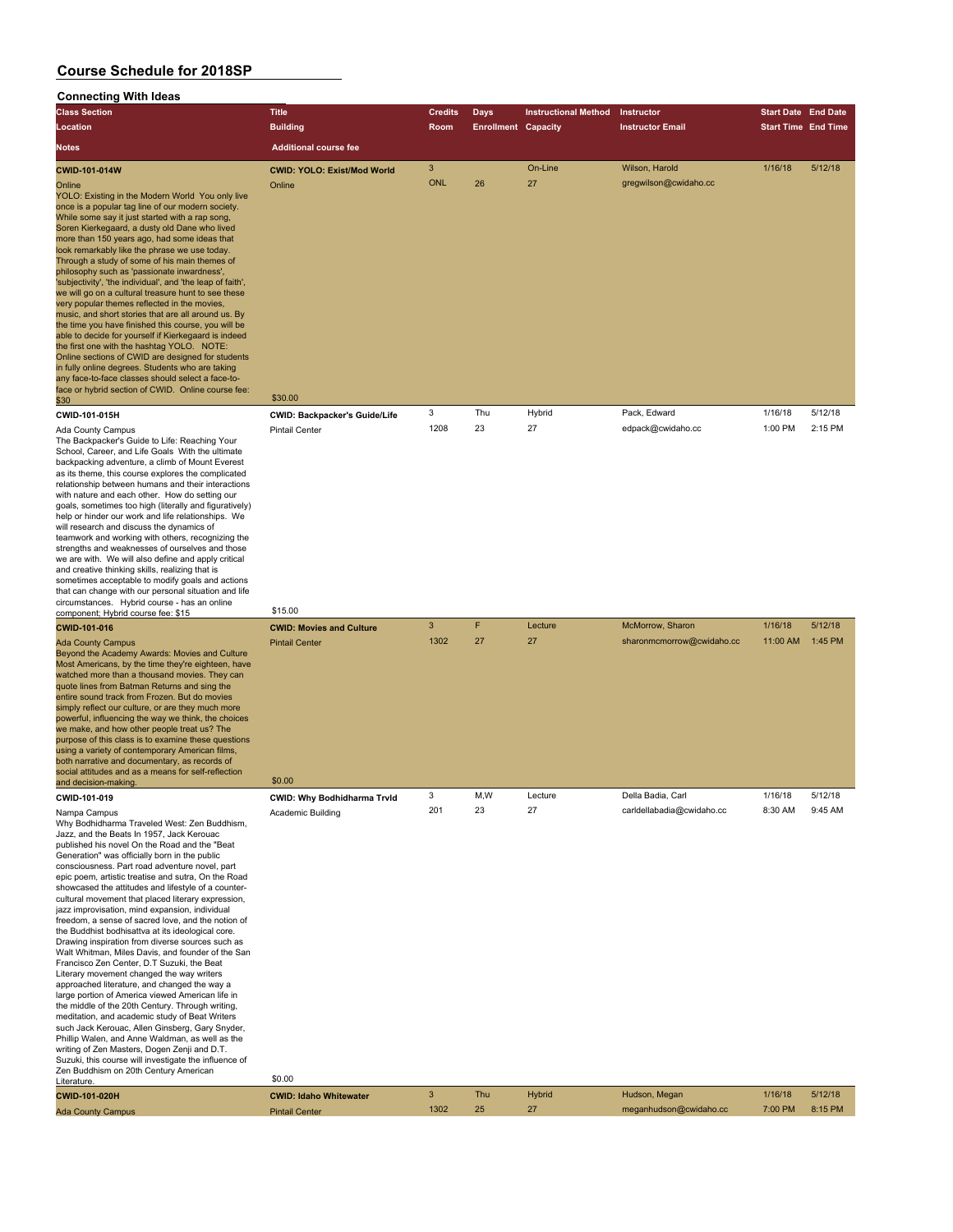### **Connecting With Ideas**

| <b>Class Section</b>                                                                                                                                                                                                                                                                                                                                                                                                                                                                                                                                                                                                                                                                                                                                                                                                                                                                                                                                                                                                                                                                                                                                                                                                                                                                | <b>Title</b>                                                             | <b>Credits</b> | Days                       | <b>Instructional Method</b> | Instructor                | <b>Start Date End Date</b> |         |
|-------------------------------------------------------------------------------------------------------------------------------------------------------------------------------------------------------------------------------------------------------------------------------------------------------------------------------------------------------------------------------------------------------------------------------------------------------------------------------------------------------------------------------------------------------------------------------------------------------------------------------------------------------------------------------------------------------------------------------------------------------------------------------------------------------------------------------------------------------------------------------------------------------------------------------------------------------------------------------------------------------------------------------------------------------------------------------------------------------------------------------------------------------------------------------------------------------------------------------------------------------------------------------------|--------------------------------------------------------------------------|----------------|----------------------------|-----------------------------|---------------------------|----------------------------|---------|
| Location                                                                                                                                                                                                                                                                                                                                                                                                                                                                                                                                                                                                                                                                                                                                                                                                                                                                                                                                                                                                                                                                                                                                                                                                                                                                            | <b>Building</b>                                                          | Room           | <b>Enrollment Capacity</b> |                             | <b>Instructor Email</b>   | <b>Start Time End Time</b> |         |
| Notes                                                                                                                                                                                                                                                                                                                                                                                                                                                                                                                                                                                                                                                                                                                                                                                                                                                                                                                                                                                                                                                                                                                                                                                                                                                                               | <b>Additional course fee</b>                                             |                |                            |                             |                           |                            |         |
| CWID-101-014W                                                                                                                                                                                                                                                                                                                                                                                                                                                                                                                                                                                                                                                                                                                                                                                                                                                                                                                                                                                                                                                                                                                                                                                                                                                                       | <b>CWID: YOLO: Exist/Mod World</b>                                       | 3              |                            | On-Line                     | Wilson, Harold            | 1/16/18                    | 5/12/18 |
| Online<br>YOLO: Existing in the Modern World You only live<br>once is a popular tag line of our modern society.<br>While some say it just started with a rap song,<br>Soren Kierkegaard, a dusty old Dane who lived<br>more than 150 years ago, had some ideas that<br>look remarkably like the phrase we use today.<br>Through a study of some of his main themes of<br>philosophy such as 'passionate inwardness',<br>'subjectivity', 'the individual', and 'the leap of faith',<br>we will go on a cultural treasure hunt to see these<br>very popular themes reflected in the movies,<br>music, and short stories that are all around us. By<br>the time you have finished this course, you will be<br>able to decide for yourself if Kierkegaard is indeed<br>the first one with the hashtag YOLO. NOTE:<br>Online sections of CWID are designed for students<br>in fully online degrees. Students who are taking<br>any face-to-face classes should select a face-to-<br>face or hybrid section of CWID. Online course fee:                                                                                                                                                                                                                                                   | Online                                                                   | <b>ONL</b>     | 26                         | 27                          | gregwilson@cwidaho.cc     |                            |         |
| \$30                                                                                                                                                                                                                                                                                                                                                                                                                                                                                                                                                                                                                                                                                                                                                                                                                                                                                                                                                                                                                                                                                                                                                                                                                                                                                | \$30.00                                                                  | 3              | Thu                        | Hybrid                      | Pack, Edward              | 1/16/18                    | 5/12/18 |
| CWID-101-015H<br>Ada County Campus<br>The Backpacker's Guide to Life: Reaching Your<br>School, Career, and Life Goals With the ultimate<br>backpacking adventure, a climb of Mount Everest<br>as its theme, this course explores the complicated<br>relationship between humans and their interactions<br>with nature and each other. How do setting our<br>goals, sometimes too high (literally and figuratively)<br>help or hinder our work and life relationships. We<br>will research and discuss the dynamics of<br>teamwork and working with others, recognizing the<br>strengths and weaknesses of ourselves and those<br>we are with. We will also define and apply critical<br>and creative thinking skills, realizing that is<br>sometimes acceptable to modify goals and actions<br>that can change with our personal situation and life<br>circumstances. Hybrid course - has an online                                                                                                                                                                                                                                                                                                                                                                                 | <b>CWID: Backpacker's Guide/Life</b><br><b>Pintail Center</b><br>\$15.00 | 1208           | 23                         | 27                          | edpack@cwidaho.cc         | 1:00 PM                    | 2:15 PM |
| component; Hybrid course fee: \$15<br>CWID-101-016                                                                                                                                                                                                                                                                                                                                                                                                                                                                                                                                                                                                                                                                                                                                                                                                                                                                                                                                                                                                                                                                                                                                                                                                                                  | <b>CWID: Movies and Culture</b>                                          | 3              | F                          | Lecture                     | McMorrow, Sharon          | 1/16/18                    | 5/12/18 |
| <b>Ada County Campus</b><br>Beyond the Academy Awards: Movies and Culture<br>Most Americans, by the time they're eighteen, have<br>watched more than a thousand movies. They can<br>quote lines from Batman Returns and sing the<br>entire sound track from Frozen. But do movies<br>simply reflect our culture, or are they much more<br>powerful, influencing the way we think, the choices<br>we make, and how other people treat us? The<br>purpose of this class is to examine these questions<br>using a variety of contemporary American films,<br>both narrative and documentary, as records of<br>social attitudes and as a means for self-reflection                                                                                                                                                                                                                                                                                                                                                                                                                                                                                                                                                                                                                      | <b>Pintail Center</b>                                                    | 1302           | 27                         | 27                          | sharonmcmorrow@cwidaho.cc | 11:00 AM                   | 1:45 PM |
| and decision-making<br>CWID-101-019                                                                                                                                                                                                                                                                                                                                                                                                                                                                                                                                                                                                                                                                                                                                                                                                                                                                                                                                                                                                                                                                                                                                                                                                                                                 | \$0.00                                                                   | 3              | M,W                        | Lecture                     | Della Badia, Carl         | 1/16/18                    | 5/12/18 |
| Nampa Campus<br>Why Bodhidharma Traveled West: Zen Buddhism,<br>Jazz, and the Beats In 1957, Jack Kerouac<br>published his novel On the Road and the "Beat<br>Generation" was officially born in the public<br>consciousness. Part road adventure novel, part<br>epic poem, artistic treatise and sutra, On the Road<br>showcased the attitudes and lifestyle of a counter-<br>cultural movement that placed literary expression,<br>jazz improvisation, mind expansion, individual<br>freedom, a sense of sacred love, and the notion of<br>the Buddhist bodhisattva at its ideological core.<br>Drawing inspiration from diverse sources such as<br>Walt Whitman, Miles Davis, and founder of the San<br>Francisco Zen Center, D.T Suzuki, the Beat<br>Literary movement changed the way writers<br>approached literature, and changed the way a<br>large portion of America viewed American life in<br>the middle of the 20th Century. Through writing,<br>meditation, and academic study of Beat Writers<br>such Jack Kerouac, Allen Ginsberg, Gary Snyder,<br>Phillip Walen, and Anne Waldman, as well as the<br>writing of Zen Masters, Dogen Zenji and D.T.<br>Suzuki, this course will investigate the influence of<br>Zen Buddhism on 20th Century American<br>Literature. | CWID: Why Bodhidharma Trvld<br>Academic Building<br>\$0.00               | 201            | 23                         | 27                          | carldellabadia@cwidaho.cc | 8:30 AM                    | 9:45 AM |
| CWID-101-020H                                                                                                                                                                                                                                                                                                                                                                                                                                                                                                                                                                                                                                                                                                                                                                                                                                                                                                                                                                                                                                                                                                                                                                                                                                                                       | <b>CWID: Idaho Whitewater</b>                                            | 3              | Thu                        | Hybrid                      | Hudson, Megan             | 1/16/18                    | 5/12/18 |
| <b>Ada County Campus</b>                                                                                                                                                                                                                                                                                                                                                                                                                                                                                                                                                                                                                                                                                                                                                                                                                                                                                                                                                                                                                                                                                                                                                                                                                                                            | <b>Pintail Center</b>                                                    | 1302           | 25                         | 27                          | meganhudson@cwidaho.cc    | 7:00 PM                    | 8:15 PM |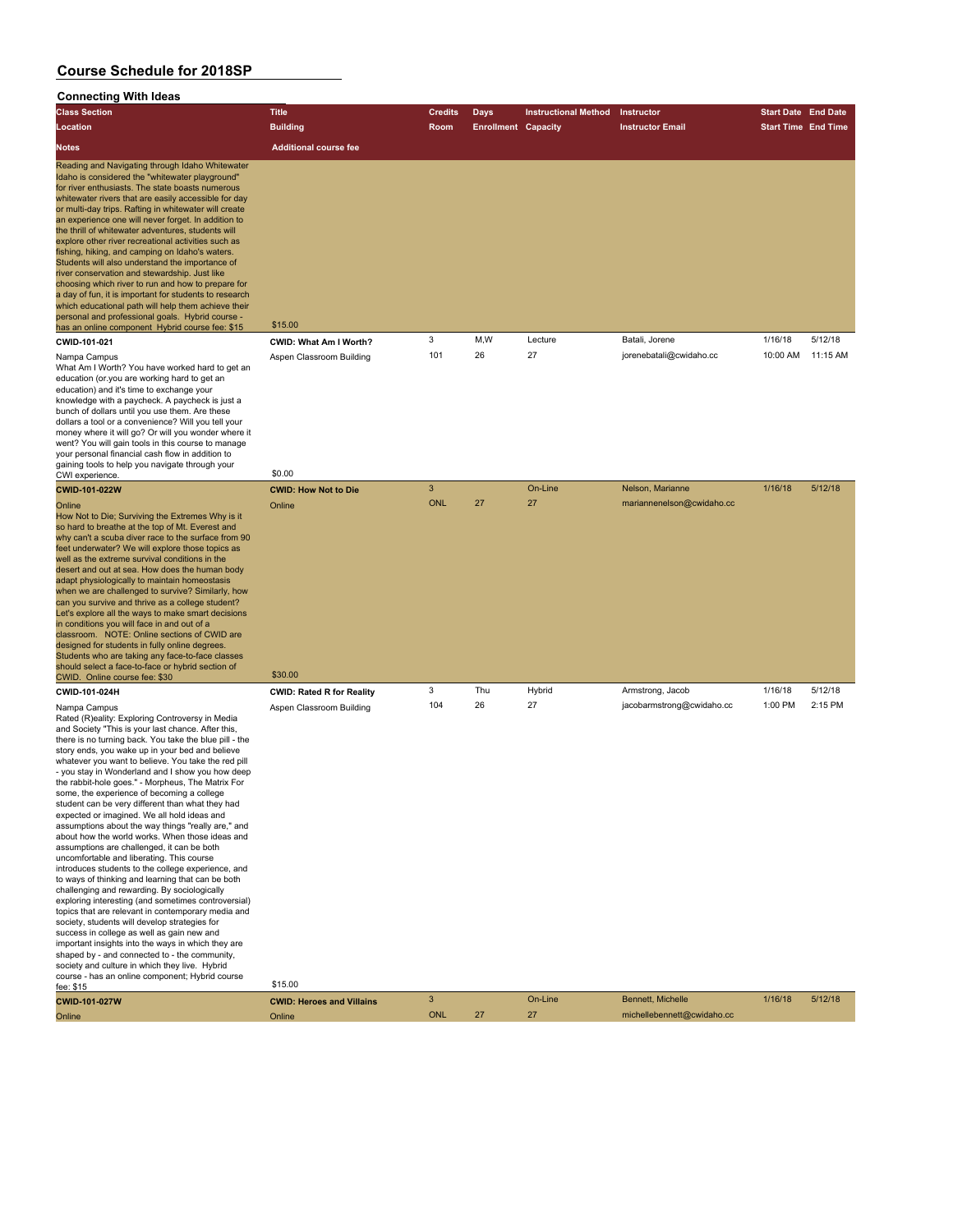#### **Connecting With Ideas**

| <b>Class Section</b>                                                                                                                                                                                                                                                                                                                                                                                                                                                                                                                                                                                                                                                                                                                                                                                                                                                             | <b>Title</b>                       | <b>Credits</b> | Days                       | <b>Instructional Method</b> | Instructor                | <b>Start Date End Date</b> |          |
|----------------------------------------------------------------------------------------------------------------------------------------------------------------------------------------------------------------------------------------------------------------------------------------------------------------------------------------------------------------------------------------------------------------------------------------------------------------------------------------------------------------------------------------------------------------------------------------------------------------------------------------------------------------------------------------------------------------------------------------------------------------------------------------------------------------------------------------------------------------------------------|------------------------------------|----------------|----------------------------|-----------------------------|---------------------------|----------------------------|----------|
| Location                                                                                                                                                                                                                                                                                                                                                                                                                                                                                                                                                                                                                                                                                                                                                                                                                                                                         | <b>Building</b>                    | <b>Room</b>    | <b>Enrollment Capacity</b> |                             | <b>Instructor Email</b>   | <b>Start Time End Time</b> |          |
| <b>Notes</b>                                                                                                                                                                                                                                                                                                                                                                                                                                                                                                                                                                                                                                                                                                                                                                                                                                                                     | <b>Additional course fee</b>       |                |                            |                             |                           |                            |          |
| Reading and Navigating through Idaho Whitewater<br>Idaho is considered the "whitewater playground"<br>for river enthusiasts. The state boasts numerous<br>whitewater rivers that are easily accessible for day<br>or multi-day trips. Rafting in whitewater will create<br>an experience one will never forget. In addition to<br>the thrill of whitewater adventures, students will<br>explore other river recreational activities such as<br>fishing, hiking, and camping on Idaho's waters.<br>Students will also understand the importance of<br>river conservation and stewardship. Just like<br>choosing which river to run and how to prepare for<br>a day of fun, it is important for students to research<br>which educational path will help them achieve their<br>personal and professional goals. Hybrid course -<br>has an online component Hybrid course fee: \$15 | \$15.00                            |                |                            |                             |                           |                            |          |
| CWID-101-021                                                                                                                                                                                                                                                                                                                                                                                                                                                                                                                                                                                                                                                                                                                                                                                                                                                                     | <b>CWID: What Am I Worth?</b>      | 3              | M,W                        | Lecture                     | Batali, Jorene            | 1/16/18                    | 5/12/18  |
| Nampa Campus<br>What Am I Worth? You have worked hard to get an<br>education (or you are working hard to get an<br>education) and it's time to exchange your<br>knowledge with a paycheck. A paycheck is just a<br>bunch of dollars until you use them. Are these<br>dollars a tool or a convenience? Will you tell your<br>money where it will go? Or will you wonder where it<br>went? You will gain tools in this course to manage<br>your personal financial cash flow in addition to<br>gaining tools to help you navigate through your<br>CWI experience.                                                                                                                                                                                                                                                                                                                  | Aspen Classroom Building<br>\$0.00 | 101            | 26                         | 27                          | jorenebatali@cwidaho.cc   | 10:00 AM                   | 11:15 AM |
| <b>CWID-101-022W</b>                                                                                                                                                                                                                                                                                                                                                                                                                                                                                                                                                                                                                                                                                                                                                                                                                                                             | <b>CWID: How Not to Die</b>        | 3              |                            | On-Line                     | Nelson, Marianne          | 1/16/18                    | 5/12/18  |
| Online<br>How Not to Die; Surviving the Extremes Why is it<br>so hard to breathe at the top of Mt. Everest and<br>$\mathbf{u}$ . The state $\mathbf{u}$ is the state $\mathbf{u}$ is the state of $\mathbf{u}$ is the state of $\mathbf{u}$                                                                                                                                                                                                                                                                                                                                                                                                                                                                                                                                                                                                                                      | Online                             | ONL            | 27                         | 27                          | mariannenelson@cwidaho.cc |                            |          |

Rated (R)eality: Exploring Controvers and Society "This is your last chance. After this, there is no turning back. You take the blue pill - the story ends, you wake up in your bed and believe whatever you want to believe. You take the red pill - you stay in Wonderland and I show the rabbit-hole goes." - Morpheus, The Matrix For some, the experience of becoming a college student can be very different than what they had expected or imagined. We all hold ideas and assumptions about the way things "really are," and about how the world works. When those assumptions are challenged, it can be uncomfortable and liberating. This co introduces students to the college exp to ways of thinking and learning that of challenging and rewarding. By sociolo exploring interesting (and sometimes controversial) topics that are relevant in contemporary media and society, students will develop strategies for success in college as well as gain new and important insights into the ways in which they are shaped by - and connected to - the community, society and culture in which they live. Hybrid course - has an online component; Hybrid course fee: \$15 \$15.00

| How Not to Die; Surviving the Extremes Why is it<br>so hard to breathe at the top of Mt. Everest and<br>why can't a scuba diver race to the surface from 90<br>feet underwater? We will explore those topics as<br>well as the extreme survival conditions in the<br>desert and out at sea. How does the human body<br>adapt physiologically to maintain homeostasis<br>when we are challenged to survive? Similarly, how<br>can you survive and thrive as a college student?<br>Let's explore all the ways to make smart decisions<br>in conditions you will face in and out of a<br>classroom. NOTE: Online sections of CWID are<br>designed for students in fully online degrees.<br>Students who are taking any face-to-face classes<br>should select a face-to-face or hybrid section of<br>CWID. Online course fee: \$30                                                                                                                                                                                                  | \$30.00                          |     |     |        |                           |         |         |
|---------------------------------------------------------------------------------------------------------------------------------------------------------------------------------------------------------------------------------------------------------------------------------------------------------------------------------------------------------------------------------------------------------------------------------------------------------------------------------------------------------------------------------------------------------------------------------------------------------------------------------------------------------------------------------------------------------------------------------------------------------------------------------------------------------------------------------------------------------------------------------------------------------------------------------------------------------------------------------------------------------------------------------|----------------------------------|-----|-----|--------|---------------------------|---------|---------|
| CWID-101-024H                                                                                                                                                                                                                                                                                                                                                                                                                                                                                                                                                                                                                                                                                                                                                                                                                                                                                                                                                                                                                   | <b>CWID: Rated R for Reality</b> | 3   | Thu | Hybrid | Armstrong, Jacob          | 1/16/18 | 5/12/18 |
| Nampa Campus<br>Rated (R)eality: Exploring Controversy in Media<br>and Society "This is your last chance. After this,<br>there is no turning back. You take the blue pill - the<br>story ends, you wake up in your bed and believe<br>whatever you want to believe. You take the red pill<br>- you stay in Wonderland and I show you how deep<br>the rabbit-hole goes." - Morpheus, The Matrix For<br>some, the experience of becoming a college<br>student can be very different than what they had<br>expected or imagined. We all hold ideas and<br>assumptions about the way things "really are," and<br>about how the world works. When those ideas and<br>assumptions are challenged, it can be both<br>uncomfortable and liberating. This course<br>introduces students to the college experience, and<br>to ways of thinking and learning that can be both<br>challenging and rewarding. By sociologically<br>exploring interesting (and sometimes controversial)<br>topics that are relevant in contemporary media and | Aspen Classroom Building         | 104 | 26  | 27     | jacobarmstrong@cwidaho.cc | 1:00 PM | 2:15 PM |

| .                    |                                  |     |        |         |                            |         |         |
|----------------------|----------------------------------|-----|--------|---------|----------------------------|---------|---------|
| <b>CWID-101-027W</b> | <b>CWID: Heroes and Villains</b> |     |        | On-Line | Bennett, Michelle          | 1/16/18 | 5/12/18 |
| Online               | Online                           | ONL | $\sim$ | 27      | michellebennett@cwidaho.cc |         |         |
|                      |                                  |     |        |         |                            |         |         |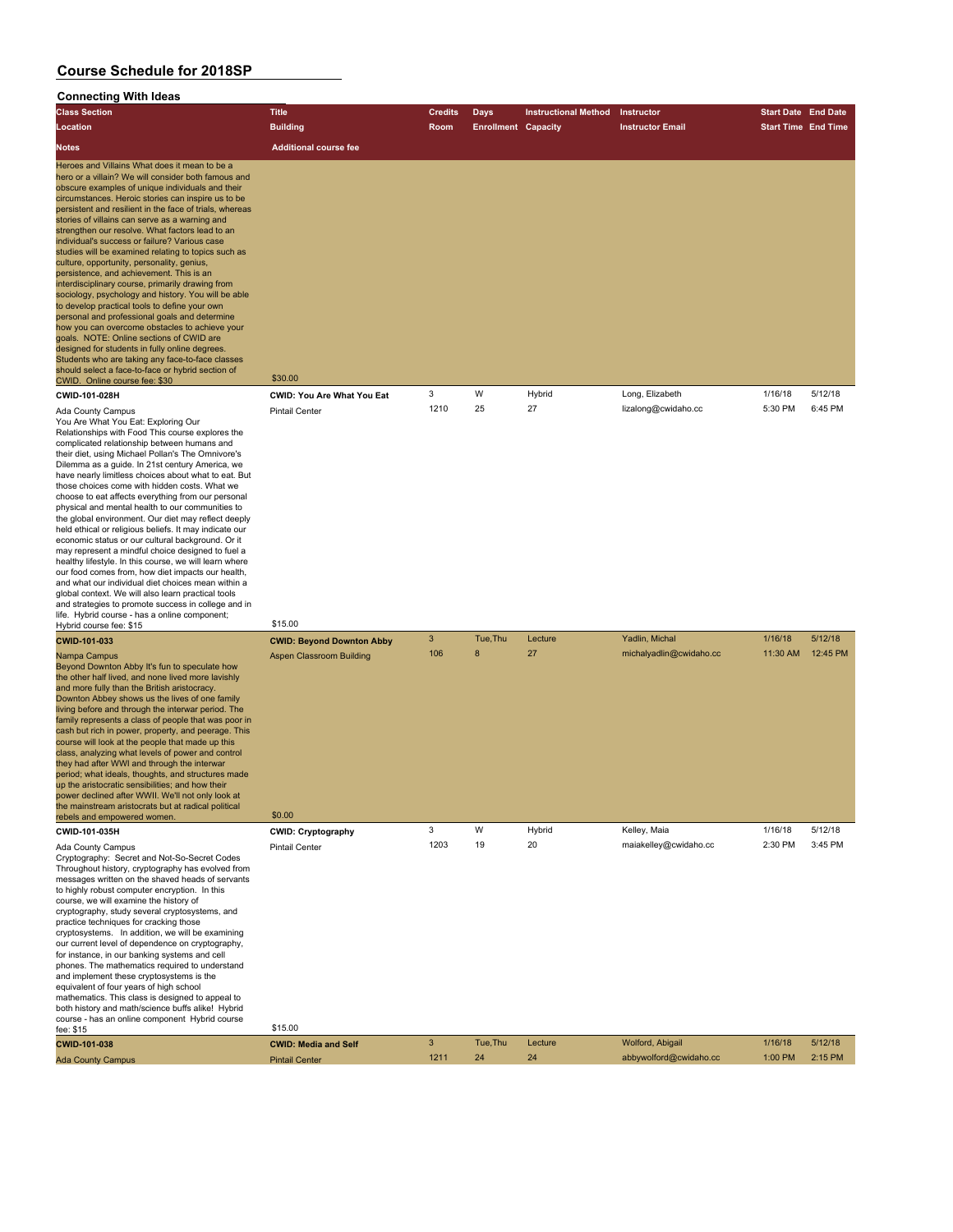### **Connecting With Ideas**

| <b>Class Section</b>                                                                                                                                                                                                                                                                                                                                                                                                                                                                                                                                                                                                                                                                                                                                                                                                                                                                                                                                                                                                                                                                    | <b>Title</b>                                                                  | Credits      | Days                       | <b>Instructional Method</b> | Instructor                                | <b>Start Date</b> End Date |                     |
|-----------------------------------------------------------------------------------------------------------------------------------------------------------------------------------------------------------------------------------------------------------------------------------------------------------------------------------------------------------------------------------------------------------------------------------------------------------------------------------------------------------------------------------------------------------------------------------------------------------------------------------------------------------------------------------------------------------------------------------------------------------------------------------------------------------------------------------------------------------------------------------------------------------------------------------------------------------------------------------------------------------------------------------------------------------------------------------------|-------------------------------------------------------------------------------|--------------|----------------------------|-----------------------------|-------------------------------------------|----------------------------|---------------------|
| Location                                                                                                                                                                                                                                                                                                                                                                                                                                                                                                                                                                                                                                                                                                                                                                                                                                                                                                                                                                                                                                                                                | <b>Building</b>                                                               | Room         | <b>Enrollment Capacity</b> |                             | <b>Instructor Email</b>                   | <b>Start Time End Time</b> |                     |
| Notes                                                                                                                                                                                                                                                                                                                                                                                                                                                                                                                                                                                                                                                                                                                                                                                                                                                                                                                                                                                                                                                                                   | <b>Additional course fee</b>                                                  |              |                            |                             |                                           |                            |                     |
| Heroes and Villains What does it mean to be a<br>hero or a villain? We will consider both famous and<br>obscure examples of unique individuals and their<br>circumstances. Heroic stories can inspire us to be<br>persistent and resilient in the face of trials, whereas<br>stories of villains can serve as a warning and<br>strengthen our resolve. What factors lead to an<br>individual's success or failure? Various case<br>studies will be examined relating to topics such as<br>culture, opportunity, personality, genius,<br>persistence, and achievement. This is an<br>interdisciplinary course, primarily drawing from<br>sociology, psychology and history. You will be able<br>to develop practical tools to define your own<br>personal and professional goals and determine<br>how you can overcome obstacles to achieve your<br>goals. NOTE: Online sections of CWID are<br>designed for students in fully online degrees.<br>Students who are taking any face-to-face classes<br>should select a face-to-face or hybrid section of<br>CWID. Online course fee: \$30 | \$30.00                                                                       |              |                            |                             |                                           |                            |                     |
| CWID-101-028H                                                                                                                                                                                                                                                                                                                                                                                                                                                                                                                                                                                                                                                                                                                                                                                                                                                                                                                                                                                                                                                                           | CWID: You Are What You Eat                                                    | 3            | W                          | Hybrid                      | Long, Elizabeth                           | 1/16/18                    | 5/12/18             |
| Ada County Campus<br>You Are What You Eat: Exploring Our<br>Relationships with Food This course explores the<br>complicated relationship between humans and<br>their diet, using Michael Pollan's The Omnivore's<br>Dilemma as a guide. In 21st century America, we<br>have nearly limitless choices about what to eat. But<br>those choices come with hidden costs. What we<br>choose to eat affects everything from our personal<br>physical and mental health to our communities to<br>the global environment. Our diet may reflect deeply<br>held ethical or religious beliefs. It may indicate our<br>economic status or our cultural background. Or it<br>may represent a mindful choice designed to fuel a<br>healthy lifestyle. In this course, we will learn where<br>our food comes from, how diet impacts our health,<br>and what our individual diet choices mean within a<br>global context. We will also learn practical tools<br>and strategies to promote success in college and in<br>life. Hybrid course - has a online component;                                    | <b>Pintail Center</b>                                                         | 1210         | 25                         | 27                          | lizalong@cwidaho.cc                       | 5:30 PM                    | 6:45 PM             |
| Hybrid course fee: \$15                                                                                                                                                                                                                                                                                                                                                                                                                                                                                                                                                                                                                                                                                                                                                                                                                                                                                                                                                                                                                                                                 | \$15.00                                                                       |              |                            |                             |                                           |                            |                     |
| CWID-101-033<br>Nampa Campus<br>Beyond Downton Abby It's fun to speculate how<br>the other half lived, and none lived more lavishly<br>and more fully than the British aristocracy.<br>Downton Abbey shows us the lives of one family<br>living before and through the interwar period. The<br>family represents a class of people that was poor in<br>cash but rich in power, property, and peerage. This<br>course will look at the people that made up this<br>class, analyzing what levels of power and control<br>they had after WWI and through the interwar<br>period; what ideals, thoughts, and structures made<br>up the aristocratic sensibilities; and how their<br>power declined after WWII. We'll not only look at<br>the mainstream aristocrats but at radical political                                                                                                                                                                                                                                                                                                | <b>CWID: Beyond Downton Abby</b><br><b>Aspen Classroom Building</b><br>\$0.00 | 3<br>106     | Tue, Thu<br>8              | Lecture<br>27               | Yadlin, Michal<br>michalyadlin@cwidaho.cc | 1/16/18<br>11:30 AM        | 5/12/18<br>12:45 PM |
| rebels and empowered women.<br>CWID-101-035H                                                                                                                                                                                                                                                                                                                                                                                                                                                                                                                                                                                                                                                                                                                                                                                                                                                                                                                                                                                                                                            | <b>CWID: Cryptography</b>                                                     | 3            | W                          | Hybrid                      | Kelley, Maia                              | 1/16/18                    | 5/12/18             |
| Ada County Campus<br>Cryptography: Secret and Not-So-Secret Codes<br>Throughout history, cryptography has evolved from<br>messages written on the shaved heads of servants<br>to highly robust computer encryption. In this<br>course, we will examine the history of<br>cryptography, study several cryptosystems, and<br>practice techniques for cracking those<br>cryptosystems. In addition, we will be examining<br>our current level of dependence on cryptography,<br>for instance, in our banking systems and cell<br>phones. The mathematics required to understand<br>and implement these cryptosystems is the<br>equivalent of four years of high school<br>mathematics. This class is designed to appeal to<br>both history and math/science buffs alike! Hybrid<br>course - has an online component Hybrid course                                                                                                                                                                                                                                                          | Pintail Center<br>\$15.00                                                     | 1203         | 19                         | 20                          | maiakelley@cwidaho.cc                     | 2:30 PM                    | 3:45 PM             |
| fee: \$15                                                                                                                                                                                                                                                                                                                                                                                                                                                                                                                                                                                                                                                                                                                                                                                                                                                                                                                                                                                                                                                                               |                                                                               | $\mathbf{3}$ | Tue, Thu                   | Lecture                     | Wolford, Abigail                          | 1/16/18                    | 5/12/18             |
| CWID-101-038<br><b>Ada County Campus</b>                                                                                                                                                                                                                                                                                                                                                                                                                                                                                                                                                                                                                                                                                                                                                                                                                                                                                                                                                                                                                                                | <b>CWID: Media and Self</b><br><b>Pintail Center</b>                          | 1211         | 24                         | 24                          | abbywolford@cwidaho.cc                    | 1:00 PM                    | 2:15 PM             |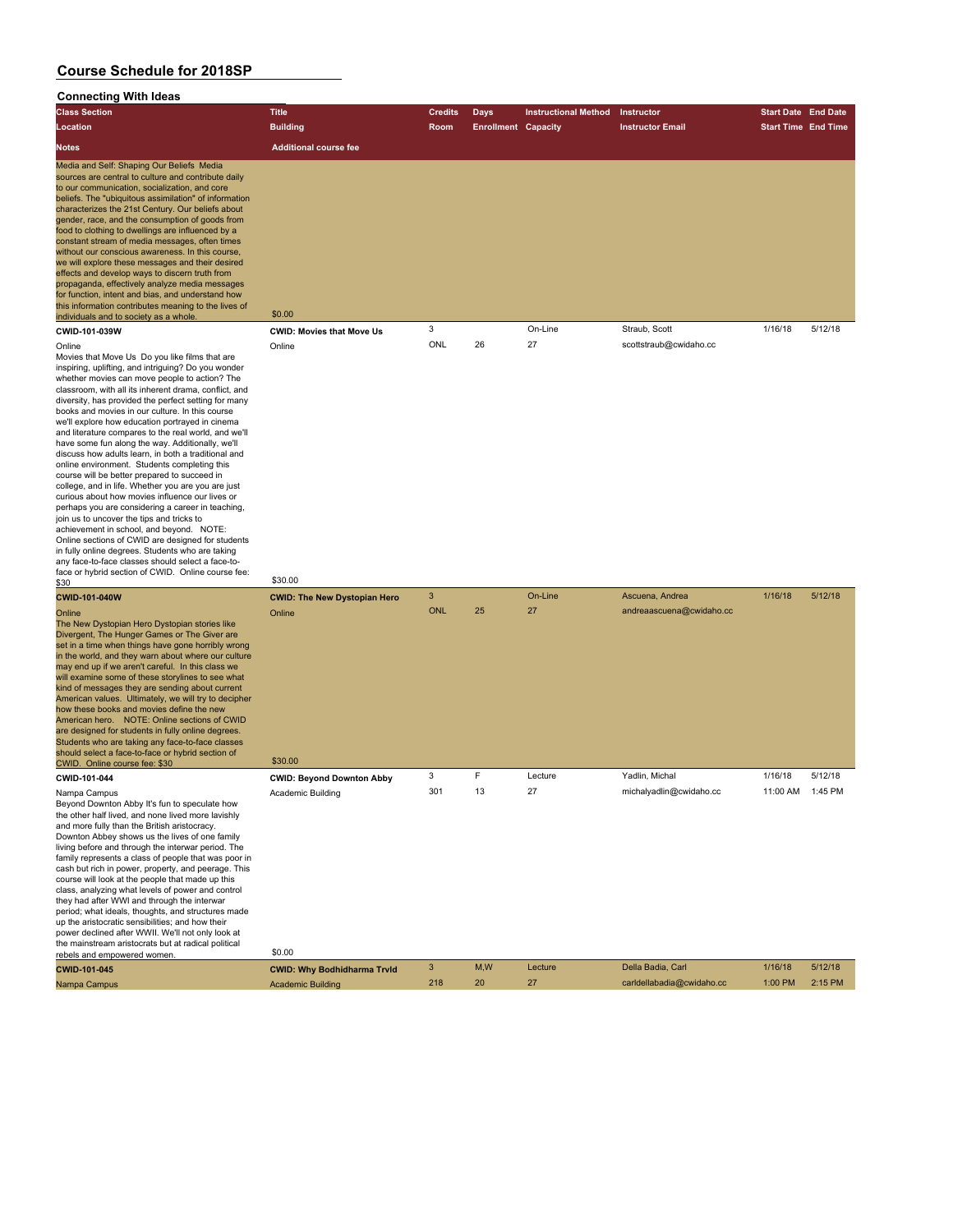#### **Connecting With Ideas**

| <b>Class Section</b>                                                                                                                                                                                                                                                                                                                                                                                                                                                                                                                                                                                                                                                                                                                                                                         | <b>Title</b>                     | <b>Credits</b> | Days                       | <b>Instructional Method</b> | Instructor              | <b>Start Date End Date</b> |         |
|----------------------------------------------------------------------------------------------------------------------------------------------------------------------------------------------------------------------------------------------------------------------------------------------------------------------------------------------------------------------------------------------------------------------------------------------------------------------------------------------------------------------------------------------------------------------------------------------------------------------------------------------------------------------------------------------------------------------------------------------------------------------------------------------|----------------------------------|----------------|----------------------------|-----------------------------|-------------------------|----------------------------|---------|
| Location                                                                                                                                                                                                                                                                                                                                                                                                                                                                                                                                                                                                                                                                                                                                                                                     | <b>Building</b>                  | Room           | <b>Enrollment Capacity</b> |                             | <b>Instructor Email</b> | <b>Start Time End Time</b> |         |
| <b>Notes</b>                                                                                                                                                                                                                                                                                                                                                                                                                                                                                                                                                                                                                                                                                                                                                                                 | <b>Additional course fee</b>     |                |                            |                             |                         |                            |         |
| Media and Self: Shaping Our Beliefs Media<br>sources are central to culture and contribute daily<br>to our communication, socialization, and core<br>beliefs. The "ubiquitous assimilation" of information<br>characterizes the 21st Century. Our beliefs about<br>gender, race, and the consumption of goods from<br>food to clothing to dwellings are influenced by a<br>constant stream of media messages, often times<br>without our conscious awareness. In this course,<br>we will explore these messages and their desired<br>effects and develop ways to discern truth from<br>propaganda, effectively analyze media messages<br>for function, intent and bias, and understand how<br>this information contributes meaning to the lives of<br>individuals and to society as a whole. | \$0.00                           |                |                            |                             |                         |                            |         |
| CWID-101-039W                                                                                                                                                                                                                                                                                                                                                                                                                                                                                                                                                                                                                                                                                                                                                                                | <b>CWID: Movies that Move Us</b> | 3              |                            | On-Line                     | Straub, Scott           | 1/16/18                    | 5/12/18 |
| Online<br>.                                                                                                                                                                                                                                                                                                                                                                                                                                                                                                                                                                                                                                                                                                                                                                                  | Online                           | ONL            | 26                         | 27                          | scottstraub@cwidaho.cc  |                            |         |

Movies that Move Us Do you like films that are inspiring, uplifting, and intriguing? Do you wonder whether movies can move people to action? The classroom, with all its inherent drama, conflict, and diversity, has provided the perfect setting for many books and movies in our culture. In this course we'll explore how education portrayed in cinema and literature compares to the real world, and we'll have some fun along the way. Additionally, we'll discuss how adults learn, in both a traditional and online environment. Students completing this course will be better prepared to succeed in college, and in life. Whether you are you are just curious about how movies influence our lives or perhaps you are considering a career in teaching, join us to uncover the tips and tricks to achievement in school, and beyond. NOTE: Online sections of CWID are designed for students in fully online degrees. Students who are taking any face-to-face classes should select a face-toface or hybrid section of CWID. Online course fee:<br>\$30  $$30$  \$30.00

The New Dystopian Hero Dystopian stories like Divergent, The Hunger Games or The Giver are set in a time when things have gone horribly wrong in the world, and they warn about where our culture may end up if we aren't careful. In this class we will examine some of these storylines to see what kind of messages they are sending about current American values. Ultimately, we will try to decipher how these books and movies define the new American hero. NOTE: Online sections of CWID are designed for students in fully online degrees. Students who are taking any face-to-face classes should select a face-to-face or hybrid section of Should select a face-to-face of hybrid section of<br>CWID. Online course fee: \$30 \$30.00

Beyond Downton Abby It's fun to speculate how the other half lived, and none lived more lavishly and more fully than the British aristocracy. Downton Abbey shows us the lives of one family living before and through the interwar period. The family represents a class of people that was poor in cash but rich in power, property, and peerage. This course will look at the people that made up this class, analyzing what levels of power and control they had after WWI and through the interwar period; what ideals, thoughts, and structures made up the aristocratic sensibilities; and how their power declined after WWII. We'll not only look at the mainstream aristocrats but at radical political<br>rebels and empowered women.

**CWID-101-040W CWID: The New Dystopian Hero** 3 On-Line Ascuena, Andrea 1/16/18 5/12/18 Online Online ONL 25 27 andreaascuena@cwidaho.cc **CWID-101-044 CWID: Beyond Downton Abby** 3 F Lecture Yadlin, Michal 1/16/18 5/12/18 Nampa Campus **Academic Building** 301 13 27 michalyadlin@cwidaho.cc 11:00 AM 1:45 PM

| rebels and empowered women. | \$0.00                             |     |     |         |                           |         |         |
|-----------------------------|------------------------------------|-----|-----|---------|---------------------------|---------|---------|
| CWID-101-045                | <b>CWID: Why Bodhidharma Tryld</b> |     | M.W | Lecture | Della Badia, Carl         | 1/16/18 | 5/12/18 |
| Nampa Campus                | <b>Academic Building</b>           | 218 | 20  |         | carldellabadia@cwidaho.cc | 1:00 PM | 2:15 PM |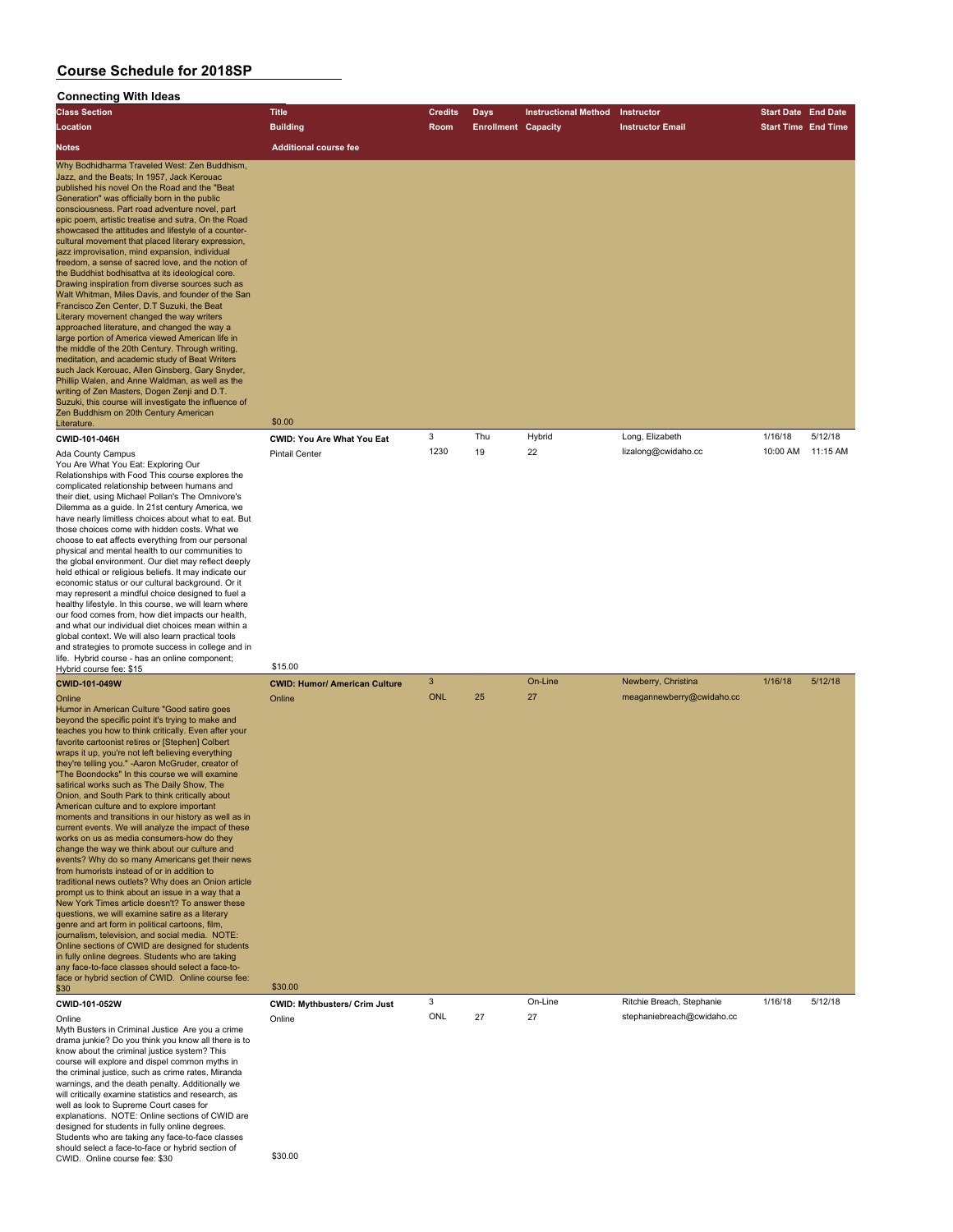### **Connecting With Ideas**

| <b>Class Section</b>                                                                                                                                                                                                                                                                                                                                                                                                                                                                                                                                                                                                                                                                                                                                                                                                                                                                                                                                                                                                                                                                                                                                                                                                                                                                                                                                                                                   | <b>Title</b>                         | <b>Credits</b> | Days                       | <b>Instructional Method</b> | Instructor                 | <b>Start Date End Date</b> |          |
|--------------------------------------------------------------------------------------------------------------------------------------------------------------------------------------------------------------------------------------------------------------------------------------------------------------------------------------------------------------------------------------------------------------------------------------------------------------------------------------------------------------------------------------------------------------------------------------------------------------------------------------------------------------------------------------------------------------------------------------------------------------------------------------------------------------------------------------------------------------------------------------------------------------------------------------------------------------------------------------------------------------------------------------------------------------------------------------------------------------------------------------------------------------------------------------------------------------------------------------------------------------------------------------------------------------------------------------------------------------------------------------------------------|--------------------------------------|----------------|----------------------------|-----------------------------|----------------------------|----------------------------|----------|
| Location                                                                                                                                                                                                                                                                                                                                                                                                                                                                                                                                                                                                                                                                                                                                                                                                                                                                                                                                                                                                                                                                                                                                                                                                                                                                                                                                                                                               | <b>Building</b>                      | Room           | <b>Enrollment Capacity</b> |                             | <b>Instructor Email</b>    | <b>Start Time End Time</b> |          |
| <b>Notes</b>                                                                                                                                                                                                                                                                                                                                                                                                                                                                                                                                                                                                                                                                                                                                                                                                                                                                                                                                                                                                                                                                                                                                                                                                                                                                                                                                                                                           | <b>Additional course fee</b>         |                |                            |                             |                            |                            |          |
| Why Bodhidharma Traveled West: Zen Buddhism,<br>Jazz, and the Beats; In 1957, Jack Kerouac<br>published his novel On the Road and the "Beat<br>Generation" was officially born in the public<br>consciousness. Part road adventure novel, part<br>epic poem, artistic treatise and sutra, On the Road<br>showcased the attitudes and lifestyle of a counter-<br>cultural movement that placed literary expression,<br>jazz improvisation, mind expansion, individual<br>freedom, a sense of sacred love, and the notion of<br>the Buddhist bodhisattva at its ideological core.<br>Drawing inspiration from diverse sources such as<br>Walt Whitman, Miles Davis, and founder of the San<br>Francisco Zen Center, D.T Suzuki, the Beat<br>Literary movement changed the way writers<br>approached literature, and changed the way a<br>large portion of America viewed American life in<br>the middle of the 20th Century. Through writing,<br>meditation, and academic study of Beat Writers<br>such Jack Kerouac, Allen Ginsberg, Gary Snyder,<br>Phillip Walen, and Anne Waldman, as well as the<br>writing of Zen Masters, Dogen Zenji and D.T.<br>Suzuki, this course will investigate the influence of<br>Zen Buddhism on 20th Century American                                                                                                                                                  | \$0.00                               |                |                            |                             |                            |                            |          |
| Literature.<br>CWID-101-046H                                                                                                                                                                                                                                                                                                                                                                                                                                                                                                                                                                                                                                                                                                                                                                                                                                                                                                                                                                                                                                                                                                                                                                                                                                                                                                                                                                           | <b>CWID: You Are What You Eat</b>    | 3              | Thu                        | Hybrid                      | Long, Elizabeth            | 1/16/18                    | 5/12/18  |
| Ada County Campus<br>You Are What You Eat: Exploring Our<br>Relationships with Food This course explores the<br>complicated relationship between humans and<br>their diet, using Michael Pollan's The Omnivore's<br>Dilemma as a guide. In 21st century America, we<br>have nearly limitless choices about what to eat. But<br>those choices come with hidden costs. What we<br>choose to eat affects everything from our personal<br>physical and mental health to our communities to<br>the global environment. Our diet may reflect deeply<br>held ethical or religious beliefs. It may indicate our<br>economic status or our cultural background. Or it<br>may represent a mindful choice designed to fuel a<br>healthy lifestyle. In this course, we will learn where<br>our food comes from, how diet impacts our health,<br>and what our individual diet choices mean within a<br>global context. We will also learn practical tools<br>and strategies to promote success in college and in                                                                                                                                                                                                                                                                                                                                                                                                    | <b>Pintail Center</b>                | 1230           | 19                         | 22                          | lizalong@cwidaho.cc        | 10:00 AM                   | 11:15 AM |
| life. Hybrid course - has an online component;<br>Hybrid course fee: \$15                                                                                                                                                                                                                                                                                                                                                                                                                                                                                                                                                                                                                                                                                                                                                                                                                                                                                                                                                                                                                                                                                                                                                                                                                                                                                                                              | \$15.00                              |                |                            |                             |                            |                            |          |
| <b>CWID-101-049W</b>                                                                                                                                                                                                                                                                                                                                                                                                                                                                                                                                                                                                                                                                                                                                                                                                                                                                                                                                                                                                                                                                                                                                                                                                                                                                                                                                                                                   | <b>CWID: Humor/ American Culture</b> | 3              |                            | On-Line                     | Newberry, Christina        | 1/16/18                    | 5/12/18  |
| Online<br>Humor in American Culture "Good satire goes<br>beyond the specific point it's trying to make and<br>teaches you how to think critically. Even after your<br>favorite cartoonist retires or [Stephen] Colbert<br>wraps it up, you're not left believing everything<br>they're telling you." - Aaron McGruder, creator of<br>"The Boondocks" In this course we will examine<br>satirical works such as The Daily Show, The<br>Onion, and South Park to think critically about<br>American culture and to explore important<br>moments and transitions in our history as well as in<br>current events. We will analyze the impact of these<br>works on us as media consumers-how do they<br>change the way we think about our culture and<br>events? Why do so many Americans get their news<br>from humorists instead of or in addition to<br>traditional news outlets? Why does an Onion article<br>prompt us to think about an issue in a way that a<br>New York Times article doesn't? To answer these<br>questions, we will examine satire as a literary<br>genre and art form in political cartoons, film,<br>journalism, television, and social media. NOTE:<br>Online sections of CWID are designed for students<br>in fully online degrees. Students who are taking<br>any face-to-face classes should select a face-to-<br>face or hybrid section of CWID. Online course fee:<br>\$30 | Online<br>\$30.00                    | <b>ONL</b>     | 25                         | 27                          | meagannewberry@cwidaho.cc  |                            |          |
| CWID-101-052W                                                                                                                                                                                                                                                                                                                                                                                                                                                                                                                                                                                                                                                                                                                                                                                                                                                                                                                                                                                                                                                                                                                                                                                                                                                                                                                                                                                          | <b>CWID: Mythbusters/ Crim Just</b>  | 3              |                            | On-Line                     | Ritchie Breach, Stephanie  | 1/16/18                    | 5/12/18  |
| Online<br>Myth Busters in Criminal Justice Are you a crime<br>drama junkie? Do you think you know all there is to<br>know about the criminal justice system? This<br>course will explore and dispel common myths in<br>the criminal justice, such as crime rates, Miranda<br>warnings, and the death penalty. Additionally we<br>will critically examine statistics and research, as<br>well as look to Supreme Court cases for<br>explanations. NOTE: Online sections of CWID are<br>designed for students in fully online degrees.<br>Students who are taking any face-to-face classes<br>should select a face-to-face or hybrid section of<br>CWID. Online course fee: \$30                                                                                                                                                                                                                                                                                                                                                                                                                                                                                                                                                                                                                                                                                                                         | Online<br>\$30.00                    | ONL            | 27                         | 27                          | stephaniebreach@cwidaho.cc |                            |          |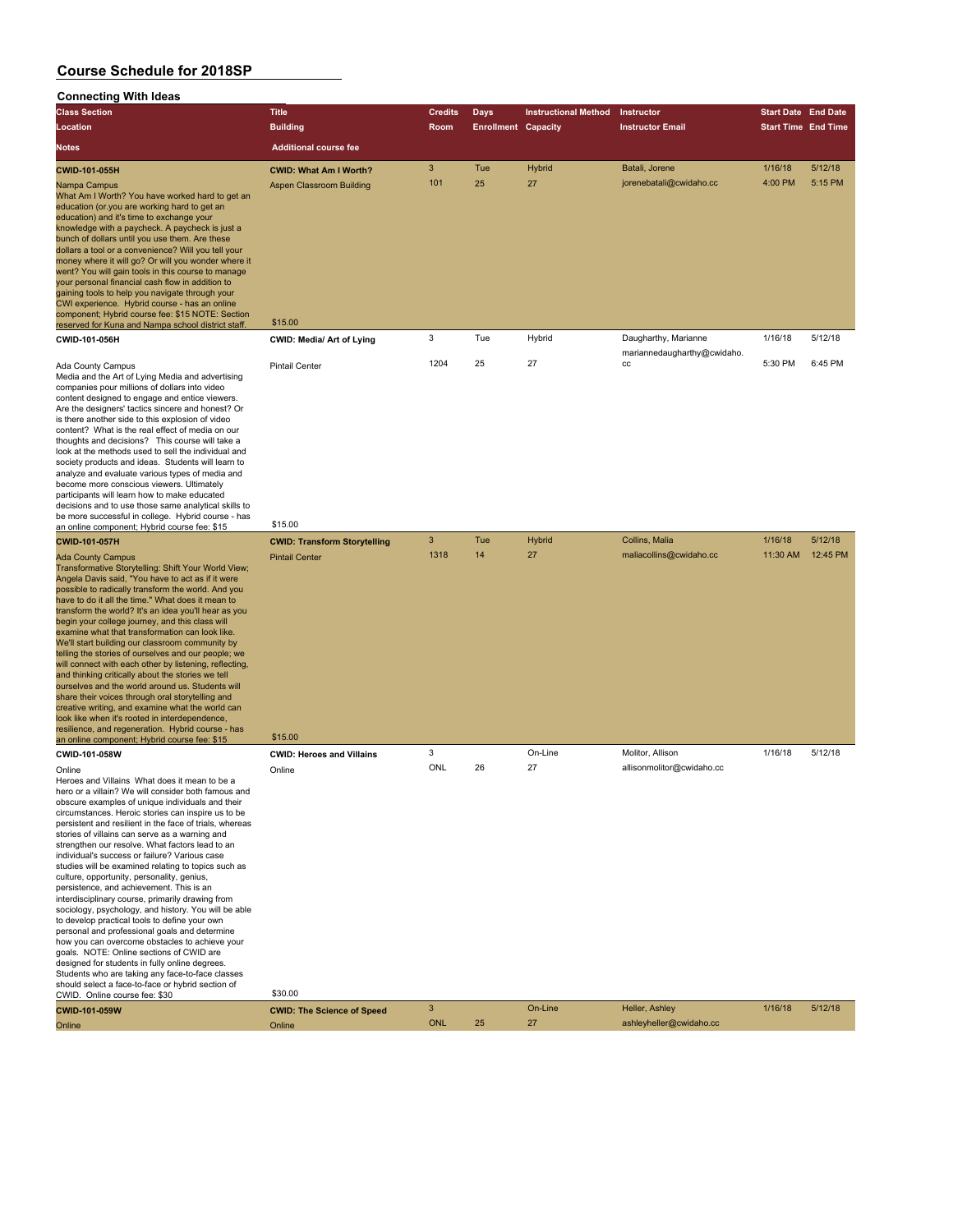| <b>Connecting With Ideas</b>                                                                                                                                                                                                                                                                                                                                                                                                                                                                                                                                                                                                                                                                                                                                                                                                                                                                                                                                                                                                                                                                      |                                                           |                |                            |                             |                                                     |                            |                    |
|---------------------------------------------------------------------------------------------------------------------------------------------------------------------------------------------------------------------------------------------------------------------------------------------------------------------------------------------------------------------------------------------------------------------------------------------------------------------------------------------------------------------------------------------------------------------------------------------------------------------------------------------------------------------------------------------------------------------------------------------------------------------------------------------------------------------------------------------------------------------------------------------------------------------------------------------------------------------------------------------------------------------------------------------------------------------------------------------------|-----------------------------------------------------------|----------------|----------------------------|-----------------------------|-----------------------------------------------------|----------------------------|--------------------|
| <b>Class Section</b>                                                                                                                                                                                                                                                                                                                                                                                                                                                                                                                                                                                                                                                                                                                                                                                                                                                                                                                                                                                                                                                                              | <b>Title</b>                                              | <b>Credits</b> | <b>Days</b>                | <b>Instructional Method</b> | Instructor                                          | <b>Start Date End Date</b> |                    |
| Location                                                                                                                                                                                                                                                                                                                                                                                                                                                                                                                                                                                                                                                                                                                                                                                                                                                                                                                                                                                                                                                                                          | <b>Building</b>                                           | Room           | <b>Enrollment Capacity</b> |                             | <b>Instructor Email</b>                             | <b>Start Time End Time</b> |                    |
| <b>Notes</b>                                                                                                                                                                                                                                                                                                                                                                                                                                                                                                                                                                                                                                                                                                                                                                                                                                                                                                                                                                                                                                                                                      | <b>Additional course fee</b>                              |                |                            |                             |                                                     |                            |                    |
| CWID-101-055H<br>Nampa Campus<br>What Am I Worth? You have worked hard to get an<br>education (or you are working hard to get an<br>education) and it's time to exchange your<br>knowledge with a paycheck. A paycheck is just a<br>bunch of dollars until you use them. Are these<br>dollars a tool or a convenience? Will you tell your<br>money where it will go? Or will you wonder where it<br>went? You will gain tools in this course to manage<br>your personal financial cash flow in addition to<br>gaining tools to help you navigate through your<br>CWI experience. Hybrid course - has an online<br>component; Hybrid course fee: \$15 NOTE: Section                                                                                                                                                                                                                                                                                                                                                                                                                                | <b>CWID: What Am I Worth?</b><br>Aspen Classroom Building | 3<br>101       | Tue<br>25                  | Hybrid<br>27                | Batali, Jorene<br>jorenebatali@cwidaho.cc           | 1/16/18<br>4:00 PM         | 5/12/18<br>5:15 PM |
| reserved for Kuna and Nampa school district staff.                                                                                                                                                                                                                                                                                                                                                                                                                                                                                                                                                                                                                                                                                                                                                                                                                                                                                                                                                                                                                                                | \$15.00                                                   |                |                            |                             |                                                     |                            |                    |
| CWID-101-056H                                                                                                                                                                                                                                                                                                                                                                                                                                                                                                                                                                                                                                                                                                                                                                                                                                                                                                                                                                                                                                                                                     | CWID: Media/ Art of Lying                                 | 3              | Tue                        | Hybrid                      | Daugharthy, Marianne<br>mariannedaugharthy@cwidaho. | 1/16/18                    | 5/12/18            |
| Ada County Campus<br>Media and the Art of Lying Media and advertising<br>companies pour millions of dollars into video<br>content designed to engage and entice viewers.<br>Are the designers' tactics sincere and honest? Or<br>is there another side to this explosion of video<br>content? What is the real effect of media on our<br>thoughts and decisions? This course will take a<br>look at the methods used to sell the individual and<br>society products and ideas. Students will learn to<br>analyze and evaluate various types of media and<br>become more conscious viewers. Ultimately<br>participants will learn how to make educated<br>decisions and to use those same analytical skills to<br>be more successful in college. Hybrid course - has<br>an online component; Hybrid course fee: \$15                                                                                                                                                                                                                                                                               | <b>Pintail Center</b><br>\$15.00                          | 1204           | 25                         | 27                          | cc                                                  | 5:30 PM                    | 6:45 PM            |
| <b>CWID-101-057H</b>                                                                                                                                                                                                                                                                                                                                                                                                                                                                                                                                                                                                                                                                                                                                                                                                                                                                                                                                                                                                                                                                              | <b>CWID: Transform Storytelling</b>                       | $\overline{3}$ | Tue                        | Hybrid                      | Collins, Malia                                      | 1/16/18                    | 5/12/18            |
| <b>Ada County Campus</b><br>Transformative Storytelling: Shift Your World View;<br>Angela Davis said, "You have to act as if it were<br>possible to radically transform the world. And you<br>have to do it all the time." What does it mean to<br>transform the world? It's an idea you'll hear as you<br>begin your college journey, and this class will<br>examine what that transformation can look like.<br>We'll start building our classroom community by<br>telling the stories of ourselves and our people; we<br>will connect with each other by listening, reflecting,<br>and thinking critically about the stories we tell<br>ourselves and the world around us. Students will<br>share their voices through oral storytelling and<br>creative writing, and examine what the world can<br>look like when it's rooted in interdependence,<br>resilience, and regeneration. Hybrid course - has<br>an online component; Hybrid course fee: \$15                                                                                                                                         | <b>Pintail Center</b><br>\$15.00                          | 1318           | 14                         | 27                          | maliacollins@cwidaho.cc                             | 11:30 AM                   | 12:45 PM           |
| CWID-101-058W                                                                                                                                                                                                                                                                                                                                                                                                                                                                                                                                                                                                                                                                                                                                                                                                                                                                                                                                                                                                                                                                                     | <b>CWID: Heroes and Villains</b>                          | 3<br>ONL       | 26                         | On-Line<br>27               | Molitor, Allison<br>allisonmolitor@cwidaho.cc       | 1/16/18                    | 5/12/18            |
| Online<br>Heroes and Villains What does it mean to be a<br>hero or a villain? We will consider both famous and<br>obscure examples of unique individuals and their<br>circumstances. Heroic stories can inspire us to be<br>persistent and resilient in the face of trials, whereas<br>stories of villains can serve as a warning and<br>strengthen our resolve. What factors lead to an<br>individual's success or failure? Various case<br>studies will be examined relating to topics such as<br>culture, opportunity, personality, genius,<br>persistence, and achievement. This is an<br>interdisciplinary course, primarily drawing from<br>sociology, psychology, and history. You will be able<br>to develop practical tools to define your own<br>personal and professional goals and determine<br>how you can overcome obstacles to achieve your<br>goals. NOTE: Online sections of CWID are<br>designed for students in fully online degrees.<br>Students who are taking any face-to-face classes<br>should select a face-to-face or hybrid section of<br>CWID Online course fee: \$30 | Online<br>\$30.00                                         |                |                            |                             |                                                     |                            |                    |

| CWID. Online course fee: \$30 | \$30.00                           |     |    |         |                         |         |         |
|-------------------------------|-----------------------------------|-----|----|---------|-------------------------|---------|---------|
| <b>CWID-101-059W</b>          | <b>CWID: The Science of Speed</b> |     |    | On-Line | Heller, Ashley          | 1/16/18 | 5/12/18 |
| Online                        | Online                            | ONL | 25 |         | ashleyheller@cwidaho.cc |         |         |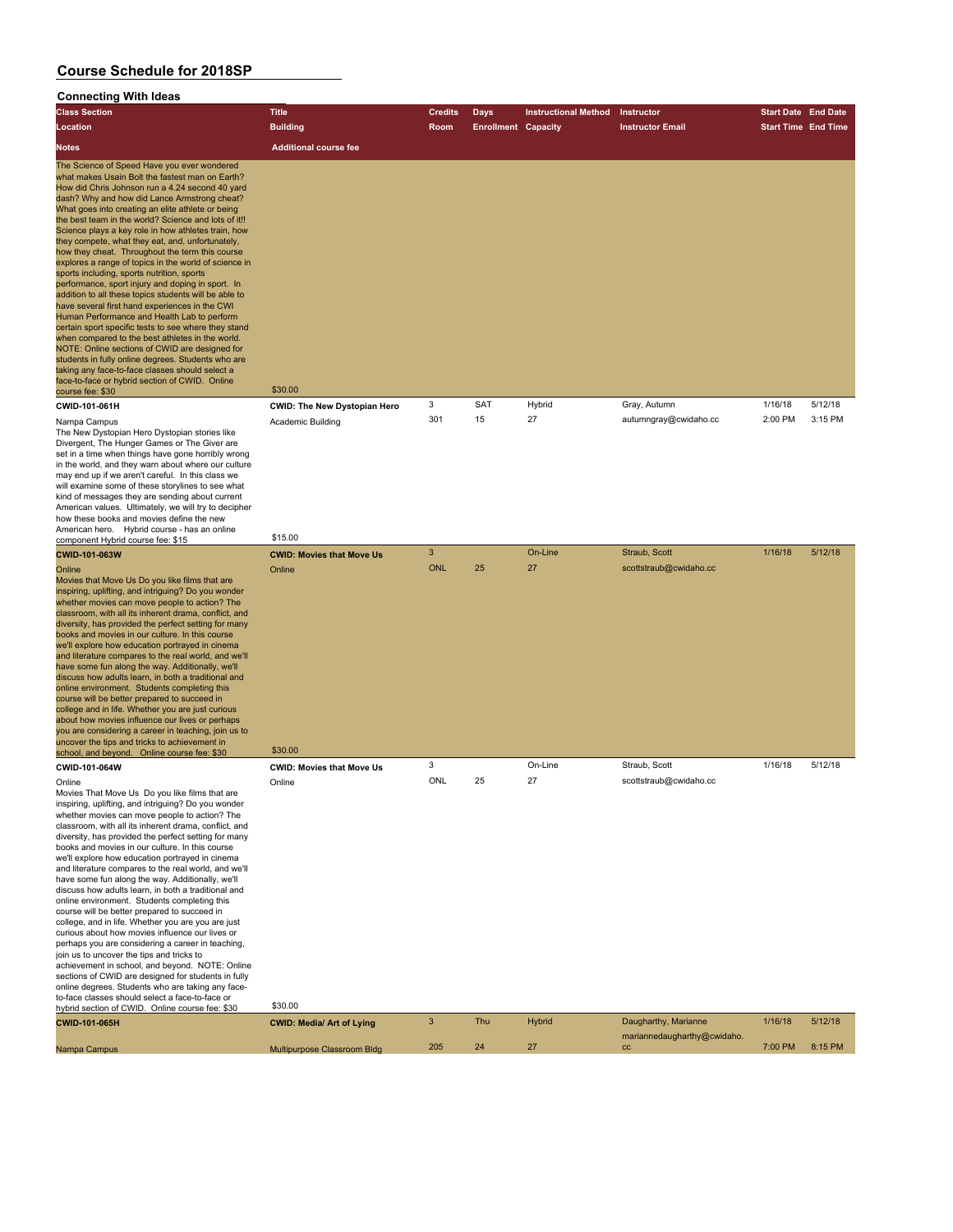## **Connecting With Ideas**

| <b>Class Section</b>                                                                                                                                                                                                                                                                                                                                                                                                                                                                                                                                                                                                                                                                                                                                                                                                                                                                                                                                                                                                                                                                                                                            | <b>Title</b>                        | <b>Credits</b> | <b>Days</b>                | <b>Instructional Method</b> | Instructor                                          | <b>Start Date End Date</b> |         |
|-------------------------------------------------------------------------------------------------------------------------------------------------------------------------------------------------------------------------------------------------------------------------------------------------------------------------------------------------------------------------------------------------------------------------------------------------------------------------------------------------------------------------------------------------------------------------------------------------------------------------------------------------------------------------------------------------------------------------------------------------------------------------------------------------------------------------------------------------------------------------------------------------------------------------------------------------------------------------------------------------------------------------------------------------------------------------------------------------------------------------------------------------|-------------------------------------|----------------|----------------------------|-----------------------------|-----------------------------------------------------|----------------------------|---------|
| Location                                                                                                                                                                                                                                                                                                                                                                                                                                                                                                                                                                                                                                                                                                                                                                                                                                                                                                                                                                                                                                                                                                                                        | <b>Building</b>                     | Room           | <b>Enrollment Capacity</b> |                             | <b>Instructor Email</b>                             | <b>Start Time End Time</b> |         |
| <b>Notes</b>                                                                                                                                                                                                                                                                                                                                                                                                                                                                                                                                                                                                                                                                                                                                                                                                                                                                                                                                                                                                                                                                                                                                    | <b>Additional course fee</b>        |                |                            |                             |                                                     |                            |         |
| The Science of Speed Have you ever wondered<br>what makes Usain Bolt the fastest man on Earth?<br>How did Chris Johnson run a 4.24 second 40 yard<br>dash? Why and how did Lance Armstrong cheat?<br>What goes into creating an elite athlete or being<br>the best team in the world? Science and lots of it!!<br>Science plays a key role in how athletes train, how<br>they compete, what they eat, and, unfortunately,<br>how they cheat. Throughout the term this course<br>explores a range of topics in the world of science in<br>sports including, sports nutrition, sports<br>performance, sport injury and doping in sport. In<br>addition to all these topics students will be able to<br>have several first hand experiences in the CWI<br>Human Performance and Health Lab to perform<br>certain sport specific tests to see where they stand<br>when compared to the best athletes in the world.<br>NOTE: Online sections of CWID are designed for<br>students in fully online degrees. Students who are<br>taking any face-to-face classes should select a<br>face-to-face or hybrid section of CWID. Online<br>course fee: \$30 | \$30.00                             |                |                            |                             |                                                     |                            |         |
| CWID-101-061H                                                                                                                                                                                                                                                                                                                                                                                                                                                                                                                                                                                                                                                                                                                                                                                                                                                                                                                                                                                                                                                                                                                                   | <b>CWID: The New Dystopian Hero</b> | 3              | SAT                        | Hybrid                      | Gray, Autumn                                        | 1/16/18                    | 5/12/18 |
| Nampa Campus<br>The New Dystopian Hero Dystopian stories like<br>Divergent, The Hunger Games or The Giver are<br>set in a time when things have gone horribly wrong<br>in the world, and they warn about where our culture<br>may end up if we aren't careful. In this class we<br>will examine some of these storylines to see what<br>kind of messages they are sending about current<br>American values. Ultimately, we will try to decipher<br>how these books and movies define the new                                                                                                                                                                                                                                                                                                                                                                                                                                                                                                                                                                                                                                                    | Academic Building                   | 301            | 15                         | 27                          | autumngray@cwidaho.cc                               | 2:00 PM                    | 3:15 PM |
| American hero. Hybrid course - has an online<br>component Hybrid course fee: \$15                                                                                                                                                                                                                                                                                                                                                                                                                                                                                                                                                                                                                                                                                                                                                                                                                                                                                                                                                                                                                                                               | \$15.00                             |                |                            |                             |                                                     |                            |         |
| <b>CWID-101-063W</b>                                                                                                                                                                                                                                                                                                                                                                                                                                                                                                                                                                                                                                                                                                                                                                                                                                                                                                                                                                                                                                                                                                                            | <b>CWID: Movies that Move Us</b>    | 3              |                            | On-Line                     | Straub, Scott                                       | 1/16/18                    | 5/12/18 |
| Online<br>Movies that Move Us Do you like films that are<br>inspiring, uplifting, and intriguing? Do you wonder<br>whether movies can move people to action? The<br>classroom, with all its inherent drama, conflict, and<br>diversity, has provided the perfect setting for many<br>books and movies in our culture. In this course<br>we'll explore how education portrayed in cinema<br>and literature compares to the real world, and we'll<br>have some fun along the way. Additionally, we'll<br>discuss how adults learn, in both a traditional and<br>online environment. Students completing this<br>course will be better prepared to succeed in<br>college and in life. Whether you are just curious<br>about how movies influence our lives or perhaps<br>you are considering a career in teaching, join us to<br>uncover the tips and tricks to achievement in<br>school, and beyond. Online course fee: \$30                                                                                                                                                                                                                      | Online<br>\$30.00                   | <b>ONL</b>     | 25                         | 27                          | scottstraub@cwidaho.cc                              |                            |         |
| CWID-101-064W                                                                                                                                                                                                                                                                                                                                                                                                                                                                                                                                                                                                                                                                                                                                                                                                                                                                                                                                                                                                                                                                                                                                   | <b>CWID: Movies that Move Us</b>    | 3<br>ONL       | 25                         | On-Line<br>27               | Straub, Scott<br>scottstraub@cwidaho.cc             | 1/16/18                    | 5/12/18 |
| Online<br>Movies That Move Us Do you like films that are<br>inspiring, uplifting, and intriguing? Do you wonder<br>whether movies can move people to action? The<br>classroom, with all its inherent drama, conflict, and<br>diversity, has provided the perfect setting for many<br>books and movies in our culture. In this course<br>we'll explore how education portrayed in cinema<br>and literature compares to the real world, and we'll<br>have some fun along the way. Additionally, we'll<br>discuss how adults learn, in both a traditional and<br>online environment. Students completing this<br>course will be better prepared to succeed in<br>college, and in life. Whether you are you are just<br>curious about how movies influence our lives or<br>perhaps you are considering a career in teaching,<br>join us to uncover the tips and tricks to<br>achievement in school, and beyond. NOTE: Online<br>sections of CWID are designed for students in fully<br>online degrees. Students who are taking any face-<br>to-face classes should select a face-to-face or<br>hybrid section of CWID. Online course fee: \$30      | Online<br>\$30.00                   |                |                            |                             |                                                     |                            |         |
| CWID-101-065H                                                                                                                                                                                                                                                                                                                                                                                                                                                                                                                                                                                                                                                                                                                                                                                                                                                                                                                                                                                                                                                                                                                                   | <b>CWID: Media/ Art of Lying</b>    | 3              | Thu                        | <b>Hybrid</b>               | Daugharthy, Marianne<br>mariannedaugharthy@cwidaho. | 1/16/18                    | 5/12/18 |
| Nampa Campus                                                                                                                                                                                                                                                                                                                                                                                                                                                                                                                                                                                                                                                                                                                                                                                                                                                                                                                                                                                                                                                                                                                                    | Multipurpose Classroom Bldg         | 205            | 24                         | 27                          | cc                                                  | 7:00 PM                    | 8:15 PM |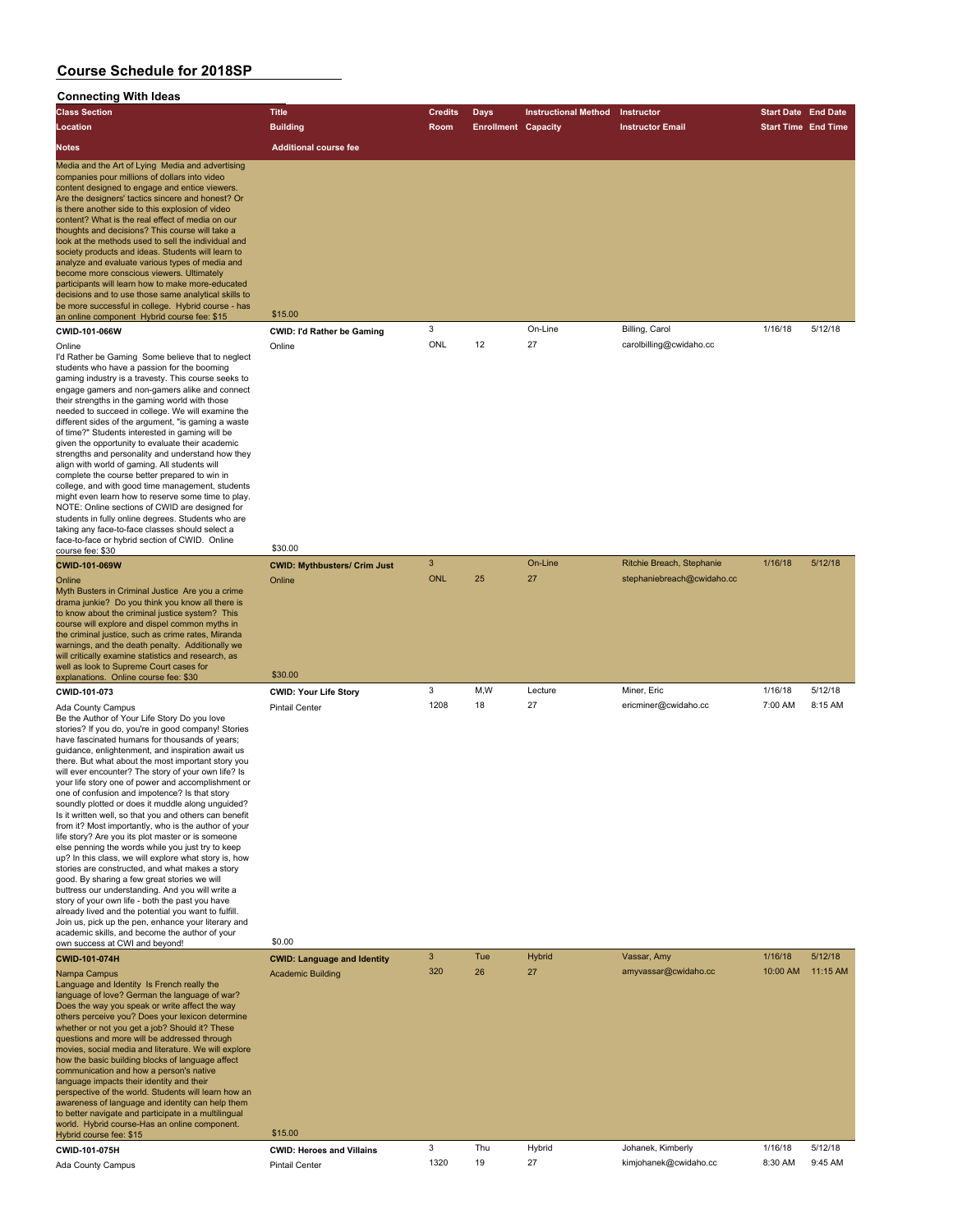## **Connecting With Ideas**

| Connecting With Ideas                                                                                                                                                                                                                                                                                                                                                                                                                                                                                                                                                                                                                                                                                                                                                                                                                                                                                                                                                                                                                                                                                                                                                                    |                                                                 |                |                            |                             |                                     |                            |          |
|------------------------------------------------------------------------------------------------------------------------------------------------------------------------------------------------------------------------------------------------------------------------------------------------------------------------------------------------------------------------------------------------------------------------------------------------------------------------------------------------------------------------------------------------------------------------------------------------------------------------------------------------------------------------------------------------------------------------------------------------------------------------------------------------------------------------------------------------------------------------------------------------------------------------------------------------------------------------------------------------------------------------------------------------------------------------------------------------------------------------------------------------------------------------------------------|-----------------------------------------------------------------|----------------|----------------------------|-----------------------------|-------------------------------------|----------------------------|----------|
| <b>Class Section</b>                                                                                                                                                                                                                                                                                                                                                                                                                                                                                                                                                                                                                                                                                                                                                                                                                                                                                                                                                                                                                                                                                                                                                                     | <b>Title</b>                                                    | <b>Credits</b> | <b>Days</b>                | <b>Instructional Method</b> | Instructor                          | <b>Start Date</b> End Date |          |
| Location                                                                                                                                                                                                                                                                                                                                                                                                                                                                                                                                                                                                                                                                                                                                                                                                                                                                                                                                                                                                                                                                                                                                                                                 | <b>Building</b>                                                 | <b>Room</b>    | <b>Enrollment Capacity</b> |                             | <b>Instructor Email</b>             | <b>Start Time End Time</b> |          |
| <b>Notes</b>                                                                                                                                                                                                                                                                                                                                                                                                                                                                                                                                                                                                                                                                                                                                                                                                                                                                                                                                                                                                                                                                                                                                                                             | <b>Additional course fee</b>                                    |                |                            |                             |                                     |                            |          |
| Media and the Art of Lying Media and advertising<br>companies pour millions of dollars into video<br>content designed to engage and entice viewers.<br>Are the designers' tactics sincere and honest? Or<br>is there another side to this explosion of video<br>content? What is the real effect of media on our<br>thoughts and decisions? This course will take a<br>look at the methods used to sell the individual and<br>society products and ideas. Students will learn to<br>analyze and evaluate various types of media and<br>become more conscious viewers. Ultimately<br>participants will learn how to make more-educated<br>decisions and to use those same analytical skills to<br>be more successful in college. Hybrid course - has<br>an online component Hybrid course fee: \$15                                                                                                                                                                                                                                                                                                                                                                                       | \$15.00                                                         |                |                            |                             |                                     |                            |          |
| CWID-101-066W                                                                                                                                                                                                                                                                                                                                                                                                                                                                                                                                                                                                                                                                                                                                                                                                                                                                                                                                                                                                                                                                                                                                                                            | <b>CWID: I'd Rather be Gaming</b>                               | 3              |                            | On-Line                     | Billing, Carol                      | 1/16/18                    | 5/12/18  |
| Online<br>I'd Rather be Gaming Some believe that to neglect<br>students who have a passion for the booming<br>gaming industry is a travesty. This course seeks to<br>engage gamers and non-gamers alike and connect<br>their strengths in the gaming world with those<br>needed to succeed in college. We will examine the<br>different sides of the argument, "is gaming a waste<br>of time?" Students interested in gaming will be<br>given the opportunity to evaluate their academic<br>strengths and personality and understand how they<br>align with world of gaming. All students will<br>complete the course better prepared to win in<br>college, and with good time management, students<br>might even learn how to reserve some time to play.<br>NOTE: Online sections of CWID are designed for<br>students in fully online degrees. Students who are<br>taking any face-to-face classes should select a<br>face-to-face or hybrid section of CWID. Online                                                                                                                                                                                                                   | Online<br>\$30.00                                               | ONL            | 12                         | 27                          | carolbilling@cwidaho.cc             |                            |          |
| course fee: \$30<br><b>CWID-101-069W</b>                                                                                                                                                                                                                                                                                                                                                                                                                                                                                                                                                                                                                                                                                                                                                                                                                                                                                                                                                                                                                                                                                                                                                 | <b>CWID: Mythbusters/ Crim Just</b>                             | $\mathbf{3}$   |                            | On-Line                     | Ritchie Breach, Stephanie           | 1/16/18                    | 5/12/18  |
| Online<br>Myth Busters in Criminal Justice Are you a crime<br>drama junkie? Do you think you know all there is<br>to know about the criminal justice system? This<br>course will explore and dispel common myths in<br>the criminal justice, such as crime rates, Miranda<br>warnings, and the death penalty. Additionally we<br>will critically examine statistics and research, as<br>well as look to Supreme Court cases for                                                                                                                                                                                                                                                                                                                                                                                                                                                                                                                                                                                                                                                                                                                                                          | Online                                                          | <b>ONL</b>     | 25                         | 27                          | stephaniebreach@cwidaho.cc          |                            |          |
| explanations. Online course fee: \$30                                                                                                                                                                                                                                                                                                                                                                                                                                                                                                                                                                                                                                                                                                                                                                                                                                                                                                                                                                                                                                                                                                                                                    | \$30.00                                                         | 3              | M,W                        | Lecture                     |                                     |                            | 5/12/18  |
| CWID-101-073<br>Ada County Campus<br>Be the Author of Your Life Story Do you love<br>stories? If you do, you're in good company! Stories<br>have fascinated humans for thousands of years;<br>guidance, enlightenment, and inspiration await us<br>there. But what about the most important story you<br>will ever encounter? The story of your own life? Is<br>your life story one of power and accomplishment or<br>one of confusion and impotence? Is that story<br>soundly plotted or does it muddle along unguided?<br>Is it written well, so that you and others can benefit<br>from it? Most importantly, who is the author of your<br>life story? Are you its plot master or is someone<br>else penning the words while you just try to keep<br>up? In this class, we will explore what story is, how<br>stories are constructed, and what makes a story<br>good. By sharing a few great stories we will<br>buttress our understanding. And you will write a<br>story of your own life - both the past you have<br>already lived and the potential you want to fulfill.<br>Join us, pick up the pen, enhance your literary and<br>academic skills, and become the author of your | <b>CWID: Your Life Story</b><br><b>Pintail Center</b><br>\$0.00 | 1208           | 18                         | 27                          | Miner, Eric<br>ericminer@cwidaho.cc | 1/16/18<br>7:00 AM         | 8:15 AM  |
| own success at CWI and beyond!                                                                                                                                                                                                                                                                                                                                                                                                                                                                                                                                                                                                                                                                                                                                                                                                                                                                                                                                                                                                                                                                                                                                                           |                                                                 | $\mathbf{3}$   | Tue                        | <b>Hybrid</b>               | Vassar, Amy                         | 1/16/18                    | 5/12/18  |
| CWID-101-074H<br>Nampa Campus<br>Language and Identity Is French really the<br>language of love? German the language of war?<br>Does the way you speak or write affect the way<br>others perceive you? Does your lexicon determine<br>whether or not you get a job? Should it? These<br>questions and more will be addressed through<br>movies, social media and literature. We will explore<br>how the basic building blocks of language affect<br>communication and how a person's native<br>language impacts their identity and their<br>perspective of the world. Students will learn how an<br>awareness of language and identity can help them<br>to better navigate and participate in a multilingual<br>world. Hybrid course-Has an online component.                                                                                                                                                                                                                                                                                                                                                                                                                            | <b>CWID: Language and Identity</b><br><b>Academic Building</b>  | 320            | 26                         | 27                          | amyvassar@cwidaho.cc                | 10:00 AM                   | 11:15 AM |
| Hybrid course fee: \$15                                                                                                                                                                                                                                                                                                                                                                                                                                                                                                                                                                                                                                                                                                                                                                                                                                                                                                                                                                                                                                                                                                                                                                  | \$15.00                                                         |                |                            |                             |                                     |                            |          |
| CWID-101-075H                                                                                                                                                                                                                                                                                                                                                                                                                                                                                                                                                                                                                                                                                                                                                                                                                                                                                                                                                                                                                                                                                                                                                                            | <b>CWID: Heroes and Villains</b>                                | 3              | Thu                        | Hybrid                      | Johanek, Kimberly                   | 1/16/18                    | 5/12/18  |
| Ada County Campus                                                                                                                                                                                                                                                                                                                                                                                                                                                                                                                                                                                                                                                                                                                                                                                                                                                                                                                                                                                                                                                                                                                                                                        | <b>Pintail Center</b>                                           | 1320           | 19                         | 27                          | kimjohanek@cwidaho.cc               | 8:30 AM                    | 9:45 AM  |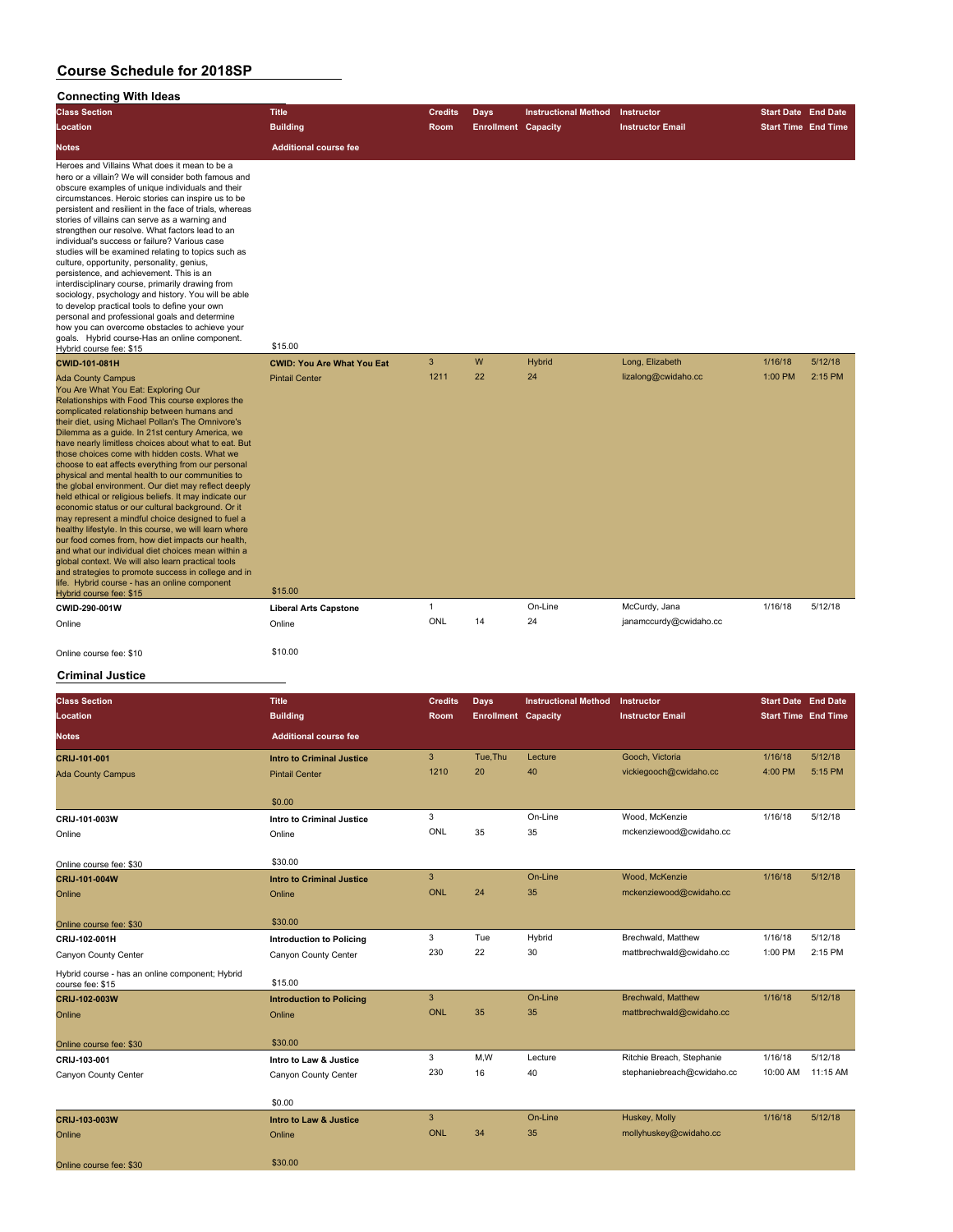## **Connecting With Ideas**

| Connecting With Ideas                                                                                                                                                                                                                                                                                                                                                                                                                                                                                                                                                                                                                                                                                                                                                                                                                                                                                                                                                                                                                                                                  |                                   |                |                            |                             |                         |                            |         |
|----------------------------------------------------------------------------------------------------------------------------------------------------------------------------------------------------------------------------------------------------------------------------------------------------------------------------------------------------------------------------------------------------------------------------------------------------------------------------------------------------------------------------------------------------------------------------------------------------------------------------------------------------------------------------------------------------------------------------------------------------------------------------------------------------------------------------------------------------------------------------------------------------------------------------------------------------------------------------------------------------------------------------------------------------------------------------------------|-----------------------------------|----------------|----------------------------|-----------------------------|-------------------------|----------------------------|---------|
| <b>Class Section</b>                                                                                                                                                                                                                                                                                                                                                                                                                                                                                                                                                                                                                                                                                                                                                                                                                                                                                                                                                                                                                                                                   | <b>Title</b>                      | <b>Credits</b> | Days                       | <b>Instructional Method</b> | Instructor              | <b>Start Date End Date</b> |         |
| Location                                                                                                                                                                                                                                                                                                                                                                                                                                                                                                                                                                                                                                                                                                                                                                                                                                                                                                                                                                                                                                                                               | <b>Building</b>                   | <b>Room</b>    | <b>Enrollment Capacity</b> |                             | <b>Instructor Email</b> | <b>Start Time End Time</b> |         |
| <b>Notes</b>                                                                                                                                                                                                                                                                                                                                                                                                                                                                                                                                                                                                                                                                                                                                                                                                                                                                                                                                                                                                                                                                           | <b>Additional course fee</b>      |                |                            |                             |                         |                            |         |
| Heroes and Villains What does it mean to be a<br>hero or a villain? We will consider both famous and<br>obscure examples of unique individuals and their<br>circumstances. Heroic stories can inspire us to be<br>persistent and resilient in the face of trials, whereas<br>stories of villains can serve as a warning and<br>strengthen our resolve. What factors lead to an<br>individual's success or failure? Various case<br>studies will be examined relating to topics such as<br>culture, opportunity, personality, genius,<br>persistence, and achievement. This is an<br>interdisciplinary course, primarily drawing from<br>sociology, psychology and history. You will be able<br>to develop practical tools to define your own<br>personal and professional goals and determine<br>how you can overcome obstacles to achieve your<br>goals. Hybrid course-Has an online component.                                                                                                                                                                                       | \$15.00                           |                |                            |                             |                         |                            |         |
| Hybrid course fee: \$15<br>CWID-101-081H                                                                                                                                                                                                                                                                                                                                                                                                                                                                                                                                                                                                                                                                                                                                                                                                                                                                                                                                                                                                                                               | <b>CWID: You Are What You Eat</b> | 3              | W                          | <b>Hybrid</b>               | Long, Elizabeth         | 1/16/18                    | 5/12/18 |
| <b>Ada County Campus</b><br>You Are What You Eat: Exploring Our<br>Relationships with Food This course explores the<br>complicated relationship between humans and<br>their diet, using Michael Pollan's The Omnivore's<br>Dilemma as a guide. In 21st century America, we<br>have nearly limitless choices about what to eat. But<br>those choices come with hidden costs. What we<br>choose to eat affects everything from our personal<br>physical and mental health to our communities to<br>the global environment. Our diet may reflect deeply<br>held ethical or religious beliefs. It may indicate our<br>economic status or our cultural background. Or it<br>may represent a mindful choice designed to fuel a<br>healthy lifestyle. In this course, we will learn where<br>our food comes from, how diet impacts our health,<br>and what our individual diet choices mean within a<br>global context. We will also learn practical tools<br>and strategies to promote success in college and in<br>life. Hybrid course - has an online component<br>Hybrid course fee: \$15 | <b>Pintail Center</b><br>\$15.00  | 1211           | 22                         | 24                          | lizalong@cwidaho.cc     | 1:00 PM                    | 2:15 PM |
| CWID-290-001W                                                                                                                                                                                                                                                                                                                                                                                                                                                                                                                                                                                                                                                                                                                                                                                                                                                                                                                                                                                                                                                                          | <b>Liberal Arts Capstone</b>      | $\mathbf{1}$   |                            | On-Line                     | McCurdy, Jana           | 1/16/18                    | 5/12/18 |
| Online                                                                                                                                                                                                                                                                                                                                                                                                                                                                                                                                                                                                                                                                                                                                                                                                                                                                                                                                                                                                                                                                                 | Online                            | ONL            | 14                         | 24                          | janamccurdy@cwidaho.cc  |                            |         |
| Online course fee: \$10                                                                                                                                                                                                                                                                                                                                                                                                                                                                                                                                                                                                                                                                                                                                                                                                                                                                                                                                                                                                                                                                | \$10.00                           |                |                            |                             |                         |                            |         |

### **Criminal Justice**

| <b>Class Section</b><br>Location                                    | <b>Title</b><br><b>Building</b>  | <b>Credits</b><br>Room | Days<br><b>Enrollment Capacity</b> | <b>Instructional Method</b> | Instructor<br><b>Instructor Email</b> | <b>Start Date End Date</b><br><b>Start Time End Time</b> |          |
|---------------------------------------------------------------------|----------------------------------|------------------------|------------------------------------|-----------------------------|---------------------------------------|----------------------------------------------------------|----------|
| <b>Notes</b>                                                        | <b>Additional course fee</b>     |                        |                                    |                             |                                       |                                                          |          |
| CRIJ-101-001                                                        | <b>Intro to Criminal Justice</b> | 3                      | Tue.Thu                            | Lecture                     | Gooch, Victoria                       | 1/16/18                                                  | 5/12/18  |
| <b>Ada County Campus</b>                                            | <b>Pintail Center</b>            | 1210                   | 20                                 | 40                          | vickiegooch@cwidaho.cc                | 4:00 PM                                                  | 5:15 PM  |
|                                                                     | \$0.00                           |                        |                                    |                             |                                       |                                                          |          |
| CRIJ-101-003W                                                       | Intro to Criminal Justice        | 3                      |                                    | On-Line                     | Wood, McKenzie                        | 1/16/18                                                  | 5/12/18  |
| Online                                                              | Online                           | ONL                    | 35                                 | 35                          | mckenziewood@cwidaho.cc               |                                                          |          |
| Online course fee: \$30                                             | \$30.00                          |                        |                                    |                             |                                       |                                                          |          |
| CRIJ-101-004W                                                       | <b>Intro to Criminal Justice</b> | 3                      |                                    | On-Line                     | Wood, McKenzie                        | 1/16/18                                                  | 5/12/18  |
| Online                                                              | Online                           | <b>ONL</b>             | 24                                 | 35                          | mckenziewood@cwidaho.cc               |                                                          |          |
| Online course fee: \$30                                             | \$30.00                          |                        |                                    |                             |                                       |                                                          |          |
| CRIJ-102-001H                                                       | <b>Introduction to Policing</b>  | 3                      | Tue                                | Hybrid                      | Brechwald, Matthew                    | 1/16/18                                                  | 5/12/18  |
| Canyon County Center                                                | Canyon County Center             | 230                    | 22                                 | 30                          | mattbrechwald@cwidaho.cc              | 1:00 PM                                                  | 2:15 PM  |
| Hybrid course - has an online component; Hybrid<br>course fee: \$15 | \$15.00                          |                        |                                    |                             |                                       |                                                          |          |
| CRIJ-102-003W                                                       | <b>Introduction to Policing</b>  | 3                      |                                    | On-Line                     | <b>Brechwald, Matthew</b>             | 1/16/18                                                  | 5/12/18  |
| Online                                                              | Online                           | <b>ONL</b>             | 35                                 | 35                          | mattbrechwald@cwidaho.cc              |                                                          |          |
| Online course fee: \$30                                             | \$30.00                          |                        |                                    |                             |                                       |                                                          |          |
| CRIJ-103-001                                                        | Intro to Law & Justice           | 3                      | M, W                               | Lecture                     | Ritchie Breach, Stephanie             | 1/16/18                                                  | 5/12/18  |
| Canyon County Center                                                | Canyon County Center             | 230                    | 16                                 | 40                          | stephaniebreach@cwidaho.cc            | 10:00 AM                                                 | 11:15 AM |
|                                                                     | \$0.00                           |                        |                                    |                             |                                       |                                                          |          |
| CRIJ-103-003W                                                       | Intro to Law & Justice           | 3                      |                                    | On-Line                     | Huskey, Molly                         | 1/16/18                                                  | 5/12/18  |
| Online                                                              | Online                           | <b>ONL</b>             | 34                                 | 35                          | mollyhuskey@cwidaho.cc                |                                                          |          |
| Online course fee: \$30                                             | \$30.00                          |                        |                                    |                             |                                       |                                                          |          |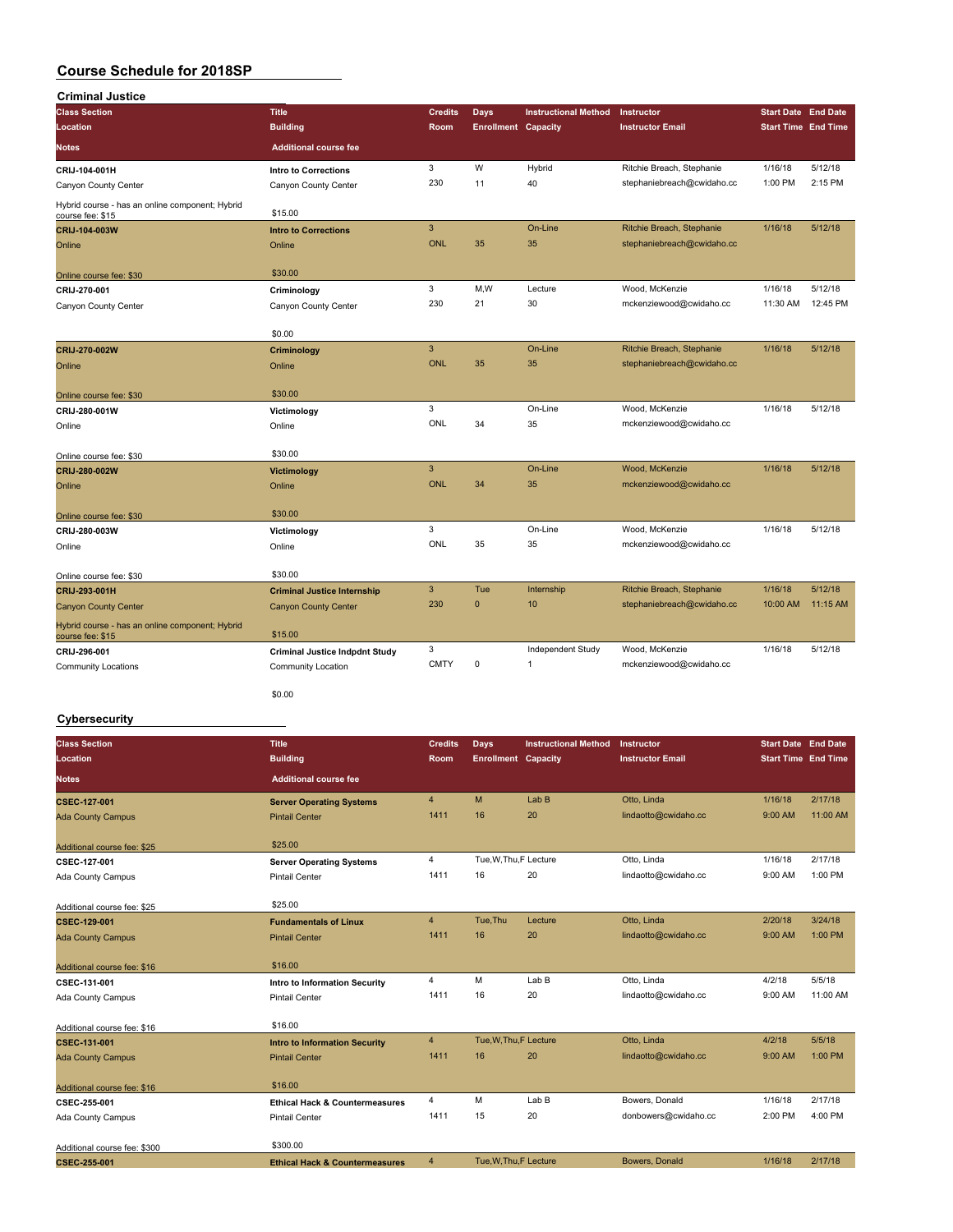| <b>Criminal Justice</b>                                             |                                       |                |                            |                             |                            |                            |          |
|---------------------------------------------------------------------|---------------------------------------|----------------|----------------------------|-----------------------------|----------------------------|----------------------------|----------|
| <b>Class Section</b>                                                | <b>Title</b>                          | <b>Credits</b> | Days                       | <b>Instructional Method</b> | Instructor                 | <b>Start Date End Date</b> |          |
| Location                                                            | <b>Building</b>                       | <b>Room</b>    | <b>Enrollment Capacity</b> |                             | <b>Instructor Email</b>    | <b>Start Time End Time</b> |          |
| <b>Notes</b>                                                        | <b>Additional course fee</b>          |                |                            |                             |                            |                            |          |
| CRIJ-104-001H                                                       | Intro to Corrections                  | 3              | W                          | Hybrid                      | Ritchie Breach, Stephanie  | 1/16/18                    | 5/12/18  |
| Canyon County Center                                                | Canyon County Center                  | 230            | 11                         | 40                          | stephaniebreach@cwidaho.cc | 1:00 PM                    | 2:15 PM  |
| Hybrid course - has an online component; Hybrid<br>course fee: \$15 | \$15.00                               |                |                            |                             |                            |                            |          |
| CRIJ-104-003W                                                       | <b>Intro to Corrections</b>           | 3              |                            | On-Line                     | Ritchie Breach, Stephanie  | 1/16/18                    | 5/12/18  |
| Online                                                              | Online                                | <b>ONL</b>     | 35                         | 35                          | stephaniebreach@cwidaho.cc |                            |          |
| Online course fee: \$30                                             | \$30.00                               |                |                            |                             |                            |                            |          |
| CRIJ-270-001                                                        | Criminology                           | 3              | M,W                        | Lecture                     | Wood, McKenzie             | 1/16/18                    | 5/12/18  |
| Canyon County Center                                                | Canyon County Center                  | 230            | 21                         | 30                          | mckenziewood@cwidaho.cc    | 11:30 AM                   | 12:45 PM |
|                                                                     | \$0.00                                |                |                            |                             |                            |                            |          |
| CRIJ-270-002W                                                       | Criminology                           | $\overline{3}$ |                            | On-Line                     | Ritchie Breach, Stephanie  | 1/16/18                    | 5/12/18  |
| Online                                                              | Online                                | <b>ONL</b>     | 35                         | 35                          | stephaniebreach@cwidaho.cc |                            |          |
| Online course fee: \$30                                             | \$30.00                               |                |                            |                             |                            |                            |          |
| CRIJ-280-001W                                                       | Victimology                           | 3              |                            | On-Line                     | Wood, McKenzie             | 1/16/18                    | 5/12/18  |
| Online                                                              | Online                                | ONL            | 34                         | 35                          | mckenziewood@cwidaho.cc    |                            |          |
| Online course fee: \$30                                             | \$30.00                               |                |                            |                             |                            |                            |          |
| CRIJ-280-002W                                                       | <b>Victimology</b>                    | $\mathbf{3}$   |                            | On-Line                     | Wood, McKenzie             | 1/16/18                    | 5/12/18  |
| Online                                                              | Online                                | <b>ONL</b>     | 34                         | 35                          | mckenziewood@cwidaho.cc    |                            |          |
| Online course fee: \$30                                             | \$30.00                               |                |                            |                             |                            |                            |          |
| CRIJ-280-003W                                                       | Victimology                           | 3              |                            | On-Line                     | Wood, McKenzie             | 1/16/18                    | 5/12/18  |
| Online                                                              | Online                                | ONL            | 35                         | 35                          | mckenziewood@cwidaho.cc    |                            |          |
| Online course fee: \$30                                             | \$30.00                               |                |                            |                             |                            |                            |          |
| CRIJ-293-001H                                                       | <b>Criminal Justice Internship</b>    | $\overline{3}$ | Tue                        | Internship                  | Ritchie Breach, Stephanie  | 1/16/18                    | 5/12/18  |
| <b>Canyon County Center</b>                                         | <b>Canyon County Center</b>           | 230            | $\mathbf{0}$               | 10                          | stephaniebreach@cwidaho.cc | 10:00 AM                   | 11:15 AM |
| Hybrid course - has an online component; Hybrid<br>course fee: \$15 | \$15.00                               |                |                            |                             |                            |                            |          |
| CRIJ-296-001                                                        | <b>Criminal Justice Indpdnt Study</b> | 3              |                            | Independent Study           | Wood, McKenzie             | 1/16/18                    | 5/12/18  |
| <b>Community Locations</b>                                          | <b>Community Location</b>             | <b>CMTY</b>    | $\mathbf 0$                | 1                           | mckenziewood@cwidaho.cc    |                            |          |
|                                                                     | \$0.00                                |                |                            |                             |                            |                            |          |

### **Cybersecurity**

| <b>Class Section</b>         | <b>Title</b>                              | <b>Credits</b> | Days                       | <b>Instructional Method</b> | Instructor              | <b>Start Date End Date</b> |          |
|------------------------------|-------------------------------------------|----------------|----------------------------|-----------------------------|-------------------------|----------------------------|----------|
| Location                     | <b>Building</b>                           | Room           | <b>Enrollment Capacity</b> |                             | <b>Instructor Email</b> | <b>Start Time End Time</b> |          |
| Notes                        | <b>Additional course fee</b>              |                |                            |                             |                         |                            |          |
| <b>CSEC-127-001</b>          | <b>Server Operating Systems</b>           | $\overline{4}$ | M                          | Lab <sub>B</sub>            | Otto, Linda             | 1/16/18                    | 2/17/18  |
| <b>Ada County Campus</b>     | <b>Pintail Center</b>                     | 1411           | 16                         | 20                          | lindaotto@cwidaho.cc    | 9:00 AM                    | 11:00 AM |
| Additional course fee: \$25  | \$25.00                                   |                |                            |                             |                         |                            |          |
| CSEC-127-001                 | <b>Server Operating Systems</b>           | 4              | Tue, W, Thu, F Lecture     |                             | Otto, Linda             | 1/16/18                    | 2/17/18  |
| Ada County Campus            | <b>Pintail Center</b>                     | 1411           | 16                         | 20                          | lindaotto@cwidaho.cc    | 9:00 AM                    | 1:00 PM  |
| Additional course fee: \$25  | \$25.00                                   |                |                            |                             |                         |                            |          |
| <b>CSEC-129-001</b>          | <b>Fundamentals of Linux</b>              | $\overline{4}$ | Tue.Thu                    | Lecture                     | Otto, Linda             | 2/20/18                    | 3/24/18  |
| <b>Ada County Campus</b>     | <b>Pintail Center</b>                     | 1411           | 16                         | 20                          | lindaotto@cwidaho.cc    | 9:00 AM                    | 1:00 PM  |
| Additional course fee: \$16  | \$16.00                                   |                |                            |                             |                         |                            |          |
| CSEC-131-001                 | Intro to Information Security             | 4              | M                          | Lab B                       | Otto, Linda             | 4/2/18                     | 5/5/18   |
| Ada County Campus            | <b>Pintail Center</b>                     | 1411           | 16                         | 20                          | lindaotto@cwidaho.cc    | 9:00 AM                    | 11:00 AM |
| Additional course fee: \$16  | \$16.00                                   |                |                            |                             |                         |                            |          |
| CSEC-131-001                 | <b>Intro to Information Security</b>      | $\overline{4}$ | Tue, W, Thu, F Lecture     |                             | Otto, Linda             | 4/2/18                     | 5/5/18   |
| <b>Ada County Campus</b>     | <b>Pintail Center</b>                     | 1411           | 16                         | 20                          | lindaotto@cwidaho.cc    | 9:00 AM                    | 1:00 PM  |
| Additional course fee: \$16  | \$16,00                                   |                |                            |                             |                         |                            |          |
| CSEC-255-001                 | <b>Ethical Hack &amp; Countermeasures</b> | 4              | M                          | Lab B                       | Bowers, Donald          | 1/16/18                    | 2/17/18  |
| Ada County Campus            | <b>Pintail Center</b>                     | 1411           | 15                         | 20                          | donbowers@cwidaho.cc    | 2:00 PM                    | 4:00 PM  |
| Additional course fee: \$300 | \$300.00                                  |                |                            |                             |                         |                            |          |
| CSEC-255-001                 | <b>Ethical Hack &amp; Countermeasures</b> | 4              | Tue, W, Thu, F Lecture     |                             | Bowers, Donald          | 1/16/18                    | 2/17/18  |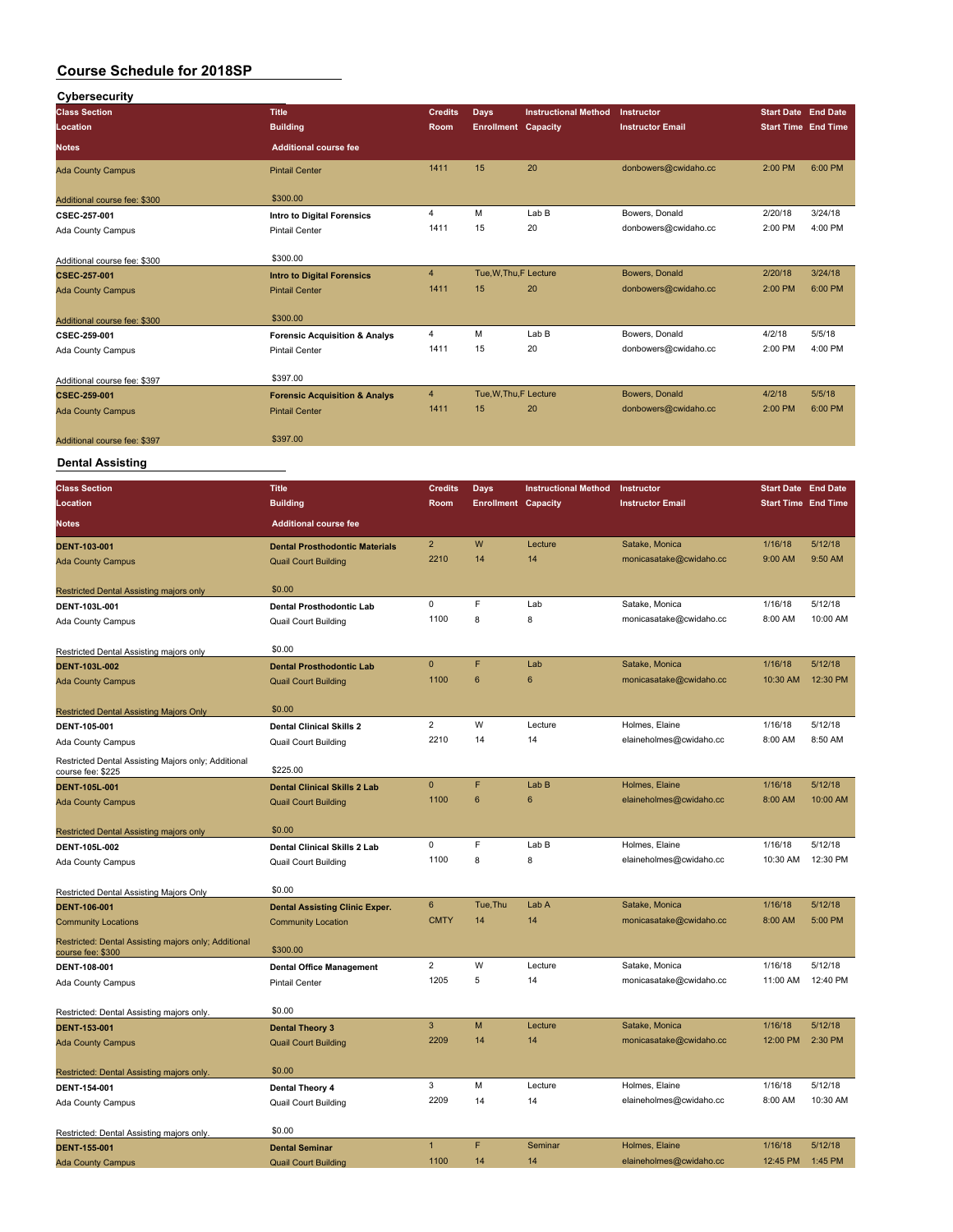| Cybersecurity                                                             |                                                                    |                |                            |                             |                                           |                            |          |
|---------------------------------------------------------------------------|--------------------------------------------------------------------|----------------|----------------------------|-----------------------------|-------------------------------------------|----------------------------|----------|
| <b>Class Section</b>                                                      | <b>Title</b>                                                       | <b>Credits</b> | <b>Days</b>                | <b>Instructional Method</b> | Instructor                                | <b>Start Date End Date</b> |          |
| <b>Location</b>                                                           | <b>Building</b>                                                    | Room           | <b>Enrollment Capacity</b> |                             | <b>Instructor Email</b>                   | <b>Start Time End Time</b> |          |
| <b>Notes</b>                                                              | <b>Additional course fee</b>                                       |                |                            |                             |                                           |                            |          |
| <b>Ada County Campus</b>                                                  | <b>Pintail Center</b>                                              | 1411           | 15                         | 20                          | donbowers@cwidaho.cc                      | 2:00 PM                    | 6:00 PM  |
| Additional course fee: \$300                                              | \$300.00                                                           |                |                            |                             |                                           |                            |          |
| CSEC-257-001                                                              | Intro to Digital Forensics                                         | 4              | M                          | Lab B                       | Bowers, Donald                            | 2/20/18                    | 3/24/18  |
| Ada County Campus                                                         | <b>Pintail Center</b>                                              | 1411           | 15                         | 20                          | donbowers@cwidaho.cc                      | 2:00 PM                    | 4:00 PM  |
| Additional course fee: \$300                                              | \$300.00                                                           |                |                            |                             |                                           |                            |          |
| <b>CSEC-257-001</b>                                                       | <b>Intro to Digital Forensics</b>                                  | 4              | Tue, W, Thu, F Lecture     |                             | Bowers, Donald                            | 2/20/18                    | 3/24/18  |
| <b>Ada County Campus</b>                                                  | <b>Pintail Center</b>                                              | 1411           | 15                         | 20                          | donbowers@cwidaho.cc                      | 2:00 PM                    | 6:00 PM  |
| Additional course fee: \$300                                              | \$300.00                                                           |                |                            |                             |                                           |                            |          |
| CSEC-259-001                                                              | <b>Forensic Acquisition &amp; Analys</b>                           | 4              | М                          | Lab B                       | Bowers, Donald                            | 4/2/18                     | 5/5/18   |
| Ada County Campus                                                         | <b>Pintail Center</b>                                              | 1411           | 15                         | 20                          | donbowers@cwidaho.cc                      | 2:00 PM                    | 4:00 PM  |
| Additional course fee: \$397                                              | \$397.00                                                           |                |                            |                             |                                           |                            |          |
| CSEC-259-001                                                              | <b>Forensic Acquisition &amp; Analys</b>                           | 4              | Tue, W, Thu, F Lecture     |                             | Bowers, Donald                            | 4/2/18                     | 5/5/18   |
| <b>Ada County Campus</b>                                                  | <b>Pintail Center</b>                                              | 1411           | 15                         | 20                          | donbowers@cwidaho.cc                      | 2:00 PM                    | 6:00 PM  |
| Additional course fee: \$397                                              | \$397.00                                                           |                |                            |                             |                                           |                            |          |
| <b>Dental Assisting</b>                                                   |                                                                    |                |                            |                             |                                           |                            |          |
| <b>Class Section</b>                                                      | <b>Title</b>                                                       | <b>Credits</b> | <b>Days</b>                | <b>Instructional Method</b> | Instructor                                | <b>Start Date End Date</b> |          |
| Location                                                                  | <b>Building</b>                                                    | Room           | <b>Enrollment Capacity</b> |                             | <b>Instructor Email</b>                   | <b>Start Time End Time</b> |          |
| <b>Notes</b>                                                              | <b>Additional course fee</b>                                       |                |                            |                             |                                           |                            |          |
|                                                                           |                                                                    | $\overline{2}$ | W                          |                             |                                           |                            | 5/12/18  |
| <b>DENT-103-001</b>                                                       | <b>Dental Prosthodontic Materials</b>                              | 2210           | 14                         | Lecture<br>14               | Satake, Monica<br>monicasatake@cwidaho.cc | 1/16/18<br>9:00 AM         | 9:50 AM  |
| <b>Ada County Campus</b>                                                  | <b>Quail Court Building</b>                                        |                |                            |                             |                                           |                            |          |
| <b>Restricted Dental Assisting majors only</b>                            | \$0.00                                                             |                |                            |                             |                                           |                            |          |
| DENT-103L-001                                                             | Dental Prosthodontic Lab                                           | 0              | F                          | Lab                         | Satake, Monica                            | 1/16/18                    | 5/12/18  |
| Ada County Campus                                                         | <b>Quail Court Building</b>                                        | 1100           | 8                          | 8                           | monicasatake@cwidaho.cc                   | 8:00 AM                    | 10:00 AM |
| Restricted Dental Assisting majors only                                   | \$0.00                                                             |                |                            |                             |                                           |                            |          |
| <b>DENT-103L-002</b>                                                      | <b>Dental Prosthodontic Lab</b>                                    | $\pmb{0}$      | F                          | Lab                         | Satake, Monica                            | 1/16/18                    | 5/12/18  |
| <b>Ada County Campus</b>                                                  | <b>Quail Court Building</b>                                        | 1100           | $6\phantom{1}$             | 6                           | monicasatake@cwidaho.cc                   | 10:30 AM                   | 12:30 PM |
| <b>Restricted Dental Assisting Majors Only</b>                            | \$0.00                                                             |                |                            |                             |                                           |                            |          |
| DENT-105-001                                                              | <b>Dental Clinical Skills 2</b>                                    | $\overline{2}$ | W                          | Lecture                     | Holmes, Elaine                            | 1/16/18                    | 5/12/18  |
| Ada County Campus                                                         | Quail Court Building                                               | 2210           | 14                         | 14                          | elaineholmes@cwidaho.cc                   | 8:00 AM                    | 8:50 AM  |
| Restricted Dental Assisting Majors only; Additional                       | \$225.00                                                           |                |                            |                             |                                           |                            |          |
| course fee: \$225                                                         |                                                                    | $\pmb{0}$      | F                          | Lab B                       | Holmes, Elaine                            | 1/16/18                    | 5/12/18  |
| <b>DENT-105L-001</b><br><b>Ada County Campus</b>                          | <b>Dental Clinical Skills 2 Lab</b><br><b>Quail Court Building</b> | 1100           | 6                          | 6                           | elaineholmes@cwidaho.cc                   | 8:00 AM                    | 10:00 AM |
|                                                                           |                                                                    |                |                            |                             |                                           |                            |          |
| Restricted Dental Assisting majors only                                   | \$0.00                                                             | 0              | F                          | Lab B                       | Holmes, Elaine                            | 1/16/18                    | 5/12/18  |
| DENT-105L-002                                                             | Dental Clinical Skills 2 Lab                                       | 1100           | 8                          | 8                           | elaineholmes@cwidaho.cc                   | 10:30 AM                   | 12:30 PM |
| Ada County Campus                                                         | <b>Quail Court Building</b>                                        |                |                            |                             |                                           |                            |          |
| Restricted Dental Assisting Majors Only                                   | \$0.00                                                             |                |                            |                             |                                           |                            |          |
| <b>DENT-106-001</b>                                                       | <b>Dental Assisting Clinic Exper.</b>                              | 6              | Tue, Thu                   | Lab A                       | Satake, Monica                            | 1/16/18                    | 5/12/18  |
| <b>Community Locations</b>                                                | <b>Community Location</b>                                          | <b>CMTY</b>    | 14                         | 14                          | monicasatake@cwidaho.cc                   | 8:00 AM                    | 5:00 PM  |
| Restricted: Dental Assisting majors only; Additional<br>course fee: \$300 | \$300.00                                                           |                |                            |                             |                                           |                            |          |
| DENT-108-001                                                              | <b>Dental Office Management</b>                                    | $\mathbf 2$    | W                          | Lecture                     | Satake, Monica                            | 1/16/18                    | 5/12/18  |
| Ada County Campus                                                         | <b>Pintail Center</b>                                              | 1205           | 5                          | 14                          | monicasatake@cwidaho.cc                   | 11:00 AM                   | 12:40 PM |
| Restricted: Dental Assisting majors only.                                 | \$0.00                                                             |                |                            |                             |                                           |                            |          |
| <b>DENT-153-001</b>                                                       | <b>Dental Theory 3</b>                                             | $\mathbf{3}$   | M                          | Lecture                     | Satake, Monica                            | 1/16/18                    | 5/12/18  |
| <b>Ada County Campus</b>                                                  | <b>Quail Court Building</b>                                        | 2209           | 14                         | 14                          | monicasatake@cwidaho.cc                   | 12:00 PM                   | 2:30 PM  |
| Restricted: Dental Assisting majors only.                                 | \$0.00                                                             |                |                            |                             |                                           |                            |          |
| DENT-154-001                                                              | Dental Theory 4                                                    | 3              | М                          | Lecture                     | Holmes, Elaine                            | 1/16/18                    | 5/12/18  |
| Ada County Campus                                                         | <b>Quail Court Building</b>                                        | 2209           | 14                         | 14                          | elaineholmes@cwidaho.cc                   | 8:00 AM                    | 10:30 AM |
| Restricted: Dental Assisting majors only.                                 | \$0.00                                                             |                |                            |                             |                                           |                            |          |
| <b>DENT-155-001</b>                                                       | <b>Dental Seminar</b>                                              | $\mathbf{1}$   | F.                         | Seminar                     | Holmes, Elaine                            | 1/16/18                    | 5/12/18  |
| <b>Ada County Campus</b>                                                  | <b>Quail Court Building</b>                                        | 1100           | 14                         | 14                          | elaineholmes@cwidaho.cc                   | 12:45 PM                   | 1:45 PM  |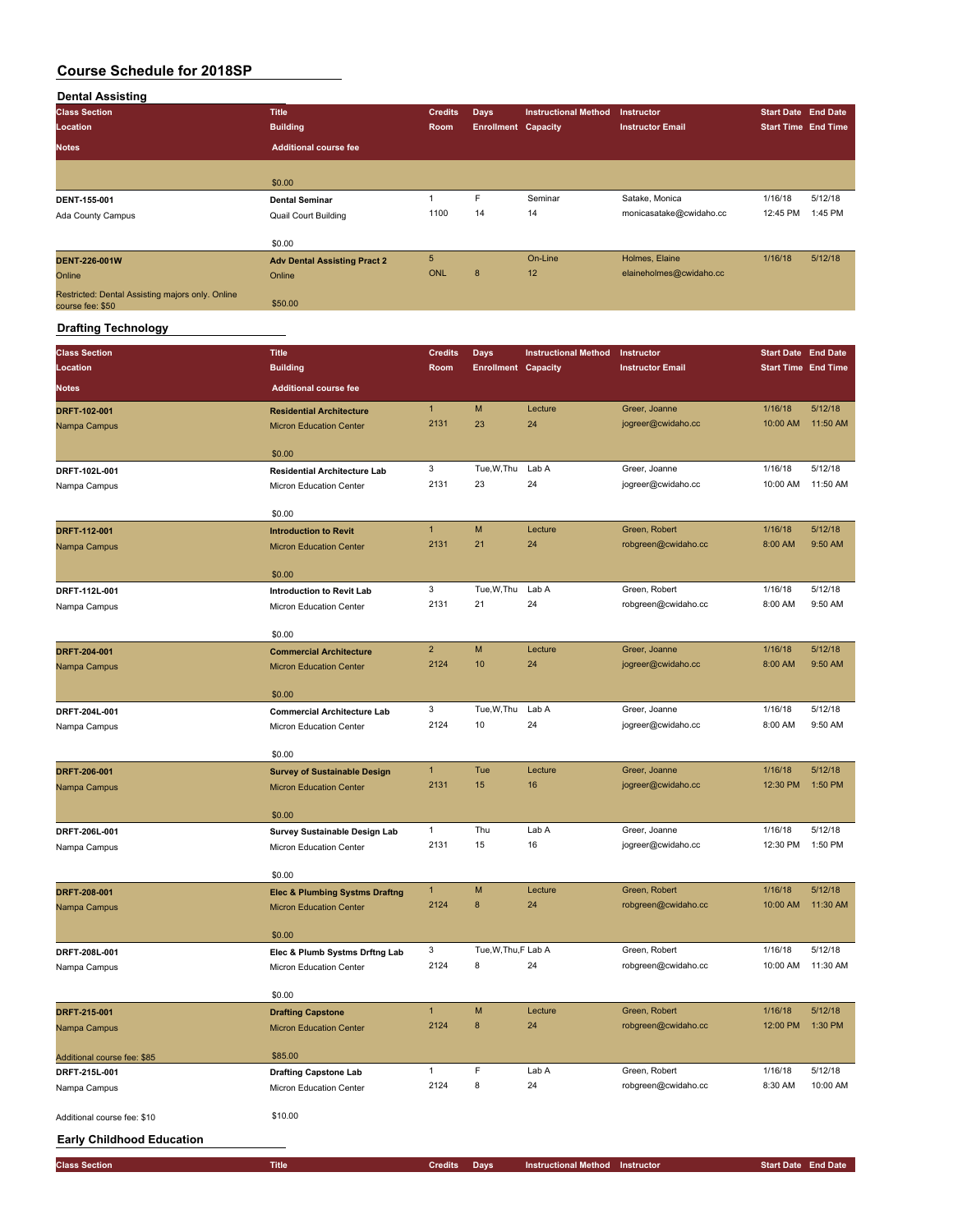## **Dental Assisting**

| <b>Class Section</b>                                                 | <b>Title</b>                        | <b>Credits</b> | <b>Days</b>                | <b>Instructional Method</b> | Instructor              | <b>Start Date End Date</b> |         |
|----------------------------------------------------------------------|-------------------------------------|----------------|----------------------------|-----------------------------|-------------------------|----------------------------|---------|
| Location                                                             | <b>Building</b>                     | Room           | <b>Enrollment Capacity</b> |                             | <b>Instructor Email</b> | <b>Start Time End Time</b> |         |
| <b>Notes</b>                                                         | <b>Additional course fee</b>        |                |                            |                             |                         |                            |         |
|                                                                      |                                     |                |                            |                             |                         |                            |         |
|                                                                      | \$0.00                              |                |                            |                             |                         |                            |         |
| DENT-155-001                                                         | <b>Dental Seminar</b>               |                | F                          | Seminar                     | Satake, Monica          | 1/16/18                    | 5/12/18 |
| Ada County Campus                                                    | <b>Quail Court Building</b>         | 1100           | 14                         | 14                          | monicasatake@cwidaho.cc | 12:45 PM                   | 1:45 PM |
|                                                                      |                                     |                |                            |                             |                         |                            |         |
|                                                                      | \$0.00                              |                |                            |                             |                         |                            |         |
| <b>DENT-226-001W</b>                                                 | <b>Adv Dental Assisting Pract 2</b> | 5 <sub>5</sub> |                            | On-Line                     | Holmes, Elaine          | 1/16/18                    | 5/12/18 |
| Online                                                               | Online                              | ONL            | 8                          | 12                          | elaineholmes@cwidaho.cc |                            |         |
| Restricted: Dental Assisting majors only. Online<br>course fee: \$50 | \$50.00                             |                |                            |                             |                         |                            |         |

## **Drafting Technology**

| <b>Class Section</b>             | <b>Title</b>                                                                | <b>Credits</b> | <b>Days</b>                | <b>Instructional Method</b>            | Instructor                          | <b>Start Date End Date</b> |                    |
|----------------------------------|-----------------------------------------------------------------------------|----------------|----------------------------|----------------------------------------|-------------------------------------|----------------------------|--------------------|
| Location                         | <b>Building</b>                                                             | Room           | <b>Enrollment Capacity</b> |                                        | <b>Instructor Email</b>             | <b>Start Time End Time</b> |                    |
| <b>Notes</b>                     | <b>Additional course fee</b>                                                |                |                            |                                        |                                     |                            |                    |
| DRFT-102-001                     | <b>Residential Architecture</b>                                             | $\mathbf{1}$   | M                          | Lecture                                | Greer, Joanne                       | 1/16/18                    | 5/12/18            |
| Nampa Campus                     | <b>Micron Education Center</b>                                              | 2131           | 23                         | 24                                     | jogreer@cwidaho.cc                  | 10:00 AM                   | 11:50 AM           |
|                                  |                                                                             |                |                            |                                        |                                     |                            |                    |
| DRFT-102L-001                    | \$0.00<br><b>Residential Architecture Lab</b>                               | 3              | Tue, W, Thu                | Lab A                                  | Greer, Joanne                       | 1/16/18                    | 5/12/18            |
| Nampa Campus                     | Micron Education Center                                                     | 2131           | 23                         | 24                                     | jogreer@cwidaho.cc                  | 10:00 AM                   | 11:50 AM           |
|                                  |                                                                             |                |                            |                                        |                                     |                            |                    |
|                                  | \$0.00                                                                      |                |                            |                                        |                                     |                            |                    |
| DRFT-112-001                     | <b>Introduction to Revit</b>                                                | $\mathbf{1}$   | M                          | Lecture                                | Green, Robert                       | 1/16/18                    | 5/12/18            |
| Nampa Campus                     | <b>Micron Education Center</b>                                              | 2131           | 21                         | 24                                     | robgreen@cwidaho.cc                 | 8:00 AM                    | 9:50 AM            |
|                                  | \$0.00                                                                      |                |                            |                                        |                                     |                            |                    |
| DRFT-112L-001                    | Introduction to Revit Lab                                                   | 3              | Tue, W, Thu                | Lab A                                  | Green, Robert                       | 1/16/18                    | 5/12/18            |
| Nampa Campus                     | Micron Education Center                                                     | 2131           | 21                         | 24                                     | robgreen@cwidaho.cc                 | 8:00 AM                    | 9:50 AM            |
|                                  | \$0.00                                                                      |                |                            |                                        |                                     |                            |                    |
| DRFT-204-001                     | <b>Commercial Architecture</b>                                              | $\overline{2}$ | M                          | Lecture                                | Greer, Joanne                       | 1/16/18                    | 5/12/18            |
| Nampa Campus                     | <b>Micron Education Center</b>                                              | 2124           | 10                         | 24                                     | jogreer@cwidaho.cc                  | 8:00 AM                    | 9:50 AM            |
|                                  |                                                                             |                |                            |                                        |                                     |                            |                    |
|                                  | \$0.00                                                                      |                |                            |                                        |                                     |                            |                    |
| DRFT-204L-001                    | <b>Commercial Architecture Lab</b>                                          | 3<br>2124      | Tue, W, Thu<br>10          | Lab A<br>24                            | Greer, Joanne<br>jogreer@cwidaho.cc | 1/16/18<br>8:00 AM         | 5/12/18<br>9:50 AM |
| Nampa Campus                     | Micron Education Center                                                     |                |                            |                                        |                                     |                            |                    |
|                                  | \$0.00                                                                      |                |                            |                                        |                                     |                            |                    |
| DRFT-206-001                     | <b>Survey of Sustainable Design</b>                                         | $\mathbf{1}$   | Tue                        | Lecture                                | Greer, Joanne                       | 1/16/18                    | 5/12/18            |
| Nampa Campus                     | <b>Micron Education Center</b>                                              | 2131           | 15                         | 16                                     | jogreer@cwidaho.cc                  | 12:30 PM                   | 1:50 PM            |
|                                  | \$0.00                                                                      |                |                            |                                        |                                     |                            |                    |
| DRFT-206L-001                    | Survey Sustainable Design Lab                                               | $\mathbf{1}$   | Thu                        | Lab A                                  | Greer, Joanne                       | 1/16/18                    | 5/12/18            |
| Nampa Campus                     | Micron Education Center                                                     | 2131           | 15                         | 16                                     | jogreer@cwidaho.cc                  | 12:30 PM                   | 1:50 PM            |
|                                  |                                                                             |                |                            |                                        |                                     |                            |                    |
|                                  | \$0.00                                                                      | $\mathbf{1}$   | M                          | Lecture                                | Green, Robert                       | 1/16/18                    | 5/12/18            |
| DRFT-208-001<br>Nampa Campus     | <b>Elec &amp; Plumbing Systms Draftng</b><br><b>Micron Education Center</b> | 2124           | 8                          | 24                                     | robgreen@cwidaho.cc                 | 10:00 AM                   | 11:30 AM           |
|                                  |                                                                             |                |                            |                                        |                                     |                            |                    |
|                                  | \$0.00                                                                      |                |                            |                                        |                                     |                            |                    |
| DRFT-208L-001                    | Elec & Plumb Systms Drftng Lab                                              | 3              | Tue, W, Thu, F Lab A       |                                        | Green, Robert                       | 1/16/18                    | 5/12/18            |
| Nampa Campus                     | Micron Education Center                                                     | 2124           | 8                          | 24                                     | robgreen@cwidaho.cc                 | 10:00 AM                   | 11:30 AM           |
|                                  | \$0.00                                                                      |                |                            |                                        |                                     |                            |                    |
| DRFT-215-001                     | <b>Drafting Capstone</b>                                                    | $\mathbf{1}$   | M                          | Lecture                                | Green, Robert                       | 1/16/18                    | 5/12/18            |
| Nampa Campus                     | <b>Micron Education Center</b>                                              | 2124           | 8                          | 24                                     | robgreen@cwidaho.cc                 | 12:00 PM                   | 1:30 PM            |
| Additional course fee: \$85      | \$85.00                                                                     |                |                            |                                        |                                     |                            |                    |
| DRFT-215L-001                    | <b>Drafting Capstone Lab</b>                                                | 1              | F                          | Lab A                                  | Green, Robert                       | 1/16/18                    | 5/12/18            |
| Nampa Campus                     | Micron Education Center                                                     | 2124           | 8                          | 24                                     | robgreen@cwidaho.cc                 | 8:30 AM                    | 10:00 AM           |
|                                  |                                                                             |                |                            |                                        |                                     |                            |                    |
| Additional course fee: \$10      | \$10.00                                                                     |                |                            |                                        |                                     |                            |                    |
| <b>Early Childhood Education</b> |                                                                             |                |                            |                                        |                                     |                            |                    |
| <b>Class Section</b>             | <b>Title</b>                                                                | <b>Credits</b> | Days                       | <b>Instructional Method Instructor</b> |                                     | <b>Start Date End Date</b> |                    |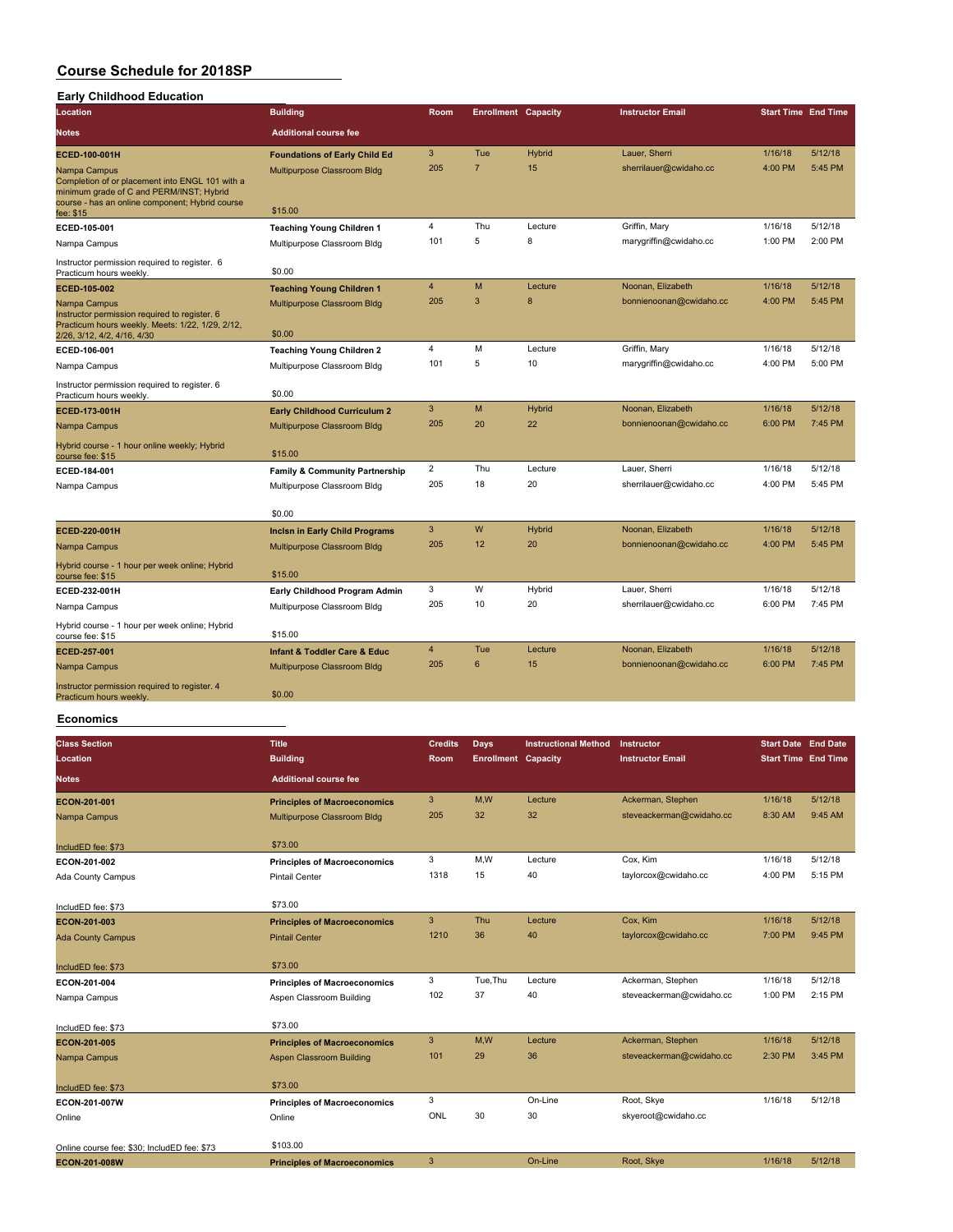#### **Course Schedule for 2018SP Early Childhood Education**

| Early Childhood Education                                                                                                                                                   |                                             |                |                            |               |                         |                            |         |
|-----------------------------------------------------------------------------------------------------------------------------------------------------------------------------|---------------------------------------------|----------------|----------------------------|---------------|-------------------------|----------------------------|---------|
| Location                                                                                                                                                                    | <b>Building</b>                             | Room           | <b>Enrollment Capacity</b> |               | <b>Instructor Email</b> | <b>Start Time End Time</b> |         |
| <b>Notes</b>                                                                                                                                                                | <b>Additional course fee</b>                |                |                            |               |                         |                            |         |
| ECED-100-001H                                                                                                                                                               | <b>Foundations of Early Child Ed</b>        | 3              | Tue                        | <b>Hybrid</b> | Lauer, Sherri           | 1/16/18                    | 5/12/18 |
| Nampa Campus<br>Completion of or placement into ENGL 101 with a<br>minimum grade of C and PERM/INST; Hybrid<br>course - has an online component; Hybrid course<br>fee: \$15 | Multipurpose Classroom Bldg<br>\$15.00      | 205            | $\overline{7}$             | 15            | sherrilauer@cwidaho.cc  | 4:00 PM                    | 5:45 PM |
| ECED-105-001                                                                                                                                                                | <b>Teaching Young Children 1</b>            | $\overline{4}$ | Thu                        | Lecture       | Griffin, Mary           | 1/16/18                    | 5/12/18 |
| Nampa Campus                                                                                                                                                                | Multipurpose Classroom Bldg                 | 101            | 5                          | 8             | marygriffin@cwidaho.cc  | 1:00 PM                    | 2:00 PM |
| Instructor permission required to register. 6<br>Practicum hours weekly.                                                                                                    | \$0.00                                      |                |                            |               |                         |                            |         |
| ECED-105-002                                                                                                                                                                | <b>Teaching Young Children 1</b>            | 4              | M                          | Lecture       | Noonan, Elizabeth       | 1/16/18                    | 5/12/18 |
| Nampa Campus                                                                                                                                                                | Multipurpose Classroom Bldg                 | 205            | 3                          | 8             | bonnienoonan@cwidaho.cc | 4:00 PM                    | 5:45 PM |
| Instructor permission required to register. 6<br>Practicum hours weekly. Meets: 1/22, 1/29, 2/12,<br>2/26, 3/12, 4/2, 4/16, 4/30                                            | \$0.00                                      |                |                            |               |                         |                            |         |
| ECED-106-001                                                                                                                                                                | <b>Teaching Young Children 2</b>            | $\overline{4}$ | M                          | Lecture       | Griffin, Mary           | 1/16/18                    | 5/12/18 |
| Nampa Campus                                                                                                                                                                | Multipurpose Classroom Bldg                 | 101            | 5                          | 10            | marygriffin@cwidaho.cc  | 4:00 PM                    | 5:00 PM |
| Instructor permission required to register. 6<br>Practicum hours weekly.                                                                                                    | \$0.00                                      |                |                            |               |                         |                            |         |
| ECED-173-001H                                                                                                                                                               | <b>Early Childhood Curriculum 2</b>         | 3              | М                          | <b>Hybrid</b> | Noonan, Elizabeth       | 1/16/18                    | 5/12/18 |
| Nampa Campus                                                                                                                                                                | Multipurpose Classroom Bldg                 | 205            | 20                         | 22            | bonnienoonan@cwidaho.cc | 6:00 PM                    | 7:45 PM |
| Hybrid course - 1 hour online weekly; Hybrid<br>course fee: \$15                                                                                                            | \$15.00                                     |                |                            |               |                         |                            |         |
| ECED-184-001                                                                                                                                                                | <b>Family &amp; Community Partnership</b>   | $\overline{2}$ | Thu                        | Lecture       | Lauer, Sherri           | 1/16/18                    | 5/12/18 |
| Nampa Campus                                                                                                                                                                | Multipurpose Classroom Bldg                 | 205            | 18                         | 20            | sherrilauer@cwidaho.cc  | 4:00 PM                    | 5:45 PM |
|                                                                                                                                                                             | \$0.00                                      |                |                            |               |                         |                            |         |
| ECED-220-001H                                                                                                                                                               | <b>Incisn in Early Child Programs</b>       | 3              | W                          | <b>Hybrid</b> | Noonan, Elizabeth       | 1/16/18                    | 5/12/18 |
| Nampa Campus                                                                                                                                                                | Multipurpose Classroom Bldg                 | 205            | 12                         | 20            | bonnienoonan@cwidaho.cc | 4:00 PM                    | 5:45 PM |
| Hybrid course - 1 hour per week online; Hybrid<br>course fee: \$15                                                                                                          | \$15.00                                     |                |                            |               |                         |                            |         |
| ECED-232-001H                                                                                                                                                               | Early Childhood Program Admin               | 3              | W                          | Hybrid        | Lauer, Sherri           | 1/16/18                    | 5/12/18 |
| Nampa Campus                                                                                                                                                                | Multipurpose Classroom Bldg                 | 205            | 10                         | 20            | sherrilauer@cwidaho.cc  | 6:00 PM                    | 7:45 PM |
| Hybrid course - 1 hour per week online; Hybrid<br>course fee: \$15                                                                                                          | \$15.00                                     |                |                            |               |                         |                            |         |
| ECED-257-001                                                                                                                                                                | <b>Infant &amp; Toddler Care &amp; Educ</b> | $\overline{4}$ | Tue                        | Lecture       | Noonan, Elizabeth       | 1/16/18                    | 5/12/18 |
| Nampa Campus                                                                                                                                                                | Multipurpose Classroom Bldg                 | 205            | 6                          | 15            | bonnienoonan@cwidaho.cc | 6:00 PM                    | 7:45 PM |
| Instructor permission required to register. 4<br>Practicum hours weekly.                                                                                                    | \$0.00                                      |                |                            |               |                         |                            |         |

#### **Economics**

| <b>Class Section</b><br>Location            | <b>Title</b><br><b>Building</b>     | <b>Credits</b><br>Room | <b>Days</b><br><b>Enrollment Capacity</b> | <b>Instructional Method</b> | Instructor<br><b>Instructor Email</b> | <b>Start Date End Date</b><br><b>Start Time End Time</b> |         |
|---------------------------------------------|-------------------------------------|------------------------|-------------------------------------------|-----------------------------|---------------------------------------|----------------------------------------------------------|---------|
| <b>Notes</b>                                | <b>Additional course fee</b>        |                        |                                           |                             |                                       |                                                          |         |
| ECON-201-001                                | <b>Principles of Macroeconomics</b> | 3                      | M,W                                       | Lecture                     | Ackerman, Stephen                     | 1/16/18                                                  | 5/12/18 |
| Nampa Campus                                | Multipurpose Classroom Bldg         | 205                    | 32                                        | 32                          | steveackerman@cwidaho.cc              | 8:30 AM                                                  | 9:45 AM |
| IncludED fee: \$73                          | \$73.00                             |                        |                                           |                             |                                       |                                                          |         |
| ECON-201-002                                | <b>Principles of Macroeconomics</b> | 3                      | M,W                                       | Lecture                     | Cox, Kim                              | 1/16/18                                                  | 5/12/18 |
| Ada County Campus                           | <b>Pintail Center</b>               | 1318                   | 15                                        | 40                          | taylorcox@cwidaho.cc                  | 4:00 PM                                                  | 5:15 PM |
| IncludED fee: \$73                          | \$73.00                             |                        |                                           |                             |                                       |                                                          |         |
| ECON-201-003                                | <b>Principles of Macroeconomics</b> | 3                      | Thu                                       | Lecture                     | Cox, Kim                              | 1/16/18                                                  | 5/12/18 |
| <b>Ada County Campus</b>                    | <b>Pintail Center</b>               | 1210                   | 36                                        | 40                          | taylorcox@cwidaho.cc                  | 7:00 PM                                                  | 9:45 PM |
| IncludED fee: \$73                          | \$73.00                             |                        |                                           |                             |                                       |                                                          |         |
| ECON-201-004                                | <b>Principles of Macroeconomics</b> | 3                      | Tue.Thu                                   | Lecture                     | Ackerman, Stephen                     | 1/16/18                                                  | 5/12/18 |
| Nampa Campus                                | Aspen Classroom Building            | 102                    | 37                                        | 40                          | steveackerman@cwidaho.cc              | 1:00 PM                                                  | 2:15 PM |
| IncludED fee: \$73                          | \$73.00                             |                        |                                           |                             |                                       |                                                          |         |
| ECON-201-005                                | <b>Principles of Macroeconomics</b> | $\mathbf{3}$           | M,W                                       | Lecture                     | Ackerman, Stephen                     | 1/16/18                                                  | 5/12/18 |
| Nampa Campus                                | Aspen Classroom Building            | 101                    | 29                                        | 36                          | steveackerman@cwidaho.cc              | 2:30 PM                                                  | 3:45 PM |
| IncludED fee: \$73                          | \$73.00                             |                        |                                           |                             |                                       |                                                          |         |
| ECON-201-007W                               | <b>Principles of Macroeconomics</b> | 3                      |                                           | On-Line                     | Root, Skye                            | 1/16/18                                                  | 5/12/18 |
| Online                                      | Online                              | <b>ONL</b>             | 30                                        | 30                          | skyeroot@cwidaho.cc                   |                                                          |         |
| Online course fee: \$30: IncludED fee: \$73 | \$103.00                            |                        |                                           |                             |                                       |                                                          |         |
| ECON-201-008W                               | <b>Principles of Macroeconomics</b> | 3                      |                                           | On-Line                     | Root, Skye                            | 1/16/18                                                  | 5/12/18 |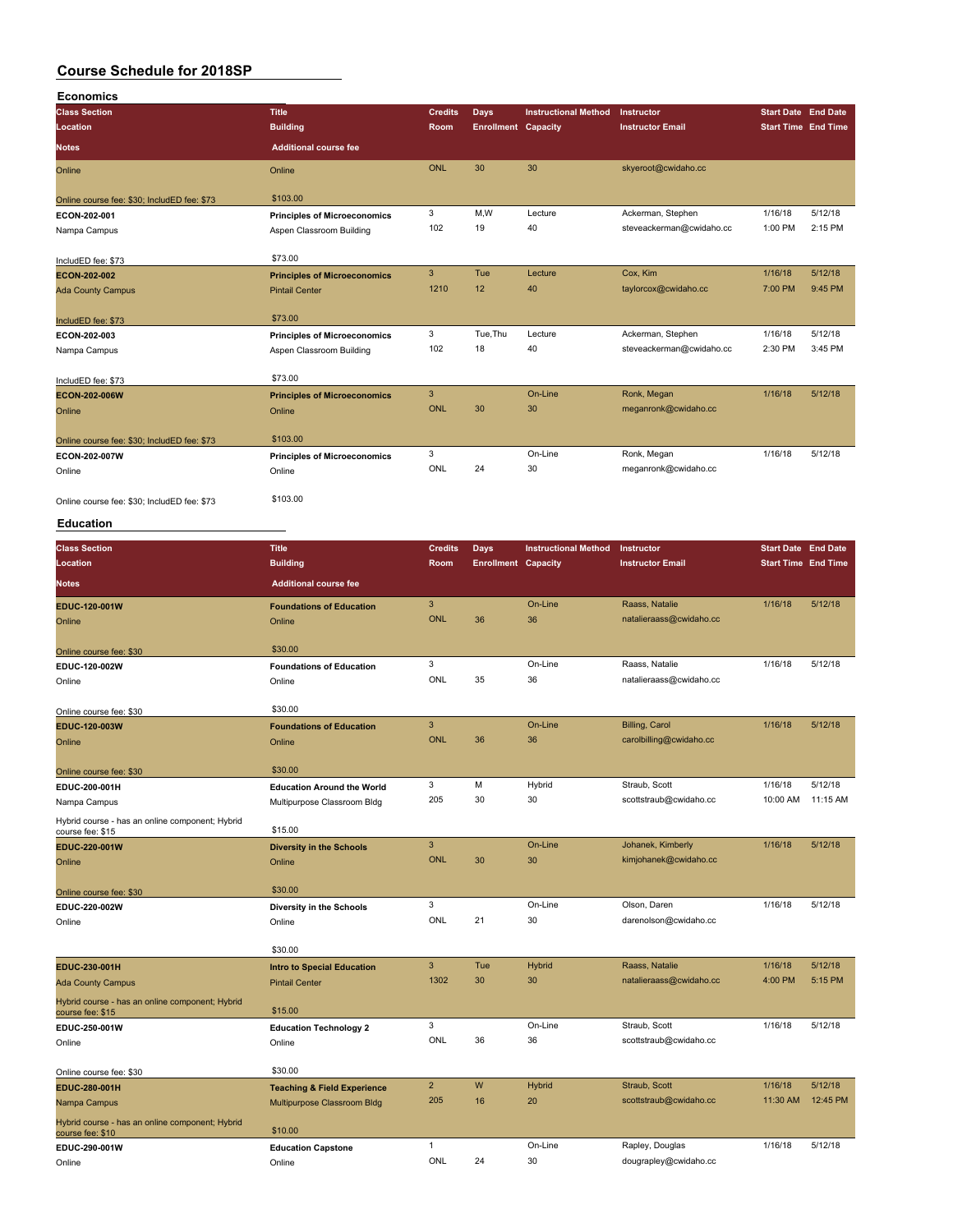| <b>Economics</b>                            |                                     |                |                            |                             |                          |                            |         |
|---------------------------------------------|-------------------------------------|----------------|----------------------------|-----------------------------|--------------------------|----------------------------|---------|
| <b>Class Section</b>                        | <b>Title</b>                        | <b>Credits</b> | Days                       | <b>Instructional Method</b> | Instructor               | <b>Start Date</b> End Date |         |
| Location                                    | <b>Building</b>                     | Room           | <b>Enrollment Capacity</b> |                             | <b>Instructor Email</b>  | <b>Start Time End Time</b> |         |
| <b>Notes</b>                                | <b>Additional course fee</b>        |                |                            |                             |                          |                            |         |
| Online                                      | Online                              | <b>ONL</b>     | 30                         | 30                          | skyeroot@cwidaho.cc      |                            |         |
| Online course fee: \$30; IncludED fee: \$73 | \$103.00                            |                |                            |                             |                          |                            |         |
| ECON-202-001                                | <b>Principles of Microeconomics</b> | 3              | M,W                        | Lecture                     | Ackerman, Stephen        | 1/16/18                    | 5/12/18 |
| Nampa Campus                                | Aspen Classroom Building            | 102            | 19                         | 40                          | steveackerman@cwidaho.cc | 1:00 PM                    | 2:15 PM |
| IncludED fee: \$73                          | \$73.00                             |                |                            |                             |                          |                            |         |
| ECON-202-002                                | <b>Principles of Microeconomics</b> | 3              | Tue                        | Lecture                     | Cox, Kim                 | 1/16/18                    | 5/12/18 |
| <b>Ada County Campus</b>                    | <b>Pintail Center</b>               | 1210           | 12                         | 40                          | taylorcox@cwidaho.cc     | 7:00 PM                    | 9:45 PM |
| IncludED fee: \$73                          | \$73.00                             |                |                            |                             |                          |                            |         |
| ECON-202-003                                | <b>Principles of Microeconomics</b> | 3              | Tue, Thu                   | Lecture                     | Ackerman, Stephen        | 1/16/18                    | 5/12/18 |
| Nampa Campus                                | Aspen Classroom Building            | 102            | 18                         | 40                          | steveackerman@cwidaho.cc | 2:30 PM                    | 3:45 PM |
| IncludED fee: \$73                          | \$73.00                             |                |                            |                             |                          |                            |         |
| ECON-202-006W                               | <b>Principles of Microeconomics</b> | 3              |                            | On-Line                     | Ronk, Megan              | 1/16/18                    | 5/12/18 |
| Online                                      | Online                              | <b>ONL</b>     | 30                         | 30                          | meganronk@cwidaho.cc     |                            |         |
| Online course fee: \$30; IncludED fee: \$73 | \$103.00                            |                |                            |                             |                          |                            |         |
| ECON-202-007W                               | <b>Principles of Microeconomics</b> | 3              |                            | On-Line                     | Ronk, Megan              | 1/16/18                    | 5/12/18 |
| Online                                      | Online                              | ONL            | 24                         | 30                          | meganronk@cwidaho.cc     |                            |         |
| Online course fee: \$30; IncludED fee: \$73 | \$103.00                            |                |                            |                             |                          |                            |         |

#### **Education**

| <b>Class Section</b>                                                | <b>Title</b>                           | <b>Credits</b> | Days                       | <b>Instructional Method</b> | Instructor              | <b>Start Date End Date</b> |          |
|---------------------------------------------------------------------|----------------------------------------|----------------|----------------------------|-----------------------------|-------------------------|----------------------------|----------|
| Location                                                            | <b>Building</b>                        | Room           | <b>Enrollment Capacity</b> |                             | <b>Instructor Email</b> | <b>Start Time End Time</b> |          |
| <b>Notes</b>                                                        | <b>Additional course fee</b>           |                |                            |                             |                         |                            |          |
| EDUC-120-001W                                                       | <b>Foundations of Education</b>        | 3              |                            | On-Line                     | Raass, Natalie          | 1/16/18                    | 5/12/18  |
| Online                                                              | Online                                 | <b>ONL</b>     | 36                         | 36                          | natalieraass@cwidaho.cc |                            |          |
| Online course fee: \$30                                             | \$30.00                                |                |                            |                             |                         |                            |          |
| EDUC-120-002W                                                       | <b>Foundations of Education</b>        | 3              |                            | On-Line                     | Raass, Natalie          | 1/16/18                    | 5/12/18  |
| Online                                                              | Online                                 | ONL            | 35                         | 36                          | natalieraass@cwidaho.cc |                            |          |
| Online course fee: \$30                                             | \$30.00                                |                |                            |                             |                         |                            |          |
| EDUC-120-003W                                                       | <b>Foundations of Education</b>        | $\mathbf{3}$   |                            | On-Line                     | Billing, Carol          | 1/16/18                    | 5/12/18  |
| Online                                                              | Online                                 | <b>ONL</b>     | 36                         | 36                          | carolbilling@cwidaho.cc |                            |          |
| Online course fee: \$30                                             | \$30.00                                |                |                            |                             |                         |                            |          |
| EDUC-200-001H                                                       | <b>Education Around the World</b>      | 3              | M                          | Hybrid                      | Straub, Scott           | 1/16/18                    | 5/12/18  |
| Nampa Campus                                                        | Multipurpose Classroom Bldg            | 205            | 30                         | 30                          | scottstraub@cwidaho.cc  | 10:00 AM                   | 11:15 AM |
| Hybrid course - has an online component; Hybrid<br>course fee: \$15 | \$15.00                                |                |                            |                             |                         |                            |          |
| EDUC-220-001W                                                       | <b>Diversity in the Schools</b>        | 3              |                            | On-Line                     | Johanek, Kimberly       | 1/16/18                    | 5/12/18  |
| Online                                                              | Online                                 | <b>ONL</b>     | 30                         | 30                          | kimjohanek@cwidaho.cc   |                            |          |
| Online course fee: \$30                                             | \$30.00                                |                |                            |                             |                         |                            |          |
| EDUC-220-002W                                                       | Diversity in the Schools               | 3              |                            | On-Line                     | Olson, Daren            | 1/16/18                    | 5/12/18  |
| Online                                                              | Online                                 | ONL            | 21                         | 30                          | darenolson@cwidaho.cc   |                            |          |
|                                                                     | \$30.00                                |                |                            |                             |                         |                            |          |
| EDUC-230-001H                                                       | <b>Intro to Special Education</b>      | $\overline{3}$ | Tue                        | Hybrid                      | Raass, Natalie          | 1/16/18                    | 5/12/18  |
| <b>Ada County Campus</b>                                            | <b>Pintail Center</b>                  | 1302           | 30                         | 30                          | natalieraass@cwidaho.cc | 4:00 PM                    | 5:15 PM  |
| Hybrid course - has an online component; Hybrid<br>course fee: \$15 | \$15.00                                |                |                            |                             |                         |                            |          |
| EDUC-250-001W                                                       | <b>Education Technology 2</b>          | 3              |                            | On-Line                     | Straub, Scott           | 1/16/18                    | 5/12/18  |
| Online                                                              | Online                                 | ONL            | 36                         | 36                          | scottstraub@cwidaho.cc  |                            |          |
| Online course fee: \$30                                             | \$30.00                                |                |                            |                             |                         |                            |          |
| EDUC-280-001H                                                       | <b>Teaching &amp; Field Experience</b> | $\overline{2}$ | W                          | Hybrid                      | Straub, Scott           | 1/16/18                    | 5/12/18  |
| Nampa Campus                                                        | Multipurpose Classroom Bldg            | 205            | 16                         | 20                          | scottstraub@cwidaho.cc  | 11:30 AM                   | 12:45 PM |
| Hybrid course - has an online component; Hybrid<br>course fee: \$10 | \$10.00                                |                |                            |                             |                         |                            |          |
| EDUC-290-001W                                                       | <b>Education Capstone</b>              | 1              |                            | On-Line                     | Rapley, Douglas         | 1/16/18                    | 5/12/18  |
| Online                                                              | Online                                 | ONL            | 24                         | 30                          | dougrapley@cwidaho.cc   |                            |          |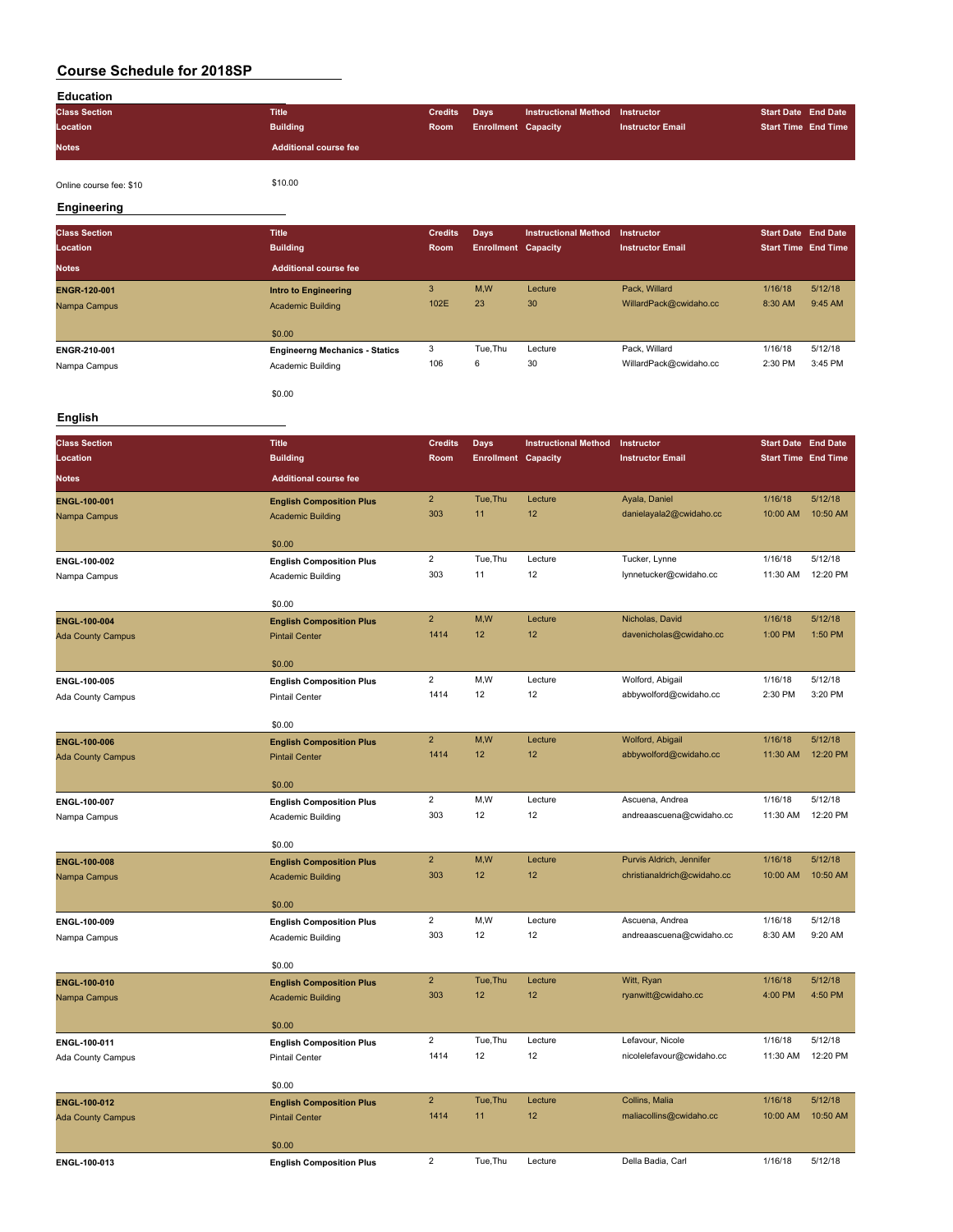| <b>Education</b>     |                              |                |                            |                                        |                         |                            |                            |
|----------------------|------------------------------|----------------|----------------------------|----------------------------------------|-------------------------|----------------------------|----------------------------|
| <b>Class Section</b> | <b>Title</b>                 | <b>Credits</b> | <b>Davs</b>                | <b>Instructional Method Instructor</b> |                         | <b>Start Date End Date</b> |                            |
| Location             | <b>Building</b>              | Room           | <b>Enrollment Capacity</b> |                                        | <b>Instructor Email</b> |                            | <b>Start Time End Time</b> |
| <b>Notes</b>         | <b>Additional course fee</b> |                |                            |                                        |                         |                            |                            |
|                      |                              |                |                            |                                        |                         |                            |                            |

Online course fee: \$10 \$10.00

#### **Engineering**

| <b>Class Section</b> | <b>Title</b>                          | <b>Credits</b> | Days                       | <b>Instructional Method</b> | <b>Instructor</b>       | <b>Start Date End Date</b> |         |
|----------------------|---------------------------------------|----------------|----------------------------|-----------------------------|-------------------------|----------------------------|---------|
| Location             | <b>Building</b>                       | Room           | <b>Enrollment Capacity</b> |                             | <b>Instructor Email</b> | <b>Start Time End Time</b> |         |
| <b>Notes</b>         | <b>Additional course fee</b>          |                |                            |                             |                         |                            |         |
| <b>ENGR-120-001</b>  | <b>Intro to Engineering</b>           | 3              | M,W                        | Lecture                     | Pack, Willard           | 1/16/18                    | 5/12/18 |
| Nampa Campus         | <b>Academic Building</b>              | 102E           | 23                         | 30                          | WillardPack@cwidaho.cc  | 8:30 AM                    | 9:45 AM |
|                      |                                       |                |                            |                             |                         |                            |         |
|                      | \$0.00                                |                |                            |                             |                         |                            |         |
| ENGR-210-001         | <b>Engineerng Mechanics - Statics</b> | 3              | Tue, Thu                   | Lecture                     | Pack, Willard           | 1/16/18                    | 5/12/18 |
| Nampa Campus         | Academic Building                     | 106            | 6                          | 30                          | WillardPack@cwidaho.cc  | 2:30 PM                    | 3:45 PM |
|                      |                                       |                |                            |                             |                         |                            |         |
|                      | \$0.00                                |                |                            |                             |                         |                            |         |

#### **English**

| <b>Class Section</b>     | <b>Title</b>                    | <b>Credits</b> | Days                       | <b>Instructional Method</b> | Instructor                  | <b>Start Date End Date</b> |          |
|--------------------------|---------------------------------|----------------|----------------------------|-----------------------------|-----------------------------|----------------------------|----------|
| Location                 | <b>Building</b>                 | Room           | <b>Enrollment Capacity</b> |                             | <b>Instructor Email</b>     | <b>Start Time End Time</b> |          |
| Notes                    | <b>Additional course fee</b>    |                |                            |                             |                             |                            |          |
| ENGL-100-001             | <b>English Composition Plus</b> | $\overline{2}$ | Tue, Thu                   | Lecture                     | Ayala, Daniel               | 1/16/18                    | 5/12/18  |
| Nampa Campus             | <b>Academic Building</b>        | 303            | 11                         | 12                          | danielayala2@cwidaho.cc     | 10:00 AM                   | 10:50 AM |
|                          | \$0.00                          |                |                            |                             |                             |                            |          |
| ENGL-100-002             | <b>English Composition Plus</b> | $\overline{a}$ | Tue, Thu                   | Lecture                     | Tucker, Lynne               | 1/16/18                    | 5/12/18  |
| Nampa Campus             | Academic Building               | 303            | 11                         | 12                          | lynnetucker@cwidaho.cc      | 11:30 AM                   | 12:20 PM |
|                          | \$0.00                          |                |                            |                             |                             |                            |          |
| ENGL-100-004             | <b>English Composition Plus</b> | $\overline{2}$ | M,W                        | Lecture                     | Nicholas, David             | 1/16/18                    | 5/12/18  |
| <b>Ada County Campus</b> | <b>Pintail Center</b>           | 1414           | 12                         | 12                          | davenicholas@cwidaho.cc     | 1:00 PM                    | 1:50 PM  |
|                          | \$0.00                          |                |                            |                             |                             |                            |          |
| ENGL-100-005             | <b>English Composition Plus</b> | $\overline{2}$ | M,W                        | Lecture                     | Wolford, Abigail            | 1/16/18                    | 5/12/18  |
| Ada County Campus        | <b>Pintail Center</b>           | 1414           | 12                         | 12                          | abbywolford@cwidaho.cc      | 2:30 PM                    | 3:20 PM  |
|                          | \$0.00                          |                |                            |                             |                             |                            |          |
| <b>ENGL-100-006</b>      | <b>English Composition Plus</b> | $\overline{2}$ | M,W                        | Lecture                     | Wolford, Abigail            | 1/16/18                    | 5/12/18  |
| <b>Ada County Campus</b> | <b>Pintail Center</b>           | 1414           | 12                         | 12                          | abbywolford@cwidaho.cc      | 11:30 AM                   | 12:20 PM |
|                          | \$0.00                          |                |                            |                             |                             |                            |          |
| ENGL-100-007             | <b>English Composition Plus</b> | $\overline{c}$ | M,W                        | Lecture                     | Ascuena, Andrea             | 1/16/18                    | 5/12/18  |
| Nampa Campus             | Academic Building               | 303            | 12                         | 12                          | andreaascuena@cwidaho.cc    | 11:30 AM                   | 12:20 PM |
|                          | \$0.00                          |                |                            |                             |                             |                            |          |
| ENGL-100-008             | <b>English Composition Plus</b> | $\overline{2}$ | M,W                        | Lecture                     | Purvis Aldrich, Jennifer    | 1/16/18                    | 5/12/18  |
| Nampa Campus             | <b>Academic Building</b>        | 303            | 12                         | 12                          | christianaldrich@cwidaho.cc | 10:00 AM                   | 10:50 AM |
|                          | \$0.00                          |                |                            |                             |                             |                            |          |
| ENGL-100-009             | <b>English Composition Plus</b> | $\overline{2}$ | M,W                        | Lecture                     | Ascuena, Andrea             | 1/16/18                    | 5/12/18  |
| Nampa Campus             | <b>Academic Building</b>        | 303            | 12                         | 12                          | andreaascuena@cwidaho.cc    | 8:30 AM                    | 9:20 AM  |
|                          | \$0.00                          |                |                            |                             |                             |                            |          |
| ENGL-100-010             | <b>English Composition Plus</b> | $\overline{2}$ | Tue, Thu                   | Lecture                     | Witt, Ryan                  | 1/16/18                    | 5/12/18  |
| Nampa Campus             | <b>Academic Building</b>        | 303            | 12                         | 12                          | ryanwitt@cwidaho.cc         | 4:00 PM                    | 4:50 PM  |
|                          | \$0.00                          |                |                            |                             |                             |                            |          |
| ENGL-100-011             | <b>English Composition Plus</b> | $\overline{2}$ | Tue, Thu                   | Lecture                     | Lefavour, Nicole            | 1/16/18                    | 5/12/18  |
| Ada County Campus        | <b>Pintail Center</b>           | 1414           | 12                         | 12                          | nicolelefavour@cwidaho.cc   | 11:30 AM                   | 12:20 PM |
|                          | \$0.00                          |                |                            |                             |                             |                            |          |
| ENGL-100-012             | <b>English Composition Plus</b> | $\overline{2}$ | Tue, Thu                   | Lecture                     | Collins, Malia              | 1/16/18                    | 5/12/18  |
| <b>Ada County Campus</b> | <b>Pintail Center</b>           | 1414           | 11                         | 12                          | maliacollins@cwidaho.cc     | 10:00 AM                   | 10:50 AM |
|                          | \$0.00                          |                |                            |                             |                             |                            |          |
| ENGL-100-013             | <b>English Composition Plus</b> | $\overline{2}$ | Tue, Thu                   | Lecture                     | Della Badia, Carl           | 1/16/18                    | 5/12/18  |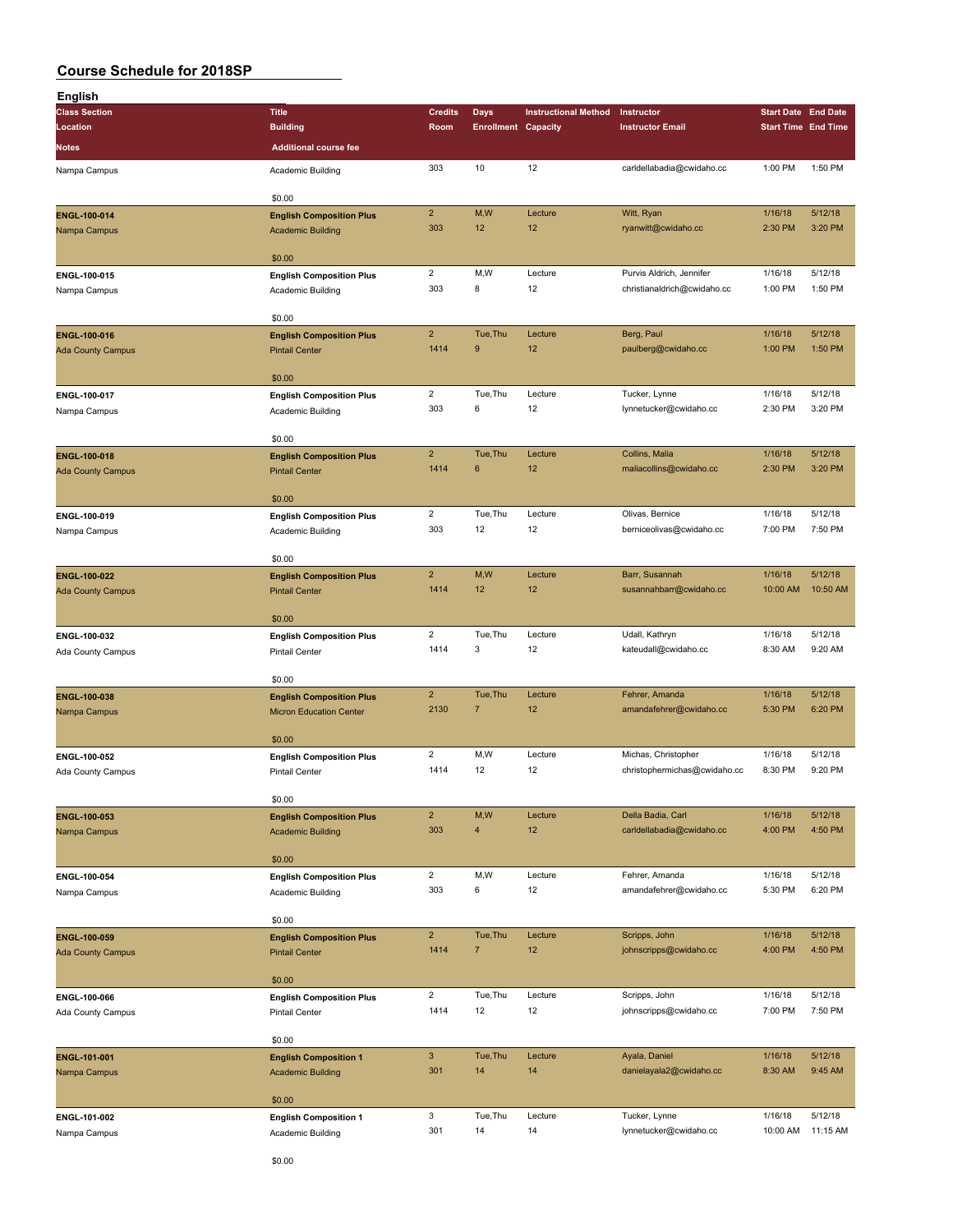| English                  |                                 |                           |                            |                             |                                                         |                            |                    |
|--------------------------|---------------------------------|---------------------------|----------------------------|-----------------------------|---------------------------------------------------------|----------------------------|--------------------|
| <b>Class Section</b>     | <b>Title</b>                    | <b>Credits</b>            | <b>Days</b>                | <b>Instructional Method</b> | Instructor                                              | <b>Start Date End Date</b> |                    |
| Location                 | <b>Building</b>                 | Room                      | <b>Enrollment Capacity</b> |                             | <b>Instructor Email</b>                                 | <b>Start Time End Time</b> |                    |
| Notes                    | <b>Additional course fee</b>    |                           |                            |                             |                                                         |                            |                    |
| Nampa Campus             | Academic Building               | 303                       | 10                         | 12                          | carldellabadia@cwidaho.cc                               | 1:00 PM                    | 1:50 PM            |
|                          |                                 |                           |                            |                             |                                                         |                            |                    |
|                          | \$0.00                          |                           |                            |                             |                                                         |                            |                    |
| ENGL-100-014             | <b>English Composition Plus</b> | $\mathbf 2$               | M, W                       | Lecture                     | Witt, Ryan                                              | 1/16/18                    | 5/12/18            |
| Nampa Campus             | <b>Academic Building</b>        | 303                       | 12                         | 12                          | ryanwitt@cwidaho.cc                                     | 2:30 PM                    | 3:20 PM            |
|                          |                                 |                           |                            |                             |                                                         |                            |                    |
|                          | \$0.00                          |                           |                            |                             |                                                         |                            |                    |
| ENGL-100-015             | <b>English Composition Plus</b> | $\overline{2}$<br>303     | M, W<br>8                  | Lecture<br>12               | Purvis Aldrich, Jennifer<br>christianaldrich@cwidaho.cc | 1/16/18                    | 5/12/18<br>1:50 PM |
| Nampa Campus             | Academic Building               |                           |                            |                             |                                                         | 1:00 PM                    |                    |
|                          | \$0.00                          |                           |                            |                             |                                                         |                            |                    |
| ENGL-100-016             | <b>English Composition Plus</b> | $\overline{2}$            | Tue, Thu                   | Lecture                     | Berg, Paul                                              | 1/16/18                    | 5/12/18            |
| <b>Ada County Campus</b> | <b>Pintail Center</b>           | 1414                      | 9                          | 12                          | paulberg@cwidaho.cc                                     | 1:00 PM                    | 1:50 PM            |
|                          |                                 |                           |                            |                             |                                                         |                            |                    |
|                          | \$0.00                          |                           |                            |                             |                                                         |                            |                    |
| ENGL-100-017             | <b>English Composition Plus</b> | $\overline{2}$            | Tue, Thu                   | Lecture                     | Tucker, Lynne                                           | 1/16/18                    | 5/12/18            |
| Nampa Campus             | Academic Building               | 303                       | 6                          | 12                          | lynnetucker@cwidaho.cc                                  | 2:30 PM                    | 3:20 PM            |
|                          |                                 |                           |                            |                             |                                                         |                            |                    |
|                          | \$0.00                          | $\mathbf 2$               | Tue, Thu                   | Lecture                     | Collins, Malia                                          | 1/16/18                    | 5/12/18            |
| ENGL-100-018             | <b>English Composition Plus</b> | 1414                      | 6                          | 12                          | maliacollins@cwidaho.cc                                 | 2:30 PM                    | 3:20 PM            |
| <b>Ada County Campus</b> | <b>Pintail Center</b>           |                           |                            |                             |                                                         |                            |                    |
|                          | \$0.00                          |                           |                            |                             |                                                         |                            |                    |
| ENGL-100-019             | <b>English Composition Plus</b> | $\overline{2}$            | Tue, Thu                   | Lecture                     | Olivas, Bernice                                         | 1/16/18                    | 5/12/18            |
| Nampa Campus             | Academic Building               | 303                       | 12                         | 12                          | berniceolivas@cwidaho.cc                                | 7:00 PM                    | 7:50 PM            |
|                          |                                 |                           |                            |                             |                                                         |                            |                    |
|                          | \$0.00                          |                           |                            |                             |                                                         |                            |                    |
| ENGL-100-022             | <b>English Composition Plus</b> | $\mathbf 2$               | M,W                        | Lecture                     | Barr, Susannah                                          | 1/16/18                    | 5/12/18            |
| <b>Ada County Campus</b> | <b>Pintail Center</b>           | 1414                      | 12                         | 12                          | susannahbarr@cwidaho.cc                                 | 10:00 AM                   | 10:50 AM           |
|                          | \$0.00                          |                           |                            |                             |                                                         |                            |                    |
| ENGL-100-032             | <b>English Composition Plus</b> | $\overline{2}$            | Tue, Thu                   | Lecture                     | Udall, Kathryn                                          | 1/16/18                    | 5/12/18            |
| Ada County Campus        | <b>Pintail Center</b>           | 1414                      | 3                          | 12                          | kateudall@cwidaho.cc                                    | 8:30 AM                    | 9:20 AM            |
|                          |                                 |                           |                            |                             |                                                         |                            |                    |
|                          | \$0.00                          |                           |                            |                             |                                                         |                            |                    |
| ENGL-100-038             | <b>English Composition Plus</b> | $\mathbf 2$               | Tue.Thu                    | Lecture                     | Fehrer, Amanda                                          | 1/16/18                    | 5/12/18            |
| Nampa Campus             | <b>Micron Education Center</b>  | 2130                      | 7                          | 12                          | amandafehrer@cwidaho.cc                                 | 5:30 PM                    | 6:20 PM            |
|                          |                                 |                           |                            |                             |                                                         |                            |                    |
|                          | \$0.00                          |                           |                            |                             |                                                         |                            |                    |
| ENGL-100-052             | <b>English Composition Plus</b> | $\overline{2}$            | M,W                        | Lecture                     | Michas, Christopher                                     | 1/16/18                    | 5/12/18            |
| Ada County Campus        | <b>Pintail Center</b>           | 1414                      | 12                         | 12                          | christophermichas@cwidaho.cc                            | 8:30 PM                    | 9:20 PM            |
|                          | \$0.00                          |                           |                            |                             |                                                         |                            |                    |
| ENGL-100-053             | <b>English Composition Plus</b> | $\overline{2}$            | M,W                        | Lecture                     | Della Badia, Carl                                       | 1/16/18                    | 5/12/18            |
| Nampa Campus             | <b>Academic Building</b>        | 303                       | 4                          | 12                          | carldellabadia@cwidaho.cc                               | 4:00 PM                    | 4:50 PM            |
|                          |                                 |                           |                            |                             |                                                         |                            |                    |
|                          | \$0.00                          |                           |                            |                             |                                                         |                            |                    |
| ENGL-100-054             | <b>English Composition Plus</b> | $\overline{2}$            | M, W                       | Lecture                     | Fehrer, Amanda                                          | 1/16/18                    | 5/12/18            |
| Nampa Campus             | Academic Building               | 303                       | 6                          | 12                          | amandafehrer@cwidaho.cc                                 | 5:30 PM                    | 6:20 PM            |
|                          |                                 |                           |                            |                             |                                                         |                            |                    |
|                          | \$0.00                          | $\overline{2}$            | Tue, Thu                   | Lecture                     |                                                         |                            | 5/12/18            |
| ENGL-100-059             | <b>English Composition Plus</b> | 1414                      | $\overline{7}$             | 12                          | Scripps, John                                           | 1/16/18<br>4:00 PM         | 4:50 PM            |
| <b>Ada County Campus</b> | <b>Pintail Center</b>           |                           |                            |                             | johnscripps@cwidaho.cc                                  |                            |                    |
|                          | \$0.00                          |                           |                            |                             |                                                         |                            |                    |
| ENGL-100-066             | <b>English Composition Plus</b> | $\overline{2}$            | Tue, Thu                   | Lecture                     | Scripps, John                                           | 1/16/18                    | 5/12/18            |
| Ada County Campus        | <b>Pintail Center</b>           | 1414                      | 12                         | 12                          | johnscripps@cwidaho.cc                                  | 7:00 PM                    | 7:50 PM            |
|                          |                                 |                           |                            |                             |                                                         |                            |                    |
|                          | \$0.00                          |                           |                            |                             |                                                         |                            |                    |
| ENGL-101-001             | <b>English Composition 1</b>    | $\ensuremath{\mathsf{3}}$ | Tue, Thu                   | Lecture                     | Ayala, Daniel                                           | 1/16/18                    | 5/12/18            |
| Nampa Campus             | <b>Academic Building</b>        | 301                       | 14                         | 14                          | danielayala2@cwidaho.cc                                 | 8:30 AM                    | 9:45 AM            |
|                          |                                 |                           |                            |                             |                                                         |                            |                    |
|                          | \$0.00                          | 3                         |                            |                             |                                                         |                            | 5/12/18            |
| ENGL-101-002             | <b>English Composition 1</b>    | 301                       | Tue, Thu<br>14             | Lecture<br>14               | Tucker, Lynne<br>lynnetucker@cwidaho.cc                 | 1/16/18<br>10:00 AM        | 11:15 AM           |
| Nampa Campus             | Academic Building               |                           |                            |                             |                                                         |                            |                    |
|                          |                                 |                           |                            |                             |                                                         |                            |                    |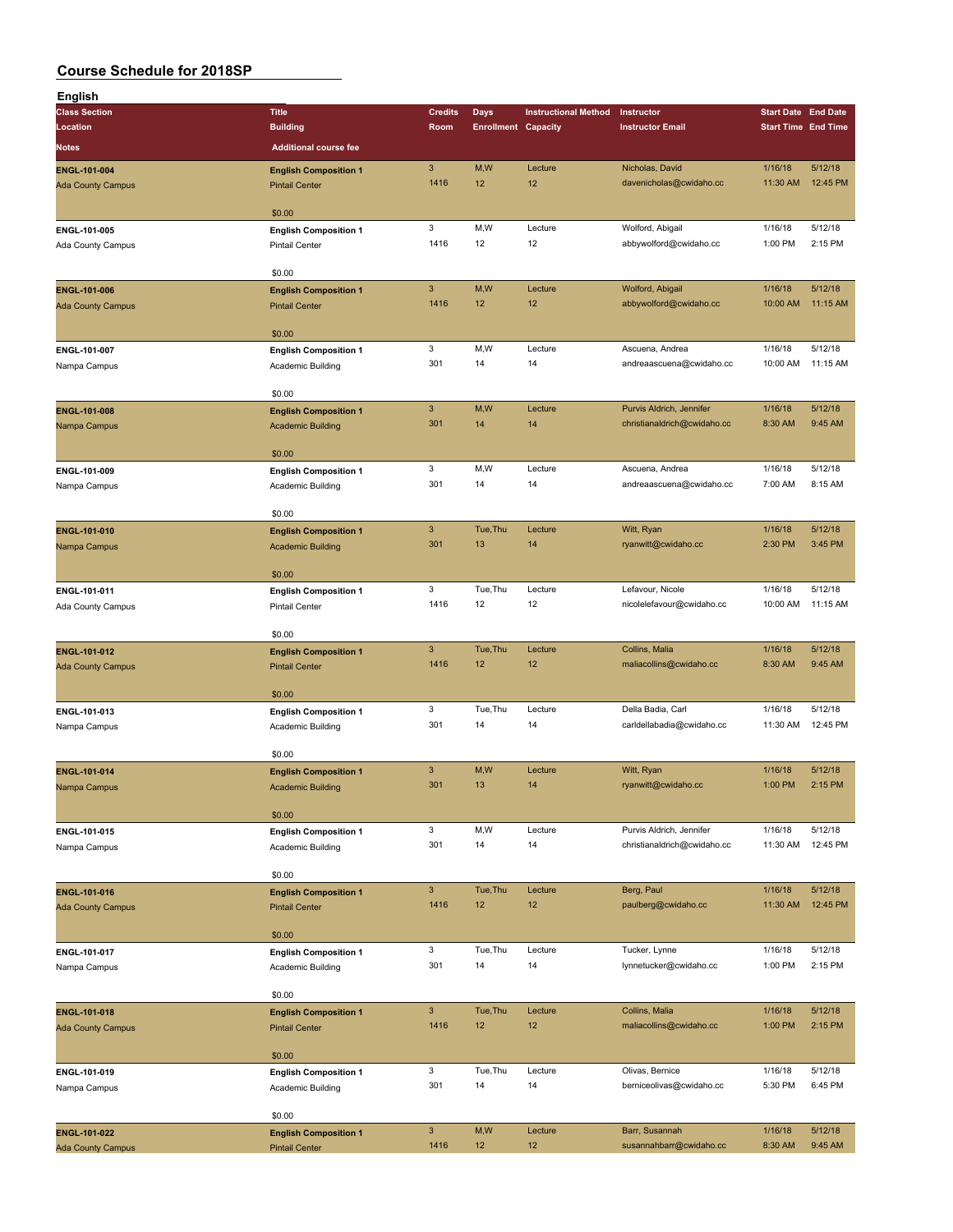| English                  |                              |                           |                            |                             |                             |                            |          |
|--------------------------|------------------------------|---------------------------|----------------------------|-----------------------------|-----------------------------|----------------------------|----------|
| <b>Class Section</b>     | <b>Title</b>                 | <b>Credits</b>            | Days                       | <b>Instructional Method</b> | Instructor                  | <b>Start Date End Date</b> |          |
| Location                 | <b>Building</b>              | Room                      | <b>Enrollment Capacity</b> |                             | <b>Instructor Email</b>     | <b>Start Time End Time</b> |          |
| Notes                    | <b>Additional course fee</b> |                           |                            |                             |                             |                            |          |
|                          |                              |                           |                            |                             |                             |                            |          |
| ENGL-101-004             | <b>English Composition 1</b> | $\mathbf{3}$              | M,W                        | Lecture                     | Nicholas, David             | 1/16/18                    | 5/12/18  |
| <b>Ada County Campus</b> | <b>Pintail Center</b>        | 1416                      | 12                         | 12                          | davenicholas@cwidaho.cc     | 11:30 AM                   | 12:45 PM |
|                          |                              |                           |                            |                             |                             |                            |          |
|                          | \$0.00                       |                           |                            |                             |                             |                            |          |
| ENGL-101-005             | <b>English Composition 1</b> | 3                         | M,W                        | Lecture                     | Wolford, Abigail            | 1/16/18                    | 5/12/18  |
| Ada County Campus        | <b>Pintail Center</b>        | 1416                      | 12                         | 12                          | abbywolford@cwidaho.cc      | 1:00 PM                    | 2:15 PM  |
|                          |                              |                           |                            |                             |                             |                            |          |
|                          | \$0.00                       |                           |                            |                             |                             |                            |          |
| ENGL-101-006             | <b>English Composition 1</b> | $\mathbf{3}$              | M,W                        | Lecture                     | Wolford, Abigail            | 1/16/18                    | 5/12/18  |
| <b>Ada County Campus</b> | <b>Pintail Center</b>        | 1416                      | 12                         | 12                          | abbywolford@cwidaho.cc      | 10:00 AM                   | 11:15 AM |
|                          |                              |                           |                            |                             |                             |                            |          |
|                          | \$0.00                       |                           |                            |                             |                             |                            |          |
| ENGL-101-007             | <b>English Composition 1</b> | 3                         | M,W                        | Lecture                     | Ascuena, Andrea             | 1/16/18                    | 5/12/18  |
| Nampa Campus             | Academic Building            | 301                       | 14                         | 14                          | andreaascuena@cwidaho.cc    | 10:00 AM                   | 11:15 AM |
|                          |                              |                           |                            |                             |                             |                            |          |
|                          | \$0.00                       |                           |                            |                             |                             |                            |          |
| ENGL-101-008             | <b>English Composition 1</b> | $\mathbf{3}$              | M, W                       | Lecture                     | Purvis Aldrich, Jennifer    | 1/16/18                    | 5/12/18  |
| Nampa Campus             | <b>Academic Building</b>     | 301                       | 14                         | 14                          | christianaldrich@cwidaho.cc | 8:30 AM                    | 9:45 AM  |
|                          |                              |                           |                            |                             |                             |                            |          |
|                          | \$0.00                       |                           |                            |                             |                             |                            |          |
| ENGL-101-009             | <b>English Composition 1</b> | 3                         | M,W                        | Lecture                     | Ascuena, Andrea             | 1/16/18                    | 5/12/18  |
| Nampa Campus             | Academic Building            | 301                       | 14                         | 14                          | andreaascuena@cwidaho.cc    | 7:00 AM                    | 8:15 AM  |
|                          |                              |                           |                            |                             |                             |                            |          |
|                          | \$0.00                       |                           |                            |                             |                             |                            |          |
| ENGL-101-010             | <b>English Composition 1</b> | $\mathbf{3}$              | Tue, Thu                   | Lecture                     | Witt, Ryan                  | 1/16/18                    | 5/12/18  |
| Nampa Campus             | <b>Academic Building</b>     | 301                       | 13                         | 14                          | ryanwitt@cwidaho.cc         | 2:30 PM                    | 3:45 PM  |
|                          |                              |                           |                            |                             |                             |                            |          |
|                          | \$0.00                       |                           |                            |                             |                             |                            |          |
| ENGL-101-011             | <b>English Composition 1</b> | 3                         | Tue, Thu                   | Lecture                     | Lefavour, Nicole            | 1/16/18                    | 5/12/18  |
| Ada County Campus        | <b>Pintail Center</b>        | 1416                      | 12                         | 12                          | nicolelefavour@cwidaho.cc   | 10:00 AM                   | 11:15 AM |
|                          |                              |                           |                            |                             |                             |                            |          |
|                          | \$0.00                       |                           |                            |                             |                             |                            |          |
| ENGL-101-012             | <b>English Composition 1</b> | $\ensuremath{\mathsf{3}}$ | Tue, Thu                   | Lecture                     | Collins, Malia              | 1/16/18                    | 5/12/18  |
| <b>Ada County Campus</b> | <b>Pintail Center</b>        | 1416                      | 12                         | 12                          | maliacollins@cwidaho.cc     | 8:30 AM                    | 9:45 AM  |
|                          |                              |                           |                            |                             |                             |                            |          |
|                          | \$0.00                       |                           |                            |                             |                             |                            |          |
| ENGL-101-013             | <b>English Composition 1</b> | 3                         | Tue, Thu                   | Lecture                     | Della Badia, Carl           | 1/16/18                    | 5/12/18  |
| Nampa Campus             | Academic Building            | 301                       | 14                         | 14                          | carldellabadia@cwidaho.cc   | 11:30 AM                   | 12:45 PM |
|                          |                              |                           |                            |                             |                             |                            |          |
|                          | \$0.00                       |                           |                            |                             |                             |                            |          |
| ENGL-101-014             | <b>English Composition 1</b> | $\mathbf{3}$              | M,W                        | Lecture                     | Witt, Ryan                  | 1/16/18                    | 5/12/18  |
| Nampa Campus             | <b>Academic Building</b>     | 301                       | 13                         | 14                          | ryanwitt@cwidaho.cc         | 1:00 PM                    | 2:15 PM  |
|                          |                              |                           |                            |                             |                             |                            |          |
|                          | \$0.00                       |                           |                            |                             |                             |                            |          |
| ENGL-101-015             | <b>English Composition 1</b> | 3                         | M,W                        | Lecture                     | Purvis Aldrich, Jennifer    | 1/16/18                    | 5/12/18  |
| Nampa Campus             | Academic Building            | 301                       | 14                         | 14                          | christianaldrich@cwidaho.cc | 11:30 AM                   | 12:45 PM |
|                          |                              |                           |                            |                             |                             |                            |          |
|                          | \$0.00                       |                           |                            |                             |                             |                            |          |
| <b>ENGL-101-016</b>      | <b>English Composition 1</b> | $\mathbf{3}$              | Tue, Thu                   | Lecture                     | Berg, Paul                  | 1/16/18                    | 5/12/18  |
| <b>Ada County Campus</b> | <b>Pintail Center</b>        | 1416                      | 12                         | 12                          | paulberg@cwidaho.cc         | 11:30 AM                   | 12:45 PM |
|                          |                              |                           |                            |                             |                             |                            |          |
|                          | \$0.00                       |                           |                            |                             |                             |                            |          |
| ENGL-101-017             | <b>English Composition 1</b> | 3                         | Tue, Thu                   | Lecture                     | Tucker, Lynne               | 1/16/18                    | 5/12/18  |
| Nampa Campus             | Academic Building            | 301                       | 14                         | 14                          | lynnetucker@cwidaho.cc      | 1:00 PM                    | 2:15 PM  |
|                          |                              |                           |                            |                             |                             |                            |          |
|                          | \$0.00                       |                           |                            |                             |                             |                            |          |
| ENGL-101-018             | <b>English Composition 1</b> | $\mathbf{3}$              | Tue, Thu                   | Lecture                     | Collins, Malia              | 1/16/18                    | 5/12/18  |
| <b>Ada County Campus</b> | <b>Pintail Center</b>        | 1416                      | 12                         | 12                          | maliacollins@cwidaho.cc     | 1:00 PM                    | 2:15 PM  |
|                          |                              |                           |                            |                             |                             |                            |          |
|                          | \$0.00                       |                           |                            |                             |                             |                            |          |
| ENGL-101-019             | <b>English Composition 1</b> | 3                         | Tue, Thu                   | Lecture                     | Olivas, Bernice             | 1/16/18                    | 5/12/18  |
| Nampa Campus             | Academic Building            | 301                       | 14                         | 14                          | berniceolivas@cwidaho.cc    | 5:30 PM                    | 6:45 PM  |
|                          |                              |                           |                            |                             |                             |                            |          |
|                          | \$0.00                       |                           |                            |                             |                             |                            |          |
| ENGL-101-022             | <b>English Composition 1</b> | $\mathbf{3}$              | M,W                        | Lecture                     | Barr, Susannah              | 1/16/18                    | 5/12/18  |
| <b>Ada County Campus</b> | <b>Pintail Center</b>        | 1416                      | 12 <sub>2</sub>            | 12                          | susannahbarr@cwidaho.cc     | 8:30 AM                    | 9:45 AM  |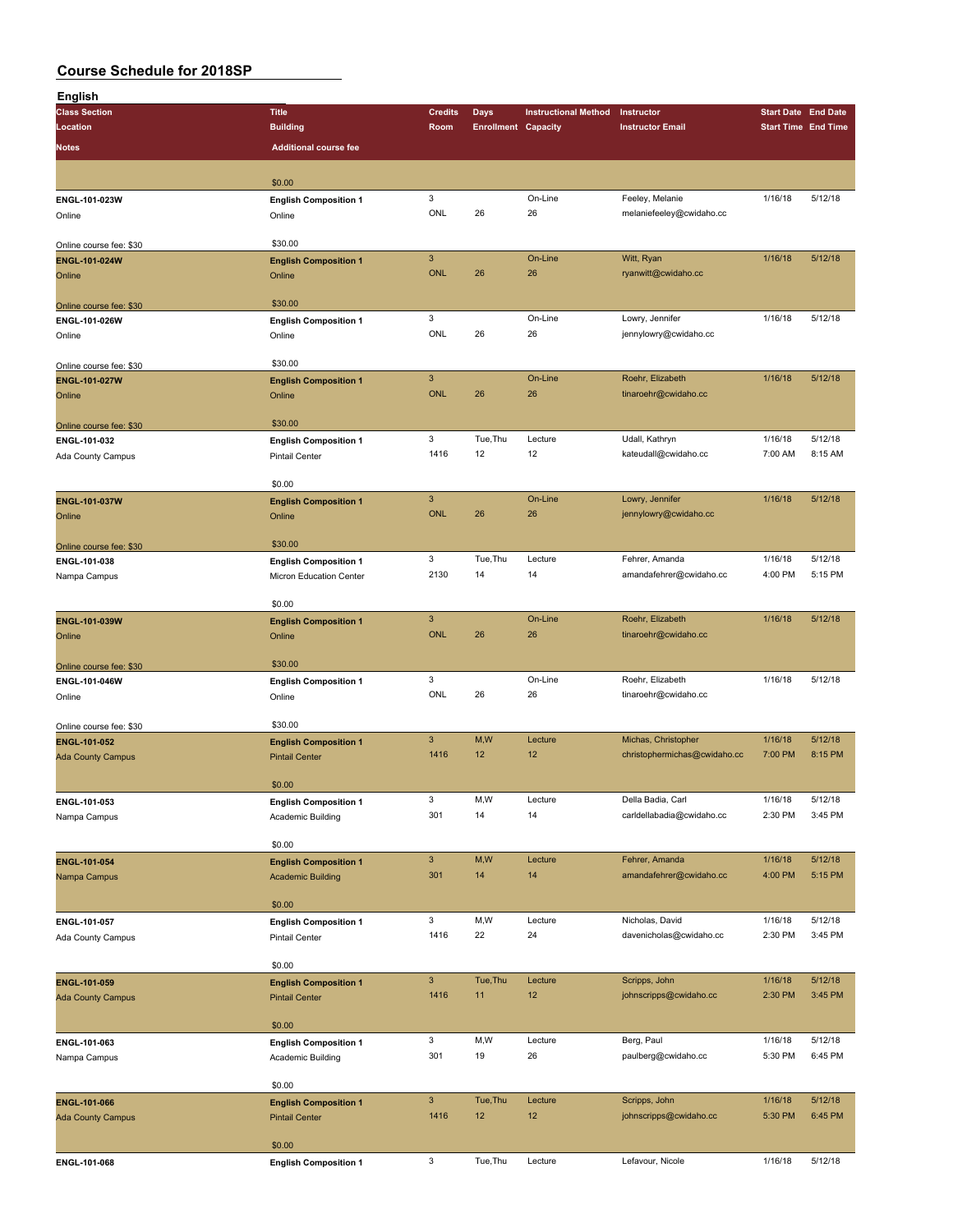| English                                  |                                        |                |                            |                             |                              |         |                            |
|------------------------------------------|----------------------------------------|----------------|----------------------------|-----------------------------|------------------------------|---------|----------------------------|
| <b>Class Section</b>                     | <b>Title</b>                           | <b>Credits</b> | <b>Days</b>                | <b>Instructional Method</b> | Instructor                   |         | <b>Start Date End Date</b> |
| Location                                 | <b>Building</b>                        | Room           | <b>Enrollment Capacity</b> |                             | <b>Instructor Email</b>      |         | <b>Start Time End Time</b> |
| <b>Notes</b>                             | <b>Additional course fee</b>           |                |                            |                             |                              |         |                            |
|                                          |                                        |                |                            |                             |                              |         |                            |
|                                          | \$0.00                                 |                |                            |                             |                              |         |                            |
| ENGL-101-023W                            |                                        | 3              |                            | On-Line                     | Feeley, Melanie              | 1/16/18 | 5/12/18                    |
| Online                                   | <b>English Composition 1</b><br>Online | ONL            | 26                         | 26                          | melaniefeeley@cwidaho.cc     |         |                            |
|                                          |                                        |                |                            |                             |                              |         |                            |
| Online course fee: \$30                  | \$30.00                                |                |                            |                             |                              |         |                            |
| <b>ENGL-101-024W</b>                     | <b>English Composition 1</b>           | $\overline{3}$ |                            | On-Line                     | Witt, Ryan                   | 1/16/18 | 5/12/18                    |
| Online                                   | Online                                 | <b>ONL</b>     | 26                         | 26                          | ryanwitt@cwidaho.cc          |         |                            |
|                                          |                                        |                |                            |                             |                              |         |                            |
| Online course fee: \$30                  | \$30.00                                |                |                            |                             |                              |         |                            |
| ENGL-101-026W                            | <b>English Composition 1</b>           | 3              |                            | On-Line                     | Lowry, Jennifer              | 1/16/18 | 5/12/18                    |
| Online                                   | Online                                 | ONL            | 26                         | 26                          | jennylowry@cwidaho.cc        |         |                            |
|                                          |                                        |                |                            |                             |                              |         |                            |
| Online course fee: \$30                  | \$30.00                                |                |                            |                             |                              |         |                            |
| <b>ENGL-101-027W</b>                     | <b>English Composition 1</b>           | $\mathbf{3}$   |                            | On-Line                     | Roehr, Elizabeth             | 1/16/18 | 5/12/18                    |
| Online                                   | Online                                 | <b>ONL</b>     | 26                         | 26                          | tinaroehr@cwidaho.cc         |         |                            |
|                                          |                                        |                |                            |                             |                              |         |                            |
| Online course fee: \$30                  | \$30.00                                |                |                            |                             |                              |         |                            |
| ENGL-101-032                             | <b>English Composition 1</b>           | 3              | Tue, Thu                   | Lecture                     | Udall, Kathryn               | 1/16/18 | 5/12/18                    |
| Ada County Campus                        | <b>Pintail Center</b>                  | 1416           | 12                         | 12                          | kateudall@cwidaho.cc         | 7:00 AM | 8:15 AM                    |
|                                          |                                        |                |                            |                             |                              |         |                            |
|                                          | \$0.00                                 |                |                            |                             |                              |         |                            |
| <b>ENGL-101-037W</b>                     | <b>English Composition 1</b>           | $\mathbf{3}$   |                            | On-Line                     | Lowry, Jennifer              | 1/16/18 | 5/12/18                    |
| Online                                   | Online                                 | <b>ONL</b>     | 26                         | 26                          | jennylowry@cwidaho.cc        |         |                            |
|                                          |                                        |                |                            |                             |                              |         |                            |
| Online course fee: \$30                  | \$30.00                                |                |                            |                             |                              |         |                            |
| ENGL-101-038                             | <b>English Composition 1</b>           | 3              | Tue, Thu                   | Lecture                     | Fehrer, Amanda               | 1/16/18 | 5/12/18                    |
| Nampa Campus                             | Micron Education Center                | 2130           | 14                         | 14                          | amandafehrer@cwidaho.cc      | 4:00 PM | 5:15 PM                    |
|                                          | \$0.00                                 |                |                            |                             |                              |         |                            |
| ENGL-101-039W                            |                                        | $\mathbf{3}$   |                            | On-Line                     | Roehr, Elizabeth             | 1/16/18 | 5/12/18                    |
|                                          | <b>English Composition 1</b>           | <b>ONL</b>     | 26                         | 26                          | tinaroehr@cwidaho.cc         |         |                            |
| Online                                   | Online                                 |                |                            |                             |                              |         |                            |
|                                          | \$30.00                                |                |                            |                             |                              |         |                            |
| Online course fee: \$30<br>ENGL-101-046W | <b>English Composition 1</b>           | 3              |                            | On-Line                     | Roehr, Elizabeth             | 1/16/18 | 5/12/18                    |
| Online                                   | Online                                 | ONL            | 26                         | 26                          | tinaroehr@cwidaho.cc         |         |                            |
|                                          |                                        |                |                            |                             |                              |         |                            |
| Online course fee: \$30                  | \$30.00                                |                |                            |                             |                              |         |                            |
| ENGL-101-052                             | <b>English Composition 1</b>           | $\mathbf{3}$   | M,W                        | Lecture                     | Michas, Christopher          | 1/16/18 | 5/12/18                    |
| <b>Ada County Campus</b>                 | <b>Pintail Center</b>                  | 1416           | 12                         | 12                          | christophermichas@cwidaho.cc | 7:00 PM | 8:15 PM                    |
|                                          |                                        |                |                            |                             |                              |         |                            |
|                                          | \$0.00                                 |                |                            |                             |                              |         |                            |
| ENGL-101-053                             | <b>English Composition 1</b>           | 3              | M,W                        | Lecture                     | Della Badia, Carl            | 1/16/18 | 5/12/18                    |
| Nampa Campus                             | Academic Building                      | 301            | 14                         | 14                          | carldellabadia@cwidaho.cc    | 2:30 PM | 3:45 PM                    |
|                                          |                                        |                |                            |                             |                              |         |                            |
|                                          | \$0.00                                 |                |                            |                             |                              |         |                            |
| ENGL-101-054                             | <b>English Composition 1</b>           | $\mathbf{3}$   | M,W                        | Lecture                     | Fehrer, Amanda               | 1/16/18 | 5/12/18                    |
| Nampa Campus                             | <b>Academic Building</b>               | 301            | 14                         | 14                          | amandafehrer@cwidaho.cc      | 4:00 PM | 5:15 PM                    |
|                                          |                                        |                |                            |                             |                              |         |                            |
|                                          | \$0.00                                 |                |                            |                             |                              |         |                            |
| ENGL-101-057                             | <b>English Composition 1</b>           | 3              | M,W                        | Lecture                     | Nicholas, David              | 1/16/18 | 5/12/18                    |
| Ada County Campus                        | <b>Pintail Center</b>                  | 1416           | 22                         | 24                          | davenicholas@cwidaho.cc      | 2:30 PM | 3:45 PM                    |
|                                          |                                        |                |                            |                             |                              |         |                            |
|                                          | \$0.00                                 |                |                            |                             |                              |         |                            |
| ENGL-101-059                             | <b>English Composition 1</b>           | $\mathbf{3}$   | Tue, Thu                   | Lecture                     | Scripps, John                | 1/16/18 | 5/12/18                    |
| <b>Ada County Campus</b>                 | <b>Pintail Center</b>                  | 1416           | 11                         | 12                          | johnscripps@cwidaho.cc       | 2:30 PM | 3:45 PM                    |
|                                          |                                        |                |                            |                             |                              |         |                            |
|                                          | \$0.00                                 |                |                            |                             |                              |         |                            |
| ENGL-101-063                             | <b>English Composition 1</b>           | 3              | M,W                        | Lecture                     | Berg, Paul                   | 1/16/18 | 5/12/18                    |
| Nampa Campus                             | Academic Building                      | 301            | 19                         | 26                          | paulberg@cwidaho.cc          | 5:30 PM | 6:45 PM                    |
|                                          |                                        |                |                            |                             |                              |         |                            |
|                                          | \$0.00                                 |                |                            |                             |                              |         |                            |
| ENGL-101-066                             | <b>English Composition 1</b>           | $\mathbf{3}$   | Tue, Thu                   | Lecture                     | Scripps, John                | 1/16/18 | 5/12/18                    |
| <b>Ada County Campus</b>                 | <b>Pintail Center</b>                  | 1416           | 12                         | 12                          | johnscripps@cwidaho.cc       | 5:30 PM | 6:45 PM                    |
|                                          |                                        |                |                            |                             |                              |         |                            |
|                                          | \$0.00                                 |                |                            |                             |                              |         |                            |
| ENGL-101-068                             | <b>English Composition 1</b>           | 3              | Tue, Thu                   | Lecture                     | Lefavour, Nicole             | 1/16/18 | 5/12/18                    |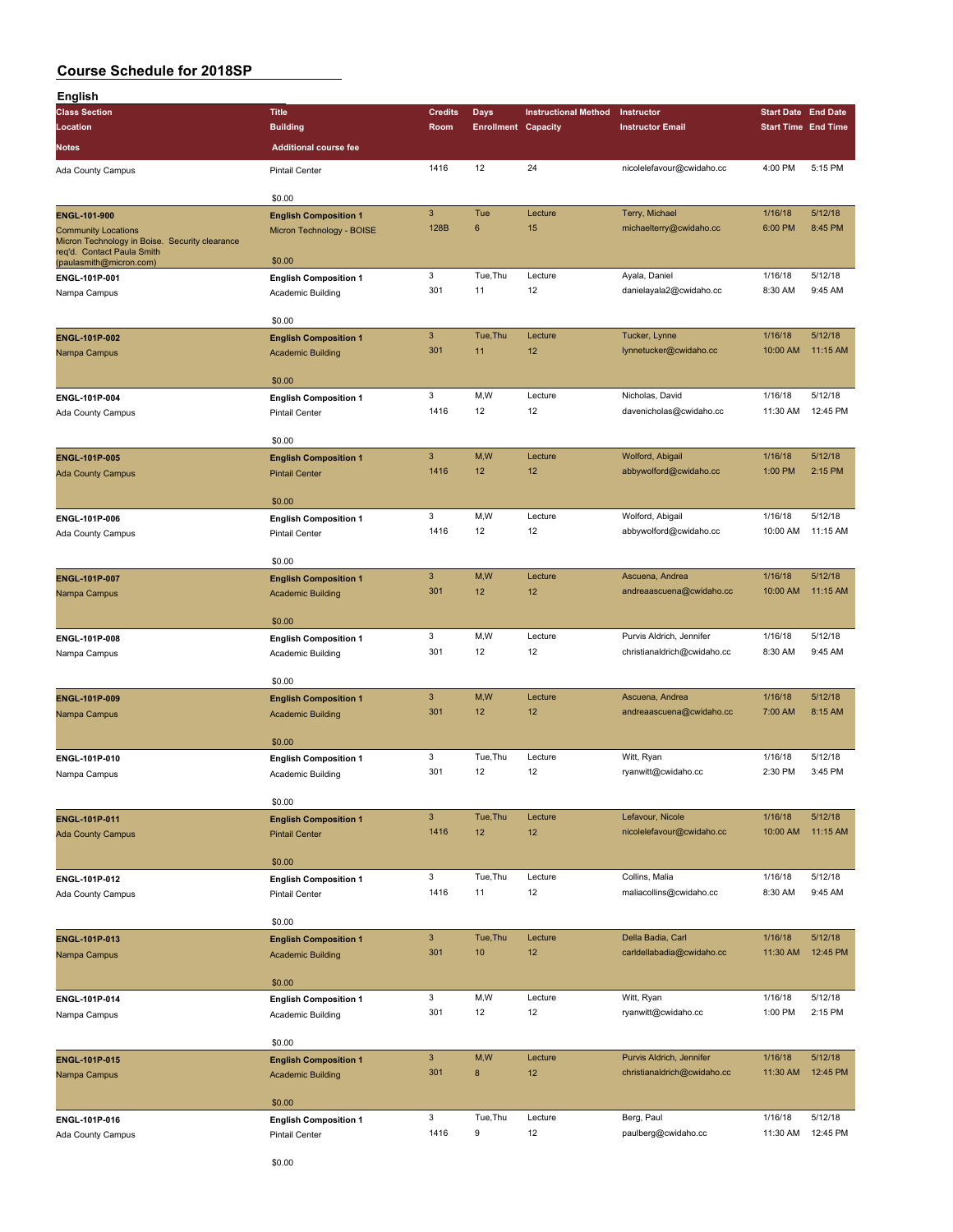| English                                                                      |                                                   |                           |                            |                             |                             |                            |          |
|------------------------------------------------------------------------------|---------------------------------------------------|---------------------------|----------------------------|-----------------------------|-----------------------------|----------------------------|----------|
| <b>Class Section</b>                                                         | <b>Title</b>                                      | <b>Credits</b>            | Days                       | <b>Instructional Method</b> | Instructor                  | <b>Start Date End Date</b> |          |
| Location                                                                     | <b>Building</b>                                   | Room                      | <b>Enrollment Capacity</b> |                             | <b>Instructor Email</b>     | <b>Start Time End Time</b> |          |
| Notes                                                                        | <b>Additional course fee</b>                      |                           |                            |                             |                             |                            |          |
|                                                                              |                                                   |                           |                            |                             |                             |                            |          |
| Ada County Campus                                                            | <b>Pintail Center</b>                             | 1416                      | 12                         | 24                          | nicolelefavour@cwidaho.cc   | 4:00 PM                    | 5:15 PM  |
|                                                                              | \$0.00                                            |                           |                            |                             |                             |                            |          |
|                                                                              |                                                   | $\ensuremath{\mathsf{3}}$ | Tue                        | Lecture                     | Terry, Michael              | 1/16/18                    | 5/12/18  |
| ENGL-101-900                                                                 | <b>English Composition 1</b>                      | 128B                      | 6                          | 15                          |                             | 6:00 PM                    | 8:45 PM  |
| <b>Community Locations</b><br>Micron Technology in Boise. Security clearance | Micron Technology - BOISE                         |                           |                            |                             | michaelterry@cwidaho.cc     |                            |          |
| req'd. Contact Paula Smith                                                   |                                                   |                           |                            |                             |                             |                            |          |
| (paulasmith@micron.com)                                                      | \$0.00                                            |                           |                            |                             |                             |                            |          |
| ENGL-101P-001                                                                | <b>English Composition 1</b>                      | 3                         | Tue, Thu                   | Lecture                     | Ayala, Daniel               | 1/16/18                    | 5/12/18  |
| Nampa Campus                                                                 | Academic Building                                 | 301                       | 11                         | 12                          | danielayala2@cwidaho.cc     | 8:30 AM                    | 9:45 AM  |
|                                                                              |                                                   |                           |                            |                             |                             |                            |          |
|                                                                              | \$0.00                                            |                           |                            |                             |                             |                            |          |
| ENGL-101P-002                                                                | <b>English Composition 1</b>                      | $\ensuremath{\mathsf{3}}$ | Tue, Thu                   | Lecture                     | Tucker, Lynne               | 1/16/18                    | 5/12/18  |
| Nampa Campus                                                                 | <b>Academic Building</b>                          | 301                       | 11                         | 12                          | lynnetucker@cwidaho.cc      | 10:00 AM                   | 11:15 AM |
|                                                                              |                                                   |                           |                            |                             |                             |                            |          |
|                                                                              | \$0.00                                            |                           |                            |                             |                             |                            |          |
| ENGL-101P-004                                                                | <b>English Composition 1</b>                      | 3                         | M,W                        | Lecture                     | Nicholas, David             | 1/16/18                    | 5/12/18  |
| Ada County Campus                                                            | <b>Pintail Center</b>                             | 1416                      | 12                         | 12                          | davenicholas@cwidaho.cc     | 11:30 AM                   | 12:45 PM |
|                                                                              | \$0.00                                            |                           |                            |                             |                             |                            |          |
|                                                                              |                                                   | $\mathbf{3}$              |                            | Lecture                     |                             | 1/16/18                    | 5/12/18  |
| <b>ENGL-101P-005</b>                                                         | <b>English Composition 1</b>                      | 1416                      | M, W<br>12                 | 12                          | Wolford, Abigail            |                            | 2:15 PM  |
| <b>Ada County Campus</b>                                                     | <b>Pintail Center</b>                             |                           |                            |                             | abbywolford@cwidaho.cc      | 1:00 PM                    |          |
|                                                                              | \$0.00                                            |                           |                            |                             |                             |                            |          |
|                                                                              |                                                   | 3                         | M, W                       | Lecture                     |                             | 1/16/18                    | 5/12/18  |
| ENGL-101P-006                                                                | <b>English Composition 1</b>                      | 1416                      | 12                         | 12                          | Wolford, Abigail            |                            | 11:15 AM |
| Ada County Campus                                                            | <b>Pintail Center</b>                             |                           |                            |                             | abbywolford@cwidaho.cc      | 10:00 AM                   |          |
|                                                                              | \$0.00                                            |                           |                            |                             |                             |                            |          |
|                                                                              |                                                   | $\mathbf{3}$              | M,W                        | Lecture                     | Ascuena, Andrea             | 1/16/18                    | 5/12/18  |
| <b>ENGL-101P-007</b>                                                         | <b>English Composition 1</b>                      | 301                       | 12                         | 12                          | andreaascuena@cwidaho.cc    | 10:00 AM                   | 11:15 AM |
| Nampa Campus                                                                 | <b>Academic Building</b>                          |                           |                            |                             |                             |                            |          |
|                                                                              | \$0.00                                            |                           |                            |                             |                             |                            |          |
| ENGL-101P-008                                                                |                                                   | 3                         | M, W                       | Lecture                     | Purvis Aldrich, Jennifer    | 1/16/18                    | 5/12/18  |
|                                                                              | <b>English Composition 1</b><br>Academic Building | 301                       | 12                         | 12                          | christianaldrich@cwidaho.cc | 8:30 AM                    | 9:45 AM  |
| Nampa Campus                                                                 |                                                   |                           |                            |                             |                             |                            |          |
|                                                                              | \$0.00                                            |                           |                            |                             |                             |                            |          |
| ENGL-101P-009                                                                | <b>English Composition 1</b>                      | $\mathbf{3}$              | M,W                        | Lecture                     | Ascuena, Andrea             | 1/16/18                    | 5/12/18  |
| Nampa Campus                                                                 | <b>Academic Building</b>                          | 301                       | 12                         | 12                          | andreaascuena@cwidaho.cc    | 7:00 AM                    | 8:15 AM  |
|                                                                              |                                                   |                           |                            |                             |                             |                            |          |
|                                                                              | \$0.00                                            |                           |                            |                             |                             |                            |          |
| ENGL-101P-010                                                                | <b>English Composition 1</b>                      | $\mathbf 3$               | Tue, Thu                   | Lecture                     | Witt, Ryan                  | 1/16/18                    | 5/12/18  |
| Nampa Campus                                                                 | Academic Building                                 | 301                       | 12                         | 12                          | ryanwitt@cwidaho.cc         | 2:30 PM                    | 3:45 PM  |
|                                                                              |                                                   |                           |                            |                             |                             |                            |          |
|                                                                              | \$0.00                                            |                           |                            |                             |                             |                            |          |
| ENGL-101P-011                                                                | <b>English Composition 1</b>                      | $\ensuremath{\mathsf{3}}$ | Tue, Thu                   | Lecture                     | Lefavour, Nicole            | 1/16/18                    | 5/12/18  |
| <b>Ada County Campus</b>                                                     | <b>Pintail Center</b>                             | 1416                      | 12                         | 12                          | nicolelefavour@cwidaho.cc   | 10:00 AM                   | 11:15 AM |
|                                                                              |                                                   |                           |                            |                             |                             |                            |          |
|                                                                              | \$0.00                                            |                           |                            |                             |                             |                            |          |
| ENGL-101P-012                                                                | <b>English Composition 1</b>                      | $\mathsf 3$               | Tue, Thu                   | Lecture                     | Collins, Malia              | 1/16/18                    | 5/12/18  |
| Ada County Campus                                                            | Pintail Center                                    | 1416                      | 11                         | 12                          | maliacollins@cwidaho.cc     | 8:30 AM                    | 9:45 AM  |
|                                                                              |                                                   |                           |                            |                             |                             |                            |          |
|                                                                              | \$0.00                                            |                           |                            |                             |                             |                            |          |
| ENGL-101P-013                                                                | <b>English Composition 1</b>                      | $\mathbf{3}$              | Tue, Thu                   | Lecture                     | Della Badia, Carl           | 1/16/18                    | 5/12/18  |
| Nampa Campus                                                                 | <b>Academic Building</b>                          | 301                       | 10                         | 12                          | carldellabadia@cwidaho.cc   | 11:30 AM                   | 12:45 PM |
|                                                                              |                                                   |                           |                            |                             |                             |                            |          |
|                                                                              | \$0.00                                            |                           |                            |                             |                             |                            |          |
| ENGL-101P-014                                                                | <b>English Composition 1</b>                      | 3                         | M,W                        | Lecture                     | Witt, Ryan                  | 1/16/18                    | 5/12/18  |
| Nampa Campus                                                                 | Academic Building                                 | 301                       | 12                         | 12                          | ryanwitt@cwidaho.cc         | 1:00 PM                    | 2:15 PM  |
|                                                                              |                                                   |                           |                            |                             |                             |                            |          |
|                                                                              | \$0.00                                            |                           |                            |                             |                             |                            |          |
| ENGL-101P-015                                                                | <b>English Composition 1</b>                      | $\ensuremath{\mathsf{3}}$ | M,W                        | Lecture                     | Purvis Aldrich, Jennifer    | 1/16/18                    | 5/12/18  |
| Nampa Campus                                                                 | <b>Academic Building</b>                          | 301                       | 8                          | 12                          | christianaldrich@cwidaho.cc | 11:30 AM                   | 12:45 PM |
|                                                                              |                                                   |                           |                            |                             |                             |                            |          |
|                                                                              | \$0.00                                            |                           |                            |                             |                             |                            |          |
| ENGL-101P-016                                                                | <b>English Composition 1</b>                      | 3                         | Tue, Thu                   | Lecture                     | Berg, Paul                  | 1/16/18                    | 5/12/18  |
| Ada County Campus                                                            | Pintail Center                                    | 1416                      | 9                          | 12                          | paulberg@cwidaho.cc         | 11:30 AM                   | 12:45 PM |
|                                                                              |                                                   |                           |                            |                             |                             |                            |          |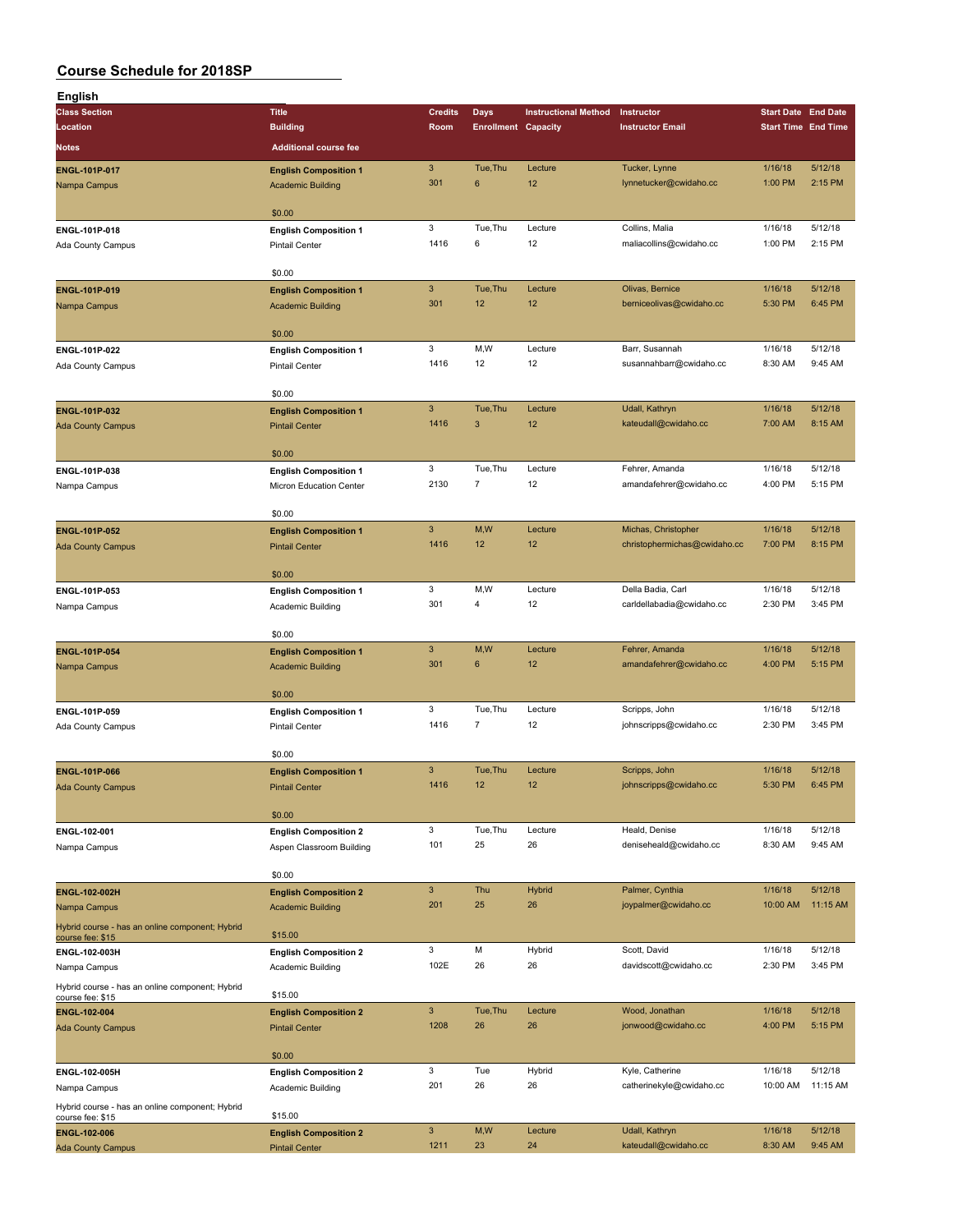| English                                                             |                              |                           |                            |                             |                              |                            |          |
|---------------------------------------------------------------------|------------------------------|---------------------------|----------------------------|-----------------------------|------------------------------|----------------------------|----------|
| <b>Class Section</b>                                                | <b>Title</b>                 | <b>Credits</b>            | Days                       | <b>Instructional Method</b> | Instructor                   | <b>Start Date End Date</b> |          |
| Location                                                            | <b>Building</b>              | Room                      | <b>Enrollment Capacity</b> |                             | <b>Instructor Email</b>      | <b>Start Time End Time</b> |          |
| Notes                                                               | <b>Additional course fee</b> |                           |                            |                             |                              |                            |          |
|                                                                     |                              |                           |                            |                             |                              |                            |          |
| ENGL-101P-017                                                       | <b>English Composition 1</b> | $\ensuremath{\mathsf{3}}$ | Tue, Thu                   | Lecture                     | Tucker, Lynne                | 1/16/18                    | 5/12/18  |
| Nampa Campus                                                        | <b>Academic Building</b>     | 301                       | 6                          | 12                          | lynnetucker@cwidaho.cc       | 1:00 PM                    | 2:15 PM  |
|                                                                     |                              |                           |                            |                             |                              |                            |          |
|                                                                     | \$0.00                       |                           |                            |                             |                              |                            |          |
| ENGL-101P-018                                                       | <b>English Composition 1</b> | 3                         | Tue, Thu                   | Lecture                     | Collins, Malia               | 1/16/18                    | 5/12/18  |
| Ada County Campus                                                   | <b>Pintail Center</b>        | 1416                      | 6                          | 12                          | maliacollins@cwidaho.cc      | 1:00 PM                    | 2:15 PM  |
|                                                                     |                              |                           |                            |                             |                              |                            |          |
|                                                                     | \$0.00                       |                           |                            |                             |                              |                            |          |
| ENGL-101P-019                                                       | <b>English Composition 1</b> | $\mathbf{3}$              | Tue, Thu                   | Lecture                     | Olivas, Bernice              | 1/16/18                    | 5/12/18  |
| Nampa Campus                                                        | <b>Academic Building</b>     | 301                       | 12                         | 12                          | berniceolivas@cwidaho.cc     | 5:30 PM                    | 6:45 PM  |
|                                                                     |                              |                           |                            |                             |                              |                            |          |
|                                                                     | \$0.00                       |                           |                            |                             |                              |                            |          |
| ENGL-101P-022                                                       | <b>English Composition 1</b> | 3                         | M,W                        | Lecture                     | Barr, Susannah               | 1/16/18                    | 5/12/18  |
| Ada County Campus                                                   | <b>Pintail Center</b>        | 1416                      | 12                         | 12                          | susannahbarr@cwidaho.cc      | 8:30 AM                    | 9:45 AM  |
|                                                                     |                              |                           |                            |                             |                              |                            |          |
|                                                                     | \$0.00                       |                           |                            |                             |                              |                            |          |
| ENGL-101P-032                                                       | <b>English Composition 1</b> | $\mathbf{3}$              | Tue, Thu                   | Lecture                     | Udall, Kathryn               | 1/16/18                    | 5/12/18  |
| <b>Ada County Campus</b>                                            | <b>Pintail Center</b>        | 1416                      | 3                          | 12                          | kateudall@cwidaho.cc         | 7:00 AM                    | 8:15 AM  |
|                                                                     |                              |                           |                            |                             |                              |                            |          |
|                                                                     | \$0.00                       |                           |                            |                             |                              |                            |          |
| ENGL-101P-038                                                       | <b>English Composition 1</b> | 3                         | Tue, Thu                   | Lecture                     | Fehrer, Amanda               | 1/16/18                    | 5/12/18  |
| Nampa Campus                                                        | Micron Education Center      | 2130                      | $\overline{7}$             | 12                          | amandafehrer@cwidaho.cc      | 4:00 PM                    | 5:15 PM  |
|                                                                     |                              |                           |                            |                             |                              |                            |          |
|                                                                     | \$0.00                       |                           |                            |                             |                              |                            |          |
| <b>ENGL-101P-052</b>                                                | <b>English Composition 1</b> | $\mathbf{3}$              | M,W                        | Lecture                     | Michas, Christopher          | 1/16/18                    | 5/12/18  |
| <b>Ada County Campus</b>                                            | <b>Pintail Center</b>        | 1416                      | 12                         | 12                          | christophermichas@cwidaho.cc | 7:00 PM                    | 8:15 PM  |
|                                                                     |                              |                           |                            |                             |                              |                            |          |
|                                                                     | \$0.00                       |                           |                            |                             |                              |                            |          |
| ENGL-101P-053                                                       | <b>English Composition 1</b> | 3                         | M,W                        | Lecture                     | Della Badia, Carl            | 1/16/18                    | 5/12/18  |
| Nampa Campus                                                        | Academic Building            | 301                       | 4                          | 12                          | carldellabadia@cwidaho.cc    | 2:30 PM                    | 3:45 PM  |
|                                                                     |                              |                           |                            |                             |                              |                            |          |
|                                                                     | \$0.00                       |                           |                            |                             |                              |                            |          |
| <b>ENGL-101P-054</b>                                                | <b>English Composition 1</b> | $\mathsf 3$               | M,W                        | Lecture                     | Fehrer, Amanda               | 1/16/18                    | 5/12/18  |
| Nampa Campus                                                        | <b>Academic Building</b>     | 301                       | $\bf 6$                    | 12                          | amandafehrer@cwidaho.cc      | 4:00 PM                    | 5:15 PM  |
|                                                                     |                              |                           |                            |                             |                              |                            |          |
|                                                                     | \$0.00                       |                           |                            |                             |                              |                            |          |
| ENGL-101P-059                                                       | <b>English Composition 1</b> | 3                         | Tue, Thu                   | Lecture                     | Scripps, John                | 1/16/18                    | 5/12/18  |
| Ada County Campus                                                   | <b>Pintail Center</b>        | 1416                      | $\overline{7}$             | 12                          | johnscripps@cwidaho.cc       | 2:30 PM                    | 3:45 PM  |
|                                                                     |                              |                           |                            |                             |                              |                            |          |
|                                                                     | \$0.00                       |                           |                            |                             |                              |                            |          |
| <b>ENGL-101P-066</b>                                                | <b>English Composition 1</b> | $\mathbf{3}$              | Tue, Thu                   | Lecture                     | Scripps, John                | 1/16/18                    | 5/12/18  |
| <b>Ada County Campus</b>                                            | <b>Pintail Center</b>        | 1416                      | 12                         | 12                          | johnscripps@cwidaho.cc       | 5:30 PM                    | 6:45 PM  |
|                                                                     |                              |                           |                            |                             |                              |                            |          |
|                                                                     | \$0.00                       |                           |                            |                             |                              |                            |          |
| ENGL-102-001                                                        | <b>English Composition 2</b> | 3                         | Tue, Thu                   | Lecture                     | Heald, Denise                | 1/16/18                    | 5/12/18  |
| Nampa Campus                                                        | Aspen Classroom Building     | 101                       | 25                         | 26                          | deniseheald@cwidaho.cc       | 8:30 AM                    | 9:45 AM  |
|                                                                     |                              |                           |                            |                             |                              |                            |          |
|                                                                     | \$0.00                       |                           |                            |                             |                              |                            |          |
| <b>ENGL-102-002H</b>                                                | <b>English Composition 2</b> | $\mathbf{3}$              | Thu                        | <b>Hybrid</b>               | Palmer, Cynthia              | 1/16/18                    | 5/12/18  |
| Nampa Campus                                                        | <b>Academic Building</b>     | 201                       | 25                         | 26                          | joypalmer@cwidaho.cc         | 10:00 AM                   | 11:15 AM |
|                                                                     |                              |                           |                            |                             |                              |                            |          |
| Hybrid course - has an online component; Hybrid<br>course fee: \$15 | \$15.00                      |                           |                            |                             |                              |                            |          |
| ENGL-102-003H                                                       | <b>English Composition 2</b> | 3                         | M                          | Hybrid                      | Scott, David                 | 1/16/18                    | 5/12/18  |
| Nampa Campus                                                        | Academic Building            | 102E                      | 26                         | 26                          | davidscott@cwidaho.cc        | 2:30 PM                    | 3:45 PM  |
|                                                                     |                              |                           |                            |                             |                              |                            |          |
| Hybrid course - has an online component; Hybrid                     | \$15.00                      |                           |                            |                             |                              |                            |          |
| course fee: \$15<br>ENGL-102-004                                    | <b>English Composition 2</b> | $\mathbf{3}$              | Tue, Thu                   | Lecture                     | Wood, Jonathan               | 1/16/18                    | 5/12/18  |
|                                                                     |                              | 1208                      | 26                         | 26                          | jonwood@cwidaho.cc           | 4:00 PM                    | 5:15 PM  |
| <b>Ada County Campus</b>                                            | <b>Pintail Center</b>        |                           |                            |                             |                              |                            |          |
|                                                                     | \$0.00                       |                           |                            |                             |                              |                            |          |
|                                                                     |                              | 3                         | Tue                        |                             |                              | 1/16/18                    | 5/12/18  |
| ENGL-102-005H                                                       | <b>English Composition 2</b> | 201                       | 26                         | Hybrid                      | Kyle, Catherine              |                            |          |
| Nampa Campus                                                        | Academic Building            |                           |                            | 26                          | catherinekyle@cwidaho.cc     | 10:00 AM                   | 11:15 AM |
| Hybrid course - has an online component; Hybrid                     | \$15.00                      |                           |                            |                             |                              |                            |          |
| course fee: \$15                                                    |                              |                           |                            |                             |                              |                            | 5/12/18  |
| ENGL-102-006                                                        | <b>English Composition 2</b> | $\mathbf{3}$              | M,W                        | Lecture                     | Udall, Kathryn               | 1/16/18                    |          |
| <b>Ada County Campus</b>                                            | <b>Pintail Center</b>        | 1211                      | 23                         | 24                          | kateudall@cwidaho.cc         | 8:30 AM                    | 9:45 AM  |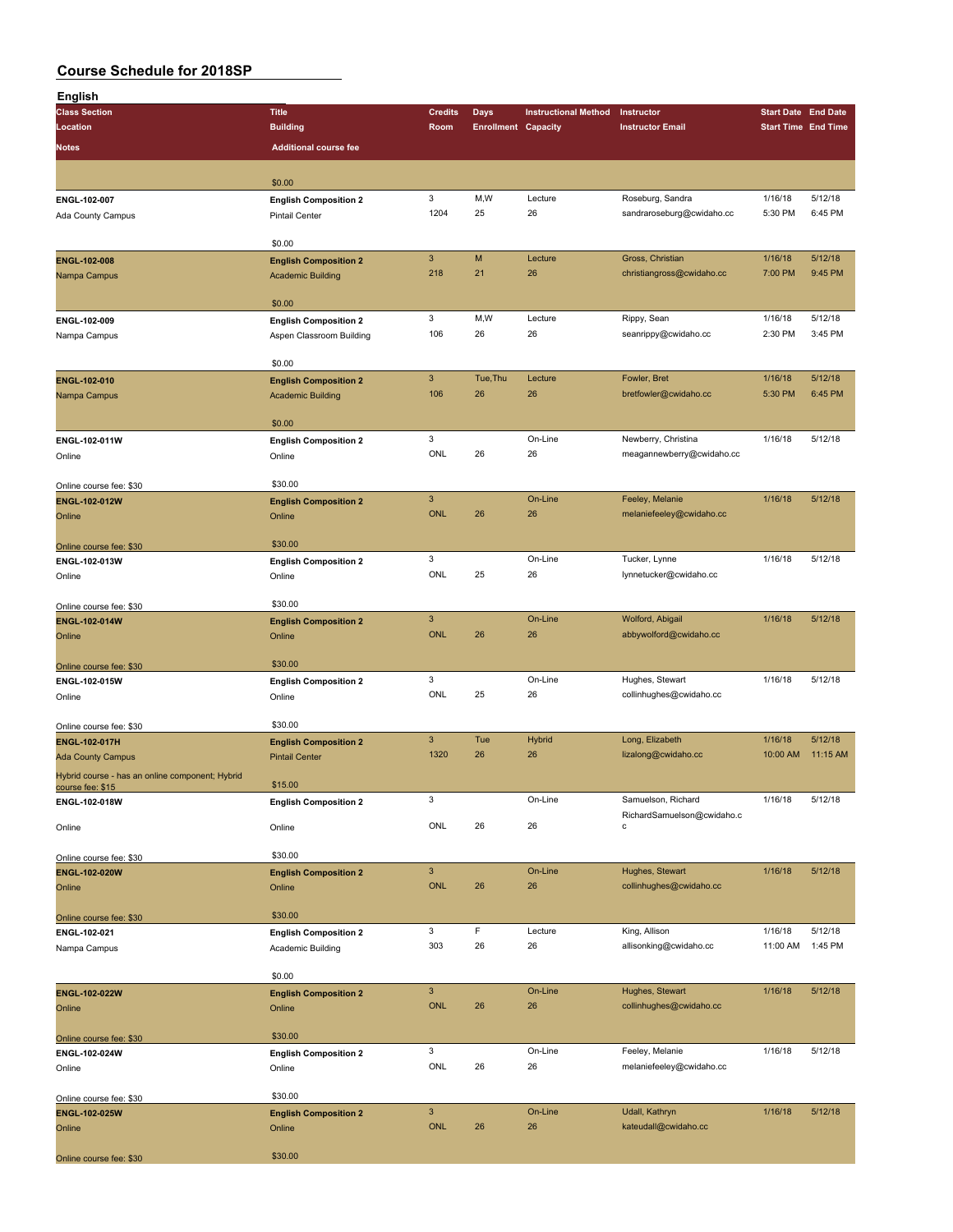| English                                         |                                        |                |                            |                             |                                            |                            |          |
|-------------------------------------------------|----------------------------------------|----------------|----------------------------|-----------------------------|--------------------------------------------|----------------------------|----------|
| <b>Class Section</b>                            | <b>Title</b>                           | <b>Credits</b> | <b>Days</b>                | <b>Instructional Method</b> | Instructor                                 | <b>Start Date End Date</b> |          |
| Location                                        | <b>Building</b>                        | Room           | <b>Enrollment Capacity</b> |                             | <b>Instructor Email</b>                    | <b>Start Time End Time</b> |          |
| Notes                                           | <b>Additional course fee</b>           |                |                            |                             |                                            |                            |          |
|                                                 |                                        |                |                            |                             |                                            |                            |          |
|                                                 | \$0.00                                 |                |                            |                             |                                            |                            |          |
| ENGL-102-007                                    | <b>English Composition 2</b>           | 3              | M,W                        | Lecture                     | Roseburg, Sandra                           | 1/16/18                    | 5/12/18  |
| Ada County Campus                               | <b>Pintail Center</b>                  | 1204           | 25                         | 26                          | sandraroseburg@cwidaho.cc                  | 5:30 PM                    | 6:45 PM  |
|                                                 | \$0.00                                 |                |                            |                             |                                            |                            |          |
| ENGL-102-008                                    | <b>English Composition 2</b>           | $\mathbf{3}$   | M                          | Lecture                     | Gross, Christian                           | 1/16/18                    | 5/12/18  |
| Nampa Campus                                    | <b>Academic Building</b>               | 218            | 21                         | 26                          | christiangross@cwidaho.cc                  | 7:00 PM                    | 9:45 PM  |
|                                                 |                                        |                |                            |                             |                                            |                            |          |
|                                                 | \$0.00                                 |                |                            |                             |                                            |                            |          |
| ENGL-102-009                                    | <b>English Composition 2</b>           | 3              | M, W                       | Lecture                     | Rippy, Sean                                | 1/16/18                    | 5/12/18  |
| Nampa Campus                                    | Aspen Classroom Building               | 106            | 26                         | 26                          | seanrippy@cwidaho.cc                       | 2:30 PM                    | 3:45 PM  |
|                                                 | \$0.00                                 |                |                            |                             |                                            |                            |          |
| ENGL-102-010                                    | <b>English Composition 2</b>           | $\mathbf{3}$   | Tue, Thu                   | Lecture                     | Fowler, Bret                               | 1/16/18                    | 5/12/18  |
| Nampa Campus                                    | <b>Academic Building</b>               | 106            | 26                         | 26                          | bretfowler@cwidaho.cc                      | 5:30 PM                    | 6:45 PM  |
|                                                 |                                        |                |                            |                             |                                            |                            |          |
|                                                 | \$0.00                                 |                |                            |                             |                                            |                            |          |
| ENGL-102-011W                                   | <b>English Composition 2</b>           | 3              |                            | On-Line                     | Newberry, Christina                        | 1/16/18                    | 5/12/18  |
| Online                                          | Online                                 | ONL            | 26                         | 26                          | meagannewberry@cwidaho.cc                  |                            |          |
| Online course fee: \$30                         | \$30.00                                |                |                            |                             |                                            |                            |          |
| ENGL-102-012W                                   | <b>English Composition 2</b>           | $\mathsf 3$    |                            | On-Line                     | Feeley, Melanie                            | 1/16/18                    | 5/12/18  |
| Online                                          | Online                                 | <b>ONL</b>     | 26                         | 26                          | melaniefeeley@cwidaho.cc                   |                            |          |
|                                                 |                                        |                |                            |                             |                                            |                            |          |
| Online course fee: \$30                         | \$30.00                                |                |                            |                             |                                            |                            |          |
| ENGL-102-013W                                   | <b>English Composition 2</b>           | 3<br>ONL       | 25                         | On-Line                     | Tucker, Lynne                              | 1/16/18                    | 5/12/18  |
| Online                                          | Online                                 |                |                            | 26                          | lynnetucker@cwidaho.cc                     |                            |          |
| Online course fee: \$30                         | \$30.00                                |                |                            |                             |                                            |                            |          |
| ENGL-102-014W                                   | <b>English Composition 2</b>           | $\mathbf{3}$   |                            | On-Line                     | Wolford, Abigail                           | 1/16/18                    | 5/12/18  |
| Online                                          | Online                                 | <b>ONL</b>     | 26                         | 26                          | abbywolford@cwidaho.cc                     |                            |          |
|                                                 |                                        |                |                            |                             |                                            |                            |          |
| Online course fee: \$30                         | \$30.00                                |                |                            |                             |                                            |                            |          |
| ENGL-102-015W                                   | <b>English Composition 2</b>           | 3<br>ONL       | 25                         | On-Line<br>26               | Hughes, Stewart<br>collinhughes@cwidaho.cc | 1/16/18                    | 5/12/18  |
| Online                                          | Online                                 |                |                            |                             |                                            |                            |          |
| Online course fee: \$30                         | \$30.00                                |                |                            |                             |                                            |                            |          |
| ENGL-102-017H                                   | <b>English Composition 2</b>           | $\mathbf{3}$   | Tue                        | <b>Hybrid</b>               | Long, Elizabeth                            | 1/16/18                    | 5/12/18  |
| <b>Ada County Campus</b>                        | <b>Pintail Center</b>                  | 1320           | 26                         | 26                          | lizalong@cwidaho.cc                        | 10:00 AM                   | 11:15 AM |
| Hybrid course - has an online component; Hybrid |                                        |                |                            |                             |                                            |                            |          |
| course fee: \$15                                | \$15.00                                | 3              |                            | On-Line                     | Samuelson, Richard                         | 1/16/18                    | 5/12/18  |
| ENGL-102-018W                                   | <b>English Composition 2</b>           |                |                            |                             | RichardSamuelson@cwidaho.c                 |                            |          |
| Online                                          | Online                                 | ONL            | 26                         | 26                          | с                                          |                            |          |
|                                                 |                                        |                |                            |                             |                                            |                            |          |
| Online course fee: \$30                         | \$30.00                                | $\mathbf{3}$   |                            | On-Line                     | Hughes, Stewart                            | 1/16/18                    | 5/12/18  |
| ENGL-102-020W<br>Online                         | <b>English Composition 2</b><br>Online | <b>ONL</b>     | 26                         | 26                          | collinhughes@cwidaho.cc                    |                            |          |
|                                                 |                                        |                |                            |                             |                                            |                            |          |
| Online course fee: \$30                         | \$30.00                                |                |                            |                             |                                            |                            |          |
| ENGL-102-021                                    | <b>English Composition 2</b>           | 3              | F                          | Lecture                     | King, Allison                              | 1/16/18                    | 5/12/18  |
| Nampa Campus                                    | Academic Building                      | 303            | 26                         | 26                          | allisonking@cwidaho.cc                     | 11:00 AM                   | 1:45 PM  |
|                                                 |                                        |                |                            |                             |                                            |                            |          |
| ENGL-102-022W                                   | \$0.00                                 | $\mathbf{3}$   |                            | On-Line                     | Hughes, Stewart                            | 1/16/18                    | 5/12/18  |
| Online                                          | <b>English Composition 2</b><br>Online | <b>ONL</b>     | 26                         | 26                          | collinhughes@cwidaho.cc                    |                            |          |
|                                                 |                                        |                |                            |                             |                                            |                            |          |
| Online course fee: \$30                         | \$30.00                                |                |                            |                             |                                            |                            |          |
| ENGL-102-024W                                   | <b>English Composition 2</b>           | 3              |                            | On-Line                     | Feeley, Melanie                            | 1/16/18                    | 5/12/18  |
| Online                                          | Online                                 | ONL            | 26                         | 26                          | melaniefeeley@cwidaho.cc                   |                            |          |
|                                                 |                                        |                |                            |                             |                                            |                            |          |
| Online course fee: \$30                         | \$30.00                                | $\mathbf{3}$   |                            | On-Line                     | Udall, Kathryn                             | 1/16/18                    | 5/12/18  |
| <b>ENGL-102-025W</b><br>Online                  | <b>English Composition 2</b><br>Online | <b>ONL</b>     | 26                         | 26                          | kateudall@cwidaho.cc                       |                            |          |
|                                                 |                                        |                |                            |                             |                                            |                            |          |
| Online course fee: \$30                         | \$30.00                                |                |                            |                             |                                            |                            |          |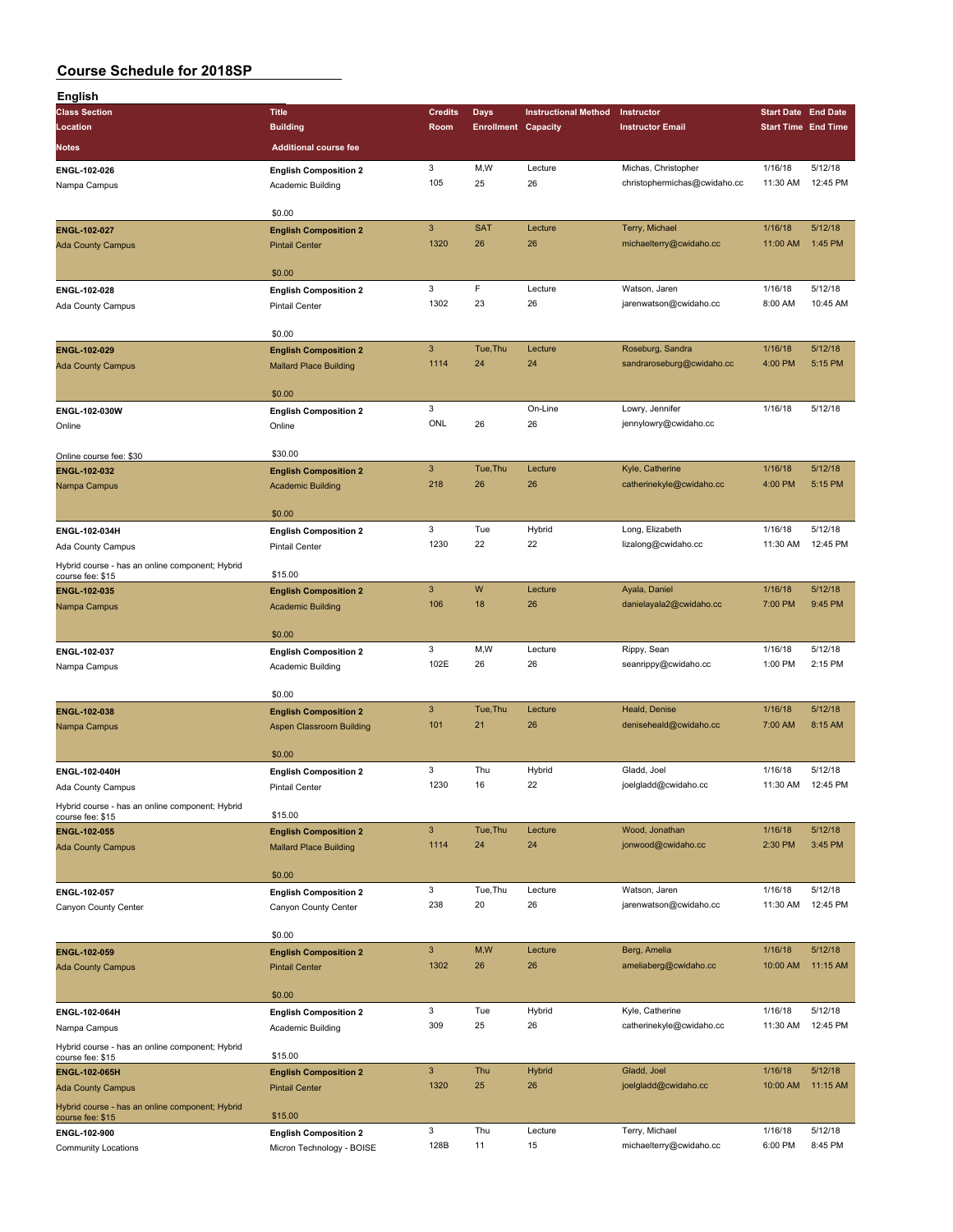| <b>English</b>                                                      |                                 |                           |                            |                             |                              |                            |          |
|---------------------------------------------------------------------|---------------------------------|---------------------------|----------------------------|-----------------------------|------------------------------|----------------------------|----------|
| <b>Class Section</b>                                                | <b>Title</b>                    | <b>Credits</b>            | Days                       | <b>Instructional Method</b> | Instructor                   | <b>Start Date End Date</b> |          |
| Location                                                            | <b>Building</b>                 | Room                      | <b>Enrollment Capacity</b> |                             | <b>Instructor Email</b>      | <b>Start Time End Time</b> |          |
|                                                                     | <b>Additional course fee</b>    |                           |                            |                             |                              |                            |          |
| Notes                                                               |                                 |                           |                            |                             |                              |                            |          |
| ENGL-102-026                                                        | <b>English Composition 2</b>    | 3                         | M,W                        | Lecture                     | Michas, Christopher          | 1/16/18                    | 5/12/18  |
| Nampa Campus                                                        | Academic Building               | 105                       | 25                         | 26                          | christophermichas@cwidaho.cc | 11:30 AM                   | 12:45 PM |
|                                                                     |                                 |                           |                            |                             |                              |                            |          |
|                                                                     | \$0.00                          |                           |                            |                             |                              |                            |          |
| ENGL-102-027                                                        | <b>English Composition 2</b>    | $\ensuremath{\mathsf{3}}$ | <b>SAT</b>                 | Lecture                     | Terry, Michael               | 1/16/18                    | 5/12/18  |
| <b>Ada County Campus</b>                                            | <b>Pintail Center</b>           | 1320                      | 26                         | 26                          | michaelterry@cwidaho.cc      | 11:00 AM                   | 1:45 PM  |
|                                                                     |                                 |                           |                            |                             |                              |                            |          |
|                                                                     | \$0.00                          |                           |                            |                             |                              |                            |          |
|                                                                     |                                 | 3                         | F                          | Lecture                     | Watson, Jaren                | 1/16/18                    | 5/12/18  |
| ENGL-102-028                                                        | <b>English Composition 2</b>    |                           |                            |                             |                              |                            |          |
| Ada County Campus                                                   | <b>Pintail Center</b>           | 1302                      | 23                         | 26                          | jarenwatson@cwidaho.cc       | 8:00 AM                    | 10:45 AM |
|                                                                     |                                 |                           |                            |                             |                              |                            |          |
|                                                                     | \$0.00                          |                           |                            |                             |                              |                            |          |
| ENGL-102-029                                                        | <b>English Composition 2</b>    | 3                         | Tue, Thu                   | Lecture                     | Roseburg, Sandra             | 1/16/18                    | 5/12/18  |
| <b>Ada County Campus</b>                                            | <b>Mallard Place Building</b>   | 1114                      | 24                         | 24                          | sandraroseburg@cwidaho.cc    | 4:00 PM                    | 5:15 PM  |
|                                                                     |                                 |                           |                            |                             |                              |                            |          |
|                                                                     | \$0.00                          |                           |                            |                             |                              |                            |          |
| ENGL-102-030W                                                       | <b>English Composition 2</b>    | 3                         |                            | On-Line                     | Lowry, Jennifer              | 1/16/18                    | 5/12/18  |
| Online                                                              | Online                          | ONL                       | 26                         | 26                          | jennylowry@cwidaho.cc        |                            |          |
|                                                                     |                                 |                           |                            |                             |                              |                            |          |
| Online course fee: \$30                                             | \$30.00                         |                           |                            |                             |                              |                            |          |
|                                                                     |                                 | $\mathbf{3}$              | Tue, Thu                   | Lecture                     | Kyle, Catherine              | 1/16/18                    | 5/12/18  |
| ENGL-102-032                                                        | <b>English Composition 2</b>    | 218                       | 26                         | 26                          | catherinekyle@cwidaho.cc     | 4:00 PM                    | 5:15 PM  |
| Nampa Campus                                                        | <b>Academic Building</b>        |                           |                            |                             |                              |                            |          |
|                                                                     |                                 |                           |                            |                             |                              |                            |          |
|                                                                     | \$0.00                          |                           |                            |                             |                              |                            |          |
| ENGL-102-034H                                                       | <b>English Composition 2</b>    | 3                         | Tue                        | Hybrid                      | Long, Elizabeth              | 1/16/18                    | 5/12/18  |
| Ada County Campus                                                   | <b>Pintail Center</b>           | 1230                      | 22                         | 22                          | lizalong@cwidaho.cc          | 11:30 AM                   | 12:45 PM |
| Hybrid course - has an online component; Hybrid                     |                                 |                           |                            |                             |                              |                            |          |
| course fee: \$15                                                    | \$15.00                         |                           |                            |                             |                              |                            |          |
| ENGL-102-035                                                        | <b>English Composition 2</b>    | 3                         | W                          | Lecture                     | Ayala, Daniel                | 1/16/18                    | 5/12/18  |
| Nampa Campus                                                        | <b>Academic Building</b>        | 106                       | 18                         | 26                          | danielayala2@cwidaho.cc      | 7:00 PM                    | 9:45 PM  |
|                                                                     |                                 |                           |                            |                             |                              |                            |          |
|                                                                     | \$0.00                          |                           |                            |                             |                              |                            |          |
| ENGL-102-037                                                        | <b>English Composition 2</b>    | 3                         | M,W                        | Lecture                     | Rippy, Sean                  | 1/16/18                    | 5/12/18  |
| Nampa Campus                                                        | Academic Building               | 102E                      | 26                         | 26                          | seanrippy@cwidaho.cc         | 1:00 PM                    | 2:15 PM  |
|                                                                     |                                 |                           |                            |                             |                              |                            |          |
|                                                                     | \$0.00                          |                           |                            |                             |                              |                            |          |
|                                                                     |                                 | $\mathbf{3}$              | Tue, Thu                   | Lecture                     | Heald, Denise                | 1/16/18                    | 5/12/18  |
| ENGL-102-038                                                        | <b>English Composition 2</b>    | 101                       |                            |                             |                              |                            |          |
| Nampa Campus                                                        | <b>Aspen Classroom Building</b> |                           | 21                         | 26                          | deniseheald@cwidaho.cc       | 7:00 AM                    | 8:15 AM  |
|                                                                     |                                 |                           |                            |                             |                              |                            |          |
|                                                                     | \$0.00                          |                           |                            |                             |                              |                            |          |
| ENGL-102-040H                                                       | <b>English Composition 2</b>    | 3                         | Thu                        | Hybrid                      | Gladd, Joel                  | 1/16/18                    | 5/12/18  |
| Ada County Campus                                                   | Pintail Center                  | 1230                      | 16                         | 22                          | joelgladd@cwidaho.cc         | 11:30 AM                   | 12:45 PM |
| Hybrid course - has an online component; Hybrid                     |                                 |                           |                            |                             |                              |                            |          |
| course fee: \$15                                                    | \$15.00                         |                           |                            |                             |                              |                            |          |
| ENGL-102-055                                                        | <b>English Composition 2</b>    | $\mathbf{3}$              | Tue, Thu                   | Lecture                     | Wood, Jonathan               | 1/16/18                    | 5/12/18  |
| <b>Ada County Campus</b>                                            | <b>Mallard Place Building</b>   | 1114                      | 24                         | 24                          | jonwood@cwidaho.cc           | 2:30 PM                    | 3:45 PM  |
|                                                                     |                                 |                           |                            |                             |                              |                            |          |
|                                                                     | \$0.00                          |                           |                            |                             |                              |                            |          |
| ENGL-102-057                                                        | <b>English Composition 2</b>    | 3                         | Tue, Thu                   | Lecture                     | Watson, Jaren                | 1/16/18                    | 5/12/18  |
| Canyon County Center                                                | Canyon County Center            | 238                       | 20                         | 26                          | jarenwatson@cwidaho.cc       | 11:30 AM                   | 12:45 PM |
|                                                                     |                                 |                           |                            |                             |                              |                            |          |
|                                                                     | \$0.00                          |                           |                            |                             |                              |                            |          |
|                                                                     |                                 | $\mathbf{3}$              | M,W                        | Lecture                     | Berg, Amelia                 |                            | 5/12/18  |
| ENGL-102-059                                                        | <b>English Composition 2</b>    |                           |                            |                             |                              | 1/16/18                    |          |
| <b>Ada County Campus</b>                                            | <b>Pintail Center</b>           | 1302                      | 26                         | 26                          | ameliaberg@cwidaho.cc        | 10:00 AM                   | 11:15 AM |
|                                                                     |                                 |                           |                            |                             |                              |                            |          |
|                                                                     | \$0.00                          |                           |                            |                             |                              |                            |          |
| ENGL-102-064H                                                       | <b>English Composition 2</b>    | 3                         | Tue                        | Hybrid                      | Kyle, Catherine              | 1/16/18                    | 5/12/18  |
| Nampa Campus                                                        | Academic Building               | 309                       | 25                         | 26                          | catherinekyle@cwidaho.cc     | 11:30 AM                   | 12:45 PM |
| Hybrid course - has an online component; Hybrid                     |                                 |                           |                            |                             |                              |                            |          |
| course fee: \$15                                                    | \$15.00                         |                           |                            |                             |                              |                            |          |
| ENGL-102-065H                                                       | <b>English Composition 2</b>    | 3                         | Thu                        | <b>Hybrid</b>               | Gladd, Joel                  | 1/16/18                    | 5/12/18  |
| <b>Ada County Campus</b>                                            | <b>Pintail Center</b>           | 1320                      | 25                         | 26                          | joelgladd@cwidaho.cc         | 10:00 AM                   | 11:15 AM |
|                                                                     |                                 |                           |                            |                             |                              |                            |          |
| Hybrid course - has an online component; Hybrid<br>course fee: \$15 | \$15.00                         |                           |                            |                             |                              |                            |          |
| ENGL-102-900                                                        |                                 | 3                         | Thu                        | Lecture                     | Terry, Michael               | 1/16/18                    | 5/12/18  |
| <b>Community Locations</b>                                          | <b>English Composition 2</b>    | 128B                      | 11                         | 15                          | michaelterry@cwidaho.cc      | 6:00 PM                    | 8:45 PM  |
|                                                                     | Micron Technology - BOISE       |                           |                            |                             |                              |                            |          |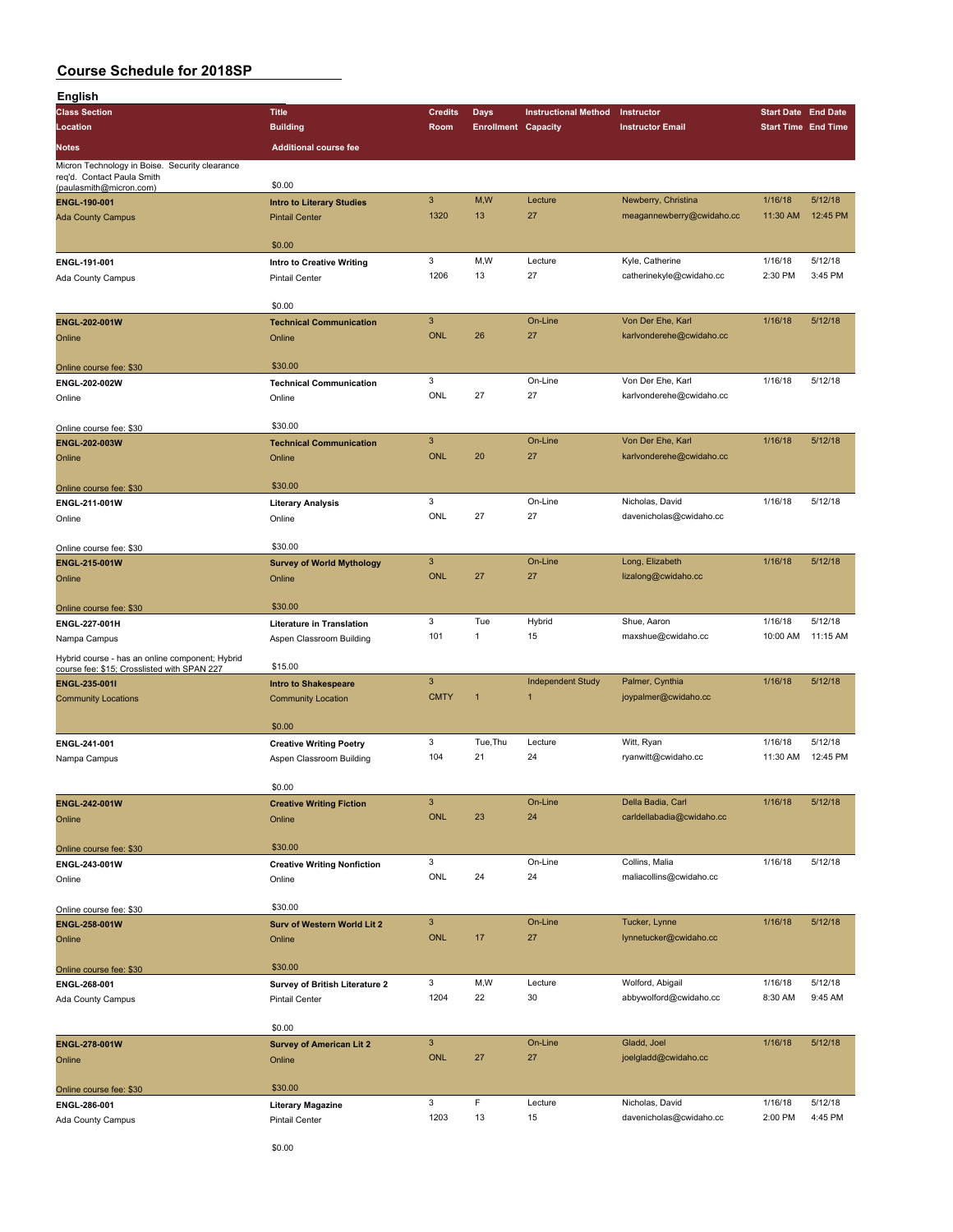| <b>English</b>                                                               |                                    |                |                            |                             |                           |                            |          |
|------------------------------------------------------------------------------|------------------------------------|----------------|----------------------------|-----------------------------|---------------------------|----------------------------|----------|
| <b>Class Section</b>                                                         | <b>Title</b>                       | <b>Credits</b> | Days                       | <b>Instructional Method</b> | Instructor                | <b>Start Date End Date</b> |          |
| Location                                                                     | <b>Building</b>                    | Room           | <b>Enrollment Capacity</b> |                             | <b>Instructor Email</b>   | <b>Start Time End Time</b> |          |
|                                                                              | <b>Additional course fee</b>       |                |                            |                             |                           |                            |          |
| Notes                                                                        |                                    |                |                            |                             |                           |                            |          |
| Micron Technology in Boise. Security clearance<br>req'd. Contact Paula Smith |                                    |                |                            |                             |                           |                            |          |
| (paulasmith@micron.com)                                                      | \$0.00                             |                |                            |                             |                           |                            |          |
| ENGL-190-001                                                                 | <b>Intro to Literary Studies</b>   | $\mathbf{3}$   | M,W                        | Lecture                     | Newberry, Christina       | 1/16/18                    | 5/12/18  |
| <b>Ada County Campus</b>                                                     | <b>Pintail Center</b>              | 1320           | 13                         | 27                          | meagannewberry@cwidaho.cc | 11:30 AM                   | 12:45 PM |
|                                                                              |                                    |                |                            |                             |                           |                            |          |
|                                                                              | \$0.00                             |                |                            |                             |                           |                            |          |
| ENGL-191-001                                                                 |                                    | 3              | M,W                        | Lecture                     | Kyle, Catherine           | 1/16/18                    | 5/12/18  |
|                                                                              | Intro to Creative Writing          | 1206           | 13                         | 27                          | catherinekyle@cwidaho.cc  | 2:30 PM                    | 3:45 PM  |
| Ada County Campus                                                            | <b>Pintail Center</b>              |                |                            |                             |                           |                            |          |
|                                                                              | \$0.00                             |                |                            |                             |                           |                            |          |
|                                                                              |                                    | $\mathbf{3}$   |                            | On-Line                     | Von Der Ehe, Karl         | 1/16/18                    | 5/12/18  |
| ENGL-202-001W                                                                | <b>Technical Communication</b>     |                |                            |                             |                           |                            |          |
| Online                                                                       | Online                             | <b>ONL</b>     | 26                         | 27                          | karlvonderehe@cwidaho.cc  |                            |          |
|                                                                              |                                    |                |                            |                             |                           |                            |          |
| Online course fee: \$30                                                      | \$30.00                            |                |                            |                             |                           |                            |          |
| ENGL-202-002W                                                                | <b>Technical Communication</b>     | 3              |                            | On-Line                     | Von Der Ehe, Karl         | 1/16/18                    | 5/12/18  |
| Online                                                                       | Online                             | ONL            | 27                         | 27                          | karlvonderehe@cwidaho.cc  |                            |          |
|                                                                              |                                    |                |                            |                             |                           |                            |          |
| Online course fee: \$30                                                      | \$30.00                            |                |                            |                             |                           |                            |          |
| ENGL-202-003W                                                                | <b>Technical Communication</b>     | $\mathbf{3}$   |                            | On-Line                     | Von Der Ehe, Karl         | 1/16/18                    | 5/12/18  |
| Online                                                                       | Online                             | <b>ONL</b>     | 20                         | 27                          | karlvonderehe@cwidaho.cc  |                            |          |
|                                                                              |                                    |                |                            |                             |                           |                            |          |
| Online course fee: \$30                                                      | \$30.00                            |                |                            |                             |                           |                            |          |
| ENGL-211-001W                                                                | <b>Literary Analysis</b>           | 3              |                            | On-Line                     | Nicholas, David           | 1/16/18                    | 5/12/18  |
| Online                                                                       | Online                             | ONL            | 27                         | 27                          | davenicholas@cwidaho.cc   |                            |          |
|                                                                              |                                    |                |                            |                             |                           |                            |          |
| Online course fee: \$30                                                      | \$30.00                            |                |                            |                             |                           |                            |          |
| ENGL-215-001W                                                                | <b>Survey of World Mythology</b>   | $\mathbf{3}$   |                            | On-Line                     | Long, Elizabeth           | 1/16/18                    | 5/12/18  |
| Online                                                                       | Online                             | <b>ONL</b>     | 27                         | 27                          | lizalong@cwidaho.cc       |                            |          |
|                                                                              |                                    |                |                            |                             |                           |                            |          |
| Online course fee: \$30                                                      | \$30.00                            |                |                            |                             |                           |                            |          |
| ENGL-227-001H                                                                | <b>Literature in Translation</b>   | 3              | Tue                        | Hybrid                      | Shue, Aaron               | 1/16/18                    | 5/12/18  |
|                                                                              |                                    | 101            | $\mathbf{1}$               | 15                          | maxshue@cwidaho.cc        | 10:00 AM                   | 11:15 AM |
| Nampa Campus                                                                 | Aspen Classroom Building           |                |                            |                             |                           |                            |          |
| Hybrid course - has an online component; Hybrid                              | \$15.00                            |                |                            |                             |                           |                            |          |
| course fee: \$15; Crosslisted with SPAN 227                                  |                                    | $\mathbf{3}$   |                            |                             |                           | 1/16/18                    | 5/12/18  |
| ENGL-235-001I                                                                | <b>Intro to Shakespeare</b>        |                |                            | <b>Independent Study</b>    | Palmer, Cynthia           |                            |          |
| <b>Community Locations</b>                                                   | <b>Community Location</b>          | <b>CMTY</b>    | $\overline{1}$             | $\overline{1}$              | joypalmer@cwidaho.cc      |                            |          |
|                                                                              |                                    |                |                            |                             |                           |                            |          |
|                                                                              | \$0.00                             |                |                            |                             |                           |                            |          |
| ENGL-241-001                                                                 | <b>Creative Writing Poetry</b>     | 3              | Tue, Thu                   | Lecture                     | Witt, Ryan                | 1/16/18                    | 5/12/18  |
| Nampa Campus                                                                 | Aspen Classroom Building           | 104            | 21                         | 24                          | ryanwitt@cwidaho.cc       | 11:30 AM                   | 12:45 PM |
|                                                                              |                                    |                |                            |                             |                           |                            |          |
|                                                                              | \$0.00                             |                |                            |                             |                           |                            |          |
| ENGL-242-001W                                                                | <b>Creative Writing Fiction</b>    | $\mathbf{3}$   |                            | On-Line                     | Della Badia, Carl         | 1/16/18                    | 5/12/18  |
| Online                                                                       | Online                             | ONL            | 23                         | 24                          | carldellabadia@cwidaho.cc |                            |          |
|                                                                              |                                    |                |                            |                             |                           |                            |          |
| Online course fee: \$30                                                      | \$30.00                            |                |                            |                             |                           |                            |          |
| ENGL-243-001W                                                                | <b>Creative Writing Nonfiction</b> | 3              |                            | On-Line                     | Collins, Malia            | 1/16/18                    | 5/12/18  |
| Online                                                                       | Online                             | ONL            | 24                         | 24                          | maliacollins@cwidaho.cc   |                            |          |
|                                                                              |                                    |                |                            |                             |                           |                            |          |
| Online course fee: \$30                                                      | \$30.00                            |                |                            |                             |                           |                            |          |
| ENGL-258-001W                                                                | Surv of Western World Lit 2        | $\mathbf{3}$   |                            | On-Line                     | Tucker, Lynne             | 1/16/18                    | 5/12/18  |
| Online                                                                       | Online                             | ONL            | 17                         | 27                          | lynnetucker@cwidaho.cc    |                            |          |
|                                                                              |                                    |                |                            |                             |                           |                            |          |
| Online course fee: \$30                                                      | \$30.00                            |                |                            |                             |                           |                            |          |
| ENGL-268-001                                                                 | Survey of British Literature 2     | 3              | M,W                        | Lecture                     | Wolford, Abigail          | 1/16/18                    | 5/12/18  |
|                                                                              |                                    | 1204           | 22                         | 30                          | abbywolford@cwidaho.cc    | 8:30 AM                    | 9:45 AM  |
| Ada County Campus                                                            | Pintail Center                     |                |                            |                             |                           |                            |          |
|                                                                              | \$0.00                             |                |                            |                             |                           |                            |          |
|                                                                              |                                    | $\mathbf{3}$   |                            | On-Line                     | Gladd, Joel               | 1/16/18                    | 5/12/18  |
| ENGL-278-001W                                                                | <b>Survey of American Lit 2</b>    |                |                            |                             |                           |                            |          |
| Online                                                                       | Online                             | ONL            | 27                         | 27                          | joelgladd@cwidaho.cc      |                            |          |
|                                                                              |                                    |                |                            |                             |                           |                            |          |
| Online course fee: \$30                                                      | \$30.00                            |                |                            |                             |                           |                            |          |
| ENGL-286-001                                                                 | <b>Literary Magazine</b>           | 3              | $\mathsf F$                | Lecture                     | Nicholas, David           | 1/16/18                    | 5/12/18  |
| Ada County Campus                                                            | Pintail Center                     | 1203           | 13                         | 15                          | davenicholas@cwidaho.cc   | 2:00 PM                    | 4:45 PM  |
|                                                                              |                                    |                |                            |                             |                           |                            |          |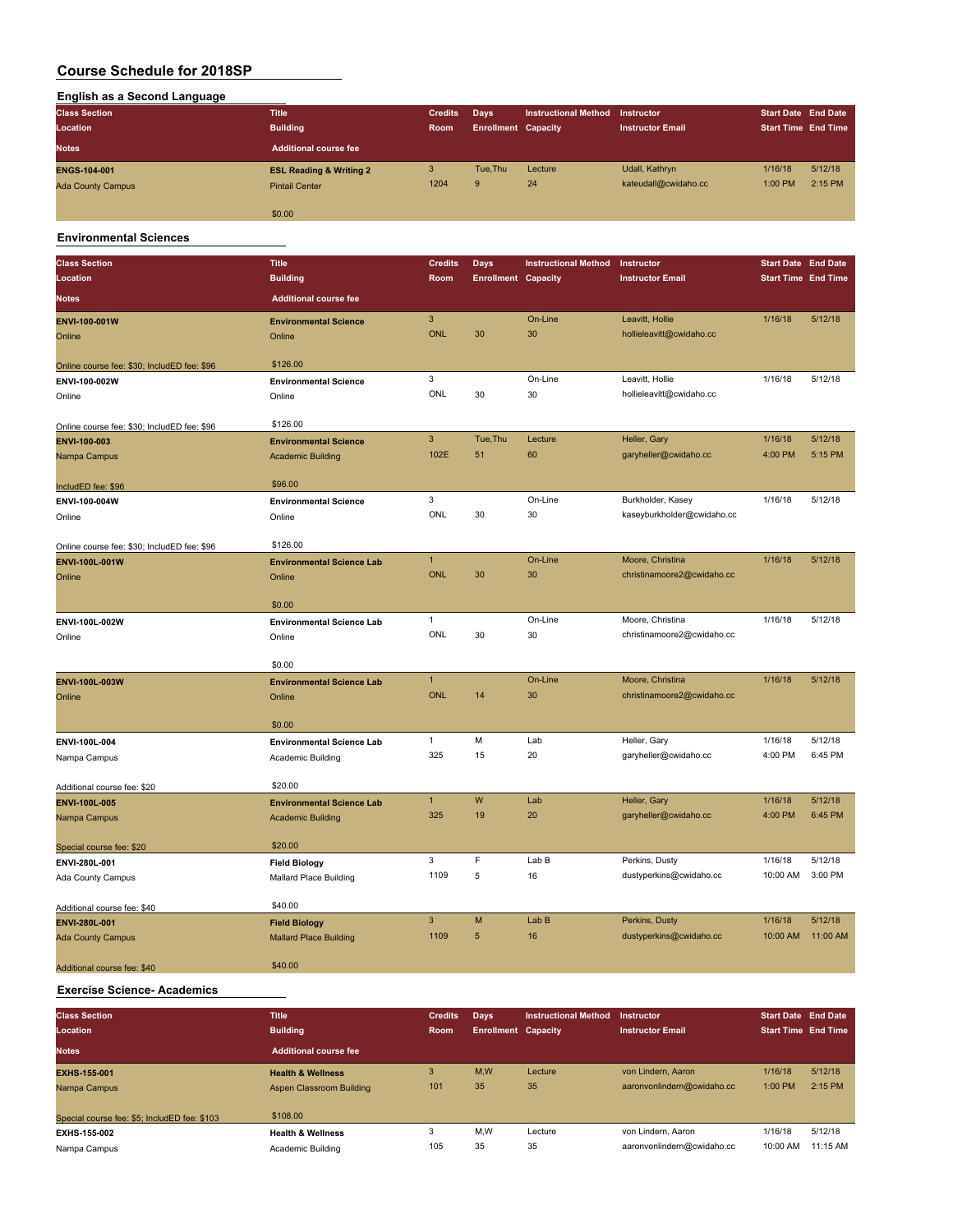| <b>English as a Second Language</b> |                                    |                |                            |                             |                         |                            |         |
|-------------------------------------|------------------------------------|----------------|----------------------------|-----------------------------|-------------------------|----------------------------|---------|
| <b>Class Section</b>                | <b>Title</b>                       | <b>Credits</b> | Days                       | <b>Instructional Method</b> | Instructor              | <b>Start Date End Date</b> |         |
| Location                            | <b>Building</b>                    | Room           | <b>Enrollment Capacity</b> |                             | <b>Instructor Email</b> | <b>Start Time End Time</b> |         |
| <b>Notes</b>                        | Additional course fee              |                |                            |                             |                         |                            |         |
| <b>ENGS-104-001</b>                 | <b>ESL Reading &amp; Writing 2</b> | 3              | Tue.Thu                    | Lecture                     | Udall, Kathryn          | 1/16/18                    | 5/12/18 |
| <b>Ada County Campus</b>            | <b>Pintail Center</b>              | 1204           | 9                          | 24                          | kateudall@cwidaho.cc    | 1:00 PM                    | 2:15 PM |
|                                     | \$0.00                             |                |                            |                             |                         |                            |         |

#### **Environmental Sciences**

| <b>Class Section</b>                        | <b>Title</b>                                                 | <b>Credits</b>       | Days                       | <b>Instructional Method</b> | Instructor                                     | <b>Start Date End Date</b> |                     |
|---------------------------------------------|--------------------------------------------------------------|----------------------|----------------------------|-----------------------------|------------------------------------------------|----------------------------|---------------------|
| Location                                    | <b>Building</b>                                              | Room                 | <b>Enrollment Capacity</b> |                             | <b>Instructor Email</b>                        | <b>Start Time End Time</b> |                     |
| <b>Notes</b>                                | <b>Additional course fee</b>                                 |                      |                            |                             |                                                |                            |                     |
| ENVI-100-001W                               | <b>Environmental Science</b>                                 | $\mathbf{3}$         |                            | On-Line                     | Leavitt, Hollie                                | 1/16/18                    | 5/12/18             |
| Online                                      | Online                                                       | <b>ONL</b>           | 30                         | 30                          | hollieleavitt@cwidaho.cc                       |                            |                     |
|                                             |                                                              |                      |                            |                             |                                                |                            |                     |
| Online course fee: \$30; IncludED fee: \$96 | \$126.00                                                     |                      |                            |                             |                                                |                            |                     |
| ENVI-100-002W                               | <b>Environmental Science</b>                                 | 3                    |                            | On-Line                     | Leavitt, Hollie                                | 1/16/18                    | 5/12/18             |
| Online                                      | Online                                                       | ONL                  | 30                         | 30                          | hollieleavitt@cwidaho.cc                       |                            |                     |
|                                             |                                                              |                      |                            |                             |                                                |                            |                     |
| Online course fee: \$30; IncludED fee: \$96 | \$126.00                                                     |                      |                            |                             |                                                |                            |                     |
| ENVI-100-003                                | <b>Environmental Science</b>                                 | 3<br>102E            | Tue, Thu                   | Lecture                     | Heller, Gary                                   | 1/16/18                    | 5/12/18             |
| Nampa Campus                                | <b>Academic Building</b>                                     |                      | 51                         | 60                          | garyheller@cwidaho.cc                          | 4:00 PM                    | 5:15 PM             |
| IncludED fee: \$96                          | \$96.00                                                      |                      |                            |                             |                                                |                            |                     |
| ENVI-100-004W                               | <b>Environmental Science</b>                                 | 3                    |                            | On-Line                     | Burkholder, Kasey                              | 1/16/18                    | 5/12/18             |
| Online                                      | Online                                                       | ONL                  | 30                         | 30                          | kaseyburkholder@cwidaho.cc                     |                            |                     |
|                                             |                                                              |                      |                            |                             |                                                |                            |                     |
| Online course fee: \$30; IncludED fee: \$96 | \$126.00                                                     |                      |                            |                             |                                                |                            |                     |
| ENVI-100L-001W                              | <b>Environmental Science Lab</b>                             | $\mathbf{1}$         |                            | On-Line                     | Moore, Christina                               | 1/16/18                    | 5/12/18             |
| Online                                      | Online                                                       | <b>ONL</b>           | 30                         | 30                          | christinamoore2@cwidaho.cc                     |                            |                     |
|                                             |                                                              |                      |                            |                             |                                                |                            |                     |
|                                             | \$0.00                                                       | $\mathbf{1}$         |                            | On-Line                     |                                                |                            | 5/12/18             |
| ENVI-100L-002W                              | <b>Environmental Science Lab</b>                             | <b>ONL</b>           | 30                         | 30                          | Moore, Christina<br>christinamoore2@cwidaho.cc | 1/16/18                    |                     |
| Online                                      | Online                                                       |                      |                            |                             |                                                |                            |                     |
|                                             | \$0.00                                                       |                      |                            |                             |                                                |                            |                     |
| ENVI-100L-003W                              | <b>Environmental Science Lab</b>                             | $\mathbf{1}$         |                            | On-Line                     | Moore, Christina                               | 1/16/18                    | 5/12/18             |
| Online                                      | Online                                                       | <b>ONL</b>           | 14                         | 30                          | christinamoore2@cwidaho.cc                     |                            |                     |
|                                             |                                                              |                      |                            |                             |                                                |                            |                     |
|                                             | \$0.00                                                       |                      |                            |                             |                                                |                            |                     |
| ENVI-100L-004                               | <b>Environmental Science Lab</b>                             | $\mathbf{1}$         | M                          | Lab                         | Heller, Gary                                   | 1/16/18                    | 5/12/18             |
| Nampa Campus                                | Academic Building                                            | 325                  | 15                         | 20                          | garyheller@cwidaho.cc                          | 4:00 PM                    | 6:45 PM             |
|                                             | \$20.00                                                      |                      |                            |                             |                                                |                            |                     |
| Additional course fee: \$20                 |                                                              | $\mathbf{1}$         | W                          | Lab                         | Heller, Gary                                   | 1/16/18                    | 5/12/18             |
| <b>ENVI-100L-005</b><br>Nampa Campus        | <b>Environmental Science Lab</b><br><b>Academic Building</b> | 325                  | 19                         | 20                          | garyheller@cwidaho.cc                          | 4:00 PM                    | 6:45 PM             |
|                                             |                                                              |                      |                            |                             |                                                |                            |                     |
| Special course fee: \$20                    | \$20.00                                                      |                      |                            |                             |                                                |                            |                     |
| ENVI-280L-001                               | <b>Field Biology</b>                                         | 3                    | F                          | Lab B                       | Perkins, Dusty                                 | 1/16/18                    | 5/12/18             |
| Ada County Campus                           | <b>Mallard Place Building</b>                                | 1109                 | 5                          | 16                          | dustyperkins@cwidaho.cc                        | 10:00 AM                   | 3:00 PM             |
|                                             |                                                              |                      |                            |                             |                                                |                            |                     |
| Additional course fee: \$40                 | \$40.00                                                      |                      |                            |                             |                                                |                            |                     |
| ENVI-280L-001                               | <b>Field Biology</b>                                         | $\mathbf{3}$<br>1109 | M<br>5                     | Lab <sub>B</sub><br>16      | Perkins, Dusty                                 | 1/16/18<br>10:00 AM        | 5/12/18<br>11:00 AM |
| <b>Ada County Campus</b>                    | <b>Mallard Place Building</b>                                |                      |                            |                             | dustyperkins@cwidaho.cc                        |                            |                     |
| Additional course fee: \$40                 | \$40.00                                                      |                      |                            |                             |                                                |                            |                     |
|                                             |                                                              |                      |                            |                             |                                                |                            |                     |

#### **Exercise Science- Academics**

| <b>Class Section</b><br>Location             | <b>Title</b><br><b>Building</b> | <b>Credits</b><br><b>Room</b> | Days<br><b>Enrollment Capacity</b> | <b>Instructional Method</b> | Instructor<br><b>Instructor Email</b> | <b>Start Date End Date</b><br><b>Start Time End Time</b> |          |
|----------------------------------------------|---------------------------------|-------------------------------|------------------------------------|-----------------------------|---------------------------------------|----------------------------------------------------------|----------|
| <b>Notes</b>                                 | <b>Additional course fee</b>    |                               |                                    |                             |                                       |                                                          |          |
| <b>EXHS-155-001</b>                          | <b>Health &amp; Wellness</b>    | 3                             | M,W                                | Lecture                     | von Lindern, Aaron                    | 1/16/18                                                  | 5/12/18  |
| Nampa Campus                                 | Aspen Classroom Building        | 101                           | 35                                 | 35                          | aaronvonlindern@cwidaho.cc            | 1:00 PM                                                  | 2:15 PM  |
| Special course fee: \$5; IncludED fee: \$103 | \$108.00                        |                               |                                    |                             |                                       |                                                          |          |
| EXHS-155-002                                 | <b>Health &amp; Wellness</b>    | 3                             | M,W                                | Lecture                     | von Lindern, Aaron                    | 1/16/18                                                  | 5/12/18  |
| Nampa Campus                                 | Academic Building               | 105                           | 35                                 | 35                          | aaronvonlindern@cwidaho.cc            | 10:00 AM                                                 | 11:15 AM |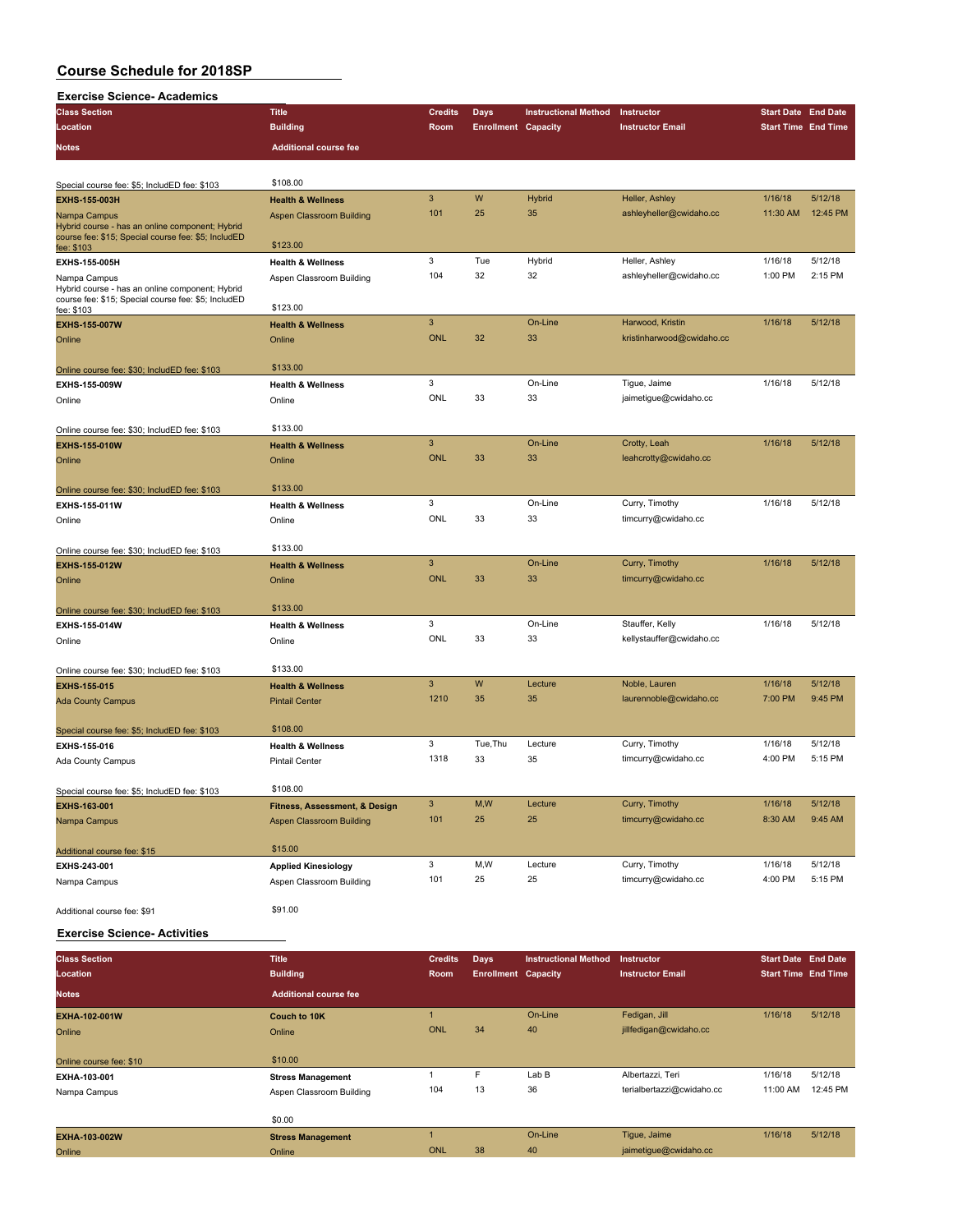| <b>Exercise Science- Academics</b>                                                                                     |                                             |                           |                            |                             |                                               |                            |          |
|------------------------------------------------------------------------------------------------------------------------|---------------------------------------------|---------------------------|----------------------------|-----------------------------|-----------------------------------------------|----------------------------|----------|
| <b>Class Section</b>                                                                                                   | <b>Title</b>                                | <b>Credits</b>            | Days                       | <b>Instructional Method</b> | Instructor                                    | <b>Start Date End Date</b> |          |
| Location                                                                                                               | <b>Building</b>                             | Room                      | <b>Enrollment Capacity</b> |                             | <b>Instructor Email</b>                       | <b>Start Time End Time</b> |          |
| <b>Notes</b>                                                                                                           | <b>Additional course fee</b>                |                           |                            |                             |                                               |                            |          |
|                                                                                                                        | \$108.00                                    |                           |                            |                             |                                               |                            |          |
| Special course fee: \$5; IncludED fee: \$103                                                                           |                                             | $\overline{3}$            | W                          |                             | Heller, Ashley                                | 1/16/18                    | 5/12/18  |
| <b>EXHS-155-003H</b>                                                                                                   | <b>Health &amp; Wellness</b>                | 101                       | 25                         | <b>Hybrid</b><br>35         | ashleyheller@cwidaho.cc                       | 11:30 AM                   | 12:45 PM |
| Nampa Campus<br>Hybrid course - has an online component; Hybrid<br>course fee: \$15; Special course fee: \$5; IncludED | <b>Aspen Classroom Building</b><br>\$123.00 |                           |                            |                             |                                               |                            |          |
| fee: \$103<br>EXHS-155-005H                                                                                            | <b>Health &amp; Wellness</b>                | 3                         | Tue                        | Hybrid                      | Heller, Ashley                                | 1/16/18                    | 5/12/18  |
| Nampa Campus                                                                                                           | Aspen Classroom Building                    | 104                       | 32                         | 32                          | ashleyheller@cwidaho.cc                       | 1:00 PM                    | 2:15 PM  |
| Hybrid course - has an online component; Hybrid<br>course fee: \$15; Special course fee: \$5; IncludED                 | \$123.00                                    |                           |                            |                             |                                               |                            |          |
| fee: \$103                                                                                                             |                                             | $\ensuremath{\mathsf{3}}$ |                            |                             |                                               |                            |          |
| <b>EXHS-155-007W</b>                                                                                                   | <b>Health &amp; Wellness</b>                | <b>ONL</b>                | 32                         | On-Line<br>33               | Harwood, Kristin<br>kristinharwood@cwidaho.cc | 1/16/18                    | 5/12/18  |
| Online                                                                                                                 | Online                                      |                           |                            |                             |                                               |                            |          |
| Online course fee: \$30; IncludED fee: \$103                                                                           | \$133.00                                    |                           |                            |                             |                                               |                            |          |
| EXHS-155-009W                                                                                                          | <b>Health &amp; Wellness</b>                | 3                         |                            | On-Line                     | Tigue, Jaime                                  | 1/16/18                    | 5/12/18  |
| Online                                                                                                                 | Online                                      | ONL                       | 33                         | 33                          | jaimetigue@cwidaho.cc                         |                            |          |
| Online course fee: \$30; IncludED fee: \$103                                                                           | \$133.00                                    |                           |                            |                             |                                               |                            |          |
| <b>EXHS-155-010W</b>                                                                                                   | <b>Health &amp; Wellness</b>                | 3                         |                            | On-Line                     | Crotty, Leah                                  | 1/16/18                    | 5/12/18  |
| Online                                                                                                                 | Online                                      | <b>ONL</b>                | 33                         | 33                          | leahcrotty@cwidaho.cc                         |                            |          |
|                                                                                                                        |                                             |                           |                            |                             |                                               |                            |          |
| Online course fee: \$30; IncludED fee: \$103                                                                           | \$133.00                                    |                           |                            |                             |                                               |                            |          |
| EXHS-155-011W                                                                                                          | <b>Health &amp; Wellness</b>                | 3                         |                            | On-Line                     | Curry, Timothy                                | 1/16/18                    | 5/12/18  |
| Online                                                                                                                 | Online                                      | ONL                       | 33                         | 33                          | timcurry@cwidaho.cc                           |                            |          |
| Online course fee: \$30; IncludED fee: \$103                                                                           | \$133.00                                    |                           |                            |                             |                                               |                            |          |
| <b>EXHS-155-012W</b>                                                                                                   | <b>Health &amp; Wellness</b>                | $\overline{3}$            |                            | On-Line                     | Curry, Timothy                                | 1/16/18                    | 5/12/18  |
| Online                                                                                                                 | Online                                      | <b>ONL</b>                | 33                         | 33                          | timcurry@cwidaho.cc                           |                            |          |
| Online course fee: \$30; IncludED fee: \$103                                                                           | \$133.00                                    |                           |                            |                             |                                               |                            |          |
| EXHS-155-014W                                                                                                          | <b>Health &amp; Wellness</b>                | 3                         |                            | On-Line                     | Stauffer, Kelly                               | 1/16/18                    | 5/12/18  |
| Online                                                                                                                 | Online                                      | ONL                       | 33                         | 33                          | kellystauffer@cwidaho.cc                      |                            |          |
|                                                                                                                        |                                             |                           |                            |                             |                                               |                            |          |
| Online course fee: \$30; IncludED fee: \$103                                                                           | \$133.00                                    |                           |                            |                             |                                               |                            |          |
| <b>EXHS-155-015</b>                                                                                                    | <b>Health &amp; Wellness</b>                | 3                         | W                          | Lecture                     | Noble, Lauren                                 | 1/16/18                    | 5/12/18  |
| <b>Ada County Campus</b>                                                                                               | <b>Pintail Center</b>                       | 1210                      | 35                         | 35                          | laurennoble@cwidaho.cc                        | 7:00 PM                    | 9:45 PM  |
| Special course fee: \$5; IncludED fee: \$103                                                                           | \$108.00                                    |                           |                            |                             |                                               |                            |          |
| EXHS-155-016                                                                                                           | <b>Health &amp; Wellness</b>                | 3                         | Tue, Thu                   | Lecture                     | Curry, Timothy                                | 1/16/18                    | 5/12/18  |
| Ada County Campus                                                                                                      | <b>Pintail Center</b>                       | 1318                      | 33                         | 35                          | timcurry@cwidaho.cc                           | 4:00 PM                    | 5:15 PM  |
|                                                                                                                        |                                             |                           |                            |                             |                                               |                            |          |
| Special course fee: \$5; IncludED fee: \$103                                                                           | \$108.00                                    |                           |                            |                             |                                               |                            |          |
| EXHS-163-001                                                                                                           | Fitness, Assessment, & Design               | 3                         | M, W                       | Lecture                     | Curry, Timothy                                | 1/16/18                    | 5/12/18  |
| Nampa Campus                                                                                                           | Aspen Classroom Building                    | 101                       | 25                         | 25                          | timcurry@cwidaho.cc                           | 8:30 AM                    | 9:45 AM  |
| Additional course fee: \$15                                                                                            | \$15.00                                     |                           |                            |                             |                                               |                            |          |
| EXHS-243-001                                                                                                           | <b>Applied Kinesiology</b>                  | 3                         | M,W                        | Lecture                     | Curry, Timothy                                | 1/16/18                    | 5/12/18  |
| Nampa Campus                                                                                                           | Aspen Classroom Building                    | 101                       | 25                         | 25                          | timcurry@cwidaho.cc                           | 4:00 PM                    | 5:15 PM  |
| Additional course fee: \$91                                                                                            | \$91.00                                     |                           |                            |                             |                                               |                            |          |

#### **Exercise Science- Activities**

| <b>Class Section</b>    | <b>Title</b>                 | <b>Credits</b> | Days                       | <b>Instructional Method</b> | <b>Instructor</b>         | <b>Start Date End Date</b> |          |
|-------------------------|------------------------------|----------------|----------------------------|-----------------------------|---------------------------|----------------------------|----------|
| Location                | <b>Building</b>              | Room           | <b>Enrollment Capacity</b> |                             | <b>Instructor Email</b>   | <b>Start Time End Time</b> |          |
| <b>Notes</b>            | <b>Additional course fee</b> |                |                            |                             |                           |                            |          |
| EXHA-102-001W           | Couch to 10K                 |                |                            | On-Line                     | Fedigan, Jill             | 1/16/18                    | 5/12/18  |
| Online                  | Online                       | <b>ONL</b>     | 34                         | 40                          | jillfedigan@cwidaho.cc    |                            |          |
|                         |                              |                |                            |                             |                           |                            |          |
| Online course fee: \$10 | \$10.00                      |                |                            |                             |                           |                            |          |
| EXHA-103-001            | <b>Stress Management</b>     |                | F                          | Lab B                       | Albertazzi, Teri          | 1/16/18                    | 5/12/18  |
| Nampa Campus            | Aspen Classroom Building     | 104            | 13                         | 36                          | terialbertazzi@cwidaho.cc | 11:00 AM                   | 12:45 PM |
|                         |                              |                |                            |                             |                           |                            |          |
|                         | \$0.00                       |                |                            |                             |                           |                            |          |
| <b>EXHA-103-002W</b>    | <b>Stress Management</b>     |                |                            | On-Line                     | Tique, Jaime              | 1/16/18                    | 5/12/18  |
| Online                  | Online                       | ONL            | 38 <sup>1</sup>            | 40                          | jaimetique@cwidaho.cc     |                            |          |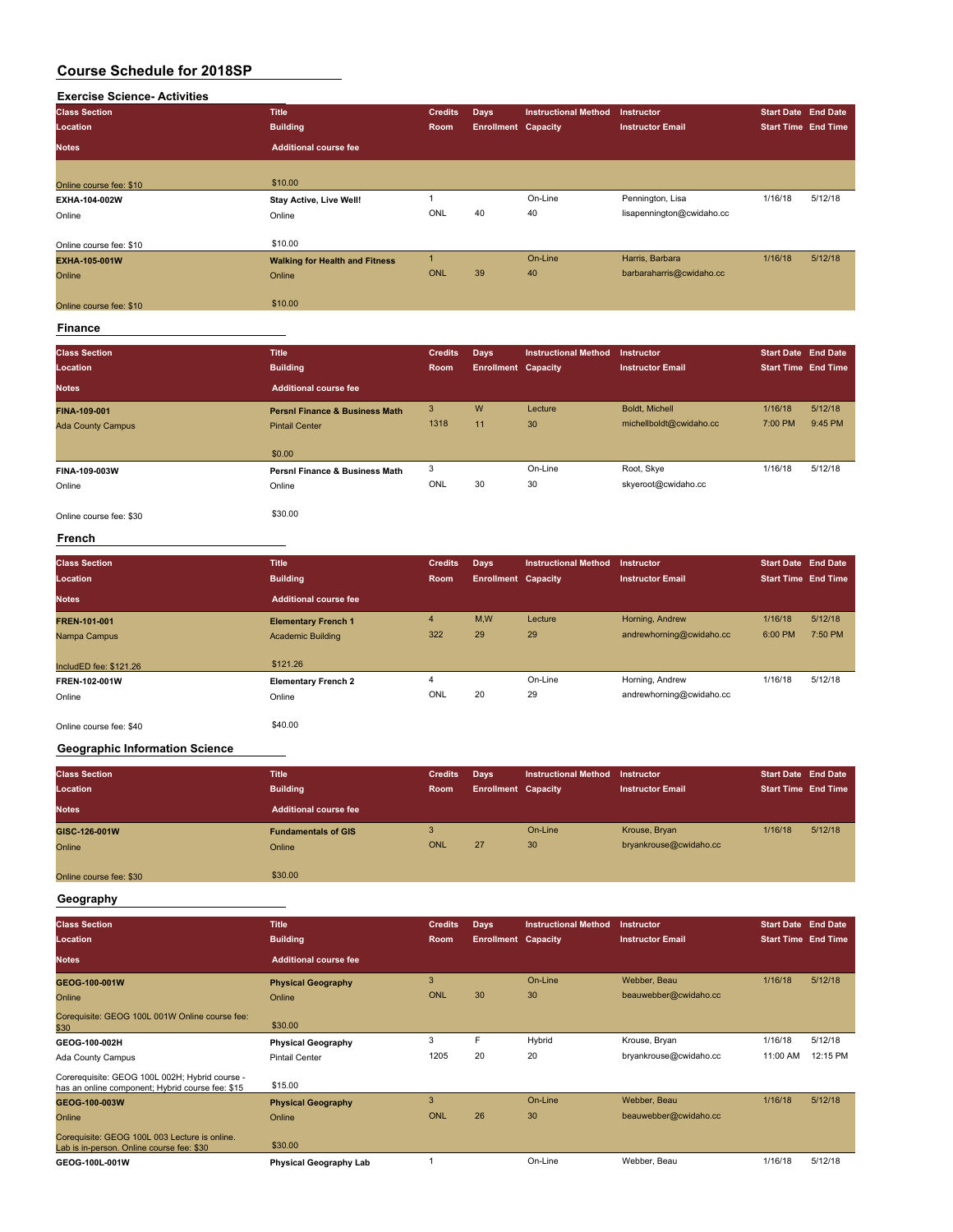# **Exercise Science- Activities Class Section Title Credits Days Instructional Method Instructor Start Date End Date Location Building Room Enrollment Capacity Instructor Email Start Time End Time Notes Additional course fee** Online course fee: \$10 \$10.00 **EXHA-104-002W Stay Active, Live Well!** 1 On-Line Pennington, Lisa 1/16/18 5/12/18<br>
20 Online Online Online ONL 40 40 Iisapennington@cwidaho.cc Online Online ONL 40 40 lisapennington@cwidaho.cc Online course fee: \$10 **EXHA-105-001W EXHA-105-001W Walking for Health and Fitness** 1 On-Line Harris, Barbara 1/16/18 5/12/18<br>Coline Online Online Harris@cwidaho.cc Online Online ONL 39 40 barbaraharris@cwidaho.cc online course fee: \$10 \$10.00

#### **Finance**

| <b>Class Section</b><br>Location | <b>Title</b><br><b>Building</b>           | <b>Credits</b><br>Room | Days<br><b>Enrollment Capacity</b> | <b>Instructional Method</b> | Instructor<br><b>Instructor Email</b> | <b>Start Date End Date</b><br><b>Start Time End Time</b> |         |
|----------------------------------|-------------------------------------------|------------------------|------------------------------------|-----------------------------|---------------------------------------|----------------------------------------------------------|---------|
| <b>Notes</b>                     | <b>Additional course fee</b>              |                        |                                    |                             |                                       |                                                          |         |
| FINA-109-001                     | <b>Persni Finance &amp; Business Math</b> | 3                      | W                                  | Lecture                     | Boldt, Michell                        | 1/16/18                                                  | 5/12/18 |
| <b>Ada County Campus</b>         | <b>Pintail Center</b>                     | 1318                   | 11                                 | 30                          | michellboldt@cwidaho.cc               | 7:00 PM                                                  | 9:45 PM |
|                                  | \$0.00                                    |                        |                                    |                             |                                       |                                                          |         |
| FINA-109-003W                    | Persni Finance & Business Math            | 3                      |                                    | On-Line                     | Root, Skye                            | 1/16/18                                                  | 5/12/18 |
| Online                           | Online                                    | ONL                    | 30                                 | 30                          | skyeroot@cwidaho.cc                   |                                                          |         |
| Online course fee: \$30          | \$30.00                                   |                        |                                    |                             |                                       |                                                          |         |

#### **French**

| <b>Class Section</b><br>Location | <b>Title</b><br><b>Building</b>                        | <b>Credits</b><br>Room | <b>Days</b><br><b>Enrollment Capacity</b> | <b>Instructional Method</b> | <b>Instructor</b><br><b>Instructor Email</b> | <b>Start Date End Date</b><br><b>Start Time End Time</b> |                    |
|----------------------------------|--------------------------------------------------------|------------------------|-------------------------------------------|-----------------------------|----------------------------------------------|----------------------------------------------------------|--------------------|
| <b>Notes</b>                     | <b>Additional course fee</b>                           |                        |                                           |                             |                                              |                                                          |                    |
| FREN-101-001<br>Nampa Campus     | <b>Elementary French 1</b><br><b>Academic Building</b> | $\overline{4}$<br>322  | M,W<br>29                                 | Lecture<br>29               | Horning, Andrew<br>andrewhorning@cwidaho.cc  | 1/16/18<br>6:00 PM                                       | 5/12/18<br>7:50 PM |
| IncludED fee: \$121.26           | \$121.26                                               |                        |                                           |                             |                                              |                                                          |                    |
| FREN-102-001W                    | <b>Elementary French 2</b>                             | 4                      |                                           | On-Line                     | Horning, Andrew                              | 1/16/18                                                  | 5/12/18            |
| Online                           | Online                                                 | ONL                    | 20                                        | 29                          | andrewhorning@cwidaho.cc                     |                                                          |                    |
| Online course fee: \$40          | \$40.00                                                |                        |                                           |                             |                                              |                                                          |                    |

#### **Geographic Information Science**

| <b>Class Section</b><br>Location<br><b>Notes</b> | <b>Title</b><br><b>Building</b><br><b>Additional course fee</b> | <b>Credits</b><br>Room | Days<br><b>Enrollment Capacity</b> | Instructional Method | Instructor<br><b>Instructor Email</b>   | <b>Start Date End Date</b><br><b>Start Time End Time</b> |         |
|--------------------------------------------------|-----------------------------------------------------------------|------------------------|------------------------------------|----------------------|-----------------------------------------|----------------------------------------------------------|---------|
| GISC-126-001W<br>Online                          | <b>Fundamentals of GIS</b><br>Online                            | 3<br>ONL               | 27                                 | On-Line<br>30        | Krouse, Bryan<br>bryankrouse@cwidaho.cc | 1/16/18                                                  | 5/12/18 |
| Online course fee: \$30                          | \$30.00                                                         |                        |                                    |                      |                                         |                                                          |         |

#### **Geography**

| <b>Class Section</b>                                                                               | <b>Title</b>                  | <b>Credits</b> | Days                       | <b>Instructional Method</b> | <b>Instructor</b>       | <b>Start Date End Date</b> |          |
|----------------------------------------------------------------------------------------------------|-------------------------------|----------------|----------------------------|-----------------------------|-------------------------|----------------------------|----------|
| Location                                                                                           | <b>Building</b>               | <b>Room</b>    | <b>Enrollment Capacity</b> |                             | <b>Instructor Email</b> | <b>Start Time End Time</b> |          |
| <b>Notes</b>                                                                                       | <b>Additional course fee</b>  |                |                            |                             |                         |                            |          |
| GEOG-100-001W                                                                                      | <b>Physical Geography</b>     | 3              |                            | On-Line                     | Webber, Beau            | 1/16/18                    | 5/12/18  |
| Online                                                                                             | Online                        | ONL            | 30                         | 30                          | beauwebber@cwidaho.cc   |                            |          |
| Corequisite: GEOG 100L 001W Online course fee:<br>\$30                                             | \$30.00                       |                |                            |                             |                         |                            |          |
| GEOG-100-002H                                                                                      | <b>Physical Geography</b>     | 3              | F                          | Hybrid                      | Krouse, Bryan           | 1/16/18                    | 5/12/18  |
| Ada County Campus                                                                                  | <b>Pintail Center</b>         | 1205           | 20                         | 20                          | bryankrouse@cwidaho.cc  | 11:00 AM                   | 12:15 PM |
| Corerequisite: GEOG 100L 002H; Hybrid course -<br>has an online component; Hybrid course fee: \$15 | \$15.00                       |                |                            |                             |                         |                            |          |
| GEOG-100-003W                                                                                      | <b>Physical Geography</b>     | 3              |                            | On-Line                     | Webber, Beau            | 1/16/18                    | 5/12/18  |
| Online                                                                                             | Online                        | ONL            | 26                         | 30                          | beauwebber@cwidaho.cc   |                            |          |
| Corequisite: GEOG 100L 003 Lecture is online.<br>Lab is in-person. Online course fee: \$30         | \$30.00                       |                |                            |                             |                         |                            |          |
| GEOG-100L-001W                                                                                     | <b>Physical Geography Lab</b> |                |                            | On-Line                     | Webber, Beau            | 1/16/18                    | 5/12/18  |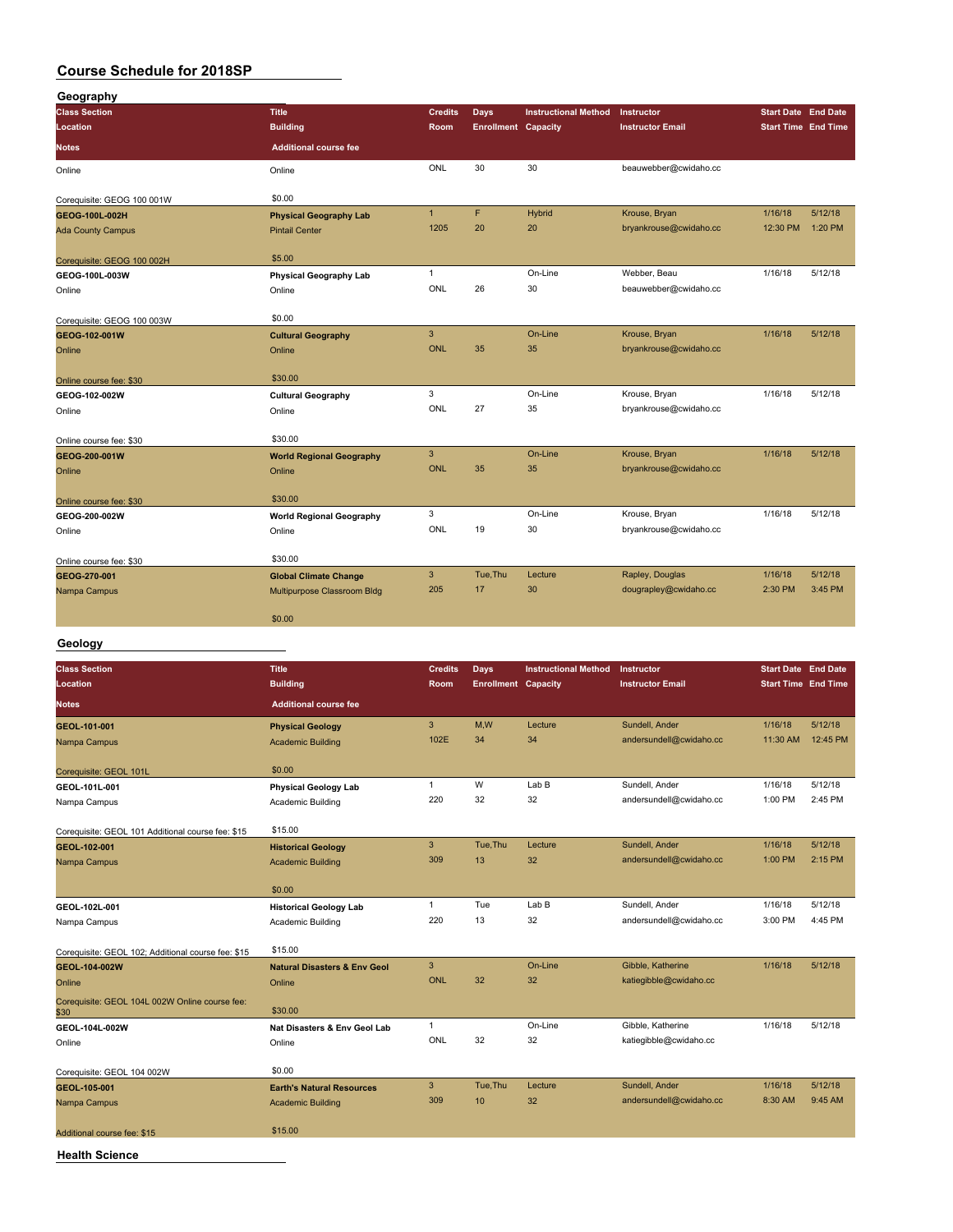| Geography                  |                                 |                |                            |                             |                         |                            |                            |
|----------------------------|---------------------------------|----------------|----------------------------|-----------------------------|-------------------------|----------------------------|----------------------------|
| <b>Class Section</b>       | <b>Title</b>                    | <b>Credits</b> | Days                       | <b>Instructional Method</b> | Instructor              | <b>Start Date End Date</b> |                            |
| Location                   | <b>Building</b>                 | Room           | <b>Enrollment Capacity</b> |                             | <b>Instructor Email</b> |                            | <b>Start Time End Time</b> |
| <b>Notes</b>               | <b>Additional course fee</b>    |                |                            |                             |                         |                            |                            |
| Online                     | Online                          | ONL            | 30                         | 30                          | beauwebber@cwidaho.cc   |                            |                            |
| Corequisite: GEOG 100 001W | \$0.00                          |                |                            |                             |                         |                            |                            |
| GEOG-100L-002H             | <b>Physical Geography Lab</b>   | $\mathbf{1}$   | F                          | Hybrid                      | Krouse, Bryan           | 1/16/18                    | 5/12/18                    |
| <b>Ada County Campus</b>   | <b>Pintail Center</b>           | 1205           | 20                         | 20                          | bryankrouse@cwidaho.cc  | 12:30 PM                   | 1:20 PM                    |
| Corequisite: GEOG 100 002H | \$5.00                          |                |                            |                             |                         |                            |                            |
| GEOG-100L-003W             | <b>Physical Geography Lab</b>   | $\mathbf{1}$   |                            | On-Line                     | Webber, Beau            | 1/16/18                    | 5/12/18                    |
| Online                     | Online                          | ONL            | 26                         | 30                          | beauwebber@cwidaho.cc   |                            |                            |
| Corequisite: GEOG 100 003W | \$0.00                          |                |                            |                             |                         |                            |                            |
| GEOG-102-001W              | <b>Cultural Geography</b>       | $\mathbf{3}$   |                            | On-Line                     | Krouse, Bryan           | 1/16/18                    | 5/12/18                    |
| Online                     | Online                          | <b>ONL</b>     | 35                         | 35                          | bryankrouse@cwidaho.cc  |                            |                            |
| Online course fee: \$30    | \$30.00                         |                |                            |                             |                         |                            |                            |
| GEOG-102-002W              | <b>Cultural Geography</b>       | 3              |                            | On-Line                     | Krouse, Bryan           | 1/16/18                    | 5/12/18                    |
| Online                     | Online                          | ONL            | 27                         | 35                          | bryankrouse@cwidaho.cc  |                            |                            |
| Online course fee: \$30    | \$30.00                         |                |                            |                             |                         |                            |                            |
| GEOG-200-001W              | <b>World Regional Geography</b> | 3              |                            | On-Line                     | Krouse, Bryan           | 1/16/18                    | 5/12/18                    |
| Online                     | Online                          | <b>ONL</b>     | 35                         | 35                          | bryankrouse@cwidaho.cc  |                            |                            |
| Online course fee: \$30    | \$30.00                         |                |                            |                             |                         |                            |                            |
| GEOG-200-002W              | <b>World Regional Geography</b> | 3              |                            | On-Line                     | Krouse, Bryan           | 1/16/18                    | 5/12/18                    |
| Online                     | Online                          | ONL            | 19                         | 30                          | bryankrouse@cwidaho.cc  |                            |                            |
| Online course fee: \$30    | \$30.00                         |                |                            |                             |                         |                            |                            |
| GEOG-270-001               | <b>Global Climate Change</b>    | 3              | Tue, Thu                   | Lecture                     | Rapley, Douglas         | 1/16/18                    | 5/12/18                    |
| Nampa Campus               | Multipurpose Classroom Bldg     | 205            | 17                         | 30                          | dougrapley@cwidaho.cc   | 2:30 PM                    | 3:45 PM                    |
|                            | \$0.00                          |                |                            |                             |                         |                            |                            |

#### **Geology**

| <b>Class Section</b>                                   | <b>Title</b>                            | <b>Credits</b> | <b>Days</b>                | <b>Instructional Method</b> | Instructor              | <b>Start Date End Date</b> |          |
|--------------------------------------------------------|-----------------------------------------|----------------|----------------------------|-----------------------------|-------------------------|----------------------------|----------|
| Location                                               | <b>Building</b>                         | Room           | <b>Enrollment Capacity</b> |                             | <b>Instructor Email</b> | <b>Start Time End Time</b> |          |
| <b>Notes</b>                                           | <b>Additional course fee</b>            |                |                            |                             |                         |                            |          |
| GEOL-101-001                                           | <b>Physical Geology</b>                 | 3              | M.W                        | Lecture                     | Sundell, Ander          | 1/16/18                    | 5/12/18  |
| Nampa Campus                                           | <b>Academic Building</b>                | 102E           | 34                         | 34                          | andersundell@cwidaho.cc | 11:30 AM                   | 12:45 PM |
| Corequisite: GEOL 101L                                 | \$0.00                                  |                |                            |                             |                         |                            |          |
| GEOL-101L-001                                          | <b>Physical Geology Lab</b>             | $\mathbf{1}$   | W                          | Lab B                       | Sundell, Ander          | 1/16/18                    | 5/12/18  |
| Nampa Campus                                           | Academic Building                       | 220            | 32                         | 32                          | andersundell@cwidaho.cc | 1:00 PM                    | 2:45 PM  |
| Corequisite: GEOL 101 Additional course fee: \$15      | \$15.00                                 |                |                            |                             |                         |                            |          |
| GEOL-102-001                                           | <b>Historical Geology</b>               | 3              | Tue.Thu                    | Lecture                     | Sundell, Ander          | 1/16/18                    | 5/12/18  |
| Nampa Campus                                           | <b>Academic Building</b>                | 309            | 13                         | 32                          | andersundell@cwidaho.cc | 1:00 PM                    | 2:15 PM  |
|                                                        | \$0.00                                  |                |                            |                             |                         |                            |          |
| GEOL-102L-001                                          | <b>Historical Geology Lab</b>           | $\mathbf{1}$   | Tue                        | Lab B                       | Sundell, Ander          | 1/16/18                    | 5/12/18  |
| Nampa Campus                                           | Academic Building                       | 220            | 13                         | 32                          | andersundell@cwidaho.cc | 3:00 PM                    | 4:45 PM  |
| Corequisite: GEOL 102; Additional course fee: \$15     | \$15.00                                 |                |                            |                             |                         |                            |          |
| GEOL-104-002W                                          | <b>Natural Disasters &amp; Env Geol</b> | 3              |                            | On-Line                     | Gibble, Katherine       | 1/16/18                    | 5/12/18  |
| Online                                                 | Online                                  | <b>ONL</b>     | 32                         | 32                          | katiegibble@cwidaho.cc  |                            |          |
| Corequisite: GEOL 104L 002W Online course fee:<br>\$30 | \$30.00                                 |                |                            |                             |                         |                            |          |
| GEOL-104L-002W                                         | Nat Disasters & Env Geol Lab            | $\mathbf{1}$   |                            | On-Line                     | Gibble, Katherine       | 1/16/18                    | 5/12/18  |
| Online                                                 | Online                                  | ONL            | 32                         | 32                          | katiegibble@cwidaho.cc  |                            |          |
| Corequisite: GEOL 104 002W                             | \$0.00                                  |                |                            |                             |                         |                            |          |
| GEOL-105-001                                           | <b>Earth's Natural Resources</b>        | 3              | Tue, Thu                   | Lecture                     | Sundell, Ander          | 1/16/18                    | 5/12/18  |
| Nampa Campus                                           | <b>Academic Building</b>                | 309            | 10                         | 32                          | andersundell@cwidaho.cc | 8:30 AM                    | 9:45 AM  |
| Additional course fee: \$15                            | \$15.00                                 |                |                            |                             |                         |                            |          |
| <b>Health Science</b>                                  |                                         |                |                            |                             |                         |                            |          |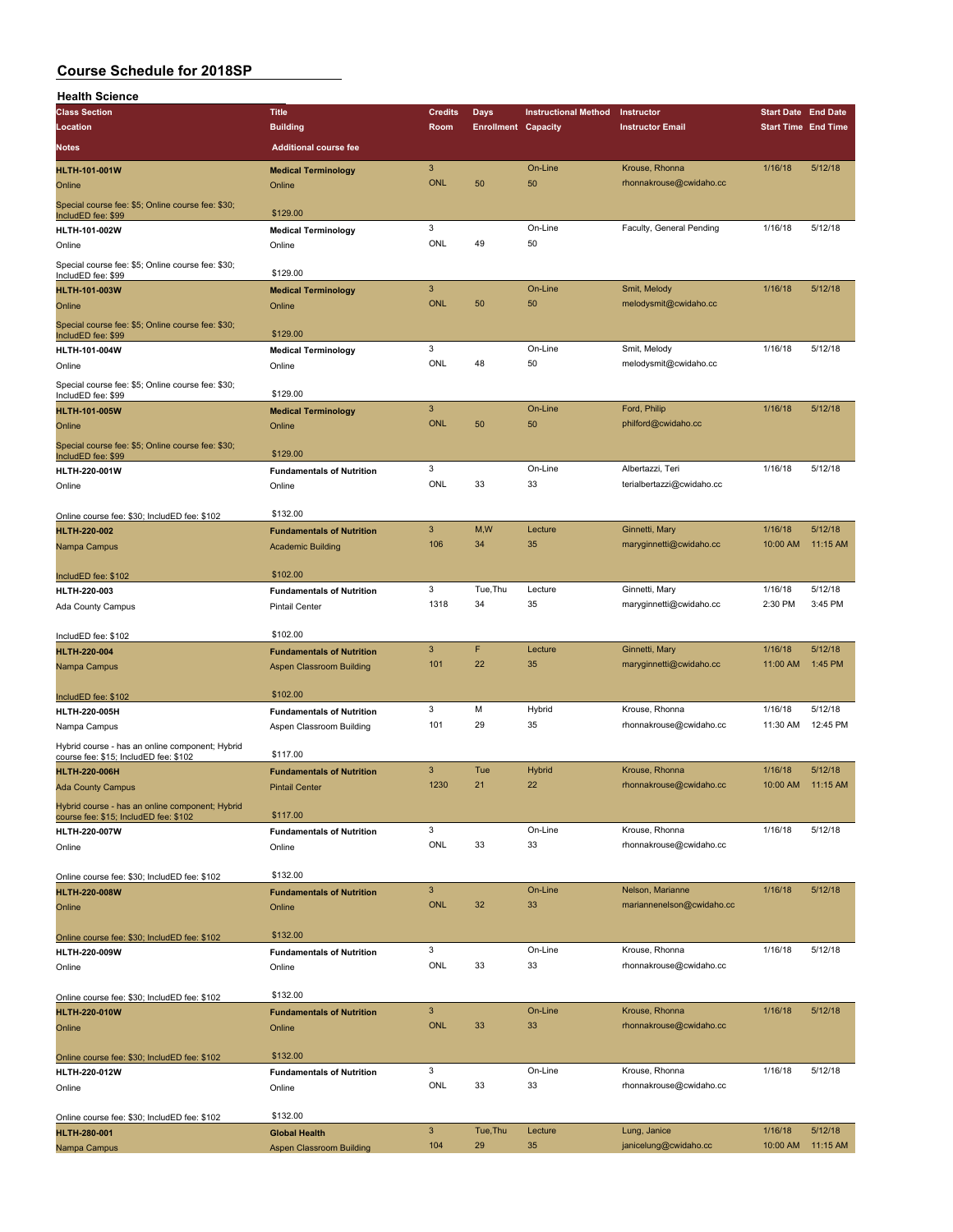| <b>Health Science</b>                                                                    |                                      |                           |                            |                             |                           |                            |          |
|------------------------------------------------------------------------------------------|--------------------------------------|---------------------------|----------------------------|-----------------------------|---------------------------|----------------------------|----------|
| <b>Class Section</b>                                                                     | <b>Title</b>                         | <b>Credits</b>            | <b>Days</b>                | <b>Instructional Method</b> | Instructor                | <b>Start Date End Date</b> |          |
| Location                                                                                 | <b>Building</b>                      | Room                      | <b>Enrollment Capacity</b> |                             | <b>Instructor Email</b>   | <b>Start Time End Time</b> |          |
| <b>Notes</b>                                                                             | <b>Additional course fee</b>         |                           |                            |                             |                           |                            |          |
|                                                                                          |                                      | 3                         |                            | On-Line                     | Krouse, Rhonna            | 1/16/18                    | 5/12/18  |
| <b>HLTH-101-001W</b><br>Online                                                           | <b>Medical Terminology</b><br>Online | <b>ONL</b>                | 50                         | 50                          | rhonnakrouse@cwidaho.cc   |                            |          |
| Special course fee: \$5; Online course fee: \$30;<br>IncludED fee: \$99                  | \$129.00                             |                           |                            |                             |                           |                            |          |
| HLTH-101-002W                                                                            | <b>Medical Terminology</b>           | 3                         |                            | On-Line                     | Faculty, General Pending  | 1/16/18                    | 5/12/18  |
| Online                                                                                   | Online                               | ONL                       | 49                         | 50                          |                           |                            |          |
| Special course fee: \$5; Online course fee: \$30;                                        |                                      |                           |                            |                             |                           |                            |          |
| IncludED fee: \$99                                                                       | \$129.00                             |                           |                            |                             |                           |                            |          |
| <b>HLTH-101-003W</b>                                                                     | <b>Medical Terminology</b>           | $\ensuremath{\mathsf{3}}$ | 50                         | On-Line                     | Smit, Melody              | 1/16/18                    | 5/12/18  |
| Online                                                                                   | Online                               | <b>ONL</b>                |                            | 50                          | melodysmit@cwidaho.cc     |                            |          |
| Special course fee: \$5; Online course fee: \$30;<br>IncludED fee: \$99                  | \$129.00                             |                           |                            |                             |                           |                            |          |
| HLTH-101-004W                                                                            | <b>Medical Terminology</b>           | 3                         |                            | On-Line                     | Smit, Melody              | 1/16/18                    | 5/12/18  |
| Online                                                                                   | Online                               | ONL                       | 48                         | 50                          | melodysmit@cwidaho.cc     |                            |          |
| Special course fee: \$5; Online course fee: \$30;<br>IncludED fee: \$99                  | \$129.00                             |                           |                            |                             |                           |                            |          |
| <b>HLTH-101-005W</b>                                                                     | <b>Medical Terminology</b>           | 3                         |                            | On-Line                     | Ford, Philip              | 1/16/18                    | 5/12/18  |
| Online                                                                                   | Online                               | <b>ONL</b>                | 50                         | 50                          | philford@cwidaho.cc       |                            |          |
| Special course fee: \$5; Online course fee: \$30;<br>IncludED fee: \$99                  | \$129.00                             |                           |                            |                             |                           |                            |          |
| HLTH-220-001W                                                                            | <b>Fundamentals of Nutrition</b>     | 3                         |                            | On-Line                     | Albertazzi, Teri          | 1/16/18                    | 5/12/18  |
| Online                                                                                   | Online                               | ONL                       | 33                         | 33                          | terialbertazzi@cwidaho.cc |                            |          |
| Online course fee: \$30; IncludED fee: \$102                                             | \$132.00                             |                           |                            |                             |                           |                            |          |
| <b>HLTH-220-002</b>                                                                      | <b>Fundamentals of Nutrition</b>     | 3                         | M,W                        | Lecture                     | Ginnetti, Mary            | 1/16/18                    | 5/12/18  |
| Nampa Campus                                                                             | <b>Academic Building</b>             | 106                       | 34                         | 35                          | maryginnetti@cwidaho.cc   | 10:00 AM                   | 11:15 AM |
| IncludED fee: \$102                                                                      | \$102.00                             |                           |                            |                             |                           |                            |          |
| HLTH-220-003                                                                             | <b>Fundamentals of Nutrition</b>     | 3                         | Tue, Thu                   | Lecture                     | Ginnetti, Mary            | 1/16/18                    | 5/12/18  |
| Ada County Campus                                                                        | <b>Pintail Center</b>                | 1318                      | 34                         | 35                          | maryginnetti@cwidaho.cc   | 2:30 PM                    | 3:45 PM  |
|                                                                                          |                                      |                           |                            |                             |                           |                            |          |
| IncludED fee: \$102                                                                      | \$102.00                             |                           |                            |                             |                           |                            |          |
| <b>HLTH-220-004</b>                                                                      | <b>Fundamentals of Nutrition</b>     | 3                         | F                          | Lecture                     | Ginnetti, Mary            | 1/16/18                    | 5/12/18  |
| Nampa Campus                                                                             | Aspen Classroom Building             | 101                       | 22                         | 35                          | maryginnetti@cwidaho.cc   | 11:00 AM                   | 1:45 PM  |
| IncludED fee: \$102                                                                      | \$102.00                             |                           |                            |                             |                           |                            |          |
| HLTH-220-005H                                                                            | <b>Fundamentals of Nutrition</b>     | 3                         | М                          | Hybrid                      | Krouse, Rhonna            | 1/16/18                    | 5/12/18  |
| Nampa Campus                                                                             | Aspen Classroom Building             | 101                       | 29                         | 35                          | rhonnakrouse@cwidaho.cc   | 11:30 AM                   | 12:45 PM |
| Hybrid course - has an online component; Hybrid<br>course fee: \$15; IncludED fee: \$102 | \$117.00                             |                           |                            |                             |                           |                            |          |
| <b>HLTH-220-006H</b>                                                                     | <b>Fundamentals of Nutrition</b>     | 3                         | Tue                        | Hybrid                      | Krouse, Rhonna            | 1/16/18                    | 5/12/18  |
| <b>Ada County Campus</b>                                                                 | <b>Pintail Center</b>                | 1230                      | 21                         | 22                          | rhonnakrouse@cwidaho.cc   | 10:00 AM                   | 11:15 AM |
| Hybrid course - has an online component; Hybrid                                          |                                      |                           |                            |                             |                           |                            |          |
| course fee: \$15; IncludED fee: \$102                                                    | \$117.00                             | 3                         |                            | On-Line                     | Krouse, Rhonna            | 1/16/18                    | 5/12/18  |
| HLTH-220-007W                                                                            | <b>Fundamentals of Nutrition</b>     | ONL                       | 33                         | 33                          | rhonnakrouse@cwidaho.cc   |                            |          |
| Online                                                                                   | Online                               |                           |                            |                             |                           |                            |          |
| Online course fee: \$30; IncludED fee: \$102                                             | \$132.00                             |                           |                            |                             |                           |                            |          |
| <b>HLTH-220-008W</b>                                                                     | <b>Fundamentals of Nutrition</b>     | $\ensuremath{\mathsf{3}}$ |                            | On-Line                     | Nelson, Marianne          | 1/16/18                    | 5/12/18  |
| Online                                                                                   | Online                               | <b>ONL</b>                | 32                         | 33                          | mariannenelson@cwidaho.cc |                            |          |
|                                                                                          |                                      |                           |                            |                             |                           |                            |          |
| Online course fee: \$30; IncludED fee: \$102                                             | \$132.00                             |                           |                            |                             |                           |                            |          |
| HLTH-220-009W                                                                            | <b>Fundamentals of Nutrition</b>     | 3                         |                            | On-Line                     | Krouse, Rhonna            | 1/16/18                    | 5/12/18  |
| Online                                                                                   | Online                               | ONL                       | 33                         | 33                          | rhonnakrouse@cwidaho.cc   |                            |          |
| Online course fee: \$30; IncludED fee: \$102                                             | \$132.00                             |                           |                            |                             |                           |                            |          |
| <b>HLTH-220-010W</b>                                                                     | <b>Fundamentals of Nutrition</b>     | $\mathbf{3}$              |                            | On-Line                     | Krouse, Rhonna            | 1/16/18                    | 5/12/18  |
| Online                                                                                   | Online                               | <b>ONL</b>                | 33                         | 33                          | rhonnakrouse@cwidaho.cc   |                            |          |
|                                                                                          |                                      |                           |                            |                             |                           |                            |          |
| Online course fee: \$30; IncludED fee: \$102                                             | \$132.00                             |                           |                            |                             |                           |                            |          |
| HLTH-220-012W                                                                            | <b>Fundamentals of Nutrition</b>     | 3                         |                            | On-Line                     | Krouse, Rhonna            | 1/16/18                    | 5/12/18  |
| Online                                                                                   | Online                               | ONL                       | 33                         | 33                          | rhonnakrouse@cwidaho.cc   |                            |          |
|                                                                                          | \$132.00                             |                           |                            |                             |                           |                            |          |
| Online course fee: \$30; IncludED fee: \$102<br><b>HLTH-280-001</b>                      | <b>Global Health</b>                 | $\ensuremath{\mathsf{3}}$ | Tue, Thu                   | Lecture                     | Lung, Janice              | 1/16/18                    | 5/12/18  |
| Nampa Campus                                                                             | <b>Aspen Classroom Building</b>      | 104                       | 29                         | 35                          | janicelung@cwidaho.cc     | 10:00 AM                   | 11:15 AM |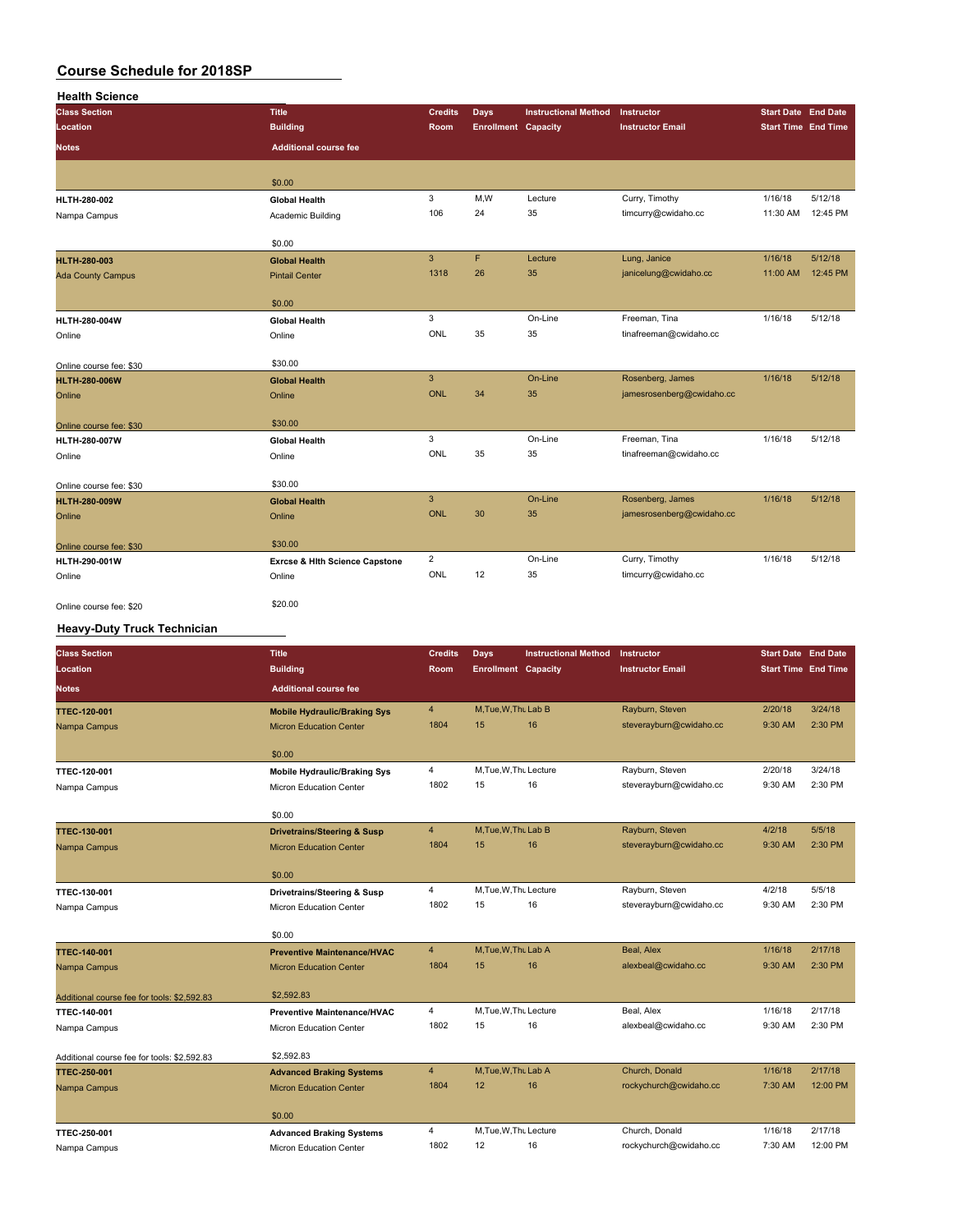| <b>Health Science</b>    |                                           |                |                            |                             |                           |          |                            |
|--------------------------|-------------------------------------------|----------------|----------------------------|-----------------------------|---------------------------|----------|----------------------------|
| <b>Class Section</b>     | <b>Title</b>                              | <b>Credits</b> | Days                       | <b>Instructional Method</b> | Instructor                |          | <b>Start Date End Date</b> |
| Location                 | <b>Building</b>                           | Room           | <b>Enrollment Capacity</b> |                             | <b>Instructor Email</b>   |          | <b>Start Time End Time</b> |
| <b>Notes</b>             | <b>Additional course fee</b>              |                |                            |                             |                           |          |                            |
|                          |                                           |                |                            |                             |                           |          |                            |
|                          | \$0.00                                    |                |                            |                             |                           |          |                            |
| HLTH-280-002             | <b>Global Health</b>                      | 3              | M, W                       | Lecture                     | Curry, Timothy            | 1/16/18  | 5/12/18                    |
| Nampa Campus             | Academic Building                         | 106            | 24                         | 35                          | timcurry@cwidaho.cc       | 11:30 AM | 12:45 PM                   |
|                          | \$0.00                                    |                |                            |                             |                           |          |                            |
| <b>HLTH-280-003</b>      | <b>Global Health</b>                      | $\overline{3}$ | F                          | Lecture                     | Lung, Janice              | 1/16/18  | 5/12/18                    |
| <b>Ada County Campus</b> | <b>Pintail Center</b>                     | 1318           | 26                         | 35                          | janicelung@cwidaho.cc     | 11:00 AM | 12:45 PM                   |
|                          | \$0.00                                    |                |                            |                             |                           |          |                            |
| HLTH-280-004W            | <b>Global Health</b>                      | 3              |                            | On-Line                     | Freeman, Tina             | 1/16/18  | 5/12/18                    |
| Online                   | Online                                    | ONL            | 35                         | 35                          | tinafreeman@cwidaho.cc    |          |                            |
| Online course fee: \$30  | \$30.00                                   |                |                            |                             |                           |          |                            |
| <b>HLTH-280-006W</b>     | <b>Global Health</b>                      | 3              |                            | On-Line                     | Rosenberg, James          | 1/16/18  | 5/12/18                    |
| Online                   | Online                                    | <b>ONL</b>     | 34                         | 35                          | jamesrosenberg@cwidaho.cc |          |                            |
| Online course fee: \$30  | \$30.00                                   |                |                            |                             |                           |          |                            |
| <b>HLTH-280-007W</b>     | <b>Global Health</b>                      | 3              |                            | On-Line                     | Freeman, Tina             | 1/16/18  | 5/12/18                    |
| Online                   | Online                                    | ONL            | 35                         | 35                          | tinafreeman@cwidaho.cc    |          |                            |
| Online course fee: \$30  | \$30.00                                   |                |                            |                             |                           |          |                            |
| <b>HLTH-280-009W</b>     | <b>Global Health</b>                      | $\overline{3}$ |                            | On-Line                     | Rosenberg, James          | 1/16/18  | 5/12/18                    |
| Online                   | Online                                    | <b>ONL</b>     | 30                         | 35                          | jamesrosenberg@cwidaho.cc |          |                            |
| Online course fee: \$30  | \$30.00                                   |                |                            |                             |                           |          |                            |
| HLTH-290-001W            | <b>Exrcse &amp; Hith Science Capstone</b> | $\overline{2}$ |                            | On-Line                     | Curry, Timothy            | 1/16/18  | 5/12/18                    |
| Online                   | Online                                    | ONL            | 12                         | 35                          | timcurry@cwidaho.cc       |          |                            |
| Online course fee: \$20  | \$20.00                                   |                |                            |                             |                           |          |                            |

#### **Heavy-Duty Truck Technician**

| <b>Class Section</b>                        | <b>Title</b>                                                      | <b>Credits</b> | <b>Days</b>                | <b>Instructional Method</b> | <b>Instructor</b>       | <b>Start Date End Date</b> |          |
|---------------------------------------------|-------------------------------------------------------------------|----------------|----------------------------|-----------------------------|-------------------------|----------------------------|----------|
| Location                                    | <b>Building</b>                                                   | Room           | <b>Enrollment Capacity</b> |                             | <b>Instructor Email</b> | <b>Start Time End Time</b> |          |
| <b>Notes</b>                                | <b>Additional course fee</b>                                      |                |                            |                             |                         |                            |          |
| <b>TTEC-120-001</b>                         | <b>Mobile Hydraulic/Braking Sys</b>                               | $\overline{4}$ | M, Tue, W, Thu Lab B       |                             | Rayburn, Steven         | 2/20/18                    | 3/24/18  |
| Nampa Campus                                | <b>Micron Education Center</b>                                    | 1804           | 15                         | 16                          | steverayburn@cwidaho.cc | 9:30 AM                    | 2:30 PM  |
|                                             | \$0.00                                                            |                |                            |                             |                         |                            |          |
| TTEC-120-001                                | <b>Mobile Hydraulic/Braking Sys</b>                               | 4              | M, Tue, W, Thu Lecture     |                             | Rayburn, Steven         | 2/20/18                    | 3/24/18  |
| Nampa Campus                                | Micron Education Center                                           | 1802           | 15                         | 16                          | steverayburn@cwidaho.cc | 9:30 AM                    | 2:30 PM  |
|                                             | \$0.00                                                            |                |                            |                             |                         |                            |          |
| <b>TTEC-130-001</b>                         | <b>Drivetrains/Steering &amp; Susp</b>                            | $\overline{4}$ | M.Tue.W.Thu Lab B          |                             | Rayburn, Steven         | 4/2/18                     | 5/5/18   |
| Nampa Campus                                | <b>Micron Education Center</b>                                    | 1804           | 15                         | 16                          | steverayburn@cwidaho.cc | 9:30 AM                    | 2:30 PM  |
|                                             | \$0.00                                                            |                |                            |                             |                         |                            |          |
| TTEC-130-001                                | Drivetrains/Steering & Susp                                       | 4              | M, Tue, W, Thu Lecture     |                             | Rayburn, Steven         | 4/2/18                     | 5/5/18   |
| Nampa Campus                                | Micron Education Center                                           | 1802           | 15                         | 16                          | steverayburn@cwidaho.cc | 9:30 AM                    | 2:30 PM  |
|                                             | \$0.00                                                            |                |                            |                             |                         |                            |          |
| <b>TTEC-140-001</b>                         | <b>Preventive Maintenance/HVAC</b>                                | $\overline{4}$ | M.Tue.W.Thu Lab A          |                             | Beal, Alex              | 1/16/18                    | 2/17/18  |
| Nampa Campus                                | <b>Micron Education Center</b>                                    | 1804           | 15                         | 16                          | alexbeal@cwidaho.cc     | 9:30 AM                    | 2:30 PM  |
| Additional course fee for tools: \$2,592.83 | \$2,592.83                                                        |                |                            |                             |                         |                            |          |
| TTEC-140-001                                | <b>Preventive Maintenance/HVAC</b>                                | 4              | M, Tue, W, Thu Lecture     |                             | Beal, Alex              | 1/16/18                    | 2/17/18  |
| Nampa Campus                                | Micron Education Center                                           | 1802           | 15                         | 16                          | alexbeal@cwidaho.cc     | 9:30 AM                    | 2:30 PM  |
|                                             | \$2,592.83                                                        |                |                            |                             |                         |                            |          |
| Additional course fee for tools: \$2,592.83 |                                                                   | $\overline{4}$ | M, Tue, W, Thu Lab A       |                             | Church, Donald          | 1/16/18                    | 2/17/18  |
| <b>TTEC-250-001</b><br>Nampa Campus         | <b>Advanced Braking Systems</b><br><b>Micron Education Center</b> | 1804           | 12                         | 16                          | rockychurch@cwidaho.cc  | 7:30 AM                    | 12:00 PM |
|                                             |                                                                   |                |                            |                             |                         |                            |          |
|                                             | \$0.00                                                            |                |                            |                             |                         |                            |          |
| TTEC-250-001                                | <b>Advanced Braking Systems</b>                                   | $\overline{4}$ | M, Tue, W, Thu Lecture     |                             | Church, Donald          | 1/16/18                    | 2/17/18  |
| Nampa Campus                                | Micron Education Center                                           | 1802           | 12                         | 16                          | rockychurch@cwidaho.cc  | 7:30 AM                    | 12:00 PM |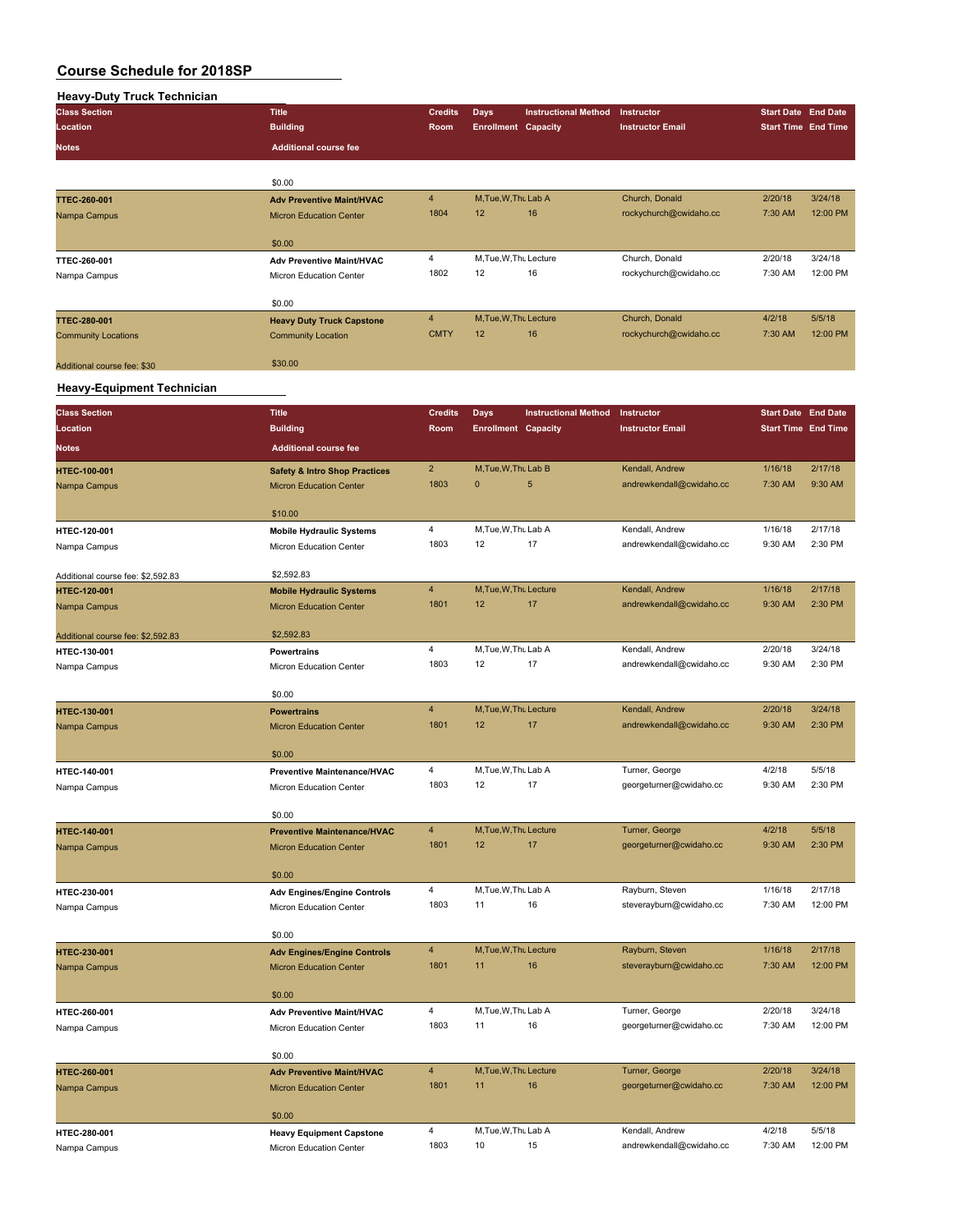| <b>Class Section</b>        | <b>Title</b>                     | <b>Credits</b> | <b>Days</b>                | <b>Instructional Method</b> | Instructor              |         | <b>Start Date End Date</b> |
|-----------------------------|----------------------------------|----------------|----------------------------|-----------------------------|-------------------------|---------|----------------------------|
| Location                    | <b>Building</b>                  | Room           | <b>Enrollment Capacity</b> |                             | <b>Instructor Email</b> |         | <b>Start Time End Time</b> |
| <b>Notes</b>                | <b>Additional course fee</b>     |                |                            |                             |                         |         |                            |
|                             | \$0.00                           |                |                            |                             |                         |         |                            |
| <b>TTEC-260-001</b>         | <b>Adv Preventive Maint/HVAC</b> | $\overline{4}$ | M, Tue, W, Thu Lab A       |                             | Church, Donald          | 2/20/18 | 3/24/18                    |
| Nampa Campus                | <b>Micron Education Center</b>   | 1804           | 12                         | 16                          | rockychurch@cwidaho.cc  | 7:30 AM | 12:00 PM                   |
|                             | \$0.00                           |                |                            |                             |                         |         |                            |
| TTEC-260-001                | <b>Adv Preventive Maint/HVAC</b> | 4              | M, Tue, W, Thu Lecture     |                             | Church, Donald          | 2/20/18 | 3/24/18                    |
| Nampa Campus                | Micron Education Center          | 1802           | 12                         | 16                          | rockychurch@cwidaho.cc  | 7:30 AM | 12:00 PM                   |
|                             | \$0.00                           |                |                            |                             |                         |         |                            |
| <b>TTEC-280-001</b>         | <b>Heavy Duty Truck Capstone</b> | $\overline{4}$ | M, Tue, W, Thu Lecture     |                             | Church, Donald          | 4/2/18  | 5/5/18                     |
| <b>Community Locations</b>  | <b>Community Location</b>        | <b>CMTY</b>    | 12                         | 16                          | rockychurch@cwidaho.cc  | 7:30 AM | 12:00 PM                   |
| Additional course fee: \$30 | \$30.00                          |                |                            |                             |                         |         |                            |

#### **Heavy-Equipment Technician**

| <b>Class Section</b>              | <b>Title</b>                                                         | <b>Credits</b>          | <b>Days</b>                | <b>Instructional Method</b> | Instructor               | <b>Start Date End Date</b> |                    |
|-----------------------------------|----------------------------------------------------------------------|-------------------------|----------------------------|-----------------------------|--------------------------|----------------------------|--------------------|
| Location                          | <b>Building</b>                                                      | Room                    | <b>Enrollment Capacity</b> |                             | <b>Instructor Email</b>  | <b>Start Time End Time</b> |                    |
| <b>Notes</b>                      | <b>Additional course fee</b>                                         |                         |                            |                             |                          |                            |                    |
| HTEC-100-001                      | <b>Safety &amp; Intro Shop Practices</b>                             | $\overline{2}$          | M, Tue, W, Thu Lab B       |                             | Kendall, Andrew          | 1/16/18                    | 2/17/18            |
| Nampa Campus                      | <b>Micron Education Center</b>                                       | 1803                    | $\mathbf{0}$               | 5                           | andrewkendall@cwidaho.cc | 7:30 AM                    | 9:30 AM            |
|                                   | \$10.00                                                              |                         |                            |                             |                          |                            |                    |
| HTEC-120-001                      | <b>Mobile Hydraulic Systems</b>                                      | 4                       | M, Tue, W, Thu Lab A       |                             | Kendall, Andrew          | 1/16/18                    | 2/17/18            |
| Nampa Campus                      | Micron Education Center                                              | 1803                    | 12                         | 17                          | andrewkendall@cwidaho.cc | 9:30 AM                    | 2:30 PM            |
|                                   |                                                                      |                         |                            |                             |                          |                            |                    |
| Additional course fee: \$2,592.83 | \$2,592.83                                                           | $\overline{4}$          | M, Tue, W, Thu Lecture     |                             | Kendall, Andrew          | 1/16/18                    | 2/17/18            |
| HTEC-120-001                      | <b>Mobile Hydraulic Systems</b>                                      | 1801                    | 12                         | 17                          | andrewkendall@cwidaho.cc | 9:30 AM                    | 2:30 PM            |
| Nampa Campus                      | <b>Micron Education Center</b>                                       |                         |                            |                             |                          |                            |                    |
| Additional course fee: \$2,592.83 | \$2,592.83                                                           |                         |                            |                             |                          |                            |                    |
| HTEC-130-001                      | <b>Powertrains</b>                                                   | 4                       | M, Tue, W, Thu Lab A       |                             | Kendall, Andrew          | 2/20/18                    | 3/24/18            |
| Nampa Campus                      | Micron Education Center                                              | 1803                    | 12                         | 17                          | andrewkendall@cwidaho.cc | 9:30 AM                    | 2:30 PM            |
|                                   | \$0.00                                                               |                         |                            |                             |                          |                            |                    |
| <b>HTEC-130-001</b>               | <b>Powertrains</b>                                                   | $\overline{4}$          | M, Tue, W, Thu Lecture     |                             | Kendall, Andrew          | 2/20/18                    | 3/24/18            |
| Nampa Campus                      | <b>Micron Education Center</b>                                       | 1801                    | 12                         | 17                          | andrewkendall@cwidaho.cc | 9:30 AM                    | 2:30 PM            |
|                                   |                                                                      |                         |                            |                             |                          |                            |                    |
|                                   | \$0.00                                                               |                         |                            |                             |                          |                            |                    |
| HTEC-140-001                      | <b>Preventive Maintenance/HVAC</b>                                   | 4                       | M, Tue, W, Thu Lab A       |                             | Turner, George           | 4/2/18                     | 5/5/18             |
| Nampa Campus                      | Micron Education Center                                              | 1803                    | 12                         | 17                          | georgeturner@cwidaho.cc  | 9:30 AM                    | 2:30 PM            |
|                                   | \$0.00                                                               |                         |                            |                             |                          |                            |                    |
| <b>HTEC-140-001</b>               | <b>Preventive Maintenance/HVAC</b>                                   | $\overline{\mathbf{4}}$ | M, Tue, W, Thu Lecture     |                             | Turner, George           | 4/2/18                     | 5/5/18             |
| Nampa Campus                      | <b>Micron Education Center</b>                                       | 1801                    | 12                         | 17                          | georgeturner@cwidaho.cc  | 9:30 AM                    | 2:30 PM            |
|                                   | \$0.00                                                               |                         |                            |                             |                          |                            |                    |
| HTEC-230-001                      | <b>Adv Engines/Engine Controls</b>                                   | 4                       | M, Tue, W, Thu Lab A       |                             | Rayburn, Steven          | 1/16/18                    | 2/17/18            |
| Nampa Campus                      | Micron Education Center                                              | 1803                    | 11                         | 16                          | steverayburn@cwidaho.cc  | 7:30 AM                    | 12:00 PM           |
|                                   |                                                                      |                         |                            |                             |                          |                            |                    |
| <b>HTEC-230-001</b>               | \$0.00                                                               | $\overline{\mathbf{4}}$ | M, Tue, W, Thu Lecture     |                             | Rayburn, Steven          | 1/16/18                    | 2/17/18            |
| Nampa Campus                      | <b>Adv Engines/Engine Controls</b><br><b>Micron Education Center</b> | 1801                    | 11                         | 16                          | steverayburn@cwidaho.cc  | 7:30 AM                    | 12:00 PM           |
|                                   |                                                                      |                         |                            |                             |                          |                            |                    |
|                                   | \$0.00                                                               |                         |                            |                             |                          |                            |                    |
| HTEC-260-001                      | <b>Adv Preventive Maint/HVAC</b>                                     | 4                       | M, Tue, W, Thu Lab A       |                             | Turner, George           | 2/20/18                    | 3/24/18            |
| Nampa Campus                      | Micron Education Center                                              | 1803                    | 11                         | 16                          | georgeturner@cwidaho.cc  | 7:30 AM                    | 12:00 PM           |
|                                   | \$0.00                                                               |                         |                            |                             |                          |                            |                    |
| HTEC-260-001                      | <b>Adv Preventive Maint/HVAC</b>                                     | $\overline{\mathbf{4}}$ | M, Tue, W, Thu Lecture     |                             | Turner, George           | 2/20/18                    | 3/24/18            |
| Nampa Campus                      | <b>Micron Education Center</b>                                       | 1801                    | 11                         | 16                          | georgeturner@cwidaho.cc  | 7:30 AM                    | 12:00 PM           |
|                                   |                                                                      |                         |                            |                             |                          |                            |                    |
|                                   | \$0.00                                                               |                         |                            |                             |                          |                            |                    |
| HTEC-280-001                      | <b>Heavy Equipment Capstone</b>                                      | 4<br>1803               | M, Tue, W, Thu Lab A<br>10 | 15                          | Kendall, Andrew          | 4/2/18<br>7:30 AM          | 5/5/18<br>12:00 PM |
| Nampa Campus                      | Micron Education Center                                              |                         |                            |                             | andrewkendall@cwidaho.cc |                            |                    |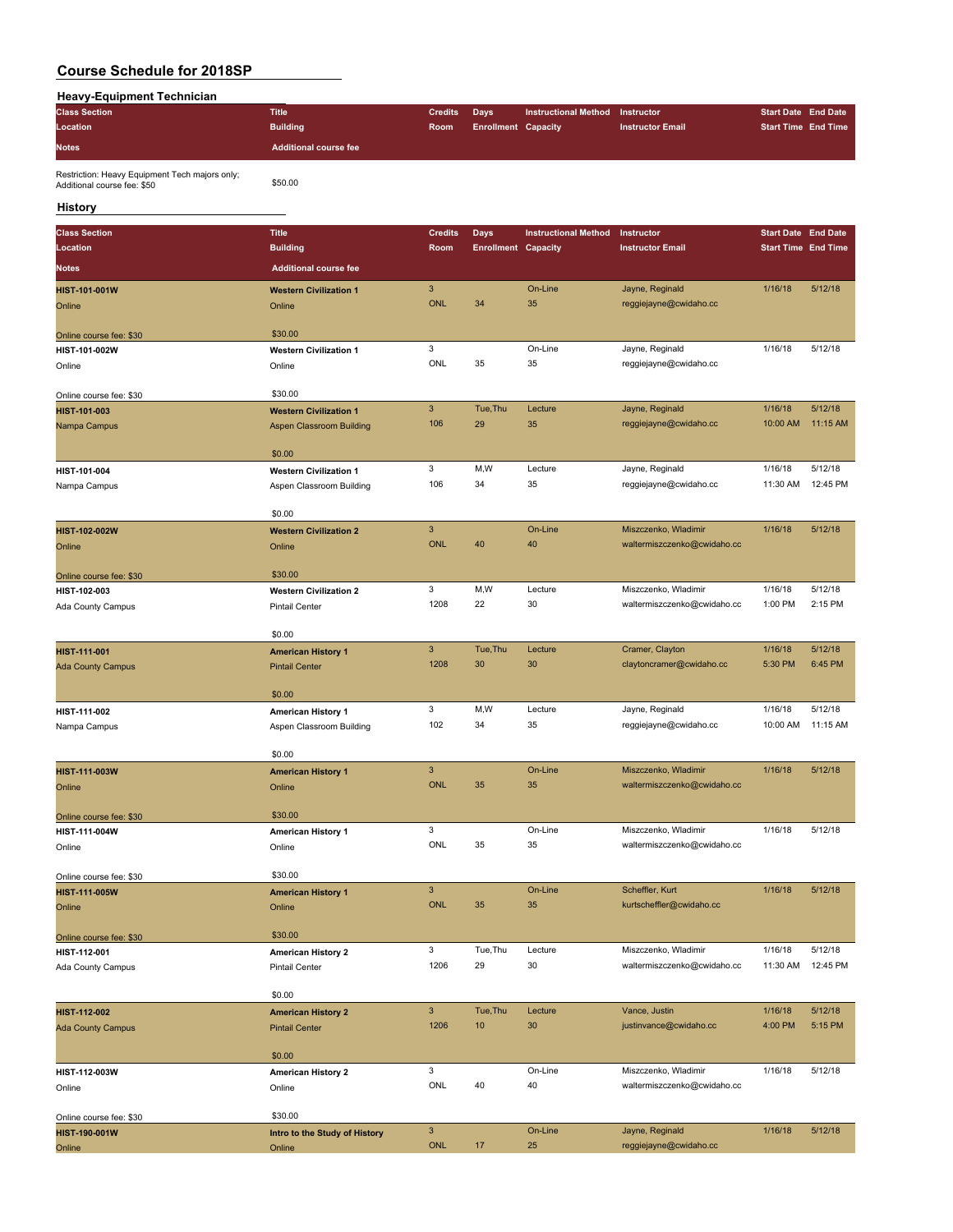| <b>Heavy-Equipment Technician</b>                                             |                                                    |                           |                            |                             |                             |                            |          |
|-------------------------------------------------------------------------------|----------------------------------------------------|---------------------------|----------------------------|-----------------------------|-----------------------------|----------------------------|----------|
| <b>Class Section</b>                                                          | <b>Title</b>                                       | <b>Credits</b>            | <b>Days</b>                | <b>Instructional Method</b> | Instructor                  | <b>Start Date End Date</b> |          |
| Location                                                                      | <b>Building</b>                                    | Room                      | <b>Enrollment Capacity</b> |                             | <b>Instructor Email</b>     | <b>Start Time End Time</b> |          |
| <b>Notes</b>                                                                  | <b>Additional course fee</b>                       |                           |                            |                             |                             |                            |          |
| Restriction: Heavy Equipment Tech majors only;<br>Additional course fee: \$50 | \$50.00                                            |                           |                            |                             |                             |                            |          |
| History                                                                       |                                                    |                           |                            |                             |                             |                            |          |
| <b>Class Section</b>                                                          | <b>Title</b>                                       | <b>Credits</b>            | <b>Days</b>                | <b>Instructional Method</b> | Instructor                  | <b>Start Date End Date</b> |          |
| Location                                                                      | <b>Building</b>                                    | Room                      | <b>Enrollment Capacity</b> |                             | <b>Instructor Email</b>     | <b>Start Time End Time</b> |          |
| <b>Notes</b>                                                                  | <b>Additional course fee</b>                       |                           |                            |                             |                             |                            |          |
|                                                                               |                                                    |                           |                            |                             |                             |                            |          |
| <b>HIST-101-001W</b>                                                          | <b>Western Civilization 1</b>                      | $\mathbf{3}$              |                            | On-Line                     | Jayne, Reginald             | 1/16/18                    | 5/12/18  |
| Online                                                                        | Online                                             | <b>ONL</b>                | 34                         | 35                          | reggiejayne@cwidaho.cc      |                            |          |
| Online course fee: \$30                                                       | \$30.00                                            |                           |                            |                             |                             |                            |          |
| HIST-101-002W                                                                 | <b>Western Civilization 1</b>                      | 3                         |                            | On-Line                     | Jayne, Reginald             | 1/16/18                    | 5/12/18  |
| Online                                                                        | Online                                             | ONL                       | 35                         | 35                          | reggiejayne@cwidaho.cc      |                            |          |
| Online course fee: \$30                                                       | \$30.00                                            |                           |                            |                             |                             |                            |          |
| HIST-101-003                                                                  | <b>Western Civilization 1</b>                      | $\mathsf 3$               | Tue, Thu                   | Lecture                     | Jayne, Reginald             | 1/16/18                    | 5/12/18  |
| Nampa Campus                                                                  | Aspen Classroom Building                           | 106                       | 29                         | 35                          | reggiejayne@cwidaho.cc      | 10:00 AM                   | 11:15 AM |
|                                                                               | \$0.00                                             |                           |                            |                             |                             |                            |          |
| HIST-101-004                                                                  | <b>Western Civilization 1</b>                      | 3                         | M,W                        | Lecture                     | Jayne, Reginald             | 1/16/18                    | 5/12/18  |
| Nampa Campus                                                                  | Aspen Classroom Building                           | 106                       | 34                         | 35                          | reggiejayne@cwidaho.cc      | 11:30 AM                   | 12:45 PM |
|                                                                               |                                                    |                           |                            |                             |                             |                            |          |
|                                                                               | \$0.00                                             |                           |                            |                             |                             |                            |          |
| HIST-102-002W                                                                 | <b>Western Civilization 2</b>                      | $\mathbf{3}$              |                            | On-Line                     | Miszczenko, Wladimir        | 1/16/18                    | 5/12/18  |
| Online                                                                        | Online                                             | <b>ONL</b>                | 40                         | 40                          | waltermiszczenko@cwidaho.cc |                            |          |
| Online course fee: \$30                                                       | \$30.00                                            |                           |                            |                             |                             |                            |          |
| HIST-102-003                                                                  | <b>Western Civilization 2</b>                      | 3                         | M,W                        | Lecture                     | Miszczenko, Wladimir        | 1/16/18                    | 5/12/18  |
| Ada County Campus                                                             | <b>Pintail Center</b>                              | 1208                      | 22                         | 30                          | waltermiszczenko@cwidaho.cc | 1:00 PM                    | 2:15 PM  |
|                                                                               | \$0.00                                             |                           |                            |                             |                             |                            |          |
|                                                                               |                                                    | $\ensuremath{\mathsf{3}}$ | Tue, Thu                   | Lecture                     | Cramer, Clayton             | 1/16/18                    | 5/12/18  |
| HIST-111-001<br><b>Ada County Campus</b>                                      | <b>American History 1</b><br><b>Pintail Center</b> | 1208                      | 30                         | 30                          | claytoncramer@cwidaho.cc    | 5:30 PM                    | 6:45 PM  |
|                                                                               |                                                    |                           |                            |                             |                             |                            |          |
|                                                                               | \$0.00                                             |                           |                            |                             |                             |                            |          |
| HIST-111-002                                                                  | American History 1                                 | 3                         | M, W                       | Lecture                     | Jayne, Reginald             | 1/16/18                    | 5/12/18  |
| Nampa Campus                                                                  | Aspen Classroom Building                           | 102                       | 34                         | 35                          | reggiejayne@cwidaho.cc      | 10:00 AM                   | 11:15 AM |
|                                                                               | \$0.00                                             |                           |                            |                             |                             |                            |          |
| HIST-111-003W                                                                 | <b>American History 1</b>                          | 3                         |                            | On-Line                     | Miszczenko, Wladimir        | 1/16/18                    | 5/12/18  |
| Online                                                                        | Online                                             | <b>ONL</b>                | 35                         | 35                          | waltermiszczenko@cwidaho.cc |                            |          |
| Online course fee: \$30                                                       | \$30.00                                            |                           |                            |                             |                             |                            |          |
| HIST-111-004W                                                                 | <b>American History 1</b>                          | 3                         |                            | On-Line                     | Miszczenko, Wladimir        | 1/16/18                    | 5/12/18  |
| Online                                                                        | Online                                             | ONL                       | 35                         | 35                          | waltermiszczenko@cwidaho.cc |                            |          |
|                                                                               |                                                    |                           |                            |                             |                             |                            |          |
| Online course fee: \$30                                                       | \$30.00                                            |                           |                            |                             |                             |                            |          |
| HIST-111-005W                                                                 | <b>American History 1</b>                          | $\ensuremath{\mathsf{3}}$ |                            | On-Line                     | Scheffler, Kurt             | 1/16/18                    | 5/12/18  |
| Online                                                                        | Online                                             | ONL                       | 35                         | 35                          | kurtscheffler@cwidaho.cc    |                            |          |
| Online course fee: \$30                                                       | \$30.00                                            |                           |                            |                             |                             |                            |          |
| HIST-112-001                                                                  | <b>American History 2</b>                          | 3                         | Tue, Thu                   | Lecture                     | Miszczenko, Wladimir        | 1/16/18                    | 5/12/18  |
| Ada County Campus                                                             | <b>Pintail Center</b>                              | 1206                      | 29                         | 30                          | waltermiszczenko@cwidaho.cc | 11:30 AM                   | 12:45 PM |
|                                                                               | \$0.00                                             |                           |                            |                             |                             |                            |          |
| HIST-112-002                                                                  | <b>American History 2</b>                          | $\mathbf{3}$              | Tue, Thu                   | Lecture                     | Vance, Justin               | 1/16/18                    | 5/12/18  |
| <b>Ada County Campus</b>                                                      | <b>Pintail Center</b>                              | 1206                      | 10                         | 30                          | justinvance@cwidaho.cc      | 4:00 PM                    | 5:15 PM  |
|                                                                               |                                                    |                           |                            |                             |                             |                            |          |
|                                                                               | \$0.00                                             |                           |                            |                             |                             |                            |          |
| HIST-112-003W                                                                 | <b>American History 2</b>                          | 3                         |                            | On-Line                     | Miszczenko, Wladimir        | 1/16/18                    | 5/12/18  |
| Online                                                                        | Online                                             | ONL                       | 40                         | 40                          | waltermiszczenko@cwidaho.cc |                            |          |
| Online course fee: \$30                                                       | \$30.00                                            |                           |                            |                             |                             |                            |          |
| HIST-190-001W                                                                 | Intro to the Study of History                      | $\ensuremath{\mathsf{3}}$ |                            | On-Line                     | Jayne, Reginald             | 1/16/18                    | 5/12/18  |
| Online                                                                        | Online                                             | <b>ONL</b>                | 17                         | 25                          | reggiejayne@cwidaho.cc      |                            |          |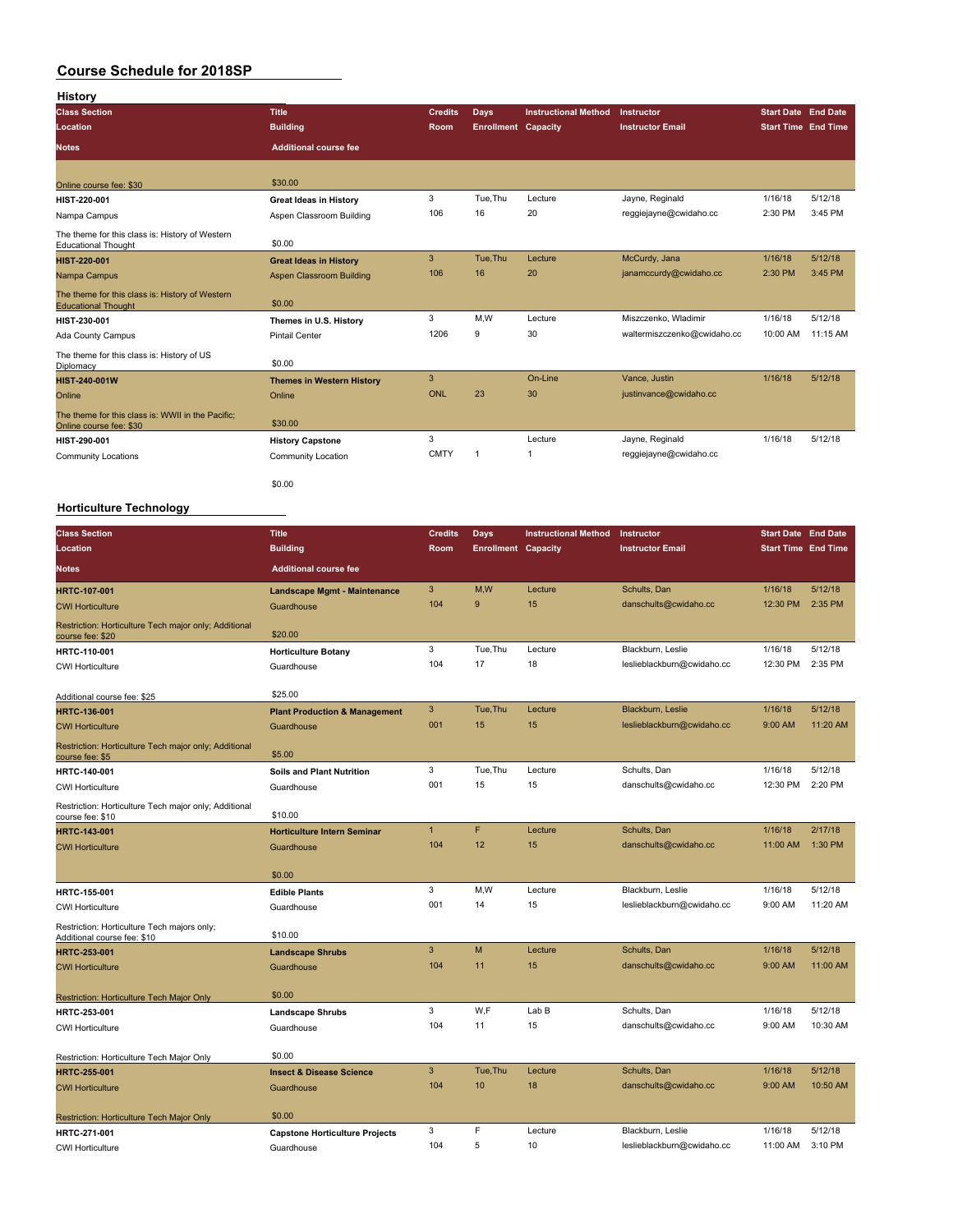| <b>History</b>                                                                |                                  |                |                            |                             |                             |                            |                            |
|-------------------------------------------------------------------------------|----------------------------------|----------------|----------------------------|-----------------------------|-----------------------------|----------------------------|----------------------------|
| <b>Class Section</b>                                                          | <b>Title</b>                     | <b>Credits</b> | Days                       | <b>Instructional Method</b> | Instructor                  | <b>Start Date End Date</b> |                            |
| Location                                                                      | <b>Building</b>                  | Room           | <b>Enrollment Capacity</b> |                             | <b>Instructor Email</b>     |                            | <b>Start Time End Time</b> |
| <b>Notes</b>                                                                  | <b>Additional course fee</b>     |                |                            |                             |                             |                            |                            |
|                                                                               |                                  |                |                            |                             |                             |                            |                            |
| Online course fee: \$30                                                       | \$30.00                          |                |                            |                             |                             |                            |                            |
| HIST-220-001                                                                  | <b>Great Ideas in History</b>    | 3              | Tue.Thu                    | Lecture                     | Jayne, Reginald             | 1/16/18                    | 5/12/18                    |
| Nampa Campus                                                                  | Aspen Classroom Building         | 106            | 16                         | 20                          | reggiejayne@cwidaho.cc      | 2:30 PM                    | 3:45 PM                    |
| The theme for this class is: History of Western<br><b>Educational Thought</b> | \$0.00                           |                |                            |                             |                             |                            |                            |
| <b>HIST-220-001</b>                                                           | <b>Great Ideas in History</b>    | 3              | Tue.Thu                    | Lecture                     | McCurdy, Jana               | 1/16/18                    | 5/12/18                    |
| Nampa Campus                                                                  | Aspen Classroom Building         | 106            | 16                         | 20                          | janamccurdy@cwidaho.cc      | 2:30 PM                    | 3:45 PM                    |
| The theme for this class is: History of Western<br><b>Educational Thought</b> | \$0.00                           |                |                            |                             |                             |                            |                            |
| HIST-230-001                                                                  | Themes in U.S. History           | 3              | M.W                        | Lecture                     | Miszczenko, Wladimir        | 1/16/18                    | 5/12/18                    |
| Ada County Campus                                                             | <b>Pintail Center</b>            | 1206           | 9                          | 30                          | waltermiszczenko@cwidaho.cc | 10:00 AM                   | 11:15 AM                   |
| The theme for this class is: History of US<br>Diplomacy                       | \$0.00                           |                |                            |                             |                             |                            |                            |
| <b>HIST-240-001W</b>                                                          | <b>Themes in Western History</b> | 3              |                            | On-Line                     | Vance, Justin               | 1/16/18                    | 5/12/18                    |
| Online                                                                        | Online                           | ONL            | 23                         | 30                          | justinvance@cwidaho.cc      |                            |                            |
| The theme for this class is: WWII in the Pacific:<br>Online course fee: \$30  | \$30.00                          |                |                            |                             |                             |                            |                            |
| HIST-290-001                                                                  | <b>History Capstone</b>          | 3              |                            | Lecture                     | Jayne, Reginald             | 1/16/18                    | 5/12/18                    |
| <b>Community Locations</b>                                                    | <b>Community Location</b>        | <b>CMTY</b>    | $\mathbf{1}$               | $\overline{1}$              | reggiejayne@cwidaho.cc      |                            |                            |
|                                                                               | \$0.00                           |                |                            |                             |                             |                            |                            |

#### **Horticulture Technology**

| <b>Class Section</b>                                                       | <b>Title</b>                             | <b>Credits</b> | <b>Days</b>                | <b>Instructional Method</b> | Instructor                 | <b>Start Date End Date</b> |          |
|----------------------------------------------------------------------------|------------------------------------------|----------------|----------------------------|-----------------------------|----------------------------|----------------------------|----------|
| Location                                                                   | <b>Building</b>                          | <b>Room</b>    | <b>Enrollment Capacity</b> |                             | <b>Instructor Email</b>    | <b>Start Time End Time</b> |          |
| <b>Notes</b>                                                               | <b>Additional course fee</b>             |                |                            |                             |                            |                            |          |
| <b>HRTC-107-001</b>                                                        | <b>Landscape Mgmt - Maintenance</b>      | 3              | M,W                        | Lecture                     | Schults, Dan               | 1/16/18                    | 5/12/18  |
| <b>CWI Horticulture</b>                                                    | Guardhouse                               | 104            | 9                          | 15                          | danschults@cwidaho.cc      | 12:30 PM                   | 2:35 PM  |
| Restriction: Horticulture Tech major only; Additional<br>course fee: \$20  | \$20.00                                  |                |                            |                             |                            |                            |          |
| <b>HRTC-110-001</b>                                                        | <b>Horticulture Botany</b>               | 3              | Tue, Thu                   | Lecture                     | Blackburn, Leslie          | 1/16/18                    | 5/12/18  |
| <b>CWI Horticulture</b>                                                    | Guardhouse                               | 104            | 17                         | 18                          | leslieblackburn@cwidaho.cc | 12:30 PM                   | 2:35 PM  |
| Additional course fee: \$25                                                | \$25.00                                  |                |                            |                             |                            |                            |          |
| <b>HRTC-136-001</b>                                                        | <b>Plant Production &amp; Management</b> | 3              | Tue, Thu                   | Lecture                     | Blackburn, Leslie          | 1/16/18                    | 5/12/18  |
| <b>CWI Horticulture</b>                                                    | Guardhouse                               | 001            | 15                         | 15                          | leslieblackburn@cwidaho.cc | 9:00 AM                    | 11:20 AM |
| Restriction: Horticulture Tech major only; Additional<br>course fee: \$5   | \$5.00                                   |                |                            |                             |                            |                            |          |
| HRTC-140-001                                                               | Soils and Plant Nutrition                | 3              | Tue, Thu                   | Lecture                     | Schults, Dan               | 1/16/18                    | 5/12/18  |
| <b>CWI Horticulture</b>                                                    | Guardhouse                               | 001            | 15                         | 15                          | danschults@cwidaho.cc      | 12:30 PM                   | 2:20 PM  |
| Restriction: Horticulture Tech major only; Additional<br>course fee: \$10  | \$10.00                                  |                |                            |                             |                            |                            |          |
| <b>HRTC-143-001</b>                                                        | <b>Horticulture Intern Seminar</b>       | $\overline{1}$ | F                          | Lecture                     | Schults, Dan               | 1/16/18                    | 2/17/18  |
| <b>CWI Horticulture</b>                                                    | Guardhouse                               | 104            | 12                         | 15                          | danschults@cwidaho.cc      | 11:00 AM                   | 1:30 PM  |
|                                                                            | \$0.00                                   |                |                            |                             |                            |                            |          |
| HRTC-155-001                                                               | <b>Edible Plants</b>                     | 3              | M,W                        | Lecture                     | Blackburn, Leslie          | 1/16/18                    | 5/12/18  |
| <b>CWI Horticulture</b>                                                    | Guardhouse                               | 001            | 14                         | 15                          | leslieblackburn@cwidaho.cc | 9:00 AM                    | 11:20 AM |
| Restriction: Horticulture Tech majors only;<br>Additional course fee: \$10 | \$10.00                                  |                |                            |                             |                            |                            |          |
| <b>HRTC-253-001</b>                                                        | <b>Landscape Shrubs</b>                  | 3              | M                          | Lecture                     | Schults, Dan               | 1/16/18                    | 5/12/18  |
| <b>CWI Horticulture</b>                                                    | Guardhouse                               | 104            | 11                         | 15                          | danschults@cwidaho.cc      | 9:00 AM                    | 11:00 AM |
| Restriction: Horticulture Tech Major Only                                  | \$0.00                                   |                |                            |                             |                            |                            |          |
| HRTC-253-001                                                               | <b>Landscape Shrubs</b>                  | 3              | W,F                        | Lab B                       | Schults, Dan               | 1/16/18                    | 5/12/18  |
| <b>CWI Horticulture</b>                                                    | Guardhouse                               | 104            | 11                         | 15                          | danschults@cwidaho.cc      | 9:00 AM                    | 10:30 AM |
|                                                                            | \$0.00                                   |                |                            |                             |                            |                            |          |
| Restriction: Horticulture Tech Major Only<br><b>HRTC-255-001</b>           | <b>Insect &amp; Disease Science</b>      | 3              | Tue, Thu                   | Lecture                     | Schults, Dan               | 1/16/18                    | 5/12/18  |
| <b>CWI Horticulture</b>                                                    | Guardhouse                               | 104            | 10                         | 18                          | danschults@cwidaho.cc      | 9:00 AM                    | 10:50 AM |
|                                                                            |                                          |                |                            |                             |                            |                            |          |
| Restriction: Horticulture Tech Major Only                                  | \$0.00                                   |                |                            |                             |                            |                            |          |
| HRTC-271-001                                                               | <b>Capstone Horticulture Projects</b>    | 3              | F                          | Lecture                     | Blackburn, Leslie          | 1/16/18                    | 5/12/18  |
| <b>CWI Horticulture</b>                                                    | Guardhouse                               | 104            | 5                          | 10                          | leslieblackburn@cwidaho.cc | 11:00 AM                   | 3:10 PM  |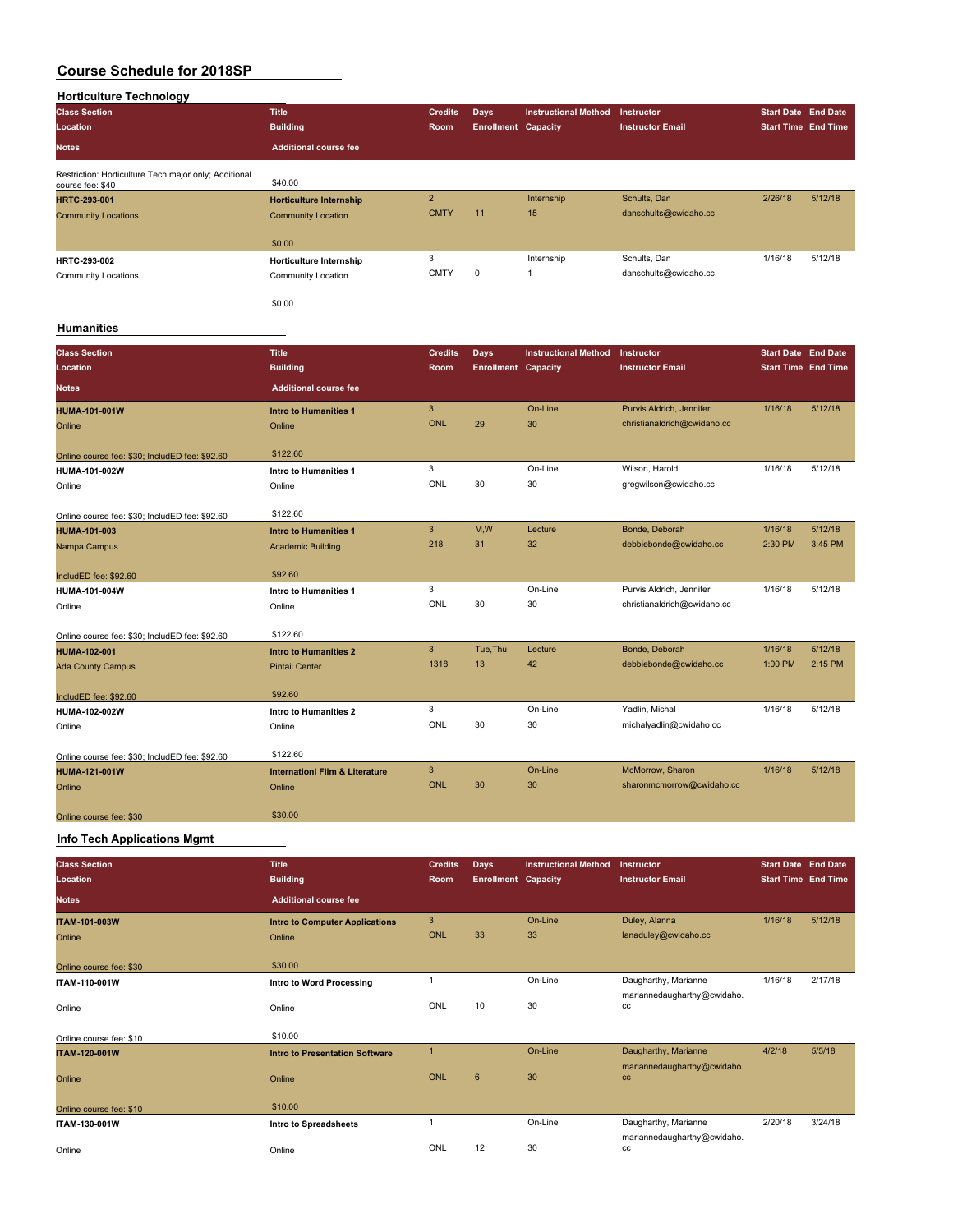| <b>Horticulture Technology</b>                                            |                                          |                       |                            |                             |                             |                            |         |
|---------------------------------------------------------------------------|------------------------------------------|-----------------------|----------------------------|-----------------------------|-----------------------------|----------------------------|---------|
| <b>Class Section</b>                                                      | <b>Title</b>                             | <b>Credits</b>        | Days                       | <b>Instructional Method</b> | Instructor                  | <b>Start Date End Date</b> |         |
| Location                                                                  | <b>Building</b>                          | Room                  | <b>Enrollment Capacity</b> |                             | <b>Instructor Email</b>     | <b>Start Time End Time</b> |         |
| <b>Notes</b>                                                              | <b>Additional course fee</b>             |                       |                            |                             |                             |                            |         |
| Restriction: Horticulture Tech major only; Additional<br>course fee: \$40 | \$40.00                                  |                       |                            |                             |                             |                            |         |
| HRTC-293-001                                                              | <b>Horticulture Internship</b>           | $\overline{2}$        |                            | Internship                  | Schults, Dan                | 2/26/18                    | 5/12/18 |
| <b>Community Locations</b>                                                | <b>Community Location</b>                | <b>CMTY</b>           | 11                         | 15                          | danschults@cwidaho.cc       |                            |         |
|                                                                           | \$0.00                                   |                       |                            |                             |                             |                            |         |
| HRTC-293-002                                                              | <b>Horticulture Internship</b>           | 3                     |                            | Internship                  | Schults, Dan                | 1/16/18                    | 5/12/18 |
| <b>Community Locations</b>                                                | Community Location                       | <b>CMTY</b>           | $\mathbf 0$                | $\mathbf{1}$                | danschults@cwidaho.cc       |                            |         |
|                                                                           | \$0.00                                   |                       |                            |                             |                             |                            |         |
| <b>Humanities</b>                                                         |                                          |                       |                            |                             |                             |                            |         |
| <b>Class Section</b>                                                      | <b>Title</b>                             | <b>Credits</b>        | <b>Days</b>                | <b>Instructional Method</b> | Instructor                  | Start Date End Date        |         |
| Location                                                                  | <b>Building</b>                          | Room                  | <b>Enrollment Capacity</b> |                             | <b>Instructor Email</b>     | <b>Start Time End Time</b> |         |
| <b>Notes</b>                                                              | <b>Additional course fee</b>             |                       |                            |                             |                             |                            |         |
|                                                                           |                                          | $\overline{3}$        |                            | On-Line                     | Purvis Aldrich, Jennifer    | 1/16/18                    | 5/12/18 |
| HUMA-101-001W<br>Online                                                   | <b>Intro to Humanities 1</b><br>Online   | ONL                   | 29                         | 30                          | christianaldrich@cwidaho.cc |                            |         |
|                                                                           |                                          |                       |                            |                             |                             |                            |         |
| Online course fee: \$30; IncludED fee: \$92.60                            | \$122.60                                 |                       |                            |                             |                             |                            |         |
| HUMA-101-002W                                                             | Intro to Humanities 1                    | 3                     |                            | On-Line                     | Wilson, Harold              | 1/16/18                    | 5/12/18 |
| Online                                                                    | Online                                   | ONL                   | 30                         | 30                          | gregwilson@cwidaho.cc       |                            |         |
|                                                                           |                                          |                       |                            |                             |                             |                            |         |
| Online course fee: \$30; IncludED fee: \$92.60                            | \$122.60                                 |                       |                            |                             |                             |                            |         |
| HUMA-101-003                                                              | <b>Intro to Humanities 1</b>             | $\overline{3}$<br>218 | M,W<br>31                  | Lecture<br>32               | Bonde, Deborah              | 1/16/18                    | 5/12/18 |
| Nampa Campus                                                              | <b>Academic Building</b>                 |                       |                            |                             | debbiebonde@cwidaho.cc      | 2:30 PM                    | 3:45 PM |
| IncludED fee: \$92.60                                                     | \$92.60                                  |                       |                            |                             |                             |                            |         |
| HUMA-101-004W                                                             | Intro to Humanities 1                    | 3                     |                            | On-Line                     | Purvis Aldrich, Jennifer    | 1/16/18                    | 5/12/18 |
| Online                                                                    | Online                                   | ONL                   | 30                         | 30                          | christianaldrich@cwidaho.cc |                            |         |
|                                                                           |                                          |                       |                            |                             |                             |                            |         |
| Online course fee: \$30; IncludED fee: \$92.60                            | \$122.60                                 |                       |                            |                             |                             |                            |         |
| <b>HUMA-102-001</b>                                                       | <b>Intro to Humanities 2</b>             | $\mathbf{3}$          | Tue, Thu                   | Lecture                     | Bonde, Deborah              | 1/16/18                    | 5/12/18 |
| <b>Ada County Campus</b>                                                  | <b>Pintail Center</b>                    | 1318                  | 13                         | 42                          | debbiebonde@cwidaho.cc      | 1:00 PM                    | 2:15 PM |
| IncludED fee: \$92.60                                                     | \$92.60                                  |                       |                            |                             |                             |                            |         |
| HUMA-102-002W                                                             | Intro to Humanities 2                    | 3                     |                            | On-Line                     | Yadlin, Michal              | 1/16/18                    | 5/12/18 |
| Online                                                                    | Online                                   | ONL                   | 30                         | 30                          | michalyadlin@cwidaho.cc     |                            |         |
|                                                                           |                                          |                       |                            |                             |                             |                            |         |
| Online course fee: \$30; IncludED fee: \$92.60                            | \$122.60                                 |                       |                            |                             |                             |                            |         |
| <b>HUMA-121-001W</b>                                                      | <b>Internation Film &amp; Literature</b> | 3                     |                            | On-Line                     | McMorrow, Sharon            | 1/16/18                    | 5/12/18 |
| Online                                                                    | Online                                   | <b>ONL</b>            | 30                         | 30                          | sharonmcmorrow@cwidaho.cc   |                            |         |
| Online course fee: \$30                                                   | \$30.00                                  |                       |                            |                             |                             |                            |         |

#### **Info Tech Applications Mgmt**

| <b>Class Section</b>    | <b>Title</b>                          | <b>Credits</b> | <b>Days</b>                | <b>Instructional Method</b> | Instructor                        | <b>Start Date End Date</b> |         |
|-------------------------|---------------------------------------|----------------|----------------------------|-----------------------------|-----------------------------------|----------------------------|---------|
| Location                | <b>Building</b>                       | Room           | <b>Enrollment Capacity</b> |                             | <b>Instructor Email</b>           | <b>Start Time End Time</b> |         |
| Notes                   | <b>Additional course fee</b>          |                |                            |                             |                                   |                            |         |
| <b>ITAM-101-003W</b>    | <b>Intro to Computer Applications</b> | 3              |                            | On-Line                     | Duley, Alanna                     | 1/16/18                    | 5/12/18 |
| Online                  | Online                                | <b>ONL</b>     | 33                         | 33                          | lanaduley@cwidaho.cc              |                            |         |
| Online course fee: \$30 | \$30.00                               |                |                            |                             |                                   |                            |         |
| <b>ITAM-110-001W</b>    | Intro to Word Processing              | 1              |                            | On-Line                     | Daugharthy, Marianne              | 1/16/18                    | 2/17/18 |
| Online                  | Online                                | ONL            | 10                         | 30                          | mariannedaugharthy@cwidaho.<br>cc |                            |         |
| Online course fee: \$10 | \$10.00                               |                |                            |                             |                                   |                            |         |
| <b>ITAM-120-001W</b>    | <b>Intro to Presentation Software</b> | $\mathbf{1}$   |                            | On-Line                     | Daugharthy, Marianne              | 4/2/18                     | 5/5/18  |
| Online                  | Online                                | <b>ONL</b>     | $6\phantom{1}$             | 30                          | mariannedaugharthy@cwidaho.<br>cc |                            |         |
| Online course fee: \$10 | \$10.00                               |                |                            |                             |                                   |                            |         |
| ITAM-130-001W           | Intro to Spreadsheets                 |                |                            | On-Line                     | Daugharthy, Marianne              | 2/20/18                    | 3/24/18 |
| Online                  | Online                                | ONL            | 12                         | 30                          | mariannedaugharthy@cwidaho.<br>cc |                            |         |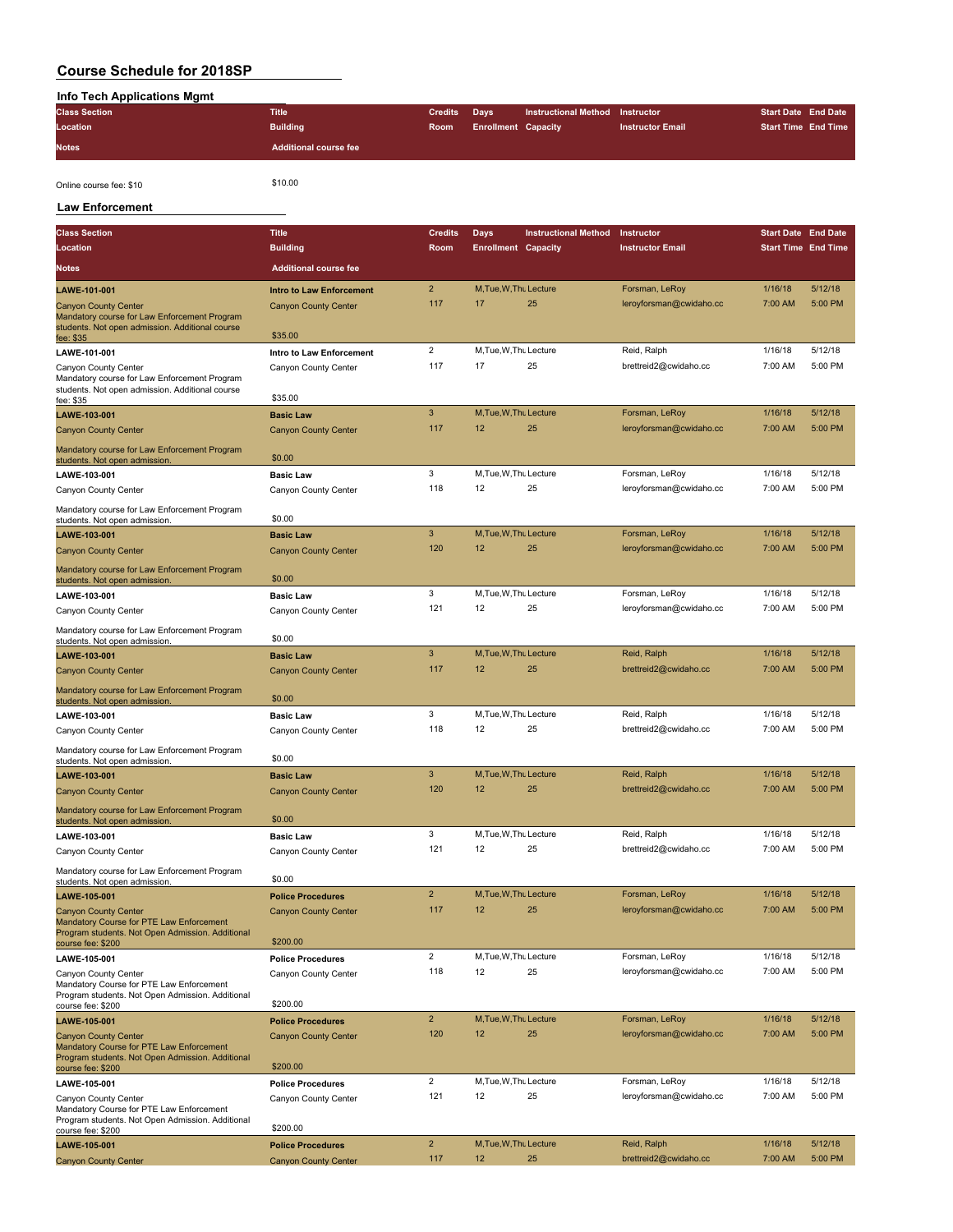| Info Tech Applications Mgmt |                              |                |                            |                                 |                         |                            |
|-----------------------------|------------------------------|----------------|----------------------------|---------------------------------|-------------------------|----------------------------|
| <b>Class Section</b>        | Title                        | <b>Credits</b> | Davs                       | Instructional Method Instructor |                         | <b>Start Date End Date</b> |
| Location                    | <b>Building</b>              | <b>Room</b>    | <b>Enrollment Capacity</b> |                                 | <b>Instructor Email</b> | <b>Start Time End Time</b> |
| <b>Notes</b>                | <b>Additional course fee</b> |                |                            |                                 |                         |                            |

Online course fee: \$10 \$10.00

#### **Law Enforcement**

| <b>Class Section</b>                                                                                                        | <b>Title</b>                            | <b>Credits</b>          | Days                       | <b>Instructional Method</b> | Instructor              | <b>Start Date End Date</b> |         |
|-----------------------------------------------------------------------------------------------------------------------------|-----------------------------------------|-------------------------|----------------------------|-----------------------------|-------------------------|----------------------------|---------|
| Location                                                                                                                    | <b>Building</b>                         | Room                    | <b>Enrollment Capacity</b> |                             | <b>Instructor Email</b> | <b>Start Time End Time</b> |         |
| <b>Notes</b>                                                                                                                | <b>Additional course fee</b>            |                         |                            |                             |                         |                            |         |
| LAWE-101-001                                                                                                                | <b>Intro to Law Enforcement</b>         | $\overline{2}$          | M, Tue, W, Thu Lecture     |                             | Forsman, LeRoy          | 1/16/18                    | 5/12/18 |
| <b>Canyon County Center</b><br>Mandatory course for Law Enforcement Program                                                 | <b>Canyon County Center</b>             | 117                     | 17                         | 25                          | leroyforsman@cwidaho.cc | 7:00 AM                    | 5:00 PM |
| students. Not open admission. Additional course<br>fee: \$35                                                                | \$35.00                                 |                         |                            |                             |                         |                            |         |
| LAWE-101-001                                                                                                                | Intro to Law Enforcement                | $\overline{2}$          | M, Tue, W, Thu Lecture     |                             | Reid, Ralph             | 1/16/18                    | 5/12/18 |
| Canyon County Center                                                                                                        | Canyon County Center                    | 117                     | 17                         | 25                          | brettreid2@cwidaho.cc   | 7:00 AM                    | 5:00 PM |
| Mandatory course for Law Enforcement Program<br>students. Not open admission. Additional course                             | \$35.00                                 |                         |                            |                             |                         |                            |         |
| fee: \$35<br>LAWE-103-001                                                                                                   | <b>Basic Law</b>                        | 3                       | M, Tue, W, Thu Lecture     |                             | Forsman, LeRoy          | 1/16/18                    | 5/12/18 |
| <b>Canyon County Center</b>                                                                                                 | <b>Canyon County Center</b>             | 117                     | 12                         | 25                          | leroyforsman@cwidaho.cc | 7:00 AM                    | 5:00 PM |
| Mandatory course for Law Enforcement Program                                                                                |                                         |                         |                            |                             |                         |                            |         |
| students. Not open admission.                                                                                               | \$0.00                                  |                         |                            |                             |                         |                            |         |
| LAWE-103-001                                                                                                                | <b>Basic Law</b>                        | 3                       | M, Tue, W, Thu Lecture     |                             | Forsman, LeRoy          | 1/16/18                    | 5/12/18 |
| Canyon County Center                                                                                                        | Canyon County Center                    | 118                     | 12                         | 25                          | leroyforsman@cwidaho.cc | 7:00 AM                    | 5:00 PM |
| Mandatory course for Law Enforcement Program<br>students. Not open admission.                                               | \$0.00                                  |                         |                            |                             |                         |                            |         |
| LAWE-103-001                                                                                                                | <b>Basic Law</b>                        | 3                       | M, Tue, W, Thu Lecture     |                             | Forsman, LeRoy          | 1/16/18                    | 5/12/18 |
| <b>Canyon County Center</b>                                                                                                 | <b>Canyon County Center</b>             | 120                     | 12                         | 25                          | leroyforsman@cwidaho.cc | 7:00 AM                    | 5:00 PM |
| Mandatory course for Law Enforcement Program<br>students. Not open admission.                                               | \$0.00                                  |                         |                            |                             |                         |                            |         |
| LAWE-103-001                                                                                                                | <b>Basic Law</b>                        | 3                       | M, Tue, W, Thu Lecture     |                             | Forsman, LeRoy          | 1/16/18                    | 5/12/18 |
| Canyon County Center                                                                                                        | Canyon County Center                    | 121                     | 12                         | 25                          | leroyforsman@cwidaho.cc | 7:00 AM                    | 5:00 PM |
| Mandatory course for Law Enforcement Program<br>students. Not open admission.                                               | \$0.00                                  |                         |                            |                             |                         |                            |         |
| LAWE-103-001                                                                                                                | <b>Basic Law</b>                        | 3                       | M, Tue, W, Thu Lecture     |                             | Reid, Ralph             | 1/16/18                    | 5/12/18 |
| <b>Canyon County Center</b>                                                                                                 | <b>Canyon County Center</b>             | 117                     | 12                         | 25                          | brettreid2@cwidaho.cc   | 7:00 AM                    | 5:00 PM |
| Mandatory course for Law Enforcement Program<br>students. Not open admission.                                               | \$0.00                                  |                         |                            |                             |                         |                            |         |
| LAWE-103-001                                                                                                                | <b>Basic Law</b>                        | 3                       | M, Tue, W, Thu Lecture     |                             | Reid, Ralph             | 1/16/18                    | 5/12/18 |
| Canyon County Center                                                                                                        | Canyon County Center                    | 118                     | 12                         | 25                          | brettreid2@cwidaho.cc   | 7:00 AM                    | 5:00 PM |
| Mandatory course for Law Enforcement Program<br>students. Not open admission.                                               | \$0.00                                  |                         |                            |                             |                         |                            |         |
| LAWE-103-001                                                                                                                | <b>Basic Law</b>                        | 3                       | M, Tue, W, Thu Lecture     |                             | Reid, Ralph             | 1/16/18                    | 5/12/18 |
| <b>Canyon County Center</b>                                                                                                 | <b>Canyon County Center</b>             | 120                     | 12                         | 25                          | brettreid2@cwidaho.cc   | 7:00 AM                    | 5:00 PM |
| Mandatory course for Law Enforcement Program<br>students. Not open admission                                                | \$0.00                                  |                         |                            |                             |                         |                            |         |
| LAWE-103-001                                                                                                                | <b>Basic Law</b>                        | 3                       | M, Tue, W, Thu Lecture     |                             | Reid, Ralph             | 1/16/18                    | 5/12/18 |
| Canyon County Center                                                                                                        | Canyon County Center                    | 121                     | 12                         | 25                          | brettreid2@cwidaho.cc   | 7:00 AM                    | 5:00 PM |
| Mandatory course for Law Enforcement Program<br>students. Not open admission.                                               | \$0.00                                  |                         |                            |                             |                         |                            |         |
| LAWE-105-001                                                                                                                | <b>Police Procedures</b>                | $\overline{2}$          | M, Tue, W, Thu Lecture     |                             | Forsman, LeRoy          | 1/16/18                    | 5/12/18 |
| <b>Canyon County Center</b><br>Mandatory Course for PTE Law Enforcement                                                     | <b>Canyon County Center</b>             | 117                     | 12                         | 25                          | leroyforsman@cwidaho.cc | 7:00 AM                    | 5:00 PM |
| Program students. Not Open Admission. Additional<br>course fee: \$200                                                       | \$200.00                                |                         |                            |                             |                         |                            |         |
| LAWE-105-001                                                                                                                | <b>Police Procedures</b>                | $\overline{\mathbf{c}}$ | M, Tue, W, Thu Lecture     |                             | Forsman, LeRoy          | 1/16/18                    | 5/12/18 |
| Canyon County Center<br>Mandatory Course for PTE Law Enforcement<br>Program students. Not Open Admission. Additional        | Canyon County Center                    | 118                     | 12                         | 25                          | leroyforsman@cwidaho.cc | 7:00 AM                    | 5:00 PM |
| course fee: \$200                                                                                                           | \$200.00                                |                         |                            |                             |                         |                            |         |
| LAWE-105-001                                                                                                                | <b>Police Procedures</b>                | $\overline{2}$          | M, Tue, W, Thu Lecture     |                             | Forsman, LeRoy          | 1/16/18                    | 5/12/18 |
| <b>Canyon County Center</b><br>Mandatory Course for PTE Law Enforcement<br>Program students. Not Open Admission. Additional | <b>Canyon County Center</b><br>\$200.00 | 120                     | 12                         | 25                          | leroyforsman@cwidaho.cc | 7:00 AM                    | 5:00 PM |
| course fee: \$200<br>LAWE-105-001                                                                                           | <b>Police Procedures</b>                | $\overline{2}$          | M, Tue, W, Thu Lecture     |                             | Forsman, LeRoy          | 1/16/18                    | 5/12/18 |
| Canvon County Center                                                                                                        | Canyon County Center                    | 121                     | 12                         | 25                          | leroyforsman@cwidaho.cc | 7:00 AM                    | 5:00 PM |
| Mandatory Course for PTE Law Enforcement<br>Program students. Not Open Admission. Additional<br>course fee: \$200           | \$200.00                                |                         |                            |                             |                         |                            |         |
| LAWE-105-001                                                                                                                | <b>Police Procedures</b>                | $\overline{2}$          | M, Tue, W, Thu Lecture     |                             | Reid, Ralph             | 1/16/18                    | 5/12/18 |
| <b>Canyon County Center</b>                                                                                                 | <b>Canyon County Center</b>             | 117                     | 12                         | 25                          | brettreid2@cwidaho.cc   | 7:00 AM                    | 5:00 PM |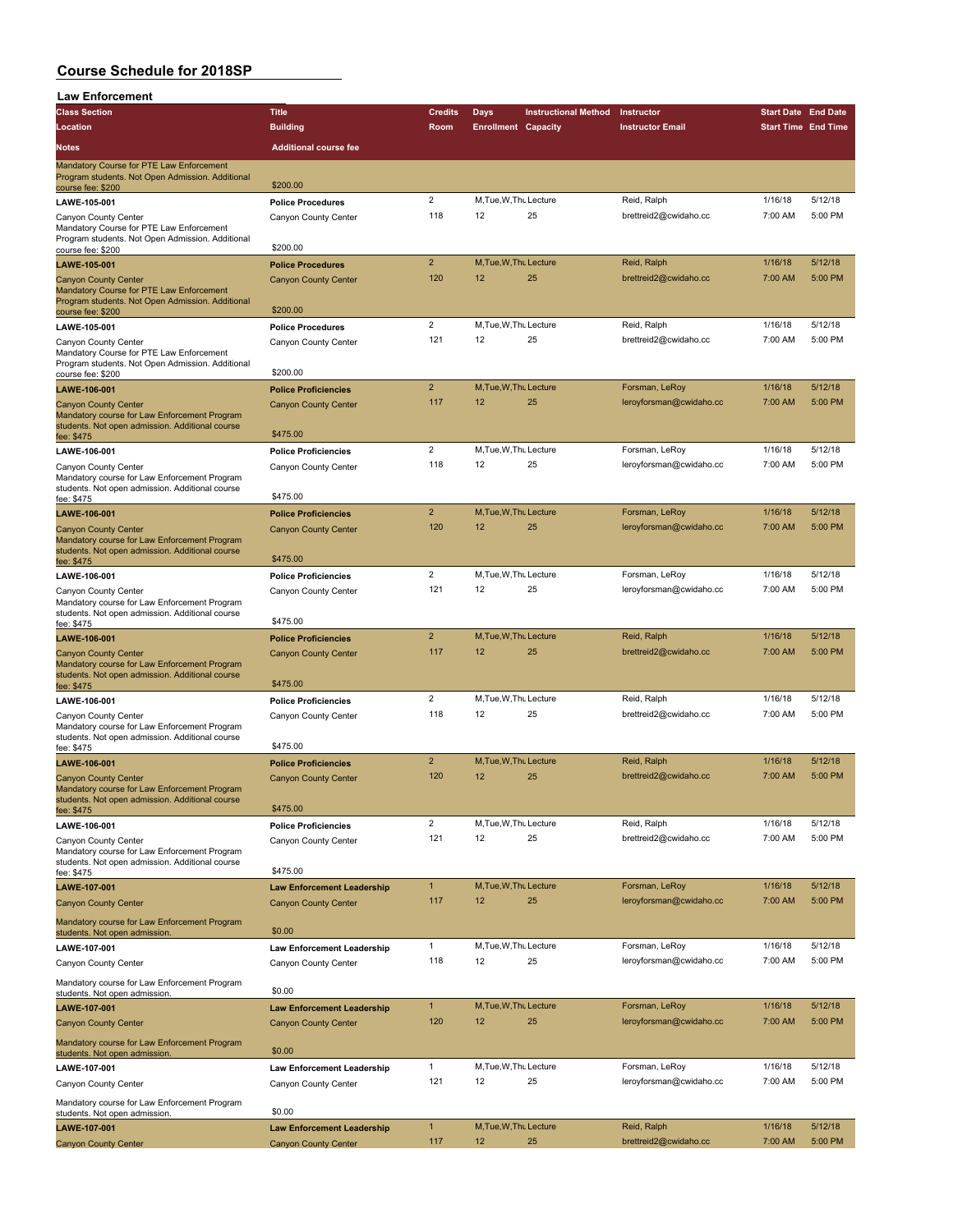| <b>Law Enforcement</b>                                                                                                                    |                                                           |                     |                              |                             |                                           |                            |                    |
|-------------------------------------------------------------------------------------------------------------------------------------------|-----------------------------------------------------------|---------------------|------------------------------|-----------------------------|-------------------------------------------|----------------------------|--------------------|
| <b>Class Section</b>                                                                                                                      | <b>Title</b>                                              | <b>Credits</b>      | <b>Days</b>                  | <b>Instructional Method</b> | Instructor                                | <b>Start Date End Date</b> |                    |
| Location                                                                                                                                  | <b>Building</b>                                           | Room                | <b>Enrollment Capacity</b>   |                             | <b>Instructor Email</b>                   | <b>Start Time End Time</b> |                    |
| Notes                                                                                                                                     | <b>Additional course fee</b>                              |                     |                              |                             |                                           |                            |                    |
| Mandatory Course for PTE Law Enforcement<br>Program students. Not Open Admission. Additional                                              | \$200.00                                                  |                     |                              |                             |                                           |                            |                    |
| course fee: \$200<br>LAWE-105-001                                                                                                         | <b>Police Procedures</b>                                  | $\overline{2}$      | M, Tue, W, Thu Lecture       |                             | Reid, Ralph                               | 1/16/18                    | 5/12/18            |
| Canyon County Center                                                                                                                      | Canyon County Center                                      | 118                 | 12                           | 25                          | brettreid2@cwidaho.cc                     | 7:00 AM                    | 5:00 PM            |
| Mandatory Course for PTE Law Enforcement<br>Program students. Not Open Admission. Additional<br>course fee: \$200                         | \$200.00                                                  |                     |                              |                             |                                           |                            |                    |
| LAWE-105-001                                                                                                                              | <b>Police Procedures</b>                                  | $\overline{2}$      | M.Tue.W.Thu Lecture          |                             | Reid, Ralph                               | 1/16/18                    | 5/12/18            |
| <b>Canyon County Center</b>                                                                                                               | <b>Canyon County Center</b>                               | 120                 | 12                           | 25                          | brettreid2@cwidaho.cc                     | 7:00 AM                    | 5:00 PM            |
| Mandatory Course for PTE Law Enforcement<br>Program students. Not Open Admission. Additional<br>course fee: \$200                         | \$200.00                                                  |                     |                              |                             |                                           |                            |                    |
| LAWE-105-001                                                                                                                              | <b>Police Procedures</b>                                  | $\overline{2}$      | M, Tue, W, Thu Lecture       |                             | Reid, Ralph                               | 1/16/18                    | 5/12/18            |
| Canyon County Center<br>Mandatory Course for PTE Law Enforcement<br>Program students. Not Open Admission. Additional<br>course fee: \$200 | Canyon County Center<br>\$200.00                          | 121                 | 12                           | 25                          | brettreid2@cwidaho.cc                     | 7:00 AM                    | 5:00 PM            |
| LAWE-106-001                                                                                                                              | <b>Police Proficiencies</b>                               | $\overline{2}$      | M, Tue, W, Thu Lecture       |                             | Forsman, LeRoy                            | 1/16/18                    | 5/12/18            |
| <b>Canyon County Center</b><br>Mandatory course for Law Enforcement Program<br>students. Not open admission. Additional course            | <b>Canyon County Center</b>                               | 117                 | 12                           | 25                          | leroyforsman@cwidaho.cc                   | 7:00 AM                    | 5:00 PM            |
| fee: \$475                                                                                                                                | \$475.00                                                  |                     |                              |                             |                                           |                            |                    |
| LAWE-106-001                                                                                                                              | <b>Police Proficiencies</b>                               | $\overline{2}$      | M.Tue.W.Thu Lecture          |                             | Forsman, LeRoy                            | 1/16/18                    | 5/12/18            |
| Canyon County Center<br>Mandatory course for Law Enforcement Program<br>students. Not open admission. Additional course                   | Canyon County Center                                      | 118                 | 12                           | 25                          | leroyforsman@cwidaho.cc                   | 7:00 AM                    | 5:00 PM            |
| fee: \$475                                                                                                                                | \$475.00                                                  |                     |                              |                             |                                           |                            |                    |
| LAWE-106-001                                                                                                                              | <b>Police Proficiencies</b>                               | $\overline{2}$      | M, Tue, W, Thu Lecture       |                             | Forsman, LeRoy                            | 1/16/18                    | 5/12/18            |
| <b>Canyon County Center</b><br>Mandatory course for Law Enforcement Program<br>students. Not open admission. Additional course            | <b>Canyon County Center</b><br>\$475.00                   | 120                 | 12                           | 25                          | leroyforsman@cwidaho.cc                   | 7:00 AM                    | 5:00 PM            |
| fee: \$475                                                                                                                                |                                                           | $\overline{2}$      | M, Tue, W, Thu Lecture       |                             | Forsman, LeRoy                            | 1/16/18                    | 5/12/18            |
| LAWE-106-001<br>Canyon County Center                                                                                                      | <b>Police Proficiencies</b><br>Canyon County Center       | 121                 | 12                           | 25                          | leroyforsman@cwidaho.cc                   | 7:00 AM                    | 5:00 PM            |
| Mandatory course for Law Enforcement Program<br>students. Not open admission. Additional course<br>fee: \$475                             | \$475.00                                                  |                     |                              |                             |                                           |                            |                    |
| LAWE-106-001                                                                                                                              | <b>Police Proficiencies</b>                               | $\overline{2}$      | M.Tue.W.Thu Lecture          |                             | Reid, Ralph                               | 1/16/18                    | 5/12/18            |
| <b>Canyon County Center</b><br>Mandatory course for Law Enforcement Program<br>students. Not open admission. Additional course            | <b>Canyon County Center</b><br>\$475.00                   | 117                 | 12                           | 25                          | brettreid2@cwidaho.cc                     | 7:00 AM                    | 5:00 PM            |
| fee: \$475                                                                                                                                |                                                           | $\overline{2}$      | M, Tue, W, Thu Lecture       |                             | Reid, Ralph                               | 1/16/18                    | 5/12/18            |
| LAWE-106-001<br>Canyon County Center<br>Mandatory course for Law Enforcement Program<br>students. Not open admission. Additional course   | <b>Police Proficiencies</b><br>Canyon County Center       | 118                 | 12                           | 25                          | brettreid2@cwidaho.cc                     | 7:00 AM                    | 5:00 PM            |
| fee: \$475                                                                                                                                | \$475.00                                                  |                     |                              |                             |                                           |                            |                    |
| LAWE-106-001                                                                                                                              | <b>Police Proficiencies</b>                               | $\overline{2}$      | M, Tue, W, Thu Lecture       |                             | Reid, Ralph                               | 1/16/18                    | 5/12/18            |
| <b>Canyon County Center</b><br>Mandatory course for Law Enforcement Program<br>students. Not open admission. Additional course            | <b>Canyon County Center</b>                               | 120                 | 12                           | 25                          | brettreid2@cwidaho.cc                     | 7:00 AM                    | 5:00 PM            |
| fee: \$475                                                                                                                                | \$475.00                                                  | $\overline{2}$      |                              |                             |                                           |                            | 5/12/18            |
| LAWE-106-001                                                                                                                              | <b>Police Proficiencies</b>                               | 121                 | M.Tue.W.Tht Lecture<br>12    | 25                          | Reid, Ralph<br>brettreid2@cwidaho.cc      | 1/16/18<br>7:00 AM         | 5:00 PM            |
| Canyon County Center<br>Mandatory course for Law Enforcement Program<br>students. Not open admission. Additional course                   | Canyon County Center<br>\$475.00                          |                     |                              |                             |                                           |                            |                    |
| fee: \$475<br>LAWE-107-001                                                                                                                | <b>Law Enforcement Leadership</b>                         | $\mathbf{1}$        | M, Tue, W, Thu Lecture       |                             | Forsman, LeRoy                            | 1/16/18                    | 5/12/18            |
| <b>Canyon County Center</b>                                                                                                               | <b>Canyon County Center</b>                               | 117                 | 12                           | 25                          | leroyforsman@cwidaho.cc                   | 7:00 AM                    | 5:00 PM            |
| Mandatory course for Law Enforcement Program                                                                                              |                                                           |                     |                              |                             |                                           |                            |                    |
| students. Not open admission.                                                                                                             | \$0.00                                                    |                     |                              |                             |                                           |                            |                    |
| LAWE-107-001                                                                                                                              | <b>Law Enforcement Leadership</b>                         | $\mathbf{1}$        | M, Tue, W, Thu Lecture       |                             | Forsman, LeRoy                            | 1/16/18                    | 5/12/18            |
| Canyon County Center                                                                                                                      | Canyon County Center                                      | 118                 | 12                           | 25                          | leroyforsman@cwidaho.cc                   | 7:00 AM                    | 5:00 PM            |
| Mandatory course for Law Enforcement Program<br>students. Not open admission.                                                             | \$0.00                                                    |                     |                              |                             |                                           |                            |                    |
| LAWE-107-001                                                                                                                              | <b>Law Enforcement Leadership</b>                         | $\mathbf{1}$<br>120 | M, Tue, W, Thu Lecture<br>12 | 25                          | Forsman, LeRoy<br>leroyforsman@cwidaho.cc | 1/16/18<br>7:00 AM         | 5/12/18<br>5:00 PM |
| <b>Canyon County Center</b><br>Mandatory course for Law Enforcement Program                                                               | <b>Canyon County Center</b>                               |                     |                              |                             |                                           |                            |                    |
| students. Not open admission.                                                                                                             | \$0.00                                                    | $\mathbf{1}$        | M, Tue, W, Thu Lecture       |                             | Forsman, LeRoy                            | 1/16/18                    | 5/12/18            |
| LAWE-107-001                                                                                                                              | <b>Law Enforcement Leadership</b><br>Canyon County Center | 121                 | 12                           | 25                          | leroyforsman@cwidaho.cc                   | 7:00 AM                    | 5:00 PM            |
| Canyon County Center<br>Mandatory course for Law Enforcement Program<br>students. Not open admission.                                     | \$0.00                                                    |                     |                              |                             |                                           |                            |                    |
| LAWE-107-001                                                                                                                              | <b>Law Enforcement Leadership</b>                         | $\mathbf{1}$        | M, Tue, W, Thu Lecture       |                             | Reid, Ralph                               | 1/16/18                    | 5/12/18            |
| <b>Canyon County Center</b>                                                                                                               | <b>Canyon County Center</b>                               | 117                 | 12                           | 25                          | brettreid2@cwidaho.cc                     | 7:00 AM                    | 5:00 PM            |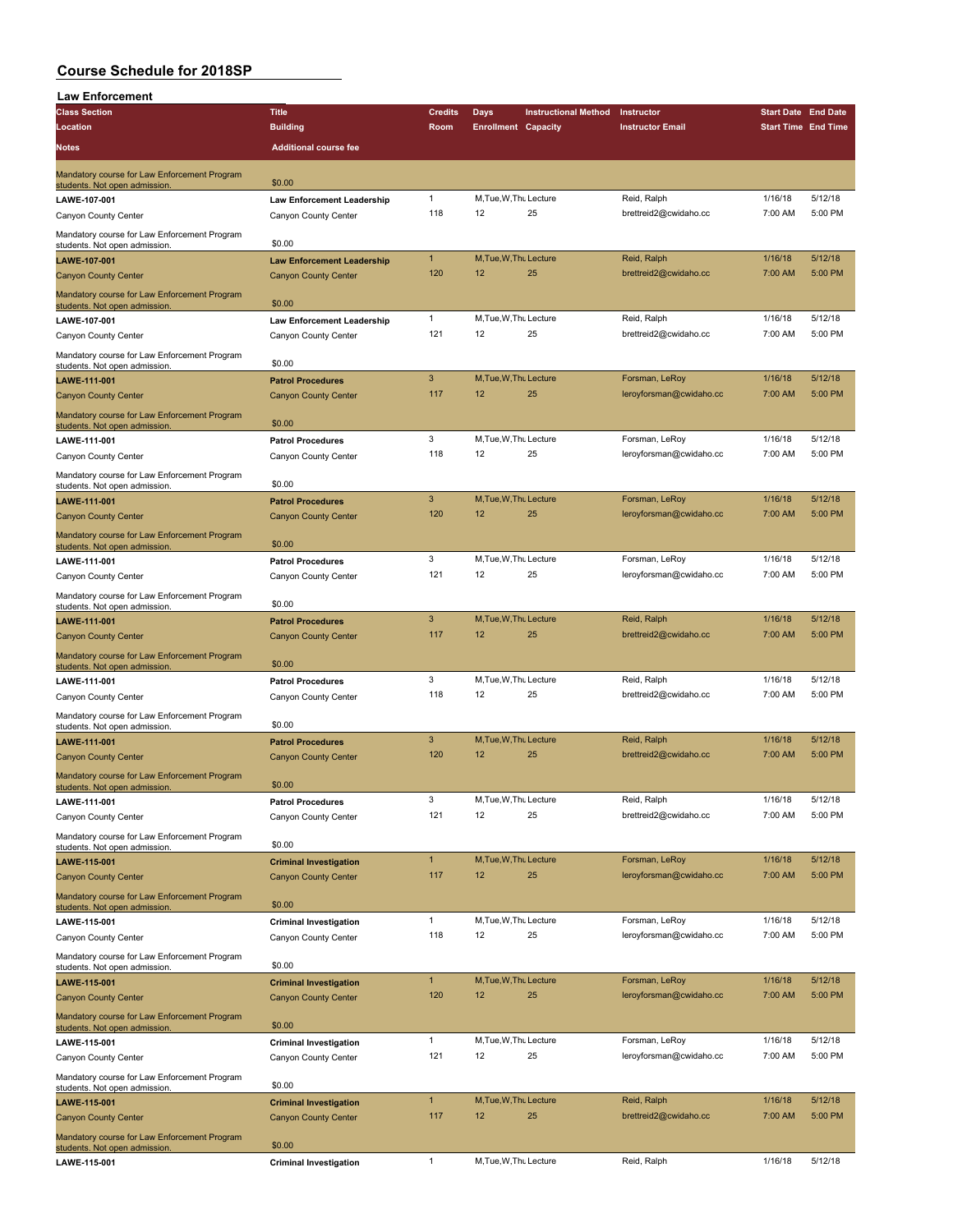| <b>Law Enforcement</b>                                                        |                                                              |                |                            |                             |                                      |                            |         |
|-------------------------------------------------------------------------------|--------------------------------------------------------------|----------------|----------------------------|-----------------------------|--------------------------------------|----------------------------|---------|
| <b>Class Section</b>                                                          | <b>Title</b>                                                 | <b>Credits</b> | Days                       | <b>Instructional Method</b> | Instructor                           | <b>Start Date End Date</b> |         |
| Location                                                                      | <b>Building</b>                                              | Room           | <b>Enrollment Capacity</b> |                             | <b>Instructor Email</b>              | <b>Start Time End Time</b> |         |
| Notes                                                                         | <b>Additional course fee</b>                                 |                |                            |                             |                                      |                            |         |
|                                                                               |                                                              |                |                            |                             |                                      |                            |         |
| Mandatory course for Law Enforcement Program<br>students. Not open admission. | \$0.00                                                       |                |                            |                             |                                      |                            |         |
| LAWE-107-001                                                                  | <b>Law Enforcement Leadership</b>                            | $\mathbf{1}$   | M, Tue, W, Thu Lecture     |                             | Reid, Ralph                          | 1/16/18                    | 5/12/18 |
| Canyon County Center                                                          | Canyon County Center                                         | 118            | 12                         | 25                          | brettreid2@cwidaho.cc                | 7:00 AM                    | 5:00 PM |
|                                                                               |                                                              |                |                            |                             |                                      |                            |         |
| Mandatory course for Law Enforcement Program<br>students. Not open admission  | \$0.00                                                       |                |                            |                             |                                      |                            |         |
| LAWE-107-001                                                                  | <b>Law Enforcement Leadership</b>                            | $\mathbf{1}$   | M, Tue, W, Thu Lecture     |                             | Reid, Ralph                          | 1/16/18                    | 5/12/18 |
| <b>Canyon County Center</b>                                                   | <b>Canyon County Center</b>                                  | 120            | 12                         | 25                          | brettreid2@cwidaho.cc                | 7:00 AM                    | 5:00 PM |
| Mandatory course for Law Enforcement Program                                  |                                                              |                |                            |                             |                                      |                            |         |
| students. Not open admission.                                                 | \$0.00                                                       |                |                            |                             |                                      |                            |         |
| LAWE-107-001                                                                  | <b>Law Enforcement Leadership</b>                            | $\mathbf{1}$   | M, Tue, W, Thu Lecture     |                             | Reid, Ralph                          | 1/16/18                    | 5/12/18 |
| Canyon County Center                                                          | Canyon County Center                                         | 121            | 12                         | 25                          | brettreid2@cwidaho.cc                | 7:00 AM                    | 5:00 PM |
| Mandatory course for Law Enforcement Program                                  | \$0.00                                                       |                |                            |                             |                                      |                            |         |
| students. Not open admission.                                                 |                                                              | $\mathbf{3}$   | M, Tue, W, Thu Lecture     |                             | Forsman, LeRoy                       | 1/16/18                    | 5/12/18 |
| LAWE-111-001<br><b>Canyon County Center</b>                                   | <b>Patrol Procedures</b><br><b>Canyon County Center</b>      | 117            | 12                         | 25                          | leroyforsman@cwidaho.cc              | 7:00 AM                    | 5:00 PM |
|                                                                               |                                                              |                |                            |                             |                                      |                            |         |
| Mandatory course for Law Enforcement Program<br>students. Not open admission. | \$0.00                                                       |                |                            |                             |                                      |                            |         |
| LAWE-111-001                                                                  | <b>Patrol Procedures</b>                                     | 3              | M, Tue, W, Thu Lecture     |                             | Forsman, LeRoy                       | 1/16/18                    | 5/12/18 |
| Canyon County Center                                                          | Canyon County Center                                         | 118            | 12                         | 25                          | leroyforsman@cwidaho.cc              | 7:00 AM                    | 5:00 PM |
| Mandatory course for Law Enforcement Program                                  |                                                              |                |                            |                             |                                      |                            |         |
| students. Not open admission                                                  | \$0.00                                                       |                |                            |                             |                                      |                            |         |
| LAWE-111-001                                                                  | <b>Patrol Procedures</b>                                     | 3              | M.Tue.W.Thu Lecture        |                             | Forsman, LeRoy                       | 1/16/18                    | 5/12/18 |
| <b>Canyon County Center</b>                                                   | <b>Canyon County Center</b>                                  | 120            | 12                         | 25                          | leroyforsman@cwidaho.cc              | 7:00 AM                    | 5:00 PM |
| Mandatory course for Law Enforcement Program                                  |                                                              |                |                            |                             |                                      |                            |         |
| students. Not open admission                                                  | \$0.00                                                       |                |                            |                             |                                      |                            |         |
| LAWE-111-001                                                                  | <b>Patrol Procedures</b>                                     | 3              | M, Tue, W, Thu Lecture     |                             | Forsman, LeRoy                       | 1/16/18                    | 5/12/18 |
| Canyon County Center                                                          | Canyon County Center                                         | 121            | 12                         | 25                          | leroyforsman@cwidaho.cc              | 7:00 AM                    | 5:00 PM |
| Mandatory course for Law Enforcement Program                                  | \$0.00                                                       |                |                            |                             |                                      |                            |         |
| students. Not open admission.                                                 |                                                              | $\mathbf{3}$   | M, Tue, W, Thu Lecture     |                             | Reid, Ralph                          | 1/16/18                    | 5/12/18 |
| LAWE-111-001                                                                  | <b>Patrol Procedures</b>                                     | 117            | 12                         | 25                          | brettreid2@cwidaho.cc                | 7:00 AM                    | 5:00 PM |
| <b>Canyon County Center</b>                                                   | <b>Canyon County Center</b>                                  |                |                            |                             |                                      |                            |         |
| Mandatory course for Law Enforcement Program<br>students. Not open admission  | \$0.00                                                       |                |                            |                             |                                      |                            |         |
| LAWE-111-001                                                                  | <b>Patrol Procedures</b>                                     | 3              | M, Tue, W, Thu Lecture     |                             | Reid, Ralph                          | 1/16/18                    | 5/12/18 |
| Canyon County Center                                                          | Canyon County Center                                         | 118            | 12                         | 25                          | brettreid2@cwidaho.cc                | 7:00 AM                    | 5:00 PM |
| Mandatory course for Law Enforcement Program                                  |                                                              |                |                            |                             |                                      |                            |         |
| students. Not open admission.                                                 | \$0.00                                                       |                |                            |                             |                                      |                            |         |
| LAWE-111-001                                                                  | <b>Patrol Procedures</b>                                     | 3              | M.Tue, W, Thu Lecture      |                             | Reid, Ralph                          | 1/16/18                    | 5/12/18 |
| <b>Canyon County Center</b>                                                   | <b>Canyon County Center</b>                                  | 120            | 12                         | 25                          | brettreid2@cwidaho.cc                | 7:00 AM                    | 5:00 PM |
| Mandatory course for Law Enforcement Program                                  |                                                              |                |                            |                             |                                      |                            |         |
| students. Not open admission.                                                 | \$0.00                                                       |                |                            |                             |                                      |                            |         |
| LAWE-111-001                                                                  | <b>Patrol Procedures</b>                                     | 3              | M, Tue, W, Thu Lecture     |                             | Reid, Ralph                          | 1/16/18                    | 5/12/18 |
| Canyon County Center                                                          | Canyon County Center                                         | 121            | 12                         | 25                          | brettreid2@cwidaho.cc                | 7:00 AM                    | 5:00 PM |
| Mandatory course for Law Enforcement Program                                  | \$0.00                                                       |                |                            |                             |                                      |                            |         |
| students. Not open admission.                                                 |                                                              | $\mathbf{1}$   | M, Tue, W, Thu Lecture     |                             | Forsman, LeRoy                       | 1/16/18                    | 5/12/18 |
| LAWE-115-001<br><b>Canyon County Center</b>                                   | <b>Criminal Investigation</b><br><b>Canyon County Center</b> | 117            | 12                         | 25                          | leroyforsman@cwidaho.cc              | 7:00 AM                    | 5:00 PM |
|                                                                               |                                                              |                |                            |                             |                                      |                            |         |
| Mandatory course for Law Enforcement Program<br>students. Not open admission. | \$0.00                                                       |                |                            |                             |                                      |                            |         |
| LAWE-115-001                                                                  | <b>Criminal Investigation</b>                                | $\mathbf{1}$   | M, Tue, W, Thu Lecture     |                             | Forsman, LeRoy                       | 1/16/18                    | 5/12/18 |
| Canyon County Center                                                          | Canyon County Center                                         | 118            | 12                         | 25                          | leroyforsman@cwidaho.cc              | 7:00 AM                    | 5:00 PM |
| Mandatory course for Law Enforcement Program                                  |                                                              |                |                            |                             |                                      |                            |         |
| students. Not open admission.                                                 | \$0.00                                                       |                |                            |                             |                                      |                            |         |
| LAWE-115-001                                                                  | <b>Criminal Investigation</b>                                | $\mathbf{1}$   | M, Tue, W, Thu Lecture     |                             | Forsman, LeRoy                       | 1/16/18                    | 5/12/18 |
| <b>Canyon County Center</b>                                                   | <b>Canyon County Center</b>                                  | 120            | 12                         | 25                          | leroyforsman@cwidaho.cc              | 7:00 AM                    | 5:00 PM |
| Mandatory course for Law Enforcement Program                                  |                                                              |                |                            |                             |                                      |                            |         |
| students. Not open admission.                                                 | \$0.00                                                       |                |                            |                             |                                      |                            |         |
| LAWE-115-001                                                                  | <b>Criminal Investigation</b>                                | $\mathbf{1}$   | M, Tue, W, Thu Lecture     |                             | Forsman, LeRoy                       | 1/16/18                    | 5/12/18 |
| Canyon County Center                                                          | Canyon County Center                                         | 121            | 12                         | 25                          | leroyforsman@cwidaho.cc              | 7:00 AM                    | 5:00 PM |
| Mandatory course for Law Enforcement Program                                  |                                                              |                |                            |                             |                                      |                            |         |
| students. Not open admission.                                                 | \$0.00                                                       | $\mathbf{1}$   | M, Tue, W, Thu Lecture     |                             |                                      |                            | 5/12/18 |
| LAWE-115-001                                                                  | <b>Criminal Investigation</b>                                | 117            | 12                         | 25                          | Reid, Ralph<br>brettreid2@cwidaho.cc | 1/16/18<br>7:00 AM         | 5:00 PM |
| <b>Canyon County Center</b>                                                   | <b>Canyon County Center</b>                                  |                |                            |                             |                                      |                            |         |
| Mandatory course for Law Enforcement Program<br>students. Not open admission  | \$0.00                                                       |                |                            |                             |                                      |                            |         |
| LAWE-115-001                                                                  | <b>Criminal Investigation</b>                                | $\mathbf{1}$   | M, Tue, W, Thu Lecture     |                             | Reid, Ralph                          | 1/16/18                    | 5/12/18 |
|                                                                               |                                                              |                |                            |                             |                                      |                            |         |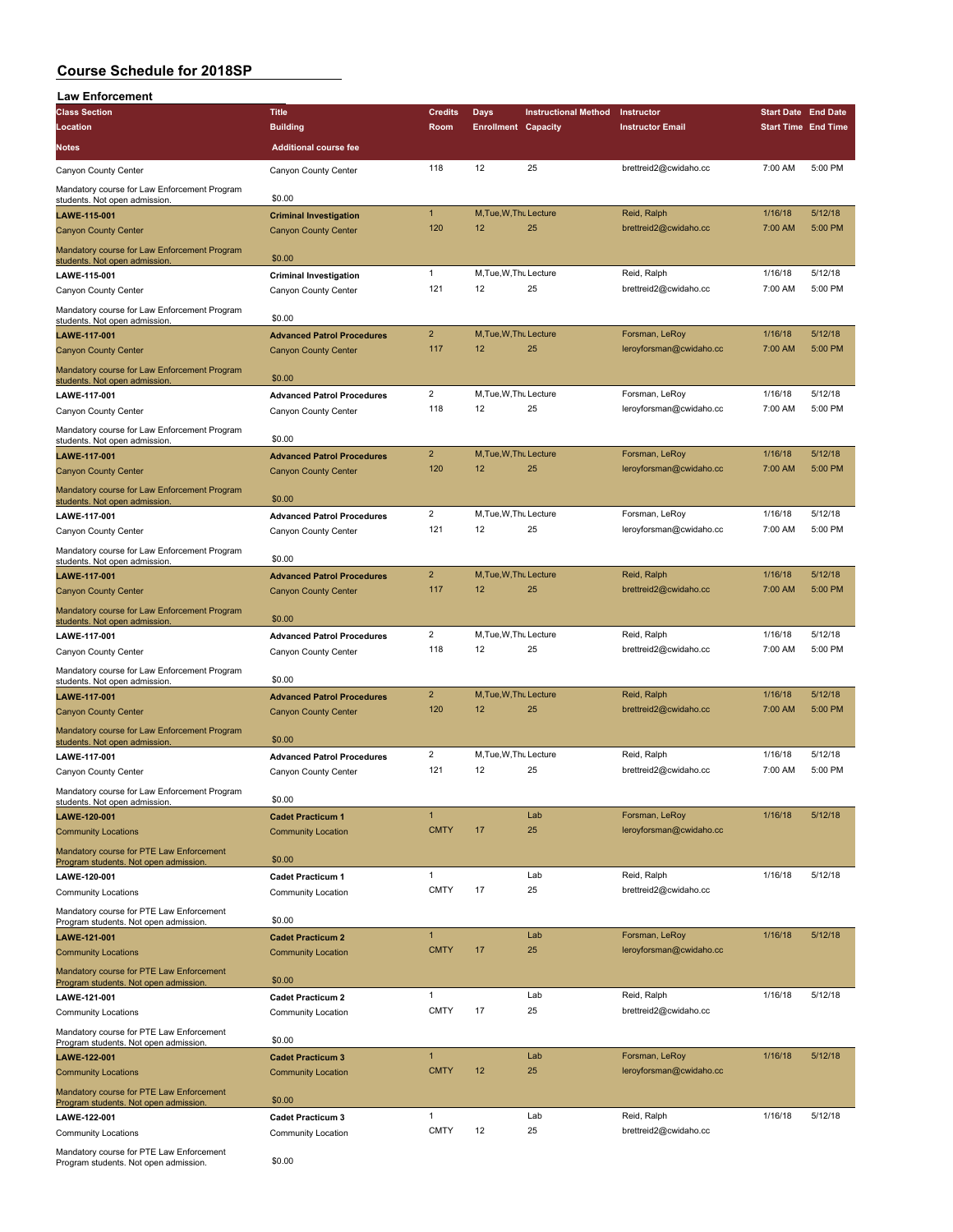| <b>Law Enforcement</b>                                                            |                                   |                       |                              |                             |                                      |                            |                    |
|-----------------------------------------------------------------------------------|-----------------------------------|-----------------------|------------------------------|-----------------------------|--------------------------------------|----------------------------|--------------------|
| <b>Class Section</b>                                                              | <b>Title</b>                      | <b>Credits</b>        | <b>Days</b>                  | <b>Instructional Method</b> | Instructor                           | <b>Start Date End Date</b> |                    |
| Location                                                                          | <b>Building</b>                   | Room                  | <b>Enrollment Capacity</b>   |                             | <b>Instructor Email</b>              | <b>Start Time End Time</b> |                    |
| Notes                                                                             | <b>Additional course fee</b>      |                       |                              |                             |                                      |                            |                    |
| Canyon County Center                                                              | Canyon County Center              | 118                   | 12                           | 25                          | brettreid2@cwidaho.cc                | 7:00 AM                    | 5:00 PM            |
| Mandatory course for Law Enforcement Program                                      |                                   |                       |                              |                             |                                      |                            |                    |
| students. Not open admission.                                                     | \$0.00                            |                       |                              |                             |                                      |                            |                    |
| LAWE-115-001                                                                      | <b>Criminal Investigation</b>     | $\mathbf{1}$          | M, Tue, W, Thu Lecture       |                             | Reid, Ralph                          | 1/16/18                    | 5/12/18            |
| <b>Canyon County Center</b>                                                       | <b>Canyon County Center</b>       | 120                   | 12                           | 25                          | brettreid2@cwidaho.cc                | 7:00 AM                    | 5:00 PM            |
| Mandatory course for Law Enforcement Program<br>students. Not open admission.     | \$0.00                            |                       |                              |                             |                                      |                            |                    |
| LAWE-115-001                                                                      | <b>Criminal Investigation</b>     | $\mathbf{1}$          | M, Tue, W, Thu Lecture       |                             | Reid, Ralph                          | 1/16/18                    | 5/12/18            |
| Canyon County Center                                                              | Canyon County Center              | 121                   | 12                           | 25                          | brettreid2@cwidaho.cc                | 7:00 AM                    | 5:00 PM            |
| Mandatory course for Law Enforcement Program                                      |                                   |                       |                              |                             |                                      |                            |                    |
| students. Not open admission.                                                     | \$0.00                            |                       |                              |                             |                                      |                            |                    |
| LAWE-117-001                                                                      | <b>Advanced Patrol Procedures</b> | $\overline{2}$        | M, Tue, W, Thu Lecture       |                             | Forsman, LeRoy                       | 1/16/18                    | 5/12/18            |
| <b>Canyon County Center</b>                                                       | <b>Canyon County Center</b>       | 117                   | 12                           | 25                          | leroyforsman@cwidaho.cc              | 7:00 AM                    | 5:00 PM            |
| Mandatory course for Law Enforcement Program<br>students. Not open admission.     | \$0.00                            |                       |                              |                             |                                      |                            |                    |
| LAWE-117-001                                                                      | <b>Advanced Patrol Procedures</b> | 2                     | M, Tue, W, Thu Lecture       |                             | Forsman, LeRoy                       | 1/16/18                    | 5/12/18            |
| Canyon County Center                                                              | Canyon County Center              | 118                   | 12                           | 25                          | leroyforsman@cwidaho.cc              | 7:00 AM                    | 5:00 PM            |
| Mandatory course for Law Enforcement Program                                      |                                   |                       |                              |                             |                                      |                            |                    |
| students. Not open admission.                                                     | \$0.00                            |                       |                              |                             |                                      |                            |                    |
| <b>LAWE-117-001</b>                                                               | <b>Advanced Patrol Procedures</b> | $\overline{2}$        | M.Tue.W.Thu Lecture          |                             | Forsman, LeRoy                       | 1/16/18                    | 5/12/18            |
| <b>Canyon County Center</b>                                                       | <b>Canyon County Center</b>       | 120                   | 12                           | 25                          | leroyforsman@cwidaho.cc              | 7:00 AM                    | 5:00 PM            |
| Mandatory course for Law Enforcement Program<br>students. Not open admission.     | \$0.00                            |                       |                              |                             |                                      |                            |                    |
| LAWE-117-001                                                                      | <b>Advanced Patrol Procedures</b> | $\mathbf 2$           | M, Tue, W, Thu Lecture       |                             | Forsman, LeRoy                       | 1/16/18                    | 5/12/18            |
| Canyon County Center                                                              | Canyon County Center              | 121                   | 12                           | 25                          | leroyforsman@cwidaho.cc              | 7:00 AM                    | 5:00 PM            |
| Mandatory course for Law Enforcement Program                                      |                                   |                       |                              |                             |                                      |                            |                    |
| students. Not open admission.                                                     | \$0.00                            |                       |                              |                             |                                      |                            |                    |
| LAWE-117-001                                                                      | <b>Advanced Patrol Procedures</b> | $\overline{2}$        | M, Tue, W, Thu Lecture       |                             | Reid, Ralph                          | 1/16/18                    | 5/12/18            |
| <b>Canyon County Center</b>                                                       | <b>Canyon County Center</b>       | 117                   | 12                           | 25                          | brettreid2@cwidaho.cc                | 7:00 AM                    | 5:00 PM            |
| Mandatory course for Law Enforcement Program                                      |                                   |                       |                              |                             |                                      |                            |                    |
| students. Not open admission.                                                     | \$0.00                            | 2                     | M, Tue, W, Thu Lecture       |                             | Reid, Ralph                          | 1/16/18                    | 5/12/18            |
| <b>LAWE-117-001</b>                                                               | <b>Advanced Patrol Procedures</b> | 118                   | 12                           | 25                          | brettreid2@cwidaho.cc                | 7:00 AM                    | 5:00 PM            |
| Canyon County Center                                                              | Canyon County Center              |                       |                              |                             |                                      |                            |                    |
| Mandatory course for Law Enforcement Program<br>students. Not open admission.     | \$0.00                            |                       |                              |                             |                                      |                            |                    |
| LAWE-117-001                                                                      | <b>Advanced Patrol Procedures</b> | $\overline{c}$        | M, Tue, W, Thu Lecture       |                             | Reid, Ralph                          | 1/16/18                    | 5/12/18            |
| <b>Canyon County Center</b>                                                       | <b>Canyon County Center</b>       | 120                   | 12                           | 25                          | brettreid2@cwidaho.cc                | 7:00 AM                    | 5:00 PM            |
| Mandatory course for Law Enforcement Program                                      |                                   |                       |                              |                             |                                      |                            |                    |
| students. Not open admission.                                                     | \$0.00                            |                       |                              |                             |                                      |                            |                    |
| <b>LAWE-117-001</b>                                                               | <b>Advanced Patrol Procedures</b> | $\overline{2}$<br>121 | M, Tue, W, Thu Lecture<br>12 |                             | Reid, Ralph<br>brettreid2@cwidaho.cc | 1/16/18<br>7:00 AM         | 5/12/18<br>5:00 PM |
| Canyon County Center                                                              | Canyon County Center              |                       |                              | 25                          |                                      |                            |                    |
| Mandatory course for Law Enforcement Program<br>students. Not open admission.     | \$0.00                            |                       |                              |                             |                                      |                            |                    |
| LAWE-120-001                                                                      | <b>Cadet Practicum 1</b>          | 1                     |                              | Lab                         | Forsman, LeRoy                       | 1/16/18                    | 5/12/18            |
| <b>Community Locations</b>                                                        | <b>Community Location</b>         | <b>CMTY</b>           | 17                           | 25                          | leroyforsman@cwidaho.cc              |                            |                    |
| Mandatory course for PTE Law Enforcement                                          |                                   |                       |                              |                             |                                      |                            |                    |
| Program students. Not open admission.                                             | \$0.00                            |                       |                              |                             |                                      |                            |                    |
| LAWE-120-001                                                                      | <b>Cadet Practicum 1</b>          | 1                     |                              | Lab                         | Reid, Ralph                          | 1/16/18                    | 5/12/18            |
| <b>Community Locations</b>                                                        | <b>Community Location</b>         | <b>CMTY</b>           | 17                           | 25                          | brettreid2@cwidaho.cc                |                            |                    |
| Mandatory course for PTE Law Enforcement<br>Program students. Not open admission. | \$0.00                            |                       |                              |                             |                                      |                            |                    |
| LAWE-121-001                                                                      | <b>Cadet Practicum 2</b>          | $\mathbf{1}$          |                              | Lab                         | Forsman, LeRoy                       | 1/16/18                    | 5/12/18            |
| <b>Community Locations</b>                                                        | <b>Community Location</b>         | <b>CMTY</b>           | 17                           | 25                          | leroyforsman@cwidaho.cc              |                            |                    |
| Mandatory course for PTE Law Enforcement                                          |                                   |                       |                              |                             |                                      |                            |                    |
| Program students. Not open admission.                                             | \$0.00                            |                       |                              |                             |                                      |                            |                    |
| <b>LAWE-121-001</b>                                                               | <b>Cadet Practicum 2</b>          | 1                     |                              | Lab                         | Reid, Ralph                          | 1/16/18                    | 5/12/18            |
| Community Locations                                                               | Community Location                | <b>CMTY</b>           | 17                           | 25                          | brettreid2@cwidaho.cc                |                            |                    |
| Mandatory course for PTE Law Enforcement                                          | \$0.00                            |                       |                              |                             |                                      |                            |                    |
| Program students. Not open admission.<br>LAWE-122-001                             | <b>Cadet Practicum 3</b>          | $\mathbf{1}$          |                              | Lab                         | Forsman, LeRoy                       | 1/16/18                    | 5/12/18            |
| <b>Community Locations</b>                                                        | <b>Community Location</b>         | <b>CMTY</b>           | 12                           | 25                          | leroyforsman@cwidaho.cc              |                            |                    |
|                                                                                   |                                   |                       |                              |                             |                                      |                            |                    |
| Mandatory course for PTE Law Enforcement<br>Program students. Not open admission. | \$0.00                            |                       |                              |                             |                                      |                            |                    |
| LAWE-122-001                                                                      | <b>Cadet Practicum 3</b>          | 1                     |                              | Lab                         | Reid, Ralph                          | 1/16/18                    | 5/12/18            |
| <b>Community Locations</b>                                                        | Community Location                | <b>CMTY</b>           | 12                           | 25                          | brettreid2@cwidaho.cc                |                            |                    |
| Mandatory course for PTE Law Enforcement                                          |                                   |                       |                              |                             |                                      |                            |                    |
| Program students. Not open admission.                                             | \$0.00                            |                       |                              |                             |                                      |                            |                    |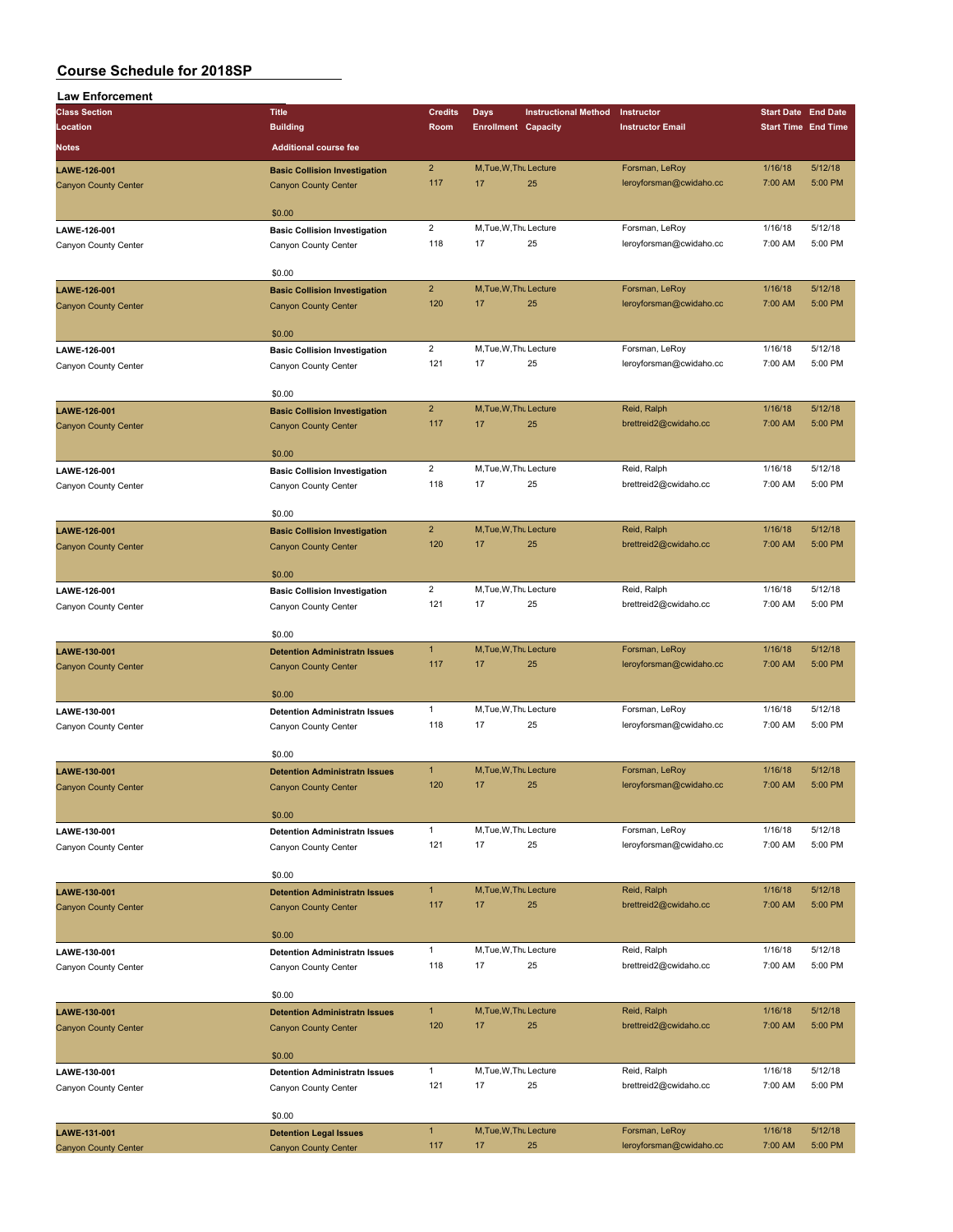| <b>Law Enforcement</b>                      |                                      |                         |                              |                             |                                      |                            |                            |
|---------------------------------------------|--------------------------------------|-------------------------|------------------------------|-----------------------------|--------------------------------------|----------------------------|----------------------------|
| <b>Class Section</b>                        | <b>Title</b>                         | <b>Credits</b>          | <b>Days</b>                  | <b>Instructional Method</b> | Instructor                           | <b>Start Date End Date</b> |                            |
| Location                                    | <b>Building</b>                      | Room                    | <b>Enrollment Capacity</b>   |                             | <b>Instructor Email</b>              |                            | <b>Start Time End Time</b> |
| <b>Notes</b>                                | <b>Additional course fee</b>         |                         |                              |                             |                                      |                            |                            |
| LAWE-126-001                                |                                      | $\overline{2}$          | M, Tue, W, Thu Lecture       |                             | Forsman, LeRoy                       | 1/16/18                    | 5/12/18                    |
|                                             | <b>Basic Collision Investigation</b> | 117                     | 17                           | 25                          | leroyforsman@cwidaho.cc              | 7:00 AM                    | 5:00 PM                    |
| <b>Canyon County Center</b>                 | <b>Canyon County Center</b>          |                         |                              |                             |                                      |                            |                            |
|                                             | \$0.00                               |                         |                              |                             |                                      |                            |                            |
| LAWE-126-001                                | <b>Basic Collision Investigation</b> | $\overline{a}$          | M, Tue, W, Thu Lecture       |                             | Forsman, LeRoy                       | 1/16/18                    | 5/12/18                    |
| Canyon County Center                        | Canyon County Center                 | 118                     | 17                           | 25                          | leroyforsman@cwidaho.cc              | 7:00 AM                    | 5:00 PM                    |
|                                             |                                      |                         |                              |                             |                                      |                            |                            |
|                                             | \$0.00                               |                         |                              |                             |                                      |                            |                            |
| LAWE-126-001                                | <b>Basic Collision Investigation</b> | $\overline{2}$          | M, Tue, W, Thu Lecture       |                             | Forsman, LeRoy                       | 1/16/18                    | 5/12/18                    |
| <b>Canyon County Center</b>                 | <b>Canyon County Center</b>          | 120                     | 17                           | 25                          | leroyforsman@cwidaho.cc              | 7:00 AM                    | 5:00 PM                    |
|                                             |                                      |                         |                              |                             |                                      |                            |                            |
|                                             | \$0.00                               |                         |                              |                             |                                      |                            |                            |
| LAWE-126-001                                | <b>Basic Collision Investigation</b> | $\overline{\mathbf{c}}$ | M, Tue, W, Thu Lecture       |                             | Forsman, LeRoy                       | 1/16/18                    | 5/12/18                    |
| Canyon County Center                        | Canyon County Center                 | 121                     | 17                           | 25                          | leroyforsman@cwidaho.cc              | 7:00 AM                    | 5:00 PM                    |
|                                             |                                      |                         |                              |                             |                                      |                            |                            |
|                                             | \$0.00                               | $\overline{2}$          | M, Tue, W, Thu Lecture       |                             | Reid, Ralph                          | 1/16/18                    | 5/12/18                    |
| LAWE-126-001<br><b>Canyon County Center</b> | <b>Basic Collision Investigation</b> | 117                     | 17                           | 25                          | brettreid2@cwidaho.cc                | 7:00 AM                    | 5:00 PM                    |
|                                             | <b>Canyon County Center</b>          |                         |                              |                             |                                      |                            |                            |
|                                             | \$0.00                               |                         |                              |                             |                                      |                            |                            |
| LAWE-126-001                                | <b>Basic Collision Investigation</b> | $\overline{2}$          | M, Tue, W, Thu Lecture       |                             | Reid, Ralph                          | 1/16/18                    | 5/12/18                    |
| Canyon County Center                        | Canyon County Center                 | 118                     | 17                           | 25                          | brettreid2@cwidaho.cc                | 7:00 AM                    | 5:00 PM                    |
|                                             |                                      |                         |                              |                             |                                      |                            |                            |
|                                             | \$0.00                               |                         |                              |                             |                                      |                            |                            |
| LAWE-126-001                                | <b>Basic Collision Investigation</b> | $\overline{2}$          | M, Tue, W, Thu Lecture       |                             | Reid, Ralph                          | 1/16/18                    | 5/12/18                    |
| <b>Canyon County Center</b>                 | <b>Canyon County Center</b>          | 120                     | 17                           | 25                          | brettreid2@cwidaho.cc                | 7:00 AM                    | 5:00 PM                    |
|                                             |                                      |                         |                              |                             |                                      |                            |                            |
|                                             | \$0.00                               |                         |                              |                             |                                      |                            |                            |
| LAWE-126-001                                | <b>Basic Collision Investigation</b> | $\overline{2}$          | M, Tue, W, Thu Lecture       |                             | Reid, Ralph                          | 1/16/18                    | 5/12/18                    |
| Canyon County Center                        | Canyon County Center                 | 121                     | 17                           | 25                          | brettreid2@cwidaho.cc                | 7:00 AM                    | 5:00 PM                    |
|                                             |                                      |                         |                              |                             |                                      |                            |                            |
|                                             | \$0.00                               |                         |                              |                             |                                      |                            |                            |
| LAWE-130-001                                | <b>Detention Administratn Issues</b> | $\mathbf{1}$<br>117     | M, Tue, W, Thu Lecture<br>17 | 25                          | Forsman, LeRoy                       | 1/16/18                    | 5/12/18<br>5:00 PM         |
| <b>Canyon County Center</b>                 | <b>Canyon County Center</b>          |                         |                              |                             | leroyforsman@cwidaho.cc              | 7:00 AM                    |                            |
|                                             | \$0.00                               |                         |                              |                             |                                      |                            |                            |
| LAWE-130-001                                | <b>Detention Administratn Issues</b> | $\mathbf{1}$            | M, Tue, W, Thu Lecture       |                             | Forsman, LeRoy                       | 1/16/18                    | 5/12/18                    |
| Canyon County Center                        | Canyon County Center                 | 118                     | 17                           | 25                          | leroyforsman@cwidaho.cc              | 7:00 AM                    | 5:00 PM                    |
|                                             |                                      |                         |                              |                             |                                      |                            |                            |
|                                             | \$0.00                               |                         |                              |                             |                                      |                            |                            |
| LAWE-130-001                                | <b>Detention Administratn Issues</b> | $\mathbf{1}$            | M, Tue, W, Thu Lecture       |                             | Forsman, LeRoy                       | 1/16/18                    | 5/12/18                    |
| Canyon County Center                        | Canyon County Center                 | 120                     | 17                           | 25                          | leroyforsman@cwidaho.cc              | 7:00 AM                    | 5:00 PM                    |
|                                             |                                      |                         |                              |                             |                                      |                            |                            |
|                                             | \$0.00                               |                         |                              |                             |                                      |                            |                            |
| LAWE-130-001                                | <b>Detention Administratn Issues</b> | $\mathbf{1}$            | M, Tue, W, Thu Lecture       |                             | Forsman, LeRoy                       | 1/16/18                    | 5/12/18                    |
| Canyon County Center                        | Canyon County Center                 | 121                     | 17                           | 25                          | leroyforsman@cwidaho.cc              | 7:00 AM                    | 5:00 PM                    |
|                                             |                                      |                         |                              |                             |                                      |                            |                            |
|                                             | \$0.00                               | $\mathbf{1}$            |                              |                             |                                      |                            | 5/12/18                    |
| LAWE-130-001                                | <b>Detention Administratn Issues</b> | 117                     | M, Tue, W, Thu Lecture<br>17 | 25                          | Reid, Ralph<br>brettreid2@cwidaho.cc | 1/16/18<br>7:00 AM         | 5:00 PM                    |
| <b>Canyon County Center</b>                 | <b>Canyon County Center</b>          |                         |                              |                             |                                      |                            |                            |
|                                             | \$0.00                               |                         |                              |                             |                                      |                            |                            |
| LAWE-130-001                                | <b>Detention Administratn Issues</b> | $\mathbf{1}$            | M, Tue, W, Thu Lecture       |                             | Reid, Ralph                          | 1/16/18                    | 5/12/18                    |
| Canyon County Center                        | Canyon County Center                 | 118                     | 17                           | 25                          | brettreid2@cwidaho.cc                | 7:00 AM                    | 5:00 PM                    |
|                                             |                                      |                         |                              |                             |                                      |                            |                            |
|                                             | \$0.00                               |                         |                              |                             |                                      |                            |                            |
| LAWE-130-001                                | <b>Detention Administratn Issues</b> | 1                       | M, Tue, W, Thu Lecture       |                             | Reid, Ralph                          | 1/16/18                    | 5/12/18                    |
| <b>Canyon County Center</b>                 | <b>Canyon County Center</b>          | 120                     | 17                           | 25                          | brettreid2@cwidaho.cc                | 7:00 AM                    | 5:00 PM                    |
|                                             |                                      |                         |                              |                             |                                      |                            |                            |
|                                             | \$0.00                               |                         |                              |                             |                                      |                            |                            |
| LAWE-130-001                                | <b>Detention Administratn Issues</b> | $\mathbf{1}$            | M, Tue, W, Thu Lecture       |                             | Reid, Ralph                          | 1/16/18                    | 5/12/18                    |
| Canyon County Center                        | Canyon County Center                 | 121                     | 17                           | 25                          | brettreid2@cwidaho.cc                | 7:00 AM                    | 5:00 PM                    |
|                                             |                                      |                         |                              |                             |                                      |                            |                            |
|                                             | \$0.00                               |                         |                              |                             |                                      |                            |                            |
| LAWE-131-001                                | <b>Detention Legal Issues</b>        | $\mathbf{1}$<br>117     | M, Tue, W, Thu Lecture       |                             | Forsman, LeRoy                       | 1/16/18                    | 5/12/18<br>5:00 PM         |
| <b>Canyon County Center</b>                 | <b>Canyon County Center</b>          |                         | 17                           | 25                          | leroyforsman@cwidaho.cc              | 7:00 AM                    |                            |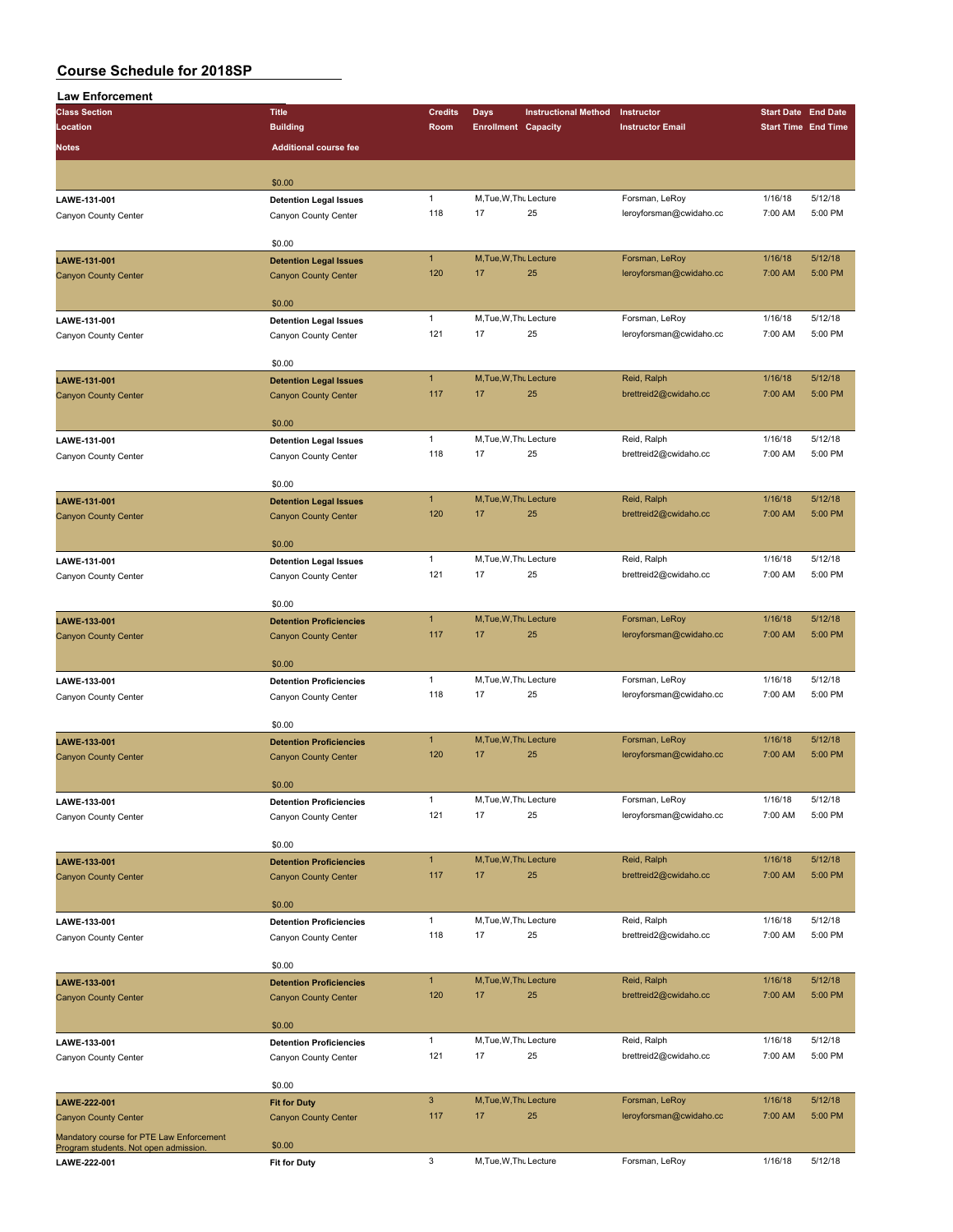| <b>Law Enforcement</b>                                                            |                                |                |                            |                             |                         |         |                            |
|-----------------------------------------------------------------------------------|--------------------------------|----------------|----------------------------|-----------------------------|-------------------------|---------|----------------------------|
| <b>Class Section</b>                                                              | <b>Title</b>                   | <b>Credits</b> | <b>Days</b>                | <b>Instructional Method</b> | Instructor              |         | <b>Start Date End Date</b> |
| Location                                                                          | <b>Building</b>                | Room           | <b>Enrollment Capacity</b> |                             | <b>Instructor Email</b> |         | <b>Start Time End Time</b> |
| <b>Notes</b>                                                                      | <b>Additional course fee</b>   |                |                            |                             |                         |         |                            |
|                                                                                   |                                |                |                            |                             |                         |         |                            |
|                                                                                   |                                |                |                            |                             |                         |         |                            |
|                                                                                   | \$0.00                         |                |                            |                             |                         |         |                            |
| LAWE-131-001                                                                      | <b>Detention Legal Issues</b>  | $\mathbf{1}$   | M, Tue, W, Thu Lecture     |                             | Forsman, LeRoy          | 1/16/18 | 5/12/18                    |
| Canyon County Center                                                              | Canyon County Center           | 118            | 17                         | 25                          | leroyforsman@cwidaho.cc | 7:00 AM | 5:00 PM                    |
|                                                                                   |                                |                |                            |                             |                         |         |                            |
|                                                                                   | \$0.00                         |                |                            |                             |                         |         |                            |
| LAWE-131-001                                                                      | <b>Detention Legal Issues</b>  | $\mathbf{1}$   | M, Tue, W, Thu Lecture     |                             | Forsman, LeRoy          | 1/16/18 | 5/12/18                    |
| <b>Canyon County Center</b>                                                       | <b>Canyon County Center</b>    | 120            | 17                         | 25                          | leroyforsman@cwidaho.cc | 7:00 AM | 5:00 PM                    |
|                                                                                   |                                |                |                            |                             |                         |         |                            |
|                                                                                   | \$0.00                         |                |                            |                             |                         |         |                            |
| LAWE-131-001                                                                      | <b>Detention Legal Issues</b>  | $\mathbf{1}$   | M, Tue, W, Thu Lecture     |                             | Forsman, LeRoy          | 1/16/18 | 5/12/18                    |
| Canyon County Center                                                              | Canyon County Center           | 121            | 17                         | 25                          | leroyforsman@cwidaho.cc | 7:00 AM | 5:00 PM                    |
|                                                                                   |                                |                |                            |                             |                         |         |                            |
|                                                                                   | \$0.00                         |                |                            |                             |                         |         |                            |
| LAWE-131-001                                                                      | <b>Detention Legal Issues</b>  | $\mathbf{1}$   | M, Tue, W, Thu Lecture     |                             | Reid, Ralph             | 1/16/18 | 5/12/18                    |
| <b>Canyon County Center</b>                                                       | <b>Canyon County Center</b>    | 117            | 17                         | 25                          | brettreid2@cwidaho.cc   | 7:00 AM | 5:00 PM                    |
|                                                                                   |                                |                |                            |                             |                         |         |                            |
|                                                                                   | \$0.00                         |                |                            |                             |                         |         |                            |
| LAWE-131-001                                                                      | <b>Detention Legal Issues</b>  | $\mathbf{1}$   | M, Tue, W, Thu Lecture     |                             | Reid, Ralph             | 1/16/18 | 5/12/18                    |
| Canyon County Center                                                              | Canyon County Center           | 118            | 17                         | 25                          | brettreid2@cwidaho.cc   | 7:00 AM | 5:00 PM                    |
|                                                                                   |                                |                |                            |                             |                         |         |                            |
|                                                                                   | \$0.00                         |                |                            |                             |                         |         |                            |
| LAWE-131-001                                                                      | <b>Detention Legal Issues</b>  | $\mathbf{1}$   | M, Tue, W, Thu Lecture     |                             | Reid, Ralph             | 1/16/18 | 5/12/18                    |
| <b>Canyon County Center</b>                                                       | <b>Canyon County Center</b>    | 120            | 17                         | 25                          | brettreid2@cwidaho.cc   | 7:00 AM | 5:00 PM                    |
|                                                                                   |                                |                |                            |                             |                         |         |                            |
|                                                                                   | \$0.00                         |                |                            |                             |                         |         |                            |
| LAWE-131-001                                                                      | <b>Detention Legal Issues</b>  | $\mathbf{1}$   | M, Tue, W, Thu Lecture     |                             | Reid, Ralph             | 1/16/18 | 5/12/18                    |
| Canyon County Center                                                              | Canyon County Center           | 121            | 17                         | 25                          | brettreid2@cwidaho.cc   | 7:00 AM | 5:00 PM                    |
|                                                                                   |                                |                |                            |                             |                         |         |                            |
|                                                                                   | \$0.00                         |                |                            |                             |                         |         |                            |
| LAWE-133-001                                                                      | <b>Detention Proficiencies</b> | $\mathbf{1}$   | M.Tue.W.Thu Lecture        |                             | Forsman, LeRoy          | 1/16/18 | 5/12/18                    |
| <b>Canyon County Center</b>                                                       | <b>Canyon County Center</b>    | 117            | 17                         | 25                          | leroyforsman@cwidaho.cc | 7:00 AM | 5:00 PM                    |
|                                                                                   |                                |                |                            |                             |                         |         |                            |
|                                                                                   | \$0.00                         |                |                            |                             |                         |         |                            |
| LAWE-133-001                                                                      | <b>Detention Proficiencies</b> | $\mathbf{1}$   | M, Tue, W, Thu Lecture     |                             | Forsman, LeRoy          | 1/16/18 | 5/12/18                    |
| Canyon County Center                                                              | Canyon County Center           | 118            | 17                         | 25                          | leroyforsman@cwidaho.cc | 7:00 AM | 5:00 PM                    |
|                                                                                   |                                |                |                            |                             |                         |         |                            |
|                                                                                   | \$0.00                         |                |                            |                             |                         |         |                            |
| LAWE-133-001                                                                      | <b>Detention Proficiencies</b> | $\mathbf{1}$   | M, Tue, W, Thu Lecture     |                             | Forsman, LeRoy          | 1/16/18 | 5/12/18                    |
| <b>Canyon County Center</b>                                                       | <b>Canyon County Center</b>    | 120            | 17                         | 25                          | leroyforsman@cwidaho.cc | 7:00 AM | 5:00 PM                    |
|                                                                                   |                                |                |                            |                             |                         |         |                            |
|                                                                                   | \$0.00                         |                |                            |                             |                         |         |                            |
| LAWE-133-001                                                                      | <b>Detention Proficiencies</b> | $\mathbf{1}$   | M, Tue, W, Thu Lecture     |                             | Forsman, LeRoy          | 1/16/18 | 5/12/18                    |
| Canyon County Center                                                              | Canyon County Center           | 121            | 17                         | 25                          | leroyforsman@cwidaho.cc | 7:00 AM | 5:00 PM                    |
|                                                                                   |                                |                |                            |                             |                         |         |                            |
|                                                                                   | \$0.00                         |                |                            |                             |                         |         |                            |
| LAWE-133-001                                                                      | <b>Detention Proficiencies</b> | $\mathbf{1}$   | M, Tue, W, Thu Lecture     |                             | Reid, Ralph             | 1/16/18 | 5/12/18                    |
| <b>Canyon County Center</b>                                                       | <b>Canyon County Center</b>    | 117            | 17                         | 25                          | brettreid2@cwidaho.cc   | 7:00 AM | 5:00 PM                    |
|                                                                                   |                                |                |                            |                             |                         |         |                            |
|                                                                                   | \$0.00                         |                |                            |                             |                         |         |                            |
| LAWE-133-001                                                                      | <b>Detention Proficiencies</b> | $\mathbf{1}$   | M, Tue, W, Thu Lecture     |                             | Reid, Ralph             | 1/16/18 | 5/12/18                    |
| Canyon County Center                                                              | Canyon County Center           | 118            | 17                         | 25                          | brettreid2@cwidaho.cc   | 7:00 AM | 5:00 PM                    |
|                                                                                   |                                |                |                            |                             |                         |         |                            |
|                                                                                   | \$0.00                         |                |                            |                             |                         |         |                            |
| LAWE-133-001                                                                      | <b>Detention Proficiencies</b> | $\mathbf{1}$   | M, Tue, W, Thu Lecture     |                             | Reid, Ralph             | 1/16/18 | 5/12/18                    |
| <b>Canyon County Center</b>                                                       | <b>Canyon County Center</b>    | 120            | 17                         | 25                          | brettreid2@cwidaho.cc   | 7:00 AM | 5:00 PM                    |
|                                                                                   |                                |                |                            |                             |                         |         |                            |
|                                                                                   | \$0.00                         |                |                            |                             |                         |         |                            |
| LAWE-133-001                                                                      | <b>Detention Proficiencies</b> | $\mathbf{1}$   | M, Tue, W, Thu Lecture     |                             | Reid, Ralph             | 1/16/18 | 5/12/18                    |
| Canyon County Center                                                              | Canyon County Center           | 121            | 17                         | 25                          | brettreid2@cwidaho.cc   | 7:00 AM | 5:00 PM                    |
|                                                                                   |                                |                |                            |                             |                         |         |                            |
|                                                                                   | \$0.00                         |                |                            |                             |                         |         |                            |
| LAWE-222-001                                                                      | <b>Fit for Duty</b>            | $\mathbf{3}$   | M, Tue, W, Thu Lecture     |                             | Forsman, LeRoy          | 1/16/18 | 5/12/18                    |
| Canyon County Center                                                              | <b>Canyon County Center</b>    | 117            | 17                         | 25                          | leroyforsman@cwidaho.cc | 7:00 AM | 5:00 PM                    |
|                                                                                   |                                |                |                            |                             |                         |         |                            |
| Mandatory course for PTE Law Enforcement<br>Program students. Not open admission. | \$0.00                         |                |                            |                             |                         |         |                            |
| LAWE-222-001                                                                      | <b>Fit for Duty</b>            | 3              | M, Tue, W, Thu Lecture     |                             | Forsman, LeRoy          | 1/16/18 | 5/12/18                    |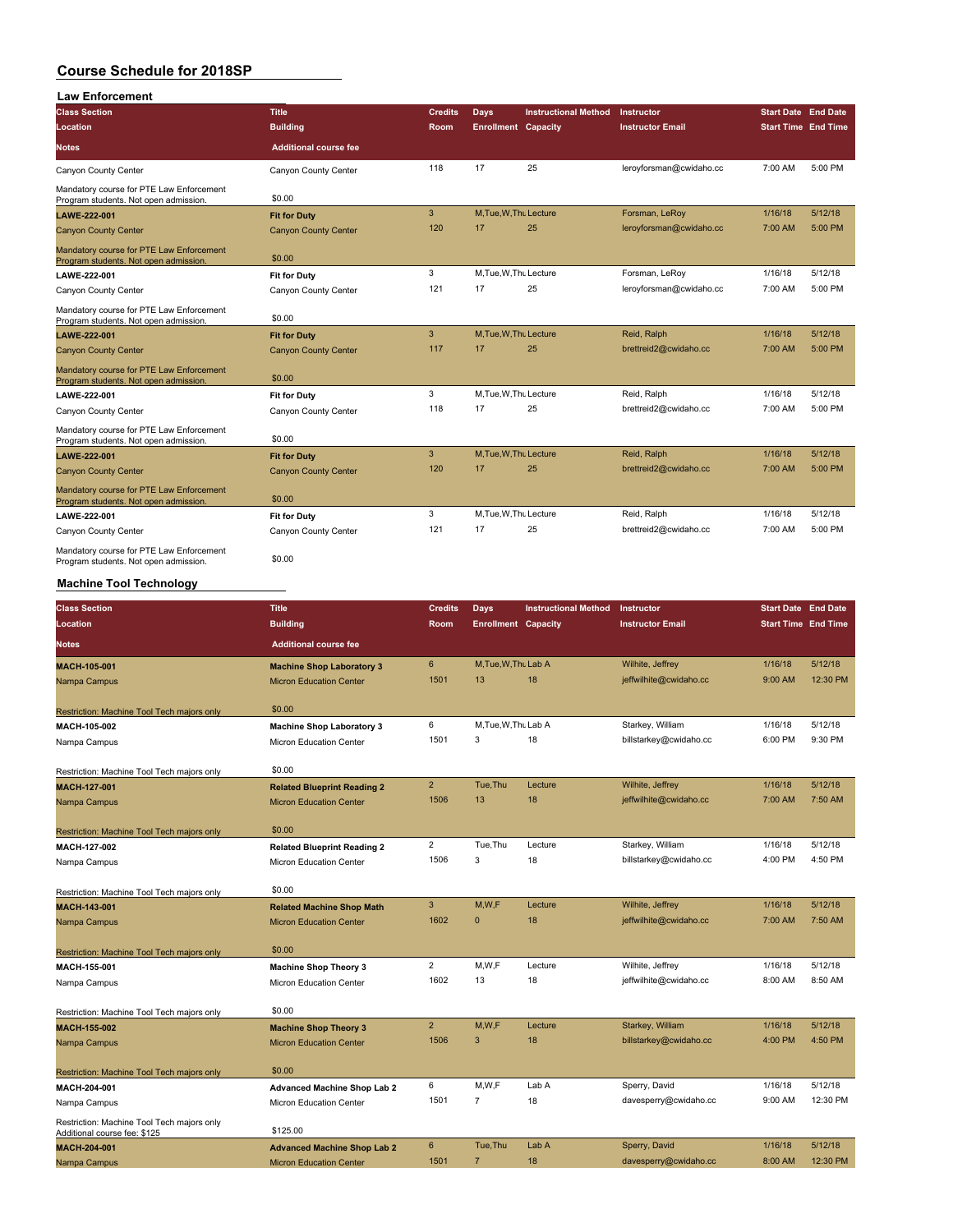| <b>Law Enforcement</b> |
|------------------------|
|                        |

| <b>Class Section</b>                                                              | Title                        | <b>Credits</b> | <b>Days</b>                | <b>Instructional Method</b> | <b>Instructor</b>       | <b>Start Date End Date</b> |         |
|-----------------------------------------------------------------------------------|------------------------------|----------------|----------------------------|-----------------------------|-------------------------|----------------------------|---------|
| Location                                                                          | <b>Building</b>              | <b>Room</b>    | <b>Enrollment Capacity</b> |                             | <b>Instructor Email</b> | <b>Start Time End Time</b> |         |
| <b>Notes</b>                                                                      | <b>Additional course fee</b> |                |                            |                             |                         |                            |         |
| Canyon County Center                                                              | Canyon County Center         | 118            | 17                         | 25                          | leroyforsman@cwidaho.cc | 7:00 AM                    | 5:00 PM |
| Mandatory course for PTE Law Enforcement<br>Program students. Not open admission. | \$0.00                       |                |                            |                             |                         |                            |         |
| LAWE-222-001                                                                      | <b>Fit for Duty</b>          | $\mathbf{3}$   | M, Tue, W, Thu Lecture     |                             | Forsman, LeRoy          | 1/16/18                    | 5/12/18 |
| <b>Canyon County Center</b>                                                       | <b>Canyon County Center</b>  | 120            | 17                         | 25                          | leroyforsman@cwidaho.cc | 7:00 AM                    | 5:00 PM |
| Mandatory course for PTE Law Enforcement<br>Program students. Not open admission. | \$0.00                       |                |                            |                             |                         |                            |         |
| LAWE-222-001                                                                      | <b>Fit for Duty</b>          | 3              | M, Tue, W, Thu Lecture     |                             | Forsman, LeRoy          | 1/16/18                    | 5/12/18 |
| Canyon County Center                                                              | Canyon County Center         | 121            | 17                         | 25                          | leroyforsman@cwidaho.cc | 7:00 AM                    | 5:00 PM |
| Mandatory course for PTE Law Enforcement<br>Program students. Not open admission. | \$0.00                       |                |                            |                             |                         |                            |         |
| LAWE-222-001                                                                      | <b>Fit for Duty</b>          | 3              | M, Tue, W, Thu Lecture     |                             | Reid, Ralph             | 1/16/18                    | 5/12/18 |
| <b>Canyon County Center</b>                                                       | <b>Canyon County Center</b>  | 117            | 17                         | 25                          | brettreid2@cwidaho.cc   | 7:00 AM                    | 5:00 PM |
| Mandatory course for PTE Law Enforcement<br>Program students. Not open admission. | \$0.00                       |                |                            |                             |                         |                            |         |
| LAWE-222-001                                                                      | <b>Fit for Duty</b>          | 3              | M, Tue, W, Thu Lecture     |                             | Reid, Ralph             | 1/16/18                    | 5/12/18 |
| Canvon County Center                                                              | Canvon County Center         | 118            | 17                         | 25                          | brettreid2@cwidaho.cc   | 7:00 AM                    | 5:00 PM |
| Mandatory course for PTE Law Enforcement<br>Program students. Not open admission. | \$0.00                       |                |                            |                             |                         |                            |         |
| LAWE-222-001                                                                      | <b>Fit for Duty</b>          | $\overline{3}$ | M, Tue, W, Thu Lecture     |                             | Reid, Ralph             | 1/16/18                    | 5/12/18 |
| <b>Canyon County Center</b>                                                       | <b>Canyon County Center</b>  | 120            | 17                         | 25                          | brettreid2@cwidaho.cc   | 7:00 AM                    | 5:00 PM |
| Mandatory course for PTE Law Enforcement<br>Program students. Not open admission. | \$0.00                       |                |                            |                             |                         |                            |         |
| LAWE-222-001                                                                      | <b>Fit for Duty</b>          | 3              | M.Tue.W.Tht Lecture        |                             | Reid, Ralph             | 1/16/18                    | 5/12/18 |
| Canyon County Center                                                              | Canyon County Center         | 121            | 17                         | 25                          | brettreid2@cwidaho.cc   | 7:00 AM                    | 5:00 PM |
| Mandatory course for PTE Law Enforcement<br>Program students. Not open admission. | \$0.00                       |                |                            |                             |                         |                            |         |

#### **Machine Tool Technology**

| <b>Class Section</b>                                                       | <b>Title</b>                       | <b>Credits</b>  | Days                       | <b>Instructional Method</b> | <b>Instructor</b>       | <b>Start Date End Date</b> |          |
|----------------------------------------------------------------------------|------------------------------------|-----------------|----------------------------|-----------------------------|-------------------------|----------------------------|----------|
| Location                                                                   | <b>Building</b>                    | Room            | <b>Enrollment Capacity</b> |                             | <b>Instructor Email</b> | <b>Start Time End Time</b> |          |
| <b>Notes</b>                                                               | <b>Additional course fee</b>       |                 |                            |                             |                         |                            |          |
| <b>MACH-105-001</b>                                                        | <b>Machine Shop Laboratory 3</b>   | $6\overline{6}$ | M, Tue, W, Thu Lab A       |                             | Wilhite, Jeffrey        | 1/16/18                    | 5/12/18  |
| Nampa Campus                                                               | <b>Micron Education Center</b>     | 1501            | 13                         | 18                          | jeffwilhite@cwidaho.cc  | 9:00 AM                    | 12:30 PM |
| Restriction: Machine Tool Tech majors only                                 | \$0.00                             |                 |                            |                             |                         |                            |          |
| MACH-105-002                                                               | <b>Machine Shop Laboratory 3</b>   | 6               | M, Tue, W, Thu Lab A       |                             | Starkey, William        | 1/16/18                    | 5/12/18  |
| Nampa Campus                                                               | Micron Education Center            | 1501            | 3                          | 18                          | billstarkey@cwidaho.cc  | 6:00 PM                    | 9:30 PM  |
| Restriction: Machine Tool Tech majors only                                 | \$0.00                             |                 |                            |                             |                         |                            |          |
| <b>MACH-127-001</b>                                                        | <b>Related Blueprint Reading 2</b> | $\overline{2}$  | Tue.Thu                    | Lecture                     | Wilhite, Jeffrey        | 1/16/18                    | 5/12/18  |
| Nampa Campus                                                               | <b>Micron Education Center</b>     | 1506            | 13                         | 18                          | jeffwilhite@cwidaho.cc  | 7:00 AM                    | 7:50 AM  |
| Restriction: Machine Tool Tech majors only                                 | \$0.00                             |                 |                            |                             |                         |                            |          |
| MACH-127-002                                                               | <b>Related Blueprint Reading 2</b> | $\overline{2}$  | Tue.Thu                    | Lecture                     | Starkey, William        | 1/16/18                    | 5/12/18  |
| Nampa Campus                                                               | Micron Education Center            | 1506            | 3                          | 18                          | billstarkey@cwidaho.cc  | 4:00 PM                    | 4:50 PM  |
| Restriction: Machine Tool Tech majors only                                 | \$0.00                             |                 |                            |                             |                         |                            |          |
| MACH-143-001                                                               | <b>Related Machine Shop Math</b>   | 3               | M,W,F                      | Lecture                     | Wilhite, Jeffrey        | 1/16/18                    | 5/12/18  |
| Nampa Campus                                                               | <b>Micron Education Center</b>     | 1602            | $\mathbf{0}$               | 18                          | jeffwilhite@cwidaho.cc  | 7:00 AM                    | 7:50 AM  |
| Restriction: Machine Tool Tech majors only                                 | \$0.00                             |                 |                            |                             |                         |                            |          |
| MACH-155-001                                                               | <b>Machine Shop Theory 3</b>       | $\overline{2}$  | M,W,F                      | Lecture                     | Wilhite, Jeffrey        | 1/16/18                    | 5/12/18  |
| Nampa Campus                                                               | Micron Education Center            | 1602            | 13                         | 18                          | jeffwilhite@cwidaho.cc  | 8:00 AM                    | 8:50 AM  |
| Restriction: Machine Tool Tech majors only                                 | \$0.00                             |                 |                            |                             |                         |                            |          |
| MACH-155-002                                                               | <b>Machine Shop Theory 3</b>       | $\overline{2}$  | M.W.F                      | Lecture                     | Starkey, William        | 1/16/18                    | 5/12/18  |
| Nampa Campus                                                               | <b>Micron Education Center</b>     | 1506            | 3                          | 18                          | billstarkey@cwidaho.cc  | 4:00 PM                    | 4:50 PM  |
| Restriction: Machine Tool Tech majors only                                 | \$0.00                             |                 |                            |                             |                         |                            |          |
| MACH-204-001                                                               | <b>Advanced Machine Shop Lab 2</b> | 6               | M,W,F                      | Lab A                       | Sperry, David           | 1/16/18                    | 5/12/18  |
| Nampa Campus                                                               | <b>Micron Education Center</b>     | 1501            | $\overline{7}$             | 18                          | davesperry@cwidaho.cc   | 9:00 AM                    | 12:30 PM |
| Restriction: Machine Tool Tech majors only<br>Additional course fee: \$125 | \$125.00                           |                 |                            |                             |                         |                            |          |
| MACH-204-001                                                               | <b>Advanced Machine Shop Lab 2</b> | 6               | Tue.Thu                    | Lab A                       | Sperry, David           | 1/16/18                    | 5/12/18  |
| Nampa Campus                                                               | <b>Micron Education Center</b>     | 1501            | $\overline{7}$             | 18                          | davesperry@cwidaho.cc   | 8:00 AM                    | 12:30 PM |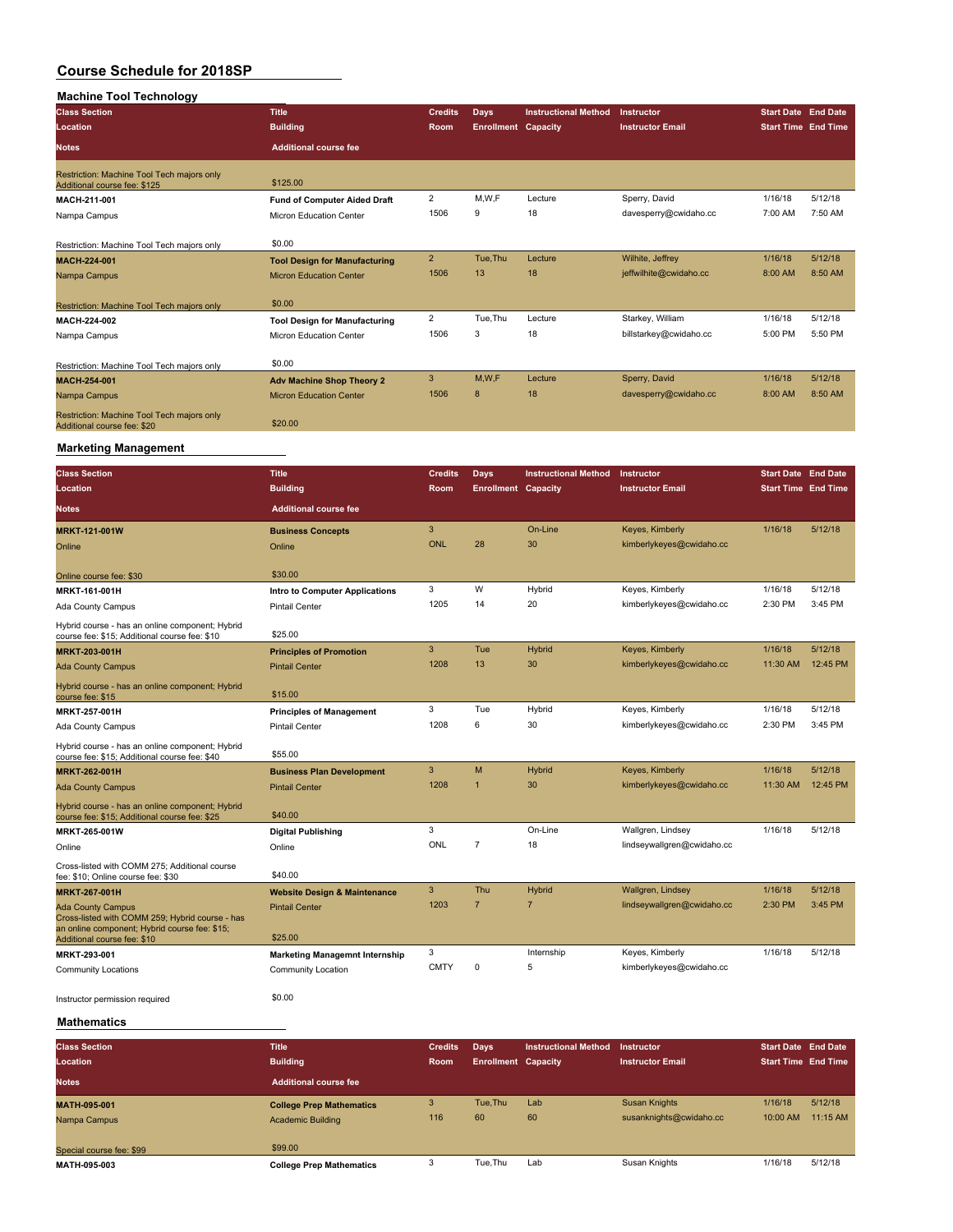### **Machine Tool Technology Class Section Title Credits Days Instructional Method Instructor Start Date End Date Location Building Room Enrollment Capacity Instructor Email Start Time End Time Notes Additional course fee** Restriction: Machine Tool Tech majors only Additional course fee: \$125.00 **MACH-211-001 Fund of Computer Aided Draft** 2 M,W,F Lecture Sperry, David 1/16/18 5/12/18<br>
Nampa Campus Micron Education Center 1506 9 18 davesperry@cwidaho.cc 7:00 AM 7:50 AM Nampa Campus **Micron** Center 1506 9 18 18 Micron Education Center Restriction: Machine Tool Tech majors only \$0.00 **MACH-224-001 Tool Design for Manufacturing** 2 Tue,Thu Lecture Wilhite, Jeffrey 1/16/18 5/12/18 Nampa Campus **Micron Education Center** 1506 13 18 jeffwilhite@cwidaho.cc 8:00 AM 8:50 AM Restriction: Machine Tool Tech majors only \$0.00 **MACH-224-002 Tool Design for Manufacturing** 2 Tue,Thu Lecture Starkey, William 1/16/18 5/12/18<br>Nigron Education Center 1506 3 18 billstarkey@cwidaho.cc 5:00 PM 5:50 PM Nampa Campus **Micron Education Center** 1506 3 18 Restriction: Machine Tool Tech majors only \$0.00 **MACH-254-001 Adv Machine Shop Theory 2** 3 M,W,F Lecture Sperry, David 1/16/18 5/12/18 Nampa Campus Micron Education Center 1506 8 18 davesperry@cwidaho.cc Restriction: Machine Tool Tech majors only<br>Additional course fee: \$20

#### **Marketing Management**

| <b>Class Section</b>                                                                                                            | <b>Title</b>                            | <b>Credits</b> | <b>Days</b>                | <b>Instructional Method</b> | Instructor                 | <b>Start Date End Date</b> |          |
|---------------------------------------------------------------------------------------------------------------------------------|-----------------------------------------|----------------|----------------------------|-----------------------------|----------------------------|----------------------------|----------|
| Location                                                                                                                        | <b>Building</b>                         | Room           | <b>Enrollment Capacity</b> |                             | <b>Instructor Email</b>    | <b>Start Time End Time</b> |          |
| Notes                                                                                                                           | <b>Additional course fee</b>            |                |                            |                             |                            |                            |          |
| <b>MRKT-121-001W</b>                                                                                                            | <b>Business Concepts</b>                | 3              |                            | On-Line                     | Keyes, Kimberly            | 1/16/18                    | 5/12/18  |
| Online                                                                                                                          | Online                                  | <b>ONL</b>     | 28                         | 30                          | kimberlykeyes@cwidaho.cc   |                            |          |
| Online course fee: \$30                                                                                                         | \$30.00                                 |                |                            |                             |                            |                            |          |
| MRKT-161-001H                                                                                                                   | <b>Intro to Computer Applications</b>   | 3              | W                          | Hybrid                      | Keyes, Kimberly            | 1/16/18                    | 5/12/18  |
| Ada County Campus                                                                                                               | <b>Pintail Center</b>                   | 1205           | 14                         | 20                          | kimberlykeyes@cwidaho.cc   | 2:30 PM                    | 3:45 PM  |
| Hybrid course - has an online component; Hybrid<br>course fee: \$15; Additional course fee: \$10                                | \$25.00                                 |                |                            |                             |                            |                            |          |
| <b>MRKT-203-001H</b>                                                                                                            | <b>Principles of Promotion</b>          | 3              | Tue                        | <b>Hybrid</b>               | Keyes, Kimberly            | 1/16/18                    | 5/12/18  |
| <b>Ada County Campus</b>                                                                                                        | <b>Pintail Center</b>                   | 1208           | 13                         | 30                          | kimberlykeyes@cwidaho.cc   | 11:30 AM                   | 12:45 PM |
| Hybrid course - has an online component; Hybrid<br>course fee: \$15                                                             | \$15.00                                 |                |                            |                             |                            |                            |          |
| MRKT-257-001H                                                                                                                   | <b>Principles of Management</b>         | 3              | Tue                        | Hybrid                      | Keyes, Kimberly            | 1/16/18                    | 5/12/18  |
| Ada County Campus                                                                                                               | <b>Pintail Center</b>                   | 1208           | 6                          | 30                          | kimberlykeyes@cwidaho.cc   | 2:30 PM                    | 3:45 PM  |
| Hybrid course - has an online component; Hybrid<br>course fee: \$15; Additional course fee: \$40                                | \$55.00                                 |                |                            |                             |                            |                            |          |
| <b>MRKT-262-001H</b>                                                                                                            | <b>Business Plan Development</b>        | 3              | M                          | <b>Hybrid</b>               | Keyes, Kimberly            | 1/16/18                    | 5/12/18  |
| <b>Ada County Campus</b>                                                                                                        | <b>Pintail Center</b>                   | 1208           | -1                         | 30                          | kimberlykeyes@cwidaho.cc   | 11:30 AM                   | 12:45 PM |
| Hybrid course - has an online component; Hybrid<br>course fee: \$15; Additional course fee: \$25                                | \$40.00                                 |                |                            |                             |                            |                            |          |
| MRKT-265-001W                                                                                                                   | Digital Publishing                      | 3              |                            | On-Line                     | Wallgren, Lindsey          | 1/16/18                    | 5/12/18  |
| Online                                                                                                                          | Online                                  | ONL            | $\overline{7}$             | 18                          | lindseywallgren@cwidaho.cc |                            |          |
| Cross-listed with COMM 275; Additional course<br>fee: \$10; Online course fee: \$30                                             | \$40.00                                 |                |                            |                             |                            |                            |          |
| <b>MRKT-267-001H</b>                                                                                                            | <b>Website Design &amp; Maintenance</b> | 3              | Thu                        | <b>Hybrid</b>               | Wallgren, Lindsey          | 1/16/18                    | 5/12/18  |
| <b>Ada County Campus</b>                                                                                                        | <b>Pintail Center</b>                   | 1203           | $\overline{7}$             | $\overline{7}$              | lindseywallgren@cwidaho.cc | 2:30 PM                    | 3:45 PM  |
| Cross-listed with COMM 259; Hybrid course - has<br>an online component; Hybrid course fee: \$15;<br>Additional course fee: \$10 | \$25.00                                 |                |                            |                             |                            |                            |          |
| MRKT-293-001                                                                                                                    | <b>Marketing Managemnt Internship</b>   | 3              |                            | Internship                  | Keyes, Kimberly            | 1/16/18                    | 5/12/18  |
| <b>Community Locations</b>                                                                                                      | Community Location                      | <b>CMTY</b>    | 0                          | 5                           | kimberlykeyes@cwidaho.cc   |                            |          |
| Instructor permission required                                                                                                  | \$0.00                                  |                |                            |                             |                            |                            |          |
| Mathamatias                                                                                                                     |                                         |                |                            |                             |                            |                            |          |

**Mathematics**

| <b>Class Section</b><br>Location | <b>Title</b><br><b>Building</b> | <b>Credits</b><br><b>Room</b> | Days<br><b>Enrollment Capacity</b> | <b>Instructional Method</b> | Instructor<br><b>Instructor Email</b> | <b>Start Date End Date</b><br><b>Start Time End Time</b> |          |
|----------------------------------|---------------------------------|-------------------------------|------------------------------------|-----------------------------|---------------------------------------|----------------------------------------------------------|----------|
|                                  |                                 |                               |                                    |                             |                                       |                                                          |          |
| <b>Notes</b>                     | <b>Additional course fee</b>    |                               |                                    |                             |                                       |                                                          |          |
| <b>MATH-095-001</b>              | <b>College Prep Mathematics</b> |                               | Tue.Thu                            | Lab                         | Susan Knights                         | 1/16/18                                                  | 5/12/18  |
| Nampa Campus                     | Academic Building               | 116                           | 60                                 | 60                          | susanknights@cwidaho.cc               | 10:00 AM                                                 | 11:15 AM |
|                                  |                                 |                               |                                    |                             |                                       |                                                          |          |
| Special course fee: \$99         | \$99,00                         |                               |                                    |                             |                                       |                                                          |          |
| MATH-095-003                     | <b>College Prep Mathematics</b> |                               | Tue.Thu                            | Lab                         | Susan Knights                         | 1/16/18                                                  | 5/12/18  |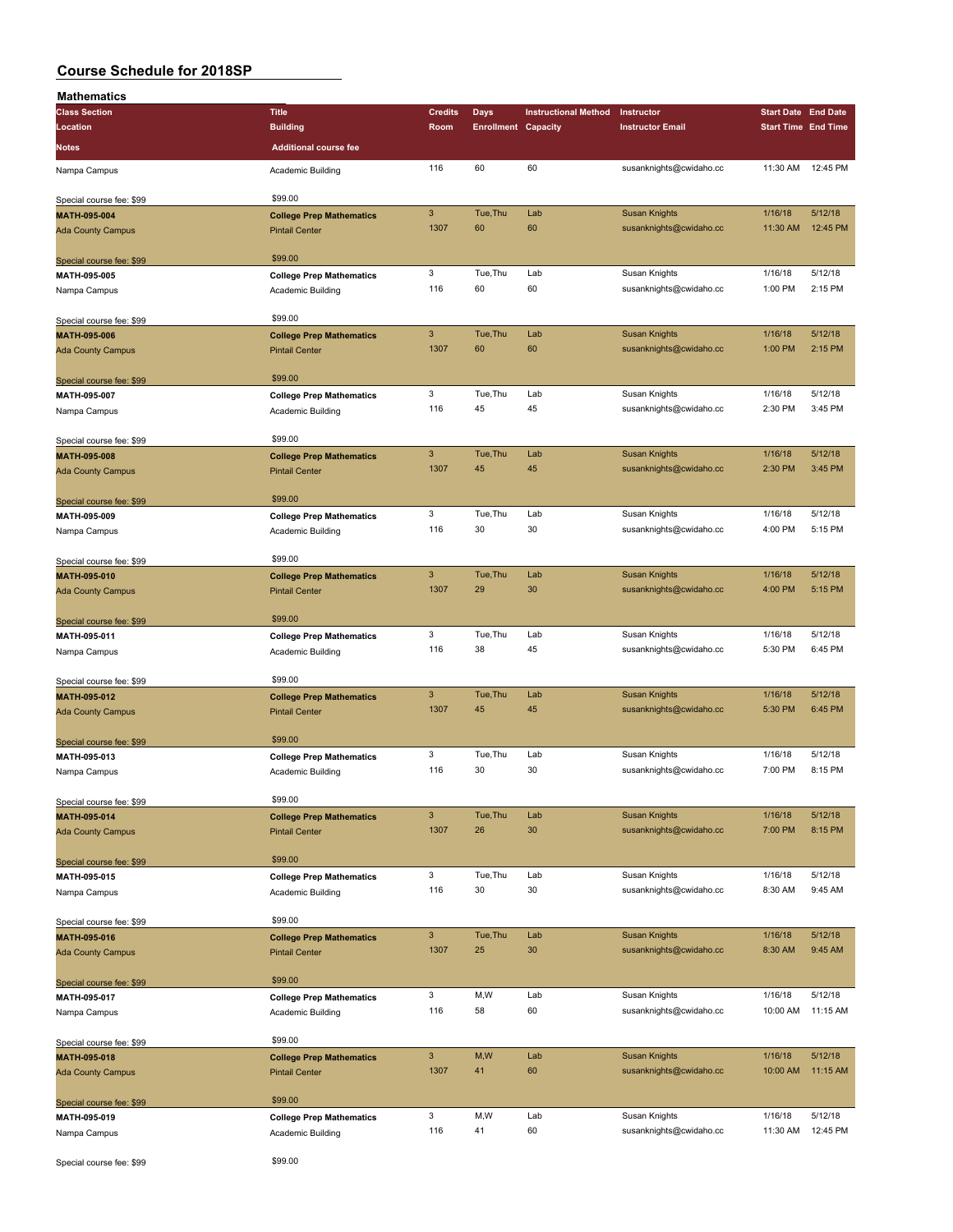| <b>Mathematics</b>                       |                                                      |                |                            |                             |                         |                            |          |
|------------------------------------------|------------------------------------------------------|----------------|----------------------------|-----------------------------|-------------------------|----------------------------|----------|
| <b>Class Section</b>                     | <b>Title</b>                                         | <b>Credits</b> | Days                       | <b>Instructional Method</b> | Instructor              | <b>Start Date End Date</b> |          |
| Location                                 | <b>Building</b>                                      | Room           | <b>Enrollment Capacity</b> |                             | <b>Instructor Email</b> | <b>Start Time End Time</b> |          |
| <b>Notes</b>                             | <b>Additional course fee</b>                         |                |                            |                             |                         |                            |          |
|                                          |                                                      |                |                            |                             |                         |                            |          |
| Nampa Campus                             | Academic Building                                    | 116            | 60                         | 60                          | susanknights@cwidaho.cc | 11:30 AM                   | 12:45 PM |
|                                          | \$99.00                                              |                |                            |                             |                         |                            |          |
| Special course fee: \$99<br>MATH-095-004 | <b>College Prep Mathematics</b>                      | $\sqrt{3}$     | Tue, Thu                   | Lab                         | <b>Susan Knights</b>    | 1/16/18                    | 5/12/18  |
| <b>Ada County Campus</b>                 | <b>Pintail Center</b>                                | 1307           | 60                         | 60                          | susanknights@cwidaho.cc | 11:30 AM                   | 12:45 PM |
|                                          |                                                      |                |                            |                             |                         |                            |          |
| Special course fee: \$99                 | \$99.00                                              |                |                            |                             |                         |                            |          |
| MATH-095-005                             | <b>College Prep Mathematics</b>                      | 3              | Tue, Thu                   | Lab                         | Susan Knights           | 1/16/18                    | 5/12/18  |
| Nampa Campus                             | Academic Building                                    | 116            | 60                         | 60                          | susanknights@cwidaho.cc | 1:00 PM                    | 2:15 PM  |
|                                          |                                                      |                |                            |                             |                         |                            |          |
| Special course fee: \$99                 | \$99.00                                              |                |                            |                             |                         |                            |          |
| MATH-095-006                             | <b>College Prep Mathematics</b>                      | $\mathsf 3$    | Tue, Thu                   | Lab                         | <b>Susan Knights</b>    | 1/16/18                    | 5/12/18  |
| <b>Ada County Campus</b>                 | <b>Pintail Center</b>                                | 1307           | 60                         | 60                          | susanknights@cwidaho.cc | 1:00 PM                    | 2:15 PM  |
|                                          |                                                      |                |                            |                             |                         |                            |          |
| Special course fee: \$99                 | \$99.00                                              | 3              | Tue, Thu                   | Lab                         | Susan Knights           | 1/16/18                    | 5/12/18  |
| MATH-095-007                             | <b>College Prep Mathematics</b>                      | 116            | 45                         | 45                          | susanknights@cwidaho.cc | 2:30 PM                    | 3:45 PM  |
| Nampa Campus                             | Academic Building                                    |                |                            |                             |                         |                            |          |
| Special course fee: \$99                 | \$99.00                                              |                |                            |                             |                         |                            |          |
| MATH-095-008                             | <b>College Prep Mathematics</b>                      | $\mathbf{3}$   | Tue, Thu                   | Lab                         | <b>Susan Knights</b>    | 1/16/18                    | 5/12/18  |
| <b>Ada County Campus</b>                 | <b>Pintail Center</b>                                | 1307           | 45                         | 45                          | susanknights@cwidaho.cc | 2:30 PM                    | 3:45 PM  |
|                                          |                                                      |                |                            |                             |                         |                            |          |
| Special course fee: \$99                 | \$99.00                                              |                |                            |                             |                         |                            |          |
| MATH-095-009                             | <b>College Prep Mathematics</b>                      | 3              | Tue, Thu                   | Lab                         | Susan Knights           | 1/16/18                    | 5/12/18  |
| Nampa Campus                             | Academic Building                                    | 116            | 30                         | 30                          | susanknights@cwidaho.cc | 4:00 PM                    | 5:15 PM  |
|                                          |                                                      |                |                            |                             |                         |                            |          |
| Special course fee: \$99                 | \$99.00                                              |                |                            |                             |                         |                            |          |
| MATH-095-010                             | <b>College Prep Mathematics</b>                      | $\mathbf{3}$   | Tue, Thu                   | Lab                         | <b>Susan Knights</b>    | 1/16/18                    | 5/12/18  |
| <b>Ada County Campus</b>                 | <b>Pintail Center</b>                                | 1307           | 29                         | 30                          | susanknights@cwidaho.cc | 4:00 PM                    | 5:15 PM  |
|                                          | \$99.00                                              |                |                            |                             |                         |                            |          |
| Special course fee: \$99                 |                                                      | 3              | Tue, Thu                   | Lab                         | Susan Knights           | 1/16/18                    | 5/12/18  |
| MATH-095-011                             | <b>College Prep Mathematics</b>                      | 116            | 38                         | 45                          | susanknights@cwidaho.cc | 5:30 PM                    | 6:45 PM  |
| Nampa Campus                             | Academic Building                                    |                |                            |                             |                         |                            |          |
| Special course fee: \$99                 | \$99.00                                              |                |                            |                             |                         |                            |          |
| MATH-095-012                             | <b>College Prep Mathematics</b>                      | $\mathbf{3}$   | Tue, Thu                   | Lab                         | <b>Susan Knights</b>    | 1/16/18                    | 5/12/18  |
| <b>Ada County Campus</b>                 | <b>Pintail Center</b>                                | 1307           | 45                         | 45                          | susanknights@cwidaho.cc | 5:30 PM                    | 6:45 PM  |
|                                          |                                                      |                |                            |                             |                         |                            |          |
| Special course fee: \$99                 | \$99.00                                              |                |                            |                             |                         |                            |          |
| MATH-095-013                             | <b>College Prep Mathematics</b>                      | 3              | Tue, Thu                   | Lab                         | Susan Knights           | 1/16/18                    | 5/12/18  |
| Nampa Campus                             | Academic Building                                    | 116            | 30                         | 30                          | susanknights@cwidaho.cc | 7:00 PM                    | 8:15 PM  |
|                                          |                                                      |                |                            |                             |                         |                            |          |
| Special course fee: \$99                 | \$99.00                                              |                |                            |                             |                         |                            |          |
| MATH-095-014                             | <b>College Prep Mathematics</b>                      | $\mathsf 3$    | Tue, Thu                   | Lab                         | <b>Susan Knights</b>    | 1/16/18                    | 5/12/18  |
| <b>Ada County Campus</b>                 | <b>Pintail Center</b>                                | 1307           | 26                         | 30                          | susanknights@cwidaho.cc | 7:00 PM                    | 8:15 PM  |
|                                          | \$99.00                                              |                |                            |                             |                         |                            |          |
| Special course fee: \$99                 |                                                      | 3              | Tue, Thu                   | Lab                         | Susan Knights           | 1/16/18                    | 5/12/18  |
| MATH-095-015<br>Nampa Campus             | <b>College Prep Mathematics</b><br>Academic Building | 116            | 30                         | 30                          | susanknights@cwidaho.cc | 8:30 AM                    | 9:45 AM  |
|                                          |                                                      |                |                            |                             |                         |                            |          |
| Special course fee: \$99                 | \$99.00                                              |                |                            |                             |                         |                            |          |
| MATH-095-016                             | <b>College Prep Mathematics</b>                      | $\mathsf 3$    | Tue, Thu                   | Lab                         | <b>Susan Knights</b>    | 1/16/18                    | 5/12/18  |
| <b>Ada County Campus</b>                 | <b>Pintail Center</b>                                | 1307           | 25                         | 30                          | susanknights@cwidaho.cc | 8:30 AM                    | 9:45 AM  |
|                                          |                                                      |                |                            |                             |                         |                            |          |
| Special course fee: \$99                 | \$99.00                                              |                |                            |                             |                         |                            |          |
| MATH-095-017                             | <b>College Prep Mathematics</b>                      | 3              | M,W                        | Lab                         | Susan Knights           | 1/16/18                    | 5/12/18  |
| Nampa Campus                             | Academic Building                                    | 116            | 58                         | 60                          | susanknights@cwidaho.cc | 10:00 AM                   | 11:15 AM |
|                                          |                                                      |                |                            |                             |                         |                            |          |
| Special course fee: \$99                 | \$99.00                                              |                |                            |                             |                         |                            |          |
| MATH-095-018                             | <b>College Prep Mathematics</b>                      | $\mathsf 3$    | M,W                        | Lab                         | <b>Susan Knights</b>    | 1/16/18                    | 5/12/18  |
| <b>Ada County Campus</b>                 | <b>Pintail Center</b>                                | 1307           | 41                         | 60                          | susanknights@cwidaho.cc | 10:00 AM                   | 11:15 AM |
|                                          | \$99.00                                              |                |                            |                             |                         |                            |          |
| Special course fee: \$99                 |                                                      | 3              | M,W                        | Lab                         | Susan Knights           | 1/16/18                    | 5/12/18  |
| MATH-095-019<br>Nampa Campus             | <b>College Prep Mathematics</b><br>Academic Building | 116            | 41                         | 60                          | susanknights@cwidaho.cc | 11:30 AM                   | 12:45 PM |
|                                          |                                                      |                |                            |                             |                         |                            |          |
| Special course fee: \$99                 | \$99.00                                              |                |                            |                             |                         |                            |          |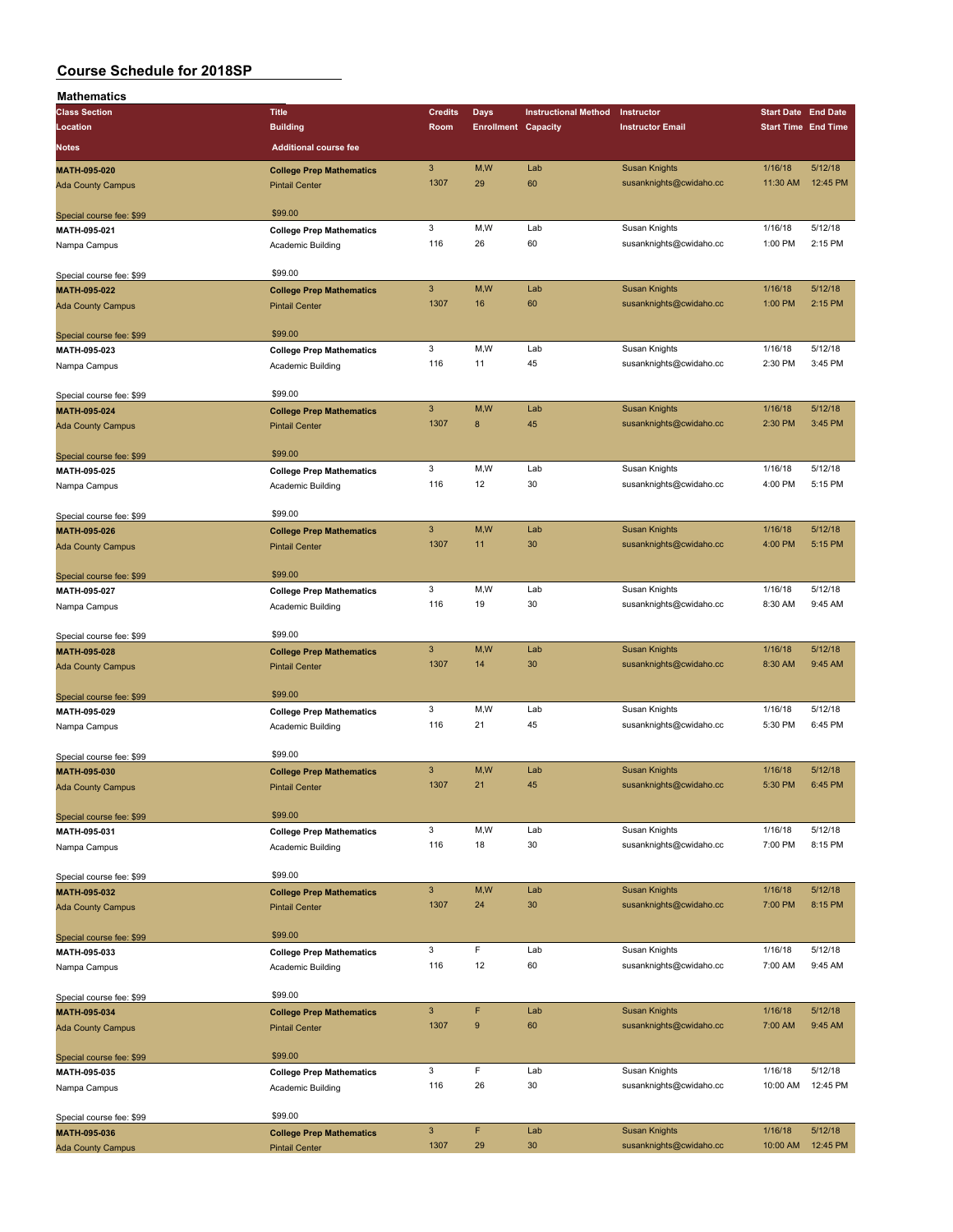| Mathematics              |                                 |                           |                            |                             |                         |                                                                                                                                                                                                                                                                                                                                    |          |
|--------------------------|---------------------------------|---------------------------|----------------------------|-----------------------------|-------------------------|------------------------------------------------------------------------------------------------------------------------------------------------------------------------------------------------------------------------------------------------------------------------------------------------------------------------------------|----------|
| <b>Class Section</b>     | <b>Title</b>                    | <b>Credits</b>            | Days                       | <b>Instructional Method</b> | Instructor              |                                                                                                                                                                                                                                                                                                                                    |          |
| Location                 | <b>Building</b>                 | Room                      | <b>Enrollment Capacity</b> |                             | <b>Instructor Email</b> |                                                                                                                                                                                                                                                                                                                                    |          |
|                          |                                 |                           |                            |                             |                         |                                                                                                                                                                                                                                                                                                                                    |          |
| <b>Notes</b>             | <b>Additional course fee</b>    |                           |                            |                             |                         |                                                                                                                                                                                                                                                                                                                                    |          |
| MATH-095-020             | <b>College Prep Mathematics</b> | $\sqrt{3}$                | M, W                       | Lab                         | <b>Susan Knights</b>    | 1/16/18                                                                                                                                                                                                                                                                                                                            | 5/12/18  |
| <b>Ada County Campus</b> | <b>Pintail Center</b>           | 1307                      | 29                         | 60                          | susanknights@cwidaho.cc | 11:30 AM                                                                                                                                                                                                                                                                                                                           | 12:45 PM |
|                          |                                 |                           |                            |                             |                         |                                                                                                                                                                                                                                                                                                                                    |          |
| Special course fee: \$99 | \$99.00                         |                           |                            |                             |                         |                                                                                                                                                                                                                                                                                                                                    |          |
| MATH-095-021             | <b>College Prep Mathematics</b> | 3                         | M,W                        | Lab                         | Susan Knights           | 1/16/18                                                                                                                                                                                                                                                                                                                            | 5/12/18  |
| Nampa Campus             | Academic Building               | 116                       | 26                         | 60                          | susanknights@cwidaho.cc | 1:00 PM                                                                                                                                                                                                                                                                                                                            | 2:15 PM  |
|                          |                                 |                           |                            |                             |                         |                                                                                                                                                                                                                                                                                                                                    |          |
| Special course fee: \$99 | \$99.00                         |                           |                            |                             |                         |                                                                                                                                                                                                                                                                                                                                    |          |
| MATH-095-022             | <b>College Prep Mathematics</b> | $\mathbf{3}$              | M,W                        | Lab                         | <b>Susan Knights</b>    | 1/16/18                                                                                                                                                                                                                                                                                                                            | 5/12/18  |
| <b>Ada County Campus</b> | <b>Pintail Center</b>           | 1307                      | 16                         | 60                          | susanknights@cwidaho.cc | 1:00 PM                                                                                                                                                                                                                                                                                                                            | 2:15 PM  |
|                          |                                 |                           |                            |                             |                         |                                                                                                                                                                                                                                                                                                                                    |          |
| Special course fee: \$99 | \$99.00                         |                           |                            |                             |                         |                                                                                                                                                                                                                                                                                                                                    |          |
| MATH-095-023             | <b>College Prep Mathematics</b> | 3                         | M,W                        | Lab                         | Susan Knights           | 1/16/18                                                                                                                                                                                                                                                                                                                            | 5/12/18  |
| Nampa Campus             | Academic Building               | 116                       | 11                         | 45                          | susanknights@cwidaho.cc | 2:30 PM                                                                                                                                                                                                                                                                                                                            | 3:45 PM  |
|                          |                                 |                           |                            |                             |                         |                                                                                                                                                                                                                                                                                                                                    |          |
| Special course fee: \$99 | \$99.00                         |                           |                            |                             |                         |                                                                                                                                                                                                                                                                                                                                    |          |
| MATH-095-024             | <b>College Prep Mathematics</b> | $\ensuremath{\mathsf{3}}$ | M,W                        | Lab                         | <b>Susan Knights</b>    | 1/16/18                                                                                                                                                                                                                                                                                                                            | 5/12/18  |
| <b>Ada County Campus</b> | <b>Pintail Center</b>           | 1307                      | $\bf8$                     | 45                          | susanknights@cwidaho.cc | 2:30 PM                                                                                                                                                                                                                                                                                                                            | 3:45 PM  |
|                          |                                 |                           |                            |                             |                         |                                                                                                                                                                                                                                                                                                                                    |          |
| Special course fee: \$99 | \$99.00                         |                           |                            |                             |                         | <b>Start Date End Date</b><br><b>Start Time End Time</b><br>1/16/18<br>4:00 PM<br>1/16/18<br>4:00 PM<br>1/16/18<br>8:30 AM<br>1/16/18<br>8:30 AM<br>1/16/18<br>5:30 PM<br>1/16/18<br>5:30 PM<br>1/16/18<br>7:00 PM<br>1/16/18<br>7:00 PM<br>1/16/18<br>7:00 AM<br>1/16/18<br>7:00 AM<br>1/16/18<br>10:00 AM<br>1/16/18<br>10:00 AM |          |
| MATH-095-025             | <b>College Prep Mathematics</b> | 3                         | M, W                       | Lab                         | Susan Knights           |                                                                                                                                                                                                                                                                                                                                    | 5/12/18  |
| Nampa Campus             | Academic Building               | 116                       | 12                         | 30                          | susanknights@cwidaho.cc |                                                                                                                                                                                                                                                                                                                                    | 5:15 PM  |
|                          |                                 |                           |                            |                             |                         |                                                                                                                                                                                                                                                                                                                                    |          |
| Special course fee: \$99 | \$99.00                         |                           |                            |                             |                         |                                                                                                                                                                                                                                                                                                                                    |          |
| MATH-095-026             | <b>College Prep Mathematics</b> | $\mathbf{3}$              | M,W                        | Lab                         | <b>Susan Knights</b>    |                                                                                                                                                                                                                                                                                                                                    | 5/12/18  |
| <b>Ada County Campus</b> | <b>Pintail Center</b>           | 1307                      | 11                         | 30                          | susanknights@cwidaho.cc |                                                                                                                                                                                                                                                                                                                                    | 5:15 PM  |
|                          |                                 |                           |                            |                             |                         |                                                                                                                                                                                                                                                                                                                                    |          |
|                          | \$99.00                         |                           |                            |                             |                         |                                                                                                                                                                                                                                                                                                                                    |          |
| Special course fee: \$99 |                                 | 3                         | M,W                        | Lab                         | Susan Knights           |                                                                                                                                                                                                                                                                                                                                    | 5/12/18  |
| MATH-095-027             | <b>College Prep Mathematics</b> | 116                       | 19                         | 30                          | susanknights@cwidaho.cc |                                                                                                                                                                                                                                                                                                                                    | 9:45 AM  |
| Nampa Campus             | Academic Building               |                           |                            |                             |                         |                                                                                                                                                                                                                                                                                                                                    |          |
|                          | \$99.00                         |                           |                            |                             |                         |                                                                                                                                                                                                                                                                                                                                    |          |
| Special course fee: \$99 |                                 | $\overline{3}$            | M,W                        | Lab                         | <b>Susan Knights</b>    |                                                                                                                                                                                                                                                                                                                                    | 5/12/18  |
| MATH-095-028             | <b>College Prep Mathematics</b> | 1307                      | 14                         | 30                          |                         |                                                                                                                                                                                                                                                                                                                                    | 9:45 AM  |
| <b>Ada County Campus</b> | <b>Pintail Center</b>           |                           |                            |                             | susanknights@cwidaho.cc |                                                                                                                                                                                                                                                                                                                                    |          |
|                          |                                 |                           |                            |                             |                         |                                                                                                                                                                                                                                                                                                                                    |          |
| Special course fee: \$99 | \$99.00                         | 3                         | M, W                       | Lab                         |                         |                                                                                                                                                                                                                                                                                                                                    |          |
| MATH-095-029             | <b>College Prep Mathematics</b> |                           |                            | 45                          | Susan Knights           |                                                                                                                                                                                                                                                                                                                                    | 5/12/18  |
| Nampa Campus             | Academic Building               | 116                       | 21                         |                             | susanknights@cwidaho.cc |                                                                                                                                                                                                                                                                                                                                    | 6:45 PM  |
|                          |                                 |                           |                            |                             |                         |                                                                                                                                                                                                                                                                                                                                    |          |
| Special course fee: \$99 | \$99.00                         |                           |                            |                             |                         |                                                                                                                                                                                                                                                                                                                                    | 5/12/18  |
| MATH-095-030             | <b>College Prep Mathematics</b> | $\mathbf{3}$              | M,W                        | Lab                         | <b>Susan Knights</b>    |                                                                                                                                                                                                                                                                                                                                    |          |
| Ada County Campus        | <b>Pintail Center</b>           | 1307                      | 21                         | 45                          | susanknights@cwidaho.cc |                                                                                                                                                                                                                                                                                                                                    | 6:45 PM  |
|                          |                                 |                           |                            |                             |                         |                                                                                                                                                                                                                                                                                                                                    |          |
| Special course fee: \$99 | \$99.00                         |                           |                            |                             |                         |                                                                                                                                                                                                                                                                                                                                    |          |
| MATH-095-031             | <b>College Prep Mathematics</b> | 3                         | M,W                        | Lab                         | Susan Knights           |                                                                                                                                                                                                                                                                                                                                    | 5/12/18  |
| Nampa Campus             | Academic Building               | 116                       | 18                         | 30                          | susanknights@cwidaho.cc |                                                                                                                                                                                                                                                                                                                                    | 8:15 PM  |
|                          |                                 |                           |                            |                             |                         |                                                                                                                                                                                                                                                                                                                                    |          |
| Special course fee: \$99 | \$99.00                         |                           |                            |                             |                         |                                                                                                                                                                                                                                                                                                                                    |          |
| MATH-095-032             | <b>College Prep Mathematics</b> | $\mathsf 3$               | M,W                        | Lab                         | <b>Susan Knights</b>    |                                                                                                                                                                                                                                                                                                                                    | 5/12/18  |
| <b>Ada County Campus</b> | <b>Pintail Center</b>           | 1307                      | 24                         | 30                          | susanknights@cwidaho.cc |                                                                                                                                                                                                                                                                                                                                    | 8:15 PM  |
|                          |                                 |                           |                            |                             |                         |                                                                                                                                                                                                                                                                                                                                    |          |
| Special course fee: \$99 | \$99.00                         |                           |                            |                             |                         |                                                                                                                                                                                                                                                                                                                                    |          |
| MATH-095-033             | <b>College Prep Mathematics</b> | 3                         | F                          | Lab                         | Susan Knights           |                                                                                                                                                                                                                                                                                                                                    | 5/12/18  |
| Nampa Campus             | Academic Building               | 116                       | 12                         | 60                          | susanknights@cwidaho.cc |                                                                                                                                                                                                                                                                                                                                    | 9:45 AM  |
|                          |                                 |                           |                            |                             |                         |                                                                                                                                                                                                                                                                                                                                    |          |
| Special course fee: \$99 | \$99.00                         |                           |                            |                             |                         |                                                                                                                                                                                                                                                                                                                                    |          |
| MATH-095-034             | <b>College Prep Mathematics</b> | $\mathbf{3}$              | F                          | Lab                         | <b>Susan Knights</b>    |                                                                                                                                                                                                                                                                                                                                    | 5/12/18  |
| <b>Ada County Campus</b> | <b>Pintail Center</b>           | 1307                      | $\boldsymbol{9}$           | 60                          | susanknights@cwidaho.cc |                                                                                                                                                                                                                                                                                                                                    | 9:45 AM  |
|                          |                                 |                           |                            |                             |                         |                                                                                                                                                                                                                                                                                                                                    |          |
| Special course fee: \$99 | \$99.00                         |                           |                            |                             |                         |                                                                                                                                                                                                                                                                                                                                    |          |
| MATH-095-035             | <b>College Prep Mathematics</b> | 3                         | F                          | Lab                         | Susan Knights           |                                                                                                                                                                                                                                                                                                                                    | 5/12/18  |
| Nampa Campus             | Academic Building               | 116                       | 26                         | 30                          | susanknights@cwidaho.cc |                                                                                                                                                                                                                                                                                                                                    | 12:45 PM |
|                          |                                 |                           |                            |                             |                         |                                                                                                                                                                                                                                                                                                                                    |          |
| Special course fee: \$99 | \$99.00                         |                           |                            |                             |                         |                                                                                                                                                                                                                                                                                                                                    |          |
| MATH-095-036             | <b>College Prep Mathematics</b> | $\mathbf{3}$              | F                          | Lab                         | <b>Susan Knights</b>    |                                                                                                                                                                                                                                                                                                                                    | 5/12/18  |
| <b>Ada County Campus</b> | <b>Pintail Center</b>           | 1307                      | 29                         | 30                          | susanknights@cwidaho.cc |                                                                                                                                                                                                                                                                                                                                    | 12:45 PM |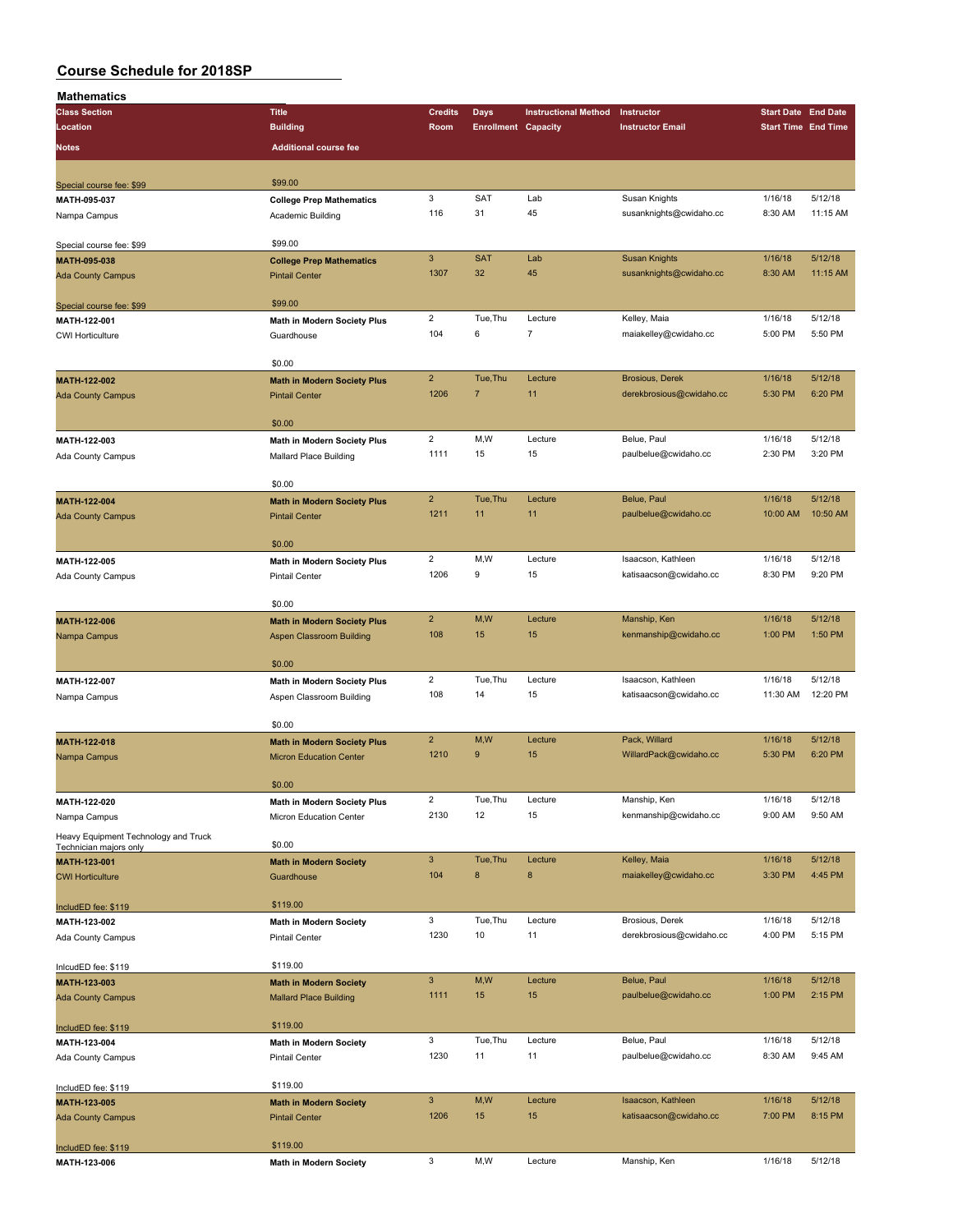| Mathematics                                                    |                                    |                         |                            |                             |                                       |                            |                    |
|----------------------------------------------------------------|------------------------------------|-------------------------|----------------------------|-----------------------------|---------------------------------------|----------------------------|--------------------|
| <b>Class Section</b>                                           | <b>Title</b>                       | <b>Credits</b>          | Days                       | <b>Instructional Method</b> | Instructor                            | <b>Start Date End Date</b> |                    |
| Location                                                       | <b>Building</b>                    | Room                    | <b>Enrollment Capacity</b> |                             | <b>Instructor Email</b>               | <b>Start Time End Time</b> |                    |
| Notes                                                          | <b>Additional course fee</b>       |                         |                            |                             |                                       |                            |                    |
|                                                                |                                    |                         |                            |                             |                                       |                            |                    |
| Special course fee: \$99                                       | \$99.00                            |                         |                            |                             |                                       |                            |                    |
| MATH-095-037                                                   | <b>College Prep Mathematics</b>    | 3                       | SAT                        | Lab                         | Susan Knights                         | 1/16/18                    | 5/12/18            |
| Nampa Campus                                                   | Academic Building                  | 116                     | 31                         | 45                          | susanknights@cwidaho.cc               | 8:30 AM                    | 11:15 AM           |
|                                                                |                                    |                         |                            |                             |                                       |                            |                    |
| Special course fee: \$99                                       | \$99.00                            |                         |                            |                             |                                       |                            |                    |
| MATH-095-038                                                   | <b>College Prep Mathematics</b>    | $\mathbf{3}$            | <b>SAT</b>                 | Lab                         | <b>Susan Knights</b>                  | 1/16/18                    | 5/12/18            |
| <b>Ada County Campus</b>                                       | <b>Pintail Center</b>              | 1307                    | 32                         | 45                          | susanknights@cwidaho.cc               | 8:30 AM                    | 11:15 AM           |
|                                                                |                                    |                         |                            |                             |                                       |                            |                    |
| Special course fee: \$99                                       | \$99.00                            |                         | Tue, Thu                   |                             |                                       |                            | 5/12/18            |
| MATH-122-001                                                   | Math in Modern Society Plus        | $\overline{2}$<br>104   | 6                          | Lecture<br>$\overline{7}$   | Kelley, Maia<br>maiakelley@cwidaho.cc | 1/16/18<br>5:00 PM         | 5:50 PM            |
| <b>CWI Horticulture</b>                                        | Guardhouse                         |                         |                            |                             |                                       |                            |                    |
|                                                                | \$0.00                             |                         |                            |                             |                                       |                            |                    |
| MATH-122-002                                                   | <b>Math in Modern Society Plus</b> | $\overline{2}$          | Tue, Thu                   | Lecture                     | <b>Brosious, Derek</b>                | 1/16/18                    | 5/12/18            |
| <b>Ada County Campus</b>                                       | <b>Pintail Center</b>              | 1206                    | $\overline{7}$             | 11                          | derekbrosious@cwidaho.cc              | 5:30 PM                    | 6:20 PM            |
|                                                                |                                    |                         |                            |                             |                                       |                            |                    |
|                                                                | \$0.00                             |                         |                            |                             |                                       |                            |                    |
| MATH-122-003                                                   | <b>Math in Modern Society Plus</b> | $\overline{c}$          | M,W                        | Lecture                     | Belue, Paul                           | 1/16/18                    | 5/12/18            |
| Ada County Campus                                              | Mallard Place Building             | 1111                    | 15                         | 15                          | paulbelue@cwidaho.cc                  | 2:30 PM                    | 3:20 PM            |
|                                                                |                                    |                         |                            |                             |                                       |                            |                    |
|                                                                | \$0.00                             |                         |                            |                             |                                       |                            |                    |
| MATH-122-004                                                   | <b>Math in Modern Society Plus</b> | $\overline{2}$          | Tue, Thu                   | Lecture                     | Belue, Paul                           | 1/16/18                    | 5/12/18            |
| <b>Ada County Campus</b>                                       | <b>Pintail Center</b>              | 1211                    | 11                         | 11                          | paulbelue@cwidaho.cc                  | 10:00 AM                   | 10:50 AM           |
|                                                                |                                    |                         |                            |                             |                                       |                            |                    |
|                                                                | \$0.00                             | $\overline{2}$          | M,W                        | Lecture                     | Isaacson, Kathleen                    | 1/16/18                    | 5/12/18            |
| MATH-122-005                                                   | <b>Math in Modern Society Plus</b> | 1206                    | 9                          | 15                          | katisaacson@cwidaho.cc                | 8:30 PM                    | 9:20 PM            |
| Ada County Campus                                              | <b>Pintail Center</b>              |                         |                            |                             |                                       |                            |                    |
|                                                                | \$0.00                             |                         |                            |                             |                                       |                            |                    |
| MATH-122-006                                                   | <b>Math in Modern Society Plus</b> | $\overline{2}$          | M,W                        | Lecture                     | Manship, Ken                          | 1/16/18                    | 5/12/18            |
| Nampa Campus                                                   | <b>Aspen Classroom Building</b>    | 108                     | 15                         | 15                          | kenmanship@cwidaho.cc                 | 1:00 PM                    | 1:50 PM            |
|                                                                |                                    |                         |                            |                             |                                       |                            |                    |
|                                                                | \$0.00                             |                         |                            |                             |                                       |                            |                    |
| MATH-122-007                                                   | <b>Math in Modern Society Plus</b> | $\overline{2}$          | Tue, Thu                   | Lecture                     | Isaacson, Kathleen                    | 1/16/18                    | 5/12/18            |
| Nampa Campus                                                   | Aspen Classroom Building           | 108                     | 14                         | 15                          | katisaacson@cwidaho.cc                | 11:30 AM                   | 12:20 PM           |
|                                                                |                                    |                         |                            |                             |                                       |                            |                    |
|                                                                | \$0.00                             |                         |                            |                             |                                       |                            |                    |
| MATH-122-018                                                   | <b>Math in Modern Society Plus</b> | $\overline{2}$<br>1210  | M, W<br>9                  | Lecture<br>15               | Pack, Willard                         | 1/16/18                    | 5/12/18<br>6:20 PM |
| Nampa Campus                                                   | <b>Micron Education Center</b>     |                         |                            |                             | WillardPack@cwidaho.cc                | 5:30 PM                    |                    |
|                                                                | \$0.00                             |                         |                            |                             |                                       |                            |                    |
| MATH-122-020                                                   | <b>Math in Modern Society Plus</b> | $\overline{\mathbf{c}}$ | Tue, Thu                   | Lecture                     | Manship, Ken                          | 1/16/18                    | 5/12/18            |
| Nampa Campus                                                   | Micron Education Center            | 2130                    | 12                         | 15                          | kenmanship@cwidaho.cc                 | 9:00 AM                    | 9:50 AM            |
|                                                                |                                    |                         |                            |                             |                                       |                            |                    |
| Heavy Equipment Technology and Truck<br>Technician majors only | \$0.00                             |                         |                            |                             |                                       |                            |                    |
| MATH-123-001                                                   | <b>Math in Modern Society</b>      | $\mathbf{3}$            | Tue, Thu                   | Lecture                     | Kelley, Maia                          | 1/16/18                    | 5/12/18            |
| <b>CWI Horticulture</b>                                        | Guardhouse                         | 104                     | 8                          | $\bf 8$                     | maiakelley@cwidaho.cc                 | 3:30 PM                    | 4:45 PM            |
|                                                                |                                    |                         |                            |                             |                                       |                            |                    |
| IncludED fee: \$119                                            | \$119.00                           |                         |                            |                             |                                       |                            |                    |
| MATH-123-002                                                   | Math in Modern Society             | 3                       | Tue, Thu                   | Lecture                     | Brosious, Derek                       | 1/16/18                    | 5/12/18            |
| Ada County Campus                                              | Pintail Center                     | 1230                    | 10                         | 11                          | derekbrosious@cwidaho.cc              | 4:00 PM                    | 5:15 PM            |
|                                                                |                                    |                         |                            |                             |                                       |                            |                    |
| InlcudED fee: \$119                                            | \$119.00                           | $\mathsf 3$             | M,W                        | Lecture                     | Belue, Paul                           | 1/16/18                    | 5/12/18            |
| MATH-123-003                                                   | <b>Math in Modern Society</b>      | 1111                    | 15                         | 15                          | paulbelue@cwidaho.cc                  | 1:00 PM                    | 2:15 PM            |
| <b>Ada County Campus</b>                                       | <b>Mallard Place Building</b>      |                         |                            |                             |                                       |                            |                    |
| IncludED fee: \$119                                            | \$119.00                           |                         |                            |                             |                                       |                            |                    |
| MATH-123-004                                                   | Math in Modern Society             | 3                       | Tue, Thu                   | Lecture                     | Belue, Paul                           | 1/16/18                    | 5/12/18            |
| Ada County Campus                                              | <b>Pintail Center</b>              | 1230                    | 11                         | 11                          | paulbelue@cwidaho.cc                  | 8:30 AM                    | 9:45 AM            |
|                                                                |                                    |                         |                            |                             |                                       |                            |                    |
| IncludED fee: \$119                                            | \$119.00                           |                         |                            |                             |                                       |                            |                    |
| MATH-123-005                                                   | <b>Math in Modern Society</b>      | $\mathbf{3}$            | M,W                        | Lecture                     | Isaacson, Kathleen                    | 1/16/18                    | 5/12/18            |
| <b>Ada County Campus</b>                                       | <b>Pintail Center</b>              | 1206                    | 15                         | 15                          | katisaacson@cwidaho.cc                | 7:00 PM                    | 8:15 PM            |
|                                                                |                                    |                         |                            |                             |                                       |                            |                    |
| IncludED fee: \$119                                            | \$119.00                           |                         |                            |                             |                                       |                            |                    |
| MATH-123-006                                                   | <b>Math in Modern Society</b>      | 3                       | M,W                        | Lecture                     | Manship, Ken                          | 1/16/18                    | 5/12/18            |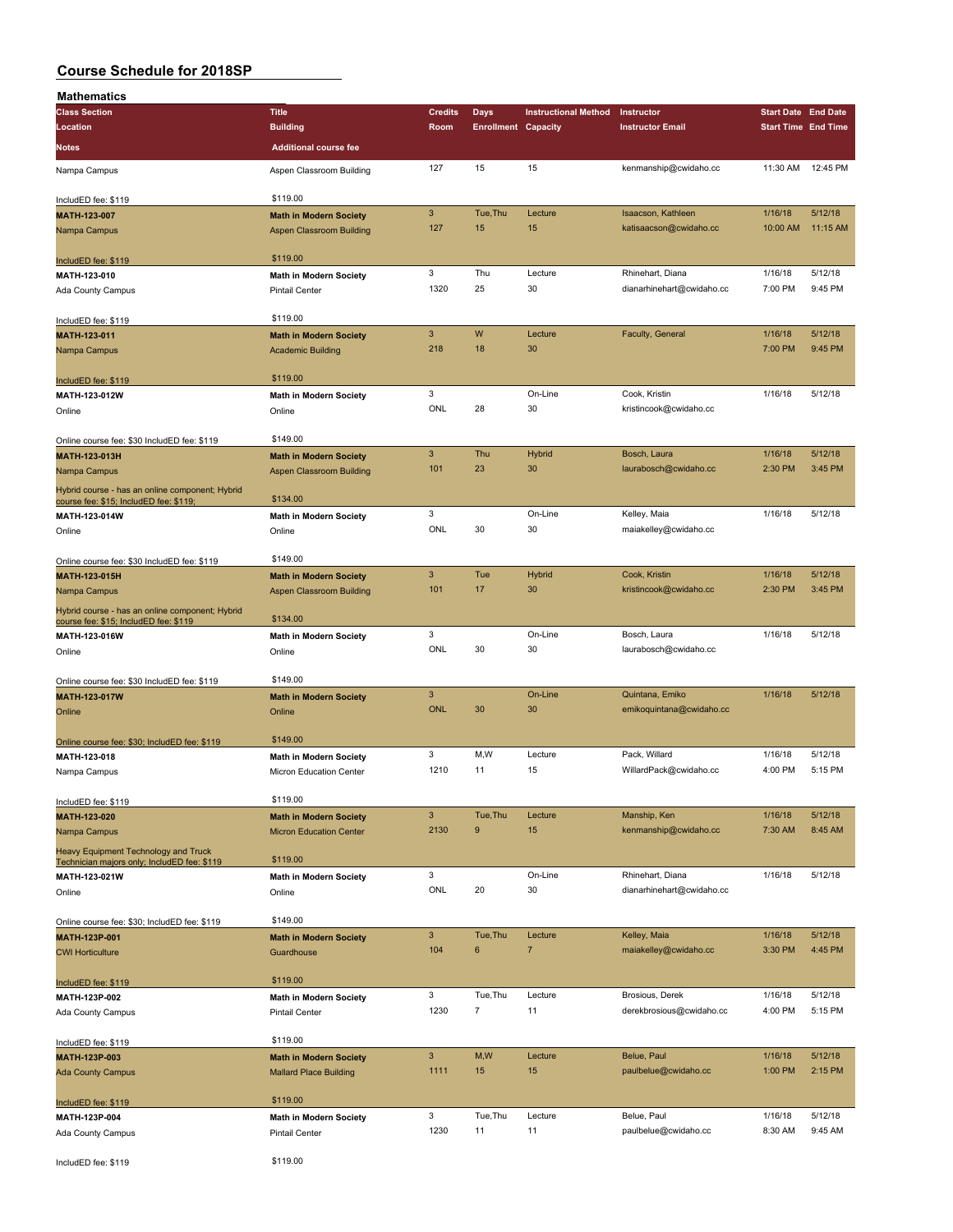| <b>Mathematics</b>                                                                        |                                                                 |                 |                            |                             |                                               |                            |                    |
|-------------------------------------------------------------------------------------------|-----------------------------------------------------------------|-----------------|----------------------------|-----------------------------|-----------------------------------------------|----------------------------|--------------------|
| <b>Class Section</b>                                                                      | <b>Title</b>                                                    | <b>Credits</b>  | Days                       | <b>Instructional Method</b> | Instructor                                    | <b>Start Date End Date</b> |                    |
| Location                                                                                  | <b>Building</b>                                                 | Room            | <b>Enrollment Capacity</b> |                             | <b>Instructor Email</b>                       | <b>Start Time End Time</b> |                    |
| <b>Notes</b>                                                                              | <b>Additional course fee</b>                                    |                 |                            |                             |                                               |                            |                    |
| Nampa Campus                                                                              | Aspen Classroom Building                                        | 127             | 15                         | 15                          | kenmanship@cwidaho.cc                         | 11:30 AM                   | 12:45 PM           |
|                                                                                           | \$119.00                                                        |                 |                            |                             |                                               |                            |                    |
| IncludED fee: \$119<br>MATH-123-007                                                       | <b>Math in Modern Society</b>                                   | 3               | Tue, Thu                   | Lecture                     | Isaacson, Kathleen                            | 1/16/18                    | 5/12/18            |
| Nampa Campus                                                                              | Aspen Classroom Building                                        | 127             | 15                         | 15                          | katisaacson@cwidaho.cc                        | 10:00 AM                   | 11:15 AM           |
|                                                                                           |                                                                 |                 |                            |                             |                                               |                            |                    |
| IncludED fee: \$119                                                                       | \$119.00                                                        |                 |                            |                             |                                               |                            |                    |
| MATH-123-010                                                                              | <b>Math in Modern Society</b>                                   | 3<br>1320       | Thu<br>25                  | Lecture<br>30               | Rhinehart, Diana<br>dianarhinehart@cwidaho.cc | 1/16/18<br>7:00 PM         | 5/12/18<br>9:45 PM |
| Ada County Campus                                                                         | <b>Pintail Center</b>                                           |                 |                            |                             |                                               |                            |                    |
| IncludED fee: \$119                                                                       | \$119.00                                                        |                 |                            |                             |                                               |                            |                    |
| <b>MATH-123-011</b>                                                                       | <b>Math in Modern Society</b>                                   | $\mathbf{3}$    | W                          | Lecture                     | Faculty, General                              | 1/16/18                    | 5/12/18            |
| Nampa Campus                                                                              | <b>Academic Building</b>                                        | 218             | 18                         | 30                          |                                               | 7:00 PM                    | 9:45 PM            |
| IncludED fee: \$119                                                                       | \$119.00                                                        |                 |                            |                             |                                               |                            |                    |
| MATH-123-012W                                                                             | <b>Math in Modern Society</b>                                   | 3               |                            | On-Line                     | Cook, Kristin                                 | 1/16/18                    | 5/12/18            |
| Online                                                                                    | Online                                                          | ONL             | 28                         | 30                          | kristincook@cwidaho.cc                        |                            |                    |
|                                                                                           |                                                                 |                 |                            |                             |                                               |                            |                    |
| Online course fee: \$30 IncludED fee: \$119                                               | \$149.00                                                        |                 |                            |                             |                                               |                            |                    |
| <b>MATH-123-013H</b>                                                                      | <b>Math in Modern Society</b>                                   | 3               | Thu                        | <b>Hybrid</b>               | Bosch, Laura                                  | 1/16/18                    | 5/12/18            |
| Nampa Campus                                                                              | <b>Aspen Classroom Building</b>                                 | 101             | 23                         | 30                          | laurabosch@cwidaho.cc                         | 2:30 PM                    | 3:45 PM            |
| Hybrid course - has an online component; Hybrid<br>course fee: \$15; IncludED fee: \$119; | \$134.00                                                        |                 |                            |                             |                                               |                            |                    |
| MATH-123-014W                                                                             | <b>Math in Modern Society</b>                                   | 3               |                            | On-Line                     | Kelley, Maia                                  | 1/16/18                    | 5/12/18            |
| Online                                                                                    | Online                                                          | ONL             | 30                         | 30                          | maiakelley@cwidaho.cc                         |                            |                    |
|                                                                                           |                                                                 |                 |                            |                             |                                               |                            |                    |
| Online course fee: \$30 IncludED fee: \$119                                               | \$149.00                                                        |                 |                            |                             |                                               |                            |                    |
| MATH-123-015H                                                                             | <b>Math in Modern Society</b>                                   | 3               | Tue                        | Hybrid                      | Cook, Kristin                                 | 1/16/18                    | 5/12/18            |
| Nampa Campus                                                                              | Aspen Classroom Building                                        | 101             | 17                         | 30                          | kristincook@cwidaho.cc                        | 2:30 PM                    | 3:45 PM            |
| Hybrid course - has an online component; Hybrid<br>course fee: \$15; IncludED fee: \$119  | \$134.00                                                        |                 |                            |                             |                                               |                            |                    |
| MATH-123-016W                                                                             | <b>Math in Modern Society</b>                                   | 3               |                            | On-Line                     | Bosch, Laura                                  | 1/16/18                    | 5/12/18            |
| Online                                                                                    | Online                                                          | ONL             | 30                         | 30                          | laurabosch@cwidaho.cc                         |                            |                    |
|                                                                                           |                                                                 |                 |                            |                             |                                               |                            |                    |
| Online course fee: \$30 IncludED fee: \$119                                               | \$149.00                                                        |                 |                            |                             |                                               |                            |                    |
| <b>MATH-123-017W</b>                                                                      | <b>Math in Modern Society</b>                                   | 3<br><b>ONL</b> | 30                         | On-Line<br>30               | Quintana, Emiko                               | 1/16/18                    | 5/12/18            |
| Online                                                                                    | Online                                                          |                 |                            |                             | emikoquintana@cwidaho.cc                      |                            |                    |
| Online course fee: \$30; IncludED fee: \$119                                              | \$149.00                                                        |                 |                            |                             |                                               |                            |                    |
| MATH-123-018                                                                              | <b>Math in Modern Society</b>                                   | 3               | M,W                        | Lecture                     | Pack, Willard                                 | 1/16/18                    | 5/12/18            |
| Nampa Campus                                                                              | Micron Education Center                                         | 1210            | 11                         | 15                          | WillardPack@cwidaho.cc                        | 4:00 PM                    | 5:15 PM            |
|                                                                                           |                                                                 |                 |                            |                             |                                               |                            |                    |
| IncludED fee: \$119                                                                       | \$119.00                                                        | $\mathbf{3}$    | Tue, Thu                   | Lecture                     | Manship, Ken                                  | 1/16/18                    | 5/12/18            |
| MATH-123-020<br>Nampa Campus                                                              | <b>Math in Modern Society</b><br><b>Micron Education Center</b> | 2130            | $\boldsymbol{9}$           | 15                          | kenmanship@cwidaho.cc                         | 7:30 AM                    | 8:45 AM            |
|                                                                                           |                                                                 |                 |                            |                             |                                               |                            |                    |
| Heavy Equipment Technology and Truck<br>Technician majors only; IncludED fee: \$119       | \$119.00                                                        |                 |                            |                             |                                               |                            |                    |
| MATH-123-021W                                                                             | <b>Math in Modern Society</b>                                   | 3               |                            | On-Line                     | Rhinehart, Diana                              | 1/16/18                    | 5/12/18            |
| Online                                                                                    | Online                                                          | ONL             | 20                         | 30                          | dianarhinehart@cwidaho.cc                     |                            |                    |
|                                                                                           | \$149.00                                                        |                 |                            |                             |                                               |                            |                    |
| Online course fee: \$30; IncludED fee: \$119<br>MATH-123P-001                             | <b>Math in Modern Society</b>                                   | $\mathbf{3}$    | Tue, Thu                   | Lecture                     | Kelley, Maia                                  | 1/16/18                    | 5/12/18            |
| <b>CWI Horticulture</b>                                                                   | Guardhouse                                                      | 104             | $\bf 6$                    | $\overline{7}$              | maiakelley@cwidaho.cc                         | 3:30 PM                    | 4:45 PM            |
|                                                                                           |                                                                 |                 |                            |                             |                                               |                            |                    |
| IncludED fee: \$119                                                                       | \$119.00                                                        |                 |                            |                             |                                               |                            |                    |
| MATH-123P-002                                                                             | <b>Math in Modern Society</b>                                   | 3               | Tue, Thu                   | Lecture                     | Brosious, Derek                               | 1/16/18                    | 5/12/18            |
| Ada County Campus                                                                         | <b>Pintail Center</b>                                           | 1230            | $\overline{7}$             | 11                          | derekbrosious@cwidaho.cc                      | 4:00 PM                    | 5:15 PM            |
|                                                                                           | \$119.00                                                        |                 |                            |                             |                                               |                            |                    |
| IncludED fee: \$119<br>MATH-123P-003                                                      | <b>Math in Modern Society</b>                                   | $\mathbf{3}$    | M,W                        | Lecture                     | Belue, Paul                                   | 1/16/18                    | 5/12/18            |
| <b>Ada County Campus</b>                                                                  | <b>Mallard Place Building</b>                                   | 1111            | 15                         | 15                          | paulbelue@cwidaho.cc                          | 1:00 PM                    | 2:15 PM            |
|                                                                                           |                                                                 |                 |                            |                             |                                               |                            |                    |
| IncludED fee: \$119                                                                       | \$119.00                                                        |                 |                            |                             |                                               |                            |                    |
| MATH-123P-004                                                                             | Math in Modern Society                                          | 3               | Tue, Thu                   | Lecture                     | Belue, Paul                                   | 1/16/18                    | 5/12/18            |
| Ada County Campus                                                                         | <b>Pintail Center</b>                                           | 1230            | 11                         | 11                          | paulbelue@cwidaho.cc                          | 8:30 AM                    | 9:45 AM            |
| IncludED fee: \$119                                                                       | \$119.00                                                        |                 |                            |                             |                                               |                            |                    |
|                                                                                           |                                                                 |                 |                            |                             |                                               |                            |                    |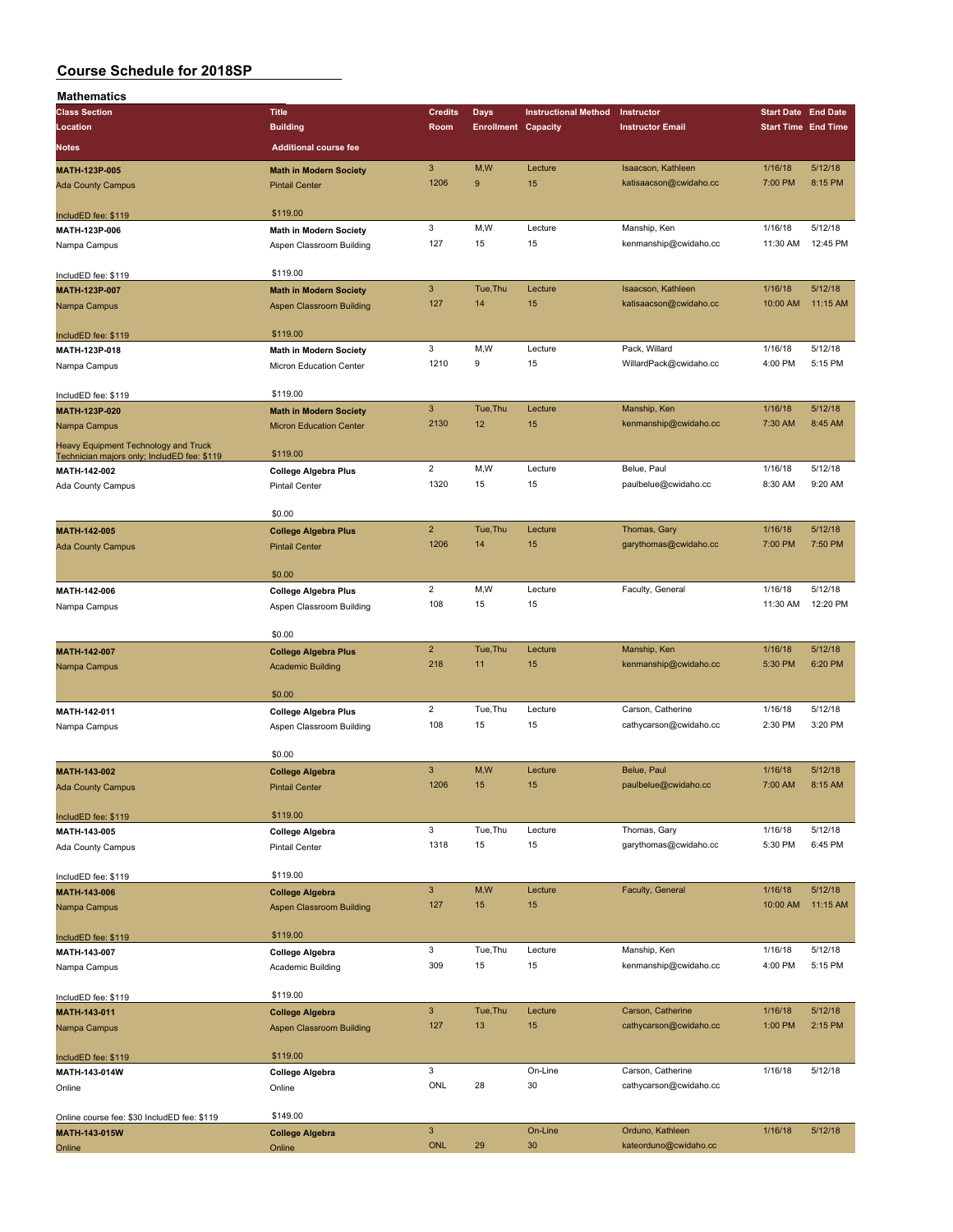| Mathematics                                 |                                 |                       |                            |                             |                         |                            |          |
|---------------------------------------------|---------------------------------|-----------------------|----------------------------|-----------------------------|-------------------------|----------------------------|----------|
| <b>Class Section</b>                        | <b>Title</b>                    | <b>Credits</b>        | Days                       | <b>Instructional Method</b> | Instructor              | <b>Start Date End Date</b> |          |
| Location                                    | <b>Building</b>                 | Room                  | <b>Enrollment Capacity</b> |                             | <b>Instructor Email</b> | <b>Start Time End Time</b> |          |
| Notes                                       | <b>Additional course fee</b>    |                       |                            |                             |                         |                            |          |
|                                             |                                 |                       |                            |                             |                         |                            |          |
| MATH-123P-005                               | <b>Math in Modern Society</b>   | $\sqrt{3}$<br>1206    | M,W<br>9                   | Lecture<br>15               | Isaacson, Kathleen      | 1/16/18                    | 5/12/18  |
| <b>Ada County Campus</b>                    | <b>Pintail Center</b>           |                       |                            |                             | katisaacson@cwidaho.cc  | 7:00 PM                    | 8:15 PM  |
|                                             | \$119.00                        |                       |                            |                             |                         |                            |          |
| IncludED fee: \$119                         |                                 | 3                     | M,W                        | Lecture                     | Manship, Ken            | 1/16/18                    | 5/12/18  |
| MATH-123P-006                               | Math in Modern Society          | 127                   | 15                         | 15                          | kenmanship@cwidaho.cc   | 11:30 AM                   | 12:45 PM |
| Nampa Campus                                | Aspen Classroom Building        |                       |                            |                             |                         |                            |          |
| IncludED fee: \$119                         | \$119.00                        |                       |                            |                             |                         |                            |          |
| MATH-123P-007                               | <b>Math in Modern Society</b>   | $\mathbf{3}$          | Tue, Thu                   | Lecture                     | Isaacson, Kathleen      | 1/16/18                    | 5/12/18  |
| Nampa Campus                                | Aspen Classroom Building        | 127                   | 14                         | 15                          | katisaacson@cwidaho.cc  | 10:00 AM                   | 11:15 AM |
|                                             |                                 |                       |                            |                             |                         |                            |          |
| IncludED fee: \$119                         | \$119.00                        |                       |                            |                             |                         |                            |          |
| MATH-123P-018                               | <b>Math in Modern Society</b>   | 3                     | M, W                       | Lecture                     | Pack, Willard           | 1/16/18                    | 5/12/18  |
| Nampa Campus                                | Micron Education Center         | 1210                  | 9                          | 15                          | WillardPack@cwidaho.cc  | 4:00 PM                    | 5:15 PM  |
|                                             |                                 |                       |                            |                             |                         |                            |          |
| IncludED fee: \$119                         | \$119.00                        |                       |                            |                             |                         |                            |          |
| MATH-123P-020                               | <b>Math in Modern Society</b>   | $\mathbf{3}$          | Tue, Thu                   | Lecture                     | Manship, Ken            | 1/16/18                    | 5/12/18  |
| Nampa Campus                                | <b>Micron Education Center</b>  | 2130                  | 12                         | 15                          | kenmanship@cwidaho.cc   | 7:30 AM                    | 8:45 AM  |
| Heavy Equipment Technology and Truck        |                                 |                       |                            |                             |                         |                            |          |
| Technician majors only; IncludED fee: \$119 | \$119.00                        |                       |                            |                             |                         |                            |          |
| MATH-142-002                                | <b>College Algebra Plus</b>     | $\overline{c}$        | M,W                        | Lecture                     | Belue, Paul             | 1/16/18                    | 5/12/18  |
| Ada County Campus                           | <b>Pintail Center</b>           | 1320                  | 15                         | 15                          | paulbelue@cwidaho.cc    | 8:30 AM                    | 9:20 AM  |
|                                             |                                 |                       |                            |                             |                         |                            |          |
|                                             | \$0.00                          |                       |                            |                             |                         |                            |          |
| MATH-142-005                                | <b>College Algebra Plus</b>     | $\overline{2}$        | Tue, Thu                   | Lecture                     | Thomas, Gary            | 1/16/18                    | 5/12/18  |
| <b>Ada County Campus</b>                    | <b>Pintail Center</b>           | 1206                  | 14                         | 15                          | garythomas@cwidaho.cc   | 7:00 PM                    | 7:50 PM  |
|                                             |                                 |                       |                            |                             |                         |                            |          |
|                                             | \$0.00                          |                       |                            |                             |                         |                            |          |
| MATH-142-006                                | <b>College Algebra Plus</b>     | $\overline{2}$<br>108 | M,W                        | Lecture                     | Faculty, General        | 1/16/18                    | 5/12/18  |
| Nampa Campus                                | Aspen Classroom Building        |                       | 15                         | 15                          |                         | 11:30 AM                   | 12:20 PM |
|                                             | \$0.00                          |                       |                            |                             |                         |                            |          |
| MATH-142-007                                | <b>College Algebra Plus</b>     | $\overline{2}$        | Tue, Thu                   | Lecture                     | Manship, Ken            | 1/16/18                    | 5/12/18  |
| Nampa Campus                                | <b>Academic Building</b>        | 218                   | 11                         | 15                          | kenmanship@cwidaho.cc   | 5:30 PM                    | 6:20 PM  |
|                                             |                                 |                       |                            |                             |                         |                            |          |
|                                             | \$0.00                          |                       |                            |                             |                         |                            |          |
| MATH-142-011                                | <b>College Algebra Plus</b>     | $\overline{c}$        | Tue, Thu                   | Lecture                     | Carson, Catherine       | 1/16/18                    | 5/12/18  |
| Nampa Campus                                | Aspen Classroom Building        | 108                   | 15                         | 15                          | cathycarson@cwidaho.cc  | 2:30 PM                    | 3:20 PM  |
|                                             |                                 |                       |                            |                             |                         |                            |          |
|                                             | \$0.00                          |                       |                            |                             |                         |                            |          |
| MATH-143-002                                | <b>College Algebra</b>          | $\mathbf{3}$          | M,W                        | Lecture                     | Belue, Paul             | 1/16/18                    | 5/12/18  |
| <b>Ada County Campus</b>                    | <b>Pintail Center</b>           | 1206                  | 15                         | 15                          | paulbelue@cwidaho.cc    | 7:00 AM                    | 8:15 AM  |
|                                             |                                 |                       |                            |                             |                         |                            |          |
| IncludED fee: \$119                         | \$119.00                        |                       |                            |                             |                         |                            |          |
| MATH-143-005                                | <b>College Algebra</b>          | 3                     | Tue, Thu                   | Lecture                     | Thomas, Gary            | 1/16/18                    | 5/12/18  |
| Ada County Campus                           | Pintail Center                  | 1318                  | 15                         | 15                          | garythomas@cwidaho.cc   | 5:30 PM                    | 6:45 PM  |
|                                             |                                 |                       |                            |                             |                         |                            |          |
| IncludED fee: \$119                         | \$119.00                        |                       |                            |                             |                         |                            |          |
| MATH-143-006                                | <b>College Algebra</b>          | $\mathbf{3}$          | M,W                        | Lecture                     | Faculty, General        | 1/16/18                    | 5/12/18  |
| Nampa Campus                                | <b>Aspen Classroom Building</b> | 127                   | 15                         | 15                          |                         | 10:00 AM                   | 11:15 AM |
|                                             | \$119.00                        |                       |                            |                             |                         |                            |          |
| IncludED fee: \$119<br>MATH-143-007         |                                 | 3                     | Tue, Thu                   | Lecture                     | Manship, Ken            | 1/16/18                    | 5/12/18  |
|                                             | <b>College Algebra</b>          | 309                   | 15                         | 15                          | kenmanship@cwidaho.cc   | 4:00 PM                    | 5:15 PM  |
| Nampa Campus                                | Academic Building               |                       |                            |                             |                         |                            |          |
| IncludED fee: \$119                         | \$119.00                        |                       |                            |                             |                         |                            |          |
| MATH-143-011                                | <b>College Algebra</b>          | $\mathbf{3}$          | Tue, Thu                   | Lecture                     | Carson, Catherine       | 1/16/18                    | 5/12/18  |
|                                             | <b>Aspen Classroom Building</b> | 127                   | 13                         | 15                          | cathycarson@cwidaho.cc  | 1:00 PM                    | 2:15 PM  |
| Nampa Campus                                |                                 |                       |                            |                             |                         |                            |          |
| IncludED fee: \$119                         | \$119.00                        |                       |                            |                             |                         |                            |          |
| MATH-143-014W                               | <b>College Algebra</b>          | 3                     |                            | On-Line                     | Carson, Catherine       | 1/16/18                    | 5/12/18  |
| Online                                      | Online                          | ONL                   | 28                         | 30                          | cathycarson@cwidaho.cc  |                            |          |
|                                             |                                 |                       |                            |                             |                         |                            |          |
| Online course fee: \$30 IncludED fee: \$119 | \$149.00                        |                       |                            |                             |                         |                            |          |
| MATH-143-015W                               | <b>College Algebra</b>          | $\mathsf 3$           |                            | On-Line                     | Orduno, Kathleen        | 1/16/18                    | 5/12/18  |
| Online                                      | Online                          | <b>ONL</b>            | 29                         | 30                          | kateorduno@cwidaho.cc   |                            |          |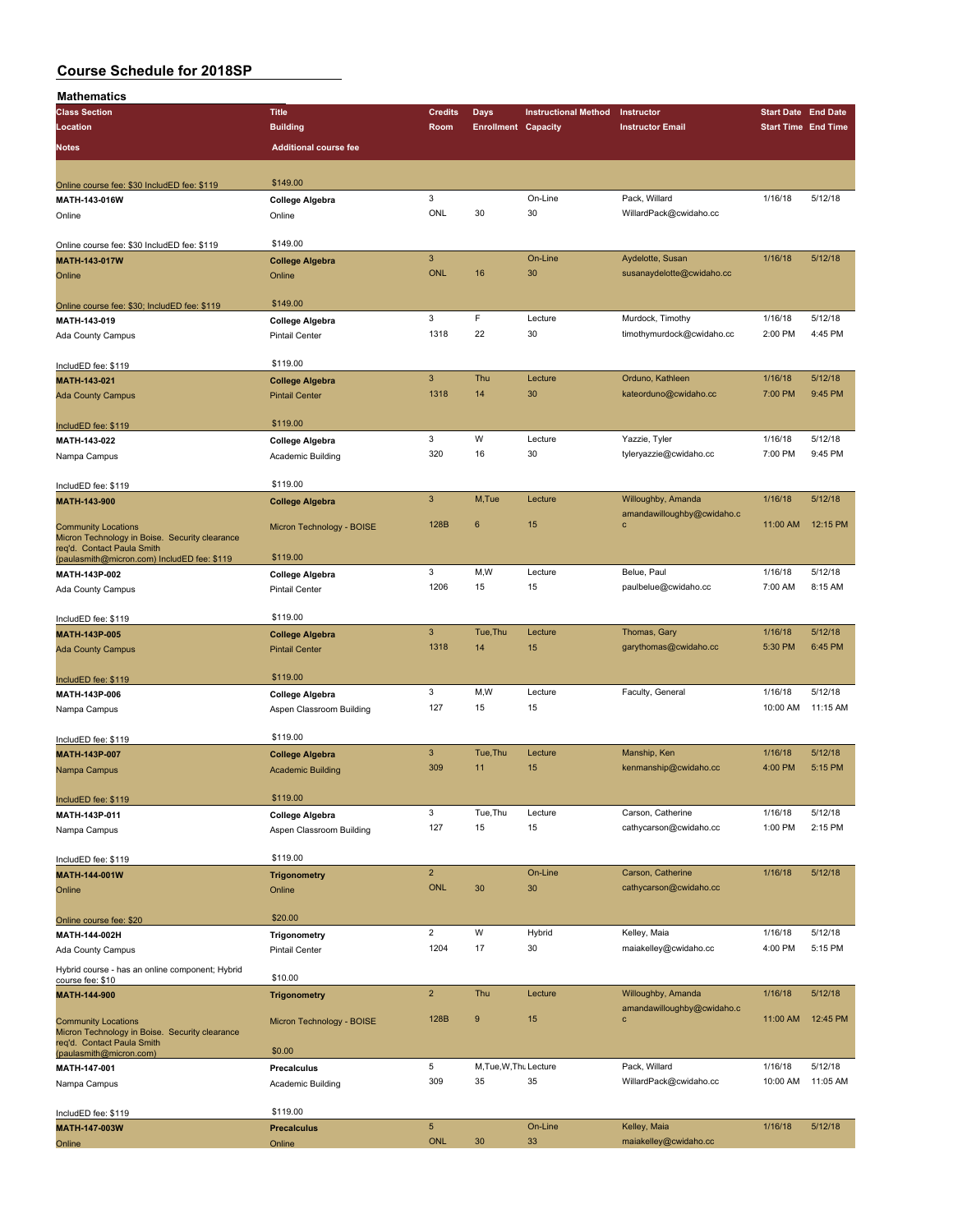| <b>Mathematics</b>                                                        |                              |                           |                            |                             |                            |                            |          |
|---------------------------------------------------------------------------|------------------------------|---------------------------|----------------------------|-----------------------------|----------------------------|----------------------------|----------|
| <b>Class Section</b>                                                      | <b>Title</b>                 | <b>Credits</b>            | Days                       | <b>Instructional Method</b> | Instructor                 | <b>Start Date End Date</b> |          |
| Location                                                                  | <b>Building</b>              | Room                      | <b>Enrollment Capacity</b> |                             | <b>Instructor Email</b>    | <b>Start Time End Time</b> |          |
| Notes                                                                     | <b>Additional course fee</b> |                           |                            |                             |                            |                            |          |
|                                                                           |                              |                           |                            |                             |                            |                            |          |
|                                                                           |                              |                           |                            |                             |                            |                            |          |
| Online course fee: \$30 IncludED fee: \$119                               | \$149.00                     |                           |                            |                             |                            |                            |          |
| MATH-143-016W                                                             | <b>College Algebra</b>       | 3                         |                            | On-Line                     | Pack, Willard              | 1/16/18                    | 5/12/18  |
| Online                                                                    | Online                       | ONL                       | 30                         | 30                          | WillardPack@cwidaho.cc     |                            |          |
|                                                                           |                              |                           |                            |                             |                            |                            |          |
| Online course fee: \$30 IncludED fee: \$119                               | \$149.00                     |                           |                            |                             |                            |                            |          |
| MATH-143-017W                                                             | <b>College Algebra</b>       | $\mathbf{3}$              |                            | On-Line                     | Aydelotte, Susan           | 1/16/18                    | 5/12/18  |
| Online                                                                    | Online                       | <b>ONL</b>                | 16                         | 30                          | susanaydelotte@cwidaho.cc  |                            |          |
|                                                                           |                              |                           |                            |                             |                            |                            |          |
| Online course fee: \$30; IncludED fee: \$119                              | \$149.00                     |                           |                            |                             |                            |                            |          |
| MATH-143-019                                                              | <b>College Algebra</b>       | 3                         | $\mathsf F$                | Lecture                     | Murdock, Timothy           | 1/16/18                    | 5/12/18  |
| Ada County Campus                                                         | Pintail Center               | 1318                      | 22                         | 30                          | timothymurdock@cwidaho.cc  | 2:00 PM                    | 4:45 PM  |
|                                                                           |                              |                           |                            |                             |                            |                            |          |
| IncludED fee: \$119                                                       | \$119.00                     |                           |                            |                             |                            |                            |          |
| MATH-143-021                                                              | <b>College Algebra</b>       | $\overline{3}$            | Thu                        | Lecture                     | Orduno, Kathleen           | 1/16/18                    | 5/12/18  |
| <b>Ada County Campus</b>                                                  | <b>Pintail Center</b>        | 1318                      | 14                         | 30                          | kateorduno@cwidaho.cc      | 7:00 PM                    | 9:45 PM  |
|                                                                           |                              |                           |                            |                             |                            |                            |          |
| IncludED fee: \$119                                                       | \$119.00                     |                           |                            |                             |                            |                            |          |
| MATH-143-022                                                              | College Algebra              | 3                         | W                          | Lecture                     | Yazzie, Tyler              | 1/16/18                    | 5/12/18  |
| Nampa Campus                                                              | Academic Building            | 320                       | 16                         | 30                          | tyleryazzie@cwidaho.cc     | 7:00 PM                    | 9:45 PM  |
|                                                                           |                              |                           |                            |                             |                            |                            |          |
| IncludED fee: \$119                                                       | \$119.00                     |                           |                            |                             |                            |                            |          |
| MATH-143-900                                                              | <b>College Algebra</b>       | $\ensuremath{\mathsf{3}}$ | M,Tue                      | Lecture                     | Willoughby, Amanda         | 1/16/18                    | 5/12/18  |
|                                                                           |                              |                           |                            |                             | amandawilloughby@cwidaho.c |                            |          |
| <b>Community Locations</b>                                                | Micron Technology - BOISE    | 128B                      | $6\phantom{1}$             | 15                          | $\mathbf c$                | 11:00 AM                   | 12:15 PM |
| Micron Technology in Boise. Security clearance                            |                              |                           |                            |                             |                            |                            |          |
| req'd. Contact Paula Smith<br>(paulasmith@micron.com) IncludED fee: \$119 | \$119.00                     |                           |                            |                             |                            |                            |          |
| MATH-143P-002                                                             | College Algebra              | 3                         | M,W                        | Lecture                     | Belue, Paul                | 1/16/18                    | 5/12/18  |
|                                                                           |                              | 1206                      | 15                         | 15                          | paulbelue@cwidaho.cc       | 7:00 AM                    | 8:15 AM  |
| Ada County Campus                                                         | <b>Pintail Center</b>        |                           |                            |                             |                            |                            |          |
|                                                                           | \$119.00                     |                           |                            |                             |                            |                            |          |
| IncludED fee: \$119                                                       |                              | $\mathbf{3}$              | Tue, Thu                   |                             |                            |                            | 5/12/18  |
| MATH-143P-005                                                             | <b>College Algebra</b>       |                           |                            | Lecture                     | Thomas, Gary               | 1/16/18                    |          |
| <b>Ada County Campus</b>                                                  | <b>Pintail Center</b>        | 1318                      | 14                         | 15                          | garythomas@cwidaho.cc      | 5:30 PM                    | 6:45 PM  |
|                                                                           |                              |                           |                            |                             |                            |                            |          |
| IncludED fee: \$119                                                       | \$119.00                     |                           |                            |                             |                            |                            |          |
| MATH-143P-006                                                             | <b>College Algebra</b>       | 3                         | M,W                        | Lecture                     | Faculty, General           | 1/16/18                    | 5/12/18  |
| Nampa Campus                                                              | Aspen Classroom Building     | 127                       | 15                         | 15                          |                            | 10:00 AM                   | 11:15 AM |
|                                                                           |                              |                           |                            |                             |                            |                            |          |
| IncludED fee: \$119                                                       | \$119.00                     |                           |                            |                             |                            |                            |          |
| MATH-143P-007                                                             | <b>College Algebra</b>       | $\mathbf{3}$              | Tue.Thu                    | Lecture                     | Manship, Ken               | 1/16/18                    | 5/12/18  |
| Nampa Campus                                                              | <b>Academic Building</b>     | 309                       | 11                         | 15                          | kenmanship@cwidaho.cc      | 4:00 PM                    | 5:15 PM  |
|                                                                           |                              |                           |                            |                             |                            |                            |          |
| IncludED fee: \$119                                                       | \$119.00                     |                           |                            |                             |                            |                            |          |
| MATH-143P-011                                                             | <b>College Algebra</b>       | 3                         | Tue, Thu                   | Lecture                     | Carson, Catherine          | 1/16/18                    | 5/12/18  |
| Nampa Campus                                                              | Aspen Classroom Building     | 127                       | 15                         | 15                          | cathycarson@cwidaho.cc     | 1:00 PM                    | 2:15 PM  |
|                                                                           |                              |                           |                            |                             |                            |                            |          |
| IncludED fee: \$119                                                       | \$119.00                     |                           |                            |                             |                            |                            |          |
| MATH-144-001W                                                             | <b>Trigonometry</b>          | $\overline{2}$            |                            | On-Line                     | Carson, Catherine          | 1/16/18                    | 5/12/18  |
| Online                                                                    | Online                       | <b>ONL</b>                | 30                         | 30                          | cathycarson@cwidaho.cc     |                            |          |
|                                                                           |                              |                           |                            |                             |                            |                            |          |
| Online course fee: \$20                                                   | \$20.00                      |                           |                            |                             |                            |                            |          |
| MATH-144-002H                                                             | Trigonometry                 | $\overline{2}$            | W                          | Hybrid                      | Kelley, Maia               | 1/16/18                    | 5/12/18  |
| Ada County Campus                                                         | Pintail Center               | 1204                      | 17                         | 30                          | maiakelley@cwidaho.cc      | 4:00 PM                    | 5:15 PM  |
|                                                                           |                              |                           |                            |                             |                            |                            |          |
| Hybrid course - has an online component; Hybrid<br>course fee: \$10       | \$10.00                      |                           |                            |                             |                            |                            |          |
| MATH-144-900                                                              | <b>Trigonometry</b>          | $\overline{2}$            | Thu                        | Lecture                     | Willoughby, Amanda         | 1/16/18                    | 5/12/18  |
|                                                                           |                              |                           |                            |                             | amandawilloughby@cwidaho.c |                            |          |
| <b>Community Locations</b>                                                | Micron Technology - BOISE    | 128B                      | $\boldsymbol{9}$           | 15                          | $\mathbf c$                | 11:00 AM                   | 12:45 PM |
| Micron Technology in Boise. Security clearance                            |                              |                           |                            |                             |                            |                            |          |
| req'd. Contact Paula Smith<br>(paulasmith@micron.com)                     | \$0.00                       |                           |                            |                             |                            |                            |          |
| MATH-147-001                                                              | Precalculus                  | 5                         | M, Tue, W, Thu Lecture     |                             | Pack, Willard              | 1/16/18                    | 5/12/18  |
|                                                                           |                              | 309                       | 35                         | 35                          | WillardPack@cwidaho.cc     | 10:00 AM                   | 11:05 AM |
| Nampa Campus                                                              | Academic Building            |                           |                            |                             |                            |                            |          |
|                                                                           | \$119.00                     |                           |                            |                             |                            |                            |          |
| IncludED fee: \$119                                                       |                              | $\sqrt{5}$                |                            | On-Line                     | Kelley, Maia               | 1/16/18                    | 5/12/18  |
| MATH-147-003W                                                             | <b>Precalculus</b>           | <b>ONL</b>                | 30                         | 33                          | maiakelley@cwidaho.cc      |                            |          |
| Online                                                                    | Online                       |                           |                            |                             |                            |                            |          |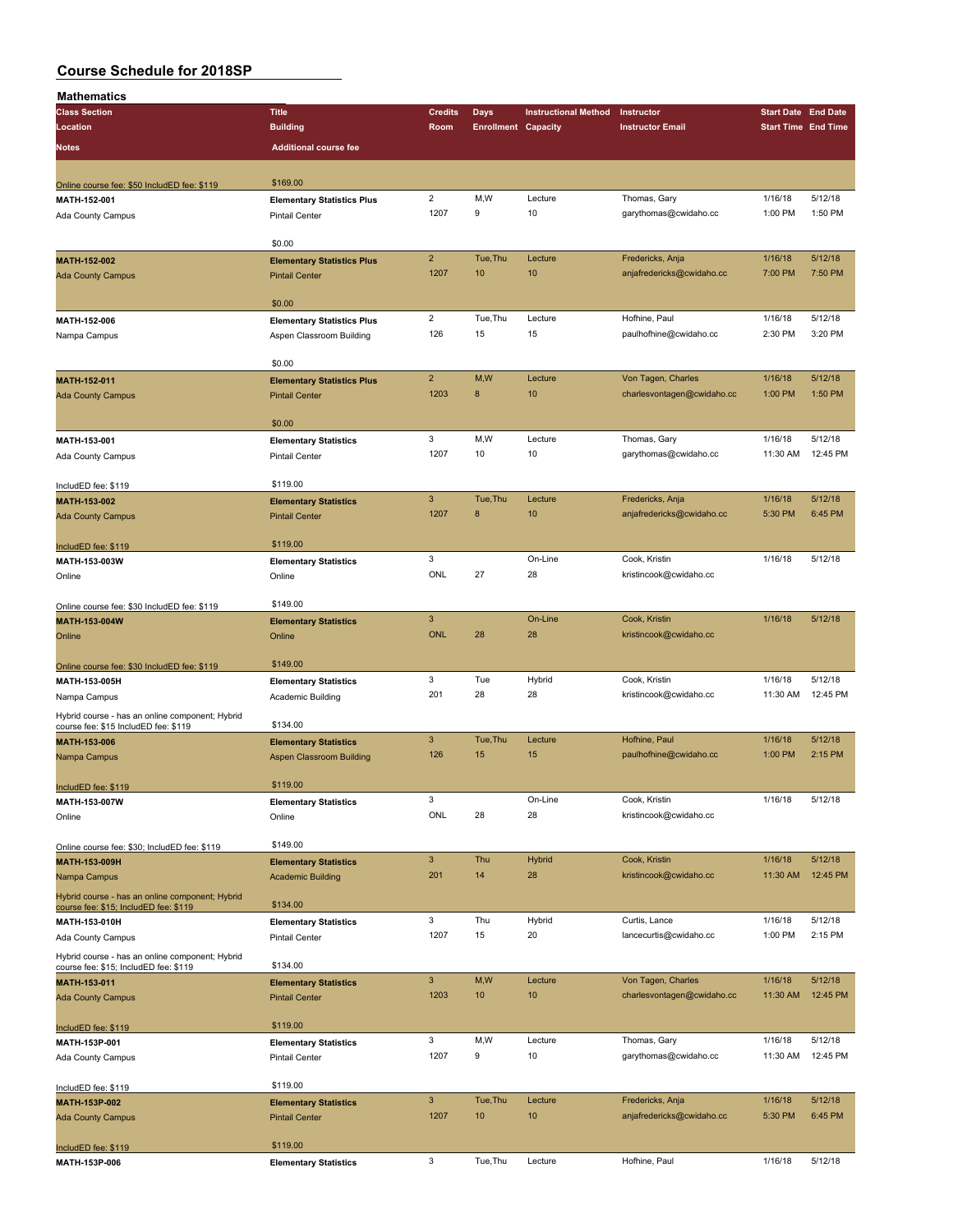| Mathematics                                                                              |                                   |                         |                            |                             |                                         |                                                                                                                                                                                                                                                                                                            |                     |
|------------------------------------------------------------------------------------------|-----------------------------------|-------------------------|----------------------------|-----------------------------|-----------------------------------------|------------------------------------------------------------------------------------------------------------------------------------------------------------------------------------------------------------------------------------------------------------------------------------------------------------|---------------------|
| <b>Class Section</b>                                                                     | <b>Title</b>                      | <b>Credits</b>          | Days                       | <b>Instructional Method</b> | Instructor                              |                                                                                                                                                                                                                                                                                                            |                     |
| Location                                                                                 | <b>Building</b>                   | Room                    | <b>Enrollment Capacity</b> |                             | <b>Instructor Email</b>                 |                                                                                                                                                                                                                                                                                                            |                     |
| Notes                                                                                    | <b>Additional course fee</b>      |                         |                            |                             |                                         |                                                                                                                                                                                                                                                                                                            |                     |
|                                                                                          |                                   |                         |                            |                             |                                         |                                                                                                                                                                                                                                                                                                            |                     |
| Online course fee: \$50 IncludED fee: \$119                                              | \$169.00                          |                         |                            |                             |                                         | 1/16/18<br>1:00 PM<br>1/16/18<br>7:00 PM<br>1/16/18<br>2:30 PM<br>1/16/18<br>1:00 PM<br>1/16/18<br>11:30 AM<br>1/16/18<br>5:30 PM<br>1/16/18<br>1/16/18<br>1/16/18<br>11:30 AM<br>1/16/18<br>1:00 PM<br>1/16/18<br>1/16/18<br>11:30 AM<br>1/16/18<br>1:00 PM<br>1/16/18<br>11:30 AM<br>1/16/18<br>11:30 AM |                     |
| MATH-152-001                                                                             | <b>Elementary Statistics Plus</b> | $\overline{\mathbf{c}}$ | M,W                        | Lecture                     | Thomas, Gary                            |                                                                                                                                                                                                                                                                                                            | 5/12/18             |
| Ada County Campus                                                                        | <b>Pintail Center</b>             | 1207                    | 9                          | 10                          | garythomas@cwidaho.cc                   |                                                                                                                                                                                                                                                                                                            | 1:50 PM             |
|                                                                                          |                                   |                         |                            |                             |                                         |                                                                                                                                                                                                                                                                                                            |                     |
|                                                                                          | \$0.00                            |                         |                            |                             |                                         | <b>Start Date End Date</b><br><b>Start Time End Time</b><br>1/16/18<br>5:30 PM                                                                                                                                                                                                                             |                     |
| MATH-152-002                                                                             | <b>Elementary Statistics Plus</b> | $\overline{2}$          | Tue, Thu                   | Lecture                     | Fredericks, Anja                        |                                                                                                                                                                                                                                                                                                            | 5/12/18             |
| <b>Ada County Campus</b>                                                                 | <b>Pintail Center</b>             | 1207                    | 10                         | 10                          | anjafredericks@cwidaho.cc               |                                                                                                                                                                                                                                                                                                            | 7:50 PM             |
|                                                                                          |                                   |                         |                            |                             |                                         |                                                                                                                                                                                                                                                                                                            |                     |
|                                                                                          | \$0.00                            |                         |                            |                             |                                         |                                                                                                                                                                                                                                                                                                            |                     |
| MATH-152-006                                                                             | <b>Elementary Statistics Plus</b> | $\overline{2}$          | Tue, Thu                   | Lecture                     | Hofhine, Paul                           |                                                                                                                                                                                                                                                                                                            | 5/12/18             |
| Nampa Campus                                                                             | Aspen Classroom Building          | 126                     | 15                         | 15                          | paulhofhine@cwidaho.cc                  |                                                                                                                                                                                                                                                                                                            | 3:20 PM             |
|                                                                                          | \$0.00                            |                         |                            |                             |                                         |                                                                                                                                                                                                                                                                                                            |                     |
| <b>MATH-152-011</b>                                                                      | <b>Elementary Statistics Plus</b> | $\overline{2}$          | M,W                        | Lecture                     | Von Tagen, Charles                      |                                                                                                                                                                                                                                                                                                            | 5/12/18             |
| <b>Ada County Campus</b>                                                                 | <b>Pintail Center</b>             | 1203                    | $\bf8$                     | 10                          | charlesvontagen@cwidaho.cc              |                                                                                                                                                                                                                                                                                                            | 1:50 PM             |
|                                                                                          |                                   |                         |                            |                             |                                         |                                                                                                                                                                                                                                                                                                            |                     |
|                                                                                          | \$0.00                            |                         |                            |                             |                                         | 1/16/18                                                                                                                                                                                                                                                                                                    |                     |
| MATH-153-001                                                                             | <b>Elementary Statistics</b>      | 3                       | M,W                        | Lecture                     | Thomas, Gary                            |                                                                                                                                                                                                                                                                                                            | 5/12/18             |
| Ada County Campus                                                                        | <b>Pintail Center</b>             | 1207                    | 10                         | 10                          | garythomas@cwidaho.cc                   |                                                                                                                                                                                                                                                                                                            | 12:45 PM            |
|                                                                                          |                                   |                         |                            |                             |                                         |                                                                                                                                                                                                                                                                                                            |                     |
| IncludED fee: \$119                                                                      | \$119.00                          |                         |                            |                             |                                         |                                                                                                                                                                                                                                                                                                            |                     |
| MATH-153-002                                                                             | <b>Elementary Statistics</b>      | $\mathbf{3}$            | Tue.Thu                    | Lecture                     | Fredericks, Anja                        |                                                                                                                                                                                                                                                                                                            | 5/12/18             |
| <b>Ada County Campus</b>                                                                 | <b>Pintail Center</b>             | 1207                    | 8                          | 10                          | anjafredericks@cwidaho.cc               |                                                                                                                                                                                                                                                                                                            | 6:45 PM             |
|                                                                                          |                                   |                         |                            |                             |                                         |                                                                                                                                                                                                                                                                                                            |                     |
| IncludED fee: \$119                                                                      | \$119.00                          |                         |                            |                             |                                         |                                                                                                                                                                                                                                                                                                            |                     |
| MATH-153-003W                                                                            | <b>Elementary Statistics</b>      | 3<br>ONL                | 27                         | On-Line                     | Cook, Kristin                           |                                                                                                                                                                                                                                                                                                            | 5/12/18             |
| Online                                                                                   | Online                            |                         |                            | 28                          | kristincook@cwidaho.cc                  |                                                                                                                                                                                                                                                                                                            |                     |
|                                                                                          | \$149.00                          |                         |                            |                             |                                         |                                                                                                                                                                                                                                                                                                            |                     |
| Online course fee: \$30 IncludED fee: \$119<br>MATH-153-004W                             | <b>Elementary Statistics</b>      | $\mathbf{3}$            |                            | On-Line                     | Cook, Kristin                           |                                                                                                                                                                                                                                                                                                            | 5/12/18             |
| Online                                                                                   | Online                            | <b>ONL</b>              | 28                         | 28                          | kristincook@cwidaho.cc                  |                                                                                                                                                                                                                                                                                                            |                     |
|                                                                                          |                                   |                         |                            |                             |                                         |                                                                                                                                                                                                                                                                                                            |                     |
| Online course fee: \$30 IncludED fee: \$119                                              | \$149.00                          |                         |                            |                             |                                         |                                                                                                                                                                                                                                                                                                            |                     |
| MATH-153-005H                                                                            | <b>Elementary Statistics</b>      | 3                       | Tue                        | Hybrid                      | Cook, Kristin                           |                                                                                                                                                                                                                                                                                                            | 5/12/18             |
| Nampa Campus                                                                             | Academic Building                 | 201                     | 28                         | 28                          | kristincook@cwidaho.cc                  |                                                                                                                                                                                                                                                                                                            | 12:45 PM            |
| Hybrid course - has an online component; Hybrid                                          |                                   |                         |                            |                             |                                         |                                                                                                                                                                                                                                                                                                            |                     |
| course fee: \$15 IncludED fee: \$119                                                     | \$134.00                          |                         |                            |                             |                                         |                                                                                                                                                                                                                                                                                                            |                     |
| MATH-153-006                                                                             | <b>Elementary Statistics</b>      | $\mathbf{3}$            | Tue, Thu                   | Lecture                     | Hofhine, Paul                           |                                                                                                                                                                                                                                                                                                            | 5/12/18             |
| Nampa Campus                                                                             | <b>Aspen Classroom Building</b>   | 126                     | 15                         | 15                          | paulhofhine@cwidaho.cc                  |                                                                                                                                                                                                                                                                                                            | 2:15 PM             |
|                                                                                          |                                   |                         |                            |                             |                                         |                                                                                                                                                                                                                                                                                                            |                     |
| IncludED fee: \$119                                                                      | \$119.00                          |                         |                            |                             |                                         |                                                                                                                                                                                                                                                                                                            |                     |
| MATH-153-007W                                                                            | <b>Elementary Statistics</b>      | 3<br>ONL                | 28                         | On-Line<br>28               | Cook, Kristin<br>kristincook@cwidaho.cc |                                                                                                                                                                                                                                                                                                            | 5/12/18             |
| Online                                                                                   | Online                            |                         |                            |                             |                                         |                                                                                                                                                                                                                                                                                                            |                     |
| Online course fee: \$30; IncludED fee: \$119                                             | \$149.00                          |                         |                            |                             |                                         |                                                                                                                                                                                                                                                                                                            |                     |
| MATH-153-009H                                                                            | <b>Elementary Statistics</b>      | $\mathbf{3}$            | Thu                        | <b>Hybrid</b>               | Cook, Kristin                           |                                                                                                                                                                                                                                                                                                            | 5/12/18             |
| Nampa Campus                                                                             | <b>Academic Building</b>          | 201                     | 14                         | 28                          | kristincook@cwidaho.cc                  |                                                                                                                                                                                                                                                                                                            | 12:45 PM            |
|                                                                                          |                                   |                         |                            |                             |                                         |                                                                                                                                                                                                                                                                                                            |                     |
| Hybrid course - has an online component; Hybrid<br>course fee: \$15; IncludED fee: \$119 | \$134.00                          |                         |                            |                             |                                         |                                                                                                                                                                                                                                                                                                            |                     |
| MATH-153-010H                                                                            | <b>Elementary Statistics</b>      | 3                       | Thu                        | Hybrid                      | Curtis, Lance                           |                                                                                                                                                                                                                                                                                                            | 5/12/18             |
| Ada County Campus                                                                        | Pintail Center                    | 1207                    | 15                         | 20                          | lancecurtis@cwidaho.cc                  |                                                                                                                                                                                                                                                                                                            | 2:15 PM             |
| Hybrid course - has an online component; Hybrid                                          |                                   |                         |                            |                             |                                         |                                                                                                                                                                                                                                                                                                            |                     |
| course fee: \$15; IncludED fee: \$119                                                    | \$134.00                          |                         |                            |                             |                                         |                                                                                                                                                                                                                                                                                                            |                     |
| <b>MATH-153-011</b>                                                                      | <b>Elementary Statistics</b>      | $\mathbf{3}$            | M,W                        | Lecture                     | Von Tagen, Charles                      |                                                                                                                                                                                                                                                                                                            | 5/12/18             |
| <b>Ada County Campus</b>                                                                 | <b>Pintail Center</b>             | 1203                    | 10                         | 10                          | charlesvontagen@cwidaho.cc              |                                                                                                                                                                                                                                                                                                            | 12:45 PM            |
|                                                                                          |                                   |                         |                            |                             |                                         |                                                                                                                                                                                                                                                                                                            |                     |
| IncludED fee: \$119                                                                      | \$119.00                          |                         |                            |                             |                                         |                                                                                                                                                                                                                                                                                                            |                     |
| MATH-153P-001                                                                            | <b>Elementary Statistics</b>      | 3<br>1207               | M,W<br>9                   | Lecture<br>10               | Thomas, Gary<br>garythomas@cwidaho.cc   |                                                                                                                                                                                                                                                                                                            | 5/12/18<br>12:45 PM |
| Ada County Campus                                                                        | <b>Pintail Center</b>             |                         |                            |                             |                                         |                                                                                                                                                                                                                                                                                                            |                     |
|                                                                                          | \$119.00                          |                         |                            |                             |                                         |                                                                                                                                                                                                                                                                                                            |                     |
| IncludED fee: \$119<br>MATH-153P-002                                                     | <b>Elementary Statistics</b>      | $\mathbf{3}$            | Tue, Thu                   | Lecture                     | Fredericks, Anja                        |                                                                                                                                                                                                                                                                                                            | 5/12/18             |
| <b>Ada County Campus</b>                                                                 | <b>Pintail Center</b>             | 1207                    | 10                         | 10                          | anjafredericks@cwidaho.cc               |                                                                                                                                                                                                                                                                                                            | 6:45 PM             |
|                                                                                          |                                   |                         |                            |                             |                                         |                                                                                                                                                                                                                                                                                                            |                     |
| IncludED fee: \$119                                                                      | \$119.00                          |                         |                            |                             |                                         |                                                                                                                                                                                                                                                                                                            |                     |
| MATH-153P-006                                                                            | <b>Elementary Statistics</b>      | 3                       | Tue, Thu                   | Lecture                     | Hofhine, Paul                           |                                                                                                                                                                                                                                                                                                            | 5/12/18             |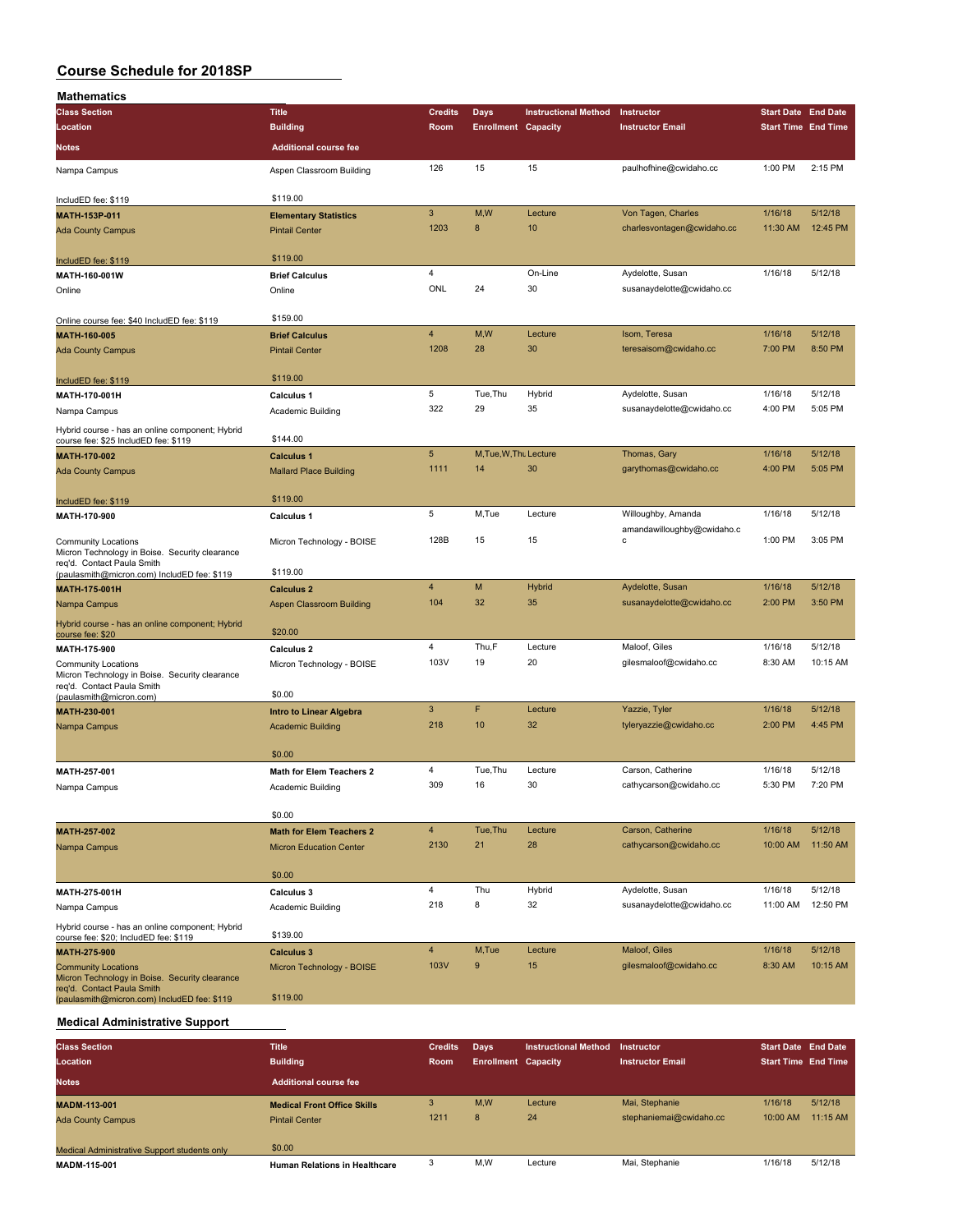| <b>Mathematics</b>                                                                                         |                                 |                |                            |                             |                                                  |                            |          |
|------------------------------------------------------------------------------------------------------------|---------------------------------|----------------|----------------------------|-----------------------------|--------------------------------------------------|----------------------------|----------|
| <b>Class Section</b>                                                                                       | <b>Title</b>                    | <b>Credits</b> | <b>Days</b>                | <b>Instructional Method</b> | Instructor                                       | <b>Start Date End Date</b> |          |
| Location                                                                                                   | <b>Building</b>                 | Room           | <b>Enrollment Capacity</b> |                             | <b>Instructor Email</b>                          | <b>Start Time End Time</b> |          |
| Notes                                                                                                      | <b>Additional course fee</b>    |                |                            |                             |                                                  |                            |          |
| Nampa Campus                                                                                               | Aspen Classroom Building        | 126            | 15                         | 15                          | paulhofhine@cwidaho.cc                           | 1:00 PM                    | 2:15 PM  |
| IncludED fee: \$119                                                                                        | \$119.00                        |                |                            |                             |                                                  |                            |          |
| MATH-153P-011                                                                                              | <b>Elementary Statistics</b>    | 3              | M,W                        | Lecture                     | Von Tagen, Charles                               | 1/16/18                    | 5/12/18  |
| <b>Ada County Campus</b>                                                                                   | <b>Pintail Center</b>           | 1203           | 8                          | 10                          | charlesvontagen@cwidaho.cc                       | 11:30 AM                   | 12:45 PM |
| IncludED fee: \$119                                                                                        | \$119.00                        |                |                            |                             |                                                  |                            |          |
| MATH-160-001W                                                                                              | <b>Brief Calculus</b>           | 4              |                            | On-Line                     | Aydelotte, Susan                                 | 1/16/18                    | 5/12/18  |
| Online                                                                                                     | Online                          | ONL            | 24                         | 30                          | susanaydelotte@cwidaho.cc                        |                            |          |
| Online course fee: \$40 IncludED fee: \$119                                                                | \$159.00                        |                |                            |                             |                                                  |                            |          |
| MATH-160-005                                                                                               | <b>Brief Calculus</b>           | 4              | M, W                       | Lecture                     | Isom, Teresa                                     | 1/16/18                    | 5/12/18  |
| <b>Ada County Campus</b>                                                                                   | <b>Pintail Center</b>           | 1208           | 28                         | 30                          | teresaisom@cwidaho.cc                            | 7:00 PM                    | 8:50 PM  |
| IncludED fee: \$119                                                                                        | \$119.00                        |                |                            |                             |                                                  |                            |          |
| MATH-170-001H                                                                                              | Calculus 1                      | 5              | Tue, Thu                   | Hybrid                      | Aydelotte, Susan                                 | 1/16/18                    | 5/12/18  |
| Nampa Campus                                                                                               | Academic Building               | 322            | 29                         | 35                          | susanaydelotte@cwidaho.cc                        | 4:00 PM                    | 5:05 PM  |
| Hybrid course - has an online component; Hybrid<br>course fee: \$25 IncludED fee: \$119                    | \$144.00                        |                |                            |                             |                                                  |                            |          |
| <b>MATH-170-002</b>                                                                                        | <b>Calculus 1</b>               | 5              | M, Tue, W, Thu Lecture     |                             | Thomas, Gary                                     | 1/16/18                    | 5/12/18  |
| <b>Ada County Campus</b>                                                                                   | <b>Mallard Place Building</b>   | 1111           | 14                         | 30                          | garythomas@cwidaho.cc                            | 4:00 PM                    | 5:05 PM  |
| IncludED fee: \$119                                                                                        | \$119.00                        |                |                            |                             |                                                  |                            |          |
| MATH-170-900                                                                                               | <b>Calculus 1</b>               | 5              | M,Tue                      | Lecture                     | Willoughby, Amanda<br>amandawilloughby@cwidaho.c | 1/16/18                    | 5/12/18  |
| <b>Community Locations</b><br>Micron Technology in Boise. Security clearance<br>req'd. Contact Paula Smith | Micron Technology - BOISE       | 128B           | 15                         | 15                          | C                                                | 1:00 PM                    | 3:05 PM  |
| (paulasmith@micron.com) IncludED fee: \$119                                                                | \$119.00                        |                |                            |                             |                                                  |                            |          |
| <b>MATH-175-001H</b>                                                                                       | <b>Calculus 2</b>               | 4              | M                          | Hybrid                      | Aydelotte, Susan                                 | 1/16/18                    | 5/12/18  |
| Nampa Campus<br>Hybrid course - has an online component; Hybrid                                            | Aspen Classroom Building        | 104            | 32                         | 35                          | susanaydelotte@cwidaho.cc                        | 2:00 PM                    | 3:50 PM  |
| course fee: \$20                                                                                           | \$20.00                         |                |                            |                             |                                                  |                            |          |
| MATH-175-900                                                                                               | Calculus 2                      | 4              | Thu,F                      | Lecture                     | Maloof, Giles                                    | 1/16/18                    | 5/12/18  |
| <b>Community Locations</b><br>Micron Technology in Boise. Security clearance<br>req'd. Contact Paula Smith | Micron Technology - BOISE       | 103V           | 19                         | 20                          | gilesmaloof@cwidaho.cc                           | 8:30 AM                    | 10:15 AM |
| (paulasmith@micron.com)                                                                                    | \$0.00                          |                |                            |                             |                                                  |                            |          |
| MATH-230-001                                                                                               | <b>Intro to Linear Algebra</b>  | $\overline{3}$ | F                          | Lecture                     | Yazzie, Tyler                                    | 1/16/18                    | 5/12/18  |
| Nampa Campus                                                                                               | <b>Academic Building</b>        | 218            | 10                         | 32                          | tyleryazzie@cwidaho.cc                           | 2:00 PM                    | 4:45 PM  |
|                                                                                                            | \$0.00                          |                |                            |                             |                                                  |                            |          |
| MATH-257-001                                                                                               | Math for Elem Teachers 2        | 4              | Tue, Thu                   | Lecture                     | Carson, Catherine                                | 1/16/18                    | 5/12/18  |
| Nampa Campus                                                                                               | Academic Building               | 309            | 16                         | 30                          | cathycarson@cwidaho.cc                           | 5:30 PM                    | 7:20 PM  |
|                                                                                                            | \$0.00                          |                |                            |                             |                                                  |                            |          |
| MATH-257-002                                                                                               | <b>Math for Elem Teachers 2</b> | $\overline{4}$ | Tue.Thu                    | Lecture                     | Carson, Catherine                                | 1/16/18                    | 5/12/18  |
| Nampa Campus                                                                                               | <b>Micron Education Center</b>  | 2130           | 21                         | 28                          | cathycarson@cwidaho.cc                           | 10:00 AM                   | 11:50 AM |
|                                                                                                            | \$0.00                          |                |                            |                             |                                                  |                            |          |
| MATH-275-001H                                                                                              | Calculus 3                      | 4              | Thu                        | Hybrid                      | Aydelotte, Susan                                 | 1/16/18                    | 5/12/18  |
| Nampa Campus                                                                                               | Academic Building               | 218            | 8                          | 32                          | susanaydelotte@cwidaho.cc                        | 11:00 AM                   | 12:50 PM |
| Hybrid course - has an online component; Hybrid<br>course fee: \$20; IncludED fee: \$119                   | \$139.00                        |                |                            |                             |                                                  |                            |          |
| MATH-275-900                                                                                               | <b>Calculus 3</b>               | 4              | M,Tue                      | Lecture                     | Maloof, Giles                                    | 1/16/18                    | 5/12/18  |
| <b>Community Locations</b><br>Micron Technology in Boise. Security clearance<br>req'd. Contact Paula Smith | Micron Technology - BOISE       | 103V           | 9                          | 15                          | gilesmaloof@cwidaho.cc                           | 8:30 AM                    | 10:15 AM |
| (paulasmith@micron.com) IncludED fee: \$119                                                                | \$119.00                        |                |                            |                             |                                                  |                            |          |

#### **Medical Administrative Support**

| <b>Class Section</b>                         | <b>Title</b>                         | <b>Credits</b> | Days                       | <b>Instructional Method</b> | Instructor              | <b>Start Date End Date</b> |            |
|----------------------------------------------|--------------------------------------|----------------|----------------------------|-----------------------------|-------------------------|----------------------------|------------|
| Location                                     | <b>Building</b>                      | Room           | <b>Enrollment Capacity</b> |                             | <b>Instructor Email</b> | <b>Start Time End Time</b> |            |
| <b>Notes</b>                                 | <b>Additional course fee</b>         |                |                            |                             |                         |                            |            |
| <b>MADM-113-001</b>                          | <b>Medical Front Office Skills</b>   | 3              | M,W                        | Lecture                     | Mai, Stephanie          | 1/16/18                    | 5/12/18    |
| <b>Ada County Campus</b>                     | <b>Pintail Center</b>                | 1211           | 8                          | 24                          | stephaniemai@cwidaho.cc | 10:00 AM                   | $11:15$ AM |
| Medical Administrative Support students only | \$0.00                               |                |                            |                             |                         |                            |            |
| MADM-115-001                                 | <b>Human Relations in Healthcare</b> |                | M,W                        | Lecture                     | Mai, Stephanie          | 1/16/18                    | 5/12/18    |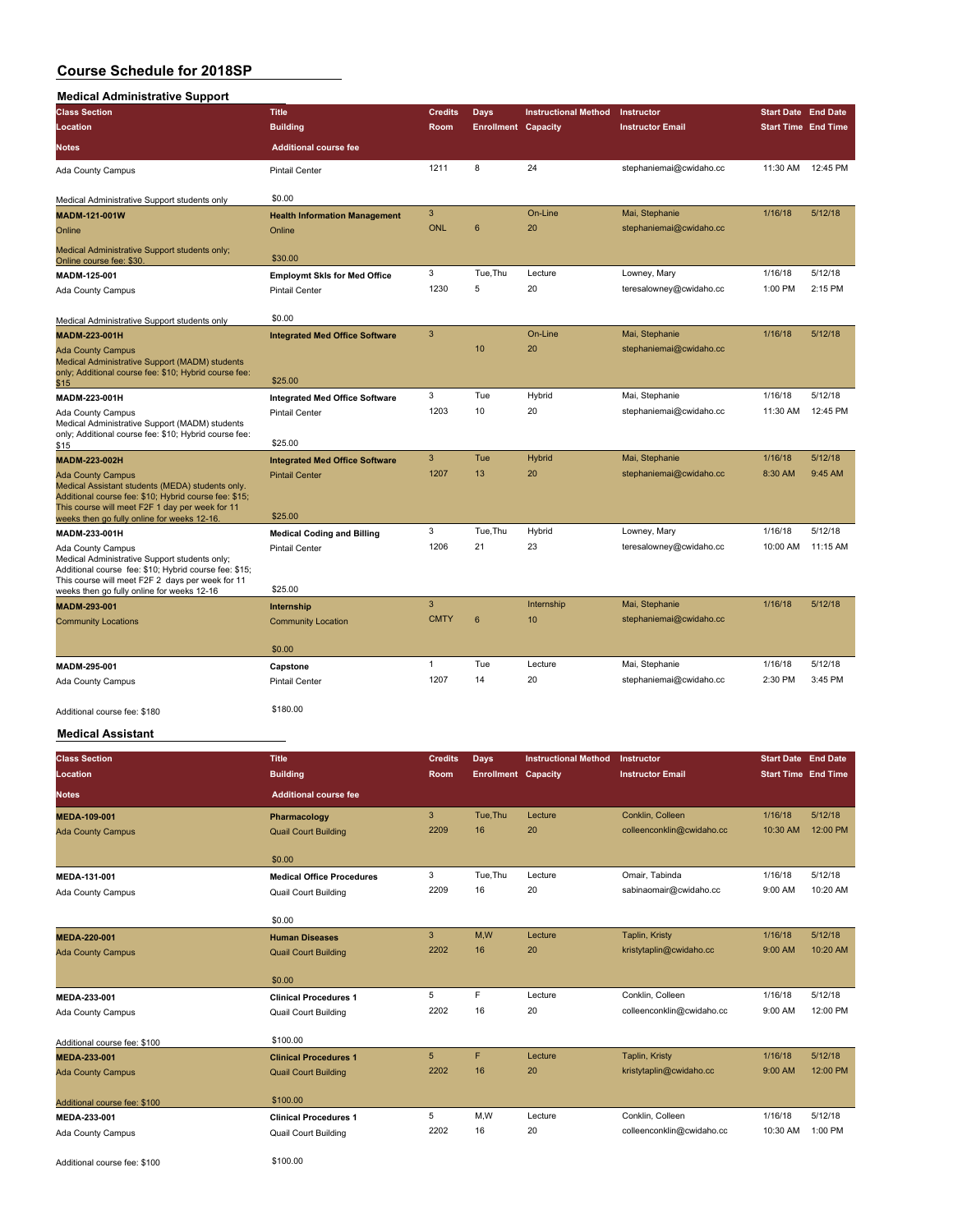#### **Medical Administrative Support**

| Medical Administrative Support                                                                                                                                                                                                          |                                       |                |                            |                             |                         |                            |          |
|-----------------------------------------------------------------------------------------------------------------------------------------------------------------------------------------------------------------------------------------|---------------------------------------|----------------|----------------------------|-----------------------------|-------------------------|----------------------------|----------|
| <b>Class Section</b>                                                                                                                                                                                                                    | <b>Title</b>                          | <b>Credits</b> | Days                       | <b>Instructional Method</b> | Instructor              | <b>Start Date End Date</b> |          |
| Location                                                                                                                                                                                                                                | <b>Building</b>                       | Room           | <b>Enrollment Capacity</b> |                             | <b>Instructor Email</b> | <b>Start Time End Time</b> |          |
| <b>Notes</b>                                                                                                                                                                                                                            | <b>Additional course fee</b>          |                |                            |                             |                         |                            |          |
| Ada County Campus                                                                                                                                                                                                                       | <b>Pintail Center</b>                 | 1211           | 8                          | 24                          | stephaniemai@cwidaho.cc | 11:30 AM                   | 12:45 PM |
| Medical Administrative Support students only                                                                                                                                                                                            | \$0.00                                |                |                            |                             |                         |                            |          |
| MADM-121-001W                                                                                                                                                                                                                           | <b>Health Information Management</b>  | 3              |                            | On-Line                     | Mai, Stephanie          | 1/16/18                    | 5/12/18  |
| Online                                                                                                                                                                                                                                  | Online                                | ONL            | 6                          | 20                          | stephaniemai@cwidaho.cc |                            |          |
| Medical Administrative Support students only;<br>Online course fee: \$30.                                                                                                                                                               | \$30.00                               |                |                            |                             |                         |                            |          |
| MADM-125-001                                                                                                                                                                                                                            | <b>Employmt Skis for Med Office</b>   | 3              | Tue.Thu                    | Lecture                     | Lowney, Mary            | 1/16/18                    | 5/12/18  |
| <b>Ada County Campus</b>                                                                                                                                                                                                                | <b>Pintail Center</b>                 | 1230           | 5                          | 20                          | teresalowney@cwidaho.cc | 1:00 PM                    | 2:15 PM  |
| Medical Administrative Support students only                                                                                                                                                                                            | \$0.00                                |                |                            |                             |                         |                            |          |
| MADM-223-001H                                                                                                                                                                                                                           | <b>Integrated Med Office Software</b> | 3              |                            | On-Line                     | Mai, Stephanie          | 1/16/18                    | 5/12/18  |
| <b>Ada County Campus</b><br>Medical Administrative Support (MADM) students                                                                                                                                                              |                                       |                | 10                         | 20                          | stephaniemai@cwidaho.cc |                            |          |
| only; Additional course fee: \$10; Hybrid course fee:<br>\$15                                                                                                                                                                           | \$25.00                               |                |                            |                             |                         |                            |          |
| MADM-223-001H                                                                                                                                                                                                                           | <b>Integrated Med Office Software</b> | 3              | Tue                        | Hybrid                      | Mai, Stephanie          | 1/16/18                    | 5/12/18  |
| Ada County Campus<br>Medical Administrative Support (MADM) students<br>only; Additional course fee: \$10; Hybrid course fee:<br>\$15                                                                                                    | <b>Pintail Center</b><br>\$25.00      | 1203           | 10                         | 20                          | stephaniemai@cwidaho.cc | 11:30 AM                   | 12:45 PM |
| MADM-223-002H                                                                                                                                                                                                                           | <b>Integrated Med Office Software</b> | 3              | Tue                        | <b>Hybrid</b>               | Mai, Stephanie          | 1/16/18                    | 5/12/18  |
| <b>Ada County Campus</b><br>Medical Assistant students (MEDA) students only.<br>Additional course fee: \$10; Hybrid course fee: \$15;<br>This course will meet F2F 1 day per week for 11<br>weeks then go fully online for weeks 12-16. | <b>Pintail Center</b><br>\$25.00      | 1207           | 13                         | 20                          | stephaniemai@cwidaho.cc | 8:30 AM                    | 9:45 AM  |
| MADM-233-001H                                                                                                                                                                                                                           | <b>Medical Coding and Billing</b>     | 3              | Tue, Thu                   | Hybrid                      | Lowney, Mary            | 1/16/18                    | 5/12/18  |
| Ada County Campus<br>Medical Administrative Support students only;<br>Additional course fee: \$10; Hybrid course fee: \$15;<br>This course will meet F2F 2 days per week for 11                                                         | <b>Pintail Center</b>                 | 1206           | 21                         | 23                          | teresalowney@cwidaho.cc | 10:00 AM                   | 11:15 AM |
| weeks then go fully online for weeks 12-16                                                                                                                                                                                              | \$25.00                               |                |                            |                             |                         |                            |          |
| MADM-293-001                                                                                                                                                                                                                            | Internship                            | 3              |                            | Internship                  | Mai, Stephanie          | 1/16/18                    | 5/12/18  |
| <b>Community Locations</b>                                                                                                                                                                                                              | <b>Community Location</b><br>\$0.00   | <b>CMTY</b>    | 6                          | 10                          | stephaniemai@cwidaho.cc |                            |          |
| MADM-295-001                                                                                                                                                                                                                            | Capstone                              | $\mathbf{1}$   | Tue                        | Lecture                     | Mai, Stephanie          | 1/16/18                    | 5/12/18  |
| Ada County Campus                                                                                                                                                                                                                       | <b>Pintail Center</b>                 | 1207           | 14                         | 20                          | stephaniemai@cwidaho.cc | 2:30 PM                    | 3:45 PM  |
| Additional course fee: \$180                                                                                                                                                                                                            | \$180.00                              |                |                            |                             |                         |                            |          |

### **Medical Assistant**

| <b>Class Section</b><br>Location | <b>Title</b><br><b>Building</b>  | <b>Credits</b><br><b>Room</b> | Days<br><b>Enrollment Capacity</b> | <b>Instructional Method</b> | Instructor<br><b>Instructor Email</b> | <b>Start Date End Date</b><br><b>Start Time End Time</b> |          |
|----------------------------------|----------------------------------|-------------------------------|------------------------------------|-----------------------------|---------------------------------------|----------------------------------------------------------|----------|
| <b>Notes</b>                     | <b>Additional course fee</b>     |                               |                                    |                             |                                       |                                                          |          |
| MEDA-109-001                     | Pharmacology                     | 3                             | Tue, Thu                           | Lecture                     | Conklin, Colleen                      | 1/16/18                                                  | 5/12/18  |
| <b>Ada County Campus</b>         | <b>Quail Court Building</b>      | 2209                          | 16                                 | 20                          | colleenconklin@cwidaho.cc             | 10:30 AM                                                 | 12:00 PM |
|                                  | \$0.00                           |                               |                                    |                             |                                       |                                                          |          |
| MEDA-131-001                     | <b>Medical Office Procedures</b> | 3                             | Tue, Thu                           | Lecture                     | Omair, Tabinda                        | 1/16/18                                                  | 5/12/18  |
| Ada County Campus                | <b>Quail Court Building</b>      | 2209                          | 16                                 | 20                          | sabinaomair@cwidaho.cc                | 9:00 AM                                                  | 10:20 AM |
|                                  | \$0.00                           |                               |                                    |                             |                                       |                                                          |          |
| MEDA-220-001                     | <b>Human Diseases</b>            | 3                             | M.W                                | Lecture                     | Taplin, Kristy                        | 1/16/18                                                  | 5/12/18  |
| <b>Ada County Campus</b>         | <b>Quail Court Building</b>      | 2202                          | 16                                 | 20                          | kristytaplin@cwidaho.cc               | 9:00 AM                                                  | 10:20 AM |
|                                  | \$0.00                           |                               |                                    |                             |                                       |                                                          |          |
| MEDA-233-001                     | <b>Clinical Procedures 1</b>     | 5                             | F                                  | Lecture                     | Conklin, Colleen                      | 1/16/18                                                  | 5/12/18  |
| Ada County Campus                | <b>Quail Court Building</b>      | 2202                          | 16                                 | 20                          | colleenconklin@cwidaho.cc             | 9:00 AM                                                  | 12:00 PM |
| Additional course fee: \$100     | \$100.00                         |                               |                                    |                             |                                       |                                                          |          |
| MEDA-233-001                     | <b>Clinical Procedures 1</b>     | 5                             | F                                  | Lecture                     | Taplin, Kristy                        | 1/16/18                                                  | 5/12/18  |
| <b>Ada County Campus</b>         | <b>Quail Court Building</b>      | 2202                          | 16                                 | 20                          | kristytaplin@cwidaho.cc               | 9:00 AM                                                  | 12:00 PM |
| Additional course fee: \$100     | \$100.00                         |                               |                                    |                             |                                       |                                                          |          |
| MEDA-233-001                     | <b>Clinical Procedures 1</b>     | 5                             | M,W                                | Lecture                     | Conklin, Colleen                      | 1/16/18                                                  | 5/12/18  |
| Ada County Campus                | <b>Quail Court Building</b>      | 2202                          | 16                                 | 20                          | colleenconklin@cwidaho.cc             | 10:30 AM                                                 | 1:00 PM  |
| Additional course fee: \$100     | \$100.00                         |                               |                                    |                             |                                       |                                                          |          |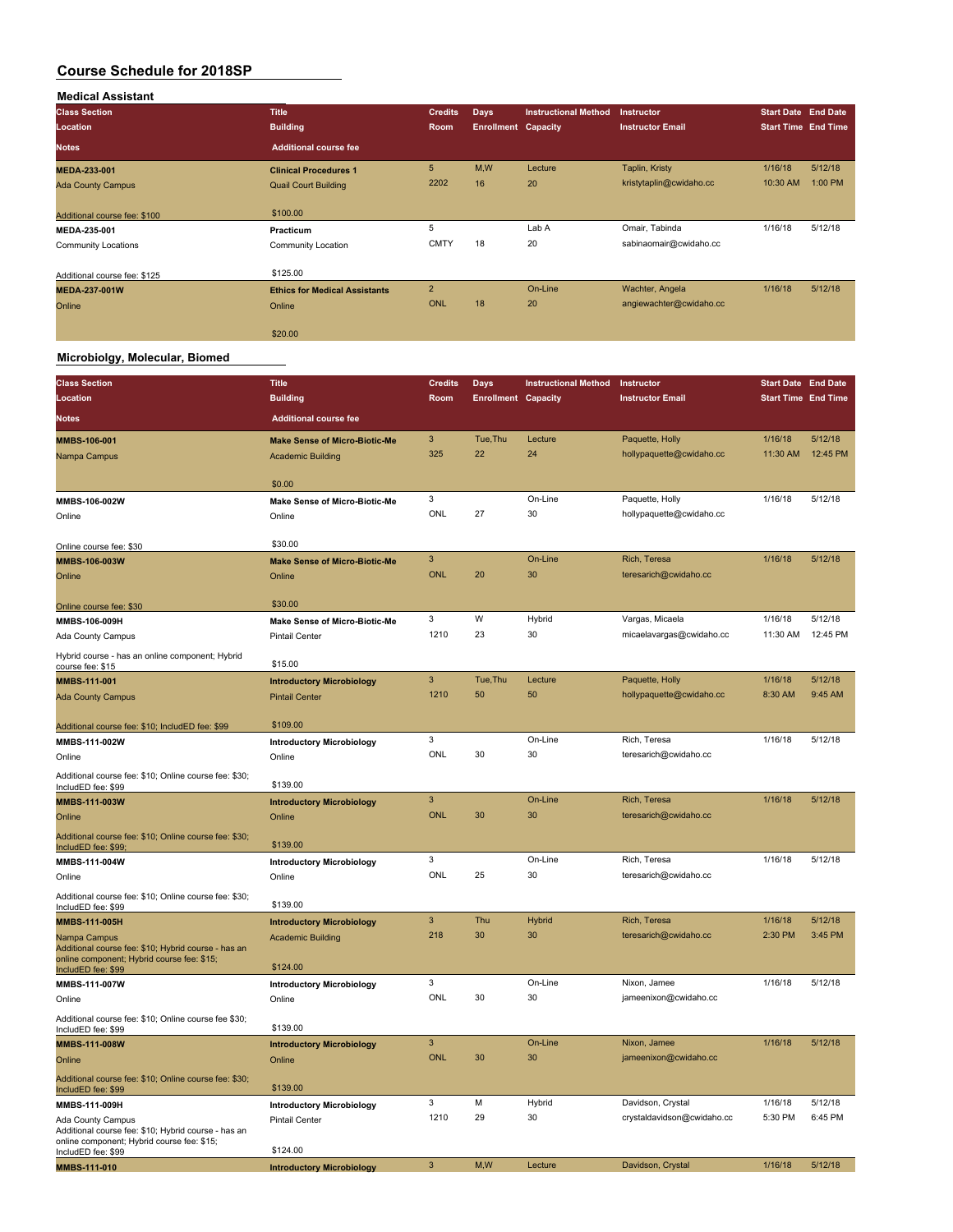| <b>Medical Assistant</b>     |                                      |                |                            |                             |                         |                            |         |
|------------------------------|--------------------------------------|----------------|----------------------------|-----------------------------|-------------------------|----------------------------|---------|
| <b>Class Section</b>         | <b>Title</b>                         | <b>Credits</b> | <b>Days</b>                | <b>Instructional Method</b> | <b>Instructor</b>       | <b>Start Date End Date</b> |         |
| Location                     | <b>Building</b>                      | <b>Room</b>    | <b>Enrollment Capacity</b> |                             | <b>Instructor Email</b> | <b>Start Time End Time</b> |         |
| <b>Notes</b>                 | <b>Additional course fee</b>         |                |                            |                             |                         |                            |         |
| MEDA-233-001                 | <b>Clinical Procedures 1</b>         | 5              | M,W                        | Lecture                     | Taplin, Kristy          | 1/16/18                    | 5/12/18 |
| <b>Ada County Campus</b>     | <b>Quail Court Building</b>          | 2202           | 16                         | 20                          | kristytaplin@cwidaho.cc | 10:30 AM                   | 1:00 PM |
| Additional course fee: \$100 | \$100.00                             |                |                            |                             |                         |                            |         |
| MEDA-235-001                 | Practicum                            | 5              |                            | Lab A                       | Omair, Tabinda          | 1/16/18                    | 5/12/18 |
| <b>Community Locations</b>   | Community Location                   | <b>CMTY</b>    | 18                         | 20                          | sabinaomair@cwidaho.cc  |                            |         |
| Additional course fee: \$125 | \$125.00                             |                |                            |                             |                         |                            |         |
| <b>MEDA-237-001W</b>         | <b>Ethics for Medical Assistants</b> | $\overline{2}$ |                            | On-Line                     | Wachter, Angela         | 1/16/18                    | 5/12/18 |
| Online                       | Online                               | ONL            | 18                         | 20                          | angiewachter@cwidaho.cc |                            |         |
|                              | \$20.00                              |                |                            |                             |                         |                            |         |

### **Microbiolgy, Molecular, Biomed**

 $\sim$ 

| <b>Class Section</b>                                                        | <b>Title</b>                               | <b>Credits</b> | Days                       | <b>Instructional Method</b> | Instructor                 | <b>Start Date End Date</b> |                    |
|-----------------------------------------------------------------------------|--------------------------------------------|----------------|----------------------------|-----------------------------|----------------------------|----------------------------|--------------------|
| Location                                                                    | <b>Building</b>                            | Room           | <b>Enrollment Capacity</b> |                             | <b>Instructor Email</b>    | <b>Start Time End Time</b> |                    |
| <b>Notes</b>                                                                | <b>Additional course fee</b>               |                |                            |                             |                            |                            |                    |
| MMBS-106-001                                                                | <b>Make Sense of Micro-Biotic-Me</b>       | 3              | Tue, Thu                   | Lecture                     | Paquette, Holly            | 1/16/18                    | 5/12/18            |
| Nampa Campus                                                                | <b>Academic Building</b>                   | 325            | 22                         | 24                          | hollypaquette@cwidaho.cc   | 11:30 AM                   | 12:45 PM           |
|                                                                             |                                            |                |                            |                             |                            |                            |                    |
|                                                                             | \$0.00                                     |                |                            |                             |                            |                            |                    |
| MMBS-106-002W                                                               | <b>Make Sense of Micro-Biotic-Me</b>       | 3              |                            | On-Line                     | Paquette, Holly            | 1/16/18                    | 5/12/18            |
| Online                                                                      | Online                                     | <b>ONL</b>     | 27                         | 30                          | hollypaquette@cwidaho.cc   |                            |                    |
|                                                                             | \$30.00                                    |                |                            |                             |                            |                            |                    |
| Online course fee: \$30<br>MMBS-106-003W                                    | <b>Make Sense of Micro-Biotic-Me</b>       | $\mathbf{3}$   |                            | On-Line                     | Rich, Teresa               | 1/16/18                    | 5/12/18            |
| Online                                                                      | Online                                     | <b>ONL</b>     | 20                         | 30                          | teresarich@cwidaho.cc      |                            |                    |
|                                                                             |                                            |                |                            |                             |                            |                            |                    |
| Online course fee: \$30                                                     | \$30.00                                    |                |                            |                             |                            |                            |                    |
| MMBS-106-009H                                                               | <b>Make Sense of Micro-Biotic-Me</b>       | 3              | W                          | Hybrid                      | Vargas, Micaela            | 1/16/18                    | 5/12/18            |
| Ada County Campus                                                           | <b>Pintail Center</b>                      | 1210           | 23                         | 30                          | micaelavargas@cwidaho.cc   | 11:30 AM                   | 12:45 PM           |
| Hybrid course - has an online component; Hybrid                             |                                            |                |                            |                             |                            |                            |                    |
| course fee: \$15                                                            | \$15.00                                    | 3              | Tue, Thu                   | Lecture                     | Paquette, Holly            | 1/16/18                    | 5/12/18            |
| MMBS-111-001                                                                | <b>Introductory Microbiology</b>           | 1210           | 50                         | 50                          | hollypaquette@cwidaho.cc   | 8:30 AM                    | 9:45 AM            |
| <b>Ada County Campus</b>                                                    | <b>Pintail Center</b>                      |                |                            |                             |                            |                            |                    |
| Additional course fee: \$10; IncludED fee: \$99                             | \$109.00                                   |                |                            |                             |                            |                            |                    |
| MMBS-111-002W                                                               | <b>Introductory Microbiology</b>           | 3              |                            | On-Line                     | Rich, Teresa               | 1/16/18                    | 5/12/18            |
| Online                                                                      | Online                                     | <b>ONL</b>     | 30                         | 30                          | teresarich@cwidaho.cc      |                            |                    |
| Additional course fee: \$10; Online course fee: \$30;<br>IncludED fee: \$99 | \$139.00                                   |                |                            |                             |                            |                            |                    |
| MMBS-111-003W                                                               | <b>Introductory Microbiology</b>           | $\mathbf{3}$   |                            | On-Line                     | Rich, Teresa               | 1/16/18                    | 5/12/18            |
| Online                                                                      | Online                                     | ONL            | 30                         | 30                          | teresarich@cwidaho.cc      |                            |                    |
| Additional course fee: \$10; Online course fee: \$30;<br>IncludED fee: \$99 | \$139.00                                   |                |                            |                             |                            |                            |                    |
| MMBS-111-004W                                                               | <b>Introductory Microbiology</b>           | 3              |                            | On-Line                     | Rich, Teresa               | 1/16/18                    | 5/12/18            |
| Online                                                                      | Online                                     | ONL            | 25                         | 30                          | teresarich@cwidaho.cc      |                            |                    |
| Additional course fee: \$10; Online course fee: \$30;                       |                                            |                |                            |                             |                            |                            |                    |
| IncludED fee: \$99                                                          | \$139.00                                   |                |                            |                             |                            |                            |                    |
| MMBS-111-005H                                                               | <b>Introductory Microbiology</b>           | 3<br>218       | Thu<br>30                  | <b>Hybrid</b><br>30         | Rich, Teresa               | 1/16/18<br>2:30 PM         | 5/12/18<br>3:45 PM |
| Nampa Campus<br>Additional course fee: \$10; Hybrid course - has an         | <b>Academic Building</b>                   |                |                            |                             | teresarich@cwidaho.cc      |                            |                    |
| online component; Hybrid course fee: \$15;                                  | \$124.00                                   |                |                            |                             |                            |                            |                    |
| IncludED fee: \$99                                                          |                                            | 3              |                            | On-Line                     | Nixon, Jamee               | 1/16/18                    | 5/12/18            |
| MMBS-111-007W<br>Online                                                     | <b>Introductory Microbiology</b><br>Online | ONL            | 30                         | 30                          | jameenixon@cwidaho.cc      |                            |                    |
|                                                                             |                                            |                |                            |                             |                            |                            |                    |
| Additional course fee: \$10; Online course fee \$30;<br>IncludED fee: \$99  | \$139.00                                   |                |                            |                             |                            |                            |                    |
| MMBS-111-008W                                                               | <b>Introductory Microbiology</b>           | $\mathbf{3}$   |                            | On-Line                     | Nixon, Jamee               | 1/16/18                    | 5/12/18            |
| Online                                                                      | Online                                     | <b>ONL</b>     | 30                         | 30                          | jameenixon@cwidaho.cc      |                            |                    |
| Additional course fee: \$10; Online course fee: \$30;<br>IncludED fee: \$99 | \$139.00                                   |                |                            |                             |                            |                            |                    |
| MMBS-111-009H                                                               | <b>Introductory Microbiology</b>           | 3              | M                          | Hybrid                      | Davidson, Crystal          | 1/16/18                    | 5/12/18            |
| Ada County Campus<br>Additional course fee: \$10; Hybrid course - has an    | <b>Pintail Center</b>                      | 1210           | 29                         | 30                          | crystaldavidson@cwidaho.cc | 5:30 PM                    | 6:45 PM            |
| online component; Hybrid course fee: \$15;<br>IncludED fee: \$99            | \$124.00                                   |                |                            |                             |                            |                            |                    |
| MMBS-111-010                                                                | <b>Introductory Microbiology</b>           | 3              | M,W                        | Lecture                     | Davidson, Crystal          | 1/16/18                    | 5/12/18            |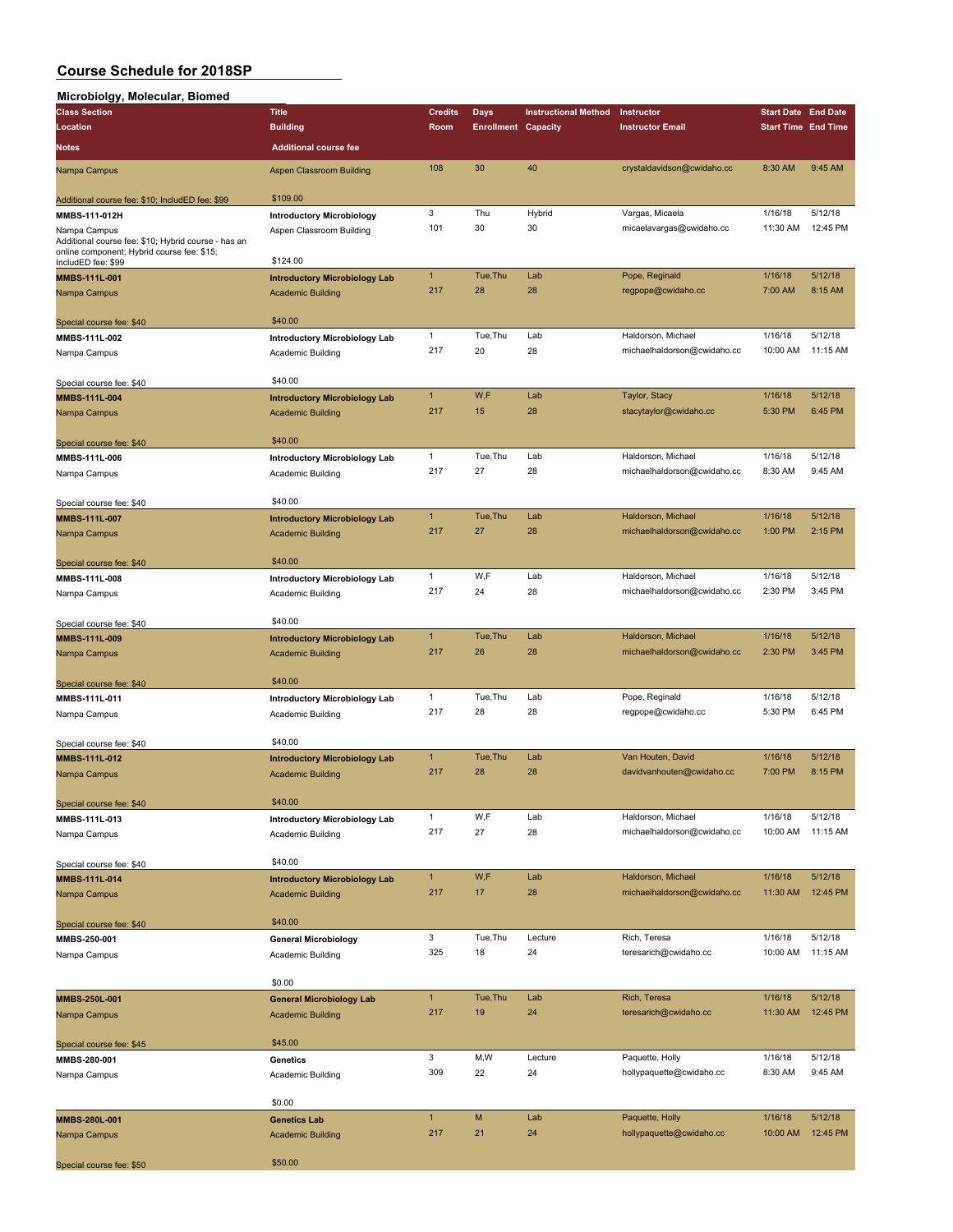## **Microbiolgy, Molecular, Biomed**

| micropioigy, molecular, Dionieu                                  |                                      |                |                            |                             |                             |                            |          |
|------------------------------------------------------------------|--------------------------------------|----------------|----------------------------|-----------------------------|-----------------------------|----------------------------|----------|
| <b>Class Section</b>                                             | <b>Title</b>                         | <b>Credits</b> | <b>Days</b>                | <b>Instructional Method</b> | Instructor                  | <b>Start Date End Date</b> |          |
| Location                                                         | <b>Building</b>                      | Room           | <b>Enrollment Capacity</b> |                             | <b>Instructor Email</b>     | <b>Start Time End Time</b> |          |
| Notes                                                            | <b>Additional course fee</b>         |                |                            |                             |                             |                            |          |
| Nampa Campus                                                     | Aspen Classroom Building             | 108            | 30                         | 40                          | crystaldavidson@cwidaho.cc  | 8:30 AM                    | 9:45 AM  |
|                                                                  | \$109.00                             |                |                            |                             |                             |                            |          |
| Additional course fee: \$10; IncludED fee: \$99                  |                                      |                |                            |                             |                             |                            |          |
| MMBS-111-012H                                                    | <b>Introductory Microbiology</b>     | 3              | Thu                        | Hybrid                      | Vargas, Micaela             | 1/16/18                    | 5/12/18  |
| Nampa Campus                                                     | Aspen Classroom Building             | 101            | 30                         | 30                          | micaelavargas@cwidaho.cc    | 11:30 AM                   | 12:45 PM |
| Additional course fee: \$10; Hybrid course - has an              |                                      |                |                            |                             |                             |                            |          |
| online component; Hybrid course fee: \$15;<br>IncludED fee: \$99 | \$124.00                             |                |                            |                             |                             |                            |          |
| MMBS-111L-001                                                    |                                      | $\mathbf{1}$   | Tue, Thu                   | Lab                         | Pope, Reginald              | 1/16/18                    | 5/12/18  |
|                                                                  | <b>Introductory Microbiology Lab</b> | 217            |                            |                             |                             |                            |          |
| Nampa Campus                                                     | <b>Academic Building</b>             |                | 28                         | 28                          | regpope@cwidaho.cc          | 7:00 AM                    | 8:15 AM  |
|                                                                  |                                      |                |                            |                             |                             |                            |          |
| Special course fee: \$40                                         | \$40.00                              |                |                            |                             |                             |                            |          |
| MMBS-111L-002                                                    | <b>Introductory Microbiology Lab</b> | $\mathbf{1}$   | Tue, Thu                   | Lab                         | Haldorson, Michael          | 1/16/18                    | 5/12/18  |
| Nampa Campus                                                     | Academic Building                    | 217            | 20                         | 28                          | michaelhaldorson@cwidaho.cc | 10:00 AM                   | 11:15 AM |
|                                                                  |                                      |                |                            |                             |                             |                            |          |
| Special course fee: \$40                                         | \$40.00                              |                |                            |                             |                             |                            |          |
|                                                                  |                                      | $\mathbf{1}$   | W,F                        | Lab                         | Taylor, Stacy               | 1/16/18                    | 5/12/18  |
| MMBS-111L-004                                                    | <b>Introductory Microbiology Lab</b> |                |                            |                             |                             |                            |          |
| Nampa Campus                                                     | <b>Academic Building</b>             | 217            | 15                         | 28                          | stacytaylor@cwidaho.cc      | 5:30 PM                    | 6:45 PM  |
|                                                                  |                                      |                |                            |                             |                             |                            |          |
| Special course fee: \$40                                         | \$40.00                              |                |                            |                             |                             |                            |          |
| MMBS-111L-006                                                    | <b>Introductory Microbiology Lab</b> | $\mathbf{1}$   | Tue, Thu                   | Lab                         | Haldorson, Michael          | 1/16/18                    | 5/12/18  |
| Nampa Campus                                                     | Academic Building                    | 217            | 27                         | 28                          | michaelhaldorson@cwidaho.cc | 8:30 AM                    | 9:45 AM  |
|                                                                  |                                      |                |                            |                             |                             |                            |          |
| Special course fee: \$40                                         | \$40.00                              |                |                            |                             |                             |                            |          |
| MMBS-111L-007                                                    | <b>Introductory Microbiology Lab</b> | $\mathbf{1}$   | Tue, Thu                   | Lab                         | Haldorson, Michael          | 1/16/18                    | 5/12/18  |
|                                                                  |                                      | 217            | 27                         | 28                          | michaelhaldorson@cwidaho.cc | 1:00 PM                    | 2:15 PM  |
| Nampa Campus                                                     | <b>Academic Building</b>             |                |                            |                             |                             |                            |          |
|                                                                  |                                      |                |                            |                             |                             |                            |          |
| Special course fee: \$40                                         | \$40.00                              |                |                            |                             |                             |                            |          |
| MMBS-111L-008                                                    | <b>Introductory Microbiology Lab</b> | $\mathbf{1}$   | W,F                        | Lab                         | Haldorson, Michael          | 1/16/18                    | 5/12/18  |
| Nampa Campus                                                     | Academic Building                    | 217            | 24                         | 28                          | michaelhaldorson@cwidaho.cc | 2:30 PM                    | 3:45 PM  |
|                                                                  |                                      |                |                            |                             |                             |                            |          |
| Special course fee: \$40                                         | \$40.00                              |                |                            |                             |                             |                            |          |
|                                                                  |                                      | $\mathbf{1}$   | Tue, Thu                   | Lab                         | Haldorson, Michael          | 1/16/18                    | 5/12/18  |
| <b>MMBS-111L-009</b>                                             | <b>Introductory Microbiology Lab</b> |                |                            |                             |                             |                            |          |
| Nampa Campus                                                     | <b>Academic Building</b>             | 217            | 26                         | 28                          | michaelhaldorson@cwidaho.cc | 2:30 PM                    | 3:45 PM  |
|                                                                  |                                      |                |                            |                             |                             |                            |          |
| Special course fee: \$40                                         | \$40.00                              |                |                            |                             |                             |                            |          |
| MMBS-111L-011                                                    | <b>Introductory Microbiology Lab</b> | $\mathbf{1}$   | Tue, Thu                   | Lab                         | Pope, Reginald              | 1/16/18                    | 5/12/18  |
| Nampa Campus                                                     | Academic Building                    | 217            | 28                         | 28                          | regpope@cwidaho.cc          | 5:30 PM                    | 6:45 PM  |
|                                                                  |                                      |                |                            |                             |                             |                            |          |
|                                                                  | \$40.00                              |                |                            |                             |                             |                            |          |
| Special course fee: \$40                                         |                                      | $\mathbf{1}$   | Tue, Thu                   | Lab                         | Van Houten, David           | 1/16/18                    | 5/12/18  |
| MMBS-111L-012                                                    | <b>Introductory Microbiology Lab</b> |                |                            |                             |                             |                            |          |
| Nampa Campus                                                     | <b>Academic Building</b>             | 217            | 28                         | 28                          | davidvanhouten@cwidaho.cc   | 7:00 PM                    | 8:15 PM  |
|                                                                  |                                      |                |                            |                             |                             |                            |          |
| Special course fee: \$40                                         | \$40.00                              |                |                            |                             |                             |                            |          |
| MMBS-111L-013                                                    | <b>Introductory Microbiology Lab</b> | $\mathbf{1}$   | W,F                        | Lab                         | Haldorson, Michael          | 1/16/18                    | 5/12/18  |
| Nampa Campus                                                     | Academic Building                    | 217            | 27                         | 28                          | michaelhaldorson@cwidaho.cc | 10:00 AM                   | 11:15 AM |
|                                                                  |                                      |                |                            |                             |                             |                            |          |
| Special course fee: \$40                                         | \$40.00                              |                |                            |                             |                             |                            |          |
|                                                                  |                                      | $\mathbf{1}$   | W,F                        | Lab                         | Haldorson, Michael          | 1/16/18                    | 5/12/18  |
| MMBS-111L-014                                                    | <b>Introductory Microbiology Lab</b> |                |                            |                             |                             |                            |          |
| Nampa Campus                                                     | <b>Academic Building</b>             | 217            | 17                         | 28                          | michaelhaldorson@cwidaho.cc | 11:30 AM                   | 12:45 PM |
|                                                                  |                                      |                |                            |                             |                             |                            |          |
| Special course fee: \$40                                         | \$40.00                              |                |                            |                             |                             |                            |          |
| MMBS-250-001                                                     | <b>General Microbiology</b>          | 3              | Tue, Thu                   | Lecture                     | Rich, Teresa                | 1/16/18                    | 5/12/18  |
| Nampa Campus                                                     | Academic Building                    | 325            | 18                         | 24                          | teresarich@cwidaho.cc       | 10:00 AM                   | 11:15 AM |
|                                                                  |                                      |                |                            |                             |                             |                            |          |
|                                                                  | \$0.00                               |                |                            |                             |                             |                            |          |
| MMBS-250L-001                                                    | <b>General Microbiology Lab</b>      | $\mathbf{1}$   | Tue, Thu                   | Lab                         | Rich, Teresa                | 1/16/18                    | 5/12/18  |
|                                                                  |                                      | 217            | 19                         | 24                          | teresarich@cwidaho.cc       | 11:30 AM                   | 12:45 PM |
| Nampa Campus                                                     | <b>Academic Building</b>             |                |                            |                             |                             |                            |          |
|                                                                  |                                      |                |                            |                             |                             |                            |          |
| Special course fee: \$45                                         | \$45.00                              |                |                            |                             |                             |                            |          |
| MMBS-280-001                                                     | Genetics                             | 3              | M,W                        | Lecture                     | Paquette, Holly             | 1/16/18                    | 5/12/18  |
| Nampa Campus                                                     | Academic Building                    | 309            | 22                         | 24                          | hollypaquette@cwidaho.cc    | 8:30 AM                    | 9:45 AM  |
|                                                                  |                                      |                |                            |                             |                             |                            |          |
|                                                                  | \$0.00                               |                |                            |                             |                             |                            |          |
| MMBS-280L-001                                                    | <b>Genetics Lab</b>                  | $\mathbf{1}$   | M                          | Lab                         | Paquette, Holly             | 1/16/18                    | 5/12/18  |
| Nampa Campus                                                     | <b>Academic Building</b>             | 217            | 21                         | 24                          | hollypaquette@cwidaho.cc    | 10:00 AM                   | 12:45 PM |
|                                                                  |                                      |                |                            |                             |                             |                            |          |
|                                                                  | \$50.00                              |                |                            |                             |                             |                            |          |
| Special course fee: \$50                                         |                                      |                |                            |                             |                             |                            |          |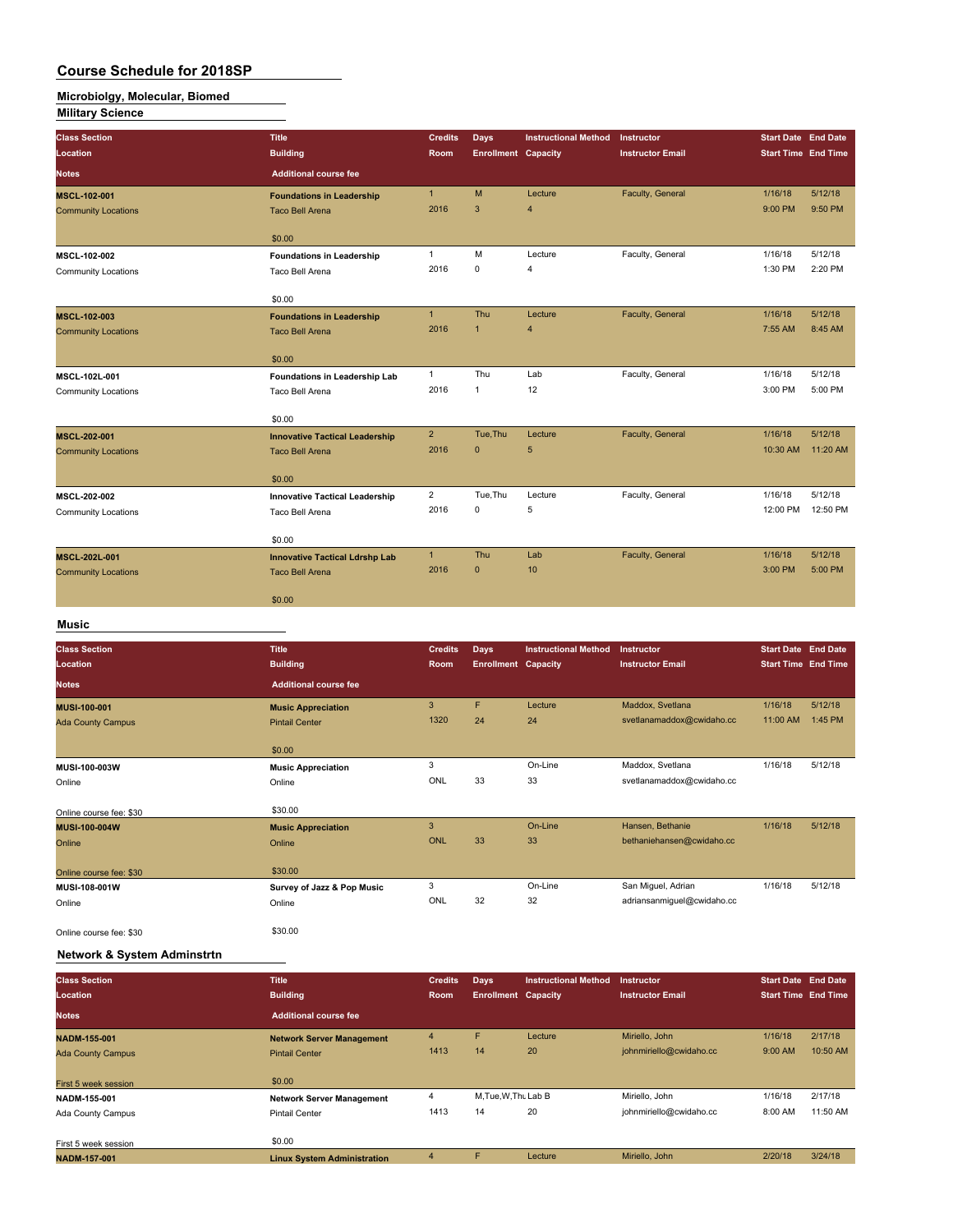# **Microbiolgy, Molecular, Biomed**

|--|

| <b>Class Section</b>       | <b>Title</b>                          | <b>Credits</b> | <b>Days</b>                | <b>Instructional Method</b> | <b>Instructor</b>       | <b>Start Date End Date</b> |          |
|----------------------------|---------------------------------------|----------------|----------------------------|-----------------------------|-------------------------|----------------------------|----------|
| Location                   | <b>Building</b>                       | <b>Room</b>    | <b>Enrollment Capacity</b> |                             | <b>Instructor Email</b> | <b>Start Time End Time</b> |          |
| <b>Notes</b>               | <b>Additional course fee</b>          |                |                            |                             |                         |                            |          |
| <b>MSCL-102-001</b>        | <b>Foundations in Leadership</b>      | $\mathbf{1}$   | M                          | Lecture                     | Faculty, General        | 1/16/18                    | 5/12/18  |
| <b>Community Locations</b> | <b>Taco Bell Arena</b>                | 2016           | 3                          | $\overline{4}$              |                         | 9:00 PM                    | 9:50 PM  |
|                            | \$0.00                                |                |                            |                             |                         |                            |          |
| <b>MSCL-102-002</b>        | <b>Foundations in Leadership</b>      | $\mathbf{1}$   | M                          | Lecture                     | Faculty, General        | 1/16/18                    | 5/12/18  |
| <b>Community Locations</b> | Taco Bell Arena                       | 2016           | $\mathbf 0$                | 4                           |                         | 1:30 PM                    | 2:20 PM  |
|                            | \$0.00                                |                |                            |                             |                         |                            |          |
| <b>MSCL-102-003</b>        | <b>Foundations in Leadership</b>      | $\mathbf{1}$   | Thu                        | Lecture                     | Faculty, General        | 1/16/18                    | 5/12/18  |
| <b>Community Locations</b> | <b>Taco Bell Arena</b>                | 2016           | $\mathbf{1}$               | $\overline{4}$              |                         | 7:55 AM                    | 8:45 AM  |
|                            | \$0.00                                |                |                            |                             |                         |                            |          |
| MSCL-102L-001              | Foundations in Leadership Lab         | $\mathbf{1}$   | Thu                        | Lab                         | Faculty, General        | 1/16/18                    | 5/12/18  |
| <b>Community Locations</b> | Taco Bell Arena                       | 2016           | $\mathbf{1}$               | 12                          |                         | 3:00 PM                    | 5:00 PM  |
|                            | \$0.00                                |                |                            |                             |                         |                            |          |
| MSCL-202-001               | <b>Innovative Tactical Leadership</b> | $2^{\circ}$    | Tue.Thu                    | Lecture                     | Faculty, General        | 1/16/18                    | 5/12/18  |
| <b>Community Locations</b> | <b>Taco Bell Arena</b>                | 2016           | $\mathbf{0}$               | 5                           |                         | 10:30 AM                   | 11:20 AM |
|                            | \$0.00                                |                |                            |                             |                         |                            |          |
| <b>MSCL-202-002</b>        | <b>Innovative Tactical Leadership</b> | $\overline{2}$ | Tue, Thu                   | Lecture                     | Faculty, General        | 1/16/18                    | 5/12/18  |
| <b>Community Locations</b> | Taco Bell Arena                       | 2016           | $\mathbf 0$                | 5                           |                         | 12:00 PM                   | 12:50 PM |
|                            | \$0.00                                |                |                            |                             |                         |                            |          |
| MSCL-202L-001              | <b>Innovative Tactical Ldrshp Lab</b> | 1              | Thu                        | Lab                         | Faculty, General        | 1/16/18                    | 5/12/18  |
| <b>Community Locations</b> | <b>Taco Bell Arena</b>                | 2016           | $\mathbf{0}$               | 10                          |                         | 3:00 PM                    | 5:00 PM  |
|                            | \$0.00                                |                |                            |                             |                         |                            |          |
| <b>Music</b>               |                                       |                |                            |                             |                         |                            |          |

## **Class Section Title Credits Days Instructional Method Instructor Start Date End Date Location Building Room Enrollment Capacity Instructor Email Start Time End Time Notes Additional course fee MUSI-100-001 Music Appreciation** 3 F Lecture Maddox, Svetlana 1/16/18 5/12/18 Ada County Campus **Pintail Center 1320** 24 24 svetlanamaddox@cwidaho.cc \$0.00 **MUSI-100-003W Music Appreciation** 3 On-Line Maddox, Svetlana 1/16/18 5/12/18 online and Conline Continue on the Continue on the ONL 33 33 svetlanamaddox@cwidaho.cc Online course fee: \$30<br>**MUSI-100-004W S20.000 \$30.00**<br>MUSI-100-004W **MUSIC A Music Appreciation** 3 3 On-Line Hansen, Bethanie 1/16/18 5/12/18<br>
23 33 23 Dhiine ONL 33 33 bethaniehansen@cwidaho.cc Online Contract of Contract Online Contract ONL 33 33 bethaniehansen@cwidaho.cc Online course fee: \$30 \$30.00 **MUSI-108-001W Survey of Jazz & Pop Music** 3 On-Line San Miguel, Adrian 1/16/18 5/12/18 Online Online ONL 32 32 adriansanmiguel@cwidaho.cc Online course fee: \$30 \$30.00

#### **Network & System Adminstrtn**

| <b>Class Section</b>     | <b>Title</b>                       | <b>Credits</b> | Days                       | <b>Instructional Method</b> | Instructor              | <b>Start Date End Date</b> |          |
|--------------------------|------------------------------------|----------------|----------------------------|-----------------------------|-------------------------|----------------------------|----------|
| Location                 | <b>Building</b>                    | Room           | <b>Enrollment Capacity</b> |                             | <b>Instructor Email</b> | <b>Start Time End Time</b> |          |
| <b>Notes</b>             | <b>Additional course fee</b>       |                |                            |                             |                         |                            |          |
| <b>NADM-155-001</b>      | <b>Network Server Management</b>   | 4              | F                          | Lecture                     | Miriello, John          | 1/16/18                    | 2/17/18  |
| <b>Ada County Campus</b> | <b>Pintail Center</b>              | 1413           | 14                         | 20                          | johnmiriello@cwidaho.cc | 9:00 AM                    | 10:50 AM |
| First 5 week session     | \$0.00                             |                |                            |                             |                         |                            |          |
| NADM-155-001             | <b>Network Server Management</b>   | 4              | M, Tue, W, Thu Lab B       |                             | Miriello, John          | 1/16/18                    | 2/17/18  |
| Ada County Campus        | <b>Pintail Center</b>              | 1413           | 14                         | 20                          | johnmiriello@cwidaho.cc | 8:00 AM                    | 11:50 AM |
| First 5 week session     | \$0.00                             |                |                            |                             |                         |                            |          |
| <b>NADM-157-001</b>      | <b>Linux System Administration</b> | 4              | F                          | Lecture                     | Miriello, John          | 2/20/18                    | 3/24/18  |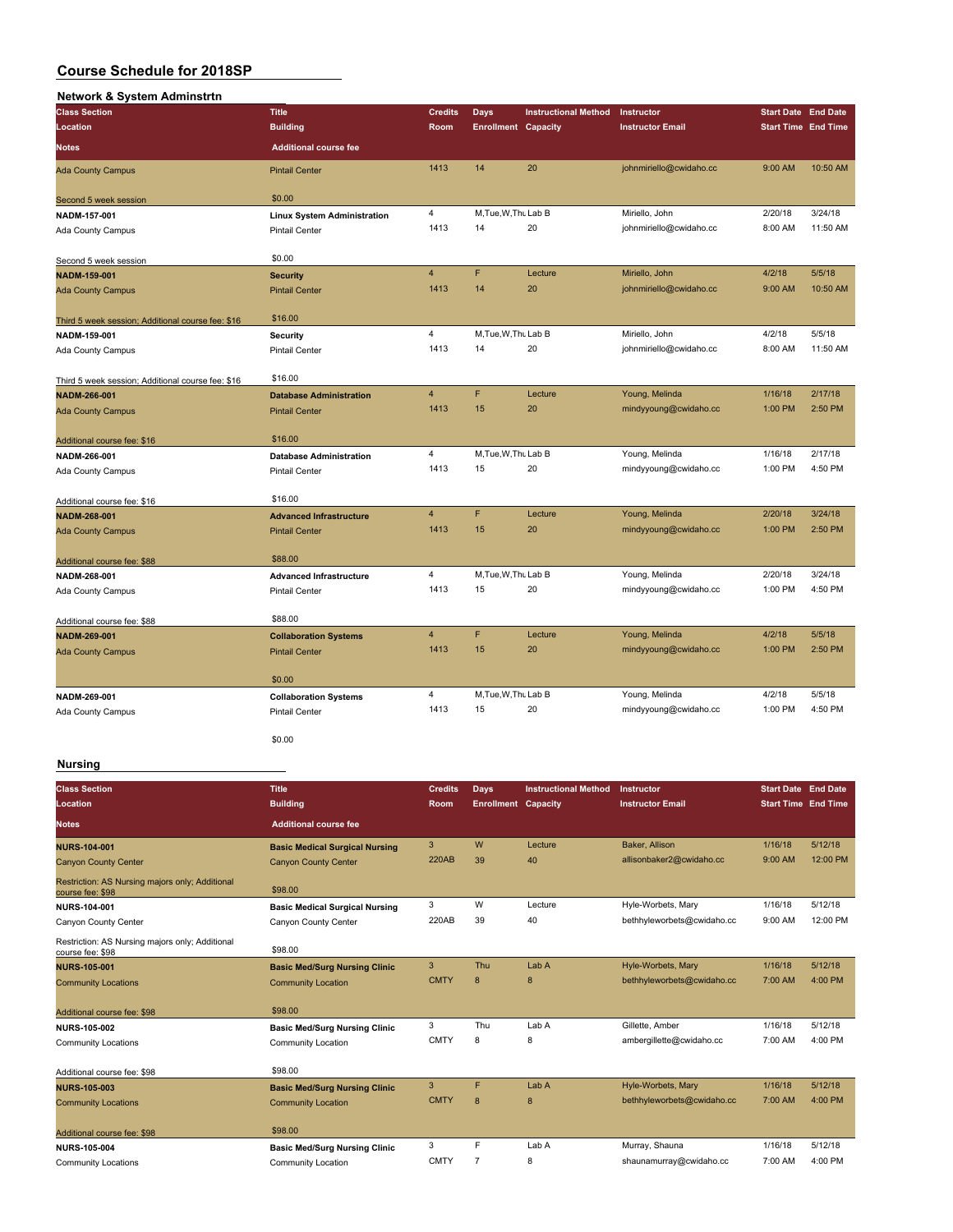| Network & System Adminstrtn                       |                                    |                         |                            |                             |                         |                            |                            |
|---------------------------------------------------|------------------------------------|-------------------------|----------------------------|-----------------------------|-------------------------|----------------------------|----------------------------|
| <b>Class Section</b>                              | <b>Title</b>                       | <b>Credits</b>          | <b>Days</b>                | <b>Instructional Method</b> | Instructor              | <b>Start Date End Date</b> |                            |
| Location                                          | <b>Building</b>                    | Room                    | <b>Enrollment Capacity</b> |                             | <b>Instructor Email</b> |                            | <b>Start Time End Time</b> |
| <b>Notes</b>                                      | <b>Additional course fee</b>       |                         |                            |                             |                         |                            |                            |
| <b>Ada County Campus</b>                          | <b>Pintail Center</b>              | 1413                    | 14                         | 20                          | johnmiriello@cwidaho.cc | 9:00 AM                    | 10:50 AM                   |
| Second 5 week session                             | \$0.00                             |                         |                            |                             |                         |                            |                            |
| NADM-157-001                                      | <b>Linux System Administration</b> | 4                       | M.Tue.W.Thu Lab B          |                             | Miriello, John          | 2/20/18                    | 3/24/18                    |
| <b>Ada County Campus</b>                          | <b>Pintail Center</b>              | 1413                    | 14                         | 20                          | johnmiriello@cwidaho.cc | 8:00 AM                    | 11:50 AM                   |
| Second 5 week session                             | \$0.00                             |                         |                            |                             |                         |                            |                            |
| NADM-159-001                                      | <b>Security</b>                    | $\overline{4}$          | F                          | Lecture                     | Miriello, John          | 4/2/18                     | 5/5/18                     |
| <b>Ada County Campus</b>                          | <b>Pintail Center</b>              | 1413                    | 14                         | 20                          | johnmiriello@cwidaho.cc | 9:00 AM                    | 10:50 AM                   |
| Third 5 week session; Additional course fee: \$16 | \$16.00                            |                         |                            |                             |                         |                            |                            |
| NADM-159-001                                      | Security                           | 4                       | M, Tue, W, Thu Lab B       |                             | Miriello, John          | 4/2/18                     | 5/5/18                     |
| Ada County Campus                                 | <b>Pintail Center</b>              | 1413                    | 14                         | 20                          | johnmiriello@cwidaho.cc | 8:00 AM                    | 11:50 AM                   |
| Third 5 week session; Additional course fee: \$16 | \$16.00                            |                         |                            |                             |                         |                            |                            |
| NADM-266-001                                      | <b>Database Administration</b>     | $\overline{\mathbf{4}}$ | F                          | Lecture                     | Young, Melinda          | 1/16/18                    | 2/17/18                    |
| <b>Ada County Campus</b>                          | <b>Pintail Center</b>              | 1413                    | 15                         | 20                          | mindyyoung@cwidaho.cc   | 1:00 PM                    | 2:50 PM                    |
| Additional course fee: \$16                       | \$16.00                            |                         |                            |                             |                         |                            |                            |
| NADM-266-001                                      | <b>Database Administration</b>     | 4                       | M.Tue, W.Thu Lab B         |                             | Young, Melinda          | 1/16/18                    | 2/17/18                    |
| Ada County Campus                                 | <b>Pintail Center</b>              | 1413                    | 15                         | 20                          | mindyyoung@cwidaho.cc   | 1:00 PM                    | 4:50 PM                    |
| Additional course fee: \$16                       | \$16.00                            |                         |                            |                             |                         |                            |                            |
| <b>NADM-268-001</b>                               | <b>Advanced Infrastructure</b>     | $\overline{4}$          | F                          | Lecture                     | Young, Melinda          | 2/20/18                    | 3/24/18                    |
| <b>Ada County Campus</b>                          | <b>Pintail Center</b>              | 1413                    | 15                         | 20                          | mindyyoung@cwidaho.cc   | 1:00 PM                    | 2:50 PM                    |
| Additional course fee: \$88                       | \$88.00                            |                         |                            |                             |                         |                            |                            |
| NADM-268-001                                      | <b>Advanced Infrastructure</b>     | 4                       | M, Tue, W, Thu Lab B       |                             | Young, Melinda          | 2/20/18                    | 3/24/18                    |
| Ada County Campus                                 | Pintail Center                     | 1413                    | 15                         | 20                          | mindyyoung@cwidaho.cc   | 1:00 PM                    | 4:50 PM                    |
| Additional course fee: \$88                       | \$88.00                            |                         |                            |                             |                         |                            |                            |
| NADM-269-001                                      | <b>Collaboration Systems</b>       | $\overline{4}$          | F                          | Lecture                     | Young, Melinda          | 4/2/18                     | 5/5/18                     |
| <b>Ada County Campus</b>                          | <b>Pintail Center</b>              | 1413                    | 15                         | 20                          | mindyyoung@cwidaho.cc   | 1:00 PM                    | 2:50 PM                    |
|                                                   | \$0.00                             |                         |                            |                             |                         |                            |                            |
| NADM-269-001                                      | <b>Collaboration Systems</b>       | 4                       | M, Tue, W, Thu Lab B       |                             | Young, Melinda          | 4/2/18                     | 5/5/18                     |
| Ada County Campus                                 | Pintail Center                     | 1413                    | 15                         | 20                          | mindyyoung@cwidaho.cc   | 1:00 PM                    | 4:50 PM                    |
|                                                   | \$0.00                             |                         |                            |                             |                         |                            |                            |

#### **Nursing**

| <b>Class Section</b><br>Location                                    | <b>Title</b><br><b>Building</b>       | <b>Credits</b><br>Room | Days<br><b>Enrollment Capacity</b> | <b>Instructional Method</b> | Instructor<br><b>Instructor Email</b> | <b>Start Date End Date</b><br><b>Start Time End Time</b> |           |
|---------------------------------------------------------------------|---------------------------------------|------------------------|------------------------------------|-----------------------------|---------------------------------------|----------------------------------------------------------|-----------|
| <b>Notes</b>                                                        | <b>Additional course fee</b>          |                        |                                    |                             |                                       |                                                          |           |
| <b>NURS-104-001</b>                                                 | <b>Basic Medical Surgical Nursing</b> | 3                      | W                                  | Lecture                     | Baker, Allison                        | 1/16/18                                                  | 5/12/18   |
| <b>Canyon County Center</b>                                         | <b>Canyon County Center</b>           | <b>220AB</b>           | 39                                 | 40                          | allisonbaker2@cwidaho.cc              | 9:00 AM                                                  | 12:00 PM  |
| Restriction: AS Nursing majors only; Additional<br>course fee: \$98 | \$98.00                               |                        |                                    |                             |                                       |                                                          |           |
| NURS-104-001                                                        | <b>Basic Medical Surgical Nursing</b> | 3                      | W                                  | Lecture                     | Hyle-Worbets, Mary                    | 1/16/18                                                  | 5/12/18   |
| Canyon County Center                                                | Canyon County Center                  | 220AB                  | 39                                 | 40                          | bethhyleworbets@cwidaho.cc            | 9:00 AM                                                  | 12:00 PM  |
| Restriction: AS Nursing majors only; Additional<br>course fee: \$98 | \$98.00                               |                        |                                    |                             |                                       |                                                          |           |
| <b>NURS-105-001</b>                                                 | <b>Basic Med/Surg Nursing Clinic</b>  | 3                      | Thu                                | Lab A                       | Hyle-Worbets, Mary                    | 1/16/18                                                  | 5/12/18   |
| <b>Community Locations</b>                                          | <b>Community Location</b>             | <b>CMTY</b>            | 8                                  | 8                           | bethhyleworbets@cwidaho.cc            | 7:00 AM                                                  | 4:00 PM   |
| Additional course fee: \$98                                         | \$98.00                               |                        |                                    |                             |                                       |                                                          |           |
| <b>NURS-105-002</b>                                                 | <b>Basic Med/Surg Nursing Clinic</b>  | 3                      | Thu                                | Lab A                       | Gillette, Amber                       | 1/16/18                                                  | 5/12/18   |
| <b>Community Locations</b>                                          | Community Location                    | <b>CMTY</b>            | 8                                  | 8                           | ambergillette@cwidaho.cc              | 7:00 AM                                                  | 4:00 PM   |
| Additional course fee: \$98                                         | \$98.00                               |                        |                                    |                             |                                       |                                                          |           |
| <b>NURS-105-003</b>                                                 | <b>Basic Med/Surg Nursing Clinic</b>  | 3                      | F                                  | Lab A                       | Hyle-Worbets, Mary                    | 1/16/18                                                  | 5/12/18   |
| <b>Community Locations</b>                                          | <b>Community Location</b>             | <b>CMTY</b>            | $\mathsf{R}$                       | 8                           | bethhyleworbets@cwidaho.cc            | 7:00 AM                                                  | 4:00 PM   |
| Additional course fee: \$98                                         | \$98.00                               |                        |                                    |                             |                                       |                                                          |           |
| NURS-105-004                                                        | <b>Basic Med/Surg Nursing Clinic</b>  | 3                      | F                                  | Lab A                       | Murray, Shauna                        | 1/16/18                                                  | 5/12/18   |
| <b>Community Locations</b>                                          | Community Location                    | <b>CMTY</b>            | 7                                  | 8                           | shaunamurray@cwidaho.cc               | 7:00 AM                                                  | $4:00$ PM |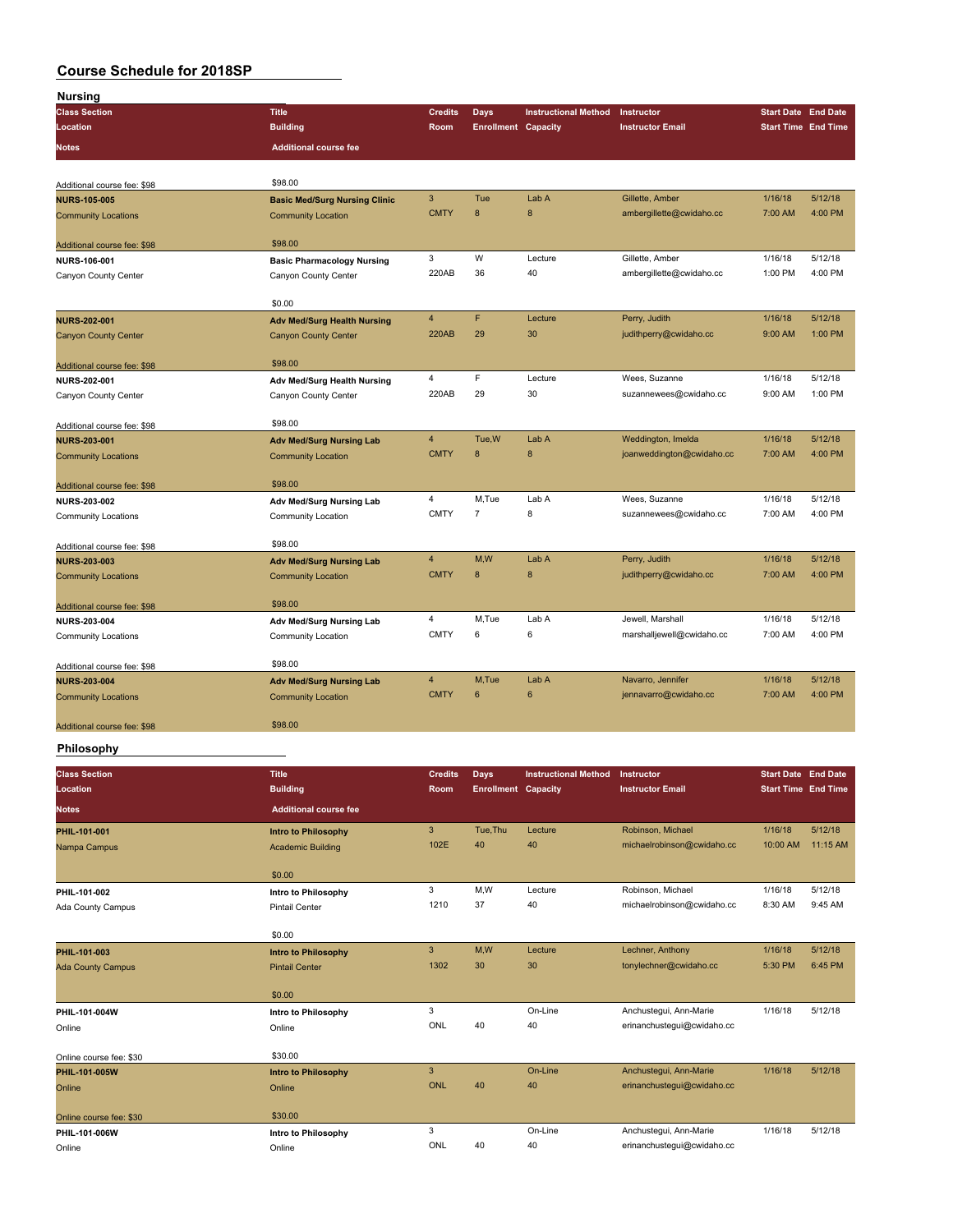| <b>Nursing</b>              |                                      |                           |                            |                             |                           |                            |         |
|-----------------------------|--------------------------------------|---------------------------|----------------------------|-----------------------------|---------------------------|----------------------------|---------|
| <b>Class Section</b>        | <b>Title</b>                         | <b>Credits</b>            | <b>Days</b>                | <b>Instructional Method</b> | Instructor                | <b>Start Date End Date</b> |         |
| Location                    | <b>Building</b>                      | Room                      | <b>Enrollment Capacity</b> |                             | <b>Instructor Email</b>   | <b>Start Time End Time</b> |         |
| <b>Notes</b>                | <b>Additional course fee</b>         |                           |                            |                             |                           |                            |         |
| Additional course fee: \$98 | \$98.00                              |                           |                            |                             |                           |                            |         |
| <b>NURS-105-005</b>         | <b>Basic Med/Surg Nursing Clinic</b> | $\ensuremath{\mathsf{3}}$ | Tue                        | Lab A                       | Gillette, Amber           | 1/16/18                    | 5/12/18 |
| <b>Community Locations</b>  | <b>Community Location</b>            | <b>CMTY</b>               | 8                          | 8                           | ambergillette@cwidaho.cc  | 7:00 AM                    | 4:00 PM |
| Additional course fee: \$98 | \$98.00                              |                           |                            |                             |                           |                            |         |
| NURS-106-001                | <b>Basic Pharmacology Nursing</b>    | 3                         | W                          | Lecture                     | Gillette, Amber           | 1/16/18                    | 5/12/18 |
| Canyon County Center        | Canyon County Center                 | 220AB                     | 36                         | 40                          | ambergillette@cwidaho.cc  | 1:00 PM                    | 4:00 PM |
|                             | \$0.00                               |                           |                            |                             |                           |                            |         |
| <b>NURS-202-001</b>         | <b>Adv Med/Surg Health Nursing</b>   | 4                         | F                          | Lecture                     | Perry, Judith             | 1/16/18                    | 5/12/18 |
| <b>Canyon County Center</b> | <b>Canyon County Center</b>          | <b>220AB</b>              | 29                         | 30                          | judithperry@cwidaho.cc    | 9:00 AM                    | 1:00 PM |
| Additional course fee: \$98 | \$98.00                              |                           |                            |                             |                           |                            |         |
| NURS-202-001                | Adv Med/Surg Health Nursing          | 4                         | F                          | Lecture                     | Wees, Suzanne             | 1/16/18                    | 5/12/18 |
| Canyon County Center        | Canyon County Center                 | 220AB                     | 29                         | 30                          | suzannewees@cwidaho.cc    | 9:00 AM                    | 1:00 PM |
| Additional course fee: \$98 | \$98.00                              |                           |                            |                             |                           |                            |         |
| <b>NURS-203-001</b>         | <b>Adv Med/Surg Nursing Lab</b>      | 4                         | Tue, W                     | Lab A                       | Weddington, Imelda        | 1/16/18                    | 5/12/18 |
| <b>Community Locations</b>  | <b>Community Location</b>            | <b>CMTY</b>               | 8                          | 8                           | joanweddington@cwidaho.cc | 7:00 AM                    | 4:00 PM |
| Additional course fee: \$98 | \$98.00                              |                           |                            |                             |                           |                            |         |
| <b>NURS-203-002</b>         | <b>Adv Med/Surg Nursing Lab</b>      | 4                         | M,Tue                      | Lab A                       | Wees, Suzanne             | 1/16/18                    | 5/12/18 |
| <b>Community Locations</b>  | <b>Community Location</b>            | <b>CMTY</b>               | $\overline{7}$             | 8                           | suzannewees@cwidaho.cc    | 7:00 AM                    | 4:00 PM |
| Additional course fee: \$98 | \$98.00                              |                           |                            |                             |                           |                            |         |
| <b>NURS-203-003</b>         | <b>Adv Med/Surg Nursing Lab</b>      | 4                         | M,W                        | Lab A                       | Perry, Judith             | 1/16/18                    | 5/12/18 |
| <b>Community Locations</b>  | <b>Community Location</b>            | <b>CMTY</b>               | 8                          | 8                           | judithperry@cwidaho.cc    | 7:00 AM                    | 4:00 PM |
| Additional course fee: \$98 | \$98.00                              |                           |                            |                             |                           |                            |         |
| <b>NURS-203-004</b>         | Adv Med/Surg Nursing Lab             | 4                         | M,Tue                      | Lab A                       | Jewell, Marshall          | 1/16/18                    | 5/12/18 |
| <b>Community Locations</b>  | Community Location                   | <b>CMTY</b>               | 6                          | 6                           | marshalljewell@cwidaho.cc | 7:00 AM                    | 4:00 PM |
| Additional course fee: \$98 | \$98.00                              |                           |                            |                             |                           |                            |         |
| <b>NURS-203-004</b>         | <b>Adv Med/Surg Nursing Lab</b>      | 4                         | M,Tue                      | Lab A                       | Navarro, Jennifer         | 1/16/18                    | 5/12/18 |
| <b>Community Locations</b>  | <b>Community Location</b>            | <b>CMTY</b>               | $6\phantom{1}6$            | $6\phantom{1}6$             | jennavarro@cwidaho.cc     | 7:00 AM                    | 4:00 PM |
| Additional course fee: \$98 | \$98.00                              |                           |                            |                             |                           |                            |         |

## **Philosophy**

| <b>Class Section</b><br>Location | <b>Title</b><br><b>Building</b> | <b>Credits</b><br><b>Room</b> | <b>Days</b><br><b>Enrollment Capacity</b> | <b>Instructional Method</b> | Instructor<br><b>Instructor Email</b> | <b>Start Date End Date</b><br><b>Start Time</b> End Time |          |
|----------------------------------|---------------------------------|-------------------------------|-------------------------------------------|-----------------------------|---------------------------------------|----------------------------------------------------------|----------|
| <b>Notes</b>                     | <b>Additional course fee</b>    |                               |                                           |                             |                                       |                                                          |          |
| PHIL-101-001                     | <b>Intro to Philosophy</b>      | $\mathbf{3}$                  | Tue, Thu                                  | Lecture                     | Robinson, Michael                     | 1/16/18                                                  | 5/12/18  |
| Nampa Campus                     | <b>Academic Building</b>        | 102E                          | 40                                        | 40                          | michaelrobinson@cwidaho.cc            | 10:00 AM                                                 | 11:15 AM |
|                                  | \$0.00                          |                               |                                           |                             |                                       |                                                          |          |
| PHIL-101-002                     | Intro to Philosophy             | 3                             | M,W                                       | Lecture                     | Robinson, Michael                     | 1/16/18                                                  | 5/12/18  |
| Ada County Campus                | <b>Pintail Center</b>           | 1210                          | 37                                        | 40                          | michaelrobinson@cwidaho.cc            | 8:30 AM                                                  | 9:45 AM  |
|                                  | \$0.00                          |                               |                                           |                             |                                       |                                                          |          |
| PHIL-101-003                     | <b>Intro to Philosophy</b>      | $\mathbf{3}$                  | M,W                                       | Lecture                     | Lechner, Anthony                      | 1/16/18                                                  | 5/12/18  |
| <b>Ada County Campus</b>         | <b>Pintail Center</b>           | 1302                          | 30                                        | 30                          | tonylechner@cwidaho.cc                | 5:30 PM                                                  | 6:45 PM  |
|                                  | \$0.00                          |                               |                                           |                             |                                       |                                                          |          |
| PHIL-101-004W                    | Intro to Philosophy             | 3                             |                                           | On-Line                     | Anchustegui, Ann-Marie                | 1/16/18                                                  | 5/12/18  |
| Online                           | Online                          | ONL                           | 40                                        | 40                          | erinanchustegui@cwidaho.cc            |                                                          |          |
| Online course fee: \$30          | \$30.00                         |                               |                                           |                             |                                       |                                                          |          |
| PHIL-101-005W                    | <b>Intro to Philosophy</b>      | 3                             |                                           | On-Line                     | Anchustegui, Ann-Marie                | 1/16/18                                                  | 5/12/18  |
| Online                           | Online                          | ONL                           | 40                                        | 40                          | erinanchustegui@cwidaho.cc            |                                                          |          |
| Online course fee: \$30          | \$30.00                         |                               |                                           |                             |                                       |                                                          |          |
| PHIL-101-006W                    | Intro to Philosophy             | 3                             |                                           | On-Line                     | Anchustegui, Ann-Marie                | 1/16/18                                                  | 5/12/18  |
| Online                           | Online                          | ONL                           | 40                                        | 40                          | erinanchustegui@cwidaho.cc            |                                                          |          |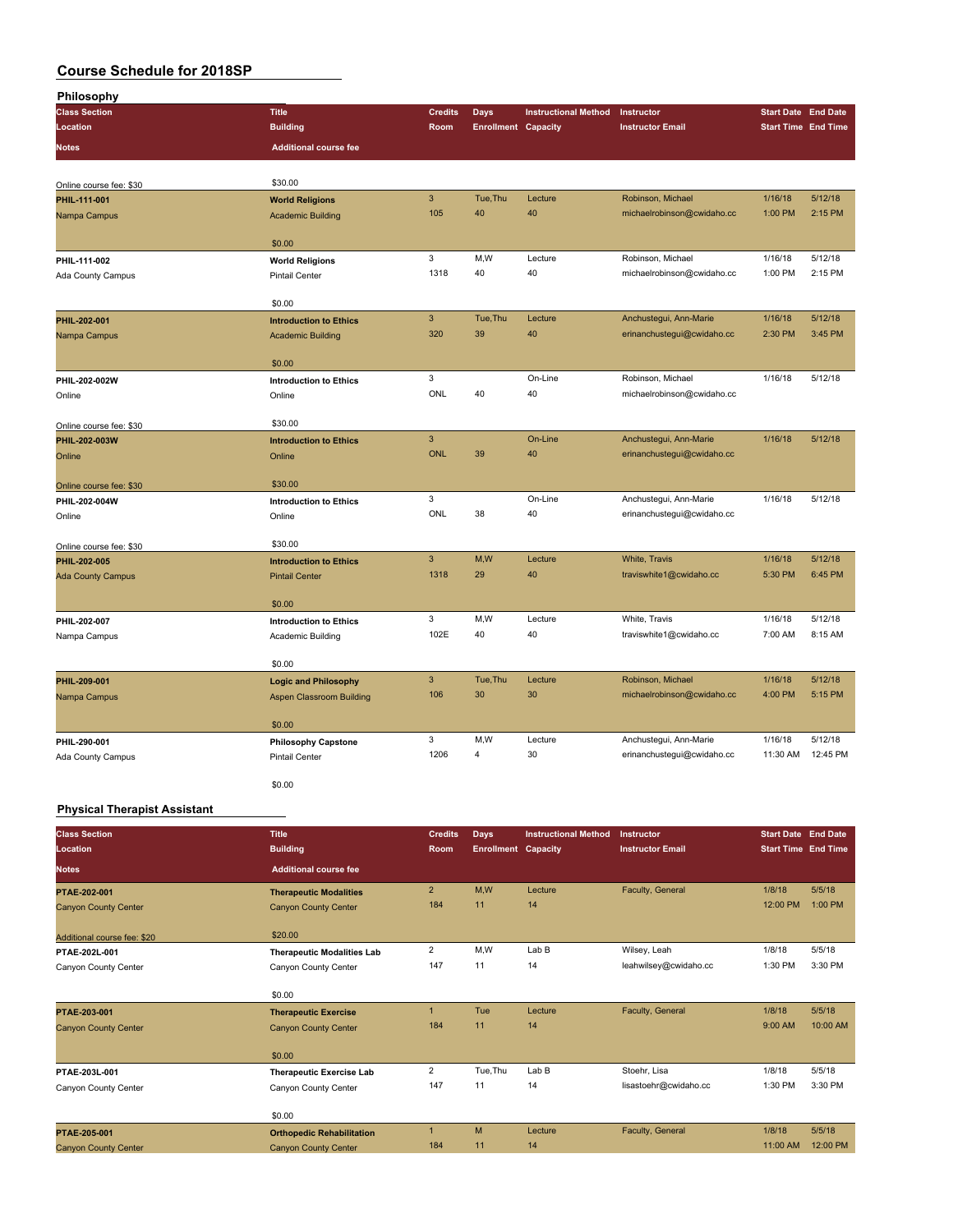| Philosophy               |                                                 |                |                            |                             |                            |                            |          |
|--------------------------|-------------------------------------------------|----------------|----------------------------|-----------------------------|----------------------------|----------------------------|----------|
| <b>Class Section</b>     | <b>Title</b>                                    | <b>Credits</b> | <b>Days</b>                | <b>Instructional Method</b> | Instructor                 | <b>Start Date End Date</b> |          |
| Location                 | <b>Building</b>                                 | Room           | <b>Enrollment Capacity</b> |                             | <b>Instructor Email</b>    | <b>Start Time End Time</b> |          |
| Notes                    | <b>Additional course fee</b>                    |                |                            |                             |                            |                            |          |
|                          |                                                 |                |                            |                             |                            |                            |          |
| Online course fee: \$30  | \$30.00                                         |                |                            |                             |                            |                            |          |
| PHIL-111-001             | <b>World Religions</b>                          | $\mathsf 3$    | Tue, Thu                   | Lecture                     | Robinson, Michael          | 1/16/18                    | 5/12/18  |
| Nampa Campus             | <b>Academic Building</b>                        | 105            | 40                         | 40                          | michaelrobinson@cwidaho.cc | 1:00 PM                    | 2:15 PM  |
|                          | \$0.00                                          |                |                            |                             |                            |                            |          |
|                          |                                                 | 3              | M,W                        | Lecture                     | Robinson, Michael          | 1/16/18                    | 5/12/18  |
| PHIL-111-002             | <b>World Religions</b><br><b>Pintail Center</b> | 1318           | 40                         | 40                          | michaelrobinson@cwidaho.cc | 1:00 PM                    | 2:15 PM  |
| Ada County Campus        |                                                 |                |                            |                             |                            |                            |          |
|                          | \$0.00                                          |                |                            |                             |                            |                            |          |
| PHIL-202-001             | <b>Introduction to Ethics</b>                   | $\overline{3}$ | Tue, Thu                   | Lecture                     | Anchustegui, Ann-Marie     | 1/16/18                    | 5/12/18  |
| Nampa Campus             | <b>Academic Building</b>                        | 320            | 39                         | 40                          | erinanchustegui@cwidaho.cc | 2:30 PM                    | 3:45 PM  |
|                          | \$0.00                                          |                |                            |                             |                            |                            |          |
| PHIL-202-002W            | <b>Introduction to Ethics</b>                   | 3              |                            | On-Line                     | Robinson, Michael          | 1/16/18                    | 5/12/18  |
| Online                   | Online                                          | ONL            | 40                         | 40                          | michaelrobinson@cwidaho.cc |                            |          |
|                          |                                                 |                |                            |                             |                            |                            |          |
| Online course fee: \$30  | \$30.00                                         |                |                            |                             |                            |                            |          |
| PHIL-202-003W            | <b>Introduction to Ethics</b>                   | $\mathbf{3}$   |                            | On-Line                     | Anchustegui, Ann-Marie     | 1/16/18                    | 5/12/18  |
| Online                   | Online                                          | <b>ONL</b>     | 39                         | 40                          | erinanchustegui@cwidaho.cc |                            |          |
| Online course fee: \$30  | \$30.00                                         |                |                            |                             |                            |                            |          |
| PHIL-202-004W            | <b>Introduction to Ethics</b>                   | 3              |                            | On-Line                     | Anchustegui, Ann-Marie     | 1/16/18                    | 5/12/18  |
| Online                   | Online                                          | ONL            | 38                         | 40                          | erinanchustegui@cwidaho.cc |                            |          |
|                          |                                                 |                |                            |                             |                            |                            |          |
| Online course fee: \$30  | \$30.00                                         |                |                            |                             |                            |                            |          |
| PHIL-202-005             | <b>Introduction to Ethics</b>                   | $\mathbf{3}$   | M,W                        | Lecture                     | White, Travis              | 1/16/18                    | 5/12/18  |
| <b>Ada County Campus</b> | <b>Pintail Center</b>                           | 1318           | 29                         | 40                          | traviswhite1@cwidaho.cc    | 5:30 PM                    | 6:45 PM  |
|                          | \$0.00                                          |                |                            |                             |                            |                            |          |
| PHIL-202-007             | <b>Introduction to Ethics</b>                   | 3              | M,W                        | Lecture                     | White, Travis              | 1/16/18                    | 5/12/18  |
| Nampa Campus             | Academic Building                               | 102E           | 40                         | 40                          | traviswhite1@cwidaho.cc    | 7:00 AM                    | 8:15 AM  |
|                          |                                                 |                |                            |                             |                            |                            |          |
|                          | \$0.00                                          |                |                            |                             |                            |                            |          |
| PHIL-209-001             | <b>Logic and Philosophy</b>                     | $\mathbf{3}$   | Tue, Thu                   | Lecture                     | Robinson, Michael          | 1/16/18                    | 5/12/18  |
| Nampa Campus             | <b>Aspen Classroom Building</b>                 | 106            | 30                         | 30                          | michaelrobinson@cwidaho.cc | 4:00 PM                    | 5:15 PM  |
|                          | \$0.00                                          |                |                            |                             |                            |                            |          |
| PHIL-290-001             | <b>Philosophy Capstone</b>                      | 3              | M.W                        | Lecture                     | Anchustegui, Ann-Marie     | 1/16/18                    | 5/12/18  |
| Ada County Campus        | <b>Pintail Center</b>                           | 1206           | $\overline{4}$             | 30                          | erinanchustegui@cwidaho.cc | 11:30 AM                   | 12:45 PM |
|                          |                                                 |                |                            |                             |                            |                            |          |
|                          | \$0.00                                          |                |                            |                             |                            |                            |          |

### **Physical Therapist Assistant**

| <b>Class Section</b>        | <b>Title</b>                      | <b>Credits</b> | <b>Days</b>                | <b>Instructional Method</b> | Instructor              | <b>Start Date End Date</b> |          |
|-----------------------------|-----------------------------------|----------------|----------------------------|-----------------------------|-------------------------|----------------------------|----------|
| Location                    | <b>Building</b>                   | Room           | <b>Enrollment Capacity</b> |                             | <b>Instructor Email</b> | <b>Start Time End Time</b> |          |
| <b>Notes</b>                | <b>Additional course fee</b>      |                |                            |                             |                         |                            |          |
| PTAE-202-001                | <b>Therapeutic Modalities</b>     | $\overline{2}$ | M.W                        | Lecture                     | Faculty, General        | 1/8/18                     | 5/5/18   |
| <b>Canyon County Center</b> | <b>Canyon County Center</b>       | 184            | 11                         | 14                          |                         | 12:00 PM                   | 1:00 PM  |
| Additional course fee: \$20 | \$20.00                           |                |                            |                             |                         |                            |          |
| PTAE-202L-001               | <b>Therapeutic Modalities Lab</b> | $\overline{2}$ | M,W                        | Lab B                       | Wilsey, Leah            | 1/8/18                     | 5/5/18   |
| Canyon County Center        | Canyon County Center              | 147            | 11                         | 14                          | leahwilsey@cwidaho.cc   | 1:30 PM                    | 3:30 PM  |
|                             |                                   |                |                            |                             |                         |                            |          |
|                             | \$0.00                            |                |                            |                             |                         |                            |          |
| PTAE-203-001                | <b>Therapeutic Exercise</b>       |                | Tue                        | Lecture                     | Faculty, General        | 1/8/18                     | 5/5/18   |
| <b>Canyon County Center</b> | <b>Canyon County Center</b>       | 184            | 11                         | 14                          |                         | 9:00 AM                    | 10:00 AM |
|                             |                                   |                |                            |                             |                         |                            |          |
|                             | \$0.00                            |                |                            |                             |                         |                            |          |
| PTAE-203L-001               | <b>Therapeutic Exercise Lab</b>   | $\overline{2}$ | Tue, Thu                   | Lab B                       | Stoehr, Lisa            | 1/8/18                     | 5/5/18   |
| Canyon County Center        | Canyon County Center              | 147            | 11                         | 14                          | lisastoehr@cwidaho.cc   | 1:30 PM                    | 3:30 PM  |
|                             |                                   |                |                            |                             |                         |                            |          |
|                             | \$0.00                            |                |                            |                             |                         |                            |          |
| PTAE-205-001                | <b>Orthopedic Rehabilitation</b>  |                | M                          | Lecture                     | Faculty, General        | 1/8/18                     | 5/5/18   |
| <b>Canyon County Center</b> | <b>Canyon County Center</b>       | 184            | 11                         | 14                          |                         | 11:00 AM                   | 12:00 PM |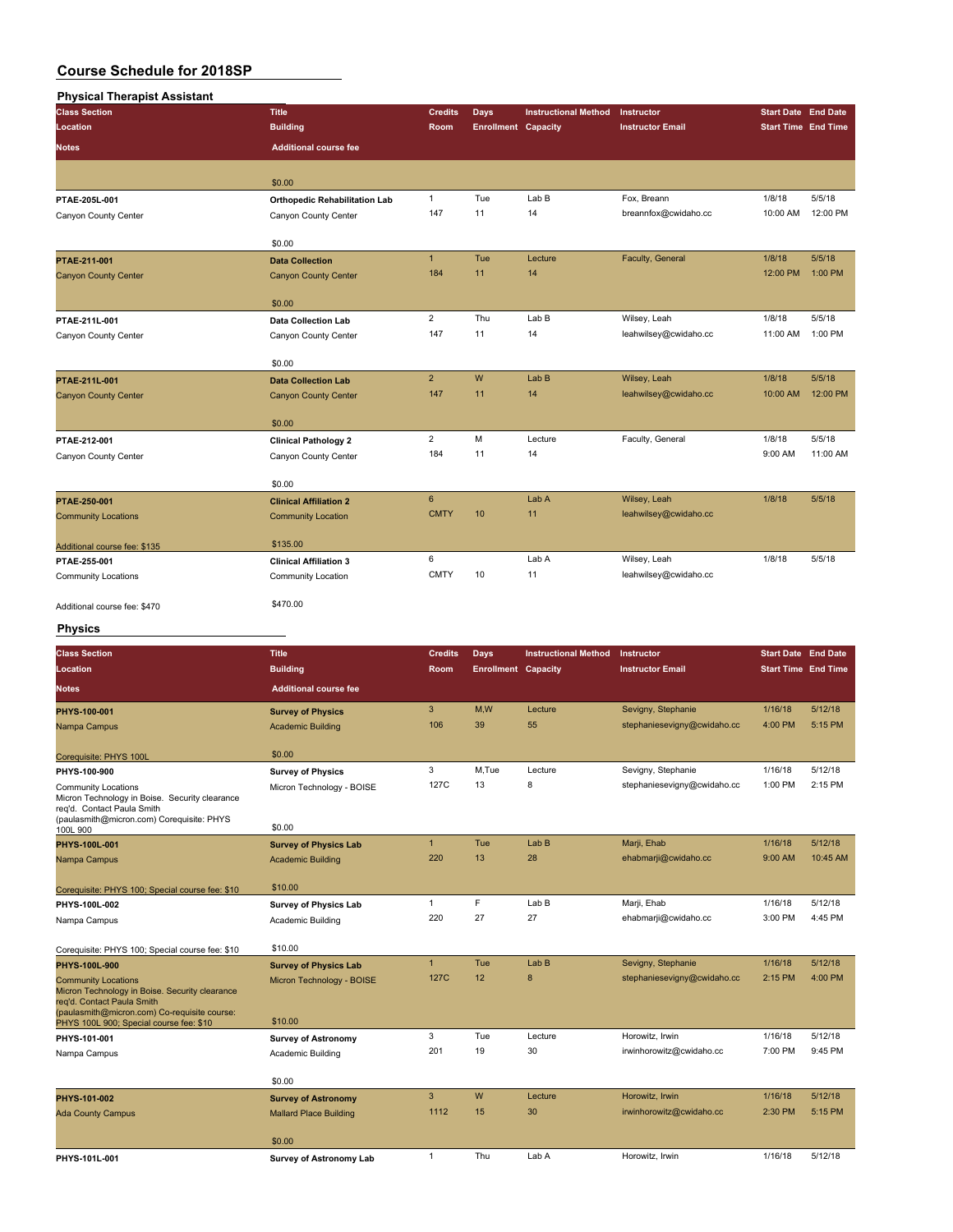| <b>Physical Therapist Assistant</b> |                                      |                |                            |                             |                         |                            |           |
|-------------------------------------|--------------------------------------|----------------|----------------------------|-----------------------------|-------------------------|----------------------------|-----------|
| <b>Class Section</b>                | <b>Title</b>                         | <b>Credits</b> | <b>Days</b>                | <b>Instructional Method</b> | Instructor              | <b>Start Date End Date</b> |           |
| Location                            | <b>Building</b>                      | Room           | <b>Enrollment Capacity</b> |                             | <b>Instructor Email</b> | <b>Start Time End Time</b> |           |
| <b>Notes</b>                        | <b>Additional course fee</b>         |                |                            |                             |                         |                            |           |
|                                     | \$0.00                               |                |                            |                             |                         |                            |           |
| PTAE-205L-001                       | <b>Orthopedic Rehabilitation Lab</b> | $\mathbf{1}$   | Tue                        | LabB                        | Fox, Breann             | 1/8/18                     | 5/5/18    |
| Canyon County Center                | Canyon County Center                 | 147            | 11                         | 14                          | breannfox@cwidaho.cc    | 10:00 AM                   | 12:00 PM  |
|                                     | \$0.00                               |                |                            |                             |                         |                            |           |
| PTAE-211-001                        | <b>Data Collection</b>               | $\mathbf{1}$   | Tue                        | Lecture                     | Faculty, General        | 1/8/18                     | 5/5/18    |
| <b>Canyon County Center</b>         | <b>Canyon County Center</b>          | 184            | 11                         | 14                          |                         | 12:00 PM                   | $1:00$ PM |
|                                     | \$0.00                               |                |                            |                             |                         |                            |           |
| PTAE-211L-001                       | <b>Data Collection Lab</b>           | $\overline{2}$ | Thu                        | Lab B                       | Wilsey, Leah            | 1/8/18                     | 5/5/18    |
| Canyon County Center                | Canyon County Center                 | 147            | 11                         | 14                          | leahwilsey@cwidaho.cc   | 11:00 AM                   | 1:00 PM   |
|                                     | \$0.00                               |                |                            |                             |                         |                            |           |
| PTAE-211L-001                       | <b>Data Collection Lab</b>           | $\overline{2}$ | W                          | Lab B                       | Wilsey, Leah            | 1/8/18                     | 5/5/18    |
| <b>Canyon County Center</b>         | <b>Canyon County Center</b>          | 147            | 11                         | 14                          | leahwilsey@cwidaho.cc   | 10:00 AM                   | 12:00 PM  |
|                                     | \$0.00                               |                |                            |                             |                         |                            |           |
| PTAE-212-001                        | <b>Clinical Pathology 2</b>          | $\overline{2}$ | M                          | Lecture                     | Faculty, General        | 1/8/18                     | 5/5/18    |
| Canyon County Center                | Canyon County Center                 | 184            | 11                         | 14                          |                         | 9:00 AM                    | 11:00 AM  |
|                                     | \$0.00                               |                |                            |                             |                         |                            |           |
| PTAE-250-001                        | <b>Clinical Affiliation 2</b>        | 6              |                            | Lab A                       | Wilsey, Leah            | 1/8/18                     | 5/5/18    |
| <b>Community Locations</b>          | <b>Community Location</b>            | <b>CMTY</b>    | 10                         | 11                          | leahwilsey@cwidaho.cc   |                            |           |
| Additional course fee: \$135        | \$135.00                             |                |                            |                             |                         |                            |           |
| PTAE-255-001                        | <b>Clinical Affiliation 3</b>        | 6              |                            | Lab A                       | Wilsey, Leah            | 1/8/18                     | 5/5/18    |
| <b>Community Locations</b>          | Community Location                   | <b>CMTY</b>    | 10                         | 11                          | leahwilsey@cwidaho.cc   |                            |           |
| Additional course fee: \$470        | \$470.00                             |                |                            |                             |                         |                            |           |

## **Physics**

| <b>Class Section</b>                                                                                                                                       | <b>Title</b>                   | <b>Credits</b>   | Days                       | <b>Instructional Method</b> | Instructor                  | <b>Start Date End Date</b> |          |
|------------------------------------------------------------------------------------------------------------------------------------------------------------|--------------------------------|------------------|----------------------------|-----------------------------|-----------------------------|----------------------------|----------|
| Location                                                                                                                                                   | <b>Building</b>                | Room             | <b>Enrollment Capacity</b> |                             | <b>Instructor Email</b>     | <b>Start Time End Time</b> |          |
| <b>Notes</b>                                                                                                                                               | <b>Additional course fee</b>   |                  |                            |                             |                             |                            |          |
| PHYS-100-001                                                                                                                                               | <b>Survey of Physics</b>       | 3                | M.W                        | Lecture                     | Sevigny, Stephanie          | 1/16/18                    | 5/12/18  |
| Nampa Campus                                                                                                                                               | <b>Academic Building</b>       | 106              | 39                         | 55                          | stephaniesevigny@cwidaho.cc | 4:00 PM                    | 5:15 PM  |
| Corequisite: PHYS 100L                                                                                                                                     | \$0.00                         |                  |                            |                             |                             |                            |          |
| PHYS-100-900                                                                                                                                               | <b>Survey of Physics</b>       | 3                | M,Tue                      | Lecture                     | Sevigny, Stephanie          | 1/16/18                    | 5/12/18  |
| <b>Community Locations</b><br>Micron Technology in Boise. Security clearance<br>reg'd. Contact Paula Smith<br>(paulasmith@micron.com) Corequisite: PHYS    | Micron Technology - BOISE      | 127C             | 13                         | 8                           | stephaniesevigny@cwidaho.cc | 1:00 PM                    | 2:15 PM  |
| 100L 900                                                                                                                                                   | \$0.00                         |                  |                            |                             |                             |                            |          |
| PHYS-100L-001                                                                                                                                              | <b>Survey of Physics Lab</b>   | $\mathbf{1}$     | Tue                        | Lab <sub>B</sub>            | Marji, Ehab                 | 1/16/18                    | 5/12/18  |
| Nampa Campus                                                                                                                                               | <b>Academic Building</b>       | 220              | 13                         | 28                          | ehabmarji@cwidaho.cc        | 9:00 AM                    | 10:45 AM |
|                                                                                                                                                            |                                |                  |                            |                             |                             |                            |          |
| Corequisite: PHYS 100; Special course fee: \$10                                                                                                            | \$10.00                        |                  |                            |                             |                             |                            |          |
| PHYS-100L-002                                                                                                                                              | <b>Survey of Physics Lab</b>   | $\mathbf{1}$     | F                          | Lab B                       | Marji, Ehab                 | 1/16/18                    | 5/12/18  |
| Nampa Campus                                                                                                                                               | Academic Building              | 220              | 27                         | 27                          | ehabmarji@cwidaho.cc        | 3:00 PM                    | 4:45 PM  |
| Corequisite: PHYS 100; Special course fee: \$10                                                                                                            | \$10.00                        |                  |                            |                             |                             |                            |          |
| PHYS-100L-900                                                                                                                                              | <b>Survey of Physics Lab</b>   | $\mathbf{1}$     | Tue                        | Lab B                       | Sevigny, Stephanie          | 1/16/18                    | 5/12/18  |
| <b>Community Locations</b><br>Micron Technology in Boise. Security clearance<br>reg'd, Contact Paula Smith<br>(paulasmith@micron.com) Co-requisite course: | Micron Technology - BOISE      | 127 <sub>C</sub> | 12                         | 8                           | stephaniesevigny@cwidaho.cc | 2:15 PM                    | 4:00 PM  |
| PHYS 100L 900; Special course fee: \$10                                                                                                                    | \$10.00                        |                  |                            |                             |                             |                            |          |
| PHYS-101-001                                                                                                                                               | <b>Survey of Astronomy</b>     | 3                | Tue                        | Lecture                     | Horowitz, Irwin             | 1/16/18                    | 5/12/18  |
| Nampa Campus                                                                                                                                               | Academic Building              | 201              | 19                         | 30                          | irwinhorowitz@cwidaho.cc    | 7:00 PM                    | 9:45 PM  |
|                                                                                                                                                            | \$0.00                         |                  |                            |                             |                             |                            |          |
| PHYS-101-002                                                                                                                                               | <b>Survey of Astronomy</b>     | 3                | W                          | Lecture                     | Horowitz, Irwin             | 1/16/18                    | 5/12/18  |
| <b>Ada County Campus</b>                                                                                                                                   | <b>Mallard Place Building</b>  | 1112             | 15                         | 30                          | irwinhorowitz@cwidaho.cc    | 2:30 PM                    | 5:15 PM  |
|                                                                                                                                                            | \$0.00                         |                  |                            |                             |                             |                            |          |
| PHYS-101L-001                                                                                                                                              | <b>Survey of Astronomy Lab</b> | $\mathbf{1}$     | Thu                        | Lab A                       | Horowitz, Irwin             | 1/16/18                    | 5/12/18  |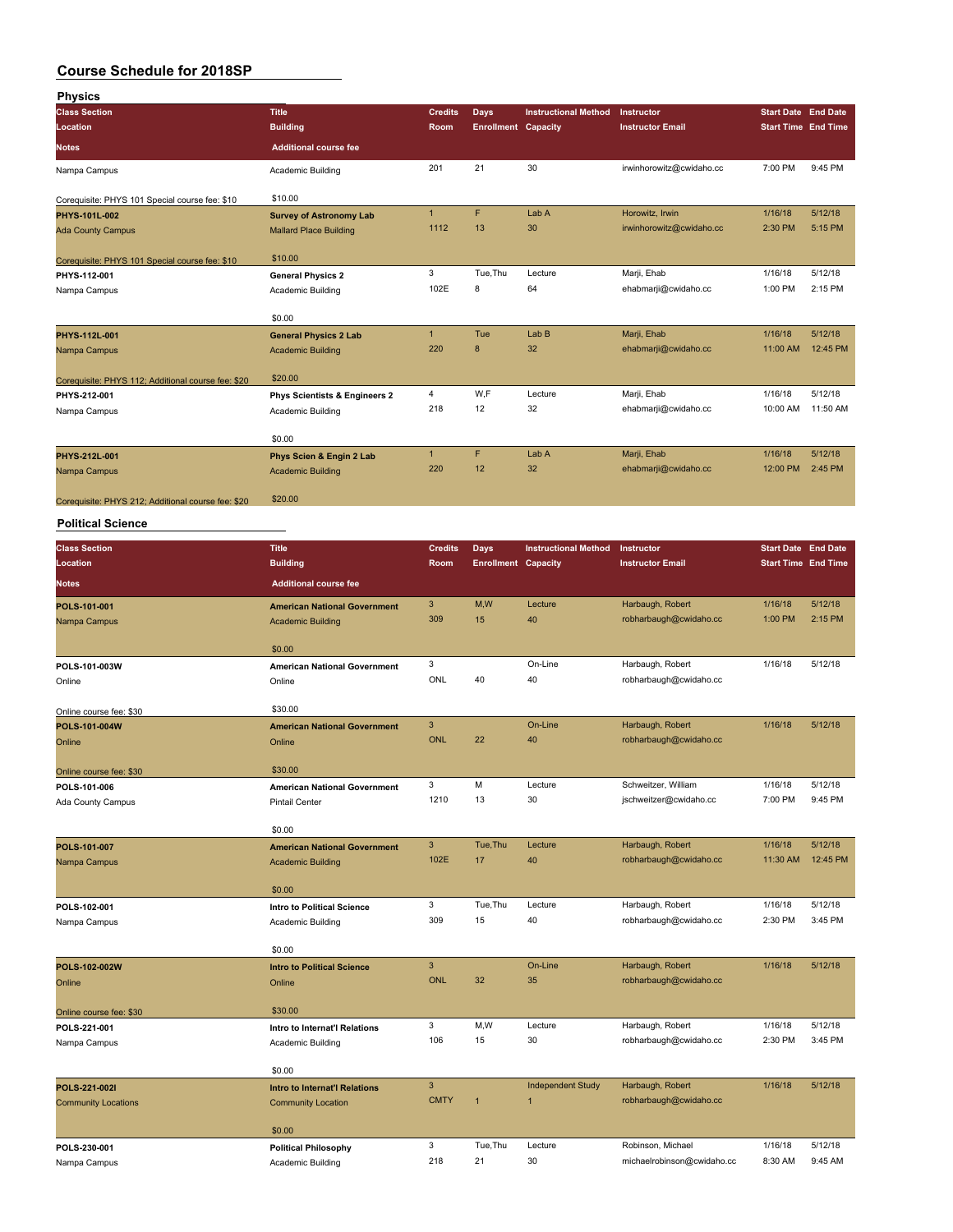| <b>Physics</b>                                     |                                          |                      |                            |                             |                          |                            |          |
|----------------------------------------------------|------------------------------------------|----------------------|----------------------------|-----------------------------|--------------------------|----------------------------|----------|
| <b>Class Section</b>                               | <b>Title</b>                             | <b>Credits</b>       | Days                       | <b>Instructional Method</b> | Instructor               | <b>Start Date End Date</b> |          |
| Location                                           | <b>Building</b>                          | Room                 | <b>Enrollment Capacity</b> |                             | <b>Instructor Email</b>  | <b>Start Time End Time</b> |          |
| <b>Notes</b>                                       | <b>Additional course fee</b>             |                      |                            |                             |                          |                            |          |
| Nampa Campus                                       | Academic Building                        | 201                  | 21                         | 30                          | irwinhorowitz@cwidaho.cc | 7:00 PM                    | 9:45 PM  |
| Corequisite: PHYS 101 Special course fee: \$10     | \$10.00                                  |                      |                            |                             |                          |                            |          |
| PHYS-101L-002                                      | <b>Survey of Astronomy Lab</b>           | $\mathbf{1}$         | F.                         | Lab A                       | Horowitz, Irwin          | 1/16/18                    | 5/12/18  |
| <b>Ada County Campus</b>                           | <b>Mallard Place Building</b>            | 1112                 | 13                         | 30                          | irwinhorowitz@cwidaho.cc | 2:30 PM                    | 5:15 PM  |
| Corequisite: PHYS 101 Special course fee: \$10     | \$10.00                                  |                      |                            |                             |                          |                            |          |
| PHYS-112-001                                       | <b>General Physics 2</b>                 | 3                    | Tue, Thu                   | Lecture                     | Marji, Ehab              | 1/16/18                    | 5/12/18  |
| Nampa Campus                                       | Academic Building                        | 102E                 | 8                          | 64                          | ehabmarji@cwidaho.cc     | 1:00 PM                    | 2:15 PM  |
|                                                    | \$0.00                                   |                      |                            |                             |                          |                            |          |
| PHYS-112L-001                                      | <b>General Physics 2 Lab</b>             | $\mathbf{1}$         | Tue                        | Lab <sub>B</sub>            | Marji, Ehab              | 1/16/18                    | 5/12/18  |
| Nampa Campus                                       | <b>Academic Building</b>                 | 220                  | 8                          | 32                          | ehabmarji@cwidaho.cc     | 11:00 AM                   | 12:45 PM |
| Corequisite: PHYS 112; Additional course fee: \$20 | \$20.00                                  |                      |                            |                             |                          |                            |          |
| PHYS-212-001                                       | <b>Phys Scientists &amp; Engineers 2</b> | 4                    | W.F                        | Lecture                     | Marji, Ehab              | 1/16/18                    | 5/12/18  |
| Nampa Campus                                       | Academic Building                        | 218                  | 12                         | 32                          | ehabmarji@cwidaho.cc     | 10:00 AM                   | 11:50 AM |
|                                                    | \$0.00                                   |                      |                            |                             |                          |                            |          |
| PHYS-212L-001                                      | Phys Scien & Engin 2 Lab                 | $\blacktriangleleft$ | F.                         | Lab A                       | Marji, Ehab              | 1/16/18                    | 5/12/18  |
| Nampa Campus                                       | <b>Academic Building</b>                 | 220                  | 12                         | 32                          | ehabmarji@cwidaho.cc     | 12:00 PM                   | 2:45 PM  |
| Coreguisite: PHYS 212: Additional course fee: \$20 | \$20.00                                  |                      |                            |                             |                          |                            |          |

### **Political Science**

| <b>Class Section</b>       | <b>Title</b>                         | <b>Credits</b> | <b>Days</b>                | <b>Instructional Method</b> | <b>Instructor</b>          | <b>Start Date End Date</b> |          |
|----------------------------|--------------------------------------|----------------|----------------------------|-----------------------------|----------------------------|----------------------------|----------|
| Location                   | <b>Building</b>                      | Room           | <b>Enrollment Capacity</b> |                             | <b>Instructor Email</b>    | <b>Start Time End Time</b> |          |
| <b>Notes</b>               | <b>Additional course fee</b>         |                |                            |                             |                            |                            |          |
| POLS-101-001               | <b>American National Government</b>  | 3              | M,W                        | Lecture                     | Harbaugh, Robert           | 1/16/18                    | 5/12/18  |
| Nampa Campus               | <b>Academic Building</b>             | 309            | 15                         | 40                          | robharbaugh@cwidaho.cc     | 1:00 PM                    | 2:15 PM  |
|                            | \$0.00                               |                |                            |                             |                            |                            |          |
| POLS-101-003W              | <b>American National Government</b>  | 3              |                            | On-Line                     | Harbaugh, Robert           | 1/16/18                    | 5/12/18  |
| Online                     | Online                               | ONL            | 40                         | 40                          | robharbaugh@cwidaho.cc     |                            |          |
| Online course fee: \$30    | \$30.00                              |                |                            |                             |                            |                            |          |
| POLS-101-004W              | <b>American National Government</b>  | $\mathsf 3$    |                            | On-Line                     | Harbaugh, Robert           | 1/16/18                    | 5/12/18  |
| Online                     | Online                               | <b>ONL</b>     | 22                         | 40                          | robharbaugh@cwidaho.cc     |                            |          |
| Online course fee: \$30    | \$30.00                              |                |                            |                             |                            |                            |          |
| POLS-101-006               | <b>American National Government</b>  | 3              | M                          | Lecture                     | Schweitzer, William        | 1/16/18                    | 5/12/18  |
| Ada County Campus          | <b>Pintail Center</b>                | 1210           | 13                         | 30                          | jschweitzer@cwidaho.cc     | 7:00 PM                    | 9:45 PM  |
|                            | \$0.00                               |                |                            |                             |                            |                            |          |
| POLS-101-007               | <b>American National Government</b>  | $\mathbf{3}$   | Tue.Thu                    | Lecture                     | Harbaugh, Robert           | 1/16/18                    | 5/12/18  |
| Nampa Campus               | <b>Academic Building</b>             | 102E           | 17                         | 40                          | robharbaugh@cwidaho.cc     | 11:30 AM                   | 12:45 PM |
|                            | \$0.00                               |                |                            |                             |                            |                            |          |
| POLS-102-001               | <b>Intro to Political Science</b>    | 3              | Tue, Thu                   | Lecture                     | Harbaugh, Robert           | 1/16/18                    | 5/12/18  |
| Nampa Campus               | Academic Building                    | 309            | 15                         | 40                          | robharbaugh@cwidaho.cc     | 2:30 PM                    | 3:45 PM  |
|                            | \$0.00                               |                |                            |                             |                            |                            |          |
| POLS-102-002W              | <b>Intro to Political Science</b>    | $\mathbf{3}$   |                            | On-Line                     | Harbaugh, Robert           | 1/16/18                    | 5/12/18  |
| Online                     | Online                               | <b>ONL</b>     | 32                         | 35                          | robharbaugh@cwidaho.cc     |                            |          |
| Online course fee: \$30    | \$30.00                              |                |                            |                             |                            |                            |          |
| POLS-221-001               | Intro to Internat'l Relations        | 3              | M,W                        | Lecture                     | Harbaugh, Robert           | 1/16/18                    | 5/12/18  |
| Nampa Campus               | Academic Building                    | 106            | 15                         | 30                          | robharbaugh@cwidaho.cc     | 2:30 PM                    | 3:45 PM  |
|                            | \$0.00                               |                |                            |                             |                            |                            |          |
| POLS-221-002I              | <b>Intro to Internat'l Relations</b> | $\mathbf{3}$   |                            | <b>Independent Study</b>    | Harbaugh, Robert           | 1/16/18                    | 5/12/18  |
| <b>Community Locations</b> | <b>Community Location</b>            | <b>CMTY</b>    | $\overline{1}$             | $\overline{1}$              | robharbaugh@cwidaho.cc     |                            |          |
|                            | \$0.00                               |                |                            |                             |                            |                            |          |
| POLS-230-001               | <b>Political Philosophy</b>          | 3              | Tue, Thu                   | Lecture                     | Robinson, Michael          | 1/16/18                    | 5/12/18  |
| Nampa Campus               | <b>Academic Building</b>             | 218            | 21                         | 30                          | michaelrobinson@cwidaho.cc | 8:30 AM                    | 9:45 AM  |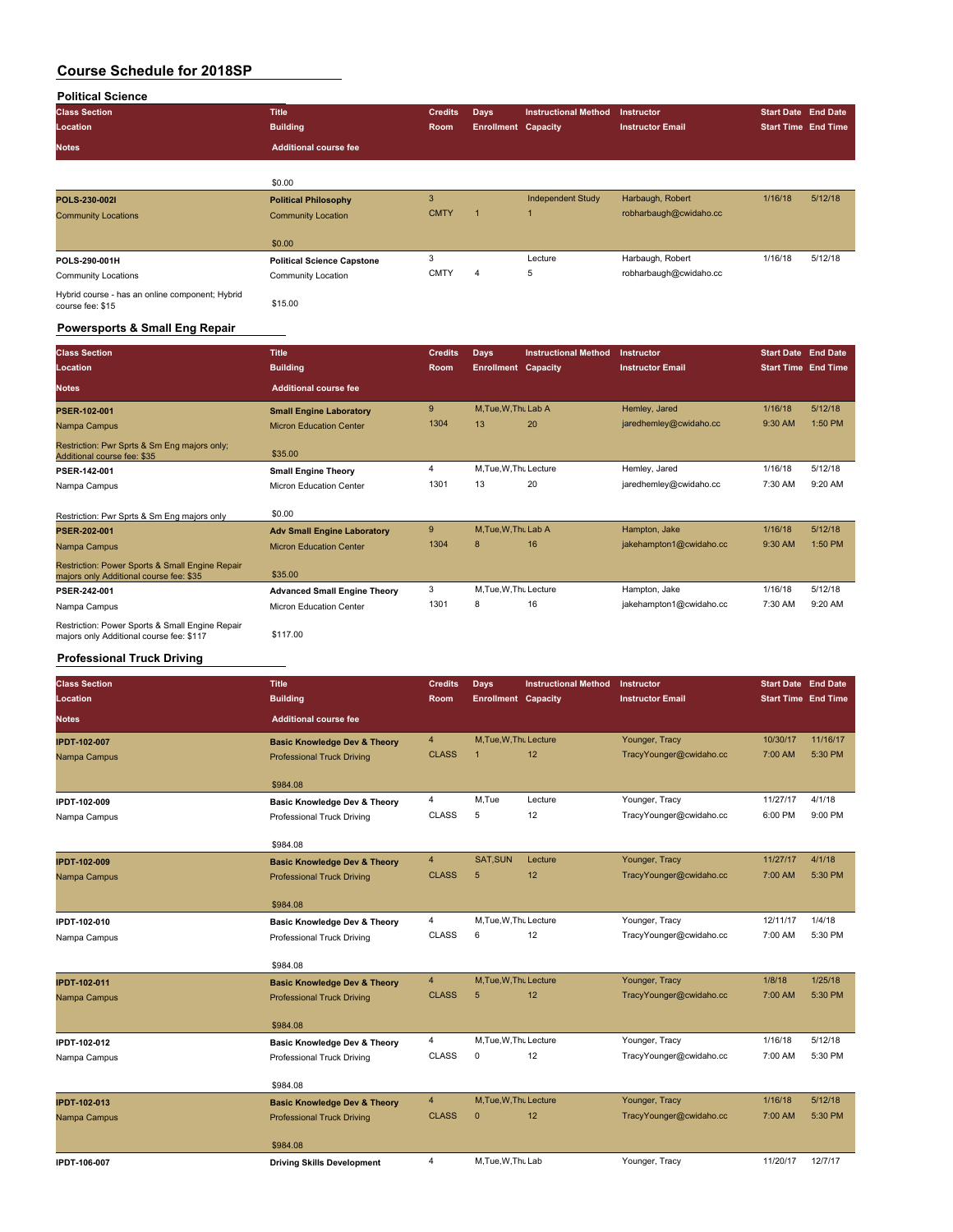| <b>Political Science</b>                                            |                                   |                |                            |                             |                         |                            |                            |
|---------------------------------------------------------------------|-----------------------------------|----------------|----------------------------|-----------------------------|-------------------------|----------------------------|----------------------------|
| <b>Class Section</b>                                                | <b>Title</b>                      | <b>Credits</b> | <b>Days</b>                | <b>Instructional Method</b> | Instructor              | <b>Start Date End Date</b> |                            |
| Location                                                            | <b>Building</b>                   | <b>Room</b>    | <b>Enrollment Capacity</b> |                             | <b>Instructor Email</b> |                            | <b>Start Time End Time</b> |
| <b>Notes</b>                                                        | <b>Additional course fee</b>      |                |                            |                             |                         |                            |                            |
|                                                                     |                                   |                |                            |                             |                         |                            |                            |
|                                                                     | \$0.00                            |                |                            |                             |                         |                            |                            |
| POLS-230-002I                                                       | <b>Political Philosophy</b>       | 3              |                            | <b>Independent Study</b>    | Harbaugh, Robert        | 1/16/18                    | 5/12/18                    |
| <b>Community Locations</b>                                          | <b>Community Location</b>         | <b>CMTY</b>    |                            | 1                           | robharbaugh@cwidaho.cc  |                            |                            |
|                                                                     | \$0.00                            |                |                            |                             |                         |                            |                            |
| POLS-290-001H                                                       | <b>Political Science Capstone</b> | 3              |                            | Lecture                     | Harbaugh, Robert        | 1/16/18                    | 5/12/18                    |
| <b>Community Locations</b>                                          | Community Location                | <b>CMTY</b>    | 4                          | 5                           | robharbaugh@cwidaho.cc  |                            |                            |
| Hybrid course - has an online component; Hybrid<br>course fee: \$15 | \$15.00                           |                |                            |                             |                         |                            |                            |

#### **Powersports & Small Eng Repair**

| <b>Class Section</b><br>Location                                                            | <b>Title</b><br><b>Building</b>     | <b>Credits</b><br>Room | Days<br><b>Enrollment Capacity</b> | <b>Instructional Method</b> | Instructor<br><b>Instructor Email</b> | <b>Start Date End Date</b><br><b>Start Time End Time</b> |           |
|---------------------------------------------------------------------------------------------|-------------------------------------|------------------------|------------------------------------|-----------------------------|---------------------------------------|----------------------------------------------------------|-----------|
| <b>Notes</b>                                                                                | <b>Additional course fee</b>        |                        |                                    |                             |                                       |                                                          |           |
| <b>PSER-102-001</b>                                                                         | <b>Small Engine Laboratory</b>      | 9                      | M, Tue, W, Thu Lab A               |                             | Hemley, Jared                         | 1/16/18                                                  | 5/12/18   |
| Nampa Campus                                                                                | <b>Micron Education Center</b>      | 1304                   | 13                                 | 20                          | jaredhemley@cwidaho.cc                | 9:30 AM                                                  | 1:50 PM   |
| Restriction: Pwr Sprts & Sm Eng majors only;<br>Additional course fee: \$35                 | \$35.00                             |                        |                                    |                             |                                       |                                                          |           |
| PSER-142-001                                                                                | <b>Small Engine Theory</b>          | 4                      | M.Tue, W.Thu Lecture               |                             | Hemley, Jared                         | 1/16/18                                                  | 5/12/18   |
| Nampa Campus                                                                                | Micron Education Center             | 1301                   | 13                                 | 20                          | jaredhemley@cwidaho.cc                | 7:30 AM                                                  | $9:20$ AM |
| Restriction: Pwr Sprts & Sm Eng majors only                                                 | \$0.00                              |                        |                                    |                             |                                       |                                                          |           |
| <b>PSER-202-001</b>                                                                         | <b>Adv Small Engine Laboratory</b>  | 9                      | M, Tue, W, Thu Lab A               |                             | Hampton, Jake                         | 1/16/18                                                  | 5/12/18   |
| Nampa Campus                                                                                | <b>Micron Education Center</b>      | 1304                   | 8                                  | 16                          | jakehampton1@cwidaho.cc               | 9:30 AM                                                  | 1:50 PM   |
| Restriction: Power Sports & Small Engine Repair<br>majors only Additional course fee: \$35  | \$35.00                             |                        |                                    |                             |                                       |                                                          |           |
| PSER-242-001                                                                                | <b>Advanced Small Engine Theory</b> | 3                      | M.Tue, W.Thu Lecture               |                             | Hampton, Jake                         | 1/16/18                                                  | 5/12/18   |
| Nampa Campus                                                                                | <b>Micron Education Center</b>      | 1301                   | 8                                  | 16                          | jakehampton1@cwidaho.cc               | 7:30 AM                                                  | 9:20 AM   |
| Restriction: Power Sports & Small Engine Repair<br>majors only Additional course fee: \$117 | \$117.00                            |                        |                                    |                             |                                       |                                                          |           |

### **Professional Truck Driving**

| <b>Class Section</b> | <b>Title</b>                            | <b>Credits</b> | <b>Days</b>                | <b>Instructional Method</b> | Instructor              | Start Date End Date |                            |
|----------------------|-----------------------------------------|----------------|----------------------------|-----------------------------|-------------------------|---------------------|----------------------------|
| Location             | <b>Building</b>                         | Room           | <b>Enrollment</b> Capacity |                             | <b>Instructor Email</b> |                     | <b>Start Time End Time</b> |
| <b>Notes</b>         | <b>Additional course fee</b>            |                |                            |                             |                         |                     |                            |
| <b>IPDT-102-007</b>  | <b>Basic Knowledge Dev &amp; Theory</b> | $\overline{4}$ | M, Tue, W, Thu Lecture     |                             | Younger, Tracy          | 10/30/17            | 11/16/17                   |
| Nampa Campus         | <b>Professional Truck Driving</b>       | <b>CLASS</b>   | $\overline{1}$             | 12                          | TracyYounger@cwidaho.cc | 7:00 AM             | 5:30 PM                    |
|                      | \$984.08                                |                |                            |                             |                         |                     |                            |
| IPDT-102-009         | <b>Basic Knowledge Dev &amp; Theory</b> | 4              | M,Tue                      | Lecture                     | Younger, Tracy          | 11/27/17            | 4/1/18                     |
| Nampa Campus         | Professional Truck Driving              | <b>CLASS</b>   | 5                          | 12                          | TracyYounger@cwidaho.cc | 6:00 PM             | 9:00 PM                    |
|                      | \$984.08                                |                |                            |                             |                         |                     |                            |
| <b>IPDT-102-009</b>  | <b>Basic Knowledge Dev &amp; Theory</b> | $\overline{4}$ | SAT, SUN                   | Lecture                     | Younger, Tracy          | 11/27/17            | 4/1/18                     |
| Nampa Campus         | <b>Professional Truck Driving</b>       | <b>CLASS</b>   | 5                          | 12                          | TracyYounger@cwidaho.cc | 7:00 AM             | 5:30 PM                    |
|                      | \$984.08                                |                |                            |                             |                         |                     |                            |
| IPDT-102-010         | <b>Basic Knowledge Dev &amp; Theory</b> | $\overline{4}$ | M, Tue, W, Thu Lecture     |                             | Younger, Tracy          | 12/11/17            | 1/4/18                     |
| Nampa Campus         | Professional Truck Driving              | <b>CLASS</b>   | 6                          | 12                          | TracyYounger@cwidaho.cc | 7:00 AM             | 5:30 PM                    |
|                      | \$984.08                                |                |                            |                             |                         |                     |                            |
| <b>IPDT-102-011</b>  | <b>Basic Knowledge Dev &amp; Theory</b> | $\overline{4}$ | M, Tue, W, Thu Lecture     |                             | Younger, Tracy          | 1/8/18              | 1/25/18                    |
| Nampa Campus         | <b>Professional Truck Driving</b>       | <b>CLASS</b>   | 5                          | 12                          | TracyYounger@cwidaho.cc | 7:00 AM             | 5:30 PM                    |
|                      | \$984.08                                |                |                            |                             |                         |                     |                            |
| IPDT-102-012         | <b>Basic Knowledge Dev &amp; Theory</b> | $\overline{4}$ | M, Tue, W, Thu Lecture     |                             | Younger, Tracy          | 1/16/18             | 5/12/18                    |
| Nampa Campus         | Professional Truck Driving              | <b>CLASS</b>   | 0                          | 12                          | TracyYounger@cwidaho.cc | 7:00 AM             | 5:30 PM                    |
|                      | \$984.08                                |                |                            |                             |                         |                     |                            |
| <b>IPDT-102-013</b>  | <b>Basic Knowledge Dev &amp; Theory</b> | $\overline{4}$ | M.Tue, W.Thu Lecture       |                             | Younger, Tracy          | 1/16/18             | 5/12/18                    |
| Nampa Campus         | <b>Professional Truck Driving</b>       | <b>CLASS</b>   | $\mathbf{0}$               | 12                          | TracyYounger@cwidaho.cc | 7:00 AM             | 5:30 PM                    |
|                      | \$984.08                                |                |                            |                             |                         |                     |                            |
| IPDT-106-007         | <b>Driving Skills Development</b>       | 4              | M, Tue, W, Thu Lab         |                             | Younger, Tracy          | 11/20/17            | 12/7/17                    |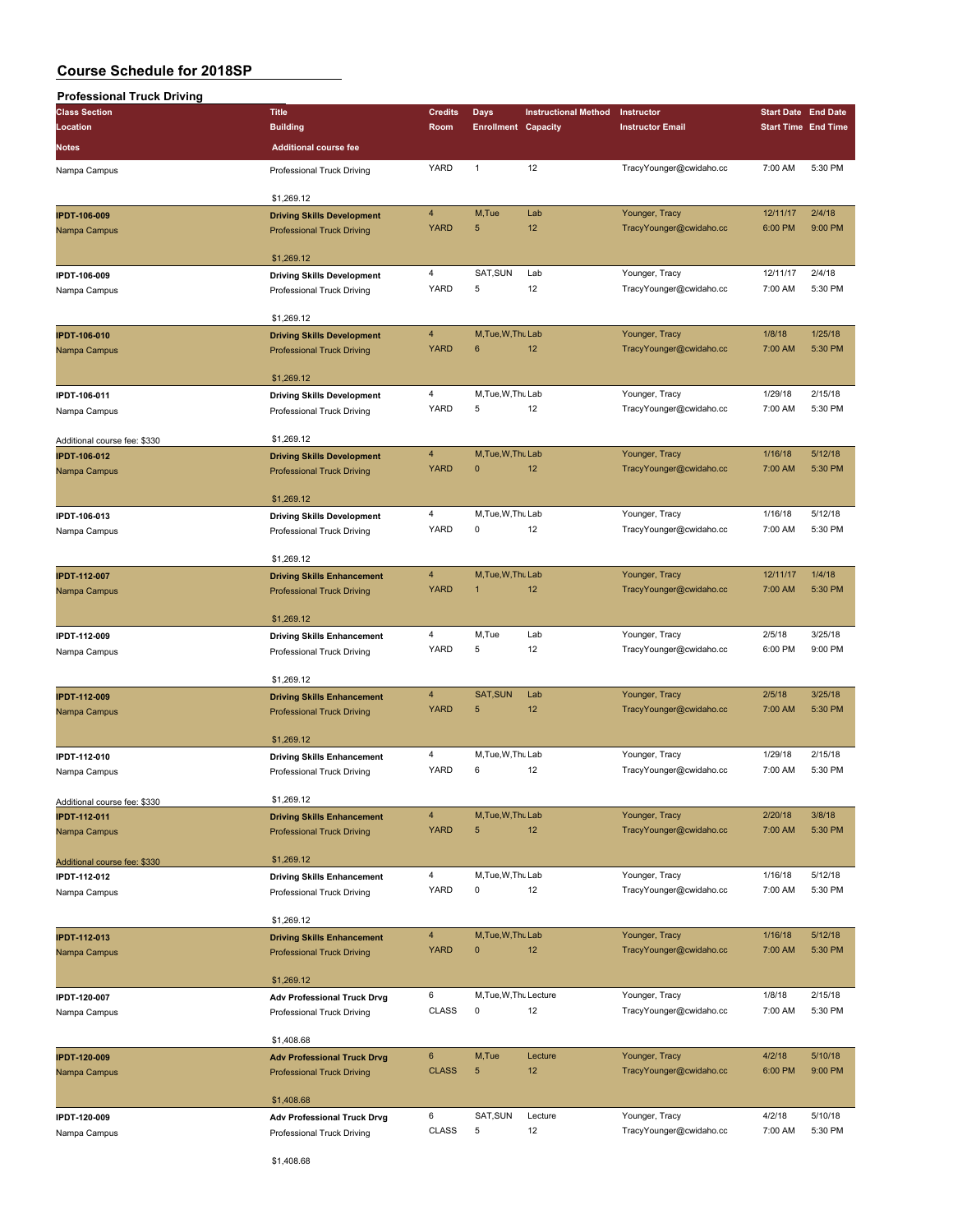| <b>Professional Truck Driving</b> |                                                                        |                         |                            |                             |                         |                            |                            |
|-----------------------------------|------------------------------------------------------------------------|-------------------------|----------------------------|-----------------------------|-------------------------|----------------------------|----------------------------|
| <b>Class Section</b>              | <b>Title</b>                                                           | <b>Credits</b>          | Days                       | <b>Instructional Method</b> | Instructor              | <b>Start Date End Date</b> |                            |
| Location                          | <b>Building</b>                                                        | Room                    | <b>Enrollment Capacity</b> |                             | <b>Instructor Email</b> |                            | <b>Start Time End Time</b> |
| Notes                             | <b>Additional course fee</b>                                           |                         |                            |                             |                         |                            |                            |
|                                   |                                                                        | YARD                    | $\mathbf{1}$               | 12                          |                         | 7:00 AM                    | 5:30 PM                    |
| Nampa Campus                      | Professional Truck Driving                                             |                         |                            |                             | TracyYounger@cwidaho.cc |                            |                            |
|                                   | \$1,269.12                                                             |                         |                            |                             |                         |                            |                            |
| <b>IPDT-106-009</b>               | <b>Driving Skills Development</b>                                      | $\overline{4}$          | M,Tue                      | Lab                         | Younger, Tracy          | 12/11/17                   | 2/4/18                     |
| Nampa Campus                      | <b>Professional Truck Driving</b>                                      | <b>YARD</b>             | 5                          | 12                          | TracyYounger@cwidaho.cc | 6:00 PM                    | 9:00 PM                    |
|                                   |                                                                        |                         |                            |                             |                         |                            |                            |
|                                   | \$1,269.12                                                             |                         |                            |                             |                         |                            |                            |
| IPDT-106-009                      | <b>Driving Skills Development</b>                                      | $\overline{4}$          | SAT, SUN                   | Lab                         | Younger, Tracy          | 12/11/17                   | 2/4/18                     |
| Nampa Campus                      | Professional Truck Driving                                             | YARD                    | 5                          | 12                          | TracyYounger@cwidaho.cc | 7:00 AM                    | 5:30 PM                    |
|                                   |                                                                        |                         |                            |                             |                         |                            |                            |
|                                   | \$1,269.12                                                             |                         |                            |                             |                         |                            |                            |
| <b>IPDT-106-010</b>               | <b>Driving Skills Development</b>                                      | $\overline{4}$          | M, Tue, W, Thu Lab         |                             | Younger, Tracy          | 1/8/18                     | 1/25/18                    |
| Nampa Campus                      | <b>Professional Truck Driving</b>                                      | <b>YARD</b>             | 6                          | 12                          | TracyYounger@cwidaho.cc | 7:00 AM                    | 5:30 PM                    |
|                                   |                                                                        |                         |                            |                             |                         |                            |                            |
|                                   | \$1,269.12                                                             |                         |                            |                             |                         |                            |                            |
| IPDT-106-011                      | <b>Driving Skills Development</b>                                      | $\overline{\mathbf{4}}$ | M, Tue, W, Thu Lab         |                             | Younger, Tracy          | 1/29/18                    | 2/15/18                    |
| Nampa Campus                      | Professional Truck Driving                                             | YARD                    | 5                          | 12                          | TracyYounger@cwidaho.cc | 7:00 AM                    | 5:30 PM                    |
|                                   |                                                                        |                         |                            |                             |                         |                            |                            |
| Additional course fee: \$330      | \$1,269.12                                                             |                         |                            |                             |                         |                            |                            |
| <b>IPDT-106-012</b>               | <b>Driving Skills Development</b>                                      | $\overline{4}$          | M, Tue, W, Thu Lab         |                             | Younger, Tracy          | 1/16/18                    | 5/12/18                    |
| Nampa Campus                      | <b>Professional Truck Driving</b>                                      | <b>YARD</b>             | $\pmb{0}$                  | 12                          | TracyYounger@cwidaho.cc | 7:00 AM                    | 5:30 PM                    |
|                                   |                                                                        |                         |                            |                             |                         |                            |                            |
|                                   | \$1,269.12                                                             | $\overline{4}$          | M, Tue, W, Thu Lab         |                             | Younger, Tracy          | 1/16/18                    | 5/12/18                    |
| IPDT-106-013                      | <b>Driving Skills Development</b>                                      | YARD                    | 0                          | 12                          | TracyYounger@cwidaho.cc | 7:00 AM                    | 5:30 PM                    |
| Nampa Campus                      | Professional Truck Driving                                             |                         |                            |                             |                         |                            |                            |
|                                   | \$1,269.12                                                             |                         |                            |                             |                         |                            |                            |
| <b>IPDT-112-007</b>               |                                                                        | 4                       | M, Tue, W, Thu Lab         |                             | Younger, Tracy          | 12/11/17                   | 1/4/18                     |
| Nampa Campus                      | <b>Driving Skills Enhancement</b><br><b>Professional Truck Driving</b> | <b>YARD</b>             | $\mathbf{1}$               | 12                          | TracyYounger@cwidaho.cc | 7:00 AM                    | 5:30 PM                    |
|                                   |                                                                        |                         |                            |                             |                         |                            |                            |
|                                   | \$1,269.12                                                             |                         |                            |                             |                         |                            |                            |
| IPDT-112-009                      | <b>Driving Skills Enhancement</b>                                      | 4                       | M,Tue                      | Lab                         | Younger, Tracy          | 2/5/18                     | 3/25/18                    |
| Nampa Campus                      | Professional Truck Driving                                             | YARD                    | 5                          | 12                          | TracyYounger@cwidaho.cc | 6:00 PM                    | 9:00 PM                    |
|                                   |                                                                        |                         |                            |                             |                         |                            |                            |
|                                   | \$1,269.12                                                             |                         |                            |                             |                         |                            |                            |
| <b>IPDT-112-009</b>               | <b>Driving Skills Enhancement</b>                                      | $\overline{4}$          | SAT, SUN                   | Lab                         | Younger, Tracy          | 2/5/18                     | 3/25/18                    |
| Nampa Campus                      | <b>Professional Truck Driving</b>                                      | <b>YARD</b>             | 5                          | 12                          | TracyYounger@cwidaho.cc | 7:00 AM                    | 5:30 PM                    |
|                                   |                                                                        |                         |                            |                             |                         |                            |                            |
|                                   | \$1,269.12                                                             |                         |                            |                             |                         |                            |                            |
| IPDT-112-010                      | <b>Driving Skills Enhancement</b>                                      | 4                       | M, Tue, W, Thu Lab         |                             | Younger, Tracy          | 1/29/18                    | 2/15/18                    |
| Nampa Campus                      | Professional Truck Driving                                             | YARD                    | 6                          | 12                          | TracyYounger@cwidaho.cc | 7:00 AM                    | 5:30 PM                    |
|                                   |                                                                        |                         |                            |                             |                         |                            |                            |
| Additional course fee: \$330      | \$1,269.12                                                             |                         |                            |                             |                         |                            |                            |
| <b>IPDT-112-011</b>               | <b>Driving Skills Enhancement</b>                                      | $\overline{4}$          | M, Tue, W, Thu Lab         |                             | Younger, Tracy          | 2/20/18                    | 3/8/18                     |
| Nampa Campus                      | <b>Professional Truck Driving</b>                                      | <b>YARD</b>             | 5                          | 12                          | TracyYounger@cwidaho.cc | 7:00 AM                    | 5:30 PM                    |
|                                   |                                                                        |                         |                            |                             |                         |                            |                            |
| Additional course fee: \$330      | \$1,269.12                                                             |                         |                            |                             |                         |                            |                            |
| IPDT-112-012                      | <b>Driving Skills Enhancement</b>                                      | $\overline{4}$<br>YARD  | M, Tue, W, Thu Lab<br>0    | 12                          | Younger, Tracy          | 1/16/18                    | 5/12/18<br>5:30 PM         |
| Nampa Campus                      | Professional Truck Driving                                             |                         |                            |                             | TracyYounger@cwidaho.cc | 7:00 AM                    |                            |
|                                   | \$1,269.12                                                             |                         |                            |                             |                         |                            |                            |
|                                   |                                                                        | $\overline{4}$          | M, Tue, W, Thu Lab         |                             | Younger, Tracy          | 1/16/18                    | 5/12/18                    |
| <b>IPDT-112-013</b>               | <b>Driving Skills Enhancement</b><br><b>Professional Truck Driving</b> | <b>YARD</b>             | $\pmb{0}$                  | 12                          | TracyYounger@cwidaho.cc | 7:00 AM                    | 5:30 PM                    |
| Nampa Campus                      |                                                                        |                         |                            |                             |                         |                            |                            |
|                                   | \$1,269.12                                                             |                         |                            |                             |                         |                            |                            |
| IPDT-120-007                      | <b>Adv Professional Truck Drvg</b>                                     | 6                       | M, Tue, W, Thu Lecture     |                             | Younger, Tracy          | 1/8/18                     | 2/15/18                    |
| Nampa Campus                      | Professional Truck Driving                                             | <b>CLASS</b>            | 0                          | 12                          | TracyYounger@cwidaho.cc | 7:00 AM                    | 5:30 PM                    |
|                                   |                                                                        |                         |                            |                             |                         |                            |                            |
|                                   | \$1,408.68                                                             |                         |                            |                             |                         |                            |                            |
| <b>IPDT-120-009</b>               | <b>Adv Professional Truck Drvg</b>                                     | $\boldsymbol{6}$        | M,Tue                      | Lecture                     | Younger, Tracy          | 4/2/18                     | 5/10/18                    |
| Nampa Campus                      | <b>Professional Truck Driving</b>                                      | <b>CLASS</b>            | $\sqrt{5}$                 | 12                          | TracyYounger@cwidaho.cc | 6:00 PM                    | 9:00 PM                    |
|                                   |                                                                        |                         |                            |                             |                         |                            |                            |
|                                   | \$1,408.68                                                             |                         |                            |                             |                         |                            |                            |
| IPDT-120-009                      | <b>Adv Professional Truck Drvg</b>                                     | 6                       | SAT, SUN                   | Lecture                     | Younger, Tracy          | 4/2/18                     | 5/10/18                    |
| Nampa Campus                      | Professional Truck Driving                                             | CLASS                   | 5                          | 12                          | TracyYounger@cwidaho.cc | 7:00 AM                    | 5:30 PM                    |
|                                   |                                                                        |                         |                            |                             |                         |                            |                            |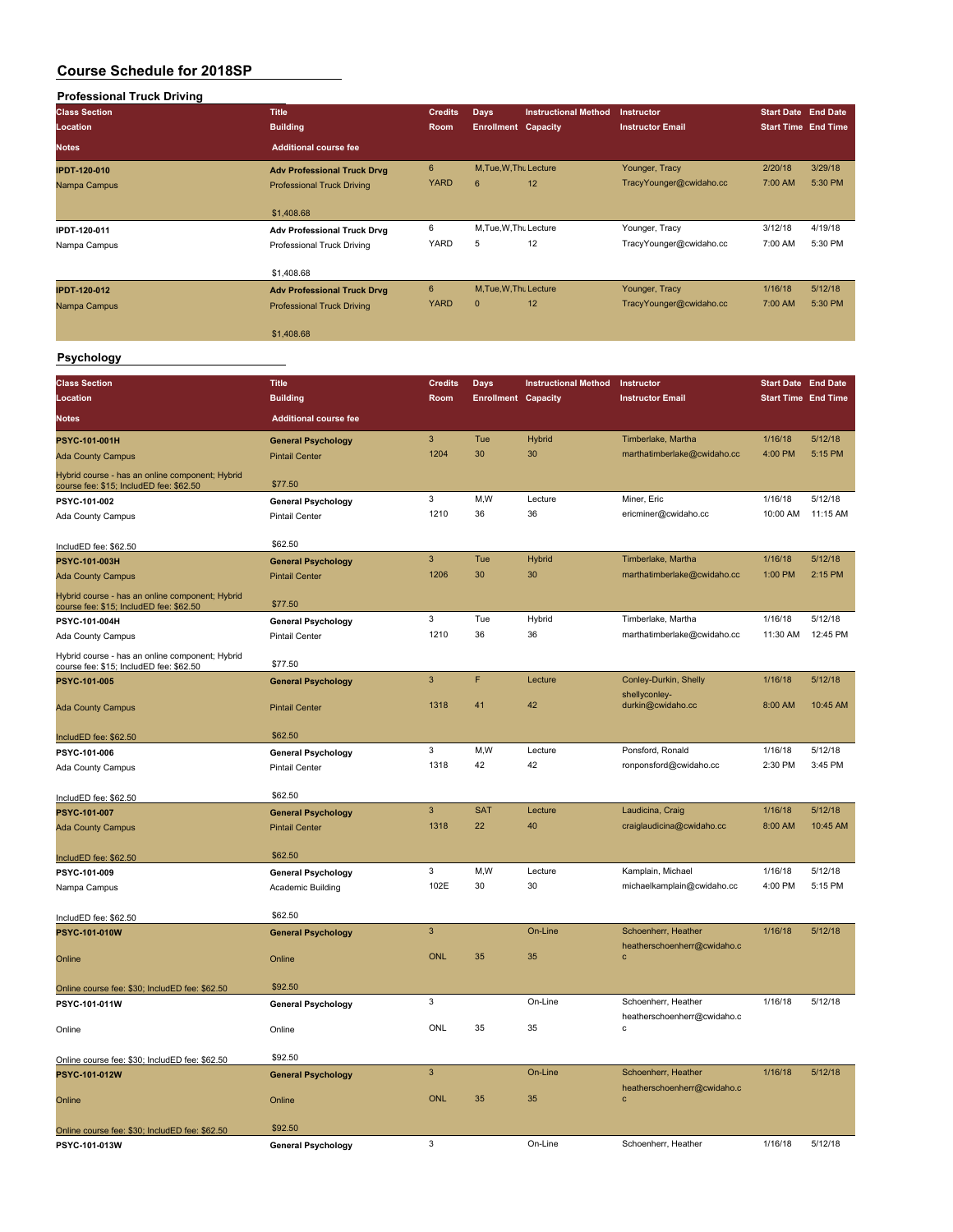| <b>Professional Truck Driving</b>               |                                    |                           |                            |                             |                                                    |                            |                            |
|-------------------------------------------------|------------------------------------|---------------------------|----------------------------|-----------------------------|----------------------------------------------------|----------------------------|----------------------------|
| <b>Class Section</b>                            | <b>Title</b>                       | <b>Credits</b>            | Days                       | <b>Instructional Method</b> | Instructor                                         | <b>Start Date End Date</b> |                            |
| Location                                        | <b>Building</b>                    | Room                      | <b>Enrollment Capacity</b> |                             | <b>Instructor Email</b>                            |                            | <b>Start Time End Time</b> |
| Notes                                           | <b>Additional course fee</b>       |                           |                            |                             |                                                    |                            |                            |
|                                                 |                                    |                           |                            |                             |                                                    |                            |                            |
| <b>IPDT-120-010</b>                             | <b>Adv Professional Truck Drvg</b> | $\bf 6$                   | M, Tue, W, Thu Lecture     |                             | Younger, Tracy                                     | 2/20/18                    | 3/29/18                    |
| Nampa Campus                                    | <b>Professional Truck Driving</b>  | <b>YARD</b>               | 6                          | 12                          | TracyYounger@cwidaho.cc                            | 7:00 AM                    | 5:30 PM                    |
|                                                 |                                    |                           |                            |                             |                                                    |                            |                            |
|                                                 | \$1,408.68                         |                           |                            |                             |                                                    |                            |                            |
| IPDT-120-011                                    | <b>Adv Professional Truck Drvg</b> | 6                         | M, Tue, W, Thu Lecture     |                             | Younger, Tracy                                     | 3/12/18                    | 4/19/18                    |
| Nampa Campus                                    | Professional Truck Driving         | <b>YARD</b>               | 5                          | 12                          | TracyYounger@cwidaho.cc                            | 7:00 AM                    | 5:30 PM                    |
|                                                 |                                    |                           |                            |                             |                                                    |                            |                            |
|                                                 | \$1,408.68                         |                           |                            |                             |                                                    |                            |                            |
| <b>IPDT-120-012</b>                             | <b>Adv Professional Truck Drvg</b> | $\bf 6$                   | M.Tue.W.Thu Lecture        |                             | Younger, Tracy                                     | 1/16/18                    | 5/12/18                    |
| Nampa Campus                                    | <b>Professional Truck Driving</b>  | <b>YARD</b>               | $\mathbf 0$                | 12                          | TracyYounger@cwidaho.cc                            | 7:00 AM                    | 5:30 PM                    |
|                                                 |                                    |                           |                            |                             |                                                    |                            |                            |
|                                                 | \$1,408.68                         |                           |                            |                             |                                                    |                            |                            |
| Psychology                                      |                                    |                           |                            |                             |                                                    |                            |                            |
|                                                 |                                    |                           |                            |                             |                                                    |                            |                            |
| <b>Class Section</b>                            | <b>Title</b>                       | <b>Credits</b>            | <b>Days</b>                | <b>Instructional Method</b> | Instructor                                         |                            | <b>Start Date End Date</b> |
| <b>Location</b>                                 | <b>Building</b>                    | Room                      | <b>Enrollment Capacity</b> |                             | <b>Instructor Email</b>                            |                            | <b>Start Time End Time</b> |
| Notes                                           | <b>Additional course fee</b>       |                           |                            |                             |                                                    |                            |                            |
|                                                 |                                    |                           |                            |                             |                                                    |                            |                            |
| <b>PSYC-101-001H</b>                            | <b>General Psychology</b>          | $\mathbf{3}$              | Tue                        | Hybrid                      | Timberlake, Martha                                 | 1/16/18                    | 5/12/18                    |
| <b>Ada County Campus</b>                        | <b>Pintail Center</b>              | 1204                      | 30                         | 30                          | marthatimberlake@cwidaho.cc                        | 4:00 PM                    | 5:15 PM                    |
| Hybrid course - has an online component; Hybrid |                                    |                           |                            |                             |                                                    |                            |                            |
| course fee: \$15; IncludED fee: \$62.50         | \$77.50                            |                           |                            |                             |                                                    |                            |                            |
| PSYC-101-002                                    | <b>General Psychology</b>          | 3                         | M,W                        | Lecture                     | Miner, Eric                                        | 1/16/18                    | 5/12/18                    |
| Ada County Campus                               | <b>Pintail Center</b>              | 1210                      | 36                         | 36                          | ericminer@cwidaho.cc                               | 10:00 AM                   | 11:15 AM                   |
|                                                 |                                    |                           |                            |                             |                                                    |                            |                            |
| IncludED fee: \$62.50                           | \$62.50                            |                           |                            |                             |                                                    |                            |                            |
| PSYC-101-003H                                   | <b>General Psychology</b>          | $\mathbf{3}$              | Tue                        | Hybrid                      | Timberlake, Martha                                 | 1/16/18                    | 5/12/18                    |
| <b>Ada County Campus</b>                        | <b>Pintail Center</b>              | 1206                      | 30                         | 30                          | marthatimberlake@cwidaho.cc                        | 1:00 PM                    | 2:15 PM                    |
| Hybrid course - has an online component; Hybrid |                                    |                           |                            |                             |                                                    |                            |                            |
| course fee: \$15; IncludED fee: \$62.50         | \$77.50                            |                           |                            |                             |                                                    |                            |                            |
| PSYC-101-004H                                   | <b>General Psychology</b>          | 3                         | Tue                        | Hybrid                      | Timberlake, Martha                                 | 1/16/18                    | 5/12/18                    |
| Ada County Campus                               | <b>Pintail Center</b>              | 1210                      | 36                         | 36                          | marthatimberlake@cwidaho.cc                        | 11:30 AM                   | 12:45 PM                   |
| Hybrid course - has an online component; Hybrid |                                    |                           |                            |                             |                                                    |                            |                            |
| course fee: \$15; IncludED fee: \$62.50         | \$77.50                            |                           |                            |                             |                                                    |                            |                            |
| <b>PSYC-101-005</b>                             | <b>General Psychology</b>          | 3                         | F                          | Lecture                     | Conley-Durkin, Shelly                              | 1/16/18                    | 5/12/18                    |
|                                                 |                                    | 1318                      | 41                         | 42                          | shellyconley-                                      | 8:00 AM                    | 10:45 AM                   |
| <b>Ada County Campus</b>                        | <b>Pintail Center</b>              |                           |                            |                             | durkin@cwidaho.cc                                  |                            |                            |
|                                                 | \$62.50                            |                           |                            |                             |                                                    |                            |                            |
| IncludED fee: \$62.50                           |                                    | 3                         | M, W                       | Lecture                     | Ponsford, Ronald                                   | 1/16/18                    | 5/12/18                    |
| PSYC-101-006                                    | <b>General Psychology</b>          | 1318                      | 42                         | 42                          | ronponsford@cwidaho.cc                             | 2:30 PM                    | 3:45 PM                    |
| <b>Ada County Campus</b>                        | <b>Pintail Center</b>              |                           |                            |                             |                                                    |                            |                            |
|                                                 |                                    |                           |                            |                             |                                                    |                            |                            |
| IncludED fee: \$62.50                           | \$62.50                            | $\mathbf{3}$              | <b>SAT</b>                 | Lecture                     | Laudicina, Craig                                   | 1/16/18                    | 5/12/18                    |
| PSYC-101-007                                    | <b>General Psychology</b>          | 1318                      | 22                         | 40                          | craiglaudicina@cwidaho.cc                          | 8:00 AM                    | 10:45 AM                   |
| <b>Ada County Campus</b>                        | <b>Pintail Center</b>              |                           |                            |                             |                                                    |                            |                            |
|                                                 | \$62.50                            |                           |                            |                             |                                                    |                            |                            |
| IncludED fee: \$62.50                           |                                    | 3                         | M,W                        | Lecture                     | Kamplain, Michael                                  |                            | 5/12/18                    |
| PSYC-101-009                                    | <b>General Psychology</b>          | 102E                      | 30                         | 30                          | michaelkamplain@cwidaho.cc                         | 1/16/18<br>4:00 PM         | 5:15 PM                    |
| Nampa Campus                                    | Academic Building                  |                           |                            |                             |                                                    |                            |                            |
|                                                 | \$62.50                            |                           |                            |                             |                                                    |                            |                            |
| IncludED fee: \$62.50                           |                                    | $\mathbf{3}$              |                            | On-Line                     |                                                    |                            | 5/12/18                    |
| PSYC-101-010W                                   | <b>General Psychology</b>          |                           |                            |                             | Schoenherr, Heather<br>heatherschoenherr@cwidaho.c | 1/16/18                    |                            |
| Online                                          | Online                             | <b>ONL</b>                | 35                         | 35                          | $\mathbf{c}$                                       |                            |                            |
|                                                 |                                    |                           |                            |                             |                                                    |                            |                            |
| Online course fee: \$30; IncludED fee: \$62.50  | \$92.50                            |                           |                            |                             |                                                    |                            |                            |
| PSYC-101-011W                                   | <b>General Psychology</b>          | 3                         |                            | On-Line                     | Schoenherr, Heather                                | 1/16/18                    | 5/12/18                    |
|                                                 |                                    |                           |                            |                             | heatherschoenherr@cwidaho.c                        |                            |                            |
| Online                                          | Online                             | ONL                       | 35                         | 35                          | $\mathbf c$                                        |                            |                            |
|                                                 |                                    |                           |                            |                             |                                                    |                            |                            |
| Online course fee: \$30; IncludED fee: \$62.50  | \$92.50                            |                           |                            |                             |                                                    |                            |                            |
| PSYC-101-012W                                   | <b>General Psychology</b>          | $\ensuremath{\mathsf{3}}$ |                            | On-Line                     | Schoenherr, Heather                                | 1/16/18                    | 5/12/18                    |
|                                                 |                                    |                           |                            |                             | heatherschoenherr@cwidaho.c                        |                            |                            |
| Online                                          | Online                             | <b>ONL</b>                | 35                         | 35                          | $\mathbf c$                                        |                            |                            |
|                                                 |                                    |                           |                            |                             |                                                    |                            |                            |
| Online course fee: \$30; IncludED fee: \$62.50  | \$92.50                            |                           |                            |                             |                                                    |                            |                            |
| PSYC-101-013W                                   | <b>General Psychology</b>          | 3                         |                            | On-Line                     | Schoenherr, Heather                                | 1/16/18                    | 5/12/18                    |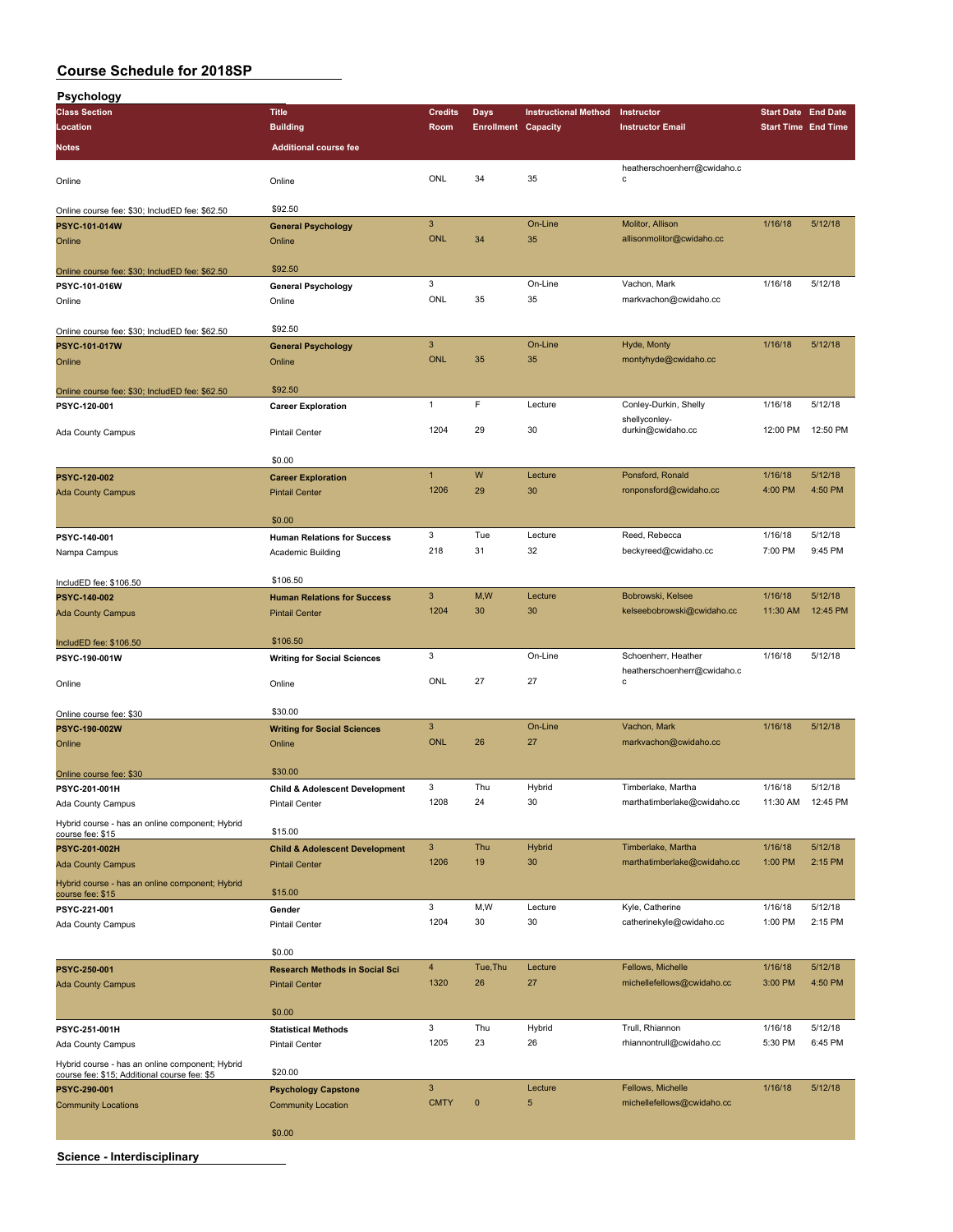| <b>Psychology</b>                                                                               |                                           |                           |                            |                             |                             |                            |                    |
|-------------------------------------------------------------------------------------------------|-------------------------------------------|---------------------------|----------------------------|-----------------------------|-----------------------------|----------------------------|--------------------|
| <b>Class Section</b>                                                                            | <b>Title</b>                              | <b>Credits</b>            | <b>Days</b>                | <b>Instructional Method</b> | Instructor                  | <b>Start Date End Date</b> |                    |
| Location                                                                                        | <b>Building</b>                           | Room                      | <b>Enrollment Capacity</b> |                             | <b>Instructor Email</b>     | <b>Start Time End Time</b> |                    |
| Notes                                                                                           | <b>Additional course fee</b>              |                           |                            |                             |                             |                            |                    |
|                                                                                                 |                                           |                           |                            |                             |                             |                            |                    |
|                                                                                                 |                                           |                           | 34                         |                             | heatherschoenherr@cwidaho.c |                            |                    |
| Online                                                                                          | Online                                    | ONL                       |                            | 35                          | c                           |                            |                    |
|                                                                                                 |                                           |                           |                            |                             |                             |                            |                    |
| Online course fee: \$30; IncludED fee: \$62.50                                                  | \$92.50                                   |                           |                            |                             |                             |                            |                    |
| PSYC-101-014W                                                                                   | <b>General Psychology</b>                 | $\mathbf{3}$              |                            | On-Line                     | Molitor, Allison            | 1/16/18                    | 5/12/18            |
| Online                                                                                          | Online                                    | <b>ONL</b>                | 34                         | 35                          | allisonmolitor@cwidaho.cc   |                            |                    |
|                                                                                                 |                                           |                           |                            |                             |                             |                            |                    |
| Online course fee: \$30; IncludED fee: \$62.50                                                  | \$92.50                                   |                           |                            |                             |                             |                            |                    |
| PSYC-101-016W                                                                                   | <b>General Psychology</b>                 | 3                         |                            | On-Line                     | Vachon, Mark                | 1/16/18                    | 5/12/18            |
| Online                                                                                          | Online                                    | ONL                       | 35                         | 35                          | markvachon@cwidaho.cc       |                            |                    |
|                                                                                                 |                                           |                           |                            |                             |                             |                            |                    |
| Online course fee: \$30; IncludED fee: \$62.50                                                  | \$92.50                                   |                           |                            |                             |                             |                            |                    |
| PSYC-101-017W                                                                                   | <b>General Psychology</b>                 | $\ensuremath{\mathsf{3}}$ |                            | On-Line                     | Hyde, Monty                 | 1/16/18                    | 5/12/18            |
| Online                                                                                          | Online                                    | <b>ONL</b>                | 35                         | 35                          | montyhyde@cwidaho.cc        |                            |                    |
|                                                                                                 |                                           |                           |                            |                             |                             |                            |                    |
| Online course fee: \$30; IncludED fee: \$62.50                                                  | \$92.50                                   |                           |                            |                             |                             |                            |                    |
| PSYC-120-001                                                                                    | <b>Career Exploration</b>                 | $\mathbf{1}$              | F                          | Lecture                     | Conley-Durkin, Shelly       | 1/16/18                    | 5/12/18            |
|                                                                                                 |                                           |                           |                            |                             | shellyconley-               |                            |                    |
| Ada County Campus                                                                               | <b>Pintail Center</b>                     | 1204                      | 29                         | 30                          | durkin@cwidaho.cc           | 12:00 PM                   | 12:50 PM           |
|                                                                                                 |                                           |                           |                            |                             |                             |                            |                    |
|                                                                                                 | \$0.00                                    |                           |                            |                             |                             |                            |                    |
| PSYC-120-002                                                                                    | <b>Career Exploration</b>                 | $\mathbf{1}$              | W                          | Lecture                     | Ponsford, Ronald            | 1/16/18                    | 5/12/18            |
| <b>Ada County Campus</b>                                                                        | <b>Pintail Center</b>                     | 1206                      | 29                         | 30                          | ronponsford@cwidaho.cc      | 4:00 PM                    | 4:50 PM            |
|                                                                                                 |                                           |                           |                            |                             |                             |                            |                    |
|                                                                                                 | \$0.00                                    |                           |                            |                             |                             |                            |                    |
| PSYC-140-001                                                                                    | <b>Human Relations for Success</b>        | 3                         | Tue                        | Lecture                     | Reed, Rebecca               | 1/16/18                    | 5/12/18            |
| Nampa Campus                                                                                    | Academic Building                         | 218                       | 31                         | 32                          | beckyreed@cwidaho.cc        | 7:00 PM                    | 9:45 PM            |
|                                                                                                 |                                           |                           |                            |                             |                             |                            |                    |
| IncludED fee: \$106.50                                                                          | \$106.50                                  |                           |                            |                             |                             |                            |                    |
| PSYC-140-002                                                                                    | <b>Human Relations for Success</b>        | $\mathbf{3}$              | M,W                        | Lecture                     | Bobrowski, Kelsee           | 1/16/18                    | 5/12/18            |
| <b>Ada County Campus</b>                                                                        | <b>Pintail Center</b>                     | 1204                      | 30                         | 30                          | kelseebobrowski@cwidaho.cc  | 11:30 AM                   | 12:45 PM           |
|                                                                                                 |                                           |                           |                            |                             |                             |                            |                    |
|                                                                                                 | \$106.50                                  |                           |                            |                             |                             |                            |                    |
| IncludED fee: \$106.50                                                                          |                                           | 3                         |                            | On-Line                     | Schoenherr, Heather         | 1/16/18                    | 5/12/18            |
| PSYC-190-001W                                                                                   | <b>Writing for Social Sciences</b>        |                           |                            |                             | heatherschoenherr@cwidaho.c |                            |                    |
| Online                                                                                          | Online                                    | ONL                       | 27                         | 27                          | с                           |                            |                    |
|                                                                                                 |                                           |                           |                            |                             |                             |                            |                    |
| Online course fee: \$30                                                                         | \$30.00                                   |                           |                            |                             |                             |                            |                    |
| PSYC-190-002W                                                                                   | <b>Writing for Social Sciences</b>        | $\mathbf{3}$              |                            | On-Line                     | Vachon, Mark                | 1/16/18                    | 5/12/18            |
| Online                                                                                          | Online                                    | <b>ONL</b>                | 26                         | 27                          | markvachon@cwidaho.cc       |                            |                    |
|                                                                                                 |                                           |                           |                            |                             |                             |                            |                    |
| Online course fee: \$30                                                                         | \$30.00                                   |                           |                            |                             |                             |                            |                    |
| PSYC-201-001H                                                                                   | <b>Child &amp; Adolescent Development</b> | 3                         | Thu                        | Hybrid                      | Timberlake, Martha          | 1/16/18                    | 5/12/18            |
|                                                                                                 | <b>Pintail Center</b>                     | 1208                      | 24                         | 30                          | marthatimberlake@cwidaho.cc |                            | 11:30 AM  12:45 PM |
| Ada County Campus                                                                               |                                           |                           |                            |                             |                             |                            |                    |
| Hybrid course - has an online component; Hybrid                                                 | \$15.00                                   |                           |                            |                             |                             |                            |                    |
| course fee: \$15                                                                                |                                           | $\mathbf{3}$              | Thu                        |                             |                             | 1/16/18                    | 5/12/18            |
| PSYC-201-002H                                                                                   | <b>Child &amp; Adolescent Development</b> |                           |                            | Hybrid                      | Timberlake, Martha          |                            | 2:15 PM            |
| <b>Ada County Campus</b>                                                                        | <b>Pintail Center</b>                     | 1206                      | 19                         | 30                          | marthatimberlake@cwidaho.cc | 1:00 PM                    |                    |
| Hybrid course - has an online component; Hybrid                                                 |                                           |                           |                            |                             |                             |                            |                    |
| course fee: \$15                                                                                | \$15.00                                   |                           |                            |                             |                             |                            |                    |
| PSYC-221-001                                                                                    | Gender                                    | 3                         | M,W                        | Lecture                     | Kyle, Catherine             | 1/16/18                    | 5/12/18            |
| Ada County Campus                                                                               | <b>Pintail Center</b>                     | 1204                      | 30                         | 30                          | catherinekyle@cwidaho.cc    | 1:00 PM                    | 2:15 PM            |
|                                                                                                 |                                           |                           |                            |                             |                             |                            |                    |
|                                                                                                 | \$0.00                                    |                           |                            |                             |                             |                            |                    |
| PSYC-250-001                                                                                    | <b>Research Methods in Social Sci</b>     | $\overline{4}$            | Tue, Thu                   | Lecture                     | Fellows, Michelle           | 1/16/18                    | 5/12/18            |
| <b>Ada County Campus</b>                                                                        | <b>Pintail Center</b>                     | 1320                      | 26                         | 27                          | michellefellows@cwidaho.cc  | 3:00 PM                    | 4:50 PM            |
|                                                                                                 |                                           |                           |                            |                             |                             |                            |                    |
|                                                                                                 | \$0.00                                    |                           |                            |                             |                             |                            |                    |
| PSYC-251-001H                                                                                   | <b>Statistical Methods</b>                | 3                         | Thu                        | Hybrid                      | Trull, Rhiannon             | 1/16/18                    | 5/12/18            |
| Ada County Campus                                                                               | <b>Pintail Center</b>                     | 1205                      | 23                         | 26                          | rhiannontrull@cwidaho.cc    | 5:30 PM                    | 6:45 PM            |
|                                                                                                 |                                           |                           |                            |                             |                             |                            |                    |
| Hybrid course - has an online component; Hybrid<br>course fee: \$15; Additional course fee: \$5 | \$20.00                                   |                           |                            |                             |                             |                            |                    |
| PSYC-290-001                                                                                    | <b>Psychology Capstone</b>                | $\mathbf{3}$              |                            | Lecture                     | Fellows, Michelle           | 1/16/18                    | 5/12/18            |
| <b>Community Locations</b>                                                                      | <b>Community Location</b>                 | <b>CMTY</b>               | $\mathbf 0$                | 5                           | michellefellows@cwidaho.cc  |                            |                    |
|                                                                                                 |                                           |                           |                            |                             |                             |                            |                    |
|                                                                                                 | \$0.00                                    |                           |                            |                             |                             |                            |                    |
|                                                                                                 |                                           |                           |                            |                             |                             |                            |                    |

**Science - Interdisciplinary**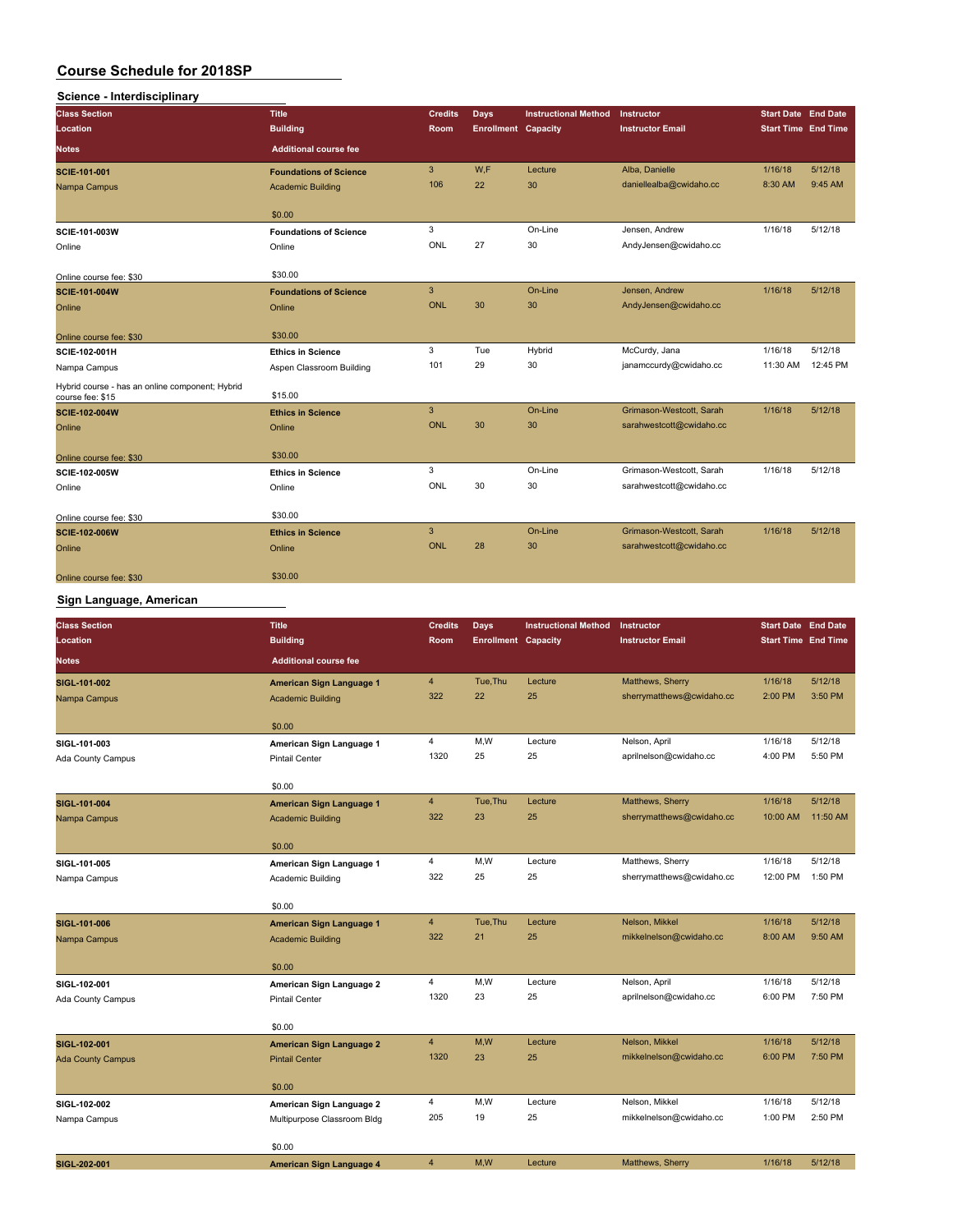| Science - Interdisciplinary                                         |                               |                |                            |                             |                          |                            |          |
|---------------------------------------------------------------------|-------------------------------|----------------|----------------------------|-----------------------------|--------------------------|----------------------------|----------|
| <b>Class Section</b>                                                | <b>Title</b>                  | <b>Credits</b> | <b>Days</b>                | <b>Instructional Method</b> | Instructor               | <b>Start Date End Date</b> |          |
| Location                                                            | <b>Building</b>               | Room           | <b>Enrollment Capacity</b> |                             | <b>Instructor Email</b>  | <b>Start Time End Time</b> |          |
| Notes                                                               | <b>Additional course fee</b>  |                |                            |                             |                          |                            |          |
| SCIE-101-001                                                        | <b>Foundations of Science</b> | 3              | W.F                        | Lecture                     | Alba, Danielle           | 1/16/18                    | 5/12/18  |
| Nampa Campus                                                        | <b>Academic Building</b>      | 106            | 22                         | 30                          | daniellealba@cwidaho.cc  | 8:30 AM                    | 9:45 AM  |
|                                                                     | \$0.00                        |                |                            |                             |                          |                            |          |
| SCIE-101-003W                                                       | <b>Foundations of Science</b> | 3              |                            | On-Line                     | Jensen, Andrew           | 1/16/18                    | 5/12/18  |
| Online                                                              | Online                        | ONL            | 27                         | 30                          | AndyJensen@cwidaho.cc    |                            |          |
| Online course fee: \$30                                             | \$30.00                       |                |                            |                             |                          |                            |          |
| SCIE-101-004W                                                       | <b>Foundations of Science</b> | 3              |                            | On-Line                     | Jensen, Andrew           | 1/16/18                    | 5/12/18  |
| Online                                                              | Online                        | <b>ONL</b>     | 30                         | 30                          | AndyJensen@cwidaho.cc    |                            |          |
| Online course fee: \$30                                             | \$30.00                       |                |                            |                             |                          |                            |          |
| SCIE-102-001H                                                       | <b>Ethics in Science</b>      | 3              | Tue                        | Hybrid                      | McCurdy, Jana            | 1/16/18                    | 5/12/18  |
| Nampa Campus                                                        | Aspen Classroom Building      | 101            | 29                         | 30                          | janamccurdy@cwidaho.cc   | 11:30 AM                   | 12:45 PM |
| Hybrid course - has an online component; Hybrid<br>course fee: \$15 | \$15.00                       |                |                            |                             |                          |                            |          |
| <b>SCIE-102-004W</b>                                                | <b>Ethics in Science</b>      | 3              |                            | On-Line                     | Grimason-Westcott, Sarah | 1/16/18                    | 5/12/18  |
| Online                                                              | Online                        | <b>ONL</b>     | 30                         | 30                          | sarahwestcott@cwidaho.cc |                            |          |
| Online course fee: \$30                                             | \$30.00                       |                |                            |                             |                          |                            |          |
| <b>SCIE-102-005W</b>                                                | <b>Ethics in Science</b>      | 3              |                            | On-Line                     | Grimason-Westcott, Sarah | 1/16/18                    | 5/12/18  |
| Online                                                              | Online                        | ONL            | 30                         | 30                          | sarahwestcott@cwidaho.cc |                            |          |
| Online course fee: \$30                                             | \$30.00                       |                |                            |                             |                          |                            |          |
| <b>SCIE-102-006W</b>                                                | <b>Ethics in Science</b>      | 3              |                            | On-Line                     | Grimason-Westcott, Sarah | 1/16/18                    | 5/12/18  |
| Online                                                              | Online                        | <b>ONL</b>     | 28                         | 30                          | sarahwestcott@cwidaho.cc |                            |          |
| Online course fee: \$30                                             | \$30.00                       |                |                            |                             |                          |                            |          |

### **Sign Language, American**

| <b>Class Section</b><br>Location | <b>Title</b><br><b>Building</b>                             | <b>Credits</b><br>Room | <b>Days</b><br><b>Enrollment Capacity</b> | <b>Instructional Method</b> | Instructor<br><b>Instructor Email</b>         | <b>Start Date End Date</b><br><b>Start Time End Time</b> |                    |
|----------------------------------|-------------------------------------------------------------|------------------------|-------------------------------------------|-----------------------------|-----------------------------------------------|----------------------------------------------------------|--------------------|
| <b>Notes</b>                     | <b>Additional course fee</b>                                |                        |                                           |                             |                                               |                                                          |                    |
| SIGL-101-002<br>Nampa Campus     | <b>American Sign Language 1</b><br><b>Academic Building</b> | $\overline{4}$<br>322  | Tue, Thu<br>22                            | Lecture<br>25               | Matthews, Sherry<br>sherrymatthews@cwidaho.cc | 1/16/18<br>2:00 PM                                       | 5/12/18<br>3:50 PM |
|                                  | \$0.00                                                      |                        |                                           |                             |                                               |                                                          |                    |
| SIGL-101-003                     | American Sign Language 1                                    | $\overline{4}$         | M,W                                       | Lecture                     | Nelson, April                                 | 1/16/18                                                  | 5/12/18            |
| Ada County Campus                | <b>Pintail Center</b>                                       | 1320                   | 25                                        | 25                          | aprilnelson@cwidaho.cc                        | 4:00 PM                                                  | 5:50 PM            |
|                                  | \$0.00                                                      |                        |                                           |                             |                                               |                                                          |                    |
| SIGL-101-004                     | American Sign Language 1                                    | $\overline{4}$         | Tue, Thu                                  | Lecture                     | Matthews, Sherry                              | 1/16/18                                                  | 5/12/18            |
| Nampa Campus                     | <b>Academic Building</b>                                    | 322                    | 23                                        | 25                          | sherrymatthews@cwidaho.cc                     | 10:00 AM                                                 | 11:50 AM           |
|                                  | \$0.00                                                      |                        |                                           |                             |                                               |                                                          |                    |
| SIGL-101-005                     | American Sign Language 1                                    | $\overline{4}$         | M,W                                       | Lecture                     | Matthews, Sherry                              | 1/16/18                                                  | 5/12/18            |
| Nampa Campus                     | Academic Building                                           | 322                    | 25                                        | 25                          | sherrymatthews@cwidaho.cc                     | 12:00 PM                                                 | 1:50 PM            |
|                                  | \$0.00                                                      |                        |                                           |                             |                                               |                                                          |                    |
| SIGL-101-006                     | <b>American Sign Language 1</b>                             | $\overline{4}$         | Tue, Thu                                  | Lecture                     | Nelson, Mikkel                                | 1/16/18                                                  | 5/12/18            |
| Nampa Campus                     | <b>Academic Building</b>                                    | 322                    | 21                                        | 25                          | mikkelnelson@cwidaho.cc                       | 8:00 AM                                                  | 9:50 AM            |
|                                  | \$0.00                                                      |                        |                                           |                             |                                               |                                                          |                    |
| SIGL-102-001                     | American Sign Language 2                                    | $\overline{4}$         | M,W                                       | Lecture                     | Nelson, April                                 | 1/16/18                                                  | 5/12/18            |
| Ada County Campus                | <b>Pintail Center</b>                                       | 1320                   | 23                                        | 25                          | aprilnelson@cwidaho.cc                        | 6:00 PM                                                  | 7:50 PM            |
|                                  | \$0.00                                                      |                        |                                           |                             |                                               |                                                          |                    |
| SIGL-102-001                     | <b>American Sign Language 2</b>                             | $\overline{4}$         | M,W                                       | Lecture                     | Nelson, Mikkel                                | 1/16/18                                                  | 5/12/18            |
| <b>Ada County Campus</b>         | <b>Pintail Center</b>                                       | 1320                   | 23                                        | 25                          | mikkelnelson@cwidaho.cc                       | 6:00 PM                                                  | 7:50 PM            |
|                                  | \$0.00                                                      |                        |                                           |                             |                                               |                                                          |                    |
| SIGL-102-002                     | American Sign Language 2                                    | $\overline{4}$         | M,W                                       | Lecture                     | Nelson, Mikkel                                | 1/16/18                                                  | 5/12/18            |
| Nampa Campus                     | Multipurpose Classroom Bldg                                 | 205                    | 19                                        | 25                          | mikkelnelson@cwidaho.cc                       | 1:00 PM                                                  | 2:50 PM            |
|                                  | \$0.00                                                      |                        |                                           |                             |                                               |                                                          |                    |
| SIGL-202-001                     | <b>American Sign Language 4</b>                             | $\overline{4}$         | M,W                                       | Lecture                     | Matthews, Sherry                              | 1/16/18                                                  | 5/12/18            |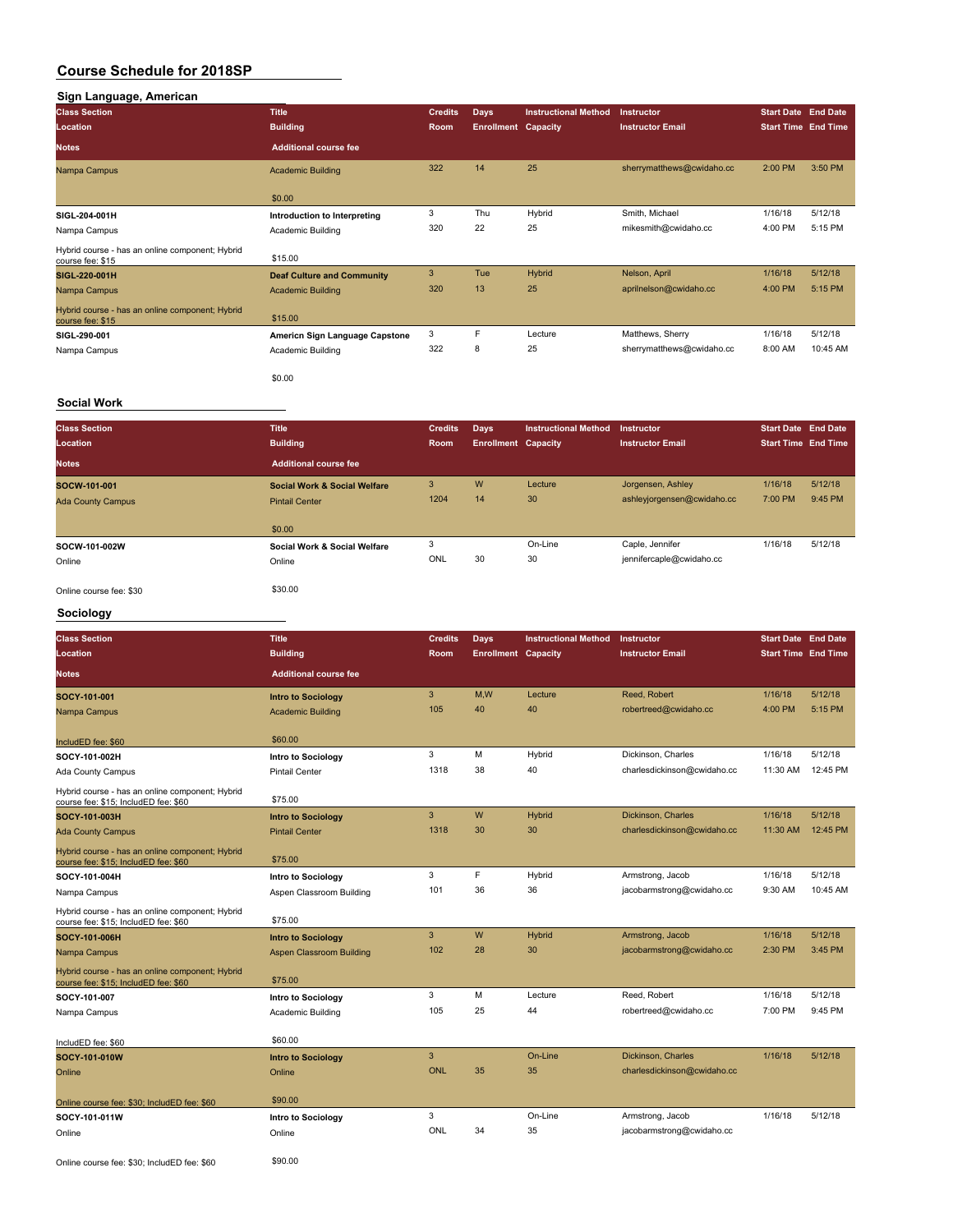| Sign Language, American<br><b>Class Section</b>                     | <b>Title</b>                      | <b>Credits</b> | Days                       | <b>Instructional Method</b> | <b>Instructor</b>         | <b>Start Date End Date</b> |                            |
|---------------------------------------------------------------------|-----------------------------------|----------------|----------------------------|-----------------------------|---------------------------|----------------------------|----------------------------|
| Location                                                            | <b>Building</b>                   | Room           | <b>Enrollment Capacity</b> |                             | <b>Instructor Email</b>   |                            | <b>Start Time End Time</b> |
| <b>Notes</b>                                                        | <b>Additional course fee</b>      |                |                            |                             |                           |                            |                            |
| Nampa Campus                                                        | <b>Academic Building</b>          | 322            | 14                         | 25                          | sherrymatthews@cwidaho.cc | 2:00 PM                    | 3:50 PM                    |
|                                                                     | \$0.00                            |                |                            |                             |                           |                            |                            |
| SIGL-204-001H                                                       | Introduction to Interpreting      | 3              | Thu                        | Hybrid                      | Smith, Michael            | 1/16/18                    | 5/12/18                    |
| Nampa Campus                                                        | Academic Building                 | 320            | 22                         | 25                          | mikesmith@cwidaho.cc      | 4:00 PM                    | 5:15 PM                    |
| Hybrid course - has an online component; Hybrid<br>course fee: \$15 | \$15.00                           |                |                            |                             |                           |                            |                            |
| SIGL-220-001H                                                       | <b>Deaf Culture and Community</b> | 3              | Tue                        | Hybrid                      | Nelson, April             | 1/16/18                    | 5/12/18                    |
| Nampa Campus                                                        | <b>Academic Building</b>          | 320            | 13                         | 25                          | aprilnelson@cwidaho.cc    | 4:00 PM                    | 5:15 PM                    |
| Hybrid course - has an online component; Hybrid<br>course fee: \$15 | \$15.00                           |                |                            |                             |                           |                            |                            |
| SIGL-290-001                                                        | Americn Sign Language Capstone    | 3              | F                          | Lecture                     | Matthews, Sherry          | 1/16/18                    | 5/12/18                    |
| Nampa Campus                                                        | Academic Building                 | 322            | 8                          | 25                          | sherrymatthews@cwidaho.cc | 8:00 AM                    | 10:45 AM                   |
|                                                                     | \$0.00                            |                |                            |                             |                           |                            |                            |

#### **Social Work**

| <b>Class Section</b><br>Location | <b>Title</b><br><b>Building</b> | <b>Credits</b><br>Room | Days<br><b>Enrollment Capacity</b> | <b>Instructional Method</b> | Instructor<br><b>Instructor Email</b> | <b>Start Date End Date</b><br><b>Start Time End Time</b> |         |
|----------------------------------|---------------------------------|------------------------|------------------------------------|-----------------------------|---------------------------------------|----------------------------------------------------------|---------|
| <b>Notes</b>                     | <b>Additional course fee</b>    |                        |                                    |                             |                                       |                                                          |         |
| SOCW-101-001                     | Social Work & Social Welfare    | 3                      | W                                  | Lecture                     | Jorgensen, Ashley                     | 1/16/18                                                  | 5/12/18 |
| <b>Ada County Campus</b>         | <b>Pintail Center</b>           | 1204                   | 14                                 | 30                          | ashleyjorgensen@cwidaho.cc            | 7:00 PM                                                  | 9:45 PM |
|                                  | \$0.00                          |                        |                                    |                             |                                       |                                                          |         |
| SOCW-101-002W                    | Social Work & Social Welfare    | 3                      |                                    | On-Line                     | Caple, Jennifer                       | 1/16/18                                                  | 5/12/18 |
| Online                           | Online                          | ONL                    | 30                                 | 30                          | jennifercaple@cwidaho.cc              |                                                          |         |
| Online course fee: \$30          | \$30.00                         |                        |                                    |                             |                                       |                                                          |         |

# **Sociology**

| <b>Class Section</b><br>Location                                                        | <b>Title</b>                 | <b>Credits</b><br><b>Room</b> | Days<br><b>Enrollment Capacity</b> | <b>Instructional Method</b> | Instructor<br><b>Instructor Email</b> | <b>Start Date End Date</b><br><b>Start Time End Time</b> |          |
|-----------------------------------------------------------------------------------------|------------------------------|-------------------------------|------------------------------------|-----------------------------|---------------------------------------|----------------------------------------------------------|----------|
|                                                                                         | <b>Building</b>              |                               |                                    |                             |                                       |                                                          |          |
| <b>Notes</b>                                                                            | <b>Additional course fee</b> |                               |                                    |                             |                                       |                                                          |          |
| SOCY-101-001                                                                            | <b>Intro to Sociology</b>    | 3                             | M,W                                | Lecture                     | Reed, Robert                          | 1/16/18                                                  | 5/12/18  |
| Nampa Campus                                                                            | <b>Academic Building</b>     | 105                           | 40                                 | 40                          | robertreed@cwidaho.cc                 | 4:00 PM                                                  | 5:15 PM  |
|                                                                                         |                              |                               |                                    |                             |                                       |                                                          |          |
| IncludED fee: \$60                                                                      | \$60.00                      |                               |                                    |                             |                                       |                                                          |          |
| SOCY-101-002H                                                                           | Intro to Sociology           | 3                             | M                                  | Hybrid                      | Dickinson, Charles                    | 1/16/18                                                  | 5/12/18  |
| Ada County Campus                                                                       | <b>Pintail Center</b>        | 1318                          | 38                                 | 40                          | charlesdickinson@cwidaho.cc           | 11:30 AM                                                 | 12:45 PM |
| Hybrid course - has an online component; Hybrid<br>course fee: \$15; IncludED fee: \$60 | \$75.00                      |                               |                                    |                             |                                       |                                                          |          |
| SOCY-101-003H                                                                           | <b>Intro to Sociology</b>    | 3                             | W                                  | Hybrid                      | Dickinson, Charles                    | 1/16/18                                                  | 5/12/18  |
| <b>Ada County Campus</b>                                                                | <b>Pintail Center</b>        | 1318                          | 30                                 | 30                          | charlesdickinson@cwidaho.cc           | 11:30 AM                                                 | 12:45 PM |
| Hybrid course - has an online component; Hybrid<br>course fee: \$15; IncludED fee: \$60 | \$75.00                      |                               |                                    |                             |                                       |                                                          |          |
| SOCY-101-004H                                                                           | Intro to Sociology           | 3                             | F                                  | Hybrid                      | Armstrong, Jacob                      | 1/16/18                                                  | 5/12/18  |
| Nampa Campus                                                                            | Aspen Classroom Building     | 101                           | 36                                 | 36                          | jacobarmstrong@cwidaho.cc             | 9:30 AM                                                  | 10:45 AM |
| Hybrid course - has an online component; Hybrid<br>course fee: \$15; IncludED fee: \$60 | \$75.00                      |                               |                                    |                             |                                       |                                                          |          |
| SOCY-101-006H                                                                           | <b>Intro to Sociology</b>    | 3                             | W                                  | Hybrid                      | Armstrong, Jacob                      | 1/16/18                                                  | 5/12/18  |
| Nampa Campus                                                                            | Aspen Classroom Building     | 102                           | 28                                 | 30                          | jacobarmstrong@cwidaho.cc             | 2:30 PM                                                  | 3:45 PM  |
| Hybrid course - has an online component; Hybrid<br>course fee: \$15; IncludED fee: \$60 | \$75.00                      |                               |                                    |                             |                                       |                                                          |          |
| SOCY-101-007                                                                            | Intro to Sociology           | 3                             | M                                  | Lecture                     | Reed, Robert                          | 1/16/18                                                  | 5/12/18  |
| Nampa Campus                                                                            | Academic Building            | 105                           | 25                                 | 44                          | robertreed@cwidaho.cc                 | 7:00 PM                                                  | 9:45 PM  |
|                                                                                         |                              |                               |                                    |                             |                                       |                                                          |          |
| IncludED fee: \$60                                                                      | \$60.00                      |                               |                                    |                             |                                       |                                                          |          |
| SOCY-101-010W                                                                           | <b>Intro to Sociology</b>    | 3                             |                                    | On-Line                     | Dickinson, Charles                    | 1/16/18                                                  | 5/12/18  |
| Online                                                                                  | Online                       | <b>ONL</b>                    | 35                                 | 35                          | charlesdickinson@cwidaho.cc           |                                                          |          |
|                                                                                         |                              |                               |                                    |                             |                                       |                                                          |          |
| Online course fee: \$30; IncludED fee: \$60                                             | \$90.00                      |                               |                                    |                             |                                       |                                                          |          |
| SOCY-101-011W                                                                           | Intro to Sociology           | 3                             |                                    | On-Line                     | Armstrong, Jacob                      | 1/16/18                                                  | 5/12/18  |
| Online                                                                                  | Online                       | ONL                           | 34                                 | 35                          | jacobarmstrong@cwidaho.cc             |                                                          |          |
|                                                                                         |                              |                               |                                    |                             |                                       |                                                          |          |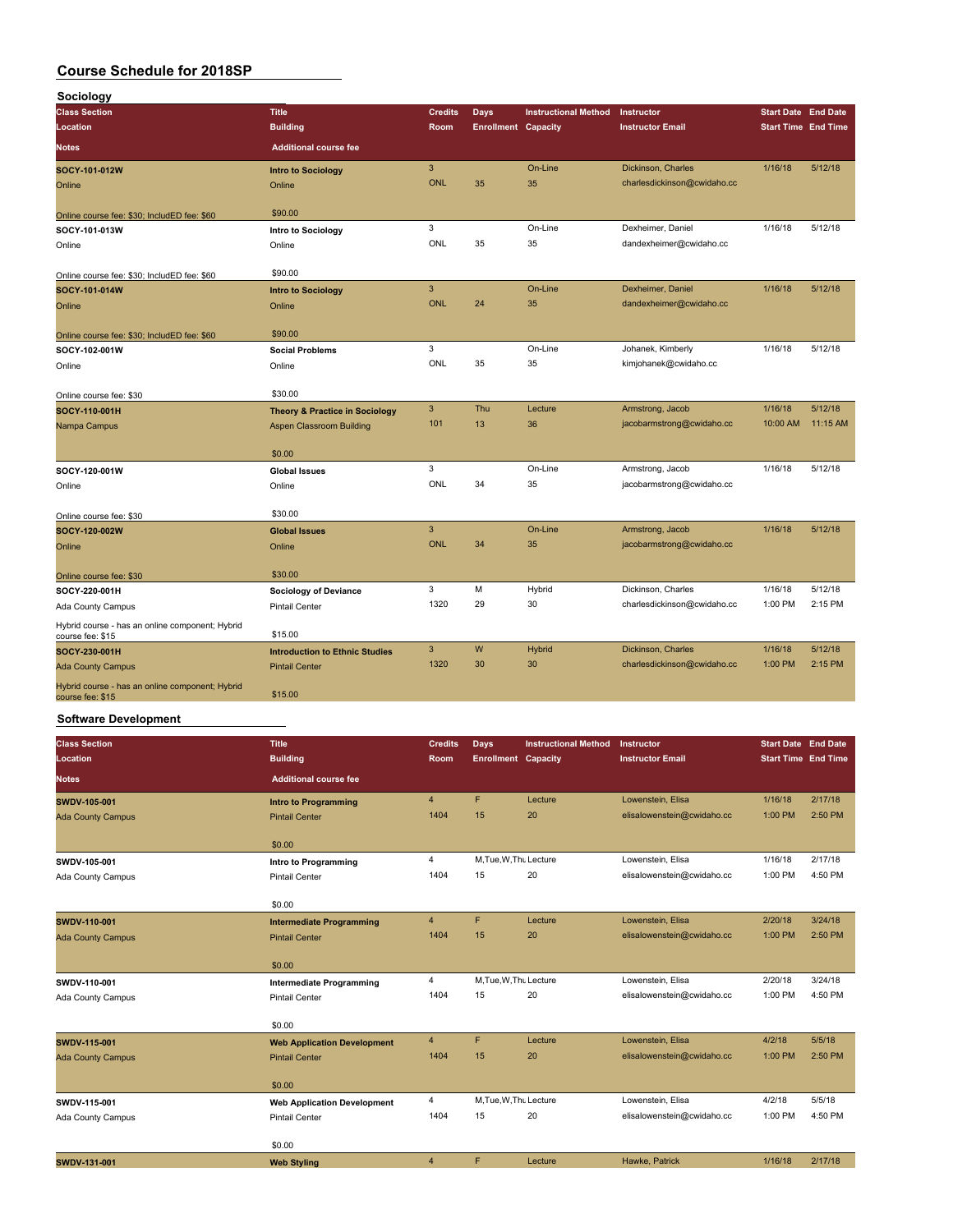| Sociology                                                           |                                           |                |                            |                             |                             |                            |          |
|---------------------------------------------------------------------|-------------------------------------------|----------------|----------------------------|-----------------------------|-----------------------------|----------------------------|----------|
| <b>Class Section</b>                                                | <b>Title</b>                              | <b>Credits</b> | <b>Days</b>                | <b>Instructional Method</b> | Instructor                  | <b>Start Date End Date</b> |          |
| Location                                                            | <b>Building</b>                           | Room           | <b>Enrollment Capacity</b> |                             | <b>Instructor Email</b>     | <b>Start Time End Time</b> |          |
| <b>Notes</b>                                                        | <b>Additional course fee</b>              |                |                            |                             |                             |                            |          |
| SOCY-101-012W                                                       | <b>Intro to Sociology</b>                 | 3              |                            | On-Line                     | Dickinson, Charles          | 1/16/18                    | 5/12/18  |
| Online                                                              | Online                                    | <b>ONL</b>     | 35                         | 35                          | charlesdickinson@cwidaho.cc |                            |          |
| Online course fee: \$30; IncludED fee: \$60                         | \$90.00                                   |                |                            |                             |                             |                            |          |
| SOCY-101-013W                                                       | Intro to Sociology                        | 3              |                            | On-Line                     | Dexheimer, Daniel           | 1/16/18                    | 5/12/18  |
| Online                                                              | Online                                    | ONL            | 35                         | 35                          | dandexheimer@cwidaho.cc     |                            |          |
| Online course fee: \$30; IncludED fee: \$60                         | \$90.00                                   |                |                            |                             |                             |                            |          |
| SOCY-101-014W                                                       | <b>Intro to Sociology</b>                 | 3              |                            | On-Line                     | Dexheimer, Daniel           | 1/16/18                    | 5/12/18  |
| Online                                                              | Online                                    | <b>ONL</b>     | 24                         | 35                          | dandexheimer@cwidaho.cc     |                            |          |
| Online course fee: \$30; IncludED fee: \$60                         | \$90.00                                   |                |                            |                             |                             |                            |          |
| SOCY-102-001W                                                       | <b>Social Problems</b>                    | 3              |                            | On-Line                     | Johanek, Kimberly           | 1/16/18                    | 5/12/18  |
| Online                                                              | Online                                    | <b>ONL</b>     | 35                         | 35                          | kimjohanek@cwidaho.cc       |                            |          |
| Online course fee: \$30                                             | \$30.00                                   |                |                            |                             |                             |                            |          |
| SOCY-110-001H                                                       | <b>Theory &amp; Practice in Sociology</b> | $\mathbf{3}$   | Thu                        | Lecture                     | Armstrong, Jacob            | 1/16/18                    | 5/12/18  |
| Nampa Campus                                                        | <b>Aspen Classroom Building</b>           | 101            | 13                         | 36                          | jacobarmstrong@cwidaho.cc   | 10:00 AM                   | 11:15 AM |
|                                                                     | \$0.00                                    |                |                            |                             |                             |                            |          |
| SOCY-120-001W                                                       | <b>Global Issues</b>                      | 3              |                            | On-Line                     | Armstrong, Jacob            | 1/16/18                    | 5/12/18  |
| Online                                                              | Online                                    | ONL            | 34                         | 35                          | jacobarmstrong@cwidaho.cc   |                            |          |
| Online course fee: \$30                                             | \$30.00                                   |                |                            |                             |                             |                            |          |
| SOCY-120-002W                                                       | <b>Global Issues</b>                      | 3              |                            | On-Line                     | Armstrong, Jacob            | 1/16/18                    | 5/12/18  |
| Online                                                              | Online                                    | <b>ONL</b>     | 34                         | 35                          | jacobarmstrong@cwidaho.cc   |                            |          |
| Online course fee: \$30                                             | \$30.00                                   |                |                            |                             |                             |                            |          |
| SOCY-220-001H                                                       | <b>Sociology of Deviance</b>              | 3              | M                          | Hybrid                      | Dickinson, Charles          | 1/16/18                    | 5/12/18  |
| Ada County Campus                                                   | <b>Pintail Center</b>                     | 1320           | 29                         | 30                          | charlesdickinson@cwidaho.cc | 1:00 PM                    | 2:15 PM  |
| Hybrid course - has an online component; Hybrid<br>course fee: \$15 | \$15.00                                   |                |                            |                             |                             |                            |          |
| SOCY-230-001H                                                       | <b>Introduction to Ethnic Studies</b>     | 3              | W                          | <b>Hybrid</b>               | Dickinson, Charles          | 1/16/18                    | 5/12/18  |
| <b>Ada County Campus</b>                                            | <b>Pintail Center</b>                     | 1320           | 30                         | 30                          | charlesdickinson@cwidaho.cc | 1:00 PM                    | 2:15 PM  |
| Hybrid course - has an online component; Hybrid<br>course fee: \$15 | \$15.00                                   |                |                            |                             |                             |                            |          |

### **Software Development**

| <b>Class Section</b>     | <b>Title</b>                       | <b>Credits</b> | Days                       | <b>Instructional Method</b> | Instructor                 | <b>Start Date</b> End Date |         |
|--------------------------|------------------------------------|----------------|----------------------------|-----------------------------|----------------------------|----------------------------|---------|
| Location                 | <b>Building</b>                    | Room           | <b>Enrollment Capacity</b> |                             | <b>Instructor Email</b>    | <b>Start Time End Time</b> |         |
| <b>Notes</b>             | <b>Additional course fee</b>       |                |                            |                             |                            |                            |         |
| SWDV-105-001             | <b>Intro to Programming</b>        | $\overline{4}$ | F.                         | Lecture                     | Lowenstein, Elisa          | 1/16/18                    | 2/17/18 |
| <b>Ada County Campus</b> | <b>Pintail Center</b>              | 1404           | 15                         | 20                          | elisalowenstein@cwidaho.cc | 1:00 PM                    | 2:50 PM |
|                          | \$0.00                             |                |                            |                             |                            |                            |         |
| SWDV-105-001             | Intro to Programming               | $\overline{4}$ | M, Tue, W, Thu Lecture     |                             | Lowenstein, Elisa          | 1/16/18                    | 2/17/18 |
| Ada County Campus        | <b>Pintail Center</b>              | 1404           | 15                         | 20                          | elisalowenstein@cwidaho.cc | 1:00 PM                    | 4:50 PM |
|                          | \$0.00                             |                |                            |                             |                            |                            |         |
| SWDV-110-001             | <b>Intermediate Programming</b>    | $\overline{4}$ | F                          | Lecture                     | Lowenstein, Elisa          | 2/20/18                    | 3/24/18 |
| <b>Ada County Campus</b> | <b>Pintail Center</b>              | 1404           | 15                         | 20                          | elisalowenstein@cwidaho.cc | 1:00 PM                    | 2:50 PM |
|                          | \$0.00                             |                |                            |                             |                            |                            |         |
| SWDV-110-001             | <b>Intermediate Programming</b>    | 4              | M, Tue, W, Thu Lecture     |                             | Lowenstein, Elisa          | 2/20/18                    | 3/24/18 |
| Ada County Campus        | <b>Pintail Center</b>              | 1404           | 15                         | 20                          | elisalowenstein@cwidaho.cc | 1:00 PM                    | 4:50 PM |
|                          | \$0.00                             |                |                            |                             |                            |                            |         |
| <b>SWDV-115-001</b>      | <b>Web Application Development</b> | $\overline{4}$ | F.                         | Lecture                     | Lowenstein, Elisa          | 4/2/18                     | 5/5/18  |
| <b>Ada County Campus</b> | <b>Pintail Center</b>              | 1404           | 15                         | 20                          | elisalowenstein@cwidaho.cc | 1:00 PM                    | 2:50 PM |
|                          | \$0.00                             |                |                            |                             |                            |                            |         |
| SWDV-115-001             | <b>Web Application Development</b> | 4              | M, Tue, W, Thu Lecture     |                             | Lowenstein, Elisa          | 4/2/18                     | 5/5/18  |
| Ada County Campus        | <b>Pintail Center</b>              | 1404           | 15                         | 20                          | elisalowenstein@cwidaho.cc | 1:00 PM                    | 4:50 PM |
|                          | \$0.00                             |                |                            |                             |                            |                            |         |
| SWDV-131-001             | <b>Web Styling</b>                 | $\overline{4}$ | F                          | Lecture                     | Hawke, Patrick             | 1/16/18                    | 2/17/18 |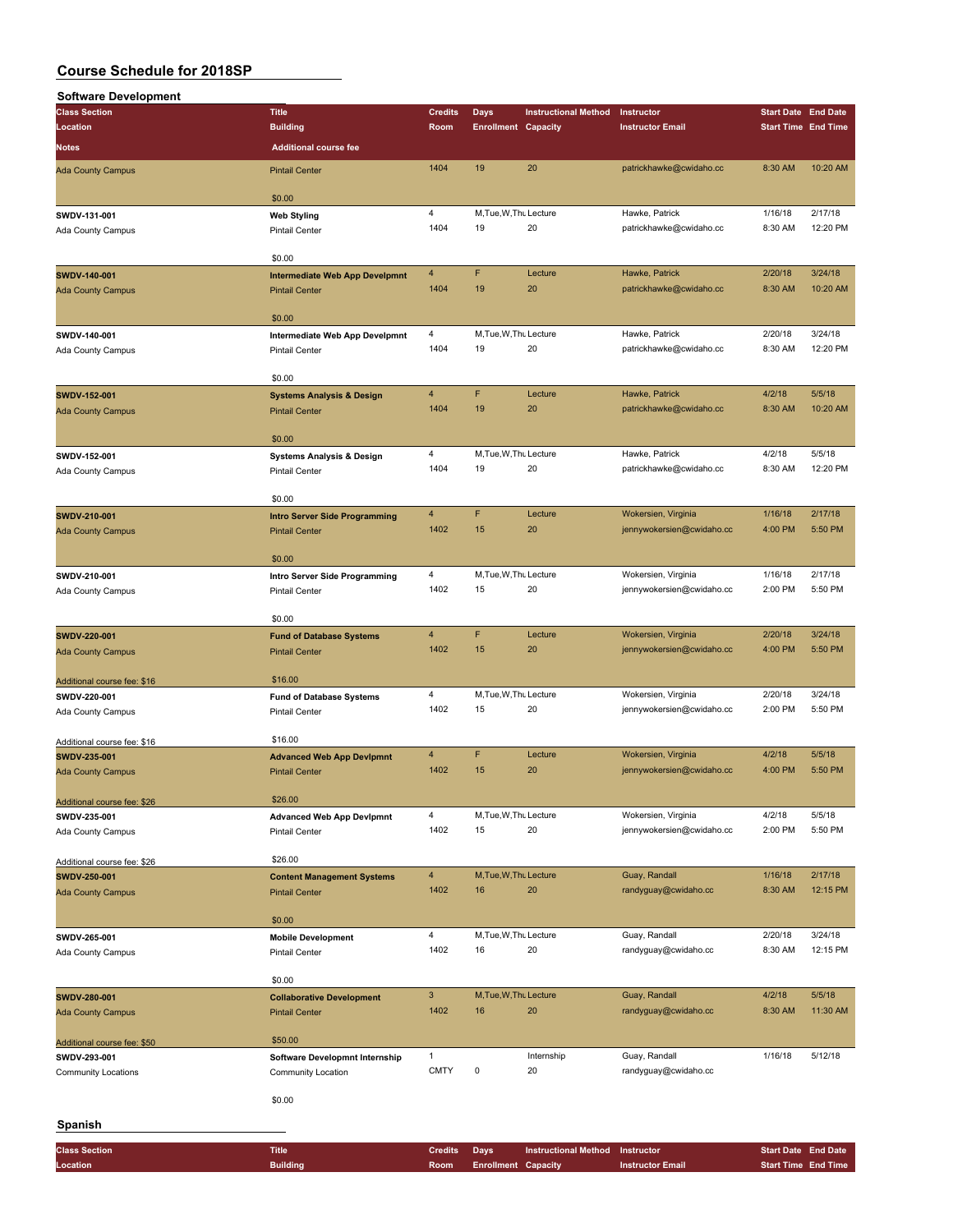| <b>Software Development</b> |                                       |                |                            |                             |                           |                            |                            |
|-----------------------------|---------------------------------------|----------------|----------------------------|-----------------------------|---------------------------|----------------------------|----------------------------|
| <b>Class Section</b>        | <b>Title</b>                          | <b>Credits</b> | Days                       | <b>Instructional Method</b> | Instructor                | <b>Start Date End Date</b> |                            |
| Location                    | <b>Building</b>                       | Room           | <b>Enrollment Capacity</b> |                             | <b>Instructor Email</b>   |                            | <b>Start Time End Time</b> |
|                             | <b>Additional course fee</b>          |                |                            |                             |                           |                            |                            |
| Notes                       |                                       |                |                            |                             |                           |                            |                            |
| <b>Ada County Campus</b>    | <b>Pintail Center</b>                 | 1404           | 19                         | 20                          | patrickhawke@cwidaho.cc   | 8:30 AM                    | 10:20 AM                   |
|                             |                                       |                |                            |                             |                           |                            |                            |
|                             | \$0.00                                |                |                            |                             |                           |                            |                            |
| SWDV-131-001                | <b>Web Styling</b>                    | 4              | M, Tue, W, Thu Lecture     |                             | Hawke, Patrick            | 1/16/18                    | 2/17/18                    |
| Ada County Campus           | <b>Pintail Center</b>                 | 1404           | 19                         | 20                          | patrickhawke@cwidaho.cc   | 8:30 AM                    | 12:20 PM                   |
|                             |                                       |                |                            |                             |                           |                            |                            |
|                             | \$0.00                                |                |                            |                             |                           |                            |                            |
| SWDV-140-001                | <b>Intermediate Web App Develpmnt</b> | 4              | F                          | Lecture                     | Hawke, Patrick            | 2/20/18                    | 3/24/18                    |
| <b>Ada County Campus</b>    | <b>Pintail Center</b>                 | 1404           | 19                         | 20                          | patrickhawke@cwidaho.cc   | 8:30 AM                    | 10:20 AM                   |
|                             |                                       |                |                            |                             |                           |                            |                            |
|                             | \$0.00                                |                |                            |                             |                           |                            |                            |
|                             |                                       | 4              | M, Tue, W, Thu Lecture     |                             | Hawke, Patrick            | 2/20/18                    | 3/24/18                    |
| SWDV-140-001                | Intermediate Web App Develpmnt        | 1404           | 19                         | 20                          | patrickhawke@cwidaho.cc   | 8:30 AM                    | 12:20 PM                   |
| Ada County Campus           | <b>Pintail Center</b>                 |                |                            |                             |                           |                            |                            |
|                             | \$0.00                                |                |                            |                             |                           |                            |                            |
|                             |                                       |                |                            |                             |                           |                            |                            |
| SWDV-152-001                | <b>Systems Analysis &amp; Design</b>  | $\overline{4}$ | F                          | Lecture                     | Hawke, Patrick            | 4/2/18                     | 5/5/18                     |
| <b>Ada County Campus</b>    | <b>Pintail Center</b>                 | 1404           | 19                         | 20                          | patrickhawke@cwidaho.cc   | 8:30 AM                    | 10:20 AM                   |
|                             |                                       |                |                            |                             |                           |                            |                            |
|                             | \$0.00                                |                |                            |                             |                           |                            |                            |
| SWDV-152-001                | <b>Systems Analysis &amp; Design</b>  | 4              | M, Tue, W, Thu Lecture     |                             | Hawke, Patrick            | 4/2/18                     | 5/5/18                     |
| Ada County Campus           | <b>Pintail Center</b>                 | 1404           | 19                         | 20                          | patrickhawke@cwidaho.cc   | 8:30 AM                    | 12:20 PM                   |
|                             |                                       |                |                            |                             |                           |                            |                            |
|                             | \$0.00                                |                |                            |                             |                           |                            |                            |
| SWDV-210-001                | <b>Intro Server Side Programming</b>  | $\overline{4}$ | F                          | Lecture                     | Wokersien, Virginia       | 1/16/18                    | 2/17/18                    |
| <b>Ada County Campus</b>    | <b>Pintail Center</b>                 | 1402           | 15                         | 20                          | jennywokersien@cwidaho.cc | 4:00 PM                    | 5:50 PM                    |
|                             |                                       |                |                            |                             |                           |                            |                            |
|                             | \$0.00                                |                |                            |                             |                           |                            |                            |
| SWDV-210-001                | Intro Server Side Programming         | 4              | M, Tue, W, Thu Lecture     |                             | Wokersien, Virginia       | 1/16/18                    | 2/17/18                    |
| Ada County Campus           | <b>Pintail Center</b>                 | 1402           | 15                         | 20                          | jennywokersien@cwidaho.cc | 2:00 PM                    | 5:50 PM                    |
|                             |                                       |                |                            |                             |                           |                            |                            |
|                             | \$0.00                                |                |                            |                             |                           |                            |                            |
| SWDV-220-001                | <b>Fund of Database Systems</b>       | $\overline{4}$ | F                          | Lecture                     | Wokersien, Virginia       | 2/20/18                    | 3/24/18                    |
|                             |                                       | 1402           | 15                         | 20                          | jennywokersien@cwidaho.cc | 4:00 PM                    | 5:50 PM                    |
| <b>Ada County Campus</b>    | <b>Pintail Center</b>                 |                |                            |                             |                           |                            |                            |
|                             | \$16.00                               |                |                            |                             |                           |                            |                            |
| Additional course fee: \$16 |                                       |                |                            |                             |                           |                            |                            |
| SWDV-220-001                | <b>Fund of Database Systems</b>       | 4              | M, Tue, W, Thu Lecture     |                             | Wokersien, Virginia       | 2/20/18                    | 3/24/18                    |
| Ada County Campus           | <b>Pintail Center</b>                 | 1402           | 15                         | 20                          | jennywokersien@cwidaho.cc | 2:00 PM                    | 5:50 PM                    |
|                             |                                       |                |                            |                             |                           |                            |                            |
| Additional course fee: \$16 | \$16.00                               |                |                            |                             |                           |                            |                            |
| SWDV-235-001                | <b>Advanced Web App Devipmnt</b>      | $\overline{4}$ | F                          | Lecture                     | Wokersien, Virginia       | 4/2/18                     | 5/5/18                     |
| <b>Ada County Campus</b>    | <b>Pintail Center</b>                 | 1402           | 15                         | 20                          | jennywokersien@cwidaho.cc | 4:00 PM                    | 5:50 PM                    |
|                             |                                       |                |                            |                             |                           |                            |                            |
| Additional course fee: \$26 | \$26.00                               |                |                            |                             |                           |                            |                            |
| SWDV-235-001                | <b>Advanced Web App Devipmnt</b>      | 4              | M, Tue, W, Thu Lecture     |                             | Wokersien, Virginia       | 4/2/18                     | 5/5/18                     |
| Ada County Campus           | <b>Pintail Center</b>                 | 1402           | 15                         | 20                          | jennywokersien@cwidaho.cc | 2:00 PM                    | 5:50 PM                    |
|                             |                                       |                |                            |                             |                           |                            |                            |
| Additional course fee: \$26 | \$26.00                               |                |                            |                             |                           |                            |                            |
| SWDV-250-001                | <b>Content Management Systems</b>     | $\overline{4}$ | M, Tue, W, Thu Lecture     |                             | Guay, Randall             | 1/16/18                    | 2/17/18                    |
| <b>Ada County Campus</b>    | <b>Pintail Center</b>                 | 1402           | 16                         | 20                          | randyguay@cwidaho.cc      | 8:30 AM                    | 12:15 PM                   |
|                             |                                       |                |                            |                             |                           |                            |                            |
|                             | \$0.00                                |                |                            |                             |                           |                            |                            |
| SWDV-265-001                | <b>Mobile Development</b>             | 4              | M, Tue, W, Thu Lecture     |                             | Guay, Randall             | 2/20/18                    | 3/24/18                    |
| Ada County Campus           | Pintail Center                        | 1402           | 16                         | 20                          | randyguay@cwidaho.cc      | 8:30 AM                    | 12:15 PM                   |
|                             |                                       |                |                            |                             |                           |                            |                            |
|                             | \$0.00                                |                |                            |                             |                           |                            |                            |
| SWDV-280-001                | <b>Collaborative Development</b>      | 3              | M, Tue, W, Thu Lecture     |                             | Guay, Randall             | 4/2/18                     | 5/5/18                     |
|                             |                                       | 1402           | 16                         | 20                          | randyguay@cwidaho.cc      | 8:30 AM                    | 11:30 AM                   |
| <b>Ada County Campus</b>    | <b>Pintail Center</b>                 |                |                            |                             |                           |                            |                            |
|                             | \$50.00                               |                |                            |                             |                           |                            |                            |
| Additional course fee: \$50 |                                       |                |                            |                             |                           |                            |                            |
| SWDV-293-001                | <b>Software Developmnt Internship</b> | 1              |                            | Internship                  | Guay, Randall             | 1/16/18                    | 5/12/18                    |
| <b>Community Locations</b>  | Community Location                    | <b>CMTY</b>    | 0                          | 20                          | randyguay@cwidaho.cc      |                            |                            |
|                             |                                       |                |                            |                             |                           |                            |                            |
|                             | \$0.00                                |                |                            |                             |                           |                            |                            |
| Spanish                     |                                       |                |                            |                             |                           |                            |                            |
|                             |                                       |                |                            |                             |                           |                            |                            |
| <b>Class Section</b>        | <b>Title</b>                          | <b>Credits</b> | Days                       | <b>Instructional Method</b> | Instructor                | <b>Start Date End Date</b> |                            |
| Location                    | <b>Building</b>                       | Room           | <b>Enrollment Capacity</b> |                             | <b>Instructor Email</b>   |                            | <b>Start Time End Time</b> |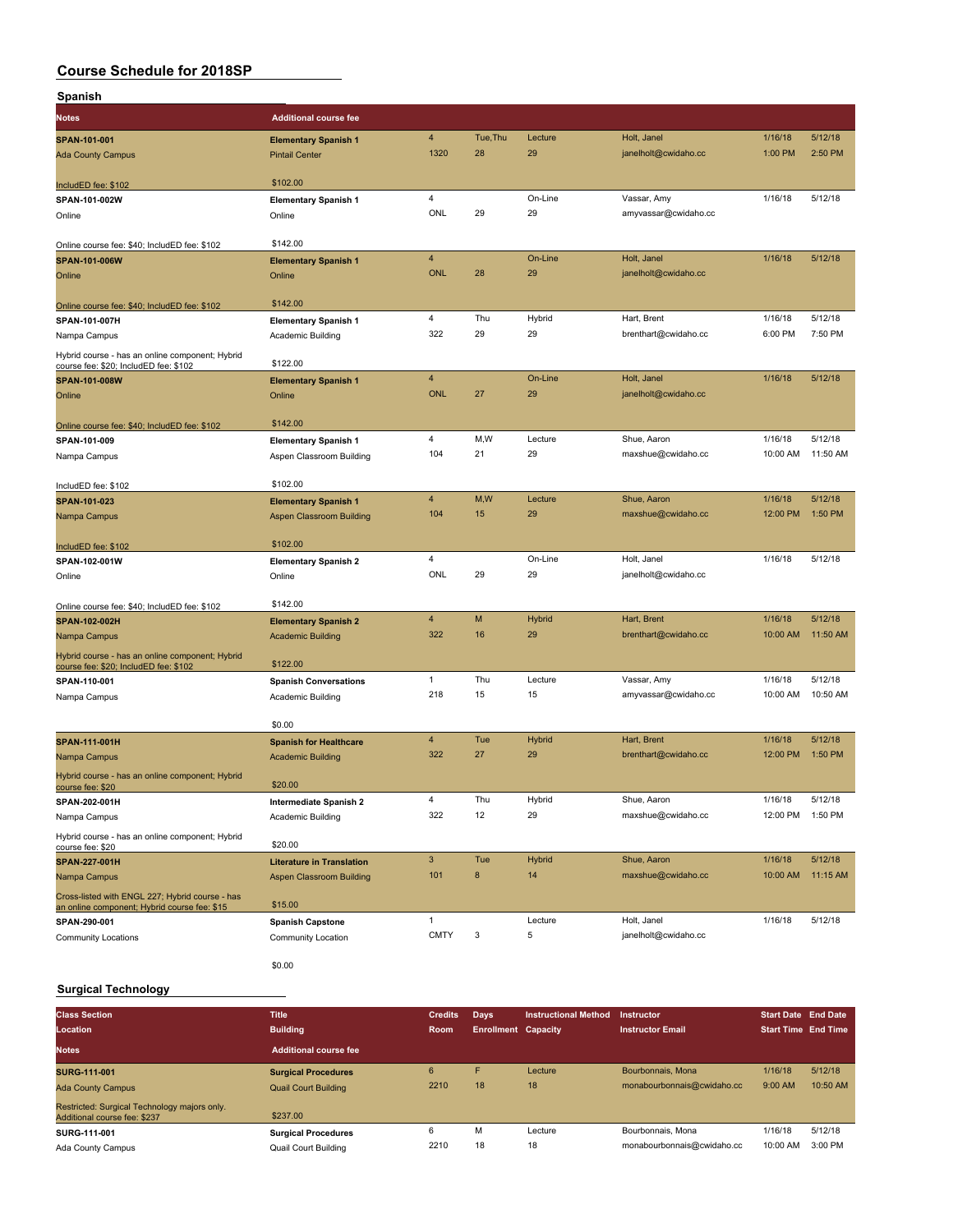| Spanish                                                                                         |                                                           |                         |           |                     |                                     |                     |                    |
|-------------------------------------------------------------------------------------------------|-----------------------------------------------------------|-------------------------|-----------|---------------------|-------------------------------------|---------------------|--------------------|
| <b>Notes</b>                                                                                    | <b>Additional course fee</b>                              |                         |           |                     |                                     |                     |                    |
| SPAN-101-001                                                                                    | <b>Elementary Spanish 1</b>                               | $\overline{4}$          | Tue, Thu  | Lecture             | Holt, Janel                         | 1/16/18             | 5/12/18            |
| <b>Ada County Campus</b>                                                                        | <b>Pintail Center</b>                                     | 1320                    | 28        | 29                  | janelholt@cwidaho.cc                | 1:00 PM             | 2:50 PM            |
| IncludED fee: \$102                                                                             | \$102.00                                                  |                         |           |                     |                                     |                     |                    |
| SPAN-101-002W                                                                                   | <b>Elementary Spanish 1</b>                               | 4                       |           | On-Line             | Vassar, Amy                         | 1/16/18             | 5/12/18            |
| Online                                                                                          | Online                                                    | ONL                     | 29        | 29                  | amyvassar@cwidaho.cc                |                     |                    |
| Online course fee: \$40; IncludED fee: \$102                                                    | \$142.00                                                  |                         |           |                     |                                     |                     |                    |
| SPAN-101-006W                                                                                   | <b>Elementary Spanish 1</b>                               | 4                       |           | On-Line             | Holt, Janel                         | 1/16/18             | 5/12/18            |
| Online                                                                                          | Online                                                    | <b>ONL</b>              | 28        | 29                  | janelholt@cwidaho.cc                |                     |                    |
| Online course fee: \$40; IncludED fee: \$102                                                    | \$142.00                                                  |                         |           |                     |                                     |                     |                    |
| SPAN-101-007H                                                                                   | <b>Elementary Spanish 1</b>                               | 4                       | Thu       | Hybrid              | Hart, Brent                         | 1/16/18             | 5/12/18            |
| Nampa Campus                                                                                    | Academic Building                                         | 322                     | 29        | 29                  | brenthart@cwidaho.cc                | 6:00 PM             | 7:50 PM            |
| Hybrid course - has an online component; Hybrid<br>course fee: \$20; IncludED fee: \$102        | \$122.00                                                  |                         |           |                     |                                     |                     |                    |
| SPAN-101-008W                                                                                   | <b>Elementary Spanish 1</b>                               | 4                       |           | On-Line             | Holt, Janel                         | 1/16/18             | 5/12/18            |
| Online                                                                                          | Online                                                    | <b>ONL</b>              | 27        | 29                  | janelholt@cwidaho.cc                |                     |                    |
| Online course fee: \$40; IncludED fee: \$102                                                    | \$142.00                                                  |                         |           |                     |                                     |                     |                    |
| SPAN-101-009                                                                                    | <b>Elementary Spanish 1</b>                               | 4                       | M,W       | Lecture             | Shue, Aaron                         | 1/16/18             | 5/12/18            |
| Nampa Campus                                                                                    | Aspen Classroom Building                                  | 104                     | 21        | 29                  | maxshue@cwidaho.cc                  | 10:00 AM            | 11:50 AM           |
| IncludED fee: \$102                                                                             | \$102.00                                                  |                         |           |                     |                                     |                     |                    |
| SPAN-101-023                                                                                    | <b>Elementary Spanish 1</b>                               | $\overline{\mathbf{4}}$ | M,W       | Lecture             | Shue, Aaron                         | 1/16/18             | 5/12/18            |
| Nampa Campus                                                                                    | Aspen Classroom Building                                  | 104                     | 15        | 29                  | maxshue@cwidaho.cc                  | 12:00 PM            | 1:50 PM            |
| IncludED fee: \$102                                                                             | \$102.00                                                  |                         |           |                     |                                     |                     |                    |
| SPAN-102-001W                                                                                   | <b>Elementary Spanish 2</b>                               | 4                       |           | On-Line             | Holt, Janel                         | 1/16/18             | 5/12/18            |
| Online                                                                                          | Online                                                    | ONL                     | 29        | 29                  | janelholt@cwidaho.cc                |                     |                    |
| Online course fee: \$40; IncludED fee: \$102                                                    | \$142.00                                                  |                         |           |                     |                                     |                     |                    |
| SPAN-102-002H                                                                                   | <b>Elementary Spanish 2</b>                               | 4                       | M         | Hybrid              | Hart, Brent                         | 1/16/18             | 5/12/18            |
| Nampa Campus                                                                                    | <b>Academic Building</b>                                  | 322                     | 16        | 29                  | brenthart@cwidaho.cc                | 10:00 AM            | 11:50 AM           |
| Hybrid course - has an online component; Hybrid<br>course fee: \$20; IncludED fee: \$102        | \$122.00                                                  |                         |           |                     |                                     |                     |                    |
| SPAN-110-001                                                                                    | <b>Spanish Conversations</b>                              | $\mathbf{1}$            | Thu       | Lecture             | Vassar, Amy                         | 1/16/18             | 5/12/18            |
| Nampa Campus                                                                                    | Academic Building                                         | 218                     | 15        | 15                  | amyvassar@cwidaho.cc                | 10:00 AM            | 10:50 AM           |
|                                                                                                 | \$0.00                                                    |                         |           |                     |                                     |                     |                    |
| SPAN-111-001H<br>Nampa Campus                                                                   | <b>Spanish for Healthcare</b><br><b>Academic Building</b> | $\overline{4}$<br>322   | Tue<br>27 | <b>Hybrid</b><br>29 | Hart, Brent<br>brenthart@cwidaho.cc | 1/16/18<br>12:00 PM | 5/12/18<br>1:50 PM |
| Hybrid course - has an online component; Hybrid<br>course fee: \$20                             | \$20.00                                                   |                         |           |                     |                                     |                     |                    |
| SPAN-202-001H                                                                                   | Intermediate Spanish 2                                    | 4                       | Thu       | Hybrid              | Shue, Aaron                         | 1/16/18             | 5/12/18            |
| Nampa Campus                                                                                    | Academic Building                                         | 322                     | 12        | 29                  | maxshue@cwidaho.cc                  | 12:00 PM            | 1:50 PM            |
| Hybrid course - has an online component; Hybrid<br>course fee: \$20                             | \$20.00                                                   |                         |           |                     |                                     |                     |                    |
| SPAN-227-001H                                                                                   | <b>Literature in Translation</b>                          | 3                       | Tue       | <b>Hybrid</b>       | Shue, Aaron                         | 1/16/18             | 5/12/18            |
| Nampa Campus                                                                                    | Aspen Classroom Building                                  | 101                     | 8         | 14                  | maxshue@cwidaho.cc                  | 10:00 AM            | 11:15 AM           |
| Cross-listed with ENGL 227; Hybrid course - has<br>an online component; Hybrid course fee: \$15 | \$15.00                                                   |                         |           |                     |                                     |                     |                    |
| SPAN-290-001                                                                                    | <b>Spanish Capstone</b>                                   | $\mathbf{1}$            |           | Lecture             | Holt, Janel                         | 1/16/18             | 5/12/18            |
| <b>Community Locations</b>                                                                      | Community Location                                        | <b>CMTY</b>             | 3         | 5                   | janelholt@cwidaho.cc                |                     |                    |
|                                                                                                 | \$0.00                                                    |                         |           |                     |                                     |                     |                    |

#### **Surgical Technology**

| <b>Class Section</b><br>Location                                             | <b>Title</b><br><b>Building</b> | <b>Credits</b><br><b>Room</b> | Days<br><b>Enrollment Capacity</b> | <b>Instructional Method</b> | Instructor<br><b>Instructor Email</b> | <b>Start Date End Date</b><br><b>Start Time End Time</b> |          |
|------------------------------------------------------------------------------|---------------------------------|-------------------------------|------------------------------------|-----------------------------|---------------------------------------|----------------------------------------------------------|----------|
| <b>Notes</b>                                                                 | Additional course fee           |                               |                                    |                             |                                       |                                                          |          |
| <b>SURG-111-001</b>                                                          | <b>Surgical Procedures</b>      | 6                             | F                                  | Lecture                     | Bourbonnais, Mona                     | 1/16/18                                                  | 5/12/18  |
| <b>Ada County Campus</b>                                                     | <b>Quail Court Building</b>     | 2210                          | 18                                 | 18                          | monabourbonnais@cwidaho.cc            | 9:00 AM                                                  | 10:50 AM |
| Restricted: Surgical Technology majors only.<br>Additional course fee: \$237 | \$237.00                        |                               |                                    |                             |                                       |                                                          |          |
| SURG-111-001                                                                 | <b>Surgical Procedures</b>      | 6                             | M                                  | Lecture                     | Bourbonnais, Mona                     | 1/16/18                                                  | 5/12/18  |
| Ada County Campus                                                            | Quail Court Building            | 2210                          | 18                                 | 18                          | monabourbonnais@cwidaho.cc            | 10:00 AM                                                 | 3:00 PM  |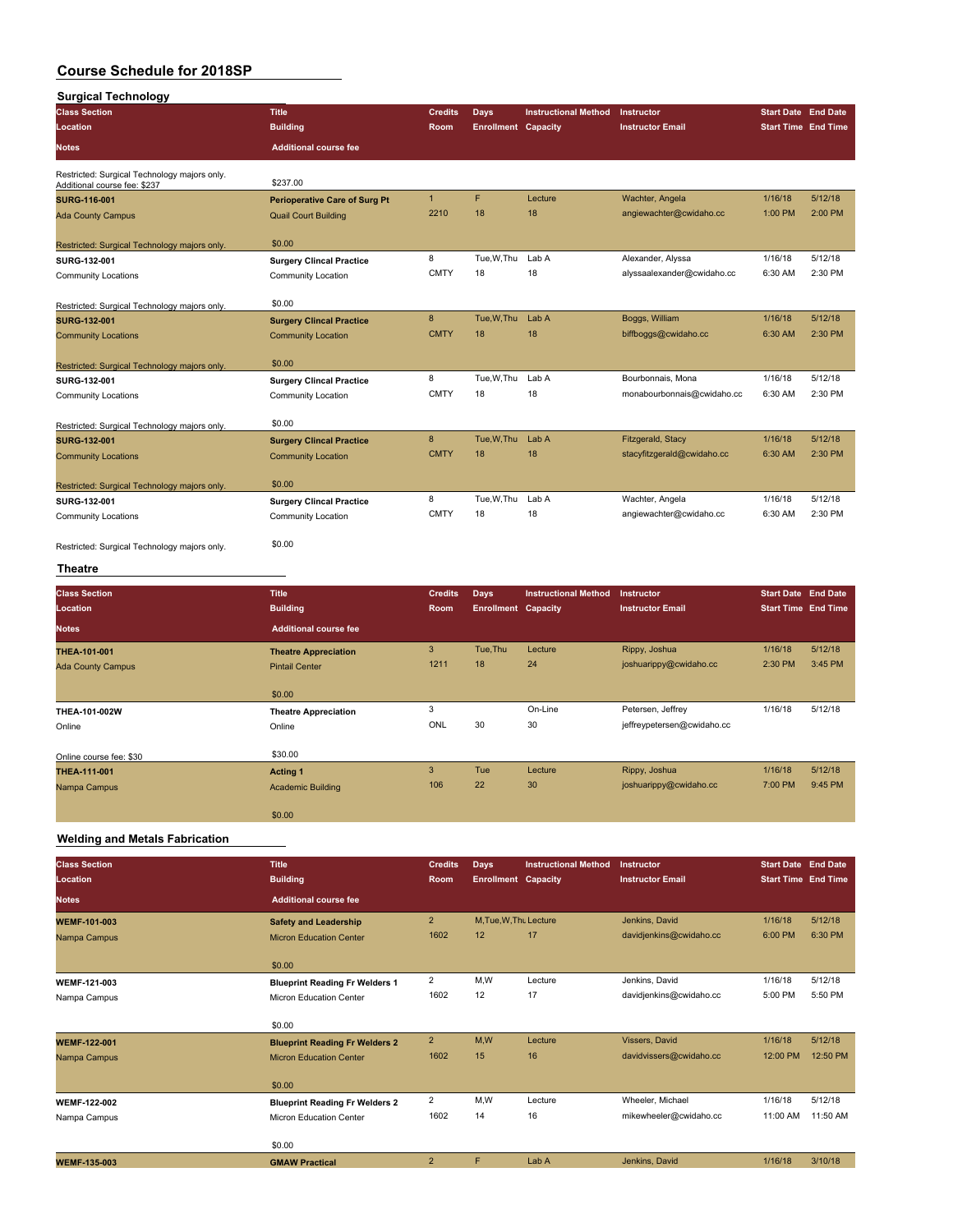| <b>Surgical Technology</b>                                                   |                                      |                           |                            |                             |                            |                            |         |
|------------------------------------------------------------------------------|--------------------------------------|---------------------------|----------------------------|-----------------------------|----------------------------|----------------------------|---------|
| <b>Class Section</b>                                                         | <b>Title</b>                         | <b>Credits</b>            | <b>Days</b>                | <b>Instructional Method</b> | Instructor                 | <b>Start Date End Date</b> |         |
| Location                                                                     | <b>Building</b>                      | Room                      | <b>Enrollment Capacity</b> |                             | <b>Instructor Email</b>    | <b>Start Time End Time</b> |         |
| <b>Notes</b>                                                                 | <b>Additional course fee</b>         |                           |                            |                             |                            |                            |         |
| Restricted: Surgical Technology majors only.<br>Additional course fee: \$237 | \$237.00                             |                           |                            |                             |                            |                            |         |
| <b>SURG-116-001</b>                                                          | <b>Perioperative Care of Surg Pt</b> | $\overline{1}$            | F                          | Lecture                     | Wachter, Angela            | 1/16/18                    | 5/12/18 |
| <b>Ada County Campus</b>                                                     | <b>Quail Court Building</b>          | 2210                      | 18                         | 18                          | angiewachter@cwidaho.cc    | 1:00 PM                    | 2:00 PM |
|                                                                              |                                      |                           |                            |                             |                            |                            |         |
| Restricted: Surgical Technology majors only.                                 | \$0.00                               |                           |                            |                             |                            |                            |         |
| SURG-132-001                                                                 | <b>Surgery Clincal Practice</b>      | 8                         | Tue, W, Thu                | Lab A                       | Alexander, Alyssa          | 1/16/18                    | 5/12/18 |
| <b>Community Locations</b>                                                   | Community Location                   | <b>CMTY</b>               | 18                         | 18                          | alyssaalexander@cwidaho.cc | 6:30 AM                    | 2:30 PM |
| Restricted: Surgical Technology majors only.                                 | \$0.00                               |                           |                            |                             |                            |                            |         |
| <b>SURG-132-001</b>                                                          | <b>Surgery Clincal Practice</b>      | $\bf 8$                   | Tue, W, Thu                | Lab A                       | Boggs, William             | 1/16/18                    | 5/12/18 |
| <b>Community Locations</b>                                                   | <b>Community Location</b>            | <b>CMTY</b>               | 18                         | 18                          | biffboggs@cwidaho.cc       | 6:30 AM                    | 2:30 PM |
|                                                                              |                                      |                           |                            |                             |                            |                            |         |
| Restricted: Surgical Technology majors only                                  | \$0.00                               |                           |                            |                             |                            |                            |         |
| SURG-132-001                                                                 | <b>Surgery Clincal Practice</b>      | 8                         | Tue, W, Thu                | Lab A                       | Bourbonnais, Mona          | 1/16/18                    | 5/12/18 |
| <b>Community Locations</b>                                                   | Community Location                   | <b>CMTY</b>               | 18                         | 18                          | monabourbonnais@cwidaho.cc | 6:30 AM                    | 2:30 PM |
| Restricted: Surgical Technology majors only.                                 | \$0.00                               |                           |                            |                             |                            |                            |         |
| <b>SURG-132-001</b>                                                          | <b>Surgery Clincal Practice</b>      | $\bf8$                    | Tue, W, Thu                | Lab A                       | Fitzgerald, Stacy          | 1/16/18                    | 5/12/18 |
| <b>Community Locations</b>                                                   | <b>Community Location</b>            | <b>CMTY</b>               | 18                         | 18                          | stacyfitzgerald@cwidaho.cc | 6:30 AM                    | 2:30 PM |
| Restricted: Surgical Technology majors only.                                 | \$0.00                               |                           |                            |                             |                            |                            |         |
| SURG-132-001                                                                 | <b>Surgery Clincal Practice</b>      | 8                         | Tue, W, Thu                | Lab A                       | Wachter, Angela            | 1/16/18                    | 5/12/18 |
| <b>Community Locations</b>                                                   | Community Location                   | <b>CMTY</b>               | 18                         | 18                          | angiewachter@cwidaho.cc    | 6:30 AM                    | 2:30 PM |
|                                                                              |                                      |                           |                            |                             |                            |                            |         |
| Restricted: Surgical Technology majors only.                                 | \$0.00                               |                           |                            |                             |                            |                            |         |
| <b>Theatre</b>                                                               |                                      |                           |                            |                             |                            |                            |         |
| <b>Class Section</b>                                                         | <b>Title</b>                         | <b>Credits</b>            | <b>Days</b>                | <b>Instructional Method</b> | Instructor                 | <b>Start Date End Date</b> |         |
| Location                                                                     | <b>Building</b>                      | Room                      | <b>Enrollment Capacity</b> |                             | <b>Instructor Email</b>    | <b>Start Time End Time</b> |         |
| <b>Notes</b>                                                                 | <b>Additional course fee</b>         |                           |                            |                             |                            |                            |         |
| THEA-101-001                                                                 | <b>Theatre Appreciation</b>          | $\ensuremath{\mathsf{3}}$ | Tue, Thu                   | Lecture                     | Rippy, Joshua              | 1/16/18                    | 5/12/18 |
| <b>Ada County Campus</b>                                                     | <b>Pintail Center</b>                | 1211                      | 18                         | 24                          | joshuarippy@cwidaho.cc     | 2:30 PM                    | 3:45 PM |
|                                                                              |                                      |                           |                            |                             |                            |                            |         |
|                                                                              | \$0.00                               |                           |                            |                             |                            |                            |         |
| THEA-101-002W                                                                | <b>Theatre Appreciation</b>          | 3                         |                            | On-Line                     | Petersen, Jeffrey          | 1/16/18                    | 5/12/18 |
| Online                                                                       | Online                               | ONL                       | 30                         | 30                          | jeffreypetersen@cwidaho.cc |                            |         |
| Online course fee: \$30                                                      | \$30.00                              |                           |                            |                             |                            |                            |         |
| THEA-111-001                                                                 | <b>Acting 1</b>                      | $\overline{3}$            | Tue                        | Lecture                     | Rippy, Joshua              | 1/16/18                    | 5/12/18 |
| Nampa Campus                                                                 | <b>Academic Building</b>             | 106                       | 22                         | 30                          | joshuarippy@cwidaho.cc     | 7:00 PM                    | 9:45 PM |
|                                                                              |                                      |                           |                            |                             |                            |                            |         |
|                                                                              | \$0.00                               |                           |                            |                             |                            |                            |         |

### **Welding and Metals Fabrication**

| <b>Class Section</b> | <b>Title</b>                          | <b>Credits</b> | <b>Days</b>                | <b>Instructional Method</b> | Instructor              | <b>Start Date End Date</b> |          |
|----------------------|---------------------------------------|----------------|----------------------------|-----------------------------|-------------------------|----------------------------|----------|
| Location             | <b>Building</b>                       | <b>Room</b>    | <b>Enrollment Capacity</b> |                             | <b>Instructor Email</b> | <b>Start Time End Time</b> |          |
| <b>Notes</b>         | <b>Additional course fee</b>          |                |                            |                             |                         |                            |          |
| <b>WEMF-101-003</b>  | <b>Safety and Leadership</b>          | $\overline{2}$ | M.Tue.W.Tht Lecture        |                             | Jenkins, David          | 1/16/18                    | 5/12/18  |
| Nampa Campus         | <b>Micron Education Center</b>        | 1602           | 12                         | 17                          | davidjenkins@cwidaho.cc | 6:00 PM                    | 6:30 PM  |
|                      | \$0.00                                |                |                            |                             |                         |                            |          |
| <b>WEMF-121-003</b>  | <b>Blueprint Reading Fr Welders 1</b> | $\overline{2}$ | M,W                        | Lecture                     | Jenkins, David          | 1/16/18                    | 5/12/18  |
| Nampa Campus         | Micron Education Center               | 1602           | 12                         | 17                          | davidjenkins@cwidaho.cc | 5:00 PM                    | 5:50 PM  |
|                      | \$0.00                                |                |                            |                             |                         |                            |          |
| <b>WEMF-122-001</b>  | <b>Blueprint Reading Fr Welders 2</b> | $\overline{2}$ | M,W                        | Lecture                     | Vissers, David          | 1/16/18                    | 5/12/18  |
| Nampa Campus         | <b>Micron Education Center</b>        | 1602           | 15                         | 16                          | davidvissers@cwidaho.cc | 12:00 PM                   | 12:50 PM |
|                      | \$0.00                                |                |                            |                             |                         |                            |          |
| <b>WEMF-122-002</b>  | <b>Blueprint Reading Fr Welders 2</b> | $\overline{2}$ | M,W                        | Lecture                     | Wheeler, Michael        | 1/16/18                    | 5/12/18  |
| Nampa Campus         | Micron Education Center               | 1602           | 14                         | 16                          | mikewheeler@cwidaho.cc  | 11:00 AM                   | 11:50 AM |
|                      | \$0.00                                |                |                            |                             |                         |                            |          |
| <b>WEMF-135-003</b>  | <b>GMAW Practical</b>                 | $\overline{2}$ | F                          | Lab A                       | Jenkins, David          | 1/16/18                    | 3/10/18  |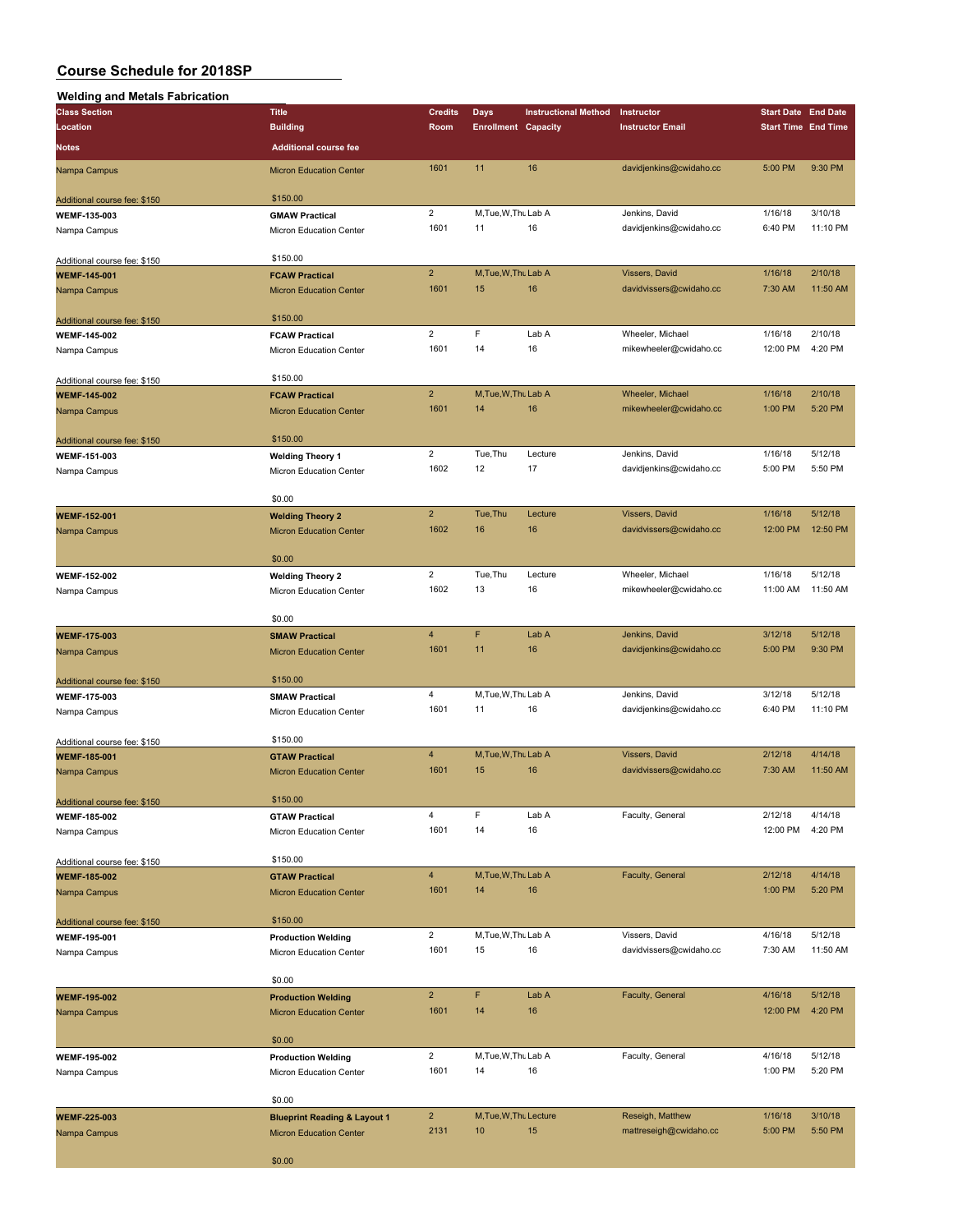|  | Walding and Matale Fahrication |  |
|--|--------------------------------|--|

| <b>Welding and Metals Fabrication</b> |                                         |                |                            |                             |                         |                            |          |
|---------------------------------------|-----------------------------------------|----------------|----------------------------|-----------------------------|-------------------------|----------------------------|----------|
| <b>Class Section</b>                  | <b>Title</b>                            | <b>Credits</b> | <b>Days</b>                | <b>Instructional Method</b> | Instructor              | <b>Start Date End Date</b> |          |
| Location                              | <b>Building</b>                         | Room           | <b>Enrollment Capacity</b> |                             | <b>Instructor Email</b> | <b>Start Time End Time</b> |          |
| Notes                                 | <b>Additional course fee</b>            |                |                            |                             |                         |                            |          |
|                                       |                                         |                |                            |                             |                         |                            |          |
| Nampa Campus                          | <b>Micron Education Center</b>          | 1601           | 11                         | 16                          | davidjenkins@cwidaho.cc | 5:00 PM                    | 9:30 PM  |
|                                       |                                         |                |                            |                             |                         |                            |          |
| Additional course fee: \$150          | \$150.00                                |                |                            |                             |                         |                            |          |
| WEMF-135-003                          | <b>GMAW Practical</b>                   | $\overline{2}$ | M, Tue, W, Thu Lab A       |                             | Jenkins, David          | 1/16/18                    | 3/10/18  |
| Nampa Campus                          | Micron Education Center                 | 1601           | 11                         | 16                          | davidjenkins@cwidaho.cc | 6:40 PM                    | 11:10 PM |
|                                       |                                         |                |                            |                             |                         |                            |          |
| Additional course fee: \$150          | \$150.00                                |                |                            |                             |                         |                            |          |
| <b>WEMF-145-001</b>                   | <b>FCAW Practical</b>                   | $\overline{2}$ | M, Tue, W, Thu Lab A       |                             | Vissers, David          | 1/16/18                    | 2/10/18  |
| Nampa Campus                          | <b>Micron Education Center</b>          | 1601           | 15                         | 16                          | davidvissers@cwidaho.cc | 7:30 AM                    | 11:50 AM |
|                                       |                                         |                |                            |                             |                         |                            |          |
| Additional course fee: \$150          | \$150.00                                |                |                            |                             |                         |                            |          |
| <b>WEMF-145-002</b>                   | <b>FCAW Practical</b>                   | $\overline{2}$ | F                          | Lab A                       | Wheeler, Michael        | 1/16/18                    | 2/10/18  |
| Nampa Campus                          | Micron Education Center                 | 1601           | 14                         | 16                          | mikewheeler@cwidaho.cc  | 12:00 PM                   | 4:20 PM  |
|                                       |                                         |                |                            |                             |                         |                            |          |
| Additional course fee: \$150          | \$150.00                                |                |                            |                             |                         |                            |          |
| <b>WEMF-145-002</b>                   | <b>FCAW Practical</b>                   | $\overline{2}$ | M, Tue, W, Thu Lab A       |                             | Wheeler, Michael        | 1/16/18                    | 2/10/18  |
| Nampa Campus                          | <b>Micron Education Center</b>          | 1601           | 14                         | 16                          | mikewheeler@cwidaho.cc  | 1:00 PM                    | 5:20 PM  |
|                                       |                                         |                |                            |                             |                         |                            |          |
| Additional course fee: \$150          | \$150.00                                |                |                            |                             |                         |                            |          |
| WEMF-151-003                          | <b>Welding Theory 1</b>                 | $\overline{2}$ | Tue, Thu                   | Lecture                     | Jenkins, David          | 1/16/18                    | 5/12/18  |
| Nampa Campus                          | Micron Education Center                 | 1602           | 12                         | 17                          | davidjenkins@cwidaho.cc | 5:00 PM                    | 5:50 PM  |
|                                       |                                         |                |                            |                             |                         |                            |          |
|                                       | \$0.00                                  |                |                            |                             |                         |                            |          |
| WEMF-152-001                          | <b>Welding Theory 2</b>                 | $\overline{2}$ | Tue, Thu                   | Lecture                     | Vissers, David          | 1/16/18                    | 5/12/18  |
| Nampa Campus                          | <b>Micron Education Center</b>          | 1602           | 16                         | 16                          | davidvissers@cwidaho.cc | 12:00 PM                   | 12:50 PM |
|                                       |                                         |                |                            |                             |                         |                            |          |
|                                       | \$0.00                                  |                |                            |                             |                         |                            |          |
| <b>WEMF-152-002</b>                   | <b>Welding Theory 2</b>                 | $\overline{2}$ | Tue, Thu                   | Lecture                     | Wheeler, Michael        | 1/16/18                    | 5/12/18  |
| Nampa Campus                          | Micron Education Center                 | 1602           | 13                         | 16                          | mikewheeler@cwidaho.cc  | 11:00 AM                   | 11:50 AM |
|                                       |                                         |                |                            |                             |                         |                            |          |
|                                       | \$0.00                                  |                |                            |                             |                         |                            |          |
| <b>WEMF-175-003</b>                   | <b>SMAW Practical</b>                   | 4              | F                          | Lab A                       | Jenkins, David          | 3/12/18                    | 5/12/18  |
| Nampa Campus                          | <b>Micron Education Center</b>          | 1601           | 11                         | 16                          | davidjenkins@cwidaho.cc | 5:00 PM                    | 9:30 PM  |
|                                       |                                         |                |                            |                             |                         |                            |          |
| Additional course fee: \$150          | \$150.00                                |                |                            |                             |                         |                            |          |
| WEMF-175-003                          | <b>SMAW Practical</b>                   | 4              | M, Tue, W, Thu Lab A       |                             | Jenkins, David          | 3/12/18                    | 5/12/18  |
| Nampa Campus                          | Micron Education Center                 | 1601           | 11                         | 16                          | davidjenkins@cwidaho.cc | 6:40 PM                    | 11:10 PM |
|                                       |                                         |                |                            |                             |                         |                            |          |
| Additional course fee: \$150          | \$150.00                                |                |                            |                             |                         |                            |          |
| <b>WEMF-185-001</b>                   | <b>GTAW Practical</b>                   | 4              | M, Tue, W, Thu Lab A       |                             | Vissers, David          | 2/12/18                    | 4/14/18  |
| Nampa Campus                          | <b>Micron Education Center</b>          | 1601           | 15                         | 16                          | davidvissers@cwidaho.cc | 7:30 AM                    | 11:50 AM |
|                                       |                                         |                |                            |                             |                         |                            |          |
| Additional course fee: \$150          | \$150.00                                |                |                            |                             |                         |                            |          |
| <b>WEMF-185-002</b>                   | <b>GTAW Practical</b>                   | 4              | F                          | Lab A                       | Faculty, General        | 2/12/18                    | 4/14/18  |
| Nampa Campus                          | Micron Education Center                 | 1601           | 14                         | 16                          |                         | 12:00 PM                   | 4:20 PM  |
|                                       |                                         |                |                            |                             |                         |                            |          |
| Additional course fee: \$150          | \$150.00                                |                |                            |                             |                         |                            |          |
| <b>WEMF-185-002</b>                   | <b>GTAW Practical</b>                   | $\overline{4}$ | M, Tue, W, Thu Lab A       |                             | Faculty, General        | 2/12/18                    | 4/14/18  |
|                                       |                                         | 1601           | 14                         | 16                          |                         | 1:00 PM                    | 5:20 PM  |
| Nampa Campus                          | <b>Micron Education Center</b>          |                |                            |                             |                         |                            |          |
|                                       | \$150.00                                |                |                            |                             |                         |                            |          |
| Additional course fee: \$150          |                                         | $\overline{2}$ | M, Tue, W, Thu Lab A       |                             | Vissers, David          | 4/16/18                    | 5/12/18  |
| <b>WEMF-195-001</b>                   | <b>Production Welding</b>               | 1601           | 15                         | 16                          | davidvissers@cwidaho.cc | 7:30 AM                    | 11:50 AM |
| Nampa Campus                          | Micron Education Center                 |                |                            |                             |                         |                            |          |
|                                       |                                         |                |                            |                             |                         |                            |          |
|                                       | \$0.00                                  | $\overline{2}$ | F                          | Lab A                       |                         | 4/16/18                    | 5/12/18  |
| <b>WEMF-195-002</b>                   | <b>Production Welding</b>               |                |                            |                             | Faculty, General        |                            |          |
| Nampa Campus                          | <b>Micron Education Center</b>          | 1601           | 14                         | 16                          |                         | 12:00 PM                   | 4:20 PM  |
|                                       |                                         |                |                            |                             |                         |                            |          |
|                                       | \$0.00                                  |                |                            |                             |                         |                            |          |
| <b>WEMF-195-002</b>                   | <b>Production Welding</b>               | $\overline{2}$ | M, Tue, W, Thu Lab A       |                             | Faculty, General        | 4/16/18                    | 5/12/18  |
| Nampa Campus                          | Micron Education Center                 | 1601           | 14                         | 16                          |                         | 1:00 PM                    | 5:20 PM  |
|                                       |                                         |                |                            |                             |                         |                            |          |
|                                       | \$0.00                                  |                |                            |                             |                         |                            |          |
| WEMF-225-003                          | <b>Blueprint Reading &amp; Layout 1</b> | $\overline{2}$ | M, Tue, W, Thu Lecture     |                             | Reseigh, Matthew        | 1/16/18                    | 3/10/18  |
| Nampa Campus                          | <b>Micron Education Center</b>          | 2131           | 10                         | 15                          | mattreseigh@cwidaho.cc  | 5:00 PM                    | 5:50 PM  |
|                                       |                                         |                |                            |                             |                         |                            |          |
|                                       | \$0.00                                  |                |                            |                             |                         |                            |          |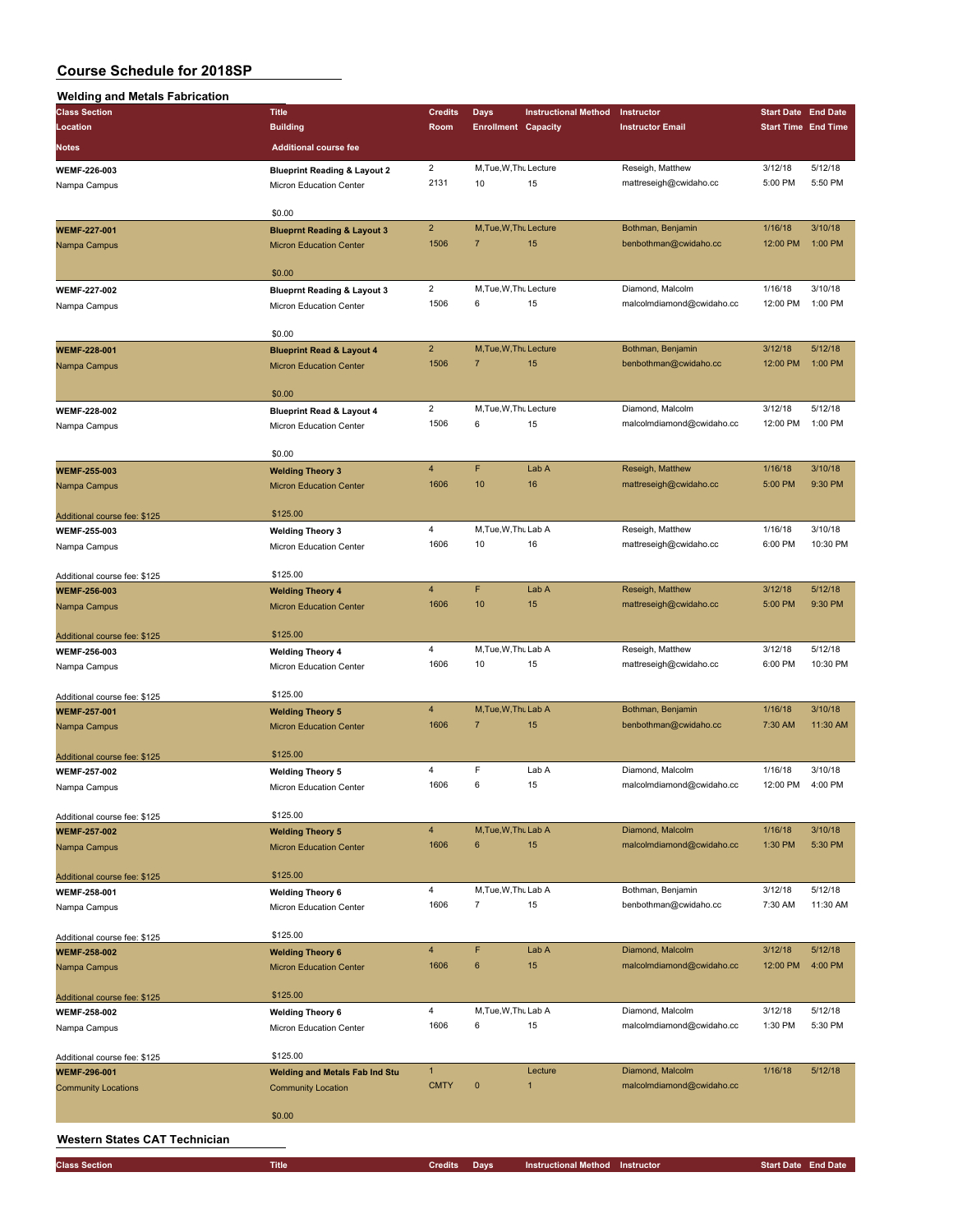| <b>Welding and Metals Fabrication</b>               |                                                                    |                                 |                                        |                             |                                            |                            |                    |
|-----------------------------------------------------|--------------------------------------------------------------------|---------------------------------|----------------------------------------|-----------------------------|--------------------------------------------|----------------------------|--------------------|
| <b>Class Section</b>                                | <b>Title</b>                                                       | <b>Credits</b>                  | Days                                   | <b>Instructional Method</b> | Instructor                                 | <b>Start Date End Date</b> |                    |
| Location                                            | <b>Building</b>                                                    | Room                            | <b>Enrollment Capacity</b>             |                             | <b>Instructor Email</b>                    | <b>Start Time End Time</b> |                    |
| <b>Notes</b>                                        | <b>Additional course fee</b>                                       |                                 |                                        |                             |                                            |                            |                    |
|                                                     |                                                                    | $\mathbf 2$                     | M, Tue, W, Thu Lecture                 |                             | Reseigh, Matthew                           | 3/12/18                    | 5/12/18            |
| WEMF-226-003<br>Nampa Campus                        | <b>Blueprint Reading &amp; Layout 2</b><br>Micron Education Center | 2131                            | 10                                     | 15                          | mattreseigh@cwidaho.cc                     | 5:00 PM                    | 5:50 PM            |
|                                                     |                                                                    |                                 |                                        |                             |                                            |                            |                    |
|                                                     | \$0.00                                                             |                                 |                                        |                             |                                            |                            |                    |
| <b>WEMF-227-001</b>                                 | <b>Blueprnt Reading &amp; Layout 3</b>                             | $\overline{2}$                  | M, Tue, W, Thu Lecture                 |                             | Bothman, Benjamin                          | 1/16/18                    | 3/10/18            |
| Nampa Campus                                        | <b>Micron Education Center</b>                                     | 1506                            | $\overline{7}$                         | 15                          | benbothman@cwidaho.cc                      | 12:00 PM                   | 1:00 PM            |
|                                                     |                                                                    |                                 |                                        |                             |                                            |                            |                    |
|                                                     | \$0.00                                                             |                                 |                                        |                             |                                            |                            |                    |
| <b>WEMF-227-002</b>                                 | <b>Blueprnt Reading &amp; Layout 3</b>                             | $\overline{2}$                  | M, Tue, W, Thu Lecture                 |                             | Diamond, Malcolm                           | 1/16/18                    | 3/10/18            |
| Nampa Campus                                        | Micron Education Center                                            | 1506                            | 6                                      | 15                          | malcolmdiamond@cwidaho.cc                  | 12:00 PM                   | 1:00 PM            |
|                                                     | \$0.00                                                             |                                 |                                        |                             |                                            |                            |                    |
| <b>WEMF-228-001</b>                                 | <b>Blueprint Read &amp; Layout 4</b>                               | $\overline{2}$                  | M, Tue, W, Thu Lecture                 |                             | Bothman, Benjamin                          | 3/12/18                    | 5/12/18            |
| Nampa Campus                                        | <b>Micron Education Center</b>                                     | 1506                            | $\overline{7}$                         | 15                          | benbothman@cwidaho.cc                      | 12:00 PM                   | 1:00 PM            |
|                                                     |                                                                    |                                 |                                        |                             |                                            |                            |                    |
|                                                     | \$0.00                                                             |                                 |                                        |                             |                                            |                            |                    |
| <b>WEMF-228-002</b>                                 | <b>Blueprint Read &amp; Layout 4</b>                               | $\overline{2}$                  | M, Tue, W, Thu Lecture                 |                             | Diamond, Malcolm                           | 3/12/18                    | 5/12/18            |
| Nampa Campus                                        | Micron Education Center                                            | 1506                            | 6                                      | 15                          | malcolmdiamond@cwidaho.cc                  | 12:00 PM                   | 1:00 PM            |
|                                                     |                                                                    |                                 |                                        |                             |                                            |                            |                    |
|                                                     | \$0.00                                                             |                                 |                                        |                             |                                            |                            |                    |
| <b>WEMF-255-003</b>                                 | <b>Welding Theory 3</b>                                            | $\overline{\mathbf{4}}$<br>1606 | F<br>10                                | Lab A                       | Reseigh, Matthew<br>mattreseigh@cwidaho.cc | 1/16/18                    | 3/10/18<br>9:30 PM |
| Nampa Campus                                        | <b>Micron Education Center</b>                                     |                                 |                                        | 16                          |                                            | 5:00 PM                    |                    |
| Additional course fee: \$125                        | \$125.00                                                           |                                 |                                        |                             |                                            |                            |                    |
| WEMF-255-003                                        | <b>Welding Theory 3</b>                                            | $\overline{\mathbf{4}}$         | M, Tue, W, Thu Lab A                   |                             | Reseigh, Matthew                           | 1/16/18                    | 3/10/18            |
| Nampa Campus                                        | Micron Education Center                                            | 1606                            | 10                                     | 16                          | mattreseigh@cwidaho.cc                     | 6:00 PM                    | 10:30 PM           |
|                                                     |                                                                    |                                 |                                        |                             |                                            |                            |                    |
| Additional course fee: \$125                        | \$125.00                                                           |                                 |                                        |                             |                                            |                            |                    |
| <b>WEMF-256-003</b>                                 | <b>Welding Theory 4</b>                                            | $\overline{4}$                  | F                                      | Lab A                       | Reseigh, Matthew                           | 3/12/18                    | 5/12/18            |
| Nampa Campus                                        | <b>Micron Education Center</b>                                     | 1606                            | 10                                     | 15                          | mattreseigh@cwidaho.cc                     | 5:00 PM                    | 9:30 PM            |
|                                                     |                                                                    |                                 |                                        |                             |                                            |                            |                    |
| Additional course fee: \$125                        | \$125.00                                                           |                                 |                                        |                             |                                            |                            |                    |
| <b>WEMF-256-003</b>                                 | <b>Welding Theory 4</b>                                            | 4                               | M, Tue, W, Thu Lab A                   |                             | Reseigh, Matthew                           | 3/12/18                    | 5/12/18            |
| Nampa Campus                                        | Micron Education Center                                            | 1606                            | 10                                     | 15                          | mattreseigh@cwidaho.cc                     | 6:00 PM                    | 10:30 PM           |
|                                                     | \$125.00                                                           |                                 |                                        |                             |                                            |                            |                    |
| Additional course fee: \$125<br><b>WEMF-257-001</b> | <b>Welding Theory 5</b>                                            | $\overline{4}$                  | M, Tue, W, Thu Lab A                   |                             | Bothman, Benjamin                          | 1/16/18                    | 3/10/18            |
| Nampa Campus                                        | <b>Micron Education Center</b>                                     | 1606                            | $\overline{7}$                         | 15                          | benbothman@cwidaho.cc                      | 7:30 AM                    | 11:30 AM           |
|                                                     |                                                                    |                                 |                                        |                             |                                            |                            |                    |
| Additional course fee: \$125                        | \$125.00                                                           |                                 |                                        |                             |                                            |                            |                    |
| <b>WEMF-257-002</b>                                 | <b>Welding Theory 5</b>                                            | 4                               | F                                      | Lab A                       | Diamond, Malcolm                           | 1/16/18                    | 3/10/18            |
| Nampa Campus                                        | Micron Education Center                                            | 1606                            | 6                                      | 15                          | malcolmdiamond@cwidaho.cc                  | 12:00 PM                   | 4:00 PM            |
|                                                     |                                                                    |                                 |                                        |                             |                                            |                            |                    |
| Additional course fee: \$125                        | \$125.00                                                           |                                 |                                        |                             |                                            |                            |                    |
| <b>WEMF-257-002</b>                                 | <b>Welding Theory 5</b>                                            | $\overline{4}$                  | M, Tue, W, Thu Lab A<br>$6\phantom{1}$ |                             | Diamond, Malcolm                           | 1/16/18                    | 3/10/18            |
| Nampa Campus                                        | <b>Micron Education Center</b>                                     | 1606                            |                                        | 15                          | malcolmdiamond@cwidaho.cc                  | 1:30 PM                    | 5:30 PM            |
| Additional course fee: \$125                        | \$125.00                                                           |                                 |                                        |                             |                                            |                            |                    |
| <b>WEMF-258-001</b>                                 | <b>Welding Theory 6</b>                                            | 4                               | M, Tue, W, Thu Lab A                   |                             | Bothman, Benjamin                          | 3/12/18                    | 5/12/18            |
| Nampa Campus                                        | Micron Education Center                                            | 1606                            | $\overline{7}$                         | 15                          | benbothman@cwidaho.cc                      | 7:30 AM                    | 11:30 AM           |
|                                                     |                                                                    |                                 |                                        |                             |                                            |                            |                    |
| Additional course fee: \$125                        | \$125.00                                                           |                                 |                                        |                             |                                            |                            |                    |
| <b>WEMF-258-002</b>                                 | <b>Welding Theory 6</b>                                            | $\overline{4}$                  | F                                      | Lab A                       | Diamond, Malcolm                           | 3/12/18                    | 5/12/18            |
| Nampa Campus                                        | <b>Micron Education Center</b>                                     | 1606                            | $\bf 6$                                | 15                          | malcolmdiamond@cwidaho.cc                  | 12:00 PM                   | 4:00 PM            |
|                                                     |                                                                    |                                 |                                        |                             |                                            |                            |                    |
| Additional course fee: \$125                        | \$125.00                                                           |                                 |                                        |                             |                                            |                            |                    |
| <b>WEMF-258-002</b>                                 | <b>Welding Theory 6</b>                                            | 4                               | M, Tue, W, Thu Lab A                   |                             | Diamond, Malcolm                           | 3/12/18                    | 5/12/18            |
| Nampa Campus                                        | Micron Education Center                                            | 1606                            | 6                                      | 15                          | malcolmdiamond@cwidaho.cc                  | 1:30 PM                    | 5:30 PM            |
|                                                     | \$125.00                                                           |                                 |                                        |                             |                                            |                            |                    |
| Additional course fee: \$125                        |                                                                    | $\mathbf{1}$                    |                                        | Lecture                     | Diamond, Malcolm                           | 1/16/18                    | 5/12/18            |
| <b>WEMF-296-001</b><br><b>Community Locations</b>   | <b>Welding and Metals Fab Ind Stu</b><br><b>Community Location</b> | <b>CMTY</b>                     | $\pmb{0}$                              | $\mathbf{1}$                | malcolmdiamond@cwidaho.cc                  |                            |                    |
|                                                     |                                                                    |                                 |                                        |                             |                                            |                            |                    |
|                                                     | \$0.00                                                             |                                 |                                        |                             |                                            |                            |                    |
|                                                     |                                                                    |                                 |                                        |                             |                                            |                            |                    |

### **Western States CAT Technician**